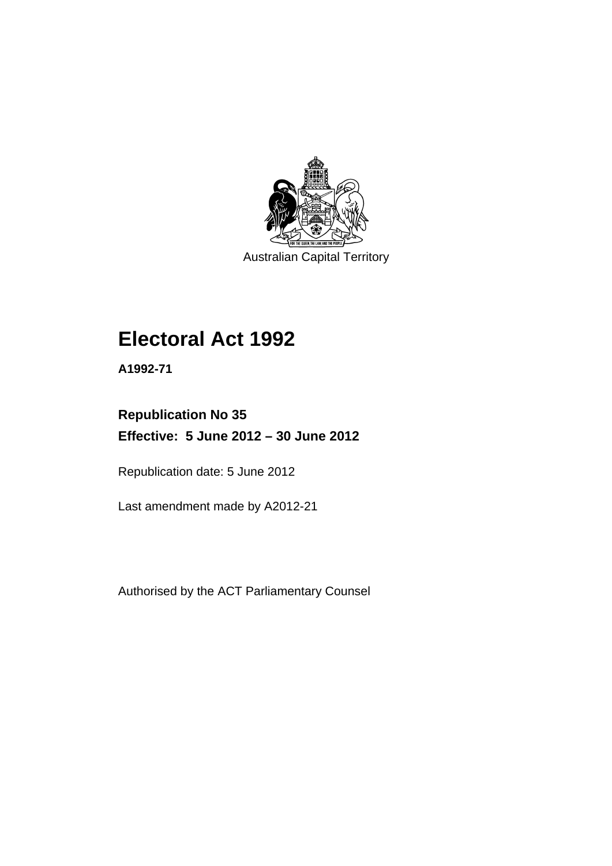

Australian Capital Territory

# **Electoral Act 1992**

**A1992-71** 

# **Republication No 35 Effective: 5 June 2012 – 30 June 2012**

Republication date: 5 June 2012

Last amendment made by A2012-21

Authorised by the ACT Parliamentary Counsel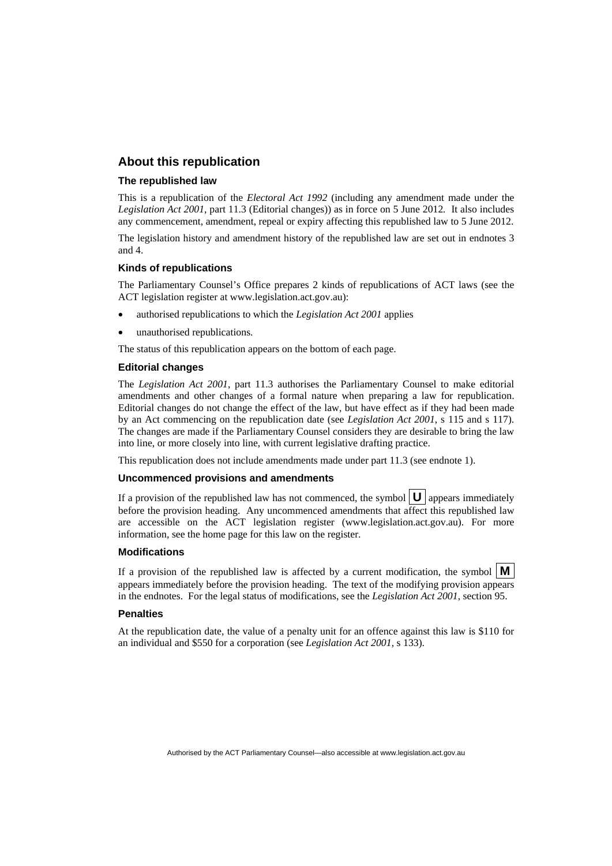#### **About this republication**

#### **The republished law**

This is a republication of the *Electoral Act 1992* (including any amendment made under the *Legislation Act 2001*, part 11.3 (Editorial changes)) as in force on 5 June 2012*.* It also includes any commencement, amendment, repeal or expiry affecting this republished law to 5 June 2012.

The legislation history and amendment history of the republished law are set out in endnotes 3 and 4.

#### **Kinds of republications**

The Parliamentary Counsel's Office prepares 2 kinds of republications of ACT laws (see the ACT legislation register at www.legislation.act.gov.au):

- authorised republications to which the *Legislation Act 2001* applies
- unauthorised republications.

The status of this republication appears on the bottom of each page.

#### **Editorial changes**

The *Legislation Act 2001*, part 11.3 authorises the Parliamentary Counsel to make editorial amendments and other changes of a formal nature when preparing a law for republication. Editorial changes do not change the effect of the law, but have effect as if they had been made by an Act commencing on the republication date (see *Legislation Act 2001*, s 115 and s 117). The changes are made if the Parliamentary Counsel considers they are desirable to bring the law into line, or more closely into line, with current legislative drafting practice.

This republication does not include amendments made under part 11.3 (see endnote 1).

#### **Uncommenced provisions and amendments**

If a provision of the republished law has not commenced, the symbol  $\mathbf{U}$  appears immediately before the provision heading. Any uncommenced amendments that affect this republished law are accessible on the ACT legislation register (www.legislation.act.gov.au). For more information, see the home page for this law on the register.

#### **Modifications**

If a provision of the republished law is affected by a current modification, the symbol  $\mathbf{M}$ appears immediately before the provision heading. The text of the modifying provision appears in the endnotes. For the legal status of modifications, see the *Legislation Act 2001*, section 95.

#### **Penalties**

At the republication date, the value of a penalty unit for an offence against this law is \$110 for an individual and \$550 for a corporation (see *Legislation Act 2001*, s 133).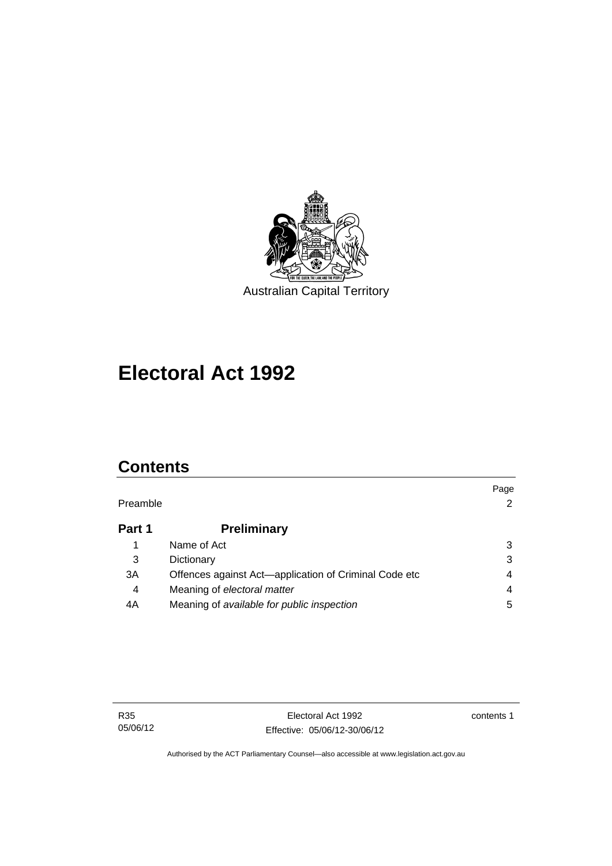

# **Electoral Act 1992**

# **Contents**

|          |                                                       | Page           |
|----------|-------------------------------------------------------|----------------|
| Preamble |                                                       | $\overline{2}$ |
| Part 1   | <b>Preliminary</b>                                    |                |
|          | Name of Act                                           | 3              |
| 3        | Dictionary                                            | 3              |
| 3A       | Offences against Act-application of Criminal Code etc | 4              |
| 4        | Meaning of electoral matter                           | 4              |
| 4A       | Meaning of available for public inspection            | 5              |

contents 1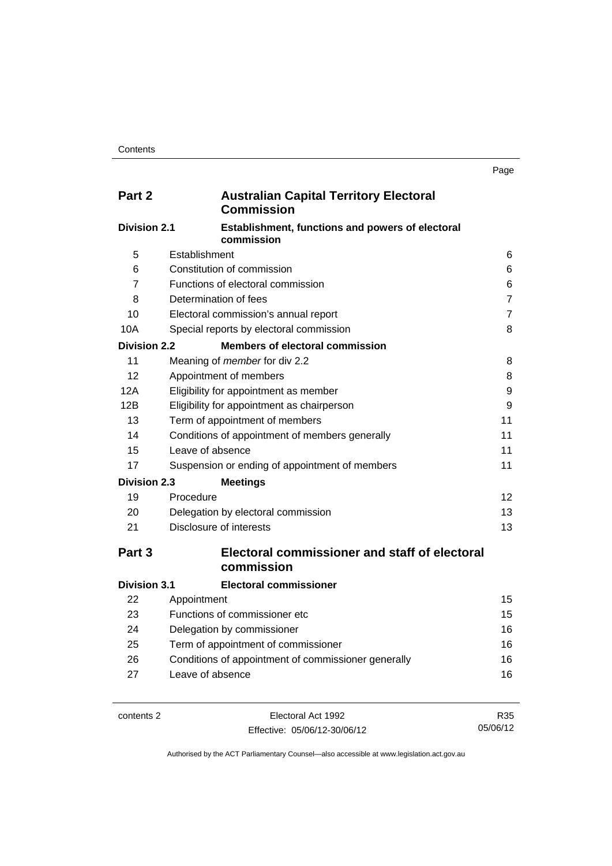| Part 2              | <b>Australian Capital Territory Electoral</b><br><b>Commission</b> |                |
|---------------------|--------------------------------------------------------------------|----------------|
| <b>Division 2.1</b> | Establishment, functions and powers of electoral<br>commission     |                |
| 5                   | Establishment                                                      | 6              |
| 6                   | Constitution of commission                                         | 6              |
| 7                   | Functions of electoral commission                                  | 6              |
| 8                   | Determination of fees                                              | $\overline{7}$ |
| 10                  | Electoral commission's annual report                               | $\overline{7}$ |
| 10A                 | Special reports by electoral commission                            | 8              |
| <b>Division 2.2</b> | <b>Members of electoral commission</b>                             |                |
| 11                  | Meaning of member for div 2.2                                      | 8              |
| 12                  | Appointment of members                                             | 8              |
| 12A                 | Eligibility for appointment as member                              | 9              |
| 12B                 | Eligibility for appointment as chairperson                         | 9              |
| 13                  | Term of appointment of members                                     | 11             |
| 14                  | Conditions of appointment of members generally                     | 11             |
| 15                  | Leave of absence                                                   | 11             |
| 17                  | Suspension or ending of appointment of members                     | 11             |
| <b>Division 2.3</b> | <b>Meetings</b>                                                    |                |
| 19                  | Procedure                                                          | 12             |
| 20                  | Delegation by electoral commission                                 | 13             |
| 21                  | Disclosure of interests                                            | 13             |
| Part <sub>3</sub>   | <b>Electoral commissioner and staff of electoral</b><br>commission |                |
| <b>Division 3.1</b> | <b>Electoral commissioner</b>                                      |                |
| 22                  | Appointment                                                        | 15             |
| 23                  | Functions of commissioner etc                                      | 15             |
| 24                  | Delegation by commissioner                                         | 16             |
| 25                  | Term of appointment of commissioner                                | 16             |
| 26                  | Conditions of appointment of commissioner generally                | 16             |
| 27                  | Leave of absence                                                   | 16             |

| contents 2 |
|------------|
|            |

Electoral Act 1992 Effective: 05/06/12-30/06/12

R35 05/06/12

Authorised by the ACT Parliamentary Counsel—also accessible at www.legislation.act.gov.au

Page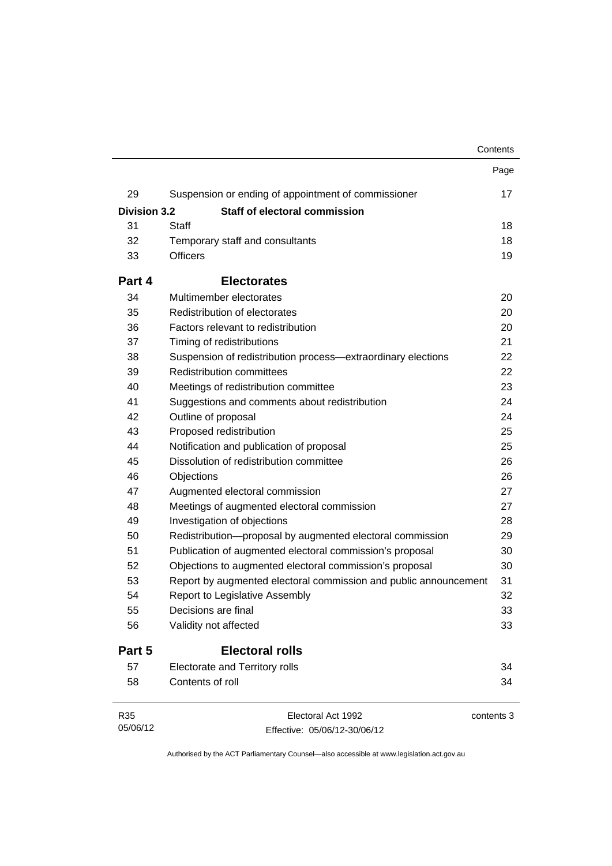|                     |                                                                  | Contents   |
|---------------------|------------------------------------------------------------------|------------|
|                     |                                                                  | Page       |
| 29                  | Suspension or ending of appointment of commissioner              | 17         |
| <b>Division 3.2</b> | Staff of electoral commission                                    |            |
| 31                  | Staff                                                            | 18         |
| 32                  | Temporary staff and consultants                                  | 18         |
| 33                  | <b>Officers</b>                                                  | 19         |
| Part 4              | <b>Electorates</b>                                               |            |
| 34                  | Multimember electorates                                          | 20         |
| 35                  | Redistribution of electorates                                    | 20         |
| 36                  | Factors relevant to redistribution                               | 20         |
| 37                  | Timing of redistributions                                        | 21         |
| 38                  | Suspension of redistribution process—extraordinary elections     | 22         |
| 39                  | <b>Redistribution committees</b>                                 | 22         |
| 40                  | Meetings of redistribution committee                             | 23         |
| 41                  | Suggestions and comments about redistribution                    | 24         |
| 42                  | Outline of proposal                                              | 24         |
| 43                  | Proposed redistribution                                          | 25         |
| 44                  | Notification and publication of proposal                         | 25         |
| 45                  | Dissolution of redistribution committee                          | 26         |
| 46                  | Objections                                                       | 26         |
| 47                  | Augmented electoral commission                                   | 27         |
| 48                  | Meetings of augmented electoral commission                       | 27         |
| 49                  | Investigation of objections                                      | 28         |
| 50                  | Redistribution-proposal by augmented electoral commission        | 29         |
| 51                  | Publication of augmented electoral commission's proposal         | 30         |
| 52                  | Objections to augmented electoral commission's proposal          | 30         |
| 53                  | Report by augmented electoral commission and public announcement | 31         |
| 54                  | Report to Legislative Assembly                                   | 32         |
| 55                  | Decisions are final                                              | 33         |
| 56                  | Validity not affected                                            | 33         |
| Part 5              | <b>Electoral rolls</b>                                           |            |
| 57                  | <b>Electorate and Territory rolls</b>                            | 34         |
| 58                  | Contents of roll                                                 | 34         |
| R35                 | Electoral Act 1992                                               | contents 3 |
| 05/06/12            | Effective: 05/06/12-30/06/12                                     |            |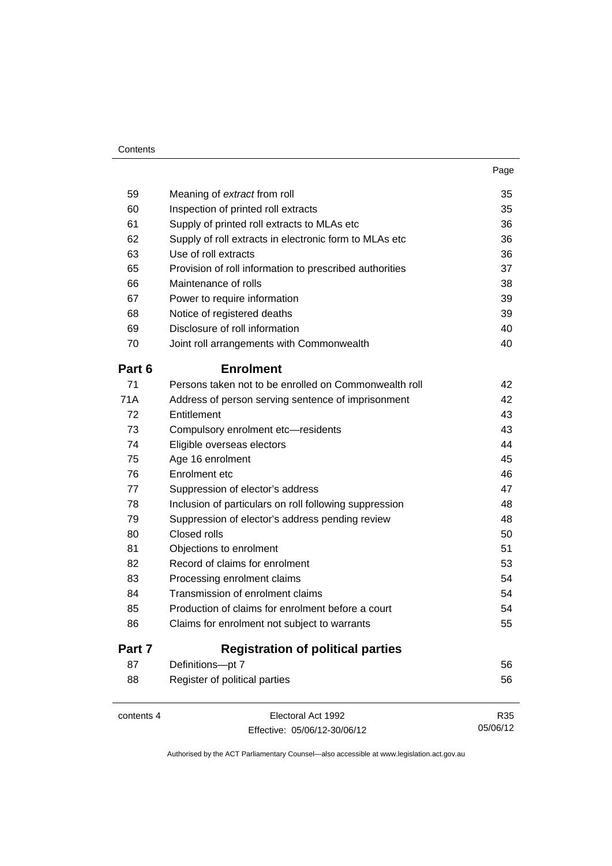| 59         | Meaning of extract from roll                            | 35  |
|------------|---------------------------------------------------------|-----|
| 60         | Inspection of printed roll extracts                     | 35  |
| 61         | Supply of printed roll extracts to MLAs etc             | 36  |
| 62         | Supply of roll extracts in electronic form to MLAs etc  | 36  |
| 63         | Use of roll extracts                                    | 36  |
| 65         | Provision of roll information to prescribed authorities | 37  |
| 66         | Maintenance of rolls                                    | 38  |
| 67         | Power to require information                            | 39  |
| 68         | Notice of registered deaths                             | 39  |
| 69         | Disclosure of roll information                          | 40  |
| 70         | Joint roll arrangements with Commonwealth               | 40  |
| Part 6     | <b>Enrolment</b>                                        |     |
| 71         | Persons taken not to be enrolled on Commonwealth roll   | 42  |
| 71A        | Address of person serving sentence of imprisonment      | 42  |
| 72         | Entitlement                                             | 43  |
| 73         | Compulsory enrolment etc-residents                      | 43  |
| 74         | Eligible overseas electors                              | 44  |
| 75         | Age 16 enrolment                                        | 45  |
| 76         | Enrolment etc                                           | 46  |
| 77         | Suppression of elector's address                        | 47  |
| 78         | Inclusion of particulars on roll following suppression  | 48  |
| 79         | Suppression of elector's address pending review         | 48  |
| 80         | Closed rolls                                            | 50  |
| 81         | Objections to enrolment                                 | 51  |
| 82         | Record of claims for enrolment                          | 53  |
| 83         | Processing enrolment claims                             | 54  |
| 84         | Transmission of enrolment claims                        | 54  |
| 85         | Production of claims for enrolment before a court       | 54  |
| 86         | Claims for enrolment not subject to warrants            | 55  |
| Part 7     | <b>Registration of political parties</b>                |     |
| 87         | Definitions-pt 7                                        | 56  |
| 88         | Register of political parties                           | 56  |
| contents 4 | Electoral Act 1992                                      | R35 |

Effective: 05/06/12-30/06/12

05/06/12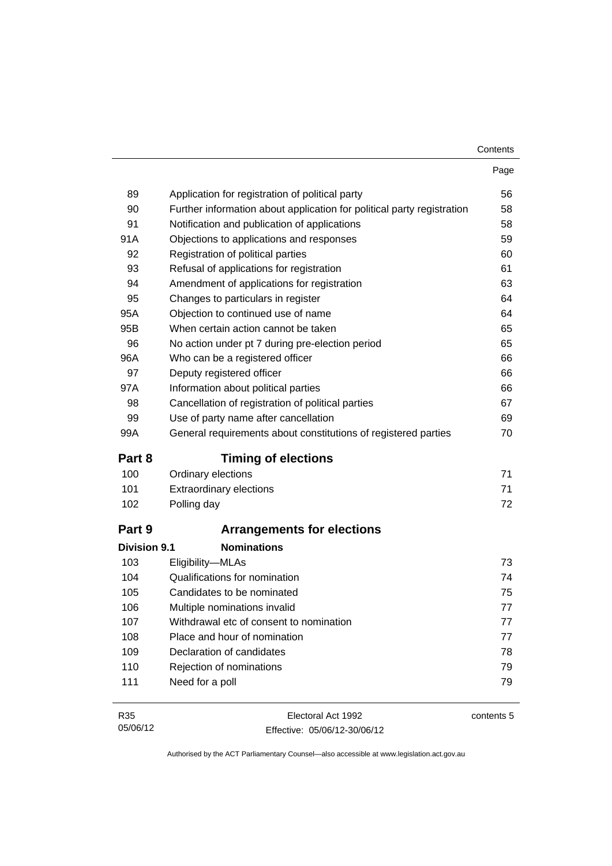| Contents |
|----------|
|----------|

|                     |                                                                        | Page       |
|---------------------|------------------------------------------------------------------------|------------|
| 89                  | Application for registration of political party                        | 56         |
| 90                  | Further information about application for political party registration | 58         |
| 91                  | Notification and publication of applications                           | 58         |
| 91A                 | Objections to applications and responses                               | 59         |
| 92                  | Registration of political parties                                      | 60         |
| 93                  | Refusal of applications for registration                               | 61         |
| 94                  | Amendment of applications for registration                             | 63         |
| 95                  | Changes to particulars in register                                     | 64         |
| 95A                 | Objection to continued use of name                                     | 64         |
| 95B                 | When certain action cannot be taken                                    | 65         |
| 96                  | No action under pt 7 during pre-election period                        | 65         |
| 96A                 | Who can be a registered officer                                        | 66         |
| 97                  | Deputy registered officer                                              | 66         |
| 97A                 | Information about political parties                                    | 66         |
| 98                  | Cancellation of registration of political parties                      | 67         |
| 99                  | Use of party name after cancellation                                   | 69         |
| 99A                 | General requirements about constitutions of registered parties         | 70         |
| Part 8              | <b>Timing of elections</b>                                             |            |
| 100                 | Ordinary elections                                                     | 71         |
| 101                 | <b>Extraordinary elections</b>                                         | 71         |
| 102                 | Polling day                                                            | 72         |
| Part 9              | <b>Arrangements for elections</b>                                      |            |
| <b>Division 9.1</b> | <b>Nominations</b>                                                     |            |
| 103                 | Eligibility-MLAs                                                       | 73         |
| 104                 | Qualifications for nomination                                          | 74         |
| 105                 | Candidates to be nominated                                             | 75         |
| 106                 | Multiple nominations invalid                                           | 77         |
| 107                 | Withdrawal etc of consent to nomination                                | 77         |
| 108                 | Place and hour of nomination                                           | 77         |
| 109                 | Declaration of candidates                                              | 78         |
| 110                 | Rejection of nominations                                               | 79         |
| 111                 | Need for a poll                                                        | 79         |
| R35                 | Electoral Act 1992                                                     | contents 5 |

Effective: 05/06/12-30/06/12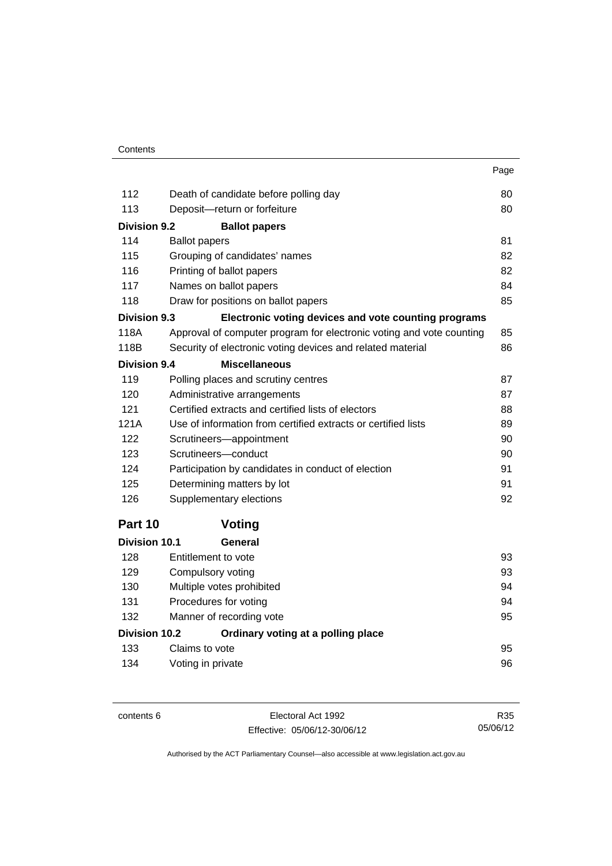|                      |                                                                      | Page |
|----------------------|----------------------------------------------------------------------|------|
| 112                  | Death of candidate before polling day                                | 80   |
| 113                  | Deposit-return or forfeiture                                         | 80   |
| <b>Division 9.2</b>  | <b>Ballot papers</b>                                                 |      |
| 114                  | <b>Ballot papers</b>                                                 | 81   |
| 115                  | Grouping of candidates' names                                        | 82   |
| 116                  | Printing of ballot papers                                            | 82   |
| 117                  | Names on ballot papers                                               | 84   |
| 118                  | Draw for positions on ballot papers                                  | 85   |
| <b>Division 9.3</b>  | Electronic voting devices and vote counting programs                 |      |
| 118A                 | Approval of computer program for electronic voting and vote counting | 85   |
| 118B                 | Security of electronic voting devices and related material           | 86   |
| <b>Division 9.4</b>  | <b>Miscellaneous</b>                                                 |      |
| 119                  | Polling places and scrutiny centres                                  | 87   |
| 120                  | Administrative arrangements                                          | 87   |
| 121                  | Certified extracts and certified lists of electors                   | 88   |
| 121A                 | Use of information from certified extracts or certified lists        | 89   |
| 122                  | Scrutineers-appointment                                              | 90   |
| 123                  | Scrutineers-conduct                                                  | 90   |
| 124                  | Participation by candidates in conduct of election                   | 91   |
| 125                  | Determining matters by lot                                           | 91   |
| 126                  | Supplementary elections                                              | 92   |
| Part 10              | Voting                                                               |      |
| <b>Division 10.1</b> | General                                                              |      |
| 128                  | Entitlement to vote                                                  | 93   |
| 129                  | Compulsory voting                                                    | 93   |
| 130                  | Multiple votes prohibited                                            | 94   |
| 131                  | Procedures for voting                                                | 94   |
| 132                  | Manner of recording vote                                             | 95   |
| Division 10.2        | Ordinary voting at a polling place                                   |      |

| <b>DIVISIUII IU.</b> Z | Ordinary voting at a polinig place |    |
|------------------------|------------------------------------|----|
| 133                    | Claims to vote                     |    |
| 134                    | Voting in private                  | 96 |

contents 6 Electoral Act 1992 Effective: 05/06/12-30/06/12

R35 05/06/12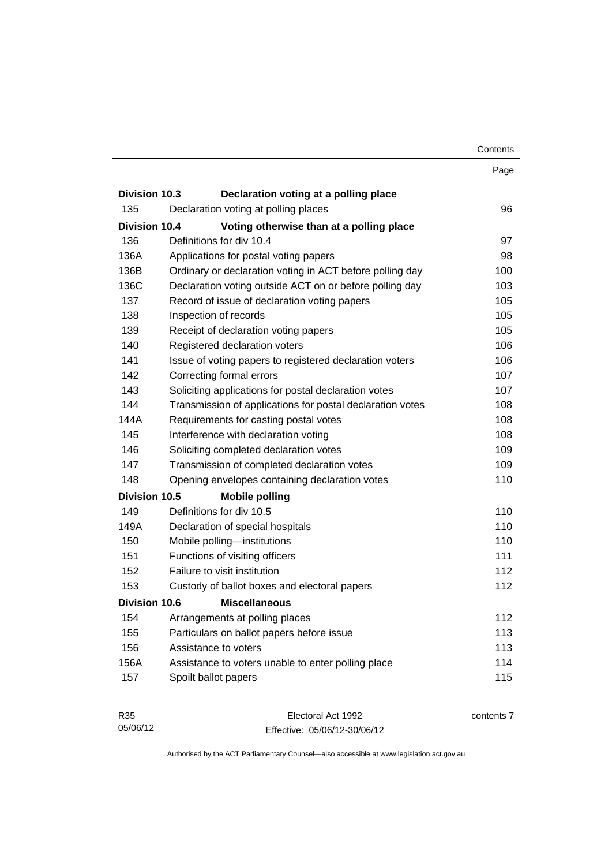|                      |                                                           | Contents |
|----------------------|-----------------------------------------------------------|----------|
|                      |                                                           | Page     |
| Division 10.3        | Declaration voting at a polling place                     |          |
| 135                  | Declaration voting at polling places                      | 96       |
| <b>Division 10.4</b> | Voting otherwise than at a polling place                  |          |
| 136                  | Definitions for div 10.4                                  | 97       |
| 136A                 | Applications for postal voting papers                     | 98       |
| 136B                 | Ordinary or declaration voting in ACT before polling day  | 100      |
| 136C                 | Declaration voting outside ACT on or before polling day   | 103      |
| 137                  | Record of issue of declaration voting papers              | 105      |
| 138                  | Inspection of records                                     | 105      |
| 139                  | Receipt of declaration voting papers                      | 105      |
| 140                  | Registered declaration voters                             | 106      |
| 141                  | Issue of voting papers to registered declaration voters   | 106      |
| 142                  | Correcting formal errors                                  | 107      |
| 143                  | Soliciting applications for postal declaration votes      | 107      |
| 144                  | Transmission of applications for postal declaration votes | 108      |
| 144A                 | Requirements for casting postal votes                     | 108      |
| 145                  | Interference with declaration voting                      | 108      |
| 146                  | Soliciting completed declaration votes                    | 109      |
| 147                  | Transmission of completed declaration votes               | 109      |
| 148                  | Opening envelopes containing declaration votes            | 110      |
| Division 10.5        | <b>Mobile polling</b>                                     |          |
| 149                  | Definitions for div 10.5                                  | 110      |
| 149A                 | Declaration of special hospitals                          | 110      |
| 150                  | Mobile polling-institutions                               | 110      |
| 151                  | Functions of visiting officers                            | 111      |
| 152                  | Failure to visit institution                              | 112      |
| 153                  | Custody of ballot boxes and electoral papers              | 112      |
| <b>Division 10.6</b> | <b>Miscellaneous</b>                                      |          |
| 154                  | Arrangements at polling places                            | 112      |
| 155                  | Particulars on ballot papers before issue                 | 113      |
| 156                  | Assistance to voters                                      | 113      |
| 156A                 | Assistance to voters unable to enter polling place        | 114      |
| 157                  | Spoilt ballot papers                                      | 115      |

| R35      | Electoral Act 1992           | contents 7 |
|----------|------------------------------|------------|
| 05/06/12 | Effective: 05/06/12-30/06/12 |            |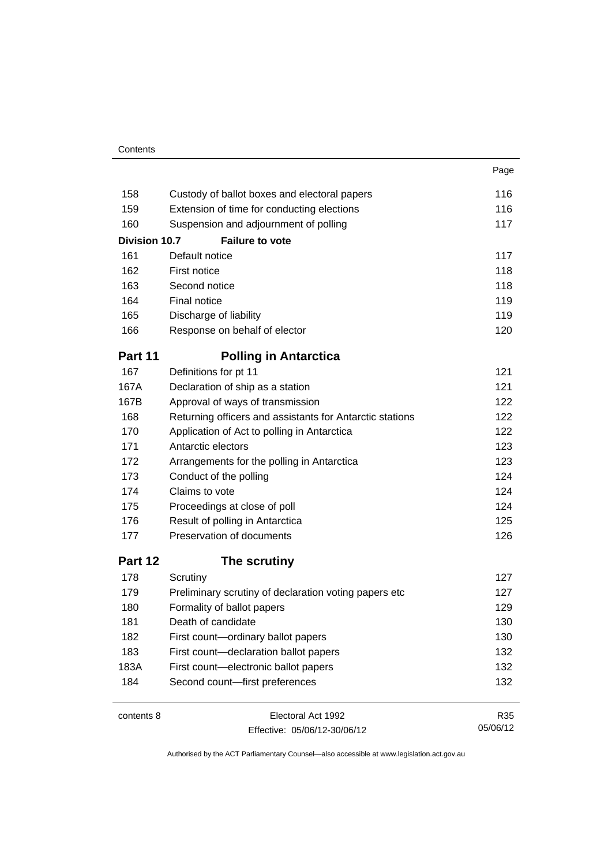| 158                  | Custody of ballot boxes and electoral papers             | 116 |
|----------------------|----------------------------------------------------------|-----|
| 159                  | Extension of time for conducting elections               | 116 |
| 160                  | Suspension and adjournment of polling                    | 117 |
| <b>Division 10.7</b> | <b>Failure to vote</b>                                   |     |
| 161                  | Default notice                                           | 117 |
| 162                  | First notice                                             | 118 |
| 163                  | Second notice                                            | 118 |
| 164                  | Final notice                                             | 119 |
| 165                  | Discharge of liability                                   | 119 |
| 166                  | Response on behalf of elector                            | 120 |
| Part 11              | <b>Polling in Antarctica</b>                             |     |
| 167                  | Definitions for pt 11                                    | 121 |
| 167A                 | Declaration of ship as a station                         | 121 |
| 167B                 | Approval of ways of transmission                         | 122 |
| 168                  | Returning officers and assistants for Antarctic stations | 122 |
| 170                  | Application of Act to polling in Antarctica              | 122 |
| 171                  | Antarctic electors                                       | 123 |
| 172                  | Arrangements for the polling in Antarctica               | 123 |
| 173                  | Conduct of the polling                                   | 124 |
| 174                  | Claims to vote                                           | 124 |
| 175                  | Proceedings at close of poll                             | 124 |
| 176                  | Result of polling in Antarctica                          | 125 |
| 177                  | Preservation of documents                                | 126 |
| Part 12              | The scrutiny                                             |     |
| 178                  | Scrutiny                                                 | 127 |
| 179                  | Preliminary scrutiny of declaration voting papers etc    | 127 |
| 180                  | Formality of ballot papers                               | 129 |
| 181                  | Death of candidate                                       | 130 |
| 182                  | First count-ordinary ballot papers                       | 130 |
| 183                  | First count-declaration ballot papers                    | 132 |
| 183A                 | First count-electronic ballot papers                     | 132 |
| 184                  | Second count-first preferences                           | 132 |
| contents 8           | Electoral Act 1992                                       | R35 |

Effective: 05/06/12-30/06/12

05/06/12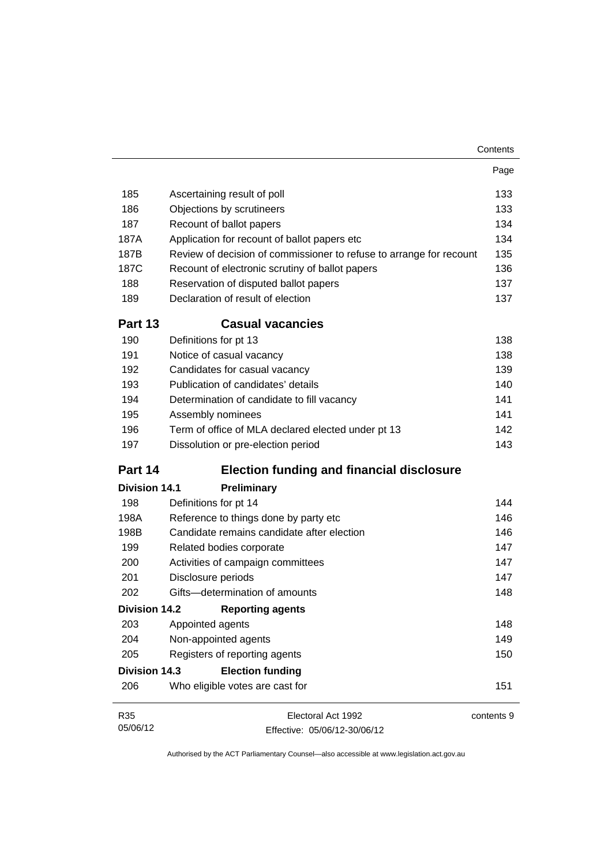|                      |                                                                     | Contents   |
|----------------------|---------------------------------------------------------------------|------------|
|                      |                                                                     | Page       |
| 185                  | Ascertaining result of poll                                         | 133        |
| 186                  | Objections by scrutineers                                           | 133        |
| 187                  | Recount of ballot papers                                            | 134        |
| 187A                 | Application for recount of ballot papers etc                        | 134        |
| 187B                 | Review of decision of commissioner to refuse to arrange for recount | 135        |
| 187C                 | Recount of electronic scrutiny of ballot papers                     | 136        |
| 188                  | Reservation of disputed ballot papers                               | 137        |
| 189                  | Declaration of result of election                                   | 137        |
| <b>Part 13</b>       | <b>Casual vacancies</b>                                             |            |
| 190                  | Definitions for pt 13                                               | 138        |
| 191                  | Notice of casual vacancy                                            | 138        |
| 192                  | Candidates for casual vacancy                                       | 139        |
| 193                  | Publication of candidates' details                                  | 140        |
| 194                  | Determination of candidate to fill vacancy                          | 141        |
| 195                  | Assembly nominees                                                   | 141        |
| 196                  | Term of office of MLA declared elected under pt 13                  | 142        |
| 197                  | Dissolution or pre-election period                                  | 143        |
| Part 14              | <b>Election funding and financial disclosure</b>                    |            |
| <b>Division 14.1</b> | Preliminary                                                         |            |
| 198                  | Definitions for pt 14                                               | 144        |
| 198A                 | Reference to things done by party etc                               | 146        |
| 198B                 | Candidate remains candidate after election                          | 146        |
| 199                  | Related bodies corporate                                            | 147        |
| 200                  | Activities of campaign committees                                   | 147        |
| 201                  | Disclosure periods                                                  | 147        |
| 202                  | Gifts-determination of amounts                                      | 148        |
| <b>Division 14.2</b> | <b>Reporting agents</b>                                             |            |
| 203                  | Appointed agents                                                    | 148        |
| 204                  | Non-appointed agents                                                | 149        |
| 205                  | Registers of reporting agents                                       | 150        |
| <b>Division 14.3</b> | <b>Election funding</b>                                             |            |
| 206                  | Who eligible votes are cast for                                     | 151        |
| R35                  | Electoral Act 1992                                                  | contents 9 |
| 05/06/12             | Effective: 05/06/12-30/06/12                                        |            |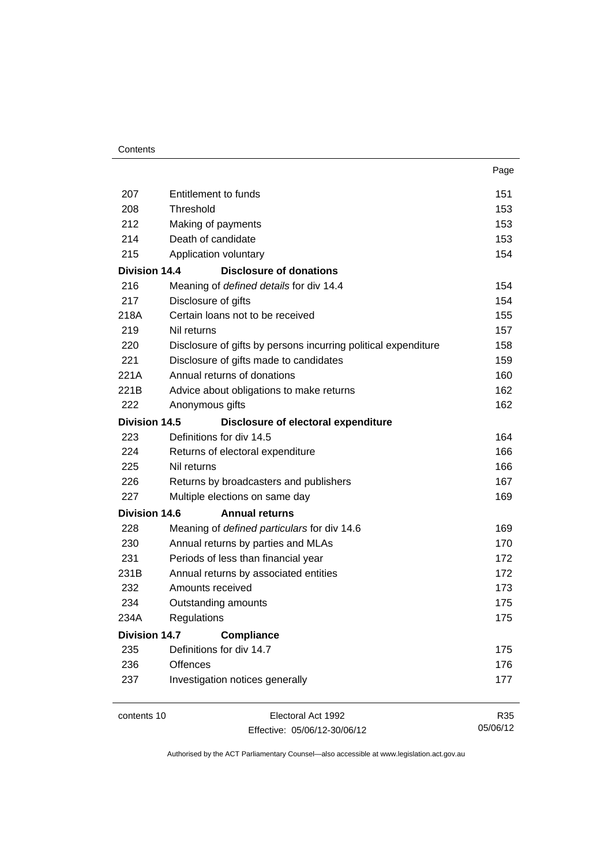| Contents |
|----------|
|----------|

|                      |                                                                | Page |
|----------------------|----------------------------------------------------------------|------|
| 207                  | Entitlement to funds                                           | 151  |
| 208                  | Threshold                                                      | 153  |
| 212                  | Making of payments                                             | 153  |
| 214                  | Death of candidate                                             | 153  |
| 215                  | Application voluntary                                          | 154  |
| <b>Division 14.4</b> | <b>Disclosure of donations</b>                                 |      |
| 216                  | Meaning of defined details for div 14.4                        | 154  |
| 217                  | Disclosure of gifts                                            | 154  |
| 218A                 | Certain loans not to be received                               | 155  |
| 219                  | Nil returns                                                    | 157  |
| 220                  | Disclosure of gifts by persons incurring political expenditure | 158  |
| 221                  | Disclosure of gifts made to candidates                         | 159  |
| 221A                 | Annual returns of donations                                    | 160  |
| 221B                 | Advice about obligations to make returns                       | 162  |
| 222                  | Anonymous gifts                                                | 162  |
| Division 14.5        | Disclosure of electoral expenditure                            |      |
| 223                  | Definitions for div 14.5                                       | 164  |
| 224                  | Returns of electoral expenditure                               | 166  |
| 225                  | Nil returns                                                    | 166  |
| 226                  | Returns by broadcasters and publishers                         | 167  |
| 227                  | Multiple elections on same day                                 | 169  |
| Division 14.6        | <b>Annual returns</b>                                          |      |
| 228                  | Meaning of defined particulars for div 14.6                    | 169  |
| 230                  | Annual returns by parties and MLAs                             | 170  |
| 231                  | Periods of less than financial year                            | 172  |
| 231B                 | Annual returns by associated entities                          | 172  |
| 232                  | Amounts received                                               | 173  |
| 234                  | Outstanding amounts                                            | 175  |
| 234A                 | Regulations                                                    | 175  |
| <b>Division 14.7</b> | <b>Compliance</b>                                              |      |
| 235                  | Definitions for div 14.7                                       | 175  |
| 236                  | <b>Offences</b>                                                | 176  |
| 237                  | Investigation notices generally                                | 177  |
|                      |                                                                |      |

contents 10 Electoral Act 1992 Effective: 05/06/12-30/06/12

R35 05/06/12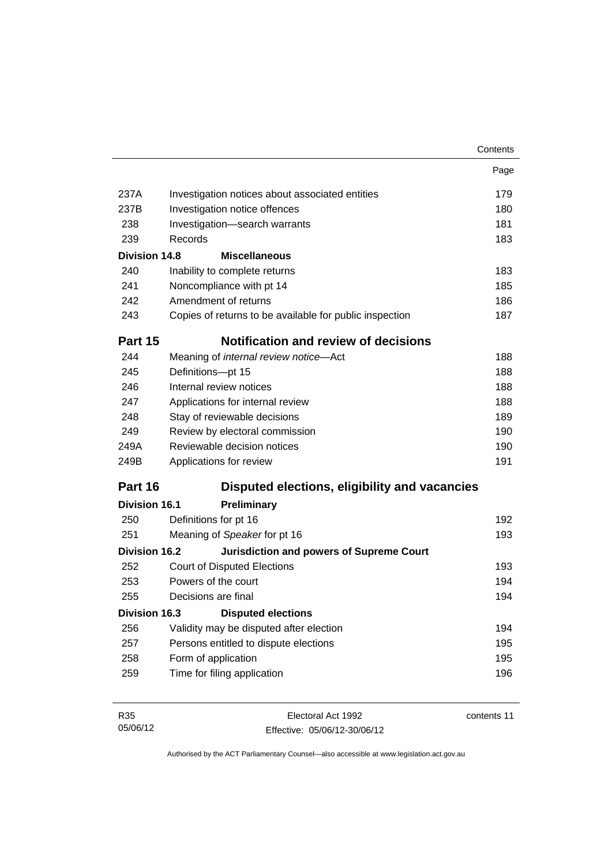|                      |                                                         | Contents |
|----------------------|---------------------------------------------------------|----------|
|                      |                                                         | Page     |
| 237A                 | Investigation notices about associated entities         | 179      |
| 237B                 | Investigation notice offences                           | 180      |
| 238                  | Investigation-search warrants                           | 181      |
| 239                  | Records                                                 | 183      |
| <b>Division 14.8</b> | <b>Miscellaneous</b>                                    |          |
| 240                  | Inability to complete returns                           | 183      |
| 241                  | Noncompliance with pt 14                                | 185      |
| 242                  | Amendment of returns                                    | 186      |
| 243                  | Copies of returns to be available for public inspection | 187      |
| Part 15              | <b>Notification and review of decisions</b>             |          |
| 244                  | Meaning of internal review notice-Act                   | 188      |
| 245                  | Definitions-pt 15                                       | 188      |
| 246                  | Internal review notices                                 | 188      |
| 247                  | Applications for internal review                        | 188      |
| 248                  | Stay of reviewable decisions                            | 189      |
| 249                  | Review by electoral commission                          | 190      |
| 249A                 | Reviewable decision notices                             | 190      |
| 249B                 | Applications for review                                 | 191      |
| Part 16              | Disputed elections, eligibility and vacancies           |          |
| <b>Division 16.1</b> | Preliminary                                             |          |
| 250                  | Definitions for pt 16                                   | 192      |
| 251                  | Meaning of Speaker for pt 16                            | 193      |
| <b>Division 16.2</b> | <b>Jurisdiction and powers of Supreme Court</b>         |          |
| 252                  | <b>Court of Disputed Elections</b>                      | 193      |
| 253                  | Powers of the court                                     | 194      |
| 255                  | Decisions are final                                     | 194      |
| <b>Division 16.3</b> | <b>Disputed elections</b>                               |          |
| 256                  | Validity may be disputed after election                 | 194      |
| 257                  | Persons entitled to dispute elections                   | 195      |
| 258                  | Form of application                                     | 195      |
| 259                  | Time for filing application                             | 196      |
|                      |                                                         |          |

| R35      | Electoral Act 1992           | contents 11 |
|----------|------------------------------|-------------|
| 05/06/12 | Effective: 05/06/12-30/06/12 |             |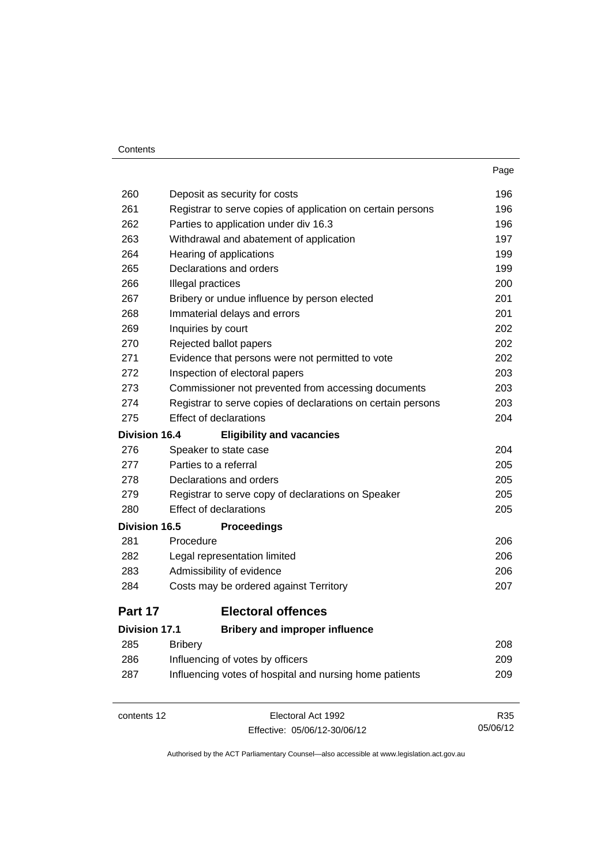#### Contents

| 260<br>Deposit as security for costs<br>261<br>Registrar to serve copies of application on certain persons<br>262<br>Parties to application under div 16.3<br>263<br>Withdrawal and abatement of application<br>264<br>Hearing of applications<br>Declarations and orders<br>265<br>266<br>Illegal practices<br>267<br>Bribery or undue influence by person elected<br>268<br>Immaterial delays and errors<br>269<br>Inquiries by court<br>270<br>Rejected ballot papers<br>271<br>Evidence that persons were not permitted to vote<br>272<br>Inspection of electoral papers<br>273<br>Commissioner not prevented from accessing documents<br>274<br>Registrar to serve copies of declarations on certain persons<br><b>Effect of declarations</b><br>275<br><b>Division 16.4</b><br><b>Eligibility and vacancies</b><br>276<br>Speaker to state case<br>Parties to a referral<br>277<br>278<br>Declarations and orders<br>279<br>Registrar to serve copy of declarations on Speaker<br><b>Effect of declarations</b><br>280<br><b>Division 16.5</b><br><b>Proceedings</b><br>281<br>Procedure<br>282<br>Legal representation limited<br>283<br>Admissibility of evidence<br>284<br>Costs may be ordered against Territory<br><b>Electoral offences</b><br>Part 17<br><b>Bribery and improper influence</b><br><b>Division 17.1</b><br>285<br><b>Bribery</b><br>286<br>Influencing of votes by officers<br>Influencing votes of hospital and nursing home patients<br>287<br>Electoral Act 1992<br>contents 12 |  | Page |
|----------------------------------------------------------------------------------------------------------------------------------------------------------------------------------------------------------------------------------------------------------------------------------------------------------------------------------------------------------------------------------------------------------------------------------------------------------------------------------------------------------------------------------------------------------------------------------------------------------------------------------------------------------------------------------------------------------------------------------------------------------------------------------------------------------------------------------------------------------------------------------------------------------------------------------------------------------------------------------------------------------------------------------------------------------------------------------------------------------------------------------------------------------------------------------------------------------------------------------------------------------------------------------------------------------------------------------------------------------------------------------------------------------------------------------------------------------------------------------------------------------------|--|------|
|                                                                                                                                                                                                                                                                                                                                                                                                                                                                                                                                                                                                                                                                                                                                                                                                                                                                                                                                                                                                                                                                                                                                                                                                                                                                                                                                                                                                                                                                                                                |  | 196  |
|                                                                                                                                                                                                                                                                                                                                                                                                                                                                                                                                                                                                                                                                                                                                                                                                                                                                                                                                                                                                                                                                                                                                                                                                                                                                                                                                                                                                                                                                                                                |  | 196  |
|                                                                                                                                                                                                                                                                                                                                                                                                                                                                                                                                                                                                                                                                                                                                                                                                                                                                                                                                                                                                                                                                                                                                                                                                                                                                                                                                                                                                                                                                                                                |  | 196  |
|                                                                                                                                                                                                                                                                                                                                                                                                                                                                                                                                                                                                                                                                                                                                                                                                                                                                                                                                                                                                                                                                                                                                                                                                                                                                                                                                                                                                                                                                                                                |  | 197  |
|                                                                                                                                                                                                                                                                                                                                                                                                                                                                                                                                                                                                                                                                                                                                                                                                                                                                                                                                                                                                                                                                                                                                                                                                                                                                                                                                                                                                                                                                                                                |  | 199  |
|                                                                                                                                                                                                                                                                                                                                                                                                                                                                                                                                                                                                                                                                                                                                                                                                                                                                                                                                                                                                                                                                                                                                                                                                                                                                                                                                                                                                                                                                                                                |  | 199  |
|                                                                                                                                                                                                                                                                                                                                                                                                                                                                                                                                                                                                                                                                                                                                                                                                                                                                                                                                                                                                                                                                                                                                                                                                                                                                                                                                                                                                                                                                                                                |  | 200  |
|                                                                                                                                                                                                                                                                                                                                                                                                                                                                                                                                                                                                                                                                                                                                                                                                                                                                                                                                                                                                                                                                                                                                                                                                                                                                                                                                                                                                                                                                                                                |  | 201  |
|                                                                                                                                                                                                                                                                                                                                                                                                                                                                                                                                                                                                                                                                                                                                                                                                                                                                                                                                                                                                                                                                                                                                                                                                                                                                                                                                                                                                                                                                                                                |  | 201  |
|                                                                                                                                                                                                                                                                                                                                                                                                                                                                                                                                                                                                                                                                                                                                                                                                                                                                                                                                                                                                                                                                                                                                                                                                                                                                                                                                                                                                                                                                                                                |  | 202  |
|                                                                                                                                                                                                                                                                                                                                                                                                                                                                                                                                                                                                                                                                                                                                                                                                                                                                                                                                                                                                                                                                                                                                                                                                                                                                                                                                                                                                                                                                                                                |  | 202  |
|                                                                                                                                                                                                                                                                                                                                                                                                                                                                                                                                                                                                                                                                                                                                                                                                                                                                                                                                                                                                                                                                                                                                                                                                                                                                                                                                                                                                                                                                                                                |  | 202  |
|                                                                                                                                                                                                                                                                                                                                                                                                                                                                                                                                                                                                                                                                                                                                                                                                                                                                                                                                                                                                                                                                                                                                                                                                                                                                                                                                                                                                                                                                                                                |  | 203  |
|                                                                                                                                                                                                                                                                                                                                                                                                                                                                                                                                                                                                                                                                                                                                                                                                                                                                                                                                                                                                                                                                                                                                                                                                                                                                                                                                                                                                                                                                                                                |  | 203  |
|                                                                                                                                                                                                                                                                                                                                                                                                                                                                                                                                                                                                                                                                                                                                                                                                                                                                                                                                                                                                                                                                                                                                                                                                                                                                                                                                                                                                                                                                                                                |  | 203  |
|                                                                                                                                                                                                                                                                                                                                                                                                                                                                                                                                                                                                                                                                                                                                                                                                                                                                                                                                                                                                                                                                                                                                                                                                                                                                                                                                                                                                                                                                                                                |  | 204  |
|                                                                                                                                                                                                                                                                                                                                                                                                                                                                                                                                                                                                                                                                                                                                                                                                                                                                                                                                                                                                                                                                                                                                                                                                                                                                                                                                                                                                                                                                                                                |  |      |
|                                                                                                                                                                                                                                                                                                                                                                                                                                                                                                                                                                                                                                                                                                                                                                                                                                                                                                                                                                                                                                                                                                                                                                                                                                                                                                                                                                                                                                                                                                                |  | 204  |
|                                                                                                                                                                                                                                                                                                                                                                                                                                                                                                                                                                                                                                                                                                                                                                                                                                                                                                                                                                                                                                                                                                                                                                                                                                                                                                                                                                                                                                                                                                                |  | 205  |
|                                                                                                                                                                                                                                                                                                                                                                                                                                                                                                                                                                                                                                                                                                                                                                                                                                                                                                                                                                                                                                                                                                                                                                                                                                                                                                                                                                                                                                                                                                                |  | 205  |
|                                                                                                                                                                                                                                                                                                                                                                                                                                                                                                                                                                                                                                                                                                                                                                                                                                                                                                                                                                                                                                                                                                                                                                                                                                                                                                                                                                                                                                                                                                                |  | 205  |
|                                                                                                                                                                                                                                                                                                                                                                                                                                                                                                                                                                                                                                                                                                                                                                                                                                                                                                                                                                                                                                                                                                                                                                                                                                                                                                                                                                                                                                                                                                                |  | 205  |
|                                                                                                                                                                                                                                                                                                                                                                                                                                                                                                                                                                                                                                                                                                                                                                                                                                                                                                                                                                                                                                                                                                                                                                                                                                                                                                                                                                                                                                                                                                                |  |      |
|                                                                                                                                                                                                                                                                                                                                                                                                                                                                                                                                                                                                                                                                                                                                                                                                                                                                                                                                                                                                                                                                                                                                                                                                                                                                                                                                                                                                                                                                                                                |  | 206  |
|                                                                                                                                                                                                                                                                                                                                                                                                                                                                                                                                                                                                                                                                                                                                                                                                                                                                                                                                                                                                                                                                                                                                                                                                                                                                                                                                                                                                                                                                                                                |  | 206  |
|                                                                                                                                                                                                                                                                                                                                                                                                                                                                                                                                                                                                                                                                                                                                                                                                                                                                                                                                                                                                                                                                                                                                                                                                                                                                                                                                                                                                                                                                                                                |  | 206  |
|                                                                                                                                                                                                                                                                                                                                                                                                                                                                                                                                                                                                                                                                                                                                                                                                                                                                                                                                                                                                                                                                                                                                                                                                                                                                                                                                                                                                                                                                                                                |  | 207  |
|                                                                                                                                                                                                                                                                                                                                                                                                                                                                                                                                                                                                                                                                                                                                                                                                                                                                                                                                                                                                                                                                                                                                                                                                                                                                                                                                                                                                                                                                                                                |  |      |
|                                                                                                                                                                                                                                                                                                                                                                                                                                                                                                                                                                                                                                                                                                                                                                                                                                                                                                                                                                                                                                                                                                                                                                                                                                                                                                                                                                                                                                                                                                                |  |      |
|                                                                                                                                                                                                                                                                                                                                                                                                                                                                                                                                                                                                                                                                                                                                                                                                                                                                                                                                                                                                                                                                                                                                                                                                                                                                                                                                                                                                                                                                                                                |  | 208  |
|                                                                                                                                                                                                                                                                                                                                                                                                                                                                                                                                                                                                                                                                                                                                                                                                                                                                                                                                                                                                                                                                                                                                                                                                                                                                                                                                                                                                                                                                                                                |  | 209  |
|                                                                                                                                                                                                                                                                                                                                                                                                                                                                                                                                                                                                                                                                                                                                                                                                                                                                                                                                                                                                                                                                                                                                                                                                                                                                                                                                                                                                                                                                                                                |  | 209  |
|                                                                                                                                                                                                                                                                                                                                                                                                                                                                                                                                                                                                                                                                                                                                                                                                                                                                                                                                                                                                                                                                                                                                                                                                                                                                                                                                                                                                                                                                                                                |  | R35  |

Effective: 05/06/12-30/06/12

05/06/12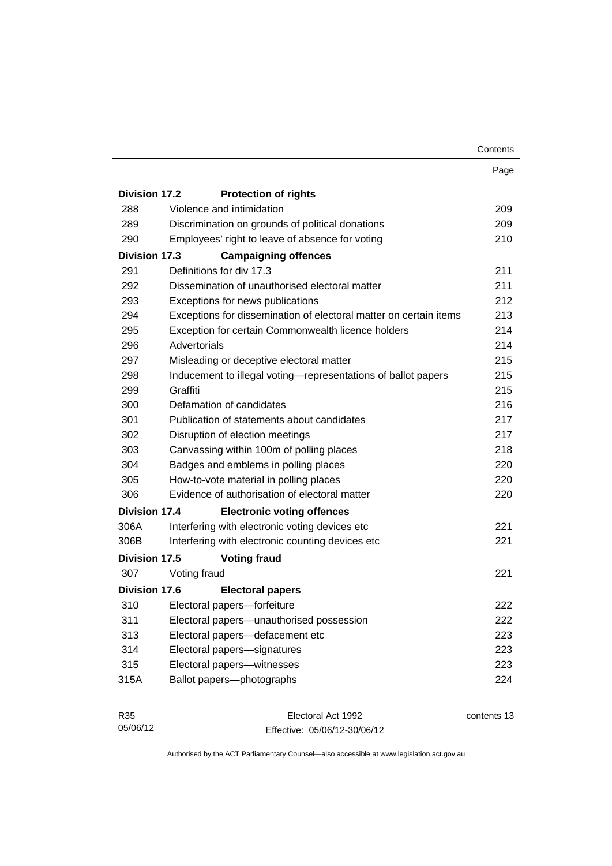|                      |                                                                   | Contents |
|----------------------|-------------------------------------------------------------------|----------|
|                      |                                                                   | Page     |
| Division 17.2        | <b>Protection of rights</b>                                       |          |
| 288                  | Violence and intimidation                                         | 209      |
| 289                  | Discrimination on grounds of political donations                  | 209      |
| 290                  | Employees' right to leave of absence for voting                   | 210      |
| Division 17.3        | <b>Campaigning offences</b>                                       |          |
| 291                  | Definitions for div 17.3                                          | 211      |
| 292                  | Dissemination of unauthorised electoral matter                    | 211      |
| 293                  | Exceptions for news publications                                  | 212      |
| 294                  | Exceptions for dissemination of electoral matter on certain items | 213      |
| 295                  | Exception for certain Commonwealth licence holders                | 214      |
| 296                  | Advertorials                                                      | 214      |
| 297                  | Misleading or deceptive electoral matter                          | 215      |
| 298                  | Inducement to illegal voting—representations of ballot papers     | 215      |
| 299                  | Graffiti                                                          | 215      |
| 300                  | Defamation of candidates                                          | 216      |
| 301                  | Publication of statements about candidates                        | 217      |
| 302                  | Disruption of election meetings                                   | 217      |
| 303                  | Canvassing within 100m of polling places                          | 218      |
| 304                  | Badges and emblems in polling places                              | 220      |
| 305                  | How-to-vote material in polling places                            | 220      |
| 306                  | Evidence of authorisation of electoral matter                     | 220      |
| <b>Division 17.4</b> | <b>Electronic voting offences</b>                                 |          |
| 306A                 | Interfering with electronic voting devices etc                    | 221      |
| 306B                 | Interfering with electronic counting devices etc                  | 221      |
| Division 17.5        | <b>Voting fraud</b>                                               |          |
| 307                  | Voting fraud                                                      | 221      |
| <b>Division 17.6</b> | <b>Electoral papers</b>                                           |          |
|                      | 310 Electoral papers-forfeiture                                   | 222      |
| 311                  | Electoral papers-unauthorised possession                          | 222      |
| 313                  | Electoral papers-defacement etc                                   | 223      |
| 314                  | Electoral papers-signatures                                       | 223      |
| 315                  | Electoral papers-witnesses                                        | 223      |
| 315A                 | Ballot papers-photographs                                         | 224      |

| R35      | Electoral Act 1992           | contents 13 |
|----------|------------------------------|-------------|
| 05/06/12 | Effective: 05/06/12-30/06/12 |             |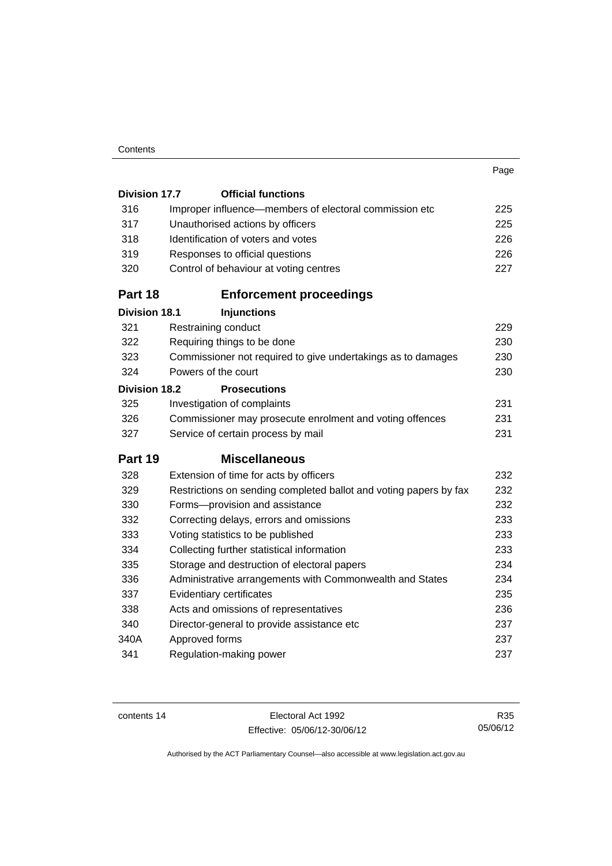#### **Contents**

|                      |                                                                   | Page |
|----------------------|-------------------------------------------------------------------|------|
| <b>Division 17.7</b> | <b>Official functions</b>                                         |      |
| 316                  | Improper influence—members of electoral commission etc            | 225  |
| 317                  | Unauthorised actions by officers                                  | 225  |
| 318                  | Identification of voters and votes                                | 226  |
| 319                  | Responses to official questions                                   | 226  |
| 320                  | Control of behaviour at voting centres                            | 227  |
| Part 18              | <b>Enforcement proceedings</b>                                    |      |
| <b>Division 18.1</b> | <b>Injunctions</b>                                                |      |
| 321                  | Restraining conduct                                               | 229  |
| 322                  | Requiring things to be done                                       | 230  |
| 323                  | Commissioner not required to give undertakings as to damages      | 230  |
| 324                  | Powers of the court                                               | 230  |
| <b>Division 18.2</b> | <b>Prosecutions</b>                                               |      |
| 325                  | Investigation of complaints                                       | 231  |
| 326                  | Commissioner may prosecute enrolment and voting offences          | 231  |
| 327                  | Service of certain process by mail                                | 231  |
| Part 19              | <b>Miscellaneous</b>                                              |      |
| 328                  | Extension of time for acts by officers                            | 232  |
| 329                  | Restrictions on sending completed ballot and voting papers by fax | 232  |
| 330                  | Forms-provision and assistance                                    | 232  |
| 332                  | Correcting delays, errors and omissions                           | 233  |
| 333                  | Voting statistics to be published                                 | 233  |
| 334                  | Collecting further statistical information                        | 233  |
| 335                  | Storage and destruction of electoral papers                       | 234  |
| 336                  | Administrative arrangements with Commonwealth and States          | 234  |
| 337                  | Evidentiary certificates                                          | 235  |
|                      |                                                                   |      |

 [Acts and omissions of representatives 236](#page-253-0) [Director-general to provide assistance etc 237](#page-254-0) 340A [Approved forms 237](#page-254-1) [Regulation-making power 237](#page-254-2)

contents 14 Electoral Act 1992 Effective: 05/06/12-30/06/12

R35 05/06/12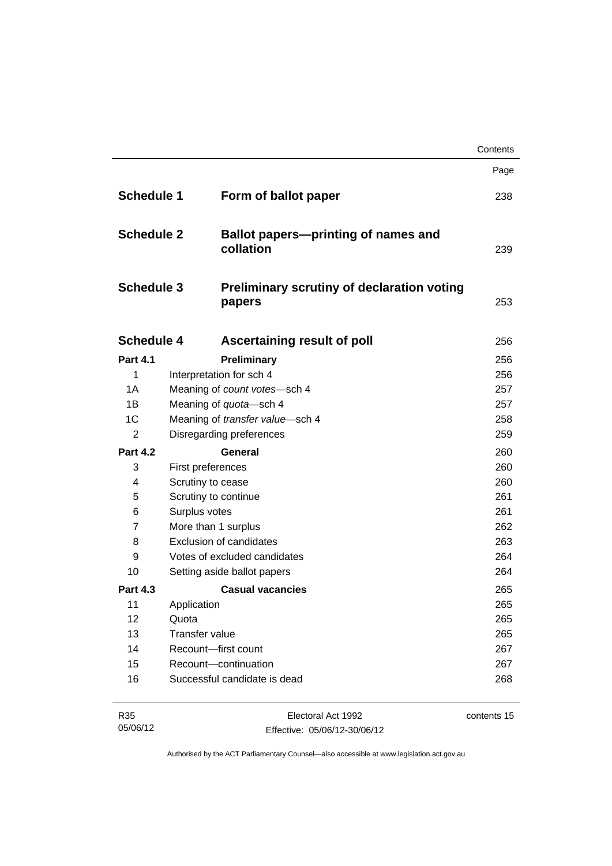|                   |                       |                                                             | Contents |
|-------------------|-----------------------|-------------------------------------------------------------|----------|
|                   |                       |                                                             | Page     |
| <b>Schedule 1</b> |                       | Form of ballot paper                                        | 238      |
| <b>Schedule 2</b> |                       | <b>Ballot papers—printing of names and</b><br>collation     | 239      |
| <b>Schedule 3</b> |                       | <b>Preliminary scrutiny of declaration voting</b><br>papers | 253      |
| <b>Schedule 4</b> |                       | <b>Ascertaining result of poll</b>                          | 256      |
| <b>Part 4.1</b>   |                       | Preliminary                                                 | 256      |
| 1                 |                       | Interpretation for sch 4                                    | 256      |
| 1A                |                       | Meaning of count votes-sch 4                                | 257      |
| 1B                |                       | Meaning of quota-sch 4                                      | 257      |
| 1 <sup>C</sup>    |                       | Meaning of transfer value-sch 4                             | 258      |
| $\overline{2}$    |                       | Disregarding preferences                                    | 259      |
| <b>Part 4.2</b>   |                       | General                                                     | 260      |
| 3                 | First preferences     |                                                             | 260      |
| 4                 | Scrutiny to cease     |                                                             | 260      |
| 5                 |                       | Scrutiny to continue                                        | 261      |
| 6                 | Surplus votes         |                                                             | 261      |
| $\overline{7}$    |                       | More than 1 surplus                                         | 262      |
| 8                 |                       | <b>Exclusion of candidates</b>                              | 263      |
| 9                 |                       | Votes of excluded candidates                                | 264      |
| 10                |                       | Setting aside ballot papers                                 | 264      |
| <b>Part 4.3</b>   |                       | <b>Casual vacancies</b>                                     | 265      |
| 11                | Application           |                                                             | 265      |
| 12                | Quota                 |                                                             | 265      |
| 13                | <b>Transfer value</b> |                                                             | 265      |
| 14                |                       | Recount-first count                                         | 267      |
| 15                |                       | Recount-continuation                                        | 267      |
| 16                |                       | Successful candidate is dead                                | 268      |

| R35      | Electoral Act 1992           | contents 15 |
|----------|------------------------------|-------------|
| 05/06/12 | Effective: 05/06/12-30/06/12 |             |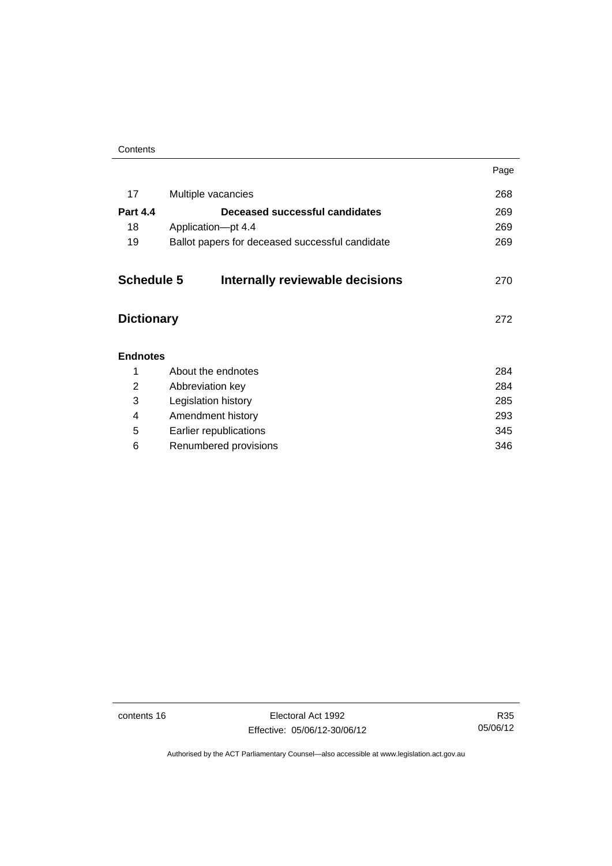|                   |                                                 | Page |
|-------------------|-------------------------------------------------|------|
| 17                | Multiple vacancies                              | 268  |
| <b>Part 4.4</b>   | Deceased successful candidates                  | 269  |
| 18                | Application-pt 4.4                              | 269  |
| 19                | Ballot papers for deceased successful candidate | 269  |
|                   |                                                 |      |
| <b>Schedule 5</b> | Internally reviewable decisions                 | 270  |
|                   |                                                 |      |
| <b>Dictionary</b> |                                                 | 272  |
|                   |                                                 |      |
| <b>Endnotes</b>   |                                                 |      |
| 1                 | About the endnotes                              | 284  |
| 2                 | Abbreviation key                                | 284  |
| 3                 | Legislation history                             | 285  |
| 4                 | Amendment history                               | 293  |
| 5                 | Earlier republications                          | 345  |
| 6                 | Renumbered provisions                           | 346  |
|                   |                                                 |      |

contents 16 Electoral Act 1992 Effective: 05/06/12-30/06/12

R35 05/06/12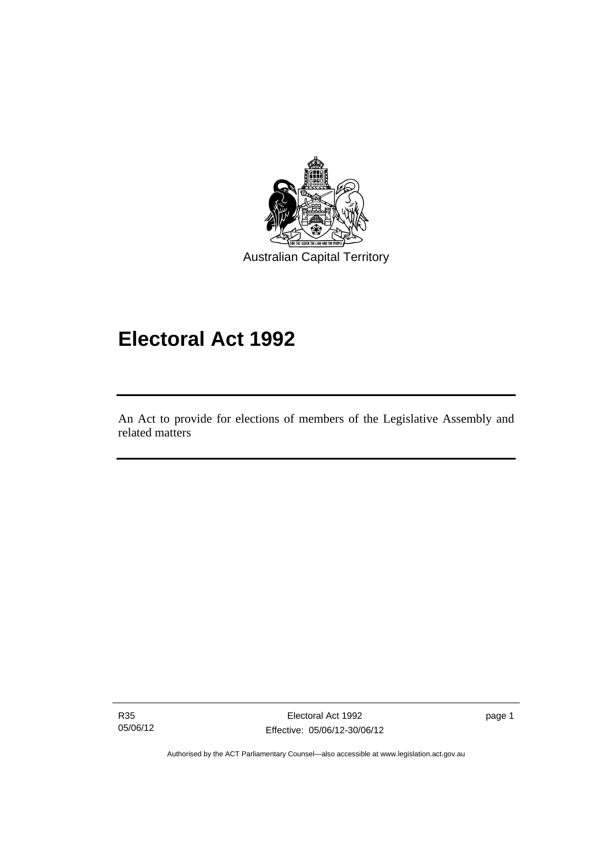

# **Electoral Act 1992**

An Act to provide for elections of members of the Legislative Assembly and related matters

R35 05/06/12

I

Electoral Act 1992 Effective: 05/06/12-30/06/12 page 1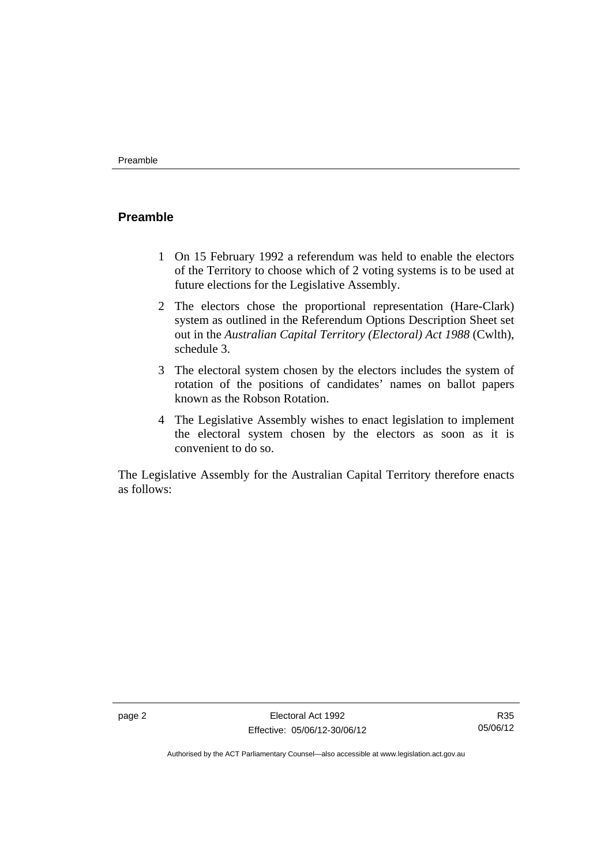#### <span id="page-19-0"></span>**Preamble**

- 1 On 15 February 1992 a referendum was held to enable the electors of the Territory to choose which of 2 voting systems is to be used at future elections for the Legislative Assembly.
- 2 The electors chose the proportional representation (Hare-Clark) system as outlined in the Referendum Options Description Sheet set out in the *Australian Capital Territory (Electoral) Act 1988* (Cwlth), schedule 3.
- 3 The electoral system chosen by the electors includes the system of rotation of the positions of candidates' names on ballot papers known as the Robson Rotation.
- 4 The Legislative Assembly wishes to enact legislation to implement the electoral system chosen by the electors as soon as it is convenient to do so.

The Legislative Assembly for the Australian Capital Territory therefore enacts as follows:

R35 05/06/12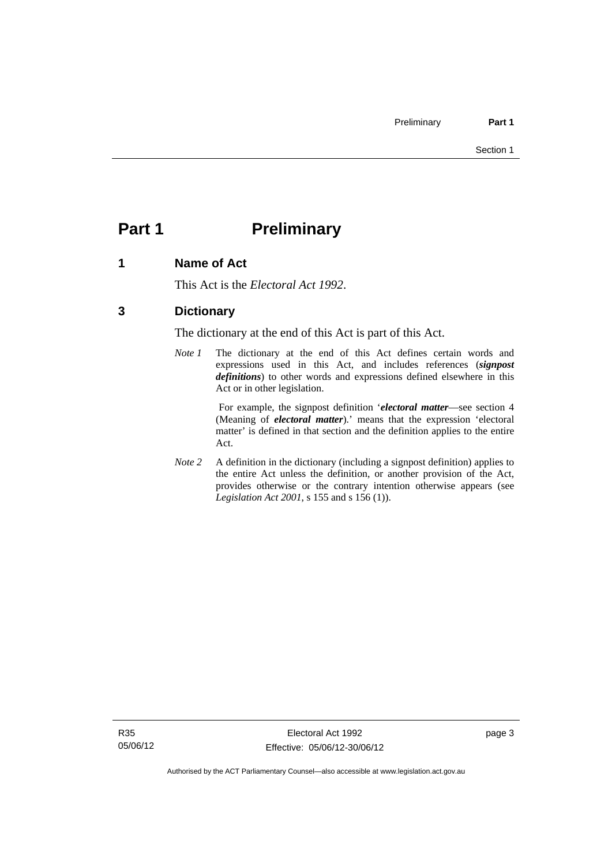# <span id="page-20-0"></span>**Part 1** Preliminary

#### <span id="page-20-1"></span>**1 Name of Act**

This Act is the *Electoral Act 1992*.

### <span id="page-20-2"></span>**3 Dictionary**

The dictionary at the end of this Act is part of this Act.

*Note 1* The dictionary at the end of this Act defines certain words and expressions used in this Act, and includes references (*signpost definitions*) to other words and expressions defined elsewhere in this Act or in other legislation.

> For example, the signpost definition '*electoral matter*—see section 4 (Meaning of *electoral matter*).' means that the expression 'electoral matter' is defined in that section and the definition applies to the entire Act.

*Note 2* A definition in the dictionary (including a signpost definition) applies to the entire Act unless the definition, or another provision of the Act, provides otherwise or the contrary intention otherwise appears (see *Legislation Act 2001*, s 155 and s 156 (1)).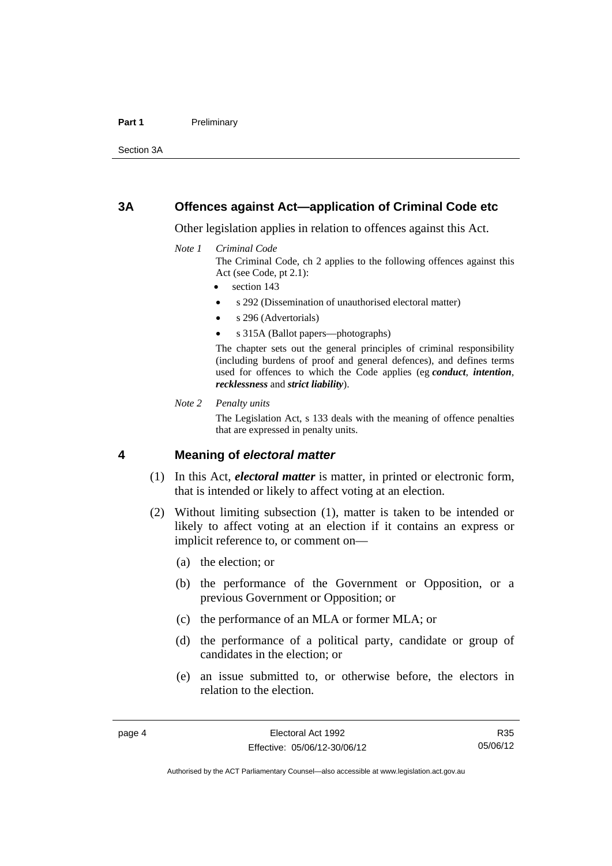#### Part 1 **Preliminary**

Section 3A

#### <span id="page-21-0"></span>**3A Offences against Act—application of Criminal Code etc**

Other legislation applies in relation to offences against this Act.

#### *Note 1 Criminal Code*

The Criminal Code, ch 2 applies to the following offences against this Act (see Code, pt 2.1):

section 143

- s 292 (Dissemination of unauthorised electoral matter)
- s 296 (Advertorials)
- s 315A (Ballot papers—photographs)

The chapter sets out the general principles of criminal responsibility (including burdens of proof and general defences), and defines terms used for offences to which the Code applies (eg *conduct*, *intention*, *recklessness* and *strict liability*).

*Note 2 Penalty units* 

The Legislation Act, s 133 deals with the meaning of offence penalties that are expressed in penalty units.

#### <span id="page-21-1"></span>**4 Meaning of** *electoral matter*

- (1) In this Act, *electoral matter* is matter, in printed or electronic form, that is intended or likely to affect voting at an election.
- (2) Without limiting subsection (1), matter is taken to be intended or likely to affect voting at an election if it contains an express or implicit reference to, or comment on—
	- (a) the election; or
	- (b) the performance of the Government or Opposition, or a previous Government or Opposition; or
	- (c) the performance of an MLA or former MLA; or
	- (d) the performance of a political party, candidate or group of candidates in the election; or
	- (e) an issue submitted to, or otherwise before, the electors in relation to the election.

R35 05/06/12

Authorised by the ACT Parliamentary Counsel—also accessible at www.legislation.act.gov.au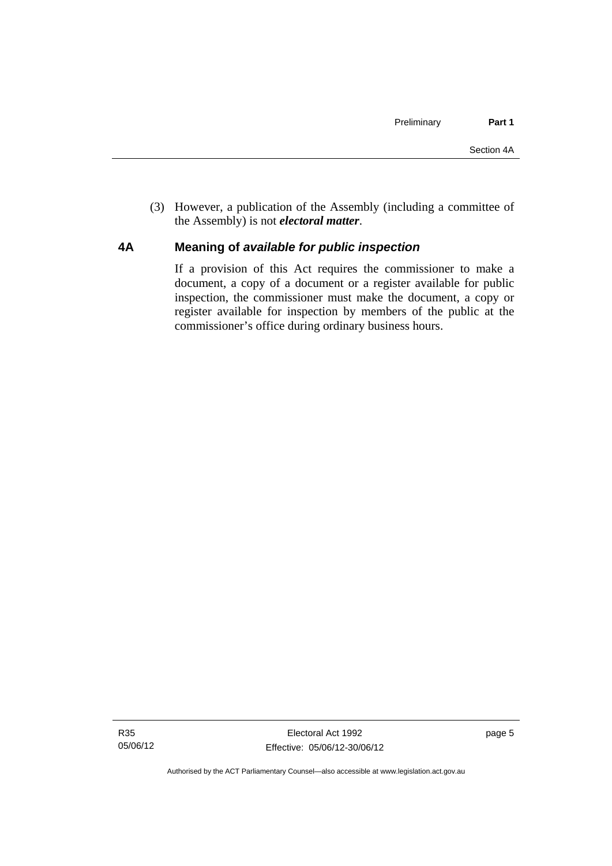(3) However, a publication of the Assembly (including a committee of the Assembly) is not *electoral matter*.

#### <span id="page-22-0"></span>**4A Meaning of** *available for public inspection*

If a provision of this Act requires the commissioner to make a document, a copy of a document or a register available for public inspection, the commissioner must make the document, a copy or register available for inspection by members of the public at the commissioner's office during ordinary business hours.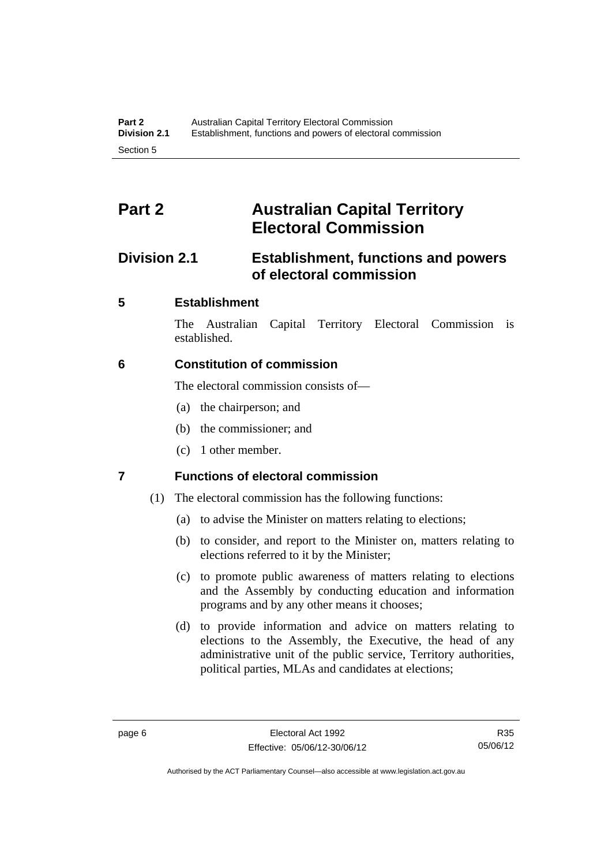# <span id="page-23-0"></span>**Part 2 Australian Capital Territory Electoral Commission**

# <span id="page-23-1"></span>**Division 2.1 Establishment, functions and powers of electoral commission**

## <span id="page-23-2"></span>**5 Establishment**

The Australian Capital Territory Electoral Commission is established.

### <span id="page-23-3"></span>**6 Constitution of commission**

The electoral commission consists of—

- (a) the chairperson; and
- (b) the commissioner; and
- (c) 1 other member.

## <span id="page-23-4"></span>**7 Functions of electoral commission**

- (1) The electoral commission has the following functions:
	- (a) to advise the Minister on matters relating to elections;
	- (b) to consider, and report to the Minister on, matters relating to elections referred to it by the Minister;
	- (c) to promote public awareness of matters relating to elections and the Assembly by conducting education and information programs and by any other means it chooses;
	- (d) to provide information and advice on matters relating to elections to the Assembly, the Executive, the head of any administrative unit of the public service, Territory authorities, political parties, MLAs and candidates at elections;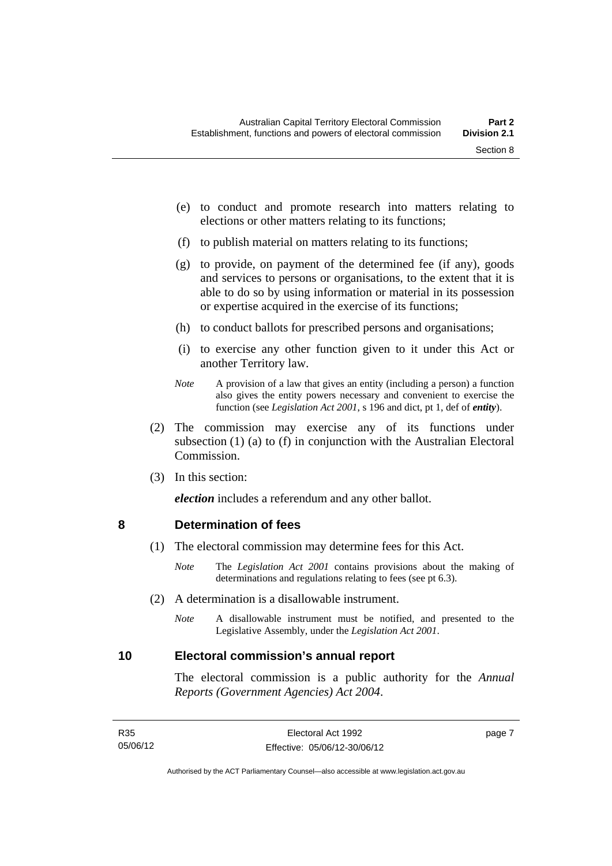- (e) to conduct and promote research into matters relating to elections or other matters relating to its functions;
- (f) to publish material on matters relating to its functions;
- (g) to provide, on payment of the determined fee (if any), goods and services to persons or organisations, to the extent that it is able to do so by using information or material in its possession or expertise acquired in the exercise of its functions;
- (h) to conduct ballots for prescribed persons and organisations;
- (i) to exercise any other function given to it under this Act or another Territory law.
- *Note* A provision of a law that gives an entity (including a person) a function also gives the entity powers necessary and convenient to exercise the function (see *Legislation Act 2001*, s 196 and dict, pt 1, def of *entity*).
- (2) The commission may exercise any of its functions under subsection (1) (a) to (f) in conjunction with the Australian Electoral Commission.
- (3) In this section:

*election* includes a referendum and any other ballot.

#### <span id="page-24-0"></span>**8 Determination of fees**

- (1) The electoral commission may determine fees for this Act.
	- *Note* The *Legislation Act 2001* contains provisions about the making of determinations and regulations relating to fees (see pt 6.3).
- (2) A determination is a disallowable instrument.
	- *Note* A disallowable instrument must be notified, and presented to the Legislative Assembly, under the *Legislation Act 2001*.

#### <span id="page-24-1"></span>**10 Electoral commission's annual report**

The electoral commission is a public authority for the *Annual Reports (Government Agencies) Act 2004*.

page 7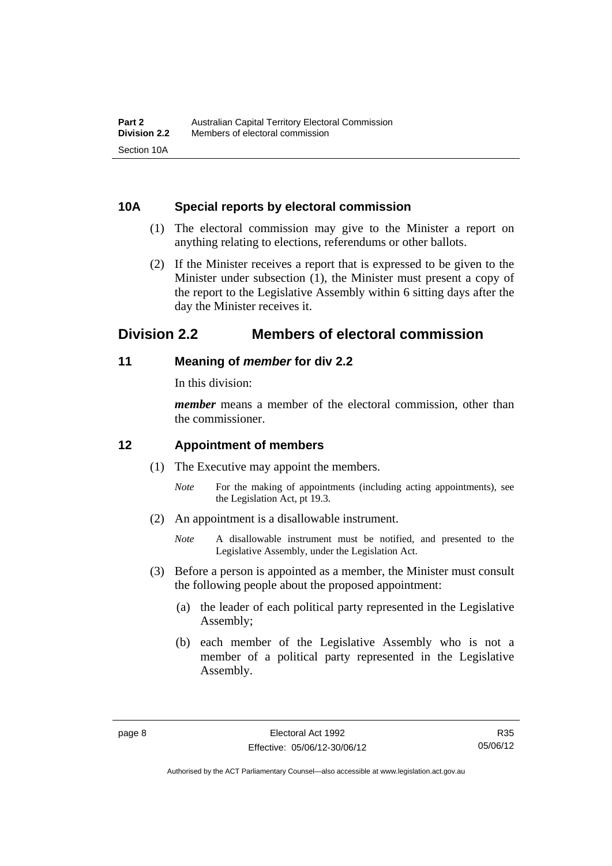#### <span id="page-25-0"></span>**10A Special reports by electoral commission**

- (1) The electoral commission may give to the Minister a report on anything relating to elections, referendums or other ballots.
- (2) If the Minister receives a report that is expressed to be given to the Minister under subsection (1), the Minister must present a copy of the report to the Legislative Assembly within 6 sitting days after the day the Minister receives it.

# <span id="page-25-1"></span>**Division 2.2 Members of electoral commission**

#### <span id="page-25-2"></span>**11 Meaning of** *member* **for div 2.2**

In this division:

*member* means a member of the electoral commission, other than the commissioner.

### <span id="page-25-3"></span>**12 Appointment of members**

- (1) The Executive may appoint the members.
	- *Note* For the making of appointments (including acting appointments), see the Legislation Act, pt 19.3.
- (2) An appointment is a disallowable instrument.
	- *Note* A disallowable instrument must be notified, and presented to the Legislative Assembly, under the Legislation Act.
- (3) Before a person is appointed as a member, the Minister must consult the following people about the proposed appointment:
	- (a) the leader of each political party represented in the Legislative Assembly;
	- (b) each member of the Legislative Assembly who is not a member of a political party represented in the Legislative Assembly.

Authorised by the ACT Parliamentary Counsel—also accessible at www.legislation.act.gov.au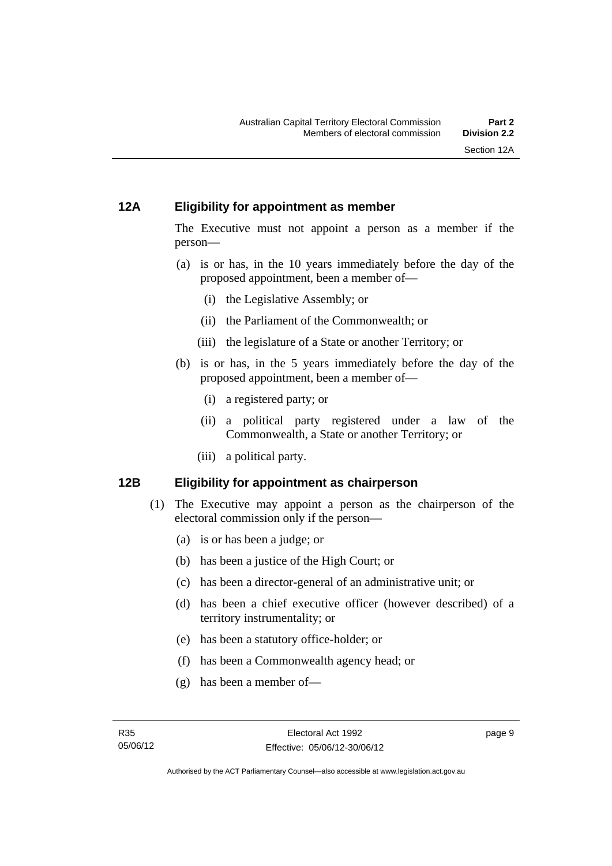#### <span id="page-26-0"></span>**12A Eligibility for appointment as member**

The Executive must not appoint a person as a member if the person—

- (a) is or has, in the 10 years immediately before the day of the proposed appointment, been a member of—
	- (i) the Legislative Assembly; or
	- (ii) the Parliament of the Commonwealth; or
	- (iii) the legislature of a State or another Territory; or
- (b) is or has, in the 5 years immediately before the day of the proposed appointment, been a member of—
	- (i) a registered party; or
	- (ii) a political party registered under a law of the Commonwealth, a State or another Territory; or
	- (iii) a political party.

#### <span id="page-26-1"></span>**12B Eligibility for appointment as chairperson**

- (1) The Executive may appoint a person as the chairperson of the electoral commission only if the person—
	- (a) is or has been a judge; or
	- (b) has been a justice of the High Court; or
	- (c) has been a director-general of an administrative unit; or
	- (d) has been a chief executive officer (however described) of a territory instrumentality; or
	- (e) has been a statutory office-holder; or
	- (f) has been a Commonwealth agency head; or
	- (g) has been a member of—

page 9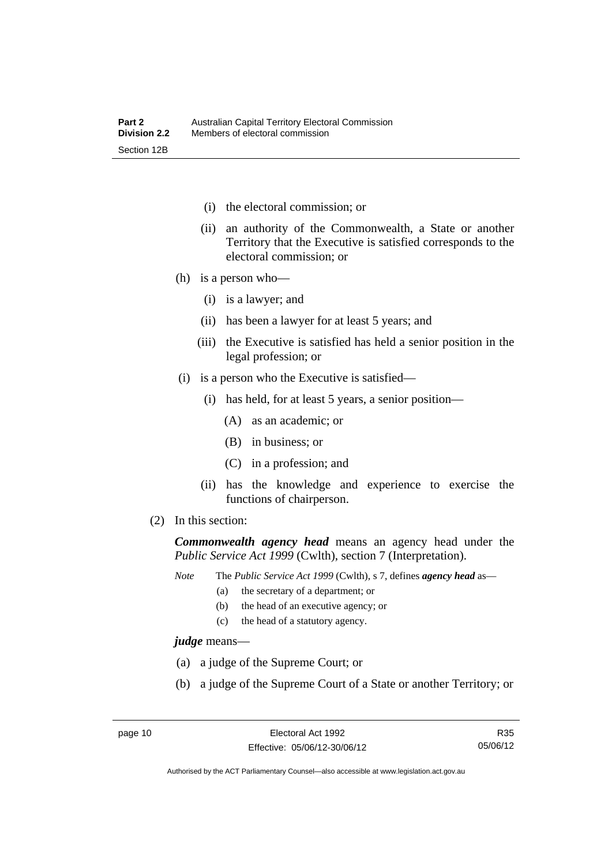- (i) the electoral commission; or
- (ii) an authority of the Commonwealth, a State or another Territory that the Executive is satisfied corresponds to the electoral commission; or
- (h) is a person who—
	- (i) is a lawyer; and
	- (ii) has been a lawyer for at least 5 years; and
	- (iii) the Executive is satisfied has held a senior position in the legal profession; or
- (i) is a person who the Executive is satisfied—
	- (i) has held, for at least 5 years, a senior position—
		- (A) as an academic; or
		- (B) in business; or
		- (C) in a profession; and
	- (ii) has the knowledge and experience to exercise the functions of chairperson.
- (2) In this section:

*Commonwealth agency head* means an agency head under the *Public Service Act 1999* (Cwlth), section 7 (Interpretation).

*Note* The *Public Service Act 1999* (Cwlth), s 7, defines *agency head* as—

- (a) the secretary of a department; or
	- (b) the head of an executive agency; or
	- (c) the head of a statutory agency.

*judge* means—

- (a) a judge of the Supreme Court; or
- (b) a judge of the Supreme Court of a State or another Territory; or

R35 05/06/12

Authorised by the ACT Parliamentary Counsel—also accessible at www.legislation.act.gov.au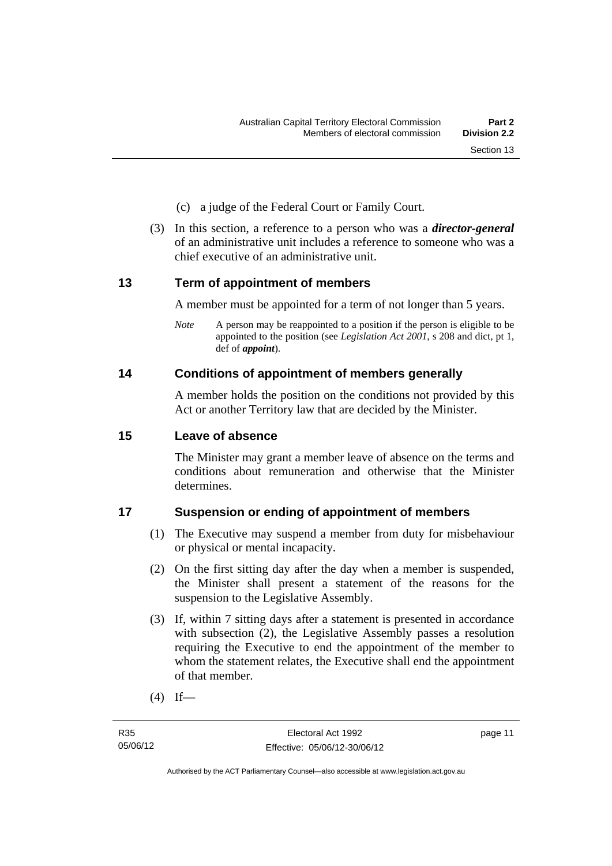- (c) a judge of the Federal Court or Family Court.
- (3) In this section, a reference to a person who was a *director-general*  of an administrative unit includes a reference to someone who was a chief executive of an administrative unit.

#### <span id="page-28-0"></span>**13 Term of appointment of members**

A member must be appointed for a term of not longer than 5 years.

*Note* A person may be reappointed to a position if the person is eligible to be appointed to the position (see *Legislation Act 2001*, s 208 and dict, pt 1, def of *appoint*).

#### <span id="page-28-1"></span>**14 Conditions of appointment of members generally**

A member holds the position on the conditions not provided by this Act or another Territory law that are decided by the Minister.

#### <span id="page-28-2"></span>**15 Leave of absence**

The Minister may grant a member leave of absence on the terms and conditions about remuneration and otherwise that the Minister determines.

### <span id="page-28-3"></span>**17 Suspension or ending of appointment of members**

- (1) The Executive may suspend a member from duty for misbehaviour or physical or mental incapacity.
- (2) On the first sitting day after the day when a member is suspended, the Minister shall present a statement of the reasons for the suspension to the Legislative Assembly.
- (3) If, within 7 sitting days after a statement is presented in accordance with subsection (2), the Legislative Assembly passes a resolution requiring the Executive to end the appointment of the member to whom the statement relates, the Executive shall end the appointment of that member.
- $(4)$  If—

page 11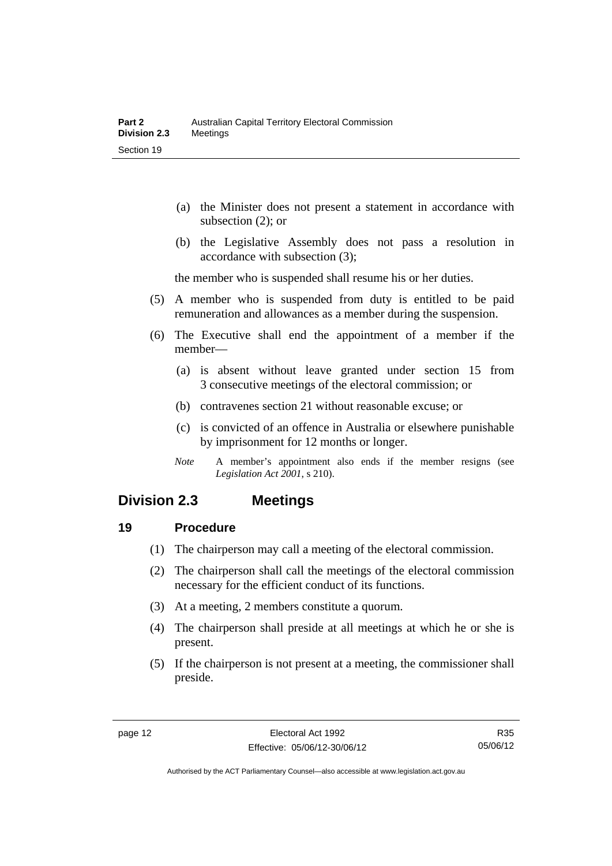- (a) the Minister does not present a statement in accordance with subsection (2); or
- (b) the Legislative Assembly does not pass a resolution in accordance with subsection (3);

the member who is suspended shall resume his or her duties.

- (5) A member who is suspended from duty is entitled to be paid remuneration and allowances as a member during the suspension.
- (6) The Executive shall end the appointment of a member if the member—
	- (a) is absent without leave granted under section 15 from 3 consecutive meetings of the electoral commission; or
	- (b) contravenes section 21 without reasonable excuse; or
	- (c) is convicted of an offence in Australia or elsewhere punishable by imprisonment for 12 months or longer.
	- *Note* A member's appointment also ends if the member resigns (see *Legislation Act 2001*, s 210).

## <span id="page-29-0"></span>**Division 2.3 Meetings**

#### <span id="page-29-1"></span>**19 Procedure**

- (1) The chairperson may call a meeting of the electoral commission.
- (2) The chairperson shall call the meetings of the electoral commission necessary for the efficient conduct of its functions.
- (3) At a meeting, 2 members constitute a quorum.
- (4) The chairperson shall preside at all meetings at which he or she is present.
- (5) If the chairperson is not present at a meeting, the commissioner shall preside.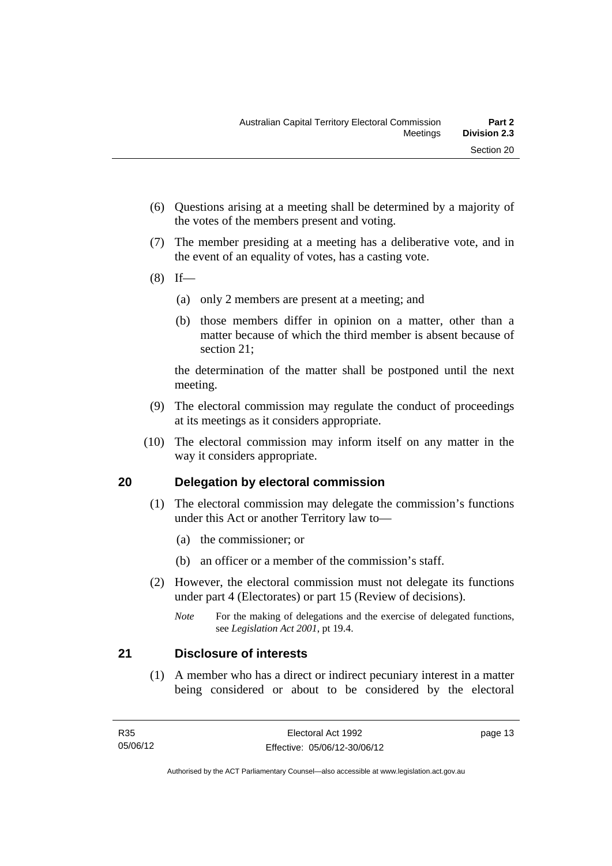- (6) Questions arising at a meeting shall be determined by a majority of the votes of the members present and voting.
- (7) The member presiding at a meeting has a deliberative vote, and in the event of an equality of votes, has a casting vote.
- $(8)$  If—
	- (a) only 2 members are present at a meeting; and
	- (b) those members differ in opinion on a matter, other than a matter because of which the third member is absent because of section 21;

the determination of the matter shall be postponed until the next meeting.

- (9) The electoral commission may regulate the conduct of proceedings at its meetings as it considers appropriate.
- (10) The electoral commission may inform itself on any matter in the way it considers appropriate.

### <span id="page-30-0"></span>**20 Delegation by electoral commission**

- (1) The electoral commission may delegate the commission's functions under this Act or another Territory law to—
	- (a) the commissioner; or
	- (b) an officer or a member of the commission's staff.
- (2) However, the electoral commission must not delegate its functions under part 4 (Electorates) or part 15 (Review of decisions).

#### <span id="page-30-1"></span>**21 Disclosure of interests**

 (1) A member who has a direct or indirect pecuniary interest in a matter being considered or about to be considered by the electoral

page 13

*Note* For the making of delegations and the exercise of delegated functions, see *Legislation Act 2001*, pt 19.4.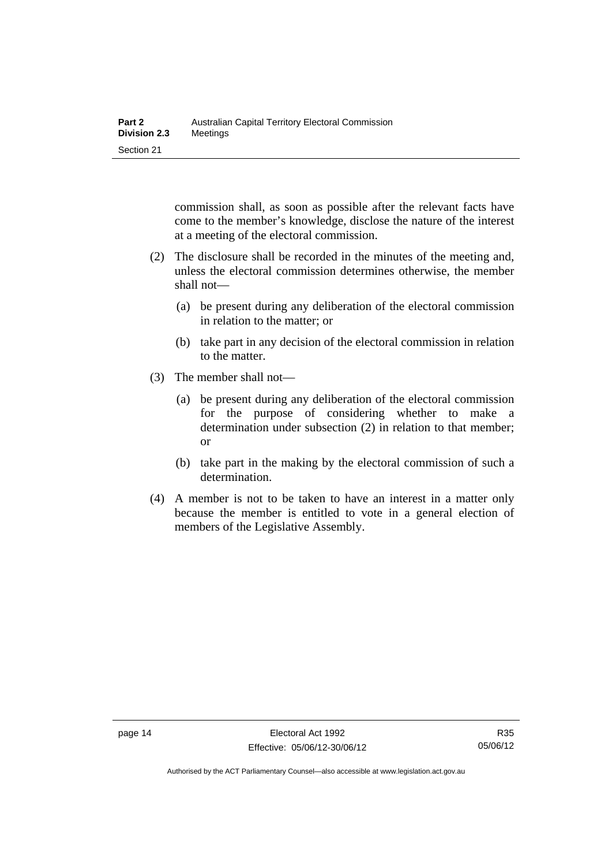commission shall, as soon as possible after the relevant facts have come to the member's knowledge, disclose the nature of the interest at a meeting of the electoral commission.

- (2) The disclosure shall be recorded in the minutes of the meeting and, unless the electoral commission determines otherwise, the member shall not—
	- (a) be present during any deliberation of the electoral commission in relation to the matter; or
	- (b) take part in any decision of the electoral commission in relation to the matter.
- (3) The member shall not—
	- (a) be present during any deliberation of the electoral commission for the purpose of considering whether to make a determination under subsection (2) in relation to that member; or
	- (b) take part in the making by the electoral commission of such a determination.
- (4) A member is not to be taken to have an interest in a matter only because the member is entitled to vote in a general election of members of the Legislative Assembly.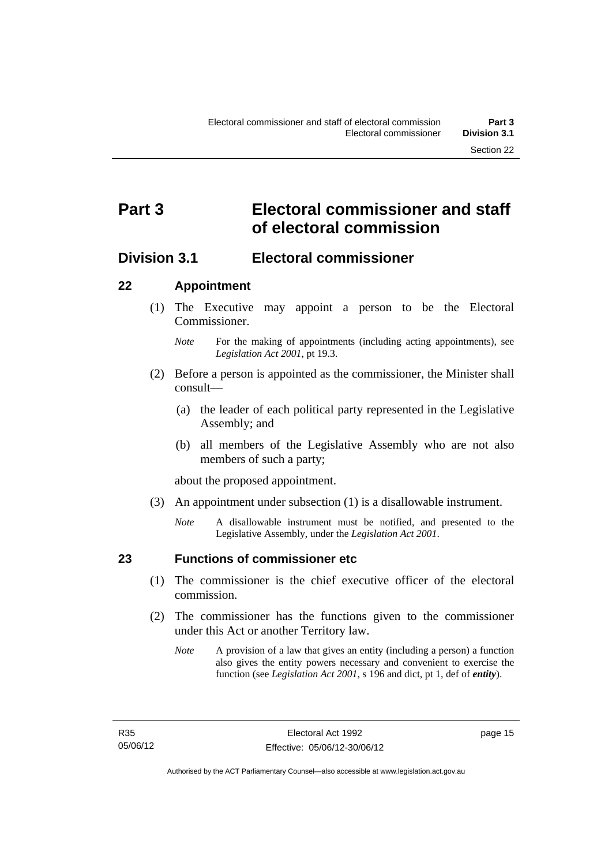# <span id="page-32-0"></span>**Part 3 Electoral commissioner and staff of electoral commission**

## <span id="page-32-1"></span>**Division 3.1 Electoral commissioner**

#### <span id="page-32-2"></span>**22 Appointment**

- (1) The Executive may appoint a person to be the Electoral Commissioner.
	- *Note* For the making of appointments (including acting appointments), see *Legislation Act 2001*, pt 19.3.
- (2) Before a person is appointed as the commissioner, the Minister shall consult—
	- (a) the leader of each political party represented in the Legislative Assembly; and
	- (b) all members of the Legislative Assembly who are not also members of such a party;

about the proposed appointment.

- (3) An appointment under subsection (1) is a disallowable instrument.
	- *Note* A disallowable instrument must be notified, and presented to the Legislative Assembly, under the *Legislation Act 2001*.

<span id="page-32-3"></span>

### **23 Functions of commissioner etc**

- (1) The commissioner is the chief executive officer of the electoral commission.
- (2) The commissioner has the functions given to the commissioner under this Act or another Territory law.
	- *Note* A provision of a law that gives an entity (including a person) a function also gives the entity powers necessary and convenient to exercise the function (see *Legislation Act 2001*, s 196 and dict, pt 1, def of *entity*).

page 15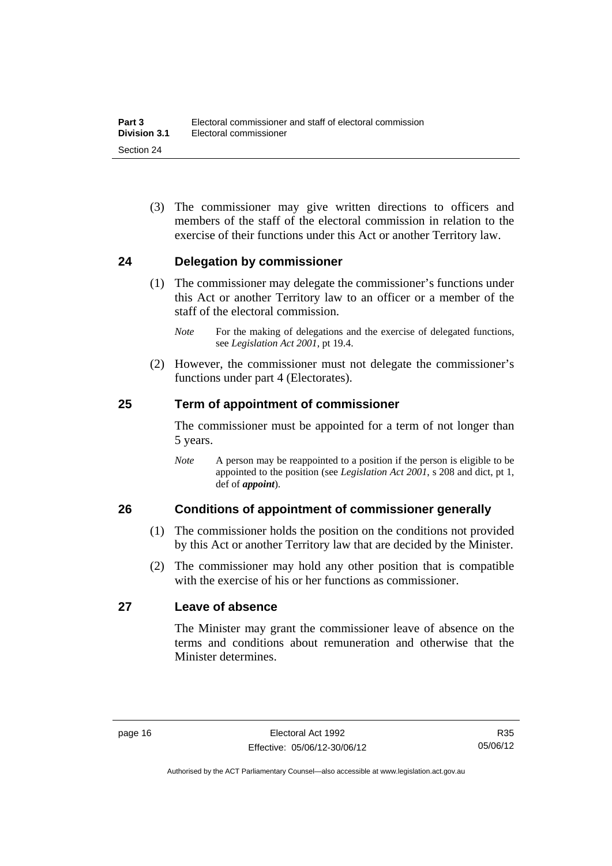(3) The commissioner may give written directions to officers and members of the staff of the electoral commission in relation to the exercise of their functions under this Act or another Territory law.

#### <span id="page-33-0"></span>**24 Delegation by commissioner**

- (1) The commissioner may delegate the commissioner's functions under this Act or another Territory law to an officer or a member of the staff of the electoral commission.
	- *Note* For the making of delegations and the exercise of delegated functions, see *Legislation Act 2001*, pt 19.4.
- (2) However, the commissioner must not delegate the commissioner's functions under part 4 (Electorates).

#### <span id="page-33-1"></span>**25 Term of appointment of commissioner**

The commissioner must be appointed for a term of not longer than 5 years.

*Note* A person may be reappointed to a position if the person is eligible to be appointed to the position (see *Legislation Act 2001*, s 208 and dict, pt 1, def of *appoint*).

#### <span id="page-33-2"></span>**26 Conditions of appointment of commissioner generally**

- (1) The commissioner holds the position on the conditions not provided by this Act or another Territory law that are decided by the Minister.
- (2) The commissioner may hold any other position that is compatible with the exercise of his or her functions as commissioner.

#### <span id="page-33-3"></span>**27 Leave of absence**

The Minister may grant the commissioner leave of absence on the terms and conditions about remuneration and otherwise that the Minister determines.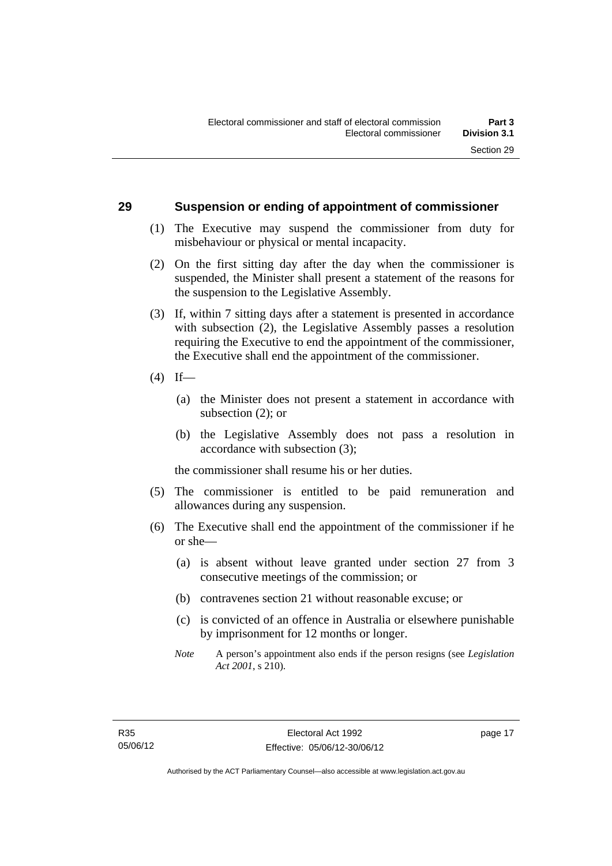#### <span id="page-34-0"></span>**29 Suspension or ending of appointment of commissioner**

- (1) The Executive may suspend the commissioner from duty for misbehaviour or physical or mental incapacity.
- (2) On the first sitting day after the day when the commissioner is suspended, the Minister shall present a statement of the reasons for the suspension to the Legislative Assembly.
- (3) If, within 7 sitting days after a statement is presented in accordance with subsection (2), the Legislative Assembly passes a resolution requiring the Executive to end the appointment of the commissioner, the Executive shall end the appointment of the commissioner.
- $(4)$  If—
	- (a) the Minister does not present a statement in accordance with subsection (2); or
	- (b) the Legislative Assembly does not pass a resolution in accordance with subsection (3);

the commissioner shall resume his or her duties.

- (5) The commissioner is entitled to be paid remuneration and allowances during any suspension.
- (6) The Executive shall end the appointment of the commissioner if he or she—
	- (a) is absent without leave granted under section 27 from 3 consecutive meetings of the commission; or
	- (b) contravenes section 21 without reasonable excuse; or
	- (c) is convicted of an offence in Australia or elsewhere punishable by imprisonment for 12 months or longer.
	- *Note* A person's appointment also ends if the person resigns (see *Legislation Act 2001*, s 210).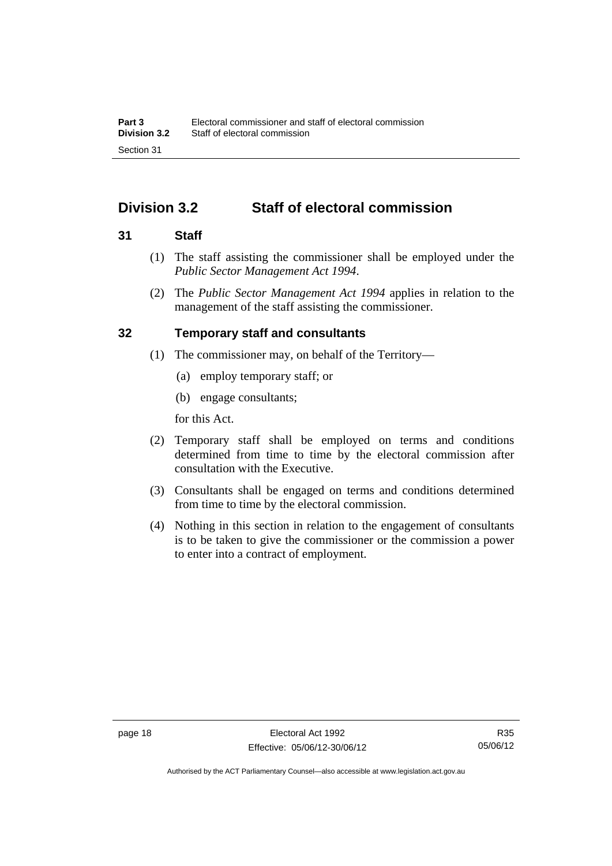# <span id="page-35-0"></span>**Division 3.2 Staff of electoral commission**

#### <span id="page-35-1"></span>**31 Staff**

- (1) The staff assisting the commissioner shall be employed under the *Public Sector Management Act 1994*.
- (2) The *Public Sector Management Act 1994* applies in relation to the management of the staff assisting the commissioner.

#### <span id="page-35-2"></span>**32 Temporary staff and consultants**

- (1) The commissioner may, on behalf of the Territory—
	- (a) employ temporary staff; or
	- (b) engage consultants;

for this Act.

- (2) Temporary staff shall be employed on terms and conditions determined from time to time by the electoral commission after consultation with the Executive.
- (3) Consultants shall be engaged on terms and conditions determined from time to time by the electoral commission.
- (4) Nothing in this section in relation to the engagement of consultants is to be taken to give the commissioner or the commission a power to enter into a contract of employment.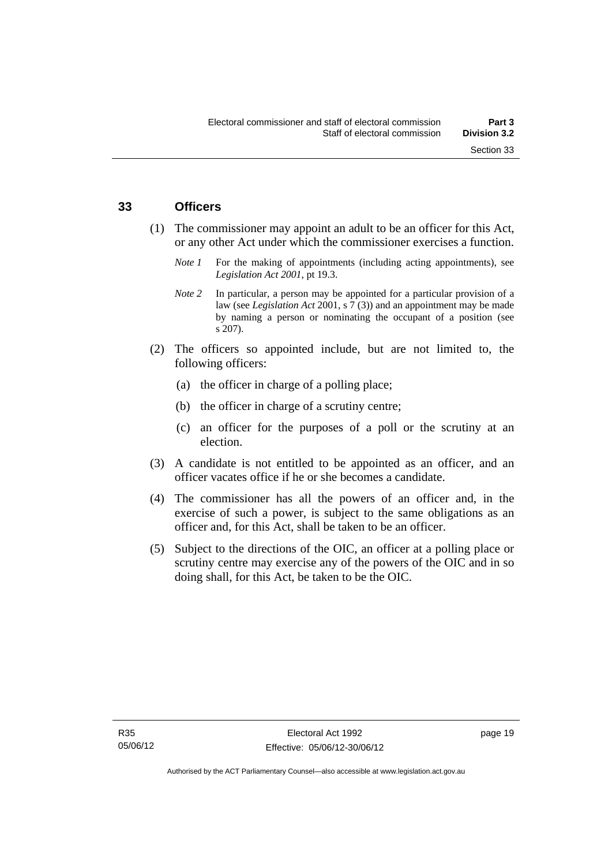#### **33 Officers**

- (1) The commissioner may appoint an adult to be an officer for this Act, or any other Act under which the commissioner exercises a function.
	- *Note 1* For the making of appointments (including acting appointments), see *Legislation Act 2001*, pt 19.3.
	- *Note 2* In particular, a person may be appointed for a particular provision of a law (see *Legislation Act* 2001, s 7 (3)) and an appointment may be made by naming a person or nominating the occupant of a position (see s 207).
- (2) The officers so appointed include, but are not limited to, the following officers:
	- (a) the officer in charge of a polling place;
	- (b) the officer in charge of a scrutiny centre;
	- (c) an officer for the purposes of a poll or the scrutiny at an election.
- (3) A candidate is not entitled to be appointed as an officer, and an officer vacates office if he or she becomes a candidate.
- (4) The commissioner has all the powers of an officer and, in the exercise of such a power, is subject to the same obligations as an officer and, for this Act, shall be taken to be an officer.
- (5) Subject to the directions of the OIC, an officer at a polling place or scrutiny centre may exercise any of the powers of the OIC and in so doing shall, for this Act, be taken to be the OIC.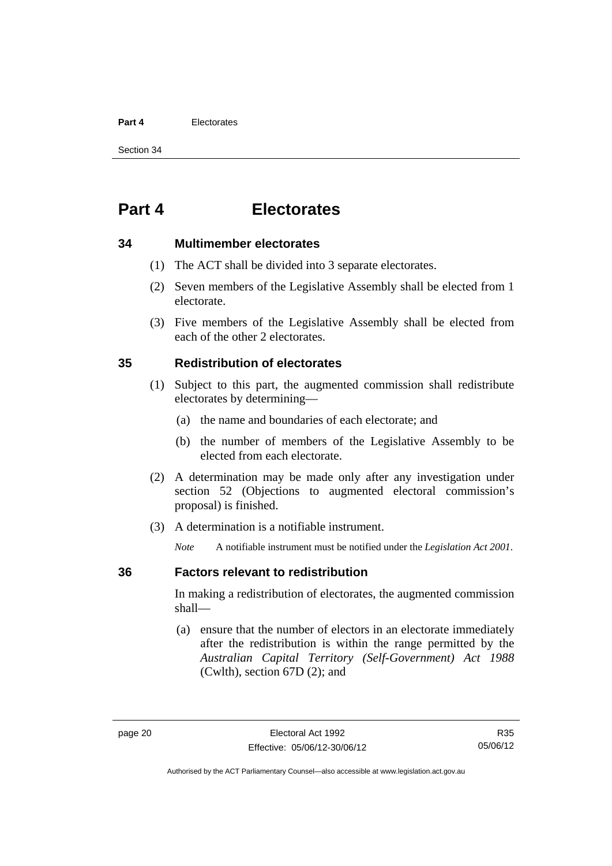#### **Part 4** Electorates

Section 34

# **Part 4 Electorates**

#### **34 Multimember electorates**

- (1) The ACT shall be divided into 3 separate electorates.
- (2) Seven members of the Legislative Assembly shall be elected from 1 electorate.
- (3) Five members of the Legislative Assembly shall be elected from each of the other 2 electorates.

#### **35 Redistribution of electorates**

- (1) Subject to this part, the augmented commission shall redistribute electorates by determining—
	- (a) the name and boundaries of each electorate; and
	- (b) the number of members of the Legislative Assembly to be elected from each electorate.
- (2) A determination may be made only after any investigation under section 52 (Objections to augmented electoral commission's proposal) is finished.
- (3) A determination is a notifiable instrument.

*Note* A notifiable instrument must be notified under the *Legislation Act 2001*.

#### **36 Factors relevant to redistribution**

In making a redistribution of electorates, the augmented commission shall—

 (a) ensure that the number of electors in an electorate immediately after the redistribution is within the range permitted by the *Australian Capital Territory (Self-Government) Act 1988*  (Cwlth), section 67D (2); and

Authorised by the ACT Parliamentary Counsel—also accessible at www.legislation.act.gov.au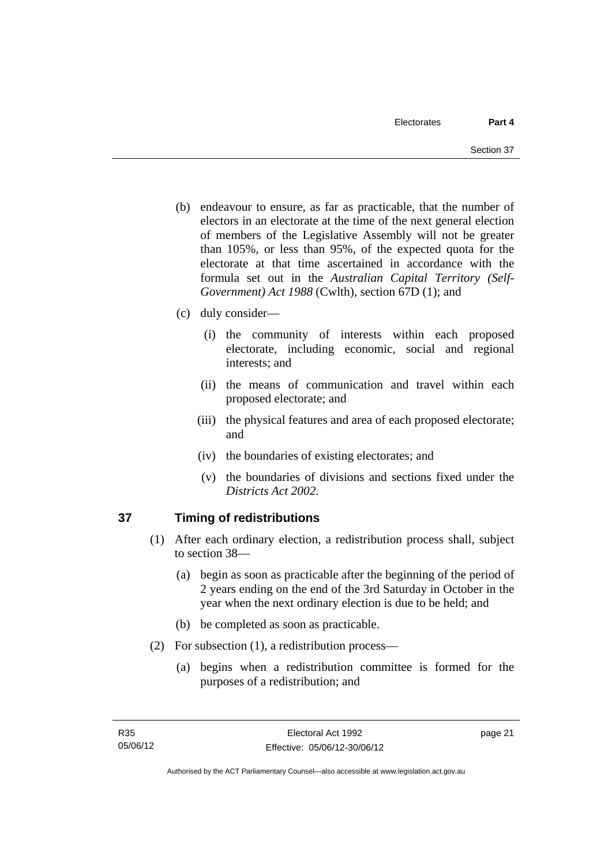- (b) endeavour to ensure, as far as practicable, that the number of electors in an electorate at the time of the next general election of members of the Legislative Assembly will not be greater than 105%, or less than 95%, of the expected quota for the electorate at that time ascertained in accordance with the formula set out in the *Australian Capital Territory (Self-Government) Act 1988* (Cwlth), section 67D (1); and
- (c) duly consider—
	- (i) the community of interests within each proposed electorate, including economic, social and regional interests; and
	- (ii) the means of communication and travel within each proposed electorate; and
	- (iii) the physical features and area of each proposed electorate; and
	- (iv) the boundaries of existing electorates; and
	- (v) the boundaries of divisions and sections fixed under the *Districts Act 2002*.

# **37 Timing of redistributions**

- (1) After each ordinary election, a redistribution process shall, subject to section 38—
	- (a) begin as soon as practicable after the beginning of the period of 2 years ending on the end of the 3rd Saturday in October in the year when the next ordinary election is due to be held; and
	- (b) be completed as soon as practicable.
- (2) For subsection (1), a redistribution process—
	- (a) begins when a redistribution committee is formed for the purposes of a redistribution; and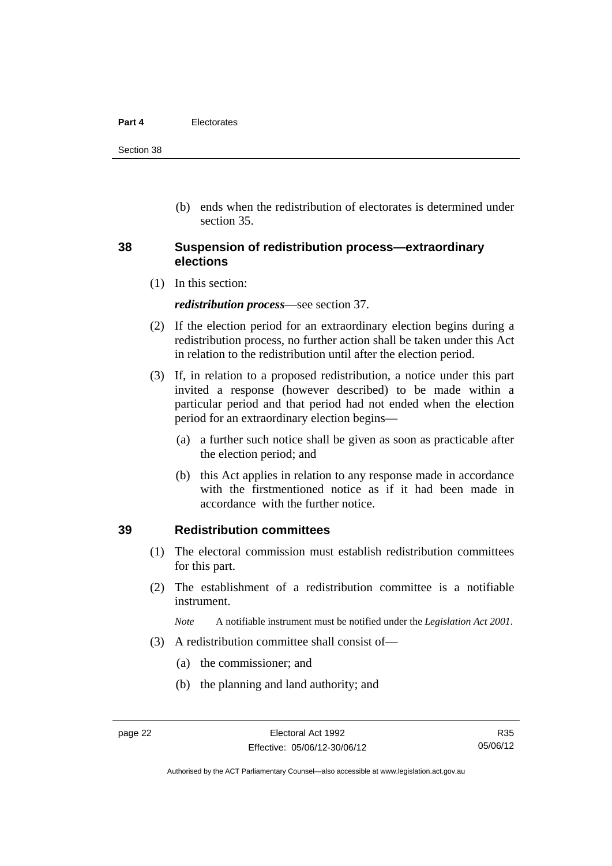#### **Part 4** Electorates

Section 38

 (b) ends when the redistribution of electorates is determined under section 35.

#### **38 Suspension of redistribution process—extraordinary elections**

(1) In this section:

*redistribution process*—see section 37.

- (2) If the election period for an extraordinary election begins during a redistribution process, no further action shall be taken under this Act in relation to the redistribution until after the election period.
- (3) If, in relation to a proposed redistribution, a notice under this part invited a response (however described) to be made within a particular period and that period had not ended when the election period for an extraordinary election begins—
	- (a) a further such notice shall be given as soon as practicable after the election period; and
	- (b) this Act applies in relation to any response made in accordance with the firstmentioned notice as if it had been made in accordance with the further notice.

#### **39 Redistribution committees**

- (1) The electoral commission must establish redistribution committees for this part.
- (2) The establishment of a redistribution committee is a notifiable instrument.

*Note* A notifiable instrument must be notified under the *Legislation Act 2001*.

- (3) A redistribution committee shall consist of—
	- (a) the commissioner; and
	- (b) the planning and land authority; and

Authorised by the ACT Parliamentary Counsel—also accessible at www.legislation.act.gov.au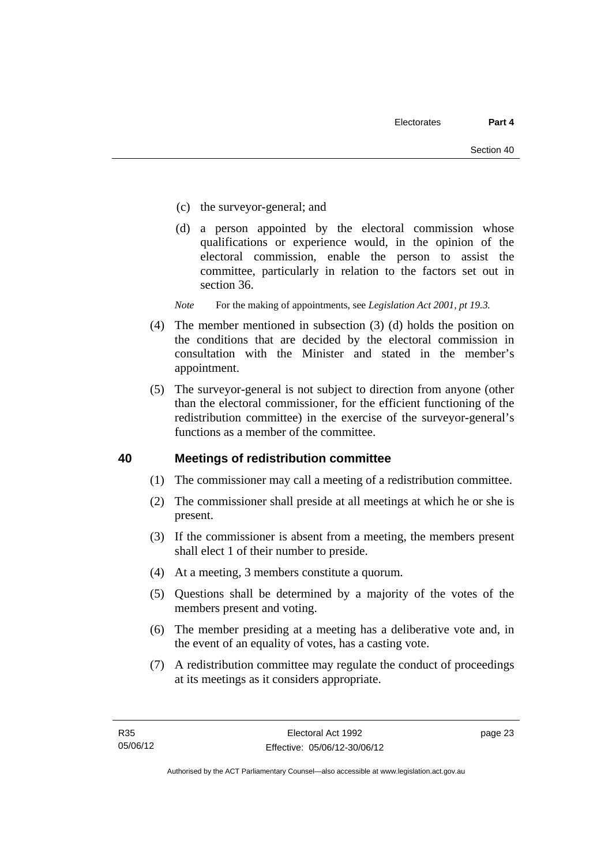- (c) the surveyor-general; and
- (d) a person appointed by the electoral commission whose qualifications or experience would, in the opinion of the electoral commission, enable the person to assist the committee, particularly in relation to the factors set out in section 36.
- *Note* For the making of appointments, see *Legislation Act 2001, pt 19.3.*
- (4) The member mentioned in subsection (3) (d) holds the position on the conditions that are decided by the electoral commission in consultation with the Minister and stated in the member's appointment.
- (5) The surveyor-general is not subject to direction from anyone (other than the electoral commissioner, for the efficient functioning of the redistribution committee) in the exercise of the surveyor-general's functions as a member of the committee.

#### **40 Meetings of redistribution committee**

- (1) The commissioner may call a meeting of a redistribution committee.
- (2) The commissioner shall preside at all meetings at which he or she is present.
- (3) If the commissioner is absent from a meeting, the members present shall elect 1 of their number to preside.
- (4) At a meeting, 3 members constitute a quorum.
- (5) Questions shall be determined by a majority of the votes of the members present and voting.
- (6) The member presiding at a meeting has a deliberative vote and, in the event of an equality of votes, has a casting vote.
- (7) A redistribution committee may regulate the conduct of proceedings at its meetings as it considers appropriate.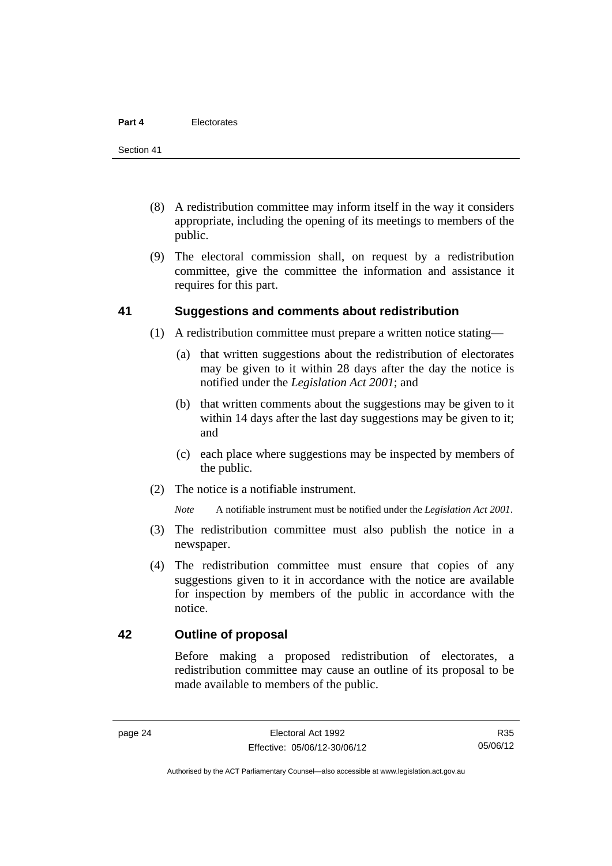- (8) A redistribution committee may inform itself in the way it considers appropriate, including the opening of its meetings to members of the public.
- (9) The electoral commission shall, on request by a redistribution committee, give the committee the information and assistance it requires for this part.

#### **41 Suggestions and comments about redistribution**

- (1) A redistribution committee must prepare a written notice stating—
	- (a) that written suggestions about the redistribution of electorates may be given to it within 28 days after the day the notice is notified under the *Legislation Act 2001*; and
	- (b) that written comments about the suggestions may be given to it within 14 days after the last day suggestions may be given to it; and
	- (c) each place where suggestions may be inspected by members of the public.
- (2) The notice is a notifiable instrument.

*Note* A notifiable instrument must be notified under the *Legislation Act 2001*.

- (3) The redistribution committee must also publish the notice in a newspaper.
- (4) The redistribution committee must ensure that copies of any suggestions given to it in accordance with the notice are available for inspection by members of the public in accordance with the notice.

#### **42 Outline of proposal**

Before making a proposed redistribution of electorates, a redistribution committee may cause an outline of its proposal to be made available to members of the public.

R35 05/06/12

Authorised by the ACT Parliamentary Counsel—also accessible at www.legislation.act.gov.au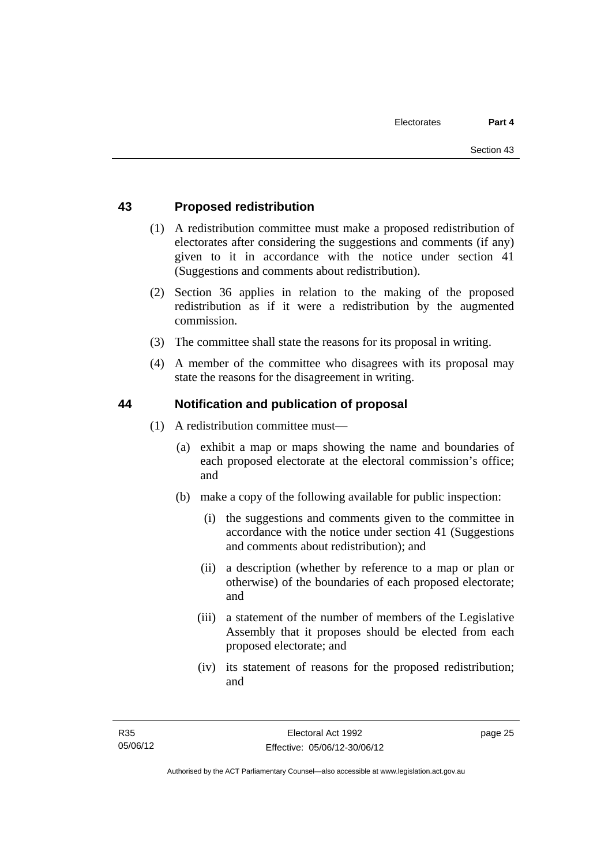#### **43 Proposed redistribution**

- (1) A redistribution committee must make a proposed redistribution of electorates after considering the suggestions and comments (if any) given to it in accordance with the notice under section 41 (Suggestions and comments about redistribution).
- (2) Section 36 applies in relation to the making of the proposed redistribution as if it were a redistribution by the augmented commission.
- (3) The committee shall state the reasons for its proposal in writing.
- (4) A member of the committee who disagrees with its proposal may state the reasons for the disagreement in writing.

#### **44 Notification and publication of proposal**

- (1) A redistribution committee must—
	- (a) exhibit a map or maps showing the name and boundaries of each proposed electorate at the electoral commission's office; and
	- (b) make a copy of the following available for public inspection:
		- (i) the suggestions and comments given to the committee in accordance with the notice under section 41 (Suggestions and comments about redistribution); and
		- (ii) a description (whether by reference to a map or plan or otherwise) of the boundaries of each proposed electorate; and
		- (iii) a statement of the number of members of the Legislative Assembly that it proposes should be elected from each proposed electorate; and
		- (iv) its statement of reasons for the proposed redistribution; and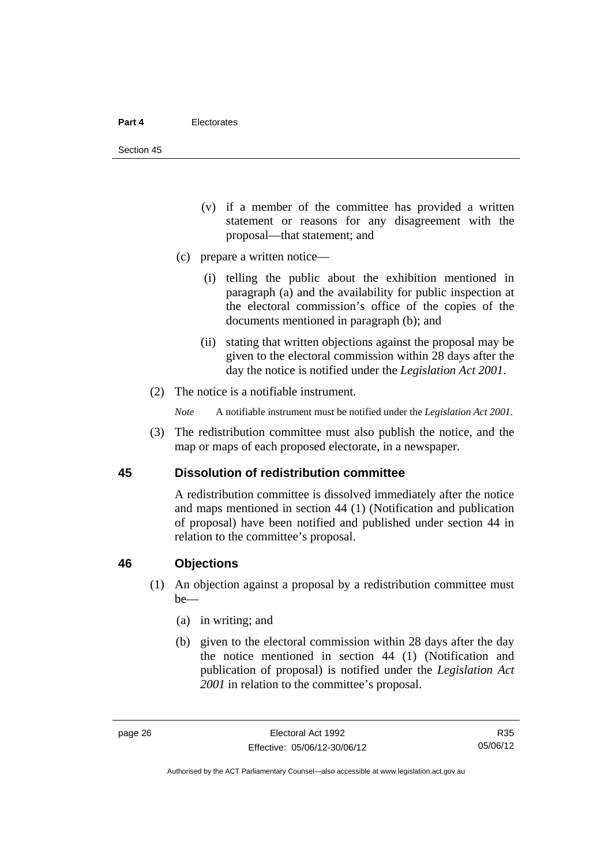Section 45

- (v) if a member of the committee has provided a written statement or reasons for any disagreement with the proposal—that statement; and
- (c) prepare a written notice—
	- (i) telling the public about the exhibition mentioned in paragraph (a) and the availability for public inspection at the electoral commission's office of the copies of the documents mentioned in paragraph (b); and
	- (ii) stating that written objections against the proposal may be given to the electoral commission within 28 days after the day the notice is notified under the *Legislation Act 2001*.
- (2) The notice is a notifiable instrument.

*Note* A notifiable instrument must be notified under the *Legislation Act 2001*.

 (3) The redistribution committee must also publish the notice, and the map or maps of each proposed electorate, in a newspaper.

#### **45 Dissolution of redistribution committee**

A redistribution committee is dissolved immediately after the notice and maps mentioned in section 44 (1) (Notification and publication of proposal) have been notified and published under section 44 in relation to the committee's proposal.

#### **46 Objections**

- (1) An objection against a proposal by a redistribution committee must be—
	- (a) in writing; and
	- (b) given to the electoral commission within 28 days after the day the notice mentioned in section 44 (1) (Notification and publication of proposal) is notified under the *Legislation Act 2001* in relation to the committee's proposal.

R35 05/06/12

Authorised by the ACT Parliamentary Counsel—also accessible at www.legislation.act.gov.au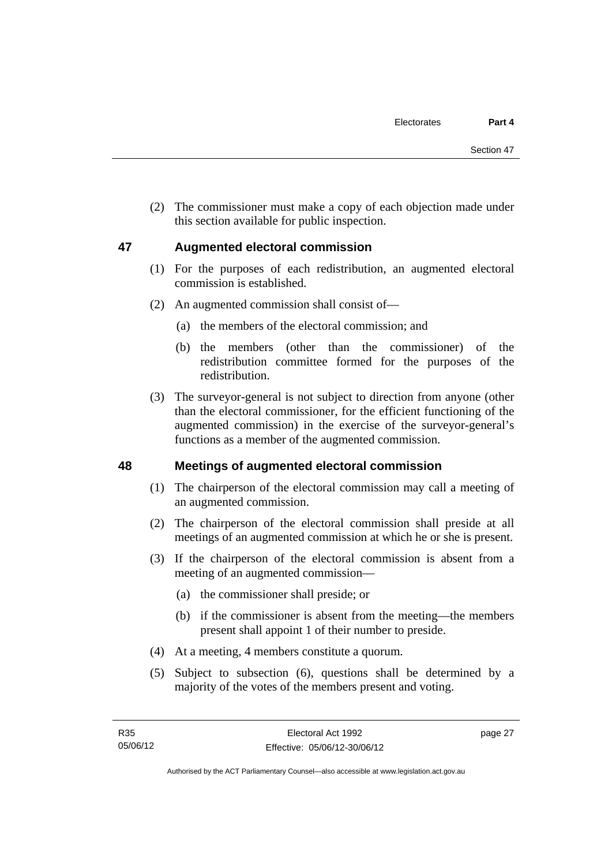(2) The commissioner must make a copy of each objection made under this section available for public inspection.

#### **47 Augmented electoral commission**

- (1) For the purposes of each redistribution, an augmented electoral commission is established.
- (2) An augmented commission shall consist of—
	- (a) the members of the electoral commission; and
	- (b) the members (other than the commissioner) of the redistribution committee formed for the purposes of the redistribution.
- (3) The surveyor-general is not subject to direction from anyone (other than the electoral commissioner, for the efficient functioning of the augmented commission) in the exercise of the surveyor-general's functions as a member of the augmented commission.

#### **48 Meetings of augmented electoral commission**

- (1) The chairperson of the electoral commission may call a meeting of an augmented commission.
- (2) The chairperson of the electoral commission shall preside at all meetings of an augmented commission at which he or she is present.
- (3) If the chairperson of the electoral commission is absent from a meeting of an augmented commission—
	- (a) the commissioner shall preside; or
	- (b) if the commissioner is absent from the meeting—the members present shall appoint 1 of their number to preside.
- (4) At a meeting, 4 members constitute a quorum.
- (5) Subject to subsection (6), questions shall be determined by a majority of the votes of the members present and voting.

page 27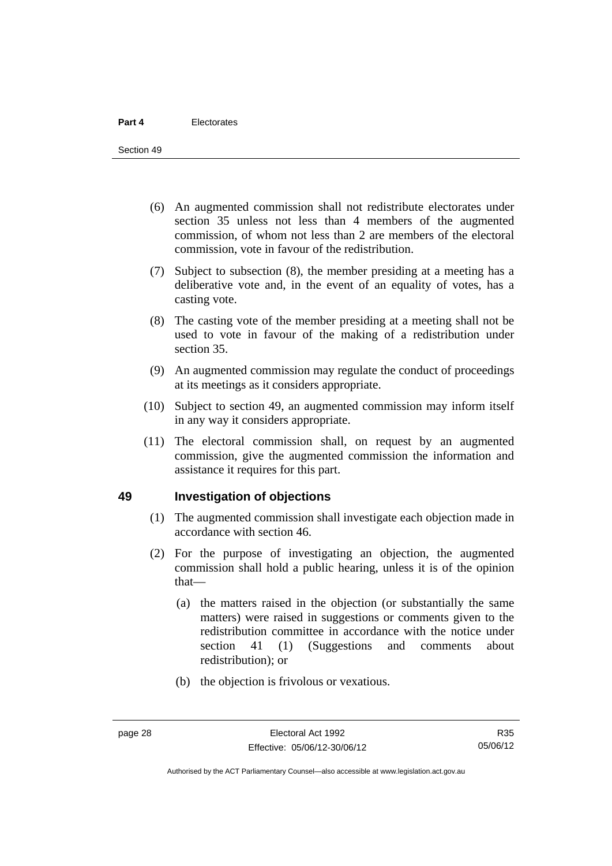- (6) An augmented commission shall not redistribute electorates under section 35 unless not less than 4 members of the augmented commission, of whom not less than 2 are members of the electoral commission, vote in favour of the redistribution.
- (7) Subject to subsection (8), the member presiding at a meeting has a deliberative vote and, in the event of an equality of votes, has a casting vote.
- (8) The casting vote of the member presiding at a meeting shall not be used to vote in favour of the making of a redistribution under section 35.
- (9) An augmented commission may regulate the conduct of proceedings at its meetings as it considers appropriate.
- (10) Subject to section 49, an augmented commission may inform itself in any way it considers appropriate.
- (11) The electoral commission shall, on request by an augmented commission, give the augmented commission the information and assistance it requires for this part.

#### **49 Investigation of objections**

- (1) The augmented commission shall investigate each objection made in accordance with section 46.
- (2) For the purpose of investigating an objection, the augmented commission shall hold a public hearing, unless it is of the opinion that—
	- (a) the matters raised in the objection (or substantially the same matters) were raised in suggestions or comments given to the redistribution committee in accordance with the notice under section 41 (1) (Suggestions and comments about redistribution); or
	- (b) the objection is frivolous or vexatious.

R35 05/06/12

Authorised by the ACT Parliamentary Counsel—also accessible at www.legislation.act.gov.au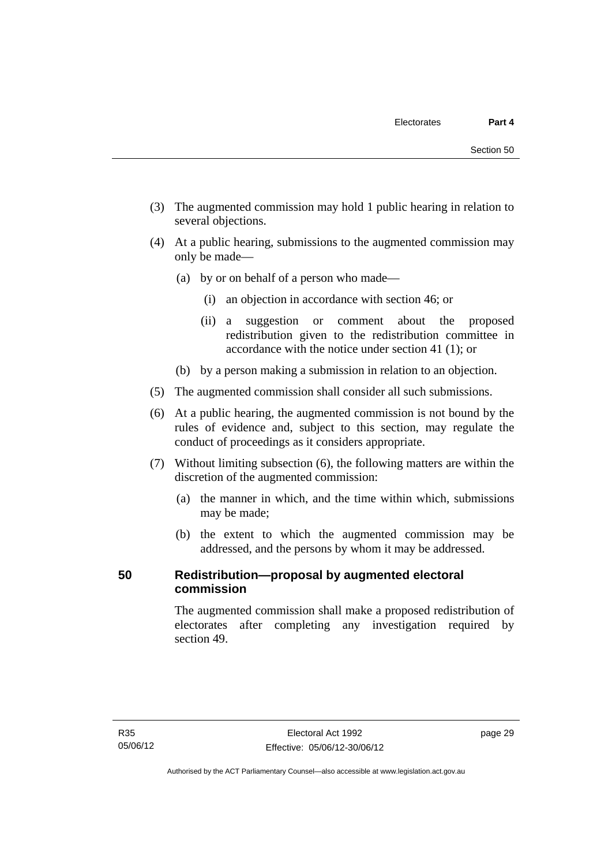- (3) The augmented commission may hold 1 public hearing in relation to several objections.
- (4) At a public hearing, submissions to the augmented commission may only be made—
	- (a) by or on behalf of a person who made—
		- (i) an objection in accordance with section 46; or
		- (ii) a suggestion or comment about the proposed redistribution given to the redistribution committee in accordance with the notice under section 41 (1); or
	- (b) by a person making a submission in relation to an objection.
- (5) The augmented commission shall consider all such submissions.
- (6) At a public hearing, the augmented commission is not bound by the rules of evidence and, subject to this section, may regulate the conduct of proceedings as it considers appropriate.
- (7) Without limiting subsection (6), the following matters are within the discretion of the augmented commission:
	- (a) the manner in which, and the time within which, submissions may be made;
	- (b) the extent to which the augmented commission may be addressed, and the persons by whom it may be addressed.

# **50 Redistribution—proposal by augmented electoral commission**

The augmented commission shall make a proposed redistribution of electorates after completing any investigation required by section 49.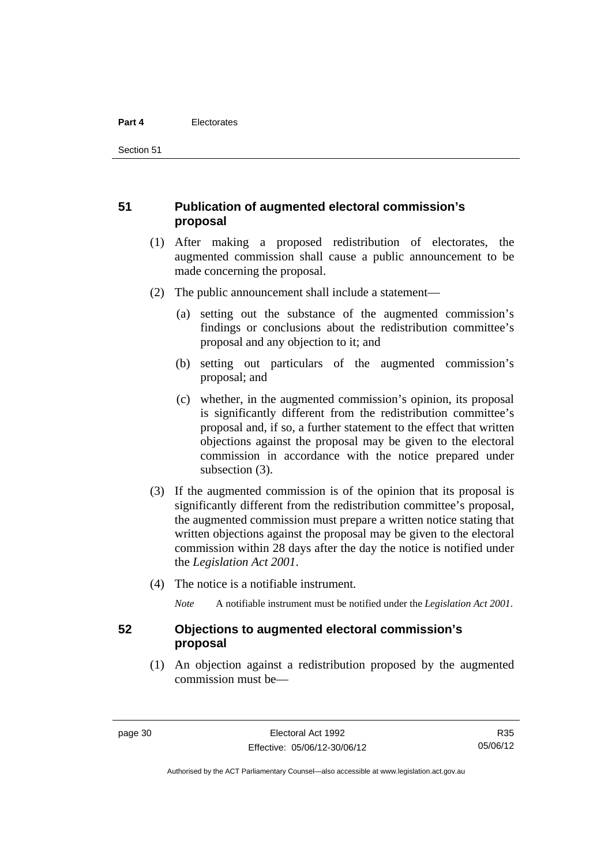Section 51

#### **51 Publication of augmented electoral commission's proposal**

- (1) After making a proposed redistribution of electorates, the augmented commission shall cause a public announcement to be made concerning the proposal.
- (2) The public announcement shall include a statement—
	- (a) setting out the substance of the augmented commission's findings or conclusions about the redistribution committee's proposal and any objection to it; and
	- (b) setting out particulars of the augmented commission's proposal; and
	- (c) whether, in the augmented commission's opinion, its proposal is significantly different from the redistribution committee's proposal and, if so, a further statement to the effect that written objections against the proposal may be given to the electoral commission in accordance with the notice prepared under subsection (3).
- (3) If the augmented commission is of the opinion that its proposal is significantly different from the redistribution committee's proposal, the augmented commission must prepare a written notice stating that written objections against the proposal may be given to the electoral commission within 28 days after the day the notice is notified under the *Legislation Act 2001*.
- (4) The notice is a notifiable instrument.

*Note* A notifiable instrument must be notified under the *Legislation Act 2001*.

#### **52 Objections to augmented electoral commission's proposal**

 (1) An objection against a redistribution proposed by the augmented commission must be—

R35 05/06/12

Authorised by the ACT Parliamentary Counsel—also accessible at www.legislation.act.gov.au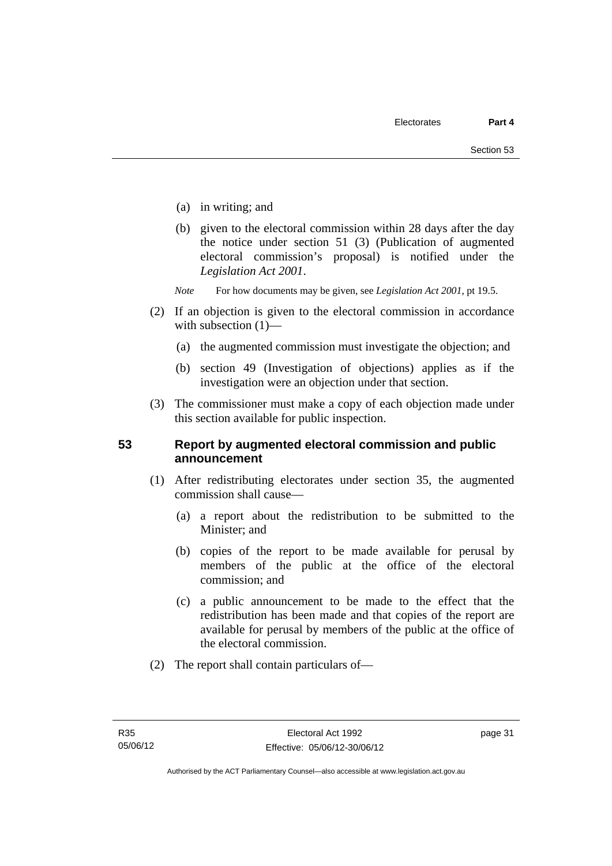- (a) in writing; and
- (b) given to the electoral commission within 28 days after the day the notice under section 51 (3) (Publication of augmented electoral commission's proposal) is notified under the *Legislation Act 2001*.
- *Note* For how documents may be given, see *Legislation Act 2001*, pt 19.5.
- (2) If an objection is given to the electoral commission in accordance with subsection  $(1)$ —
	- (a) the augmented commission must investigate the objection; and
	- (b) section 49 (Investigation of objections) applies as if the investigation were an objection under that section.
- (3) The commissioner must make a copy of each objection made under this section available for public inspection.

#### **53 Report by augmented electoral commission and public announcement**

- (1) After redistributing electorates under section 35, the augmented commission shall cause—
	- (a) a report about the redistribution to be submitted to the Minister; and
	- (b) copies of the report to be made available for perusal by members of the public at the office of the electoral commission; and
	- (c) a public announcement to be made to the effect that the redistribution has been made and that copies of the report are available for perusal by members of the public at the office of the electoral commission.
- (2) The report shall contain particulars of—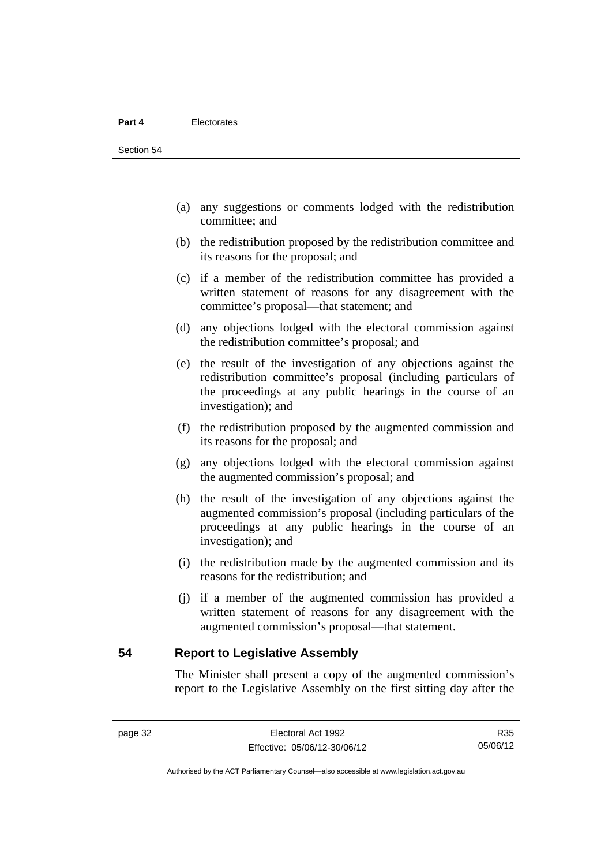- (a) any suggestions or comments lodged with the redistribution committee; and
- (b) the redistribution proposed by the redistribution committee and its reasons for the proposal; and
- (c) if a member of the redistribution committee has provided a written statement of reasons for any disagreement with the committee's proposal—that statement; and
- (d) any objections lodged with the electoral commission against the redistribution committee's proposal; and
- (e) the result of the investigation of any objections against the redistribution committee's proposal (including particulars of the proceedings at any public hearings in the course of an investigation); and
- (f) the redistribution proposed by the augmented commission and its reasons for the proposal; and
- (g) any objections lodged with the electoral commission against the augmented commission's proposal; and
- (h) the result of the investigation of any objections against the augmented commission's proposal (including particulars of the proceedings at any public hearings in the course of an investigation); and
- (i) the redistribution made by the augmented commission and its reasons for the redistribution; and
- (j) if a member of the augmented commission has provided a written statement of reasons for any disagreement with the augmented commission's proposal—that statement.

**54 Report to Legislative Assembly** 

The Minister shall present a copy of the augmented commission's report to the Legislative Assembly on the first sitting day after the

R35 05/06/12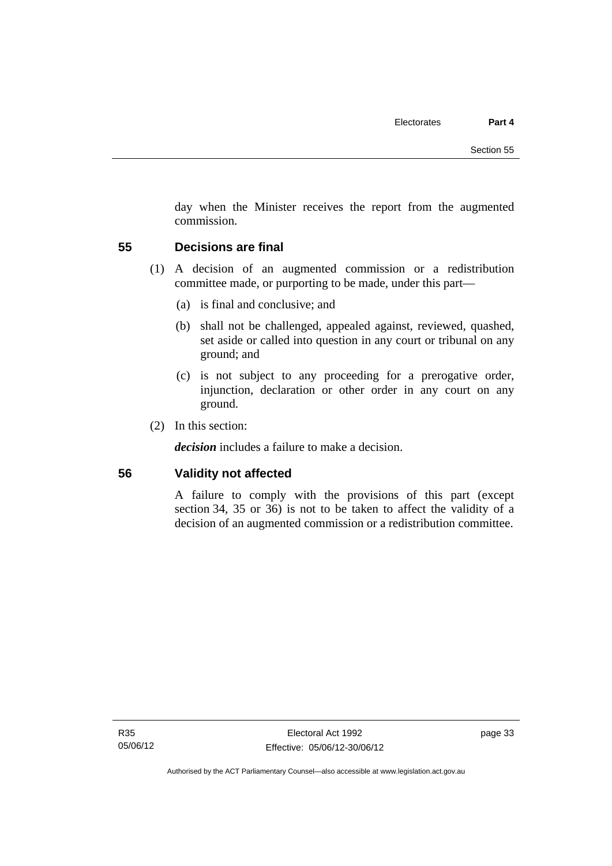day when the Minister receives the report from the augmented commission.

#### **55 Decisions are final**

- (1) A decision of an augmented commission or a redistribution committee made, or purporting to be made, under this part—
	- (a) is final and conclusive; and
	- (b) shall not be challenged, appealed against, reviewed, quashed, set aside or called into question in any court or tribunal on any ground; and
	- (c) is not subject to any proceeding for a prerogative order, injunction, declaration or other order in any court on any ground.
- (2) In this section:

*decision* includes a failure to make a decision.

#### **56 Validity not affected**

A failure to comply with the provisions of this part (except section 34, 35 or 36) is not to be taken to affect the validity of a decision of an augmented commission or a redistribution committee.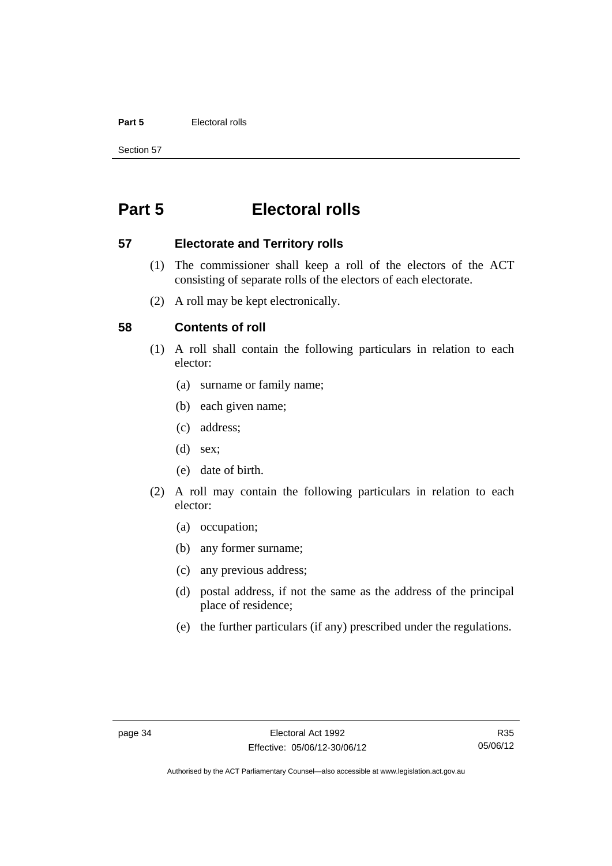#### **Part 5** Electoral rolls

Section 57

# **Part 5 Electoral rolls**

#### **57 Electorate and Territory rolls**

- (1) The commissioner shall keep a roll of the electors of the ACT consisting of separate rolls of the electors of each electorate.
- (2) A roll may be kept electronically.

#### **58 Contents of roll**

- (1) A roll shall contain the following particulars in relation to each elector:
	- (a) surname or family name;
	- (b) each given name;
	- (c) address;
	- (d) sex;
	- (e) date of birth.
- (2) A roll may contain the following particulars in relation to each elector:
	- (a) occupation;
	- (b) any former surname;
	- (c) any previous address;
	- (d) postal address, if not the same as the address of the principal place of residence;
	- (e) the further particulars (if any) prescribed under the regulations.

Authorised by the ACT Parliamentary Counsel—also accessible at www.legislation.act.gov.au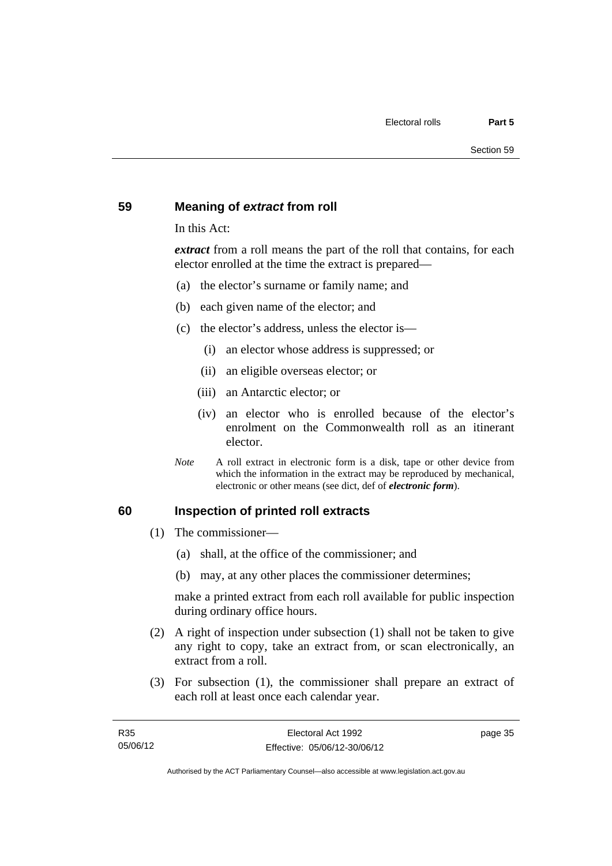#### **59 Meaning of** *extract* **from roll**

In this Act:

*extract* from a roll means the part of the roll that contains, for each elector enrolled at the time the extract is prepared—

- (a) the elector's surname or family name; and
- (b) each given name of the elector; and
- (c) the elector's address, unless the elector is—
	- (i) an elector whose address is suppressed; or
	- (ii) an eligible overseas elector; or
	- (iii) an Antarctic elector; or
	- (iv) an elector who is enrolled because of the elector's enrolment on the Commonwealth roll as an itinerant elector.
- *Note* A roll extract in electronic form is a disk, tape or other device from which the information in the extract may be reproduced by mechanical, electronic or other means (see dict, def of *electronic form*).

#### **60 Inspection of printed roll extracts**

- (1) The commissioner—
	- (a) shall, at the office of the commissioner; and
	- (b) may, at any other places the commissioner determines;

make a printed extract from each roll available for public inspection during ordinary office hours.

- (2) A right of inspection under subsection (1) shall not be taken to give any right to copy, take an extract from, or scan electronically, an extract from a roll.
- (3) For subsection (1), the commissioner shall prepare an extract of each roll at least once each calendar year.

page 35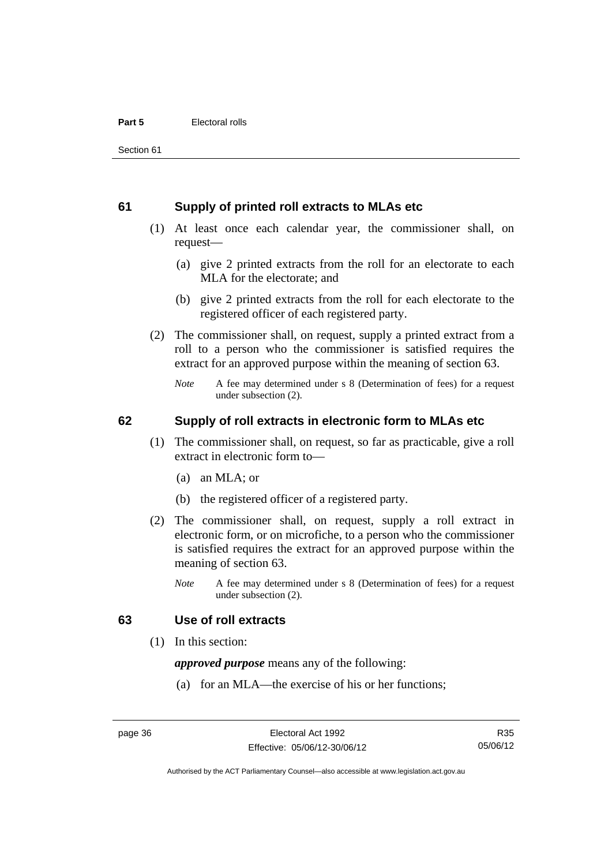#### **61 Supply of printed roll extracts to MLAs etc**

- (1) At least once each calendar year, the commissioner shall, on request—
	- (a) give 2 printed extracts from the roll for an electorate to each MLA for the electorate; and
	- (b) give 2 printed extracts from the roll for each electorate to the registered officer of each registered party.
- (2) The commissioner shall, on request, supply a printed extract from a roll to a person who the commissioner is satisfied requires the extract for an approved purpose within the meaning of section 63.
	- *Note* A fee may determined under s 8 (Determination of fees) for a request under subsection (2).

#### **62 Supply of roll extracts in electronic form to MLAs etc**

- (1) The commissioner shall, on request, so far as practicable, give a roll extract in electronic form to—
	- (a) an MLA; or
	- (b) the registered officer of a registered party.
- (2) The commissioner shall, on request, supply a roll extract in electronic form, or on microfiche, to a person who the commissioner is satisfied requires the extract for an approved purpose within the meaning of section 63.
	- *Note* A fee may determined under s 8 (Determination of fees) for a request under subsection (2).

#### **63 Use of roll extracts**

(1) In this section:

*approved purpose* means any of the following:

(a) for an MLA—the exercise of his or her functions;

R35 05/06/12

Authorised by the ACT Parliamentary Counsel—also accessible at www.legislation.act.gov.au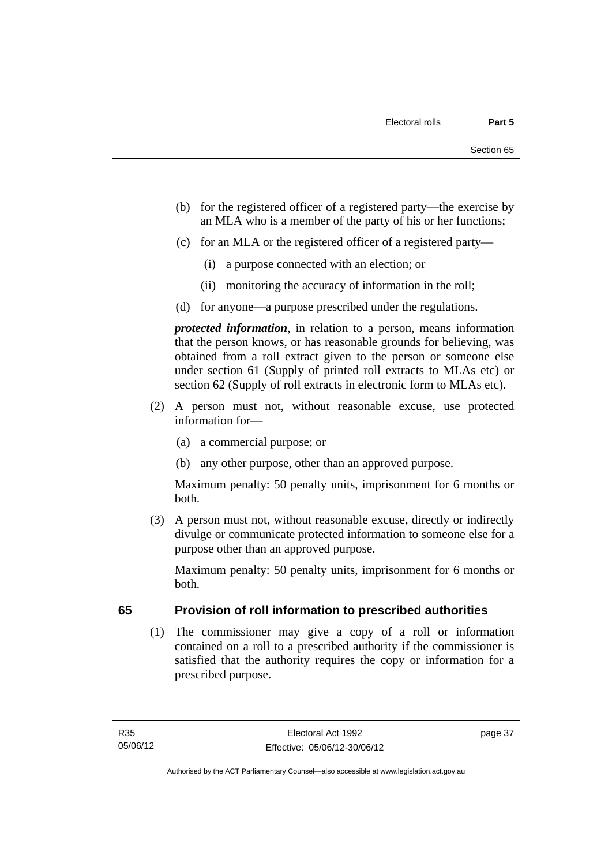- (b) for the registered officer of a registered party—the exercise by an MLA who is a member of the party of his or her functions;
- (c) for an MLA or the registered officer of a registered party—
	- (i) a purpose connected with an election; or
	- (ii) monitoring the accuracy of information in the roll;
- (d) for anyone—a purpose prescribed under the regulations.

*protected information*, in relation to a person, means information that the person knows, or has reasonable grounds for believing, was obtained from a roll extract given to the person or someone else under section 61 (Supply of printed roll extracts to MLAs etc) or section 62 (Supply of roll extracts in electronic form to MLAs etc).

- (2) A person must not, without reasonable excuse, use protected information for—
	- (a) a commercial purpose; or
	- (b) any other purpose, other than an approved purpose.

Maximum penalty: 50 penalty units, imprisonment for 6 months or both.

 (3) A person must not, without reasonable excuse, directly or indirectly divulge or communicate protected information to someone else for a purpose other than an approved purpose.

Maximum penalty: 50 penalty units, imprisonment for 6 months or both.

# **65 Provision of roll information to prescribed authorities**

 (1) The commissioner may give a copy of a roll or information contained on a roll to a prescribed authority if the commissioner is satisfied that the authority requires the copy or information for a prescribed purpose.

page 37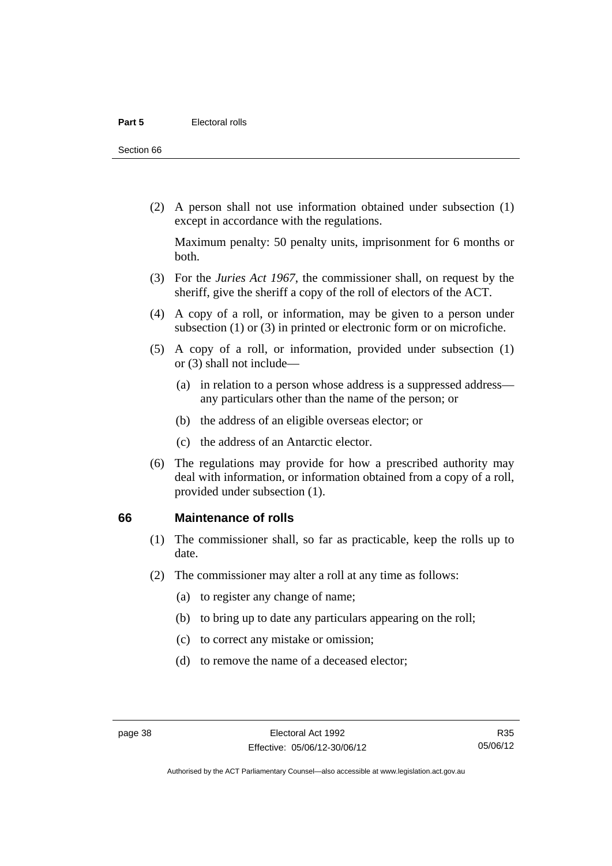Section 66

 (2) A person shall not use information obtained under subsection (1) except in accordance with the regulations.

Maximum penalty: 50 penalty units, imprisonment for 6 months or both.

- (3) For the *Juries Act 1967*, the commissioner shall, on request by the sheriff, give the sheriff a copy of the roll of electors of the ACT.
- (4) A copy of a roll, or information, may be given to a person under subsection (1) or (3) in printed or electronic form or on microfiche.
- (5) A copy of a roll, or information, provided under subsection (1) or (3) shall not include—
	- (a) in relation to a person whose address is a suppressed address any particulars other than the name of the person; or
	- (b) the address of an eligible overseas elector; or
	- (c) the address of an Antarctic elector.
- (6) The regulations may provide for how a prescribed authority may deal with information, or information obtained from a copy of a roll, provided under subsection (1).

#### **66 Maintenance of rolls**

- (1) The commissioner shall, so far as practicable, keep the rolls up to date.
- (2) The commissioner may alter a roll at any time as follows:
	- (a) to register any change of name;
	- (b) to bring up to date any particulars appearing on the roll;
	- (c) to correct any mistake or omission;
	- (d) to remove the name of a deceased elector;

Authorised by the ACT Parliamentary Counsel—also accessible at www.legislation.act.gov.au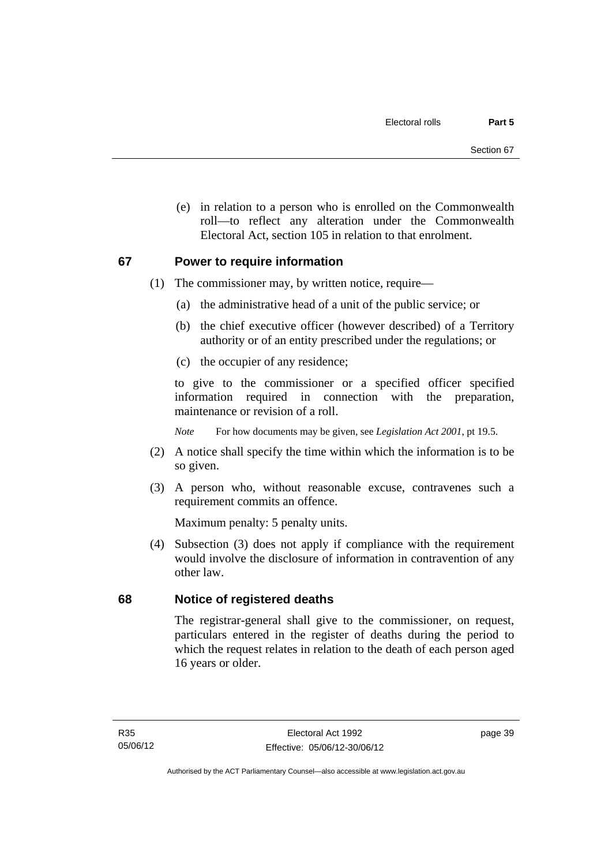(e) in relation to a person who is enrolled on the Commonwealth roll—to reflect any alteration under the Commonwealth Electoral Act, section 105 in relation to that enrolment.

#### **67 Power to require information**

- (1) The commissioner may, by written notice, require—
	- (a) the administrative head of a unit of the public service; or
	- (b) the chief executive officer (however described) of a Territory authority or of an entity prescribed under the regulations; or
	- (c) the occupier of any residence;

to give to the commissioner or a specified officer specified information required in connection with the preparation, maintenance or revision of a roll.

*Note* For how documents may be given, see *Legislation Act 2001*, pt 19.5.

- (2) A notice shall specify the time within which the information is to be so given.
- (3) A person who, without reasonable excuse, contravenes such a requirement commits an offence.

Maximum penalty: 5 penalty units.

 (4) Subsection (3) does not apply if compliance with the requirement would involve the disclosure of information in contravention of any other law.

# **68 Notice of registered deaths**

The registrar-general shall give to the commissioner, on request, particulars entered in the register of deaths during the period to which the request relates in relation to the death of each person aged 16 years or older.

page 39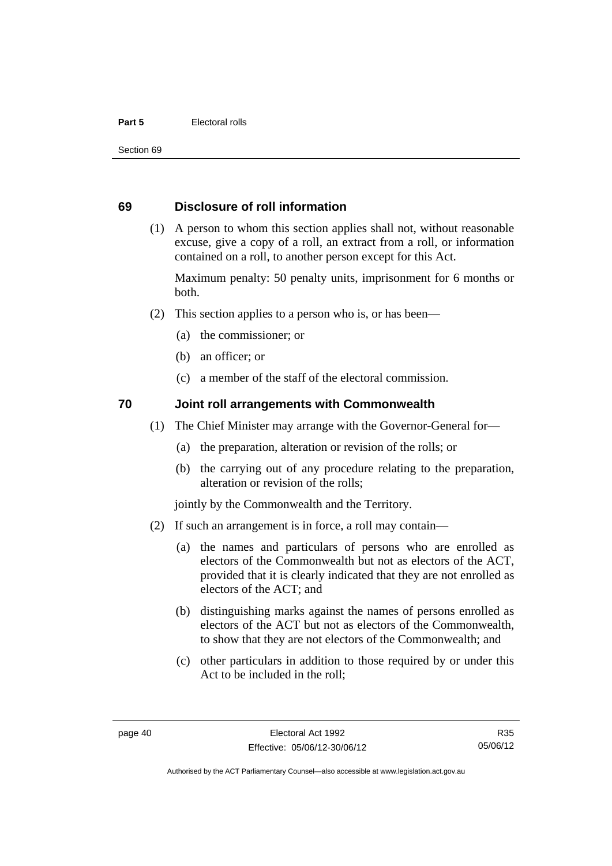#### **Part 5 Electoral rolls**

Section 69

#### **69 Disclosure of roll information**

 (1) A person to whom this section applies shall not, without reasonable excuse, give a copy of a roll, an extract from a roll, or information contained on a roll, to another person except for this Act.

Maximum penalty: 50 penalty units, imprisonment for 6 months or both.

- (2) This section applies to a person who is, or has been—
	- (a) the commissioner; or
	- (b) an officer; or
	- (c) a member of the staff of the electoral commission.

#### **70 Joint roll arrangements with Commonwealth**

- (1) The Chief Minister may arrange with the Governor-General for—
	- (a) the preparation, alteration or revision of the rolls; or
	- (b) the carrying out of any procedure relating to the preparation, alteration or revision of the rolls;

jointly by the Commonwealth and the Territory.

- (2) If such an arrangement is in force, a roll may contain—
	- (a) the names and particulars of persons who are enrolled as electors of the Commonwealth but not as electors of the ACT, provided that it is clearly indicated that they are not enrolled as electors of the ACT; and
	- (b) distinguishing marks against the names of persons enrolled as electors of the ACT but not as electors of the Commonwealth, to show that they are not electors of the Commonwealth; and
	- (c) other particulars in addition to those required by or under this Act to be included in the roll;

Authorised by the ACT Parliamentary Counsel—also accessible at www.legislation.act.gov.au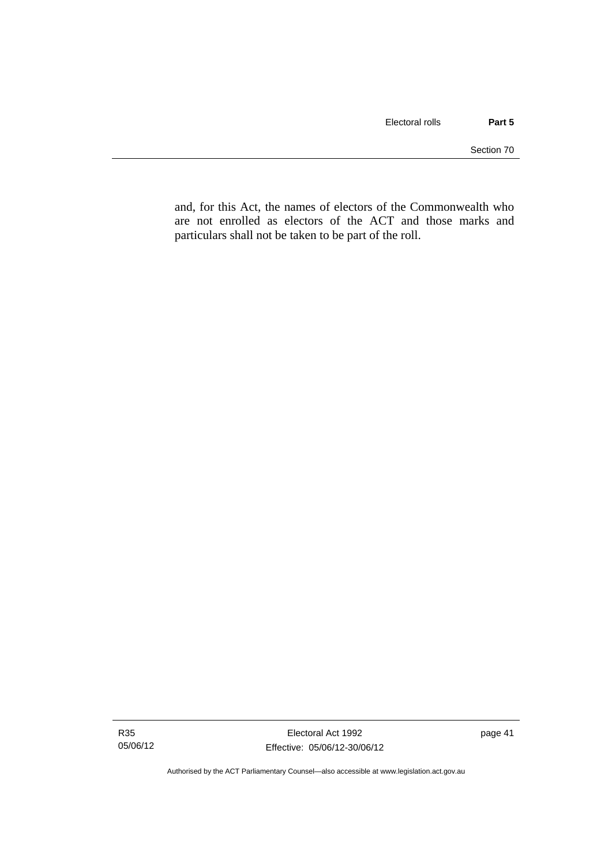and, for this Act, the names of electors of the Commonwealth who are not enrolled as electors of the ACT and those marks and particulars shall not be taken to be part of the roll.

Authorised by the ACT Parliamentary Counsel—also accessible at www.legislation.act.gov.au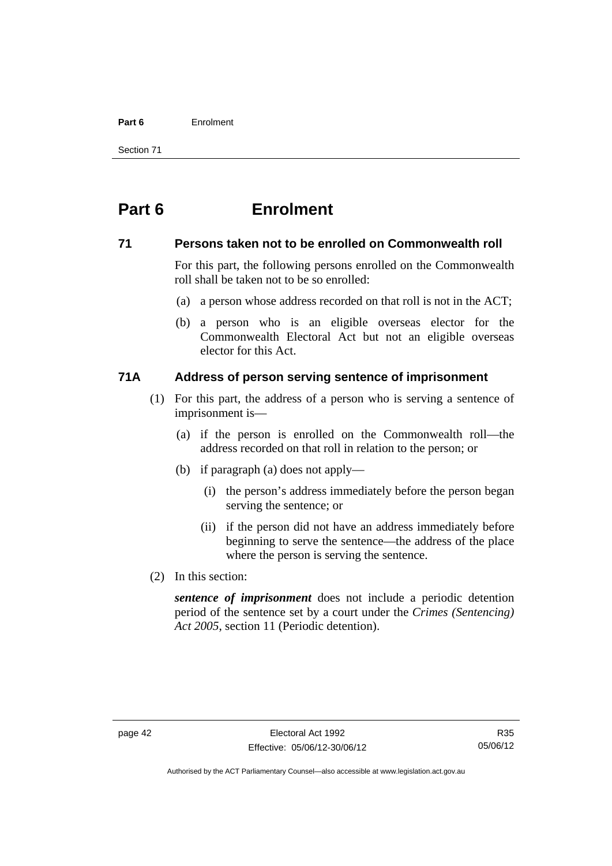#### **Part 6** Enrolment

Section 71

# **Part 6 Enrolment**

#### **71 Persons taken not to be enrolled on Commonwealth roll**

For this part, the following persons enrolled on the Commonwealth roll shall be taken not to be so enrolled:

- (a) a person whose address recorded on that roll is not in the ACT;
- (b) a person who is an eligible overseas elector for the Commonwealth Electoral Act but not an eligible overseas elector for this Act.

# **71A Address of person serving sentence of imprisonment**

- (1) For this part, the address of a person who is serving a sentence of imprisonment is—
	- (a) if the person is enrolled on the Commonwealth roll—the address recorded on that roll in relation to the person; or
	- (b) if paragraph (a) does not apply—
		- (i) the person's address immediately before the person began serving the sentence; or
		- (ii) if the person did not have an address immediately before beginning to serve the sentence—the address of the place where the person is serving the sentence.
- (2) In this section:

*sentence of imprisonment* does not include a periodic detention period of the sentence set by a court under the *Crimes (Sentencing) Act 2005*, section 11 (Periodic detention).

Authorised by the ACT Parliamentary Counsel—also accessible at www.legislation.act.gov.au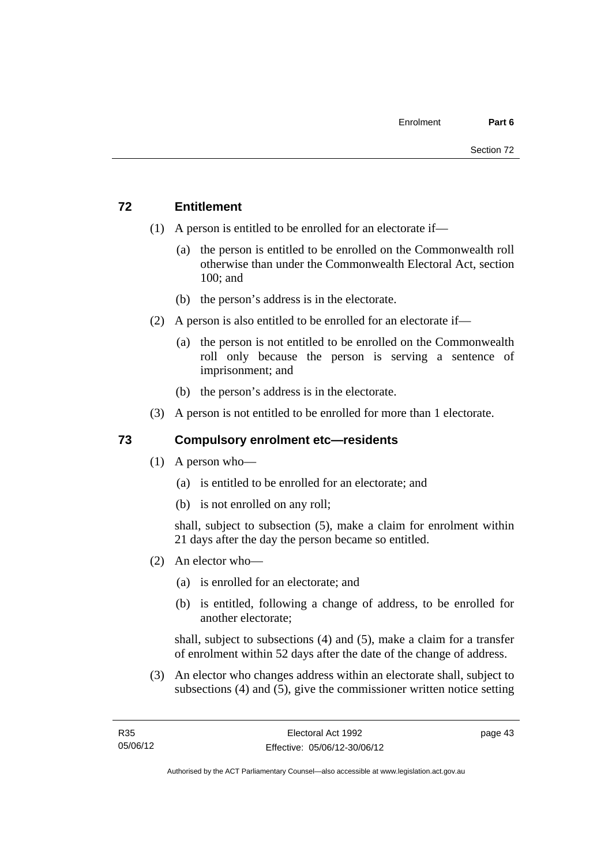# **72 Entitlement**

- (1) A person is entitled to be enrolled for an electorate if—
	- (a) the person is entitled to be enrolled on the Commonwealth roll otherwise than under the Commonwealth Electoral Act, section 100; and
	- (b) the person's address is in the electorate.
- (2) A person is also entitled to be enrolled for an electorate if—
	- (a) the person is not entitled to be enrolled on the Commonwealth roll only because the person is serving a sentence of imprisonment; and
	- (b) the person's address is in the electorate.
- (3) A person is not entitled to be enrolled for more than 1 electorate.

# **73 Compulsory enrolment etc—residents**

- (1) A person who—
	- (a) is entitled to be enrolled for an electorate; and
	- (b) is not enrolled on any roll;

shall, subject to subsection (5), make a claim for enrolment within 21 days after the day the person became so entitled.

- (2) An elector who—
	- (a) is enrolled for an electorate; and
	- (b) is entitled, following a change of address, to be enrolled for another electorate;

shall, subject to subsections (4) and (5), make a claim for a transfer of enrolment within 52 days after the date of the change of address.

 (3) An elector who changes address within an electorate shall, subject to subsections (4) and (5), give the commissioner written notice setting

page 43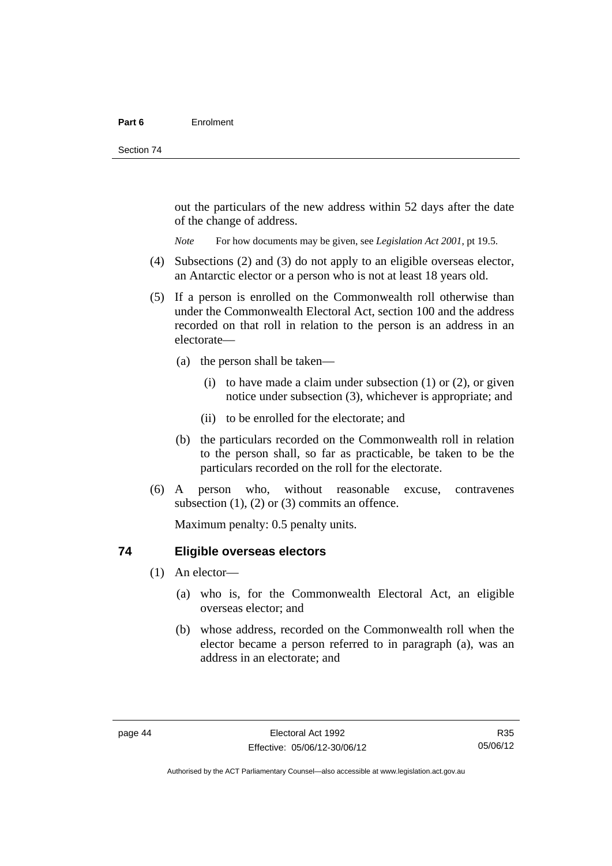out the particulars of the new address within 52 days after the date of the change of address.

*Note* For how documents may be given, see *Legislation Act 2001*, pt 19.5.

- (4) Subsections (2) and (3) do not apply to an eligible overseas elector, an Antarctic elector or a person who is not at least 18 years old.
- (5) If a person is enrolled on the Commonwealth roll otherwise than under the Commonwealth Electoral Act, section 100 and the address recorded on that roll in relation to the person is an address in an electorate—
	- (a) the person shall be taken—
		- (i) to have made a claim under subsection  $(1)$  or  $(2)$ , or given notice under subsection (3), whichever is appropriate; and
		- (ii) to be enrolled for the electorate; and
	- (b) the particulars recorded on the Commonwealth roll in relation to the person shall, so far as practicable, be taken to be the particulars recorded on the roll for the electorate.
- (6) A person who, without reasonable excuse, contravenes subsection  $(1)$ ,  $(2)$  or  $(3)$  commits an offence.

Maximum penalty: 0.5 penalty units.

#### **74 Eligible overseas electors**

- (1) An elector—
	- (a) who is, for the Commonwealth Electoral Act, an eligible overseas elector; and
	- (b) whose address, recorded on the Commonwealth roll when the elector became a person referred to in paragraph (a), was an address in an electorate; and

R35 05/06/12

Authorised by the ACT Parliamentary Counsel—also accessible at www.legislation.act.gov.au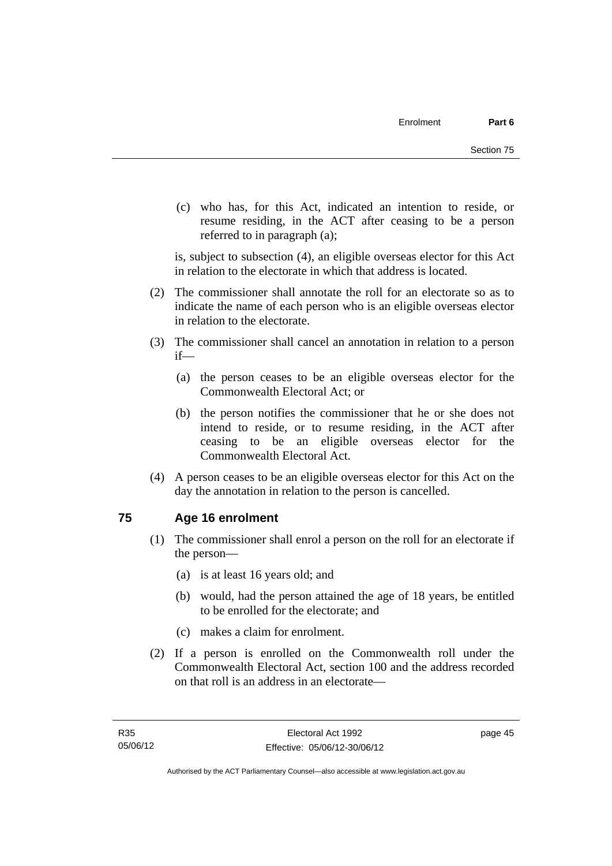(c) who has, for this Act, indicated an intention to reside, or resume residing, in the ACT after ceasing to be a person referred to in paragraph (a);

is, subject to subsection (4), an eligible overseas elector for this Act in relation to the electorate in which that address is located.

- (2) The commissioner shall annotate the roll for an electorate so as to indicate the name of each person who is an eligible overseas elector in relation to the electorate.
- (3) The commissioner shall cancel an annotation in relation to a person if—
	- (a) the person ceases to be an eligible overseas elector for the Commonwealth Electoral Act; or
	- (b) the person notifies the commissioner that he or she does not intend to reside, or to resume residing, in the ACT after ceasing to be an eligible overseas elector for the Commonwealth Electoral Act.
- (4) A person ceases to be an eligible overseas elector for this Act on the day the annotation in relation to the person is cancelled.

#### **75 Age 16 enrolment**

- (1) The commissioner shall enrol a person on the roll for an electorate if the person—
	- (a) is at least 16 years old; and
	- (b) would, had the person attained the age of 18 years, be entitled to be enrolled for the electorate; and
	- (c) makes a claim for enrolment.
- (2) If a person is enrolled on the Commonwealth roll under the Commonwealth Electoral Act, section 100 and the address recorded on that roll is an address in an electorate—

page 45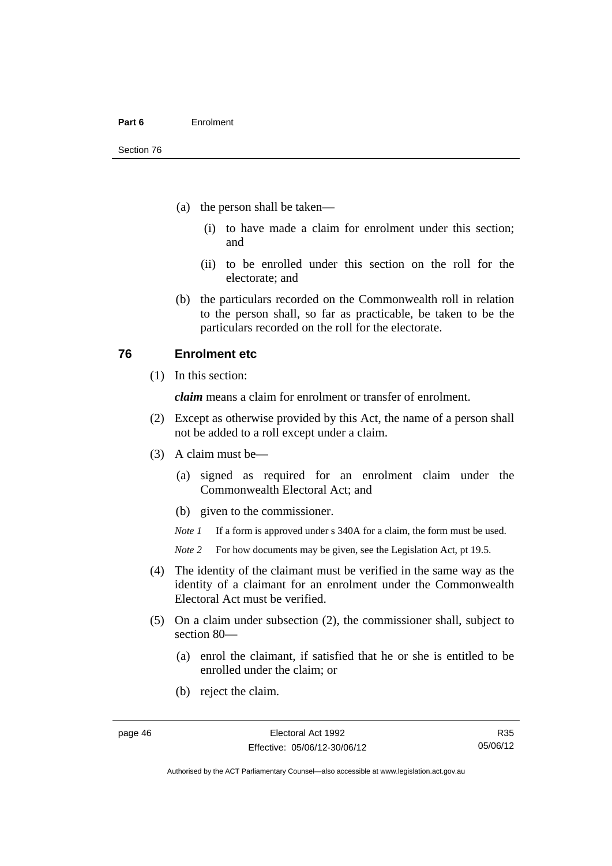- (a) the person shall be taken—
	- (i) to have made a claim for enrolment under this section; and
	- (ii) to be enrolled under this section on the roll for the electorate; and
- (b) the particulars recorded on the Commonwealth roll in relation to the person shall, so far as practicable, be taken to be the particulars recorded on the roll for the electorate.

#### **76 Enrolment etc**

(1) In this section:

*claim* means a claim for enrolment or transfer of enrolment.

- (2) Except as otherwise provided by this Act, the name of a person shall not be added to a roll except under a claim.
- (3) A claim must be—
	- (a) signed as required for an enrolment claim under the Commonwealth Electoral Act; and
	- (b) given to the commissioner.

*Note 1* If a form is approved under s 340A for a claim, the form must be used.

- *Note* 2 For how documents may be given, see the Legislation Act, pt 19.5.
- (4) The identity of the claimant must be verified in the same way as the identity of a claimant for an enrolment under the Commonwealth Electoral Act must be verified.
- (5) On a claim under subsection (2), the commissioner shall, subject to section 80—
	- (a) enrol the claimant, if satisfied that he or she is entitled to be enrolled under the claim; or
	- (b) reject the claim.

R35 05/06/12

Authorised by the ACT Parliamentary Counsel—also accessible at www.legislation.act.gov.au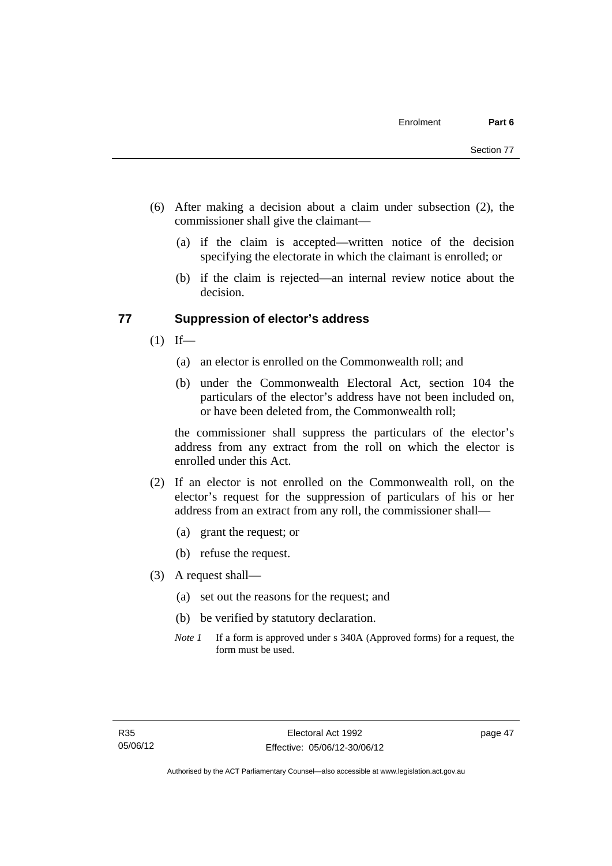- (6) After making a decision about a claim under subsection (2), the commissioner shall give the claimant—
	- (a) if the claim is accepted—written notice of the decision specifying the electorate in which the claimant is enrolled; or
	- (b) if the claim is rejected—an internal review notice about the decision.

#### **77 Suppression of elector's address**

- $(1)$  If—
	- (a) an elector is enrolled on the Commonwealth roll; and
	- (b) under the Commonwealth Electoral Act, section 104 the particulars of the elector's address have not been included on, or have been deleted from, the Commonwealth roll;

the commissioner shall suppress the particulars of the elector's address from any extract from the roll on which the elector is enrolled under this Act.

- (2) If an elector is not enrolled on the Commonwealth roll, on the elector's request for the suppression of particulars of his or her address from an extract from any roll, the commissioner shall—
	- (a) grant the request; or
	- (b) refuse the request.
- (3) A request shall—
	- (a) set out the reasons for the request; and
	- (b) be verified by statutory declaration.
	- *Note 1* If a form is approved under s 340A (Approved forms) for a request, the form must be used.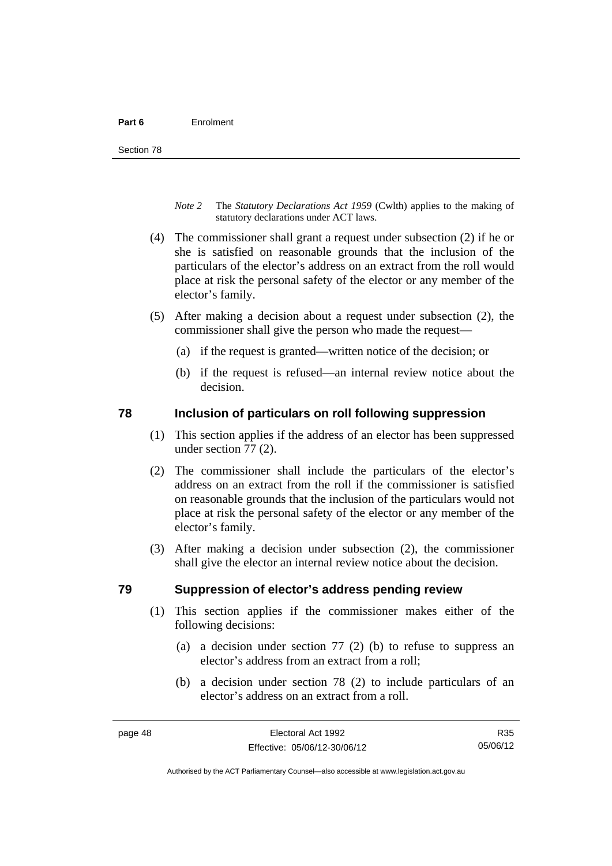- *Note 2* The *Statutory Declarations Act 1959* (Cwlth) applies to the making of statutory declarations under ACT laws.
- (4) The commissioner shall grant a request under subsection (2) if he or she is satisfied on reasonable grounds that the inclusion of the particulars of the elector's address on an extract from the roll would place at risk the personal safety of the elector or any member of the elector's family.
- (5) After making a decision about a request under subsection (2), the commissioner shall give the person who made the request—
	- (a) if the request is granted—written notice of the decision; or
	- (b) if the request is refused—an internal review notice about the decision.

#### **78 Inclusion of particulars on roll following suppression**

- (1) This section applies if the address of an elector has been suppressed under section 77 (2).
- (2) The commissioner shall include the particulars of the elector's address on an extract from the roll if the commissioner is satisfied on reasonable grounds that the inclusion of the particulars would not place at risk the personal safety of the elector or any member of the elector's family.
- (3) After making a decision under subsection (2), the commissioner shall give the elector an internal review notice about the decision.

#### **79 Suppression of elector's address pending review**

- (1) This section applies if the commissioner makes either of the following decisions:
	- (a) a decision under section 77 (2) (b) to refuse to suppress an elector's address from an extract from a roll;
	- (b) a decision under section 78 (2) to include particulars of an elector's address on an extract from a roll.

R35 05/06/12

Authorised by the ACT Parliamentary Counsel—also accessible at www.legislation.act.gov.au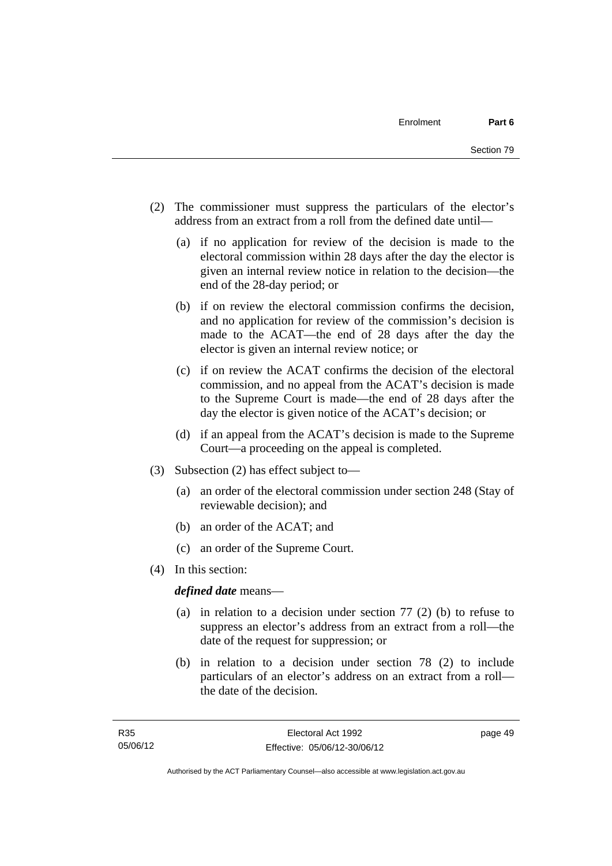- (2) The commissioner must suppress the particulars of the elector's address from an extract from a roll from the defined date until—
	- (a) if no application for review of the decision is made to the electoral commission within 28 days after the day the elector is given an internal review notice in relation to the decision—the end of the 28-day period; or
	- (b) if on review the electoral commission confirms the decision, and no application for review of the commission's decision is made to the ACAT—the end of 28 days after the day the elector is given an internal review notice; or
	- (c) if on review the ACAT confirms the decision of the electoral commission, and no appeal from the ACAT's decision is made to the Supreme Court is made—the end of 28 days after the day the elector is given notice of the ACAT's decision; or
	- (d) if an appeal from the ACAT's decision is made to the Supreme Court—a proceeding on the appeal is completed.
- (3) Subsection (2) has effect subject to—
	- (a) an order of the electoral commission under section 248 (Stay of reviewable decision); and
	- (b) an order of the ACAT; and
	- (c) an order of the Supreme Court.
- (4) In this section:

*defined date* means—

- (a) in relation to a decision under section 77 (2) (b) to refuse to suppress an elector's address from an extract from a roll—the date of the request for suppression; or
- (b) in relation to a decision under section 78 (2) to include particulars of an elector's address on an extract from a roll the date of the decision.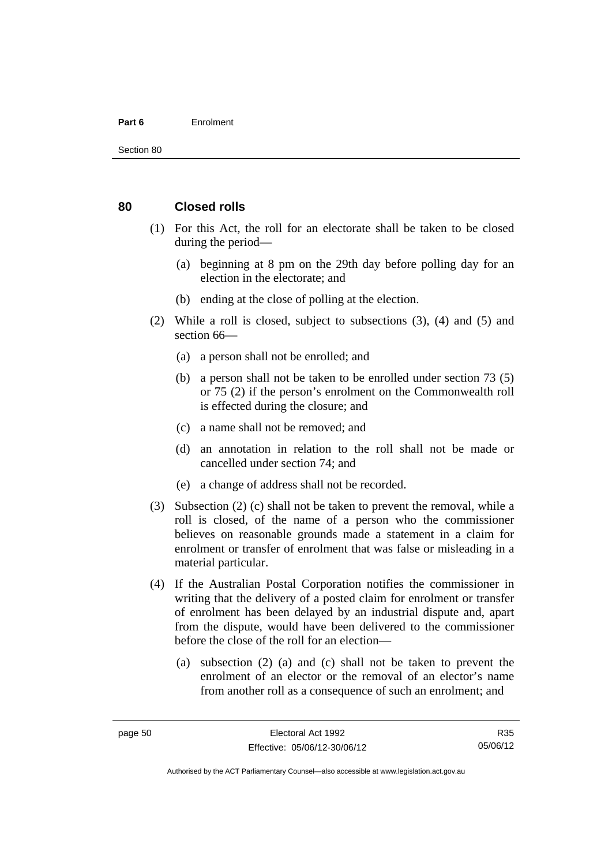#### **Part 6** Enrolment

#### **80 Closed rolls**

- (1) For this Act, the roll for an electorate shall be taken to be closed during the period—
	- (a) beginning at 8 pm on the 29th day before polling day for an election in the electorate; and
	- (b) ending at the close of polling at the election.
- (2) While a roll is closed, subject to subsections (3), (4) and (5) and section 66—
	- (a) a person shall not be enrolled; and
	- (b) a person shall not be taken to be enrolled under section 73 (5) or 75 (2) if the person's enrolment on the Commonwealth roll is effected during the closure; and
	- (c) a name shall not be removed; and
	- (d) an annotation in relation to the roll shall not be made or cancelled under section 74; and
	- (e) a change of address shall not be recorded.
- (3) Subsection (2) (c) shall not be taken to prevent the removal, while a roll is closed, of the name of a person who the commissioner believes on reasonable grounds made a statement in a claim for enrolment or transfer of enrolment that was false or misleading in a material particular.
- (4) If the Australian Postal Corporation notifies the commissioner in writing that the delivery of a posted claim for enrolment or transfer of enrolment has been delayed by an industrial dispute and, apart from the dispute, would have been delivered to the commissioner before the close of the roll for an election—
	- (a) subsection (2) (a) and (c) shall not be taken to prevent the enrolment of an elector or the removal of an elector's name from another roll as a consequence of such an enrolment; and

R35 05/06/12

Authorised by the ACT Parliamentary Counsel—also accessible at www.legislation.act.gov.au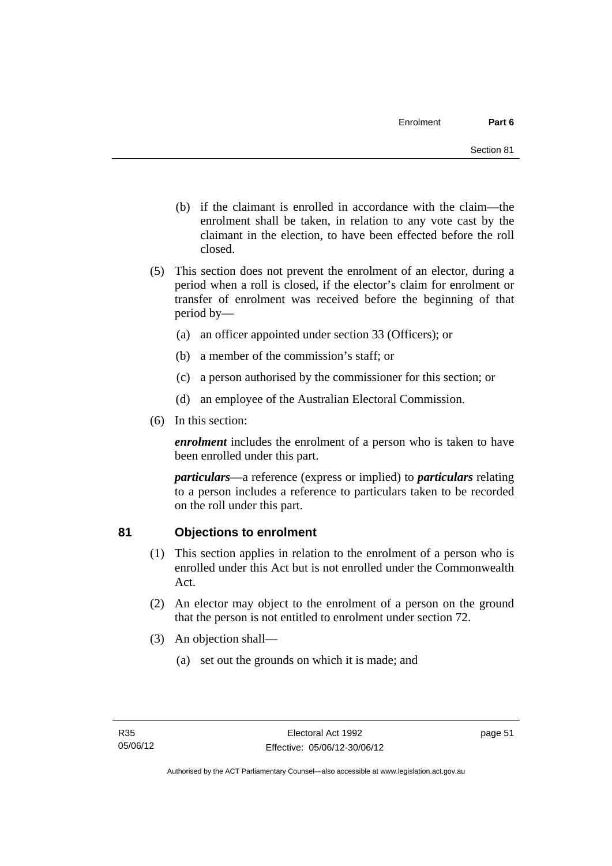- (b) if the claimant is enrolled in accordance with the claim—the enrolment shall be taken, in relation to any vote cast by the claimant in the election, to have been effected before the roll closed.
- (5) This section does not prevent the enrolment of an elector, during a period when a roll is closed, if the elector's claim for enrolment or transfer of enrolment was received before the beginning of that period by—
	- (a) an officer appointed under section 33 (Officers); or
	- (b) a member of the commission's staff; or
	- (c) a person authorised by the commissioner for this section; or
	- (d) an employee of the Australian Electoral Commission.
- (6) In this section:

*enrolment* includes the enrolment of a person who is taken to have been enrolled under this part.

*particulars*—a reference (express or implied) to *particulars* relating to a person includes a reference to particulars taken to be recorded on the roll under this part.

# **81 Objections to enrolment**

- (1) This section applies in relation to the enrolment of a person who is enrolled under this Act but is not enrolled under the Commonwealth Act.
- (2) An elector may object to the enrolment of a person on the ground that the person is not entitled to enrolment under section 72.
- (3) An objection shall—
	- (a) set out the grounds on which it is made; and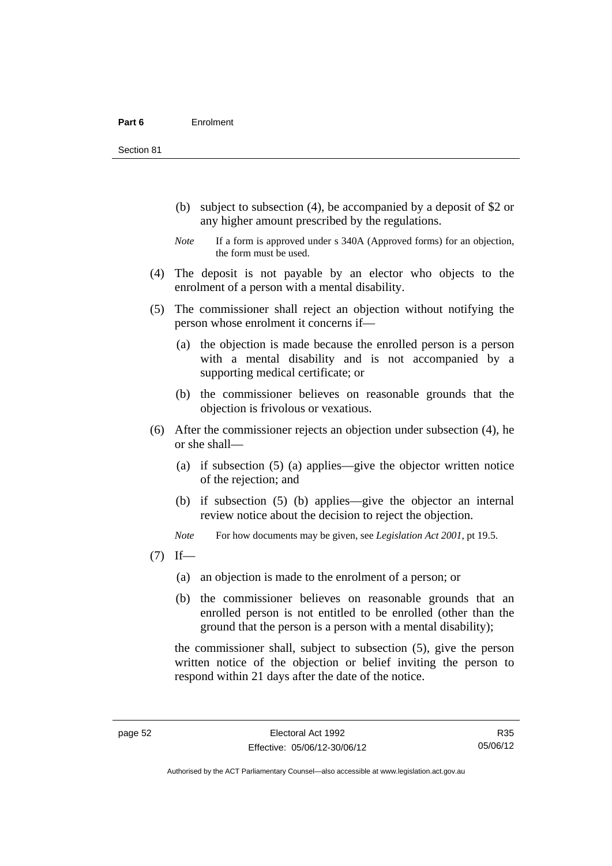Section 81

- (b) subject to subsection (4), be accompanied by a deposit of \$2 or any higher amount prescribed by the regulations.
- *Note* If a form is approved under s 340A (Approved forms) for an objection, the form must be used.
- (4) The deposit is not payable by an elector who objects to the enrolment of a person with a mental disability.
- (5) The commissioner shall reject an objection without notifying the person whose enrolment it concerns if—
	- (a) the objection is made because the enrolled person is a person with a mental disability and is not accompanied by a supporting medical certificate; or
	- (b) the commissioner believes on reasonable grounds that the objection is frivolous or vexatious.
- (6) After the commissioner rejects an objection under subsection (4), he or she shall—
	- (a) if subsection (5) (a) applies—give the objector written notice of the rejection; and
	- (b) if subsection (5) (b) applies—give the objector an internal review notice about the decision to reject the objection.

*Note* For how documents may be given, see *Legislation Act 2001*, pt 19.5.

- $(7)$  If—
	- (a) an objection is made to the enrolment of a person; or
	- (b) the commissioner believes on reasonable grounds that an enrolled person is not entitled to be enrolled (other than the ground that the person is a person with a mental disability);

the commissioner shall, subject to subsection (5), give the person written notice of the objection or belief inviting the person to respond within 21 days after the date of the notice.

R35 05/06/12

Authorised by the ACT Parliamentary Counsel—also accessible at www.legislation.act.gov.au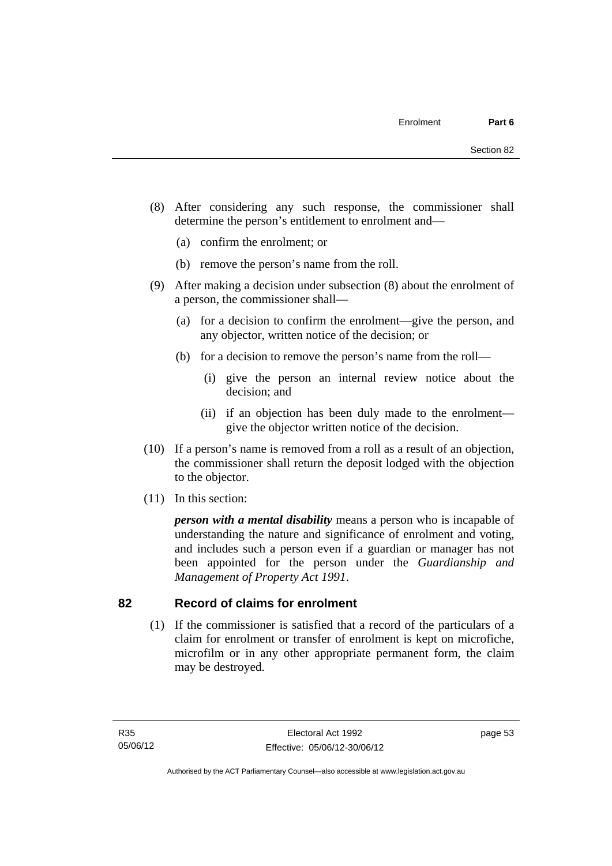- (8) After considering any such response, the commissioner shall determine the person's entitlement to enrolment and—
	- (a) confirm the enrolment; or
	- (b) remove the person's name from the roll.
- (9) After making a decision under subsection (8) about the enrolment of a person, the commissioner shall—
	- (a) for a decision to confirm the enrolment—give the person, and any objector, written notice of the decision; or
	- (b) for a decision to remove the person's name from the roll—
		- (i) give the person an internal review notice about the decision; and
		- (ii) if an objection has been duly made to the enrolment give the objector written notice of the decision.
- (10) If a person's name is removed from a roll as a result of an objection, the commissioner shall return the deposit lodged with the objection to the objector.
- (11) In this section:

*person with a mental disability* means a person who is incapable of understanding the nature and significance of enrolment and voting, and includes such a person even if a guardian or manager has not been appointed for the person under the *Guardianship and Management of Property Act 1991*.

#### **82 Record of claims for enrolment**

 (1) If the commissioner is satisfied that a record of the particulars of a claim for enrolment or transfer of enrolment is kept on microfiche, microfilm or in any other appropriate permanent form, the claim may be destroyed.

page 53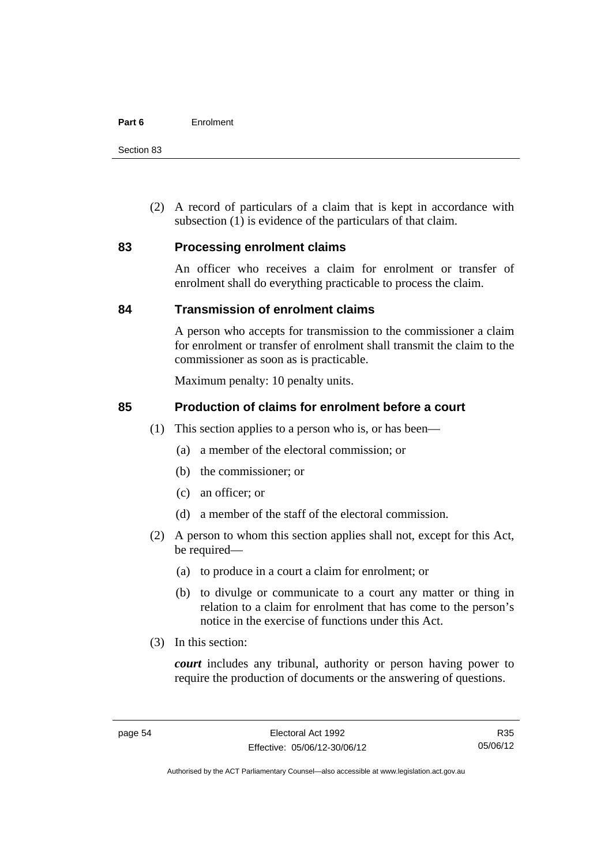Section 83

 (2) A record of particulars of a claim that is kept in accordance with subsection (1) is evidence of the particulars of that claim.

#### **83 Processing enrolment claims**

An officer who receives a claim for enrolment or transfer of enrolment shall do everything practicable to process the claim.

#### **84 Transmission of enrolment claims**

A person who accepts for transmission to the commissioner a claim for enrolment or transfer of enrolment shall transmit the claim to the commissioner as soon as is practicable.

Maximum penalty: 10 penalty units.

#### **85 Production of claims for enrolment before a court**

- (1) This section applies to a person who is, or has been—
	- (a) a member of the electoral commission; or
	- (b) the commissioner; or
	- (c) an officer; or
	- (d) a member of the staff of the electoral commission.
- (2) A person to whom this section applies shall not, except for this Act, be required—
	- (a) to produce in a court a claim for enrolment; or
	- (b) to divulge or communicate to a court any matter or thing in relation to a claim for enrolment that has come to the person's notice in the exercise of functions under this Act.
- (3) In this section:

*court* includes any tribunal, authority or person having power to require the production of documents or the answering of questions.

R35 05/06/12

Authorised by the ACT Parliamentary Counsel—also accessible at www.legislation.act.gov.au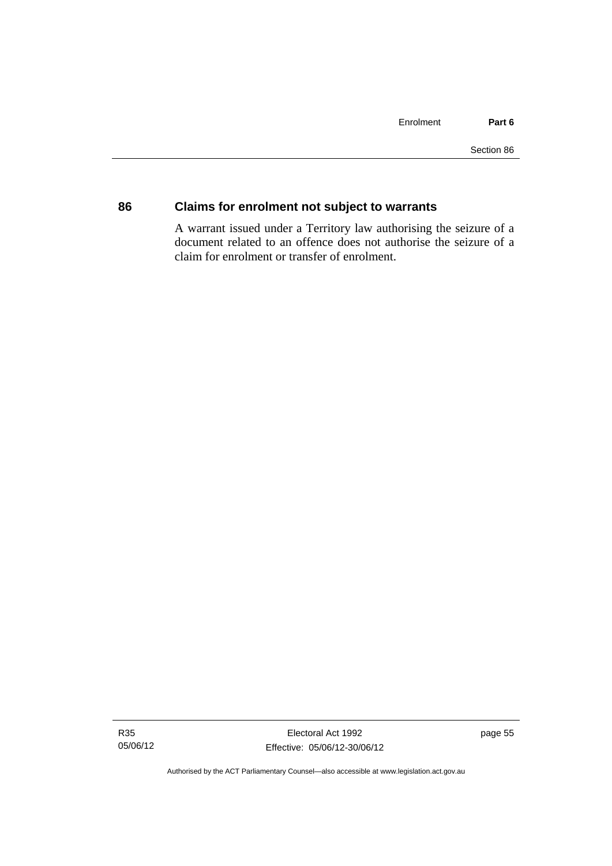## **86 Claims for enrolment not subject to warrants**

A warrant issued under a Territory law authorising the seizure of a document related to an offence does not authorise the seizure of a claim for enrolment or transfer of enrolment.

Authorised by the ACT Parliamentary Counsel—also accessible at www.legislation.act.gov.au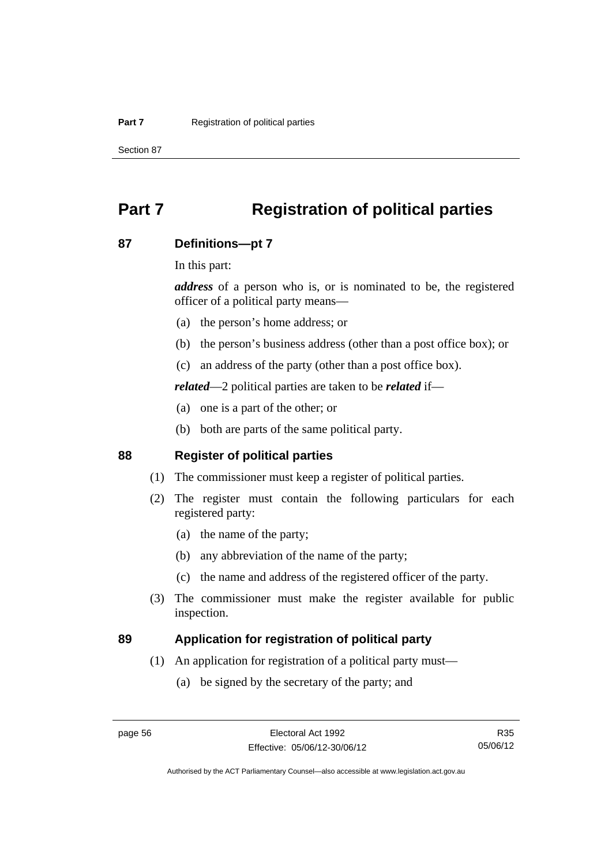Section 87

# **Part 7 Registration of political parties**

#### **87 Definitions—pt 7**

In this part:

*address* of a person who is, or is nominated to be, the registered officer of a political party means—

- (a) the person's home address; or
- (b) the person's business address (other than a post office box); or
- (c) an address of the party (other than a post office box).

*related*—2 political parties are taken to be *related* if—

- (a) one is a part of the other; or
- (b) both are parts of the same political party.

## **88 Register of political parties**

- (1) The commissioner must keep a register of political parties.
- (2) The register must contain the following particulars for each registered party:
	- (a) the name of the party;
	- (b) any abbreviation of the name of the party;
	- (c) the name and address of the registered officer of the party.
- (3) The commissioner must make the register available for public inspection.

#### **89 Application for registration of political party**

- (1) An application for registration of a political party must—
	- (a) be signed by the secretary of the party; and

R35 05/06/12

Authorised by the ACT Parliamentary Counsel—also accessible at www.legislation.act.gov.au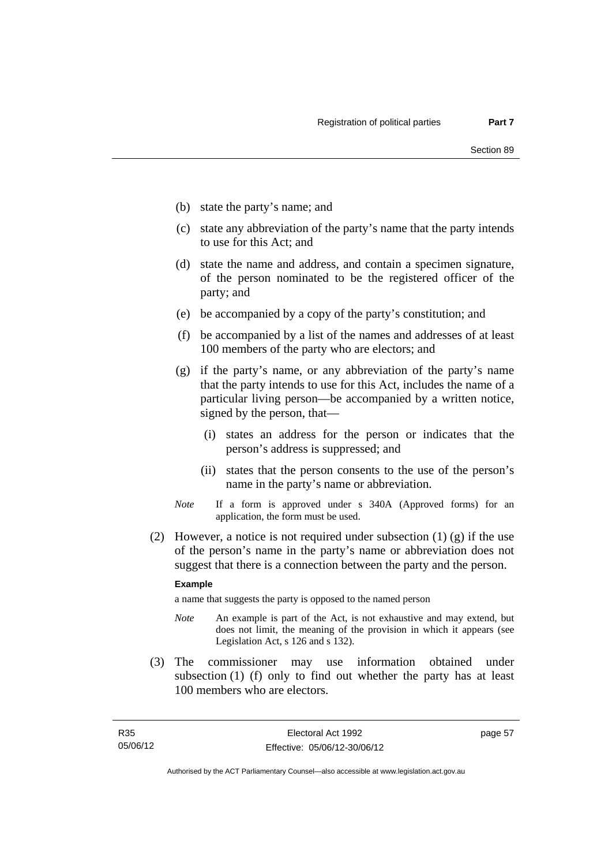- (b) state the party's name; and
- (c) state any abbreviation of the party's name that the party intends to use for this Act; and
- (d) state the name and address, and contain a specimen signature, of the person nominated to be the registered officer of the party; and
- (e) be accompanied by a copy of the party's constitution; and
- (f) be accompanied by a list of the names and addresses of at least 100 members of the party who are electors; and
- (g) if the party's name, or any abbreviation of the party's name that the party intends to use for this Act, includes the name of a particular living person—be accompanied by a written notice, signed by the person, that—
	- (i) states an address for the person or indicates that the person's address is suppressed; and
	- (ii) states that the person consents to the use of the person's name in the party's name or abbreviation.
- *Note* If a form is approved under s 340A (Approved forms) for an application, the form must be used.
- (2) However, a notice is not required under subsection  $(1)$  (g) if the use of the person's name in the party's name or abbreviation does not suggest that there is a connection between the party and the person.

#### **Example**

a name that suggests the party is opposed to the named person

- *Note* An example is part of the Act, is not exhaustive and may extend, but does not limit, the meaning of the provision in which it appears (see Legislation Act, s 126 and s 132).
- (3) The commissioner may use information obtained under subsection (1) (f) only to find out whether the party has at least 100 members who are electors.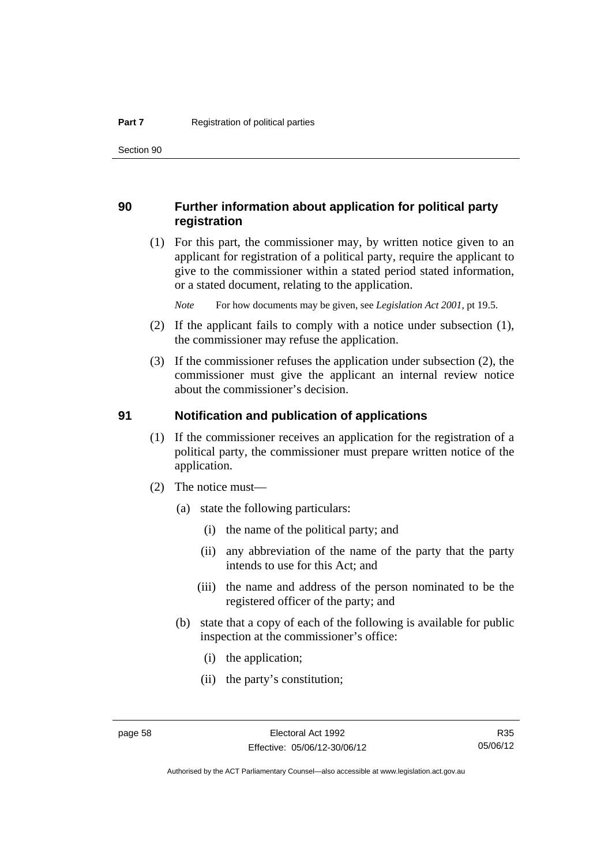Section 90

#### **90 Further information about application for political party registration**

 (1) For this part, the commissioner may, by written notice given to an applicant for registration of a political party, require the applicant to give to the commissioner within a stated period stated information, or a stated document, relating to the application.

*Note* For how documents may be given, see *Legislation Act 2001*, pt 19.5.

- (2) If the applicant fails to comply with a notice under subsection (1), the commissioner may refuse the application.
- (3) If the commissioner refuses the application under subsection (2), the commissioner must give the applicant an internal review notice about the commissioner's decision.

#### **91 Notification and publication of applications**

- (1) If the commissioner receives an application for the registration of a political party, the commissioner must prepare written notice of the application.
- (2) The notice must—
	- (a) state the following particulars:
		- (i) the name of the political party; and
		- (ii) any abbreviation of the name of the party that the party intends to use for this Act; and
		- (iii) the name and address of the person nominated to be the registered officer of the party; and
	- (b) state that a copy of each of the following is available for public inspection at the commissioner's office:
		- (i) the application;
		- (ii) the party's constitution;

Authorised by the ACT Parliamentary Counsel—also accessible at www.legislation.act.gov.au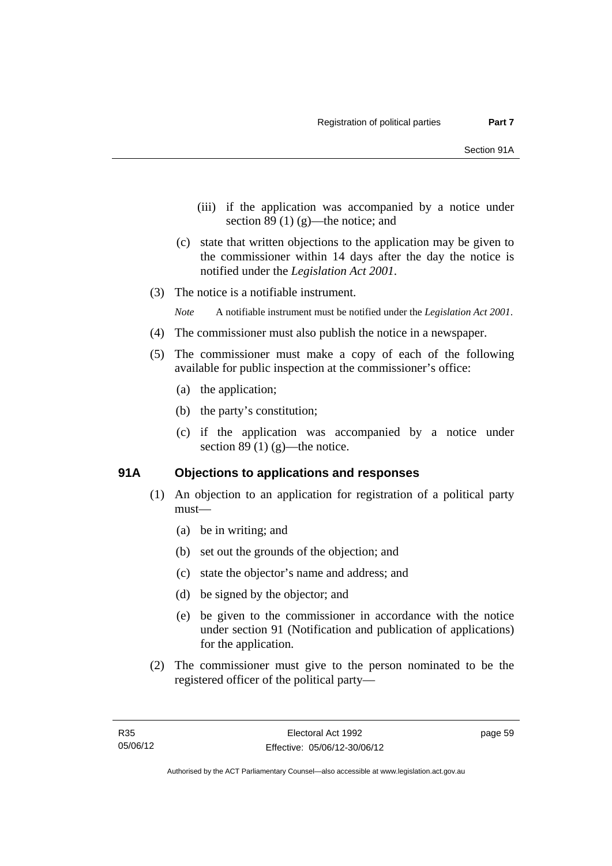- (iii) if the application was accompanied by a notice under section 89 $(1)$  $(g)$ —the notice; and
- (c) state that written objections to the application may be given to the commissioner within 14 days after the day the notice is notified under the *Legislation Act 2001*.
- (3) The notice is a notifiable instrument.

*Note* A notifiable instrument must be notified under the *Legislation Act 2001*.

- (4) The commissioner must also publish the notice in a newspaper.
- (5) The commissioner must make a copy of each of the following available for public inspection at the commissioner's office:
	- (a) the application;
	- (b) the party's constitution;
	- (c) if the application was accompanied by a notice under section 89 (1)  $(g)$ —the notice.

#### **91A Objections to applications and responses**

- (1) An objection to an application for registration of a political party must—
	- (a) be in writing; and
	- (b) set out the grounds of the objection; and
	- (c) state the objector's name and address; and
	- (d) be signed by the objector; and
	- (e) be given to the commissioner in accordance with the notice under section 91 (Notification and publication of applications) for the application.
- (2) The commissioner must give to the person nominated to be the registered officer of the political party—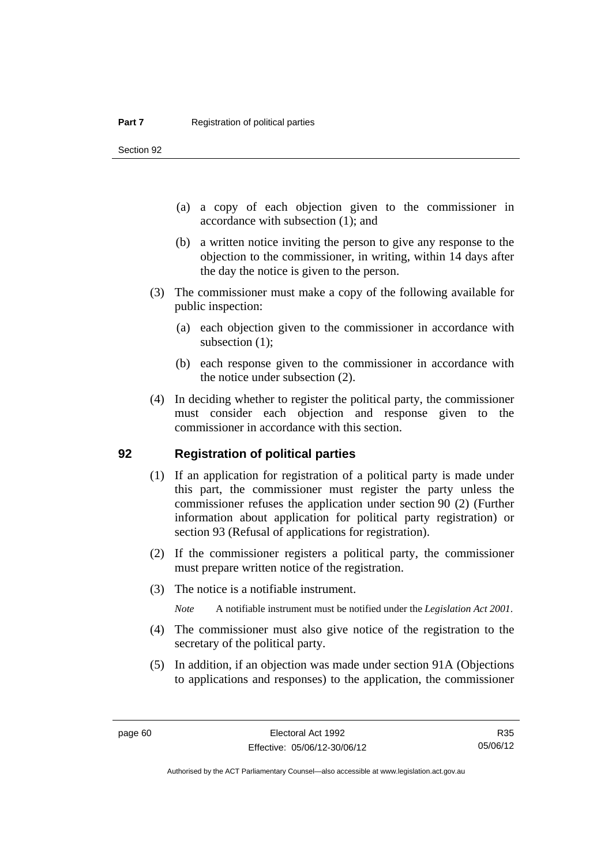Section 92

- (a) a copy of each objection given to the commissioner in accordance with subsection (1); and
- (b) a written notice inviting the person to give any response to the objection to the commissioner, in writing, within 14 days after the day the notice is given to the person.
- (3) The commissioner must make a copy of the following available for public inspection:
	- (a) each objection given to the commissioner in accordance with subsection (1);
	- (b) each response given to the commissioner in accordance with the notice under subsection (2).
- (4) In deciding whether to register the political party, the commissioner must consider each objection and response given to the commissioner in accordance with this section.

#### **92 Registration of political parties**

- (1) If an application for registration of a political party is made under this part, the commissioner must register the party unless the commissioner refuses the application under section 90 (2) (Further information about application for political party registration) or section 93 (Refusal of applications for registration).
- (2) If the commissioner registers a political party, the commissioner must prepare written notice of the registration.
- (3) The notice is a notifiable instrument.

*Note* A notifiable instrument must be notified under the *Legislation Act 2001*.

- (4) The commissioner must also give notice of the registration to the secretary of the political party.
- (5) In addition, if an objection was made under section 91A (Objections to applications and responses) to the application, the commissioner

R35 05/06/12

Authorised by the ACT Parliamentary Counsel—also accessible at www.legislation.act.gov.au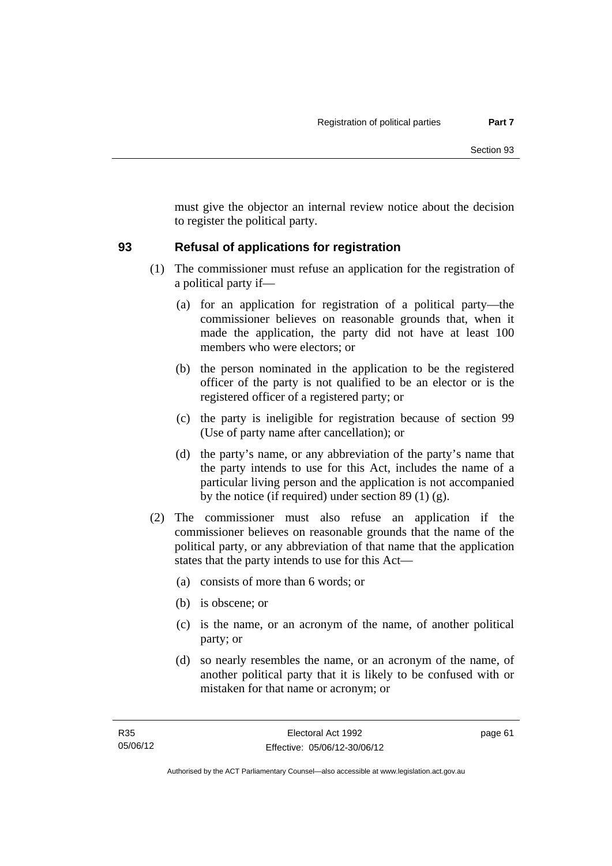must give the objector an internal review notice about the decision to register the political party.

## **93 Refusal of applications for registration**

- (1) The commissioner must refuse an application for the registration of a political party if—
	- (a) for an application for registration of a political party—the commissioner believes on reasonable grounds that, when it made the application, the party did not have at least 100 members who were electors; or
	- (b) the person nominated in the application to be the registered officer of the party is not qualified to be an elector or is the registered officer of a registered party; or
	- (c) the party is ineligible for registration because of section 99 (Use of party name after cancellation); or
	- (d) the party's name, or any abbreviation of the party's name that the party intends to use for this Act, includes the name of a particular living person and the application is not accompanied by the notice (if required) under section 89 (1) (g).
- (2) The commissioner must also refuse an application if the commissioner believes on reasonable grounds that the name of the political party, or any abbreviation of that name that the application states that the party intends to use for this Act—
	- (a) consists of more than 6 words; or
	- (b) is obscene; or
	- (c) is the name, or an acronym of the name, of another political party; or
	- (d) so nearly resembles the name, or an acronym of the name, of another political party that it is likely to be confused with or mistaken for that name or acronym; or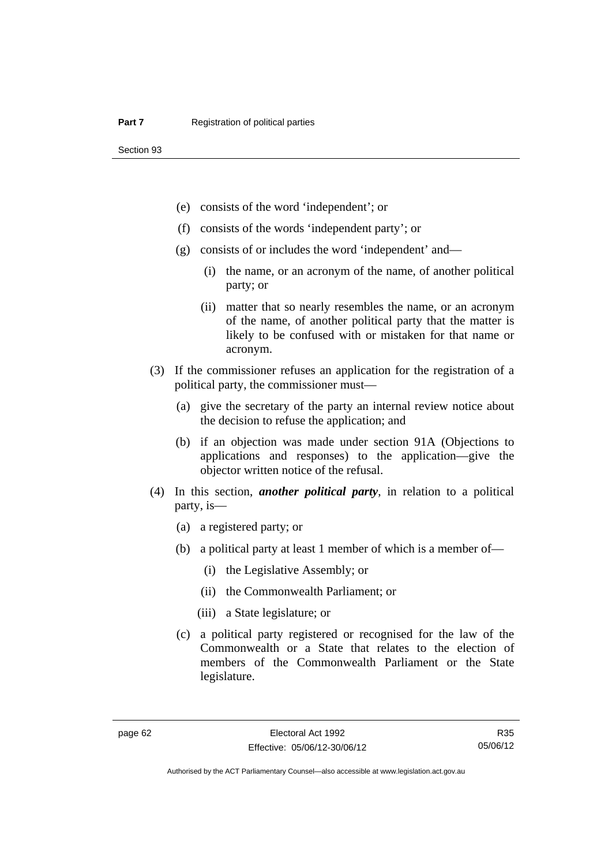- (e) consists of the word 'independent'; or
- (f) consists of the words 'independent party'; or
- (g) consists of or includes the word 'independent' and—
	- (i) the name, or an acronym of the name, of another political party; or
	- (ii) matter that so nearly resembles the name, or an acronym of the name, of another political party that the matter is likely to be confused with or mistaken for that name or acronym.
- (3) If the commissioner refuses an application for the registration of a political party, the commissioner must—
	- (a) give the secretary of the party an internal review notice about the decision to refuse the application; and
	- (b) if an objection was made under section 91A (Objections to applications and responses) to the application—give the objector written notice of the refusal.
- (4) In this section, *another political party*, in relation to a political party, is—
	- (a) a registered party; or
	- (b) a political party at least 1 member of which is a member of—
		- (i) the Legislative Assembly; or
		- (ii) the Commonwealth Parliament; or
		- (iii) a State legislature; or
	- (c) a political party registered or recognised for the law of the Commonwealth or a State that relates to the election of members of the Commonwealth Parliament or the State legislature.

R35 05/06/12

Authorised by the ACT Parliamentary Counsel—also accessible at www.legislation.act.gov.au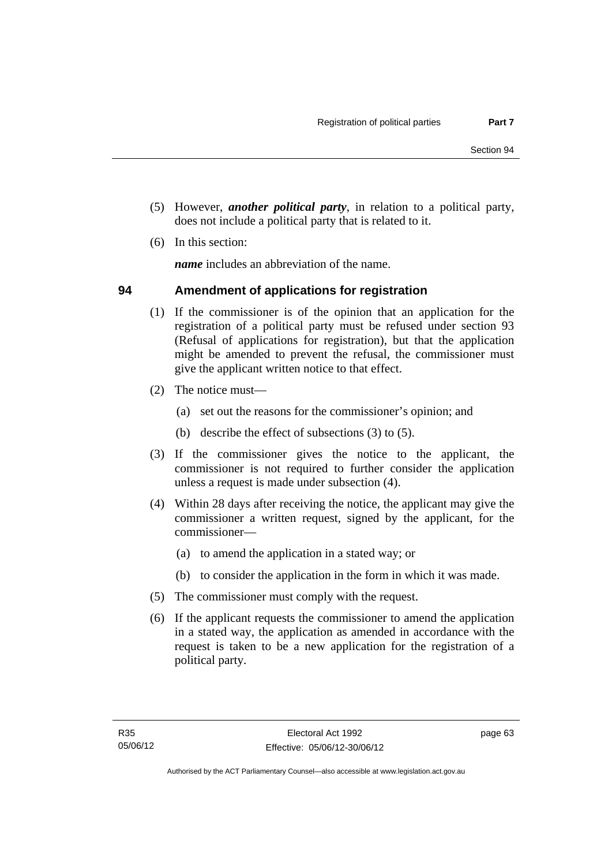- (5) However, *another political party*, in relation to a political party, does not include a political party that is related to it.
- (6) In this section:

*name* includes an abbreviation of the name.

#### **94 Amendment of applications for registration**

- (1) If the commissioner is of the opinion that an application for the registration of a political party must be refused under section 93 (Refusal of applications for registration), but that the application might be amended to prevent the refusal, the commissioner must give the applicant written notice to that effect.
- (2) The notice must—
	- (a) set out the reasons for the commissioner's opinion; and
	- (b) describe the effect of subsections (3) to (5).
- (3) If the commissioner gives the notice to the applicant, the commissioner is not required to further consider the application unless a request is made under subsection (4).
- (4) Within 28 days after receiving the notice, the applicant may give the commissioner a written request, signed by the applicant, for the commissioner—
	- (a) to amend the application in a stated way; or
	- (b) to consider the application in the form in which it was made.
- (5) The commissioner must comply with the request.
- (6) If the applicant requests the commissioner to amend the application in a stated way, the application as amended in accordance with the request is taken to be a new application for the registration of a political party.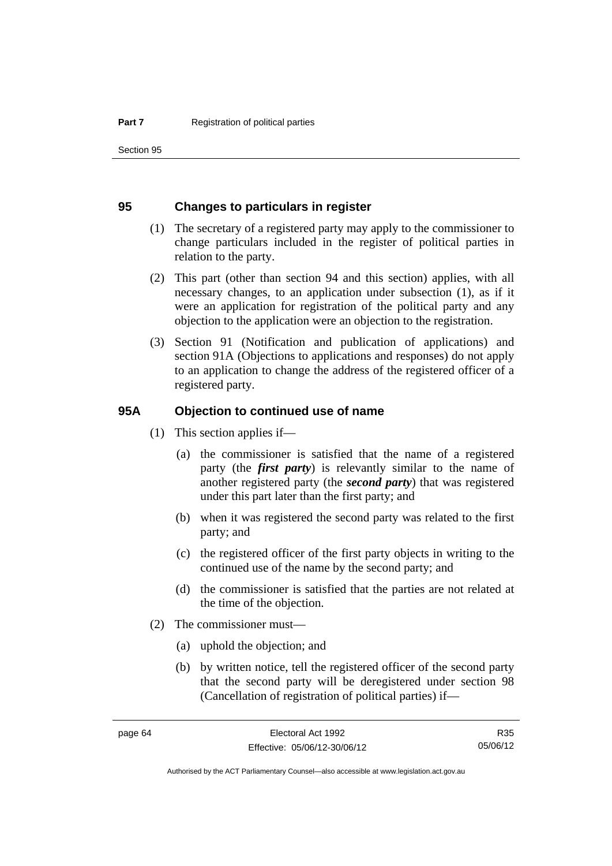Section 95

#### **95 Changes to particulars in register**

- (1) The secretary of a registered party may apply to the commissioner to change particulars included in the register of political parties in relation to the party.
- (2) This part (other than section 94 and this section) applies, with all necessary changes, to an application under subsection (1), as if it were an application for registration of the political party and any objection to the application were an objection to the registration.
- (3) Section 91 (Notification and publication of applications) and section 91A (Objections to applications and responses) do not apply to an application to change the address of the registered officer of a registered party.

#### **95A Objection to continued use of name**

- (1) This section applies if—
	- (a) the commissioner is satisfied that the name of a registered party (the *first party*) is relevantly similar to the name of another registered party (the *second party*) that was registered under this part later than the first party; and
	- (b) when it was registered the second party was related to the first party; and
	- (c) the registered officer of the first party objects in writing to the continued use of the name by the second party; and
	- (d) the commissioner is satisfied that the parties are not related at the time of the objection.
- (2) The commissioner must—
	- (a) uphold the objection; and
	- (b) by written notice, tell the registered officer of the second party that the second party will be deregistered under section 98 (Cancellation of registration of political parties) if—

R35 05/06/12

Authorised by the ACT Parliamentary Counsel—also accessible at www.legislation.act.gov.au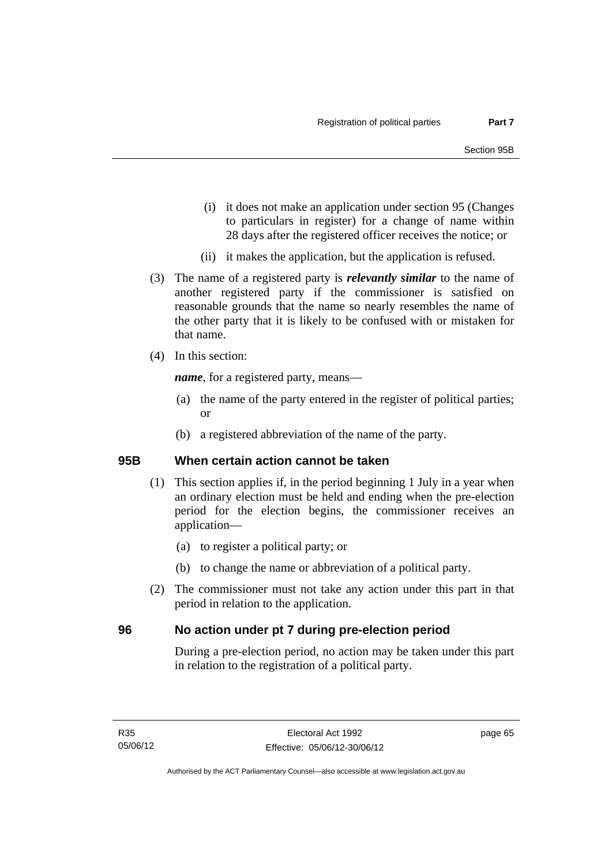- (i) it does not make an application under section 95 (Changes to particulars in register) for a change of name within 28 days after the registered officer receives the notice; or
- (ii) it makes the application, but the application is refused.
- (3) The name of a registered party is *relevantly similar* to the name of another registered party if the commissioner is satisfied on reasonable grounds that the name so nearly resembles the name of the other party that it is likely to be confused with or mistaken for that name.
- (4) In this section:

*name*, for a registered party, means—

- (a) the name of the party entered in the register of political parties; or
- (b) a registered abbreviation of the name of the party.

## **95B When certain action cannot be taken**

- (1) This section applies if, in the period beginning 1 July in a year when an ordinary election must be held and ending when the pre-election period for the election begins, the commissioner receives an application—
	- (a) to register a political party; or
	- (b) to change the name or abbreviation of a political party.
- (2) The commissioner must not take any action under this part in that period in relation to the application.

## **96 No action under pt 7 during pre-election period**

During a pre-election period, no action may be taken under this part in relation to the registration of a political party.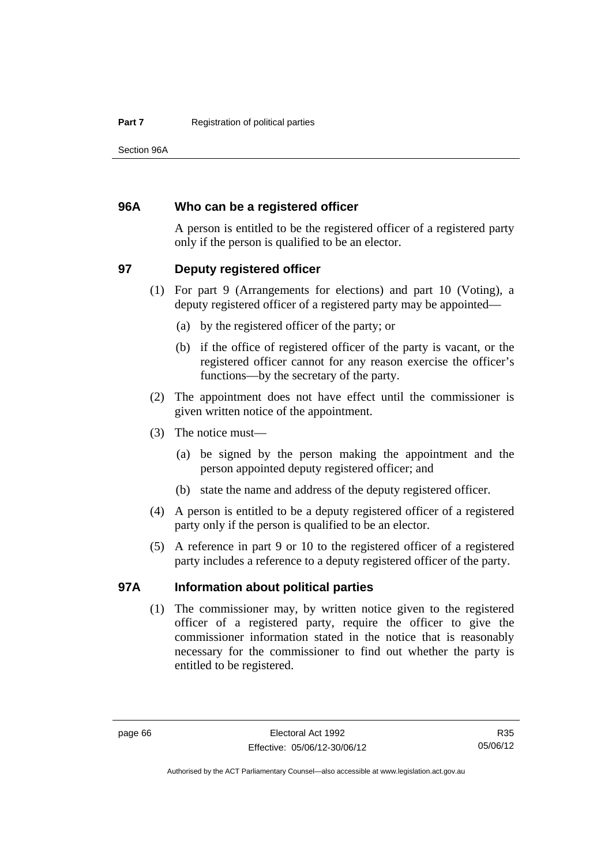Section 96A

#### **96A Who can be a registered officer**

A person is entitled to be the registered officer of a registered party only if the person is qualified to be an elector.

#### **97 Deputy registered officer**

- (1) For part 9 (Arrangements for elections) and part 10 (Voting), a deputy registered officer of a registered party may be appointed—
	- (a) by the registered officer of the party; or
	- (b) if the office of registered officer of the party is vacant, or the registered officer cannot for any reason exercise the officer's functions—by the secretary of the party.
- (2) The appointment does not have effect until the commissioner is given written notice of the appointment.
- (3) The notice must—
	- (a) be signed by the person making the appointment and the person appointed deputy registered officer; and
	- (b) state the name and address of the deputy registered officer.
- (4) A person is entitled to be a deputy registered officer of a registered party only if the person is qualified to be an elector.
- (5) A reference in part 9 or 10 to the registered officer of a registered party includes a reference to a deputy registered officer of the party.

#### **97A Information about political parties**

 (1) The commissioner may, by written notice given to the registered officer of a registered party, require the officer to give the commissioner information stated in the notice that is reasonably necessary for the commissioner to find out whether the party is entitled to be registered.

Authorised by the ACT Parliamentary Counsel—also accessible at www.legislation.act.gov.au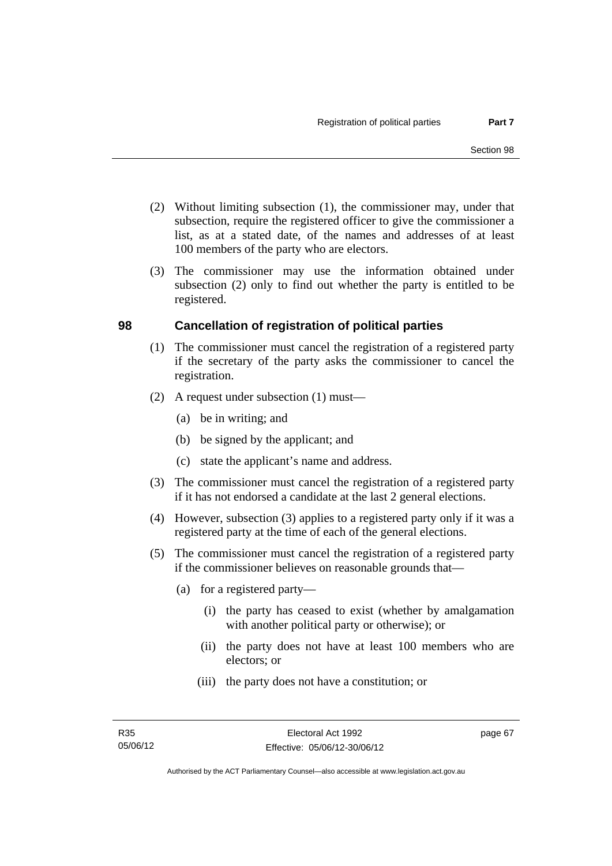- (2) Without limiting subsection (1), the commissioner may, under that subsection, require the registered officer to give the commissioner a list, as at a stated date, of the names and addresses of at least 100 members of the party who are electors.
- (3) The commissioner may use the information obtained under subsection (2) only to find out whether the party is entitled to be registered.

## **98 Cancellation of registration of political parties**

- (1) The commissioner must cancel the registration of a registered party if the secretary of the party asks the commissioner to cancel the registration.
- (2) A request under subsection (1) must—
	- (a) be in writing; and
	- (b) be signed by the applicant; and
	- (c) state the applicant's name and address.
- (3) The commissioner must cancel the registration of a registered party if it has not endorsed a candidate at the last 2 general elections.
- (4) However, subsection (3) applies to a registered party only if it was a registered party at the time of each of the general elections.
- (5) The commissioner must cancel the registration of a registered party if the commissioner believes on reasonable grounds that—
	- (a) for a registered party—
		- (i) the party has ceased to exist (whether by amalgamation with another political party or otherwise); or
		- (ii) the party does not have at least 100 members who are electors; or
		- (iii) the party does not have a constitution; or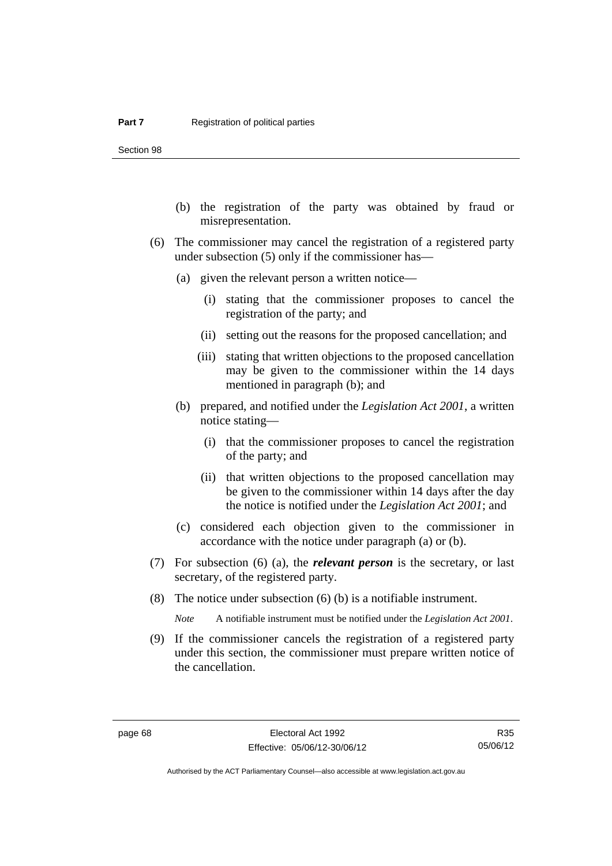Section 98

- (b) the registration of the party was obtained by fraud or misrepresentation.
- (6) The commissioner may cancel the registration of a registered party under subsection (5) only if the commissioner has—
	- (a) given the relevant person a written notice—
		- (i) stating that the commissioner proposes to cancel the registration of the party; and
		- (ii) setting out the reasons for the proposed cancellation; and
		- (iii) stating that written objections to the proposed cancellation may be given to the commissioner within the 14 days mentioned in paragraph (b); and
	- (b) prepared, and notified under the *Legislation Act 2001*, a written notice stating—
		- (i) that the commissioner proposes to cancel the registration of the party; and
		- (ii) that written objections to the proposed cancellation may be given to the commissioner within 14 days after the day the notice is notified under the *Legislation Act 2001*; and
	- (c) considered each objection given to the commissioner in accordance with the notice under paragraph (a) or (b).
- (7) For subsection (6) (a), the *relevant person* is the secretary, or last secretary, of the registered party.
- (8) The notice under subsection (6) (b) is a notifiable instrument.

*Note* A notifiable instrument must be notified under the *Legislation Act 2001*.

 (9) If the commissioner cancels the registration of a registered party under this section, the commissioner must prepare written notice of the cancellation.

R35 05/06/12

Authorised by the ACT Parliamentary Counsel—also accessible at www.legislation.act.gov.au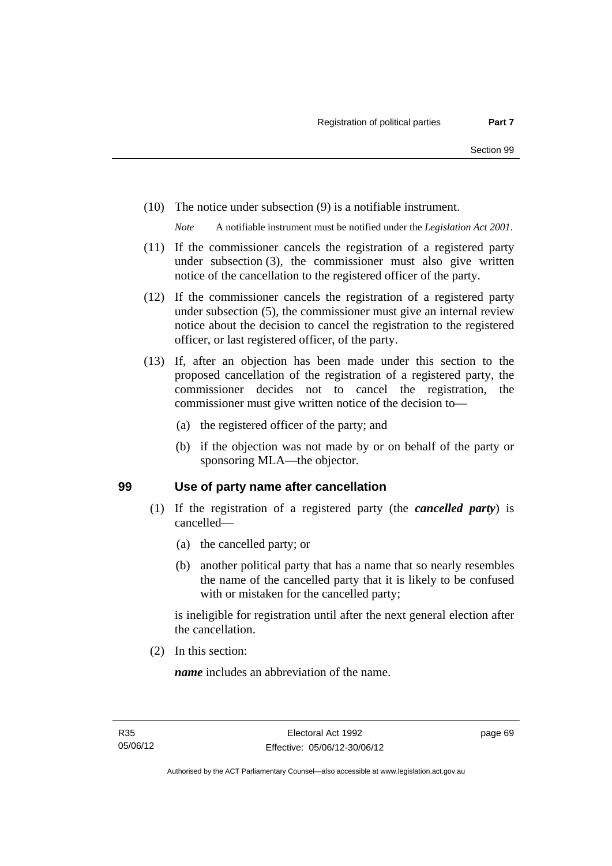(10) The notice under subsection (9) is a notifiable instrument.

*Note* A notifiable instrument must be notified under the *Legislation Act 2001*.

- (11) If the commissioner cancels the registration of a registered party under subsection (3), the commissioner must also give written notice of the cancellation to the registered officer of the party.
- (12) If the commissioner cancels the registration of a registered party under subsection (5), the commissioner must give an internal review notice about the decision to cancel the registration to the registered officer, or last registered officer, of the party.
- (13) If, after an objection has been made under this section to the proposed cancellation of the registration of a registered party, the commissioner decides not to cancel the registration, the commissioner must give written notice of the decision to—
	- (a) the registered officer of the party; and
	- (b) if the objection was not made by or on behalf of the party or sponsoring MLA—the objector.

#### **99 Use of party name after cancellation**

- (1) If the registration of a registered party (the *cancelled party*) is cancelled—
	- (a) the cancelled party; or
	- (b) another political party that has a name that so nearly resembles the name of the cancelled party that it is likely to be confused with or mistaken for the cancelled party;

is ineligible for registration until after the next general election after the cancellation.

(2) In this section:

*name* includes an abbreviation of the name.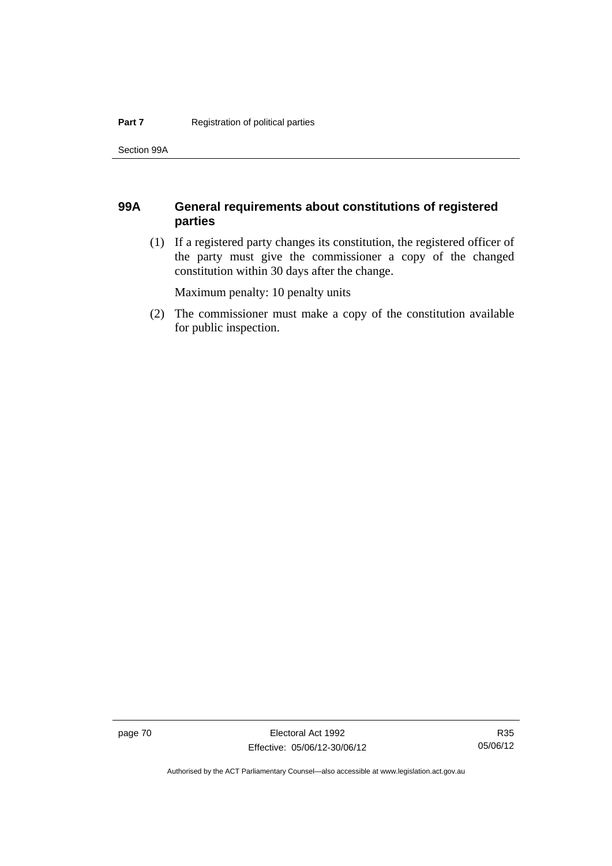Section 99A

## **99A General requirements about constitutions of registered parties**

 (1) If a registered party changes its constitution, the registered officer of the party must give the commissioner a copy of the changed constitution within 30 days after the change.

Maximum penalty: 10 penalty units

 (2) The commissioner must make a copy of the constitution available for public inspection.

page 70 Electoral Act 1992 Effective: 05/06/12-30/06/12

R35 05/06/12

Authorised by the ACT Parliamentary Counsel—also accessible at www.legislation.act.gov.au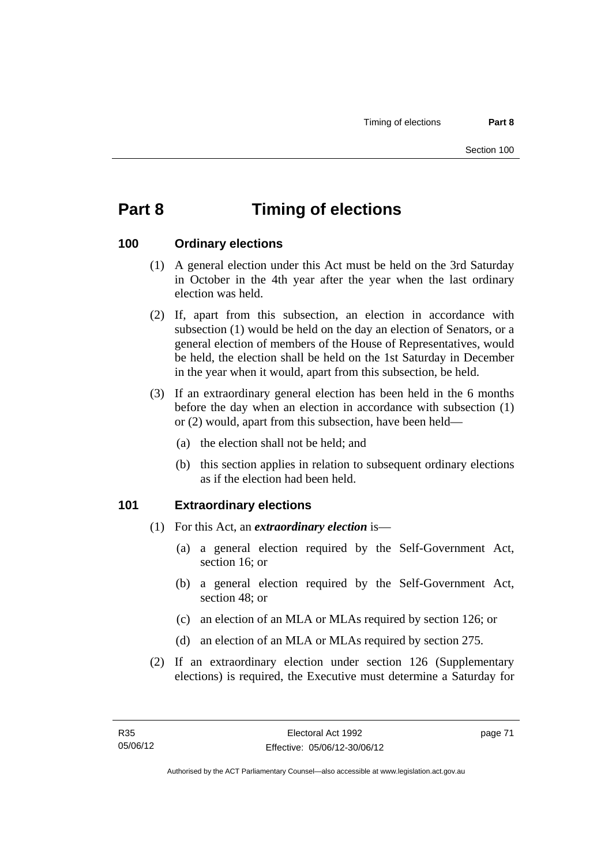# **Part 8 Timing of elections**

#### **100 Ordinary elections**

- (1) A general election under this Act must be held on the 3rd Saturday in October in the 4th year after the year when the last ordinary election was held.
- (2) If, apart from this subsection, an election in accordance with subsection (1) would be held on the day an election of Senators, or a general election of members of the House of Representatives, would be held, the election shall be held on the 1st Saturday in December in the year when it would, apart from this subsection, be held.
- (3) If an extraordinary general election has been held in the 6 months before the day when an election in accordance with subsection (1) or (2) would, apart from this subsection, have been held—
	- (a) the election shall not be held; and
	- (b) this section applies in relation to subsequent ordinary elections as if the election had been held.

#### **101 Extraordinary elections**

- (1) For this Act, an *extraordinary election* is—
	- (a) a general election required by the Self-Government Act, section 16; or
	- (b) a general election required by the Self-Government Act, section 48; or
	- (c) an election of an MLA or MLAs required by section 126; or
	- (d) an election of an MLA or MLAs required by section 275.
- (2) If an extraordinary election under section 126 (Supplementary elections) is required, the Executive must determine a Saturday for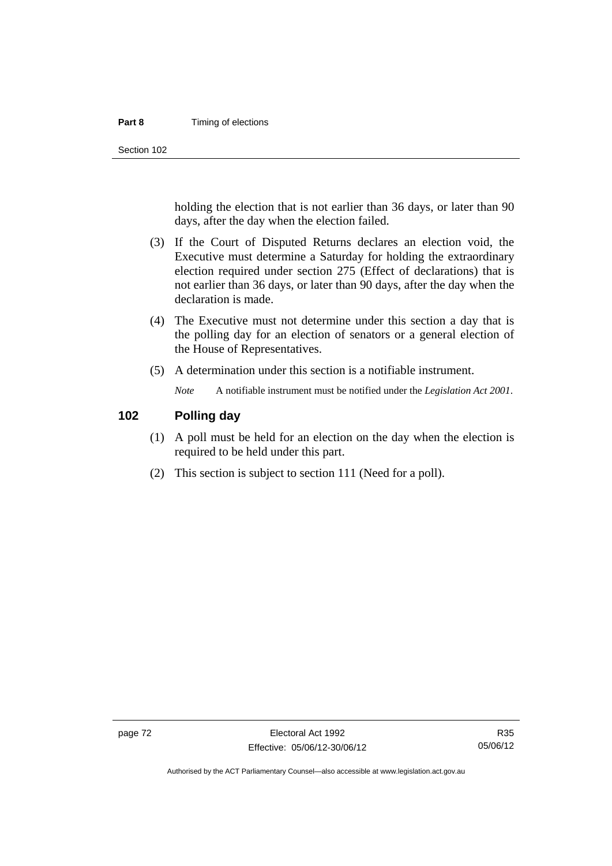#### **Part 8 Timing of elections**

Section 102

holding the election that is not earlier than 36 days, or later than 90 days, after the day when the election failed.

- (3) If the Court of Disputed Returns declares an election void, the Executive must determine a Saturday for holding the extraordinary election required under section 275 (Effect of declarations) that is not earlier than 36 days, or later than 90 days, after the day when the declaration is made.
- (4) The Executive must not determine under this section a day that is the polling day for an election of senators or a general election of the House of Representatives.
- (5) A determination under this section is a notifiable instrument.

*Note* A notifiable instrument must be notified under the *Legislation Act 2001*.

#### **102 Polling day**

- (1) A poll must be held for an election on the day when the election is required to be held under this part.
- (2) This section is subject to section 111 (Need for a poll).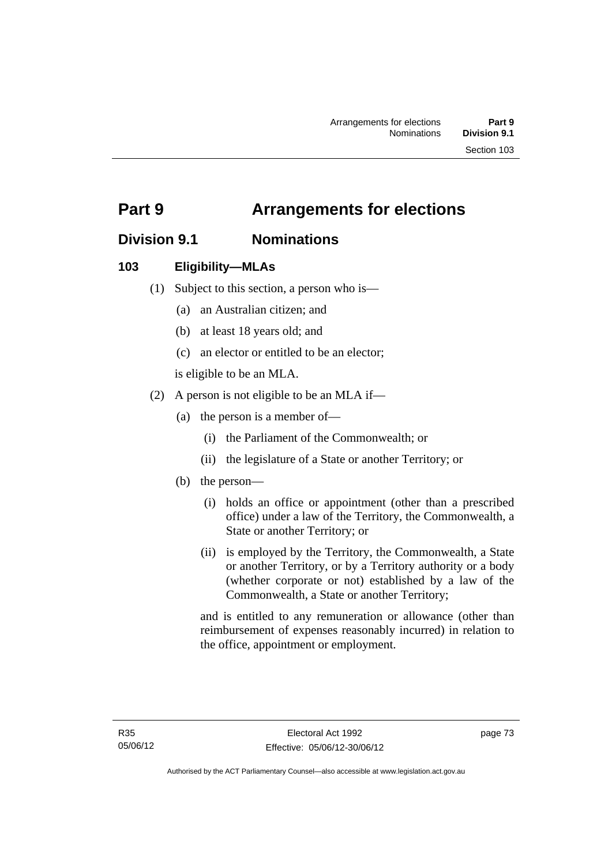# **Part 9 Arrangements for elections**

## **Division 9.1 Nominations**

## **103 Eligibility—MLAs**

- (1) Subject to this section, a person who is—
	- (a) an Australian citizen; and
	- (b) at least 18 years old; and
	- (c) an elector or entitled to be an elector;

is eligible to be an MLA.

- (2) A person is not eligible to be an MLA if—
	- (a) the person is a member of—
		- (i) the Parliament of the Commonwealth; or
		- (ii) the legislature of a State or another Territory; or
	- (b) the person—
		- (i) holds an office or appointment (other than a prescribed office) under a law of the Territory, the Commonwealth, a State or another Territory; or
		- (ii) is employed by the Territory, the Commonwealth, a State or another Territory, or by a Territory authority or a body (whether corporate or not) established by a law of the Commonwealth, a State or another Territory;

and is entitled to any remuneration or allowance (other than reimbursement of expenses reasonably incurred) in relation to the office, appointment or employment.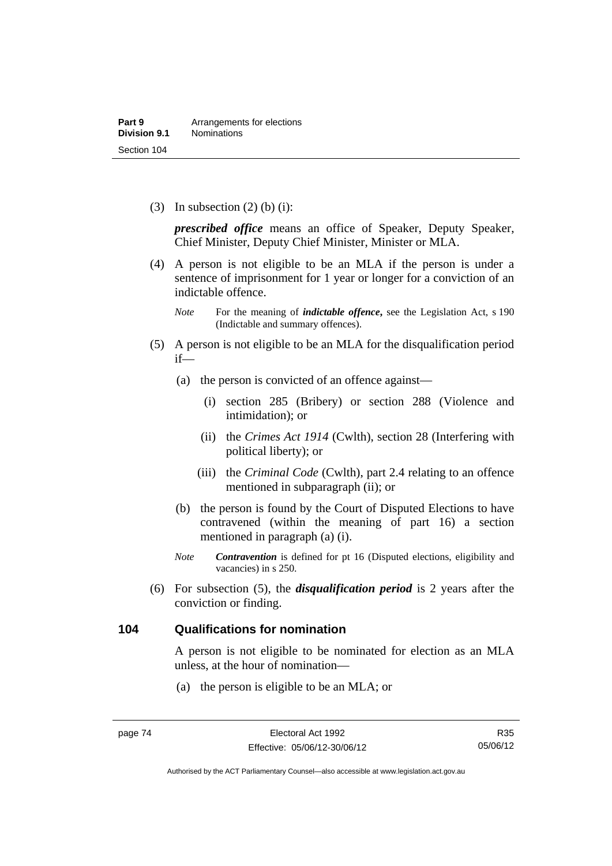(3) In subsection  $(2)$  (b) (i):

*prescribed office* means an office of Speaker, Deputy Speaker, Chief Minister, Deputy Chief Minister, Minister or MLA.

 (4) A person is not eligible to be an MLA if the person is under a sentence of imprisonment for 1 year or longer for a conviction of an indictable offence.

- (5) A person is not eligible to be an MLA for the disqualification period if—
	- (a) the person is convicted of an offence against—
		- (i) section 285 (Bribery) or section 288 (Violence and intimidation); or
		- (ii) the *Crimes Act 1914* (Cwlth), section 28 (Interfering with political liberty); or
		- (iii) the *Criminal Code* (Cwlth), part 2.4 relating to an offence mentioned in subparagraph (ii); or
	- (b) the person is found by the Court of Disputed Elections to have contravened (within the meaning of part 16) a section mentioned in paragraph (a) (i).
	- *Note Contravention* is defined for pt 16 (Disputed elections, eligibility and vacancies) in s 250.
- (6) For subsection (5), the *disqualification period* is 2 years after the conviction or finding.

#### **104 Qualifications for nomination**

A person is not eligible to be nominated for election as an MLA unless, at the hour of nomination—

(a) the person is eligible to be an MLA; or

*Note* For the meaning of *indictable offence*, see the Legislation Act, s 190 (Indictable and summary offences).

Authorised by the ACT Parliamentary Counsel—also accessible at www.legislation.act.gov.au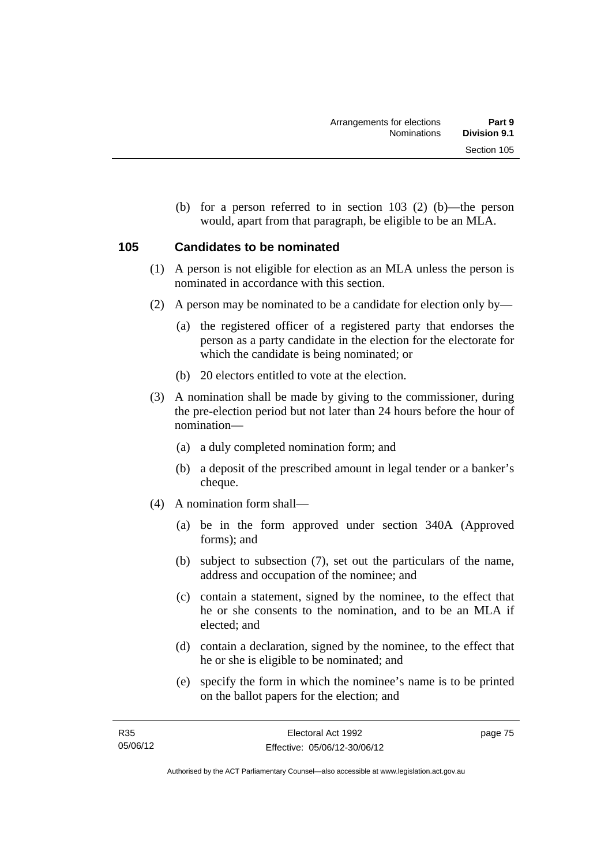(b) for a person referred to in section 103 (2) (b)—the person would, apart from that paragraph, be eligible to be an MLA.

## **105 Candidates to be nominated**

- (1) A person is not eligible for election as an MLA unless the person is nominated in accordance with this section.
- (2) A person may be nominated to be a candidate for election only by—
	- (a) the registered officer of a registered party that endorses the person as a party candidate in the election for the electorate for which the candidate is being nominated; or
	- (b) 20 electors entitled to vote at the election.
- (3) A nomination shall be made by giving to the commissioner, during the pre-election period but not later than 24 hours before the hour of nomination—
	- (a) a duly completed nomination form; and
	- (b) a deposit of the prescribed amount in legal tender or a banker's cheque.
- (4) A nomination form shall—
	- (a) be in the form approved under section 340A (Approved forms); and
	- (b) subject to subsection (7), set out the particulars of the name, address and occupation of the nominee; and
	- (c) contain a statement, signed by the nominee, to the effect that he or she consents to the nomination, and to be an MLA if elected; and
	- (d) contain a declaration, signed by the nominee, to the effect that he or she is eligible to be nominated; and
	- (e) specify the form in which the nominee's name is to be printed on the ballot papers for the election; and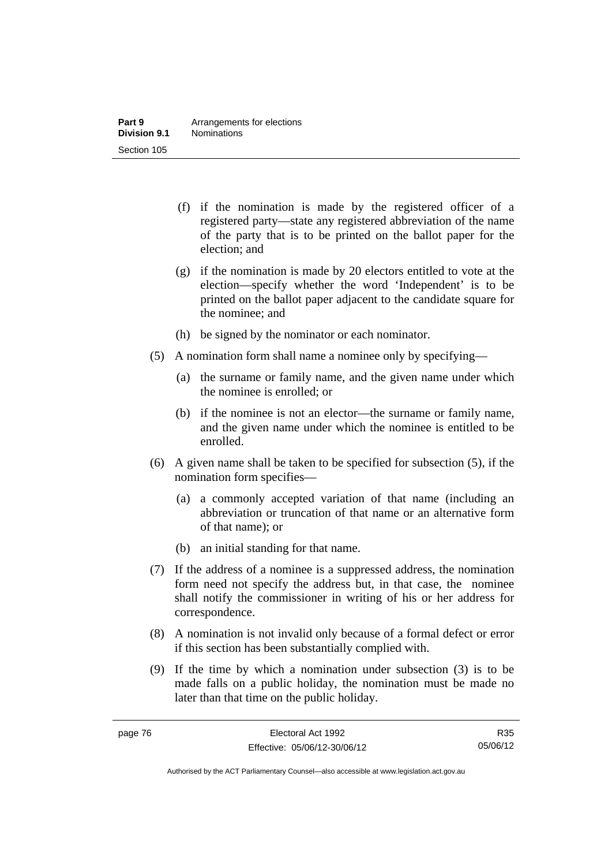- (f) if the nomination is made by the registered officer of a registered party—state any registered abbreviation of the name of the party that is to be printed on the ballot paper for the election; and
- (g) if the nomination is made by 20 electors entitled to vote at the election—specify whether the word 'Independent' is to be printed on the ballot paper adjacent to the candidate square for the nominee; and
- (h) be signed by the nominator or each nominator.
- (5) A nomination form shall name a nominee only by specifying—
	- (a) the surname or family name, and the given name under which the nominee is enrolled; or
	- (b) if the nominee is not an elector—the surname or family name, and the given name under which the nominee is entitled to be enrolled.
- (6) A given name shall be taken to be specified for subsection (5), if the nomination form specifies—
	- (a) a commonly accepted variation of that name (including an abbreviation or truncation of that name or an alternative form of that name); or
	- (b) an initial standing for that name.
- (7) If the address of a nominee is a suppressed address, the nomination form need not specify the address but, in that case, the nominee shall notify the commissioner in writing of his or her address for correspondence.
- (8) A nomination is not invalid only because of a formal defect or error if this section has been substantially complied with.
- (9) If the time by which a nomination under subsection (3) is to be made falls on a public holiday, the nomination must be made no later than that time on the public holiday.

R35 05/06/12

Authorised by the ACT Parliamentary Counsel—also accessible at www.legislation.act.gov.au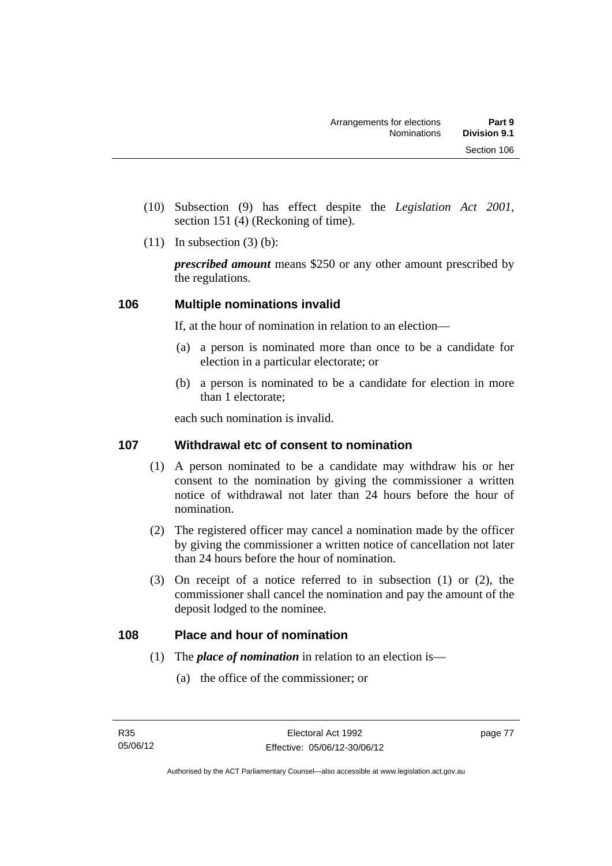- (10) Subsection (9) has effect despite the *Legislation Act 2001*, section 151 (4) (Reckoning of time).
- $(11)$  In subsection  $(3)$  (b):

*prescribed amount* means \$250 or any other amount prescribed by the regulations.

## **106 Multiple nominations invalid**

If, at the hour of nomination in relation to an election—

- (a) a person is nominated more than once to be a candidate for election in a particular electorate; or
- (b) a person is nominated to be a candidate for election in more than 1 electorate;

each such nomination is invalid.

## **107 Withdrawal etc of consent to nomination**

- (1) A person nominated to be a candidate may withdraw his or her consent to the nomination by giving the commissioner a written notice of withdrawal not later than 24 hours before the hour of nomination.
- (2) The registered officer may cancel a nomination made by the officer by giving the commissioner a written notice of cancellation not later than 24 hours before the hour of nomination.
- (3) On receipt of a notice referred to in subsection (1) or (2), the commissioner shall cancel the nomination and pay the amount of the deposit lodged to the nominee.

## **108 Place and hour of nomination**

- (1) The *place of nomination* in relation to an election is—
	- (a) the office of the commissioner; or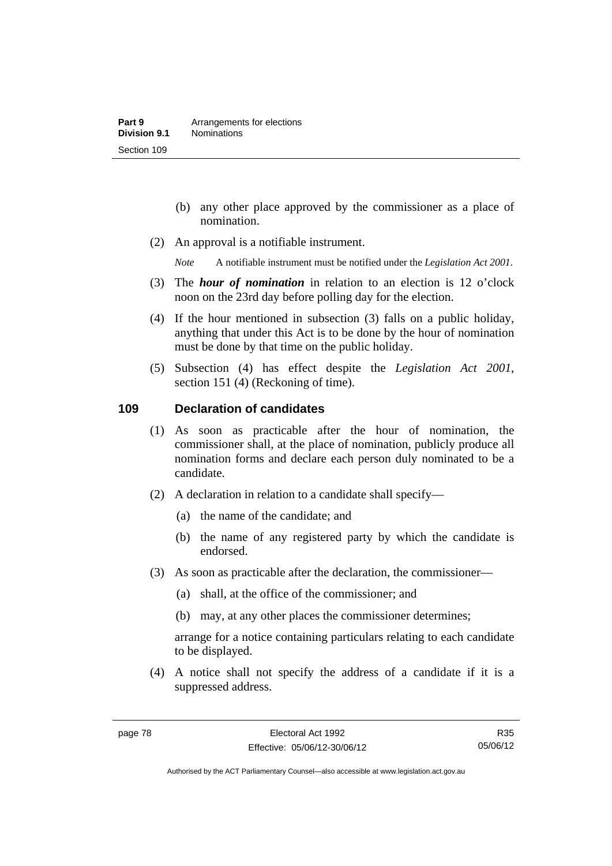- (b) any other place approved by the commissioner as a place of nomination.
- (2) An approval is a notifiable instrument.

*Note* A notifiable instrument must be notified under the *Legislation Act 2001*.

- (3) The *hour of nomination* in relation to an election is 12 o'clock noon on the 23rd day before polling day for the election.
- (4) If the hour mentioned in subsection (3) falls on a public holiday, anything that under this Act is to be done by the hour of nomination must be done by that time on the public holiday.
- (5) Subsection (4) has effect despite the *Legislation Act 2001*, section 151 (4) (Reckoning of time).

#### **109 Declaration of candidates**

- (1) As soon as practicable after the hour of nomination, the commissioner shall, at the place of nomination, publicly produce all nomination forms and declare each person duly nominated to be a candidate.
- (2) A declaration in relation to a candidate shall specify—
	- (a) the name of the candidate; and
	- (b) the name of any registered party by which the candidate is endorsed.
- (3) As soon as practicable after the declaration, the commissioner—
	- (a) shall, at the office of the commissioner; and
	- (b) may, at any other places the commissioner determines;

arrange for a notice containing particulars relating to each candidate to be displayed.

 (4) A notice shall not specify the address of a candidate if it is a suppressed address.

R35 05/06/12

Authorised by the ACT Parliamentary Counsel—also accessible at www.legislation.act.gov.au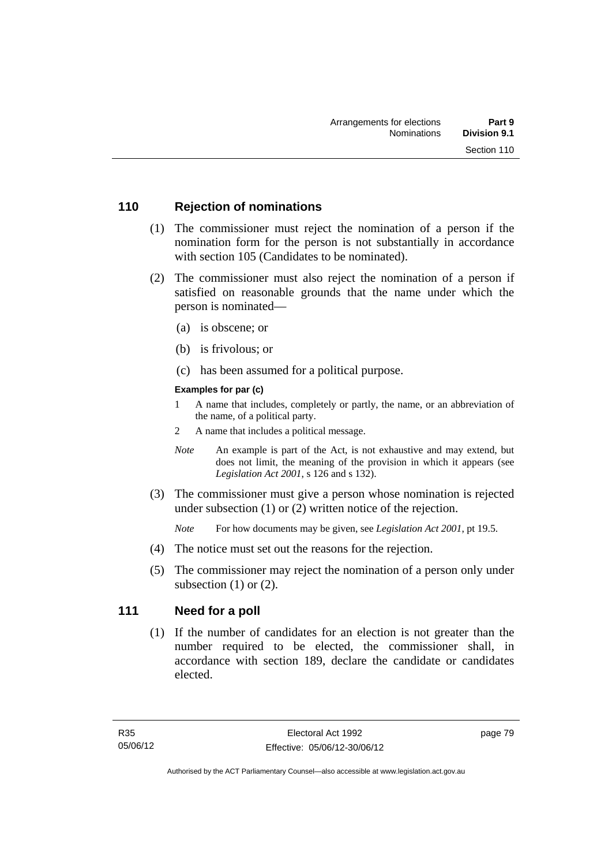### **110 Rejection of nominations**

- (1) The commissioner must reject the nomination of a person if the nomination form for the person is not substantially in accordance with section 105 (Candidates to be nominated).
- (2) The commissioner must also reject the nomination of a person if satisfied on reasonable grounds that the name under which the person is nominated—
	- (a) is obscene; or
	- (b) is frivolous; or
	- (c) has been assumed for a political purpose.

#### **Examples for par (c)**

- 1 A name that includes, completely or partly, the name, or an abbreviation of the name, of a political party.
- 2 A name that includes a political message.
- *Note* An example is part of the Act, is not exhaustive and may extend, but does not limit, the meaning of the provision in which it appears (see *Legislation Act 2001*, s 126 and s 132).
- (3) The commissioner must give a person whose nomination is rejected under subsection (1) or (2) written notice of the rejection.

*Note* For how documents may be given, see *Legislation Act 2001*, pt 19.5.

- (4) The notice must set out the reasons for the rejection.
- (5) The commissioner may reject the nomination of a person only under subsection  $(1)$  or  $(2)$ .

## **111 Need for a poll**

 (1) If the number of candidates for an election is not greater than the number required to be elected, the commissioner shall, in accordance with section 189, declare the candidate or candidates elected.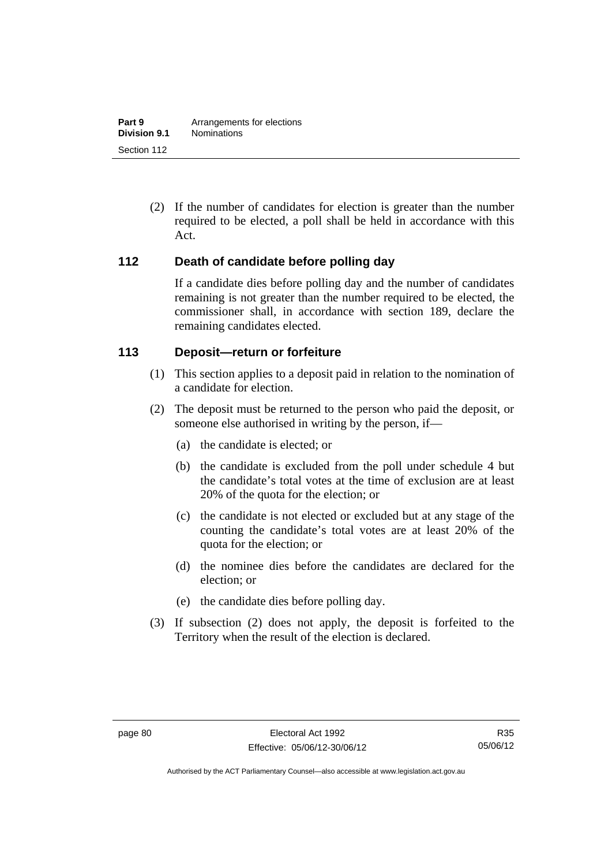(2) If the number of candidates for election is greater than the number required to be elected, a poll shall be held in accordance with this Act.

#### **112 Death of candidate before polling day**

If a candidate dies before polling day and the number of candidates remaining is not greater than the number required to be elected, the commissioner shall, in accordance with section 189, declare the remaining candidates elected.

#### **113 Deposit—return or forfeiture**

- (1) This section applies to a deposit paid in relation to the nomination of a candidate for election.
- (2) The deposit must be returned to the person who paid the deposit, or someone else authorised in writing by the person, if—
	- (a) the candidate is elected; or
	- (b) the candidate is excluded from the poll under schedule 4 but the candidate's total votes at the time of exclusion are at least 20% of the quota for the election; or
	- (c) the candidate is not elected or excluded but at any stage of the counting the candidate's total votes are at least 20% of the quota for the election; or
	- (d) the nominee dies before the candidates are declared for the election; or
	- (e) the candidate dies before polling day.
- (3) If subsection (2) does not apply, the deposit is forfeited to the Territory when the result of the election is declared.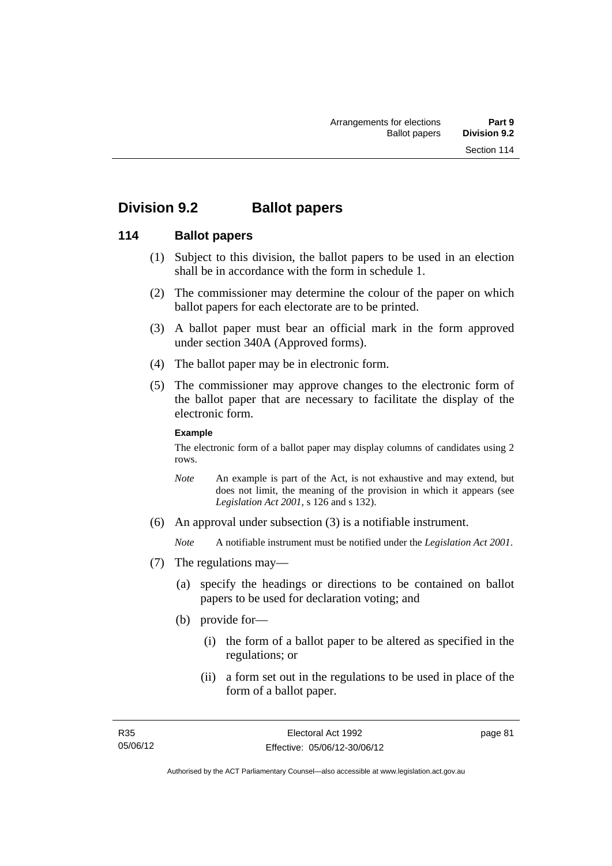## **Division 9.2 Ballot papers**

#### **114 Ballot papers**

- (1) Subject to this division, the ballot papers to be used in an election shall be in accordance with the form in schedule 1.
- (2) The commissioner may determine the colour of the paper on which ballot papers for each electorate are to be printed.
- (3) A ballot paper must bear an official mark in the form approved under section 340A (Approved forms).
- (4) The ballot paper may be in electronic form.
- (5) The commissioner may approve changes to the electronic form of the ballot paper that are necessary to facilitate the display of the electronic form.

#### **Example**

The electronic form of a ballot paper may display columns of candidates using 2 rows.

- *Note* An example is part of the Act, is not exhaustive and may extend, but does not limit, the meaning of the provision in which it appears (see *Legislation Act 2001*, s 126 and s 132).
- (6) An approval under subsection (3) is a notifiable instrument.

*Note* A notifiable instrument must be notified under the *Legislation Act 2001*.

- (7) The regulations may—
	- (a) specify the headings or directions to be contained on ballot papers to be used for declaration voting; and
	- (b) provide for—
		- (i) the form of a ballot paper to be altered as specified in the regulations; or
		- (ii) a form set out in the regulations to be used in place of the form of a ballot paper.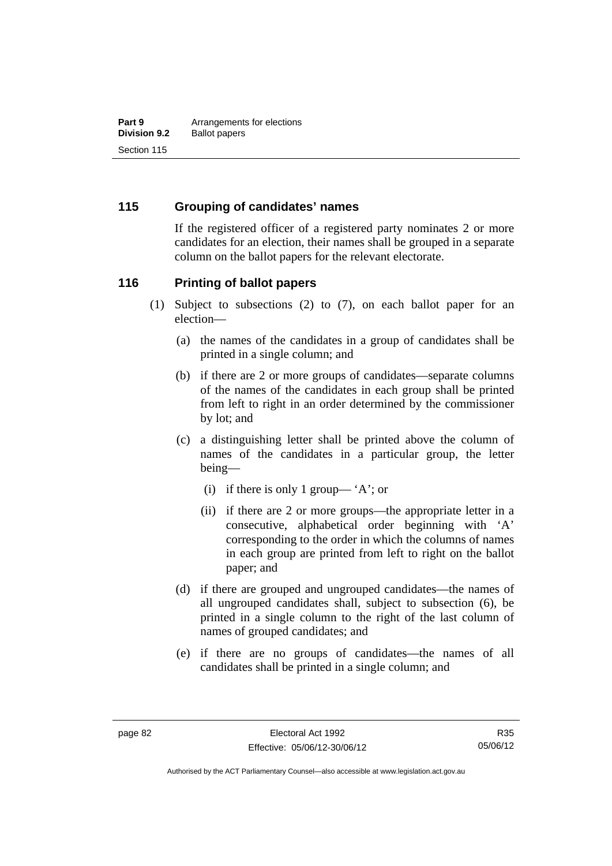### **115 Grouping of candidates' names**

If the registered officer of a registered party nominates 2 or more candidates for an election, their names shall be grouped in a separate column on the ballot papers for the relevant electorate.

#### **116 Printing of ballot papers**

- (1) Subject to subsections (2) to (7), on each ballot paper for an election—
	- (a) the names of the candidates in a group of candidates shall be printed in a single column; and
	- (b) if there are 2 or more groups of candidates—separate columns of the names of the candidates in each group shall be printed from left to right in an order determined by the commissioner by lot; and
	- (c) a distinguishing letter shall be printed above the column of names of the candidates in a particular group, the letter being—
		- (i) if there is only 1 group— 'A'; or
		- (ii) if there are 2 or more groups—the appropriate letter in a consecutive, alphabetical order beginning with 'A' corresponding to the order in which the columns of names in each group are printed from left to right on the ballot paper; and
	- (d) if there are grouped and ungrouped candidates—the names of all ungrouped candidates shall, subject to subsection (6), be printed in a single column to the right of the last column of names of grouped candidates; and
	- (e) if there are no groups of candidates—the names of all candidates shall be printed in a single column; and

Authorised by the ACT Parliamentary Counsel—also accessible at www.legislation.act.gov.au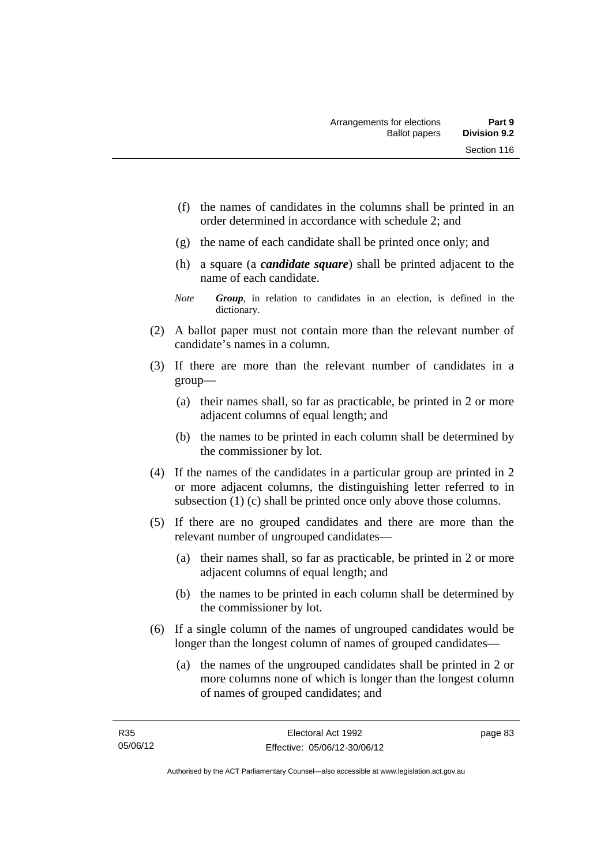- (f) the names of candidates in the columns shall be printed in an order determined in accordance with schedule 2; and
- (g) the name of each candidate shall be printed once only; and
- (h) a square (a *candidate square*) shall be printed adjacent to the name of each candidate.
- *Note Group*, in relation to candidates in an election, is defined in the dictionary.
- (2) A ballot paper must not contain more than the relevant number of candidate's names in a column.
- (3) If there are more than the relevant number of candidates in a group—
	- (a) their names shall, so far as practicable, be printed in 2 or more adjacent columns of equal length; and
	- (b) the names to be printed in each column shall be determined by the commissioner by lot.
- (4) If the names of the candidates in a particular group are printed in 2 or more adjacent columns, the distinguishing letter referred to in subsection (1) (c) shall be printed once only above those columns.
- (5) If there are no grouped candidates and there are more than the relevant number of ungrouped candidates—
	- (a) their names shall, so far as practicable, be printed in 2 or more adjacent columns of equal length; and
	- (b) the names to be printed in each column shall be determined by the commissioner by lot.
- (6) If a single column of the names of ungrouped candidates would be longer than the longest column of names of grouped candidates—
	- (a) the names of the ungrouped candidates shall be printed in 2 or more columns none of which is longer than the longest column of names of grouped candidates; and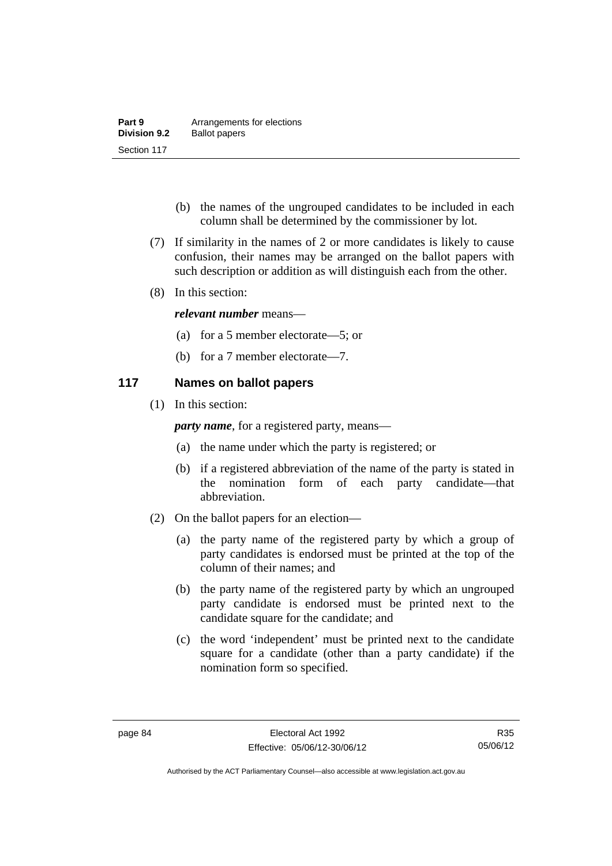| Part 9              | Arrangements for elections |
|---------------------|----------------------------|
| <b>Division 9.2</b> | <b>Ballot papers</b>       |
| Section 117         |                            |

- (b) the names of the ungrouped candidates to be included in each column shall be determined by the commissioner by lot.
- (7) If similarity in the names of 2 or more candidates is likely to cause confusion, their names may be arranged on the ballot papers with such description or addition as will distinguish each from the other.
- (8) In this section:

#### *relevant number* means—

- (a) for a 5 member electorate—5; or
- (b) for a 7 member electorate—7.

#### **117 Names on ballot papers**

(1) In this section:

*party name*, for a registered party, means—

- (a) the name under which the party is registered; or
- (b) if a registered abbreviation of the name of the party is stated in the nomination form of each party candidate—that abbreviation.
- (2) On the ballot papers for an election—
	- (a) the party name of the registered party by which a group of party candidates is endorsed must be printed at the top of the column of their names; and
	- (b) the party name of the registered party by which an ungrouped party candidate is endorsed must be printed next to the candidate square for the candidate; and
	- (c) the word 'independent' must be printed next to the candidate square for a candidate (other than a party candidate) if the nomination form so specified.

Authorised by the ACT Parliamentary Counsel—also accessible at www.legislation.act.gov.au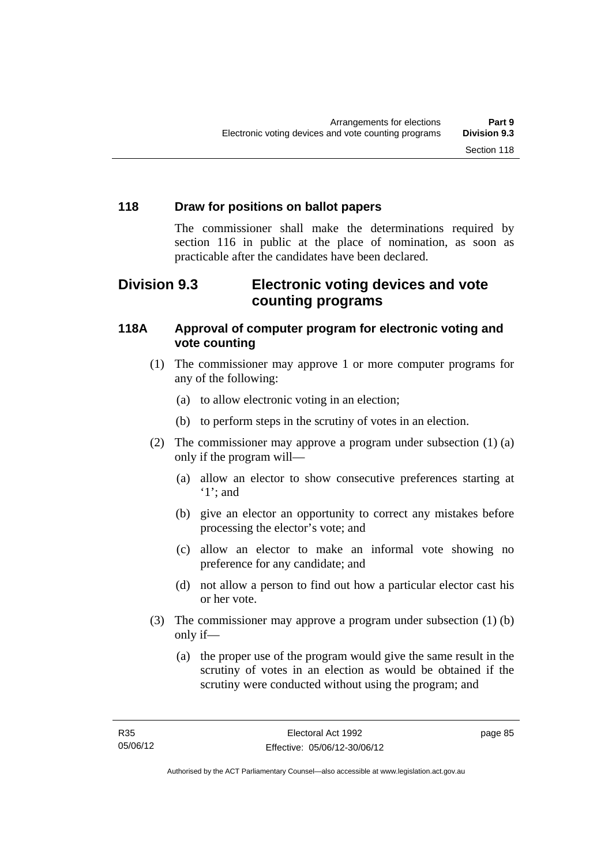## **118 Draw for positions on ballot papers**

The commissioner shall make the determinations required by section 116 in public at the place of nomination, as soon as practicable after the candidates have been declared.

## **Division 9.3 Electronic voting devices and vote counting programs**

## **118A Approval of computer program for electronic voting and vote counting**

- (1) The commissioner may approve 1 or more computer programs for any of the following:
	- (a) to allow electronic voting in an election;
	- (b) to perform steps in the scrutiny of votes in an election.
- (2) The commissioner may approve a program under subsection (1) (a) only if the program will—
	- (a) allow an elector to show consecutive preferences starting at '1'; and
	- (b) give an elector an opportunity to correct any mistakes before processing the elector's vote; and
	- (c) allow an elector to make an informal vote showing no preference for any candidate; and
	- (d) not allow a person to find out how a particular elector cast his or her vote.
- (3) The commissioner may approve a program under subsection (1) (b) only if—
	- (a) the proper use of the program would give the same result in the scrutiny of votes in an election as would be obtained if the scrutiny were conducted without using the program; and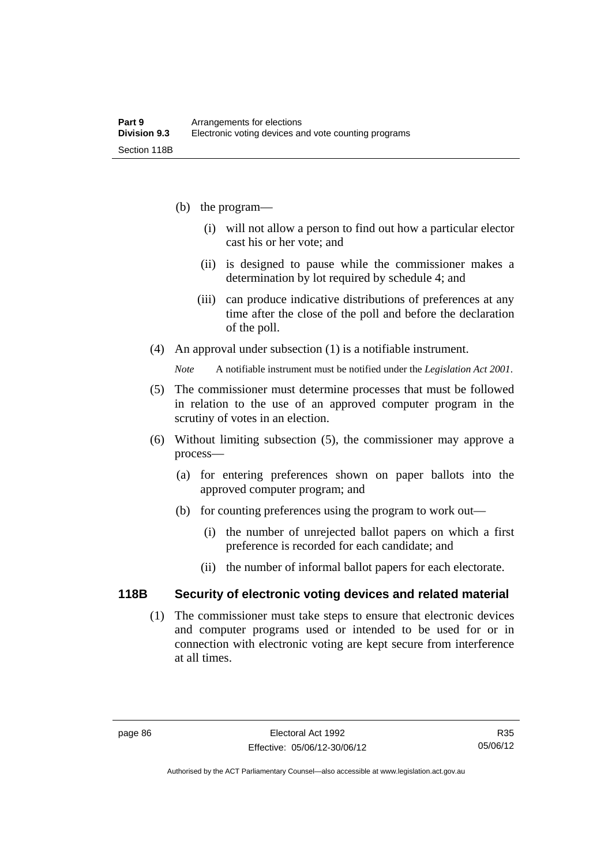- (b) the program—
	- (i) will not allow a person to find out how a particular elector cast his or her vote; and
	- (ii) is designed to pause while the commissioner makes a determination by lot required by schedule 4; and
	- (iii) can produce indicative distributions of preferences at any time after the close of the poll and before the declaration of the poll.
- (4) An approval under subsection (1) is a notifiable instrument.

*Note* A notifiable instrument must be notified under the *Legislation Act 2001*.

- (5) The commissioner must determine processes that must be followed in relation to the use of an approved computer program in the scrutiny of votes in an election.
- (6) Without limiting subsection (5), the commissioner may approve a process—
	- (a) for entering preferences shown on paper ballots into the approved computer program; and
	- (b) for counting preferences using the program to work out—
		- (i) the number of unrejected ballot papers on which a first preference is recorded for each candidate; and
		- (ii) the number of informal ballot papers for each electorate.

#### **118B Security of electronic voting devices and related material**

 (1) The commissioner must take steps to ensure that electronic devices and computer programs used or intended to be used for or in connection with electronic voting are kept secure from interference at all times.

Authorised by the ACT Parliamentary Counsel—also accessible at www.legislation.act.gov.au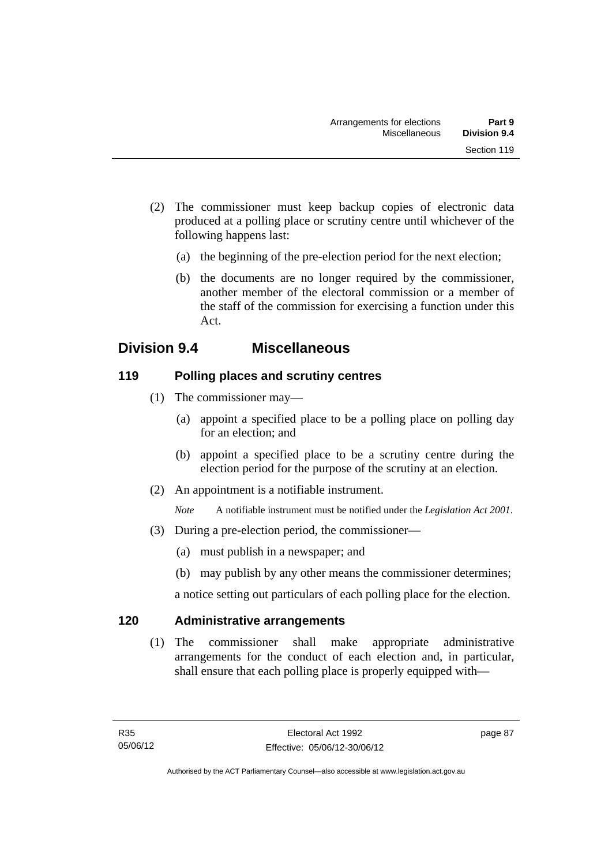- (2) The commissioner must keep backup copies of electronic data produced at a polling place or scrutiny centre until whichever of the following happens last:
	- (a) the beginning of the pre-election period for the next election;
	- (b) the documents are no longer required by the commissioner, another member of the electoral commission or a member of the staff of the commission for exercising a function under this Act.

## **Division 9.4 Miscellaneous**

## **119 Polling places and scrutiny centres**

- (1) The commissioner may—
	- (a) appoint a specified place to be a polling place on polling day for an election; and
	- (b) appoint a specified place to be a scrutiny centre during the election period for the purpose of the scrutiny at an election.
- (2) An appointment is a notifiable instrument.

*Note* A notifiable instrument must be notified under the *Legislation Act 2001*.

- (3) During a pre-election period, the commissioner—
	- (a) must publish in a newspaper; and
	- (b) may publish by any other means the commissioner determines;

a notice setting out particulars of each polling place for the election.

## **120 Administrative arrangements**

 (1) The commissioner shall make appropriate administrative arrangements for the conduct of each election and, in particular, shall ensure that each polling place is properly equipped with—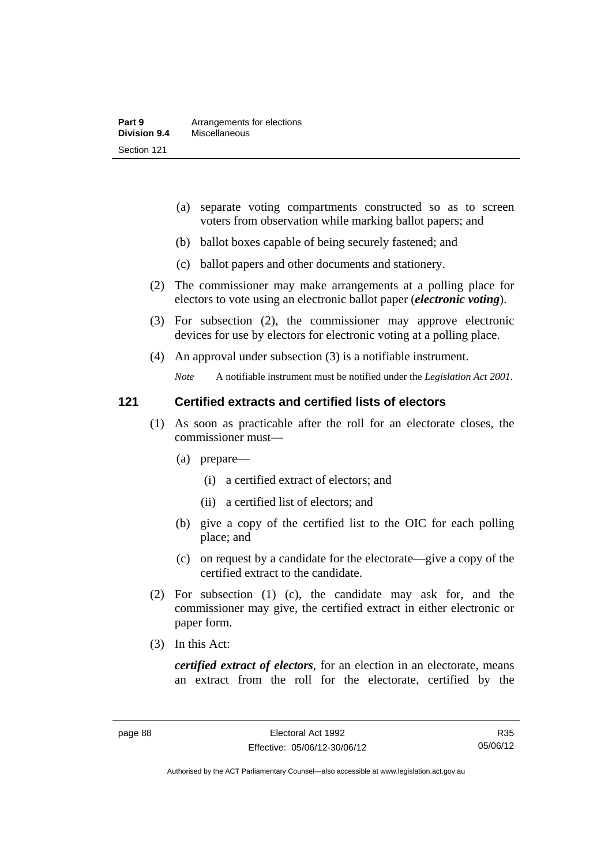- (a) separate voting compartments constructed so as to screen voters from observation while marking ballot papers; and
- (b) ballot boxes capable of being securely fastened; and
- (c) ballot papers and other documents and stationery.
- (2) The commissioner may make arrangements at a polling place for electors to vote using an electronic ballot paper (*electronic voting*).
- (3) For subsection (2), the commissioner may approve electronic devices for use by electors for electronic voting at a polling place.
- (4) An approval under subsection (3) is a notifiable instrument.

*Note* A notifiable instrument must be notified under the *Legislation Act 2001*.

#### **121 Certified extracts and certified lists of electors**

- (1) As soon as practicable after the roll for an electorate closes, the commissioner must—
	- (a) prepare—
		- (i) a certified extract of electors; and
		- (ii) a certified list of electors; and
	- (b) give a copy of the certified list to the OIC for each polling place; and
	- (c) on request by a candidate for the electorate—give a copy of the certified extract to the candidate.
- (2) For subsection (1) (c), the candidate may ask for, and the commissioner may give, the certified extract in either electronic or paper form.
- (3) In this Act:

*certified extract of electors*, for an election in an electorate, means an extract from the roll for the electorate, certified by the

R35 05/06/12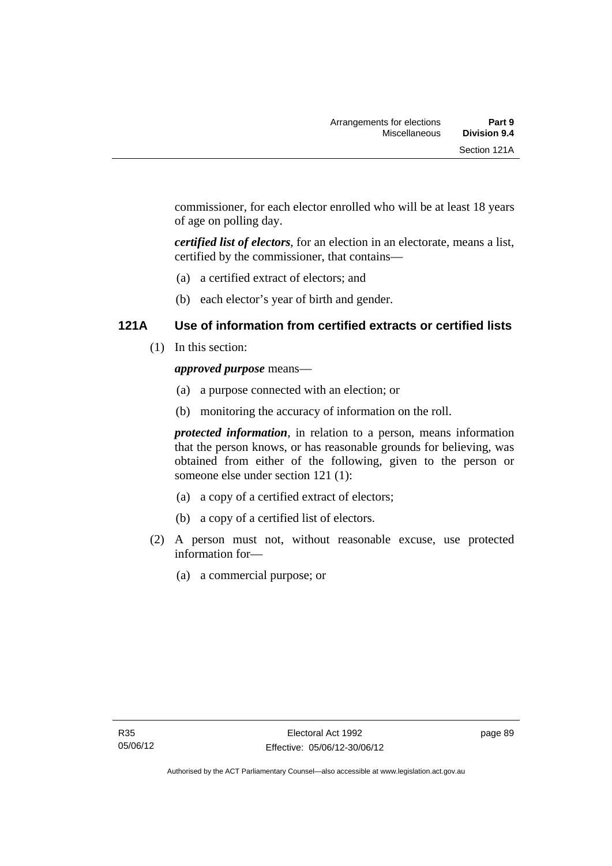commissioner, for each elector enrolled who will be at least 18 years of age on polling day.

*certified list of electors*, for an election in an electorate, means a list, certified by the commissioner, that contains—

- (a) a certified extract of electors; and
- (b) each elector's year of birth and gender.

## **121A Use of information from certified extracts or certified lists**

(1) In this section:

#### *approved purpose* means—

- (a) a purpose connected with an election; or
- (b) monitoring the accuracy of information on the roll.

*protected information*, in relation to a person, means information that the person knows, or has reasonable grounds for believing, was obtained from either of the following, given to the person or someone else under section 121 (1):

- (a) a copy of a certified extract of electors;
- (b) a copy of a certified list of electors.
- (2) A person must not, without reasonable excuse, use protected information for—
	- (a) a commercial purpose; or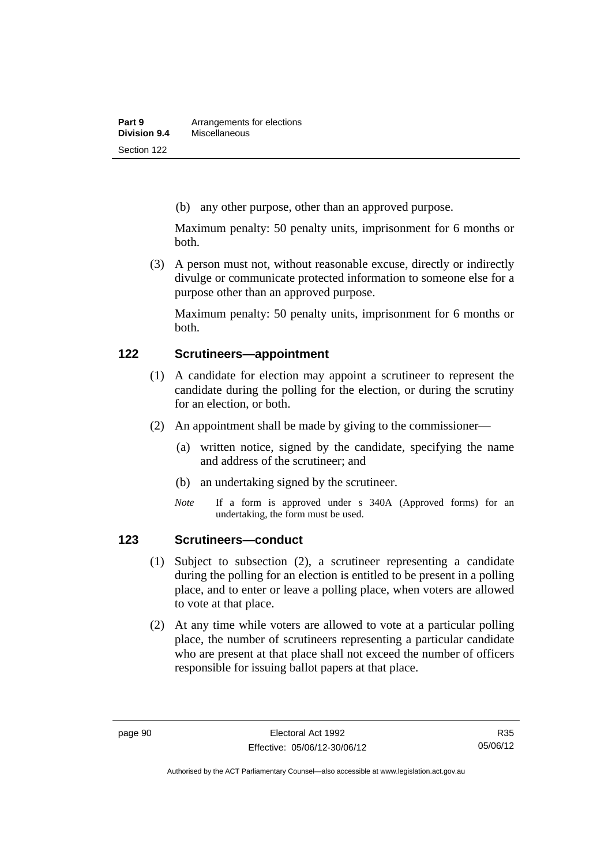(b) any other purpose, other than an approved purpose.

Maximum penalty: 50 penalty units, imprisonment for 6 months or both.

 (3) A person must not, without reasonable excuse, directly or indirectly divulge or communicate protected information to someone else for a purpose other than an approved purpose.

Maximum penalty: 50 penalty units, imprisonment for 6 months or both.

#### **122 Scrutineers—appointment**

- (1) A candidate for election may appoint a scrutineer to represent the candidate during the polling for the election, or during the scrutiny for an election, or both.
- (2) An appointment shall be made by giving to the commissioner—
	- (a) written notice, signed by the candidate, specifying the name and address of the scrutineer; and
	- (b) an undertaking signed by the scrutineer.
	- *Note* If a form is approved under s 340A (Approved forms) for an undertaking, the form must be used.

### **123 Scrutineers—conduct**

- (1) Subject to subsection (2), a scrutineer representing a candidate during the polling for an election is entitled to be present in a polling place, and to enter or leave a polling place, when voters are allowed to vote at that place.
- (2) At any time while voters are allowed to vote at a particular polling place, the number of scrutineers representing a particular candidate who are present at that place shall not exceed the number of officers responsible for issuing ballot papers at that place.

Authorised by the ACT Parliamentary Counsel—also accessible at www.legislation.act.gov.au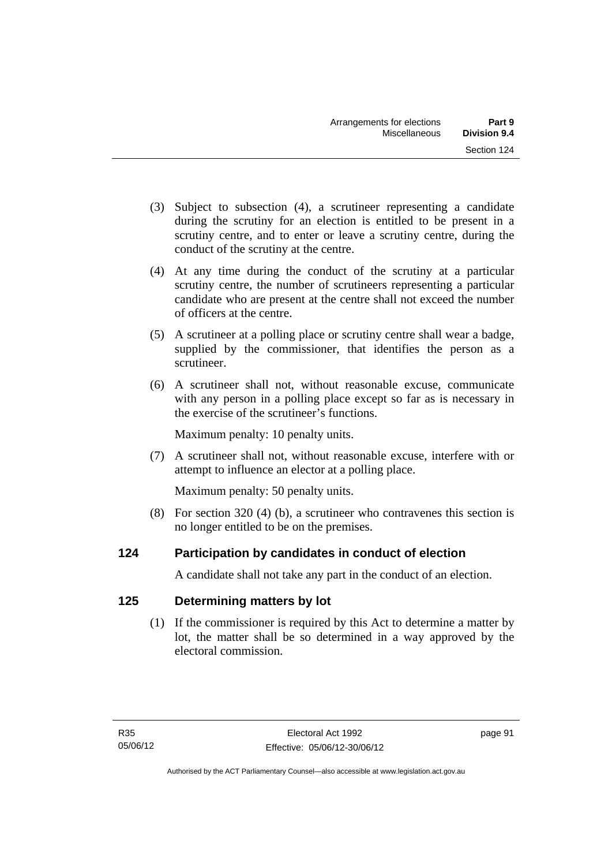- (3) Subject to subsection (4), a scrutineer representing a candidate during the scrutiny for an election is entitled to be present in a scrutiny centre, and to enter or leave a scrutiny centre, during the conduct of the scrutiny at the centre.
- (4) At any time during the conduct of the scrutiny at a particular scrutiny centre, the number of scrutineers representing a particular candidate who are present at the centre shall not exceed the number of officers at the centre.
- (5) A scrutineer at a polling place or scrutiny centre shall wear a badge, supplied by the commissioner, that identifies the person as a scrutineer.
- (6) A scrutineer shall not, without reasonable excuse, communicate with any person in a polling place except so far as is necessary in the exercise of the scrutineer's functions.

Maximum penalty: 10 penalty units.

 (7) A scrutineer shall not, without reasonable excuse, interfere with or attempt to influence an elector at a polling place.

Maximum penalty: 50 penalty units.

 (8) For section 320 (4) (b), a scrutineer who contravenes this section is no longer entitled to be on the premises.

## **124 Participation by candidates in conduct of election**

A candidate shall not take any part in the conduct of an election.

## **125 Determining matters by lot**

 (1) If the commissioner is required by this Act to determine a matter by lot, the matter shall be so determined in a way approved by the electoral commission.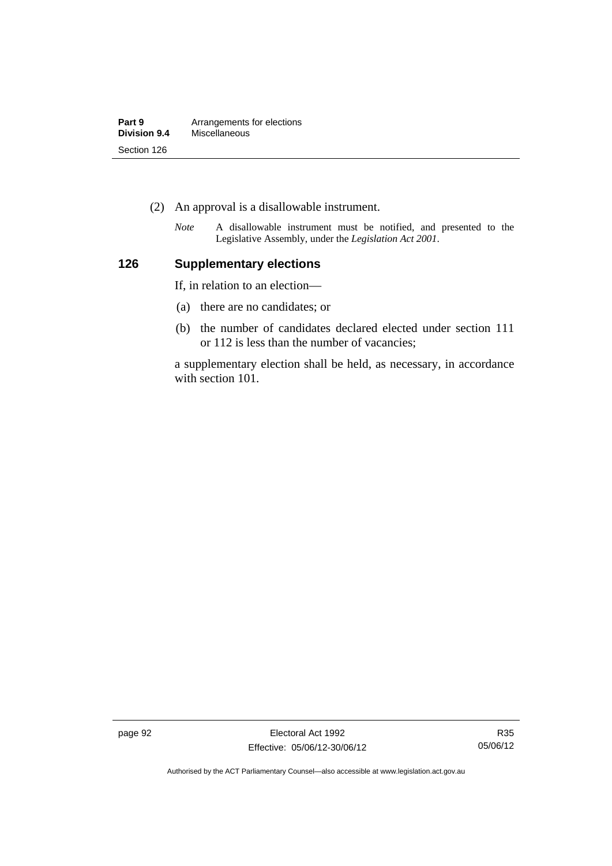| Part 9       | Arrangements for elections |
|--------------|----------------------------|
| Division 9.4 | Miscellaneous              |
| Section 126  |                            |

- (2) An approval is a disallowable instrument.
	- *Note* A disallowable instrument must be notified, and presented to the Legislative Assembly, under the *Legislation Act 2001*.

## **126 Supplementary elections**

If, in relation to an election—

- (a) there are no candidates; or
- (b) the number of candidates declared elected under section 111 or 112 is less than the number of vacancies;

a supplementary election shall be held, as necessary, in accordance with section 101.

page 92 **Electoral Act 1992** Effective: 05/06/12-30/06/12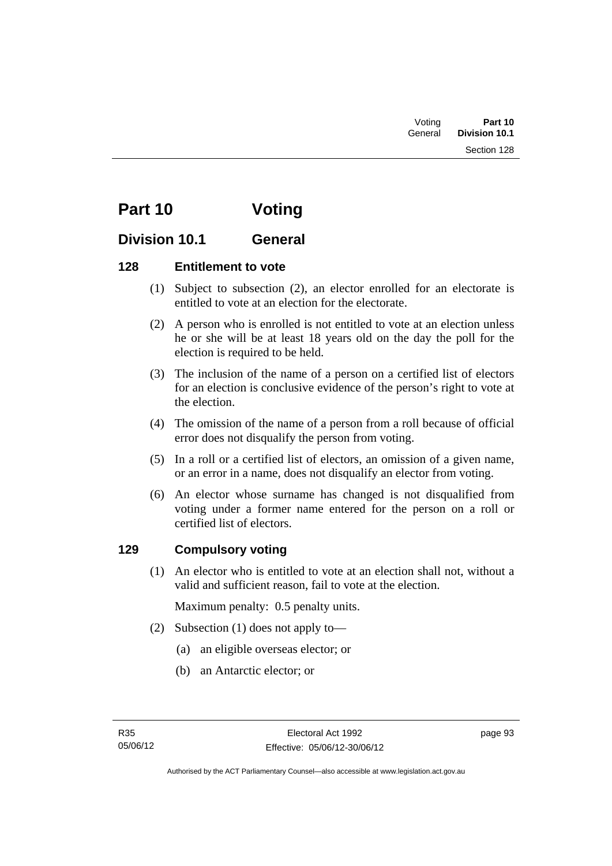| Voting  | Part 10       |
|---------|---------------|
| General | Division 10.1 |
|         | Section 128   |

# **Part 10 Voting**

## **Division 10.1 General**

## **128 Entitlement to vote**

- (1) Subject to subsection (2), an elector enrolled for an electorate is entitled to vote at an election for the electorate.
- (2) A person who is enrolled is not entitled to vote at an election unless he or she will be at least 18 years old on the day the poll for the election is required to be held.
- (3) The inclusion of the name of a person on a certified list of electors for an election is conclusive evidence of the person's right to vote at the election.
- (4) The omission of the name of a person from a roll because of official error does not disqualify the person from voting.
- (5) In a roll or a certified list of electors, an omission of a given name, or an error in a name, does not disqualify an elector from voting.
- (6) An elector whose surname has changed is not disqualified from voting under a former name entered for the person on a roll or certified list of electors.

## **129 Compulsory voting**

 (1) An elector who is entitled to vote at an election shall not, without a valid and sufficient reason, fail to vote at the election.

Maximum penalty: 0.5 penalty units.

- (2) Subsection (1) does not apply to—
	- (a) an eligible overseas elector; or
	- (b) an Antarctic elector; or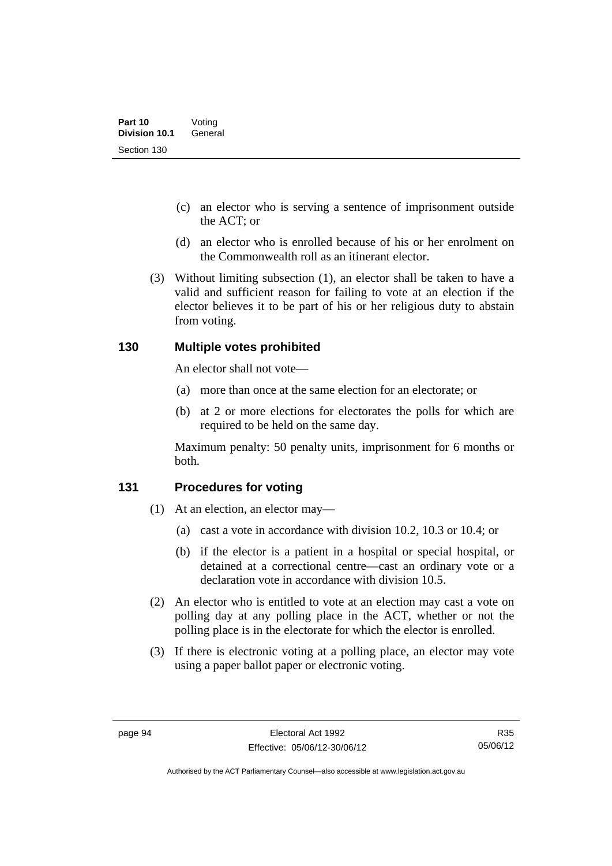- (c) an elector who is serving a sentence of imprisonment outside the ACT; or
- (d) an elector who is enrolled because of his or her enrolment on the Commonwealth roll as an itinerant elector.
- (3) Without limiting subsection (1), an elector shall be taken to have a valid and sufficient reason for failing to vote at an election if the elector believes it to be part of his or her religious duty to abstain from voting.

### **130 Multiple votes prohibited**

An elector shall not vote—

- (a) more than once at the same election for an electorate; or
- (b) at 2 or more elections for electorates the polls for which are required to be held on the same day.

Maximum penalty: 50 penalty units, imprisonment for 6 months or both.

#### **131 Procedures for voting**

- (1) At an election, an elector may—
	- (a) cast a vote in accordance with division 10.2, 10.3 or 10.4; or
	- (b) if the elector is a patient in a hospital or special hospital, or detained at a correctional centre—cast an ordinary vote or a declaration vote in accordance with division 10.5.
- (2) An elector who is entitled to vote at an election may cast a vote on polling day at any polling place in the ACT, whether or not the polling place is in the electorate for which the elector is enrolled.
- (3) If there is electronic voting at a polling place, an elector may vote using a paper ballot paper or electronic voting.

R35 05/06/12

Authorised by the ACT Parliamentary Counsel—also accessible at www.legislation.act.gov.au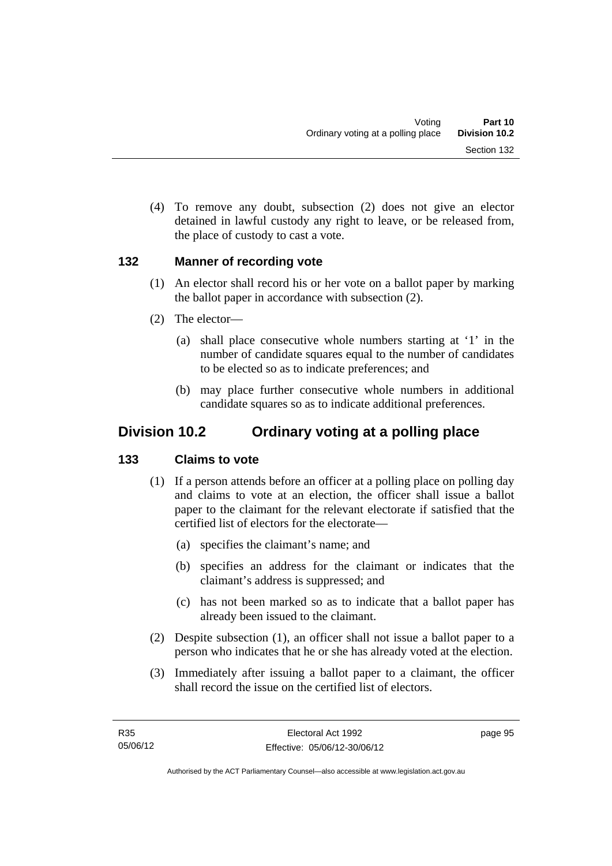(4) To remove any doubt, subsection (2) does not give an elector detained in lawful custody any right to leave, or be released from, the place of custody to cast a vote.

### **132 Manner of recording vote**

- (1) An elector shall record his or her vote on a ballot paper by marking the ballot paper in accordance with subsection (2).
- (2) The elector—
	- (a) shall place consecutive whole numbers starting at '1' in the number of candidate squares equal to the number of candidates to be elected so as to indicate preferences; and
	- (b) may place further consecutive whole numbers in additional candidate squares so as to indicate additional preferences.

## **Division 10.2 Ordinary voting at a polling place**

## **133 Claims to vote**

- (1) If a person attends before an officer at a polling place on polling day and claims to vote at an election, the officer shall issue a ballot paper to the claimant for the relevant electorate if satisfied that the certified list of electors for the electorate—
	- (a) specifies the claimant's name; and
	- (b) specifies an address for the claimant or indicates that the claimant's address is suppressed; and
	- (c) has not been marked so as to indicate that a ballot paper has already been issued to the claimant.
- (2) Despite subsection (1), an officer shall not issue a ballot paper to a person who indicates that he or she has already voted at the election.
- (3) Immediately after issuing a ballot paper to a claimant, the officer shall record the issue on the certified list of electors.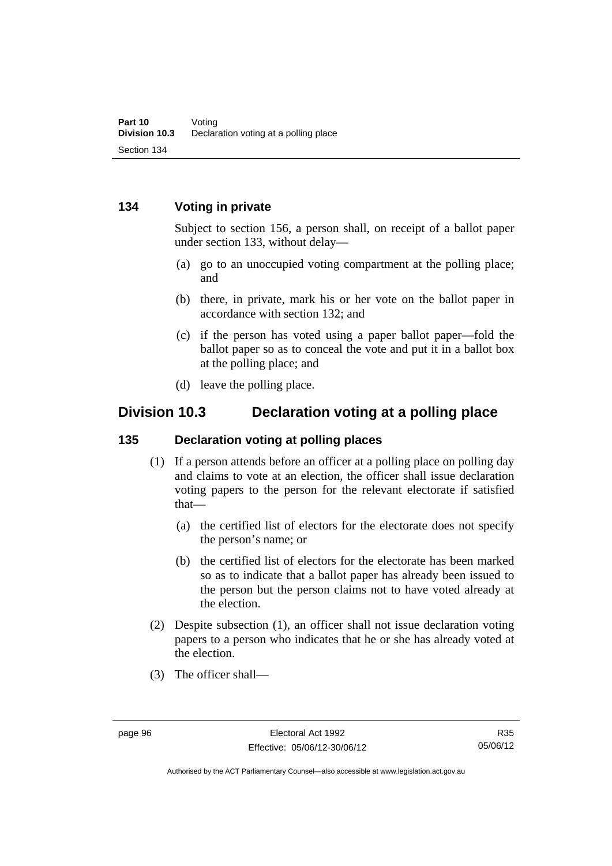### **134 Voting in private**

Subject to section 156, a person shall, on receipt of a ballot paper under section 133, without delay—

- (a) go to an unoccupied voting compartment at the polling place; and
- (b) there, in private, mark his or her vote on the ballot paper in accordance with section 132; and
- (c) if the person has voted using a paper ballot paper—fold the ballot paper so as to conceal the vote and put it in a ballot box at the polling place; and
- (d) leave the polling place.

## **Division 10.3 Declaration voting at a polling place**

#### **135 Declaration voting at polling places**

- (1) If a person attends before an officer at a polling place on polling day and claims to vote at an election, the officer shall issue declaration voting papers to the person for the relevant electorate if satisfied that—
	- (a) the certified list of electors for the electorate does not specify the person's name; or
	- (b) the certified list of electors for the electorate has been marked so as to indicate that a ballot paper has already been issued to the person but the person claims not to have voted already at the election.
- (2) Despite subsection (1), an officer shall not issue declaration voting papers to a person who indicates that he or she has already voted at the election.
- (3) The officer shall—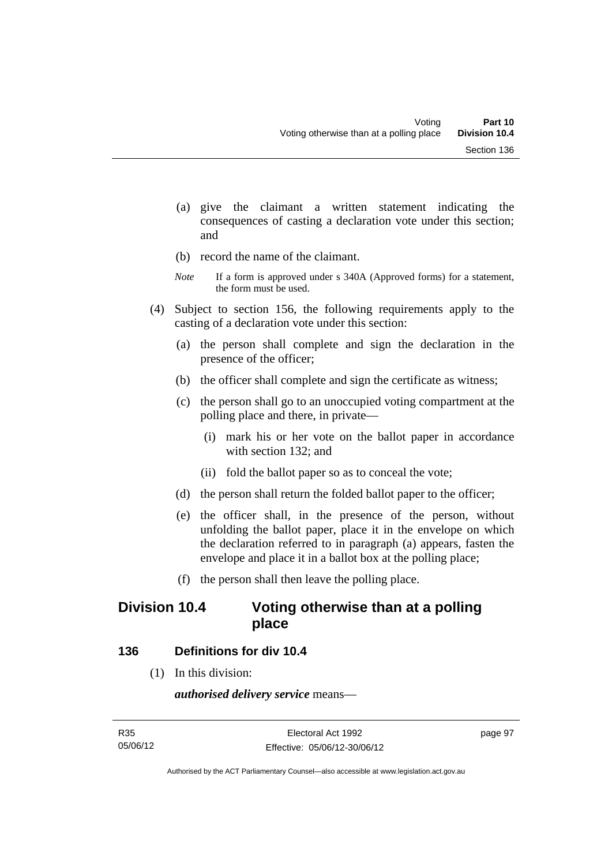- (a) give the claimant a written statement indicating the consequences of casting a declaration vote under this section; and
- (b) record the name of the claimant.
- *Note* If a form is approved under s 340A (Approved forms) for a statement, the form must be used.
- (4) Subject to section 156, the following requirements apply to the casting of a declaration vote under this section:
	- (a) the person shall complete and sign the declaration in the presence of the officer;
	- (b) the officer shall complete and sign the certificate as witness;
	- (c) the person shall go to an unoccupied voting compartment at the polling place and there, in private—
		- (i) mark his or her vote on the ballot paper in accordance with section 132; and
		- (ii) fold the ballot paper so as to conceal the vote;
	- (d) the person shall return the folded ballot paper to the officer;
	- (e) the officer shall, in the presence of the person, without unfolding the ballot paper, place it in the envelope on which the declaration referred to in paragraph (a) appears, fasten the envelope and place it in a ballot box at the polling place;
	- (f) the person shall then leave the polling place.

## **Division 10.4 Voting otherwise than at a polling place**

#### **136 Definitions for div 10.4**

(1) In this division:

*authorised delivery service* means—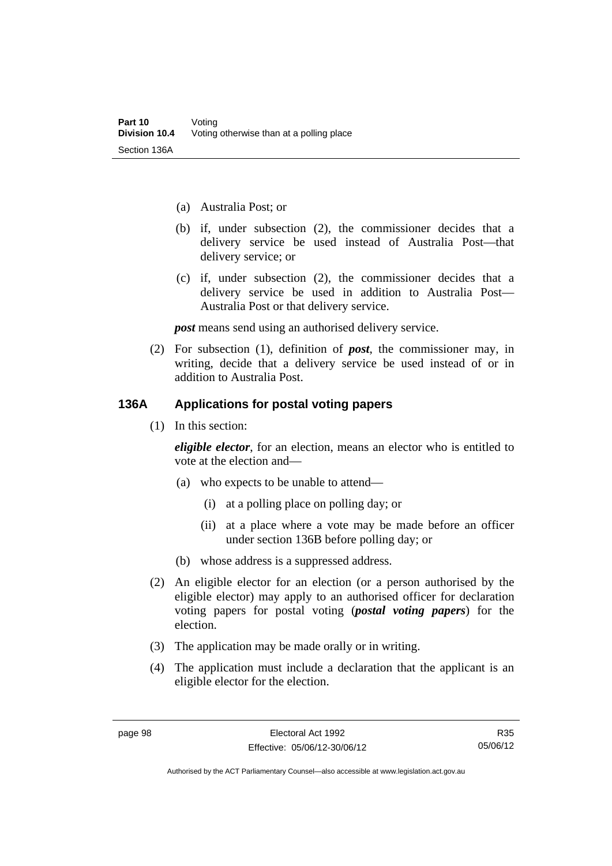- (a) Australia Post; or
- (b) if, under subsection (2), the commissioner decides that a delivery service be used instead of Australia Post—that delivery service; or
- (c) if, under subsection (2), the commissioner decides that a delivery service be used in addition to Australia Post— Australia Post or that delivery service.

*post* means send using an authorised delivery service.

 (2) For subsection (1), definition of *post*, the commissioner may, in writing, decide that a delivery service be used instead of or in addition to Australia Post.

#### **136A Applications for postal voting papers**

(1) In this section:

*eligible elector*, for an election, means an elector who is entitled to vote at the election and—

- (a) who expects to be unable to attend—
	- (i) at a polling place on polling day; or
	- (ii) at a place where a vote may be made before an officer under section 136B before polling day; or
- (b) whose address is a suppressed address.
- (2) An eligible elector for an election (or a person authorised by the eligible elector) may apply to an authorised officer for declaration voting papers for postal voting (*postal voting papers*) for the election.
- (3) The application may be made orally or in writing.
- (4) The application must include a declaration that the applicant is an eligible elector for the election.

R35 05/06/12

Authorised by the ACT Parliamentary Counsel—also accessible at www.legislation.act.gov.au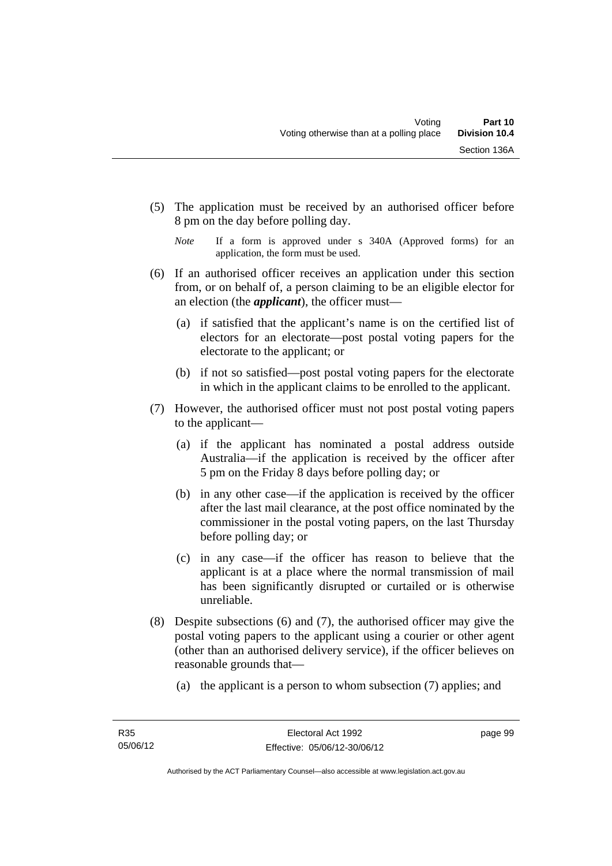(5) The application must be received by an authorised officer before 8 pm on the day before polling day.

- (6) If an authorised officer receives an application under this section from, or on behalf of, a person claiming to be an eligible elector for an election (the *applicant*), the officer must—
	- (a) if satisfied that the applicant's name is on the certified list of electors for an electorate—post postal voting papers for the electorate to the applicant; or
	- (b) if not so satisfied—post postal voting papers for the electorate in which in the applicant claims to be enrolled to the applicant.
- (7) However, the authorised officer must not post postal voting papers to the applicant—
	- (a) if the applicant has nominated a postal address outside Australia—if the application is received by the officer after 5 pm on the Friday 8 days before polling day; or
	- (b) in any other case—if the application is received by the officer after the last mail clearance, at the post office nominated by the commissioner in the postal voting papers, on the last Thursday before polling day; or
	- (c) in any case—if the officer has reason to believe that the applicant is at a place where the normal transmission of mail has been significantly disrupted or curtailed or is otherwise unreliable.
- (8) Despite subsections (6) and (7), the authorised officer may give the postal voting papers to the applicant using a courier or other agent (other than an authorised delivery service), if the officer believes on reasonable grounds that—
	- (a) the applicant is a person to whom subsection (7) applies; and

*Note* If a form is approved under s 340A (Approved forms) for an application, the form must be used.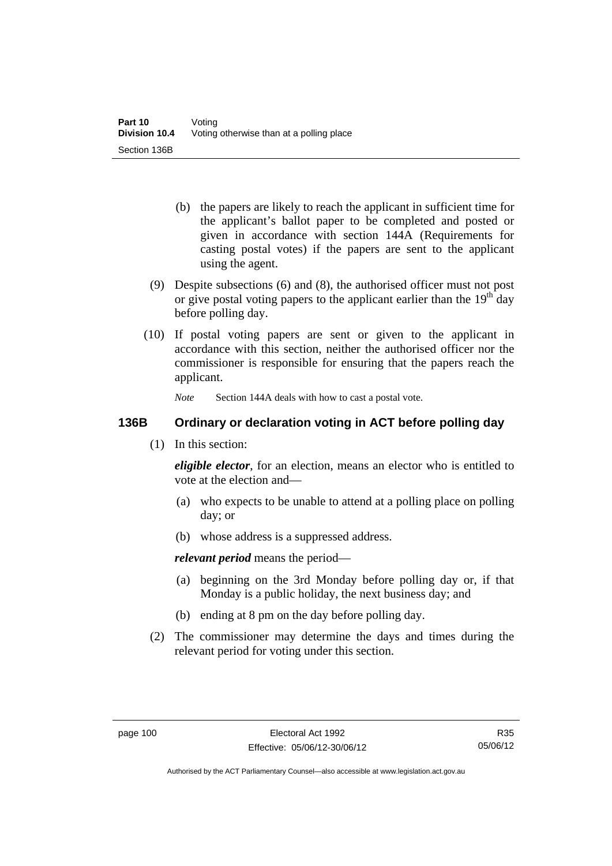- (b) the papers are likely to reach the applicant in sufficient time for the applicant's ballot paper to be completed and posted or given in accordance with section 144A (Requirements for casting postal votes) if the papers are sent to the applicant using the agent.
- (9) Despite subsections (6) and (8), the authorised officer must not post or give postal voting papers to the applicant earlier than the  $19<sup>th</sup>$  day before polling day.
- (10) If postal voting papers are sent or given to the applicant in accordance with this section, neither the authorised officer nor the commissioner is responsible for ensuring that the papers reach the applicant.

*Note* Section 144A deals with how to cast a postal vote.

## **136B Ordinary or declaration voting in ACT before polling day**

(1) In this section:

*eligible elector*, for an election, means an elector who is entitled to vote at the election and—

- (a) who expects to be unable to attend at a polling place on polling day; or
- (b) whose address is a suppressed address.

*relevant period* means the period—

- (a) beginning on the 3rd Monday before polling day or, if that Monday is a public holiday, the next business day; and
- (b) ending at 8 pm on the day before polling day.
- (2) The commissioner may determine the days and times during the relevant period for voting under this section.

Authorised by the ACT Parliamentary Counsel—also accessible at www.legislation.act.gov.au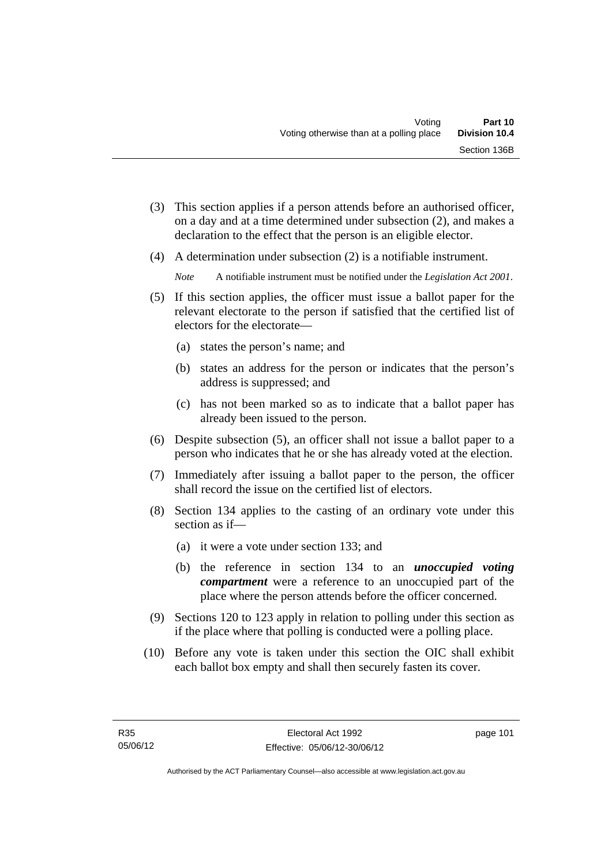- (3) This section applies if a person attends before an authorised officer, on a day and at a time determined under subsection (2), and makes a declaration to the effect that the person is an eligible elector.
- (4) A determination under subsection (2) is a notifiable instrument.

*Note* A notifiable instrument must be notified under the *Legislation Act 2001*.

- (5) If this section applies, the officer must issue a ballot paper for the relevant electorate to the person if satisfied that the certified list of electors for the electorate—
	- (a) states the person's name; and
	- (b) states an address for the person or indicates that the person's address is suppressed; and
	- (c) has not been marked so as to indicate that a ballot paper has already been issued to the person.
- (6) Despite subsection (5), an officer shall not issue a ballot paper to a person who indicates that he or she has already voted at the election.
- (7) Immediately after issuing a ballot paper to the person, the officer shall record the issue on the certified list of electors.
- (8) Section 134 applies to the casting of an ordinary vote under this section as if—
	- (a) it were a vote under section 133; and
	- (b) the reference in section 134 to an *unoccupied voting compartment* were a reference to an unoccupied part of the place where the person attends before the officer concerned.
- (9) Sections 120 to 123 apply in relation to polling under this section as if the place where that polling is conducted were a polling place.
- (10) Before any vote is taken under this section the OIC shall exhibit each ballot box empty and shall then securely fasten its cover.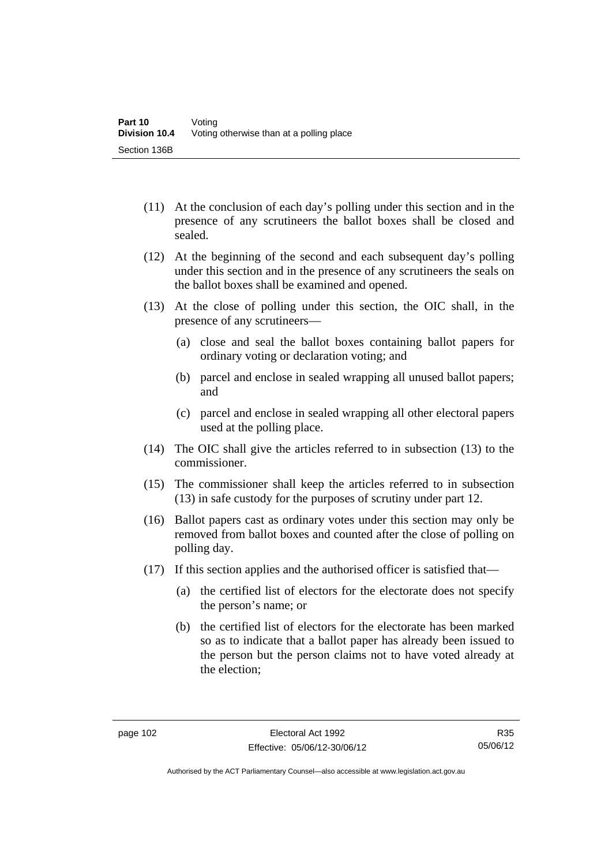- (11) At the conclusion of each day's polling under this section and in the presence of any scrutineers the ballot boxes shall be closed and sealed.
- (12) At the beginning of the second and each subsequent day's polling under this section and in the presence of any scrutineers the seals on the ballot boxes shall be examined and opened.
- (13) At the close of polling under this section, the OIC shall, in the presence of any scrutineers—
	- (a) close and seal the ballot boxes containing ballot papers for ordinary voting or declaration voting; and
	- (b) parcel and enclose in sealed wrapping all unused ballot papers; and
	- (c) parcel and enclose in sealed wrapping all other electoral papers used at the polling place.
- (14) The OIC shall give the articles referred to in subsection (13) to the commissioner.
- (15) The commissioner shall keep the articles referred to in subsection (13) in safe custody for the purposes of scrutiny under part 12.
- (16) Ballot papers cast as ordinary votes under this section may only be removed from ballot boxes and counted after the close of polling on polling day.
- (17) If this section applies and the authorised officer is satisfied that—
	- (a) the certified list of electors for the electorate does not specify the person's name; or
	- (b) the certified list of electors for the electorate has been marked so as to indicate that a ballot paper has already been issued to the person but the person claims not to have voted already at the election;

R35 05/06/12

Authorised by the ACT Parliamentary Counsel—also accessible at www.legislation.act.gov.au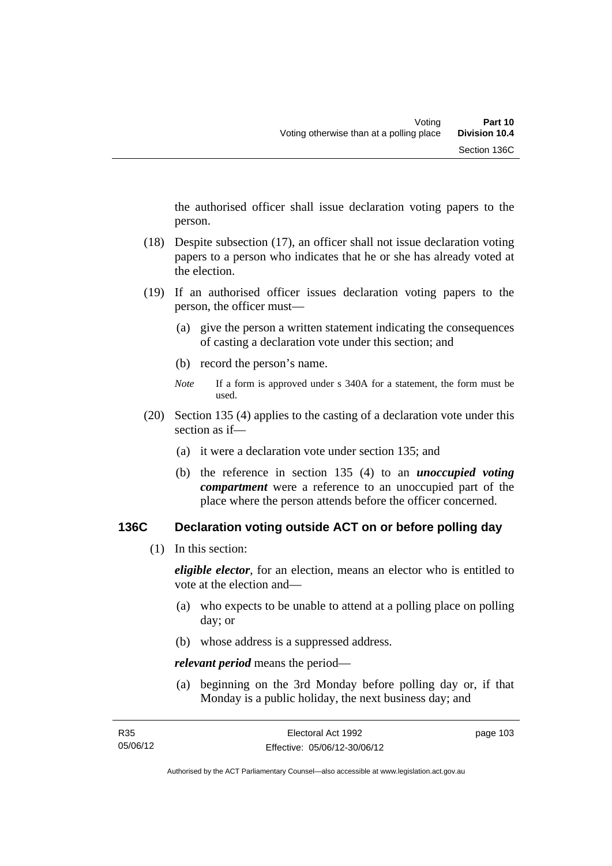the authorised officer shall issue declaration voting papers to the person.

- (18) Despite subsection (17), an officer shall not issue declaration voting papers to a person who indicates that he or she has already voted at the election.
- (19) If an authorised officer issues declaration voting papers to the person, the officer must—
	- (a) give the person a written statement indicating the consequences of casting a declaration vote under this section; and
	- (b) record the person's name.
	- *Note* If a form is approved under s 340A for a statement, the form must be used.
- (20) Section 135 (4) applies to the casting of a declaration vote under this section as if—
	- (a) it were a declaration vote under section 135; and
	- (b) the reference in section 135 (4) to an *unoccupied voting compartment* were a reference to an unoccupied part of the place where the person attends before the officer concerned.

#### **136C Declaration voting outside ACT on or before polling day**

(1) In this section:

*eligible elector*, for an election, means an elector who is entitled to vote at the election and—

- (a) who expects to be unable to attend at a polling place on polling day; or
- (b) whose address is a suppressed address.

*relevant period* means the period—

 (a) beginning on the 3rd Monday before polling day or, if that Monday is a public holiday, the next business day; and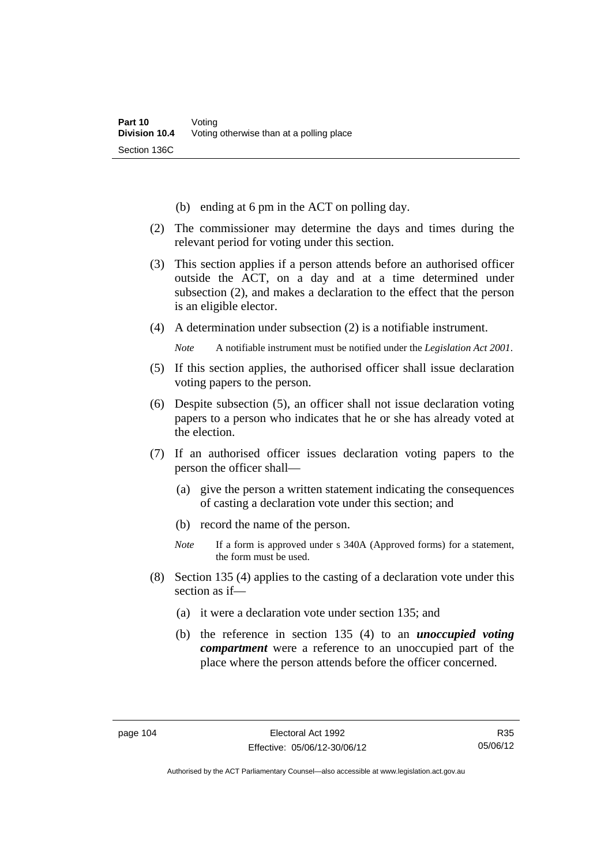- (b) ending at 6 pm in the ACT on polling day.
- (2) The commissioner may determine the days and times during the relevant period for voting under this section.
- (3) This section applies if a person attends before an authorised officer outside the ACT, on a day and at a time determined under subsection (2), and makes a declaration to the effect that the person is an eligible elector.
- (4) A determination under subsection (2) is a notifiable instrument.

*Note* A notifiable instrument must be notified under the *Legislation Act 2001*.

- (5) If this section applies, the authorised officer shall issue declaration voting papers to the person.
- (6) Despite subsection (5), an officer shall not issue declaration voting papers to a person who indicates that he or she has already voted at the election.
- (7) If an authorised officer issues declaration voting papers to the person the officer shall—
	- (a) give the person a written statement indicating the consequences of casting a declaration vote under this section; and
	- (b) record the name of the person.
	- *Note* If a form is approved under s 340A (Approved forms) for a statement, the form must be used.
- (8) Section 135 (4) applies to the casting of a declaration vote under this section as if—
	- (a) it were a declaration vote under section 135; and
	- (b) the reference in section 135 (4) to an *unoccupied voting compartment* were a reference to an unoccupied part of the place where the person attends before the officer concerned.

R35 05/06/12

Authorised by the ACT Parliamentary Counsel—also accessible at www.legislation.act.gov.au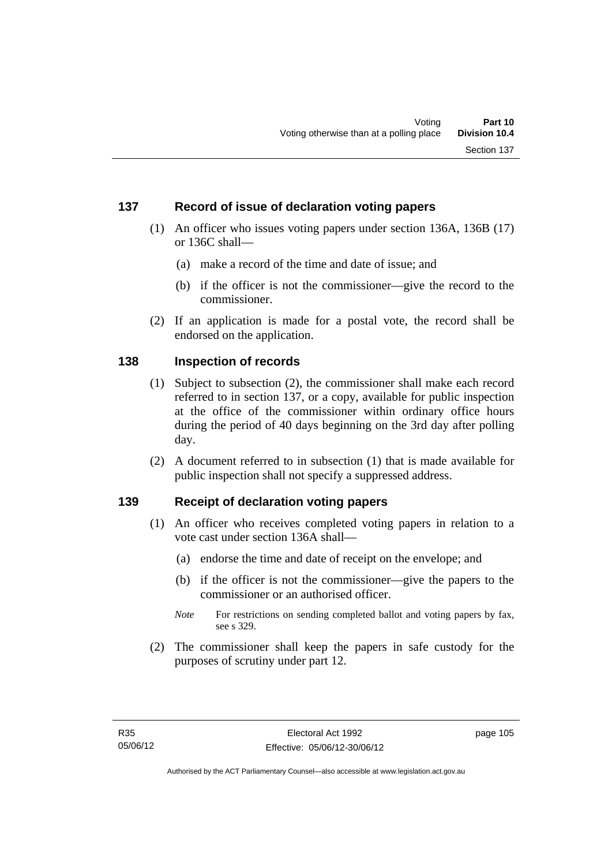### **137 Record of issue of declaration voting papers**

- (1) An officer who issues voting papers under section 136A, 136B (17) or 136C shall—
	- (a) make a record of the time and date of issue; and
	- (b) if the officer is not the commissioner—give the record to the commissioner.
- (2) If an application is made for a postal vote, the record shall be endorsed on the application.

#### **138 Inspection of records**

- (1) Subject to subsection (2), the commissioner shall make each record referred to in section 137, or a copy, available for public inspection at the office of the commissioner within ordinary office hours during the period of 40 days beginning on the 3rd day after polling day.
- (2) A document referred to in subsection (1) that is made available for public inspection shall not specify a suppressed address.

### **139 Receipt of declaration voting papers**

- (1) An officer who receives completed voting papers in relation to a vote cast under section 136A shall—
	- (a) endorse the time and date of receipt on the envelope; and
	- (b) if the officer is not the commissioner—give the papers to the commissioner or an authorised officer.
	- *Note* For restrictions on sending completed ballot and voting papers by fax, see s 329.
- (2) The commissioner shall keep the papers in safe custody for the purposes of scrutiny under part 12.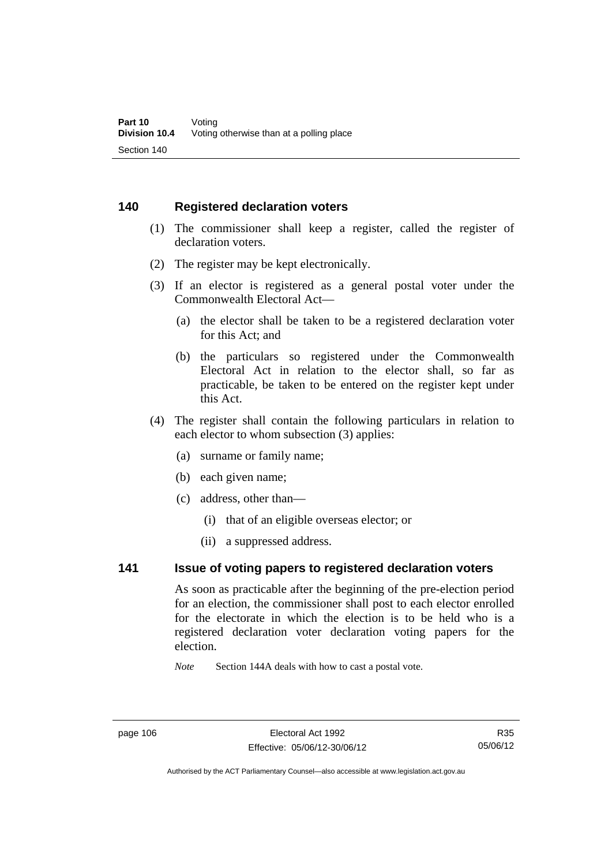#### **140 Registered declaration voters**

- (1) The commissioner shall keep a register, called the register of declaration voters.
- (2) The register may be kept electronically.
- (3) If an elector is registered as a general postal voter under the Commonwealth Electoral Act—
	- (a) the elector shall be taken to be a registered declaration voter for this Act; and
	- (b) the particulars so registered under the Commonwealth Electoral Act in relation to the elector shall, so far as practicable, be taken to be entered on the register kept under this Act.
- (4) The register shall contain the following particulars in relation to each elector to whom subsection (3) applies:
	- (a) surname or family name;
	- (b) each given name;
	- (c) address, other than—
		- (i) that of an eligible overseas elector; or
		- (ii) a suppressed address.

### **141 Issue of voting papers to registered declaration voters**

As soon as practicable after the beginning of the pre-election period for an election, the commissioner shall post to each elector enrolled for the electorate in which the election is to be held who is a registered declaration voter declaration voting papers for the election.

*Note* Section 144A deals with how to cast a postal vote.

Authorised by the ACT Parliamentary Counsel—also accessible at www.legislation.act.gov.au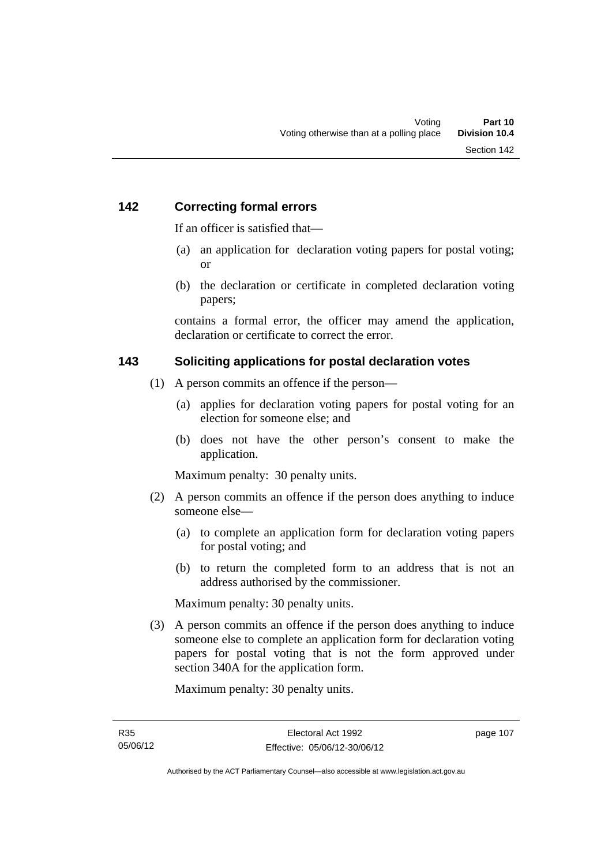### **142 Correcting formal errors**

If an officer is satisfied that—

- (a) an application for declaration voting papers for postal voting; or
- (b) the declaration or certificate in completed declaration voting papers;

contains a formal error, the officer may amend the application, declaration or certificate to correct the error.

#### **143 Soliciting applications for postal declaration votes**

- (1) A person commits an offence if the person—
	- (a) applies for declaration voting papers for postal voting for an election for someone else; and
	- (b) does not have the other person's consent to make the application.

Maximum penalty: 30 penalty units.

- (2) A person commits an offence if the person does anything to induce someone else—
	- (a) to complete an application form for declaration voting papers for postal voting; and
	- (b) to return the completed form to an address that is not an address authorised by the commissioner.

Maximum penalty: 30 penalty units.

 (3) A person commits an offence if the person does anything to induce someone else to complete an application form for declaration voting papers for postal voting that is not the form approved under section 340A for the application form.

Maximum penalty: 30 penalty units.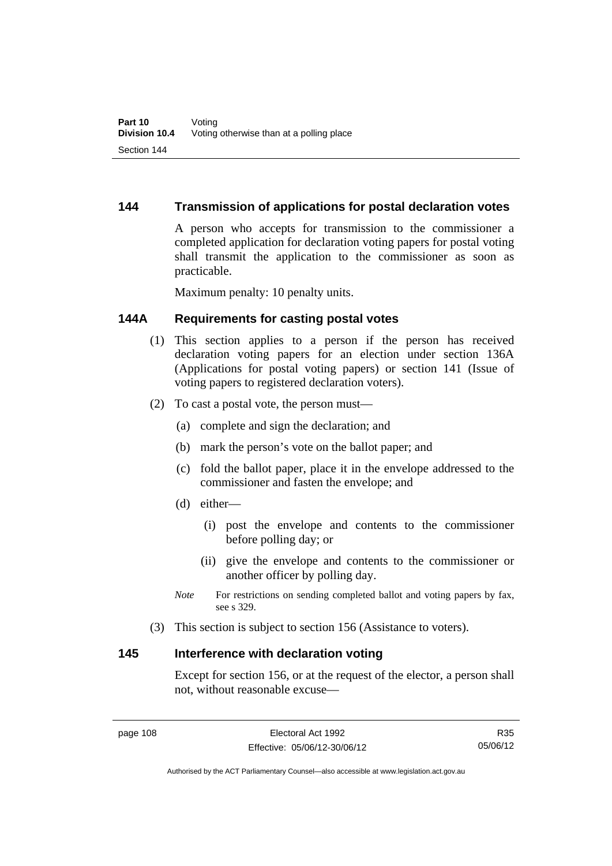### **144 Transmission of applications for postal declaration votes**

A person who accepts for transmission to the commissioner a completed application for declaration voting papers for postal voting shall transmit the application to the commissioner as soon as practicable.

Maximum penalty: 10 penalty units.

### **144A Requirements for casting postal votes**

- (1) This section applies to a person if the person has received declaration voting papers for an election under section 136A (Applications for postal voting papers) or section 141 (Issue of voting papers to registered declaration voters).
- (2) To cast a postal vote, the person must—
	- (a) complete and sign the declaration; and
	- (b) mark the person's vote on the ballot paper; and
	- (c) fold the ballot paper, place it in the envelope addressed to the commissioner and fasten the envelope; and
	- (d) either—
		- (i) post the envelope and contents to the commissioner before polling day; or
		- (ii) give the envelope and contents to the commissioner or another officer by polling day.
	- *Note* For restrictions on sending completed ballot and voting papers by fax, see s 329.
- (3) This section is subject to section 156 (Assistance to voters).

#### **145 Interference with declaration voting**

Except for section 156, or at the request of the elector, a person shall not, without reasonable excuse—

Authorised by the ACT Parliamentary Counsel—also accessible at www.legislation.act.gov.au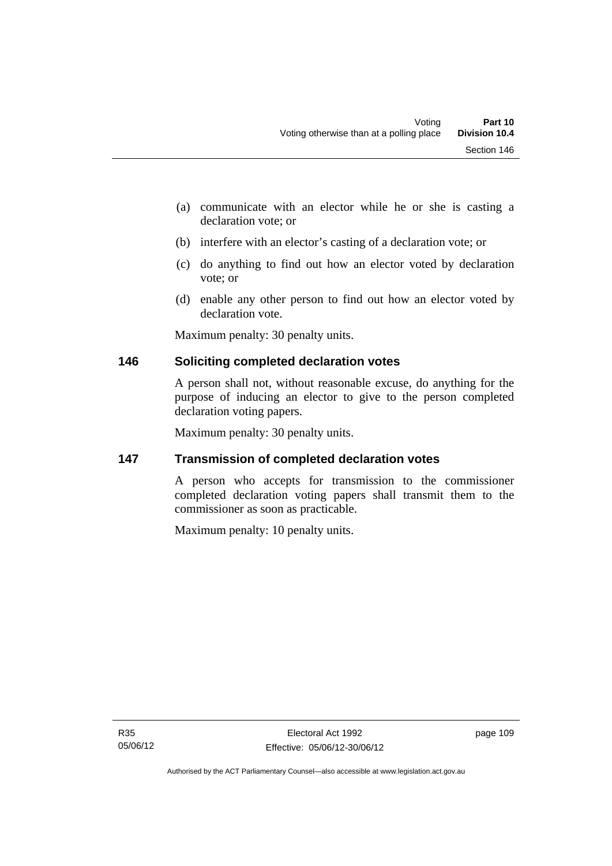- (a) communicate with an elector while he or she is casting a declaration vote; or
- (b) interfere with an elector's casting of a declaration vote; or
- (c) do anything to find out how an elector voted by declaration vote; or
- (d) enable any other person to find out how an elector voted by declaration vote.

Maximum penalty: 30 penalty units.

## **146 Soliciting completed declaration votes**

A person shall not, without reasonable excuse, do anything for the purpose of inducing an elector to give to the person completed declaration voting papers.

Maximum penalty: 30 penalty units.

## **147 Transmission of completed declaration votes**

A person who accepts for transmission to the commissioner completed declaration voting papers shall transmit them to the commissioner as soon as practicable.

Maximum penalty: 10 penalty units.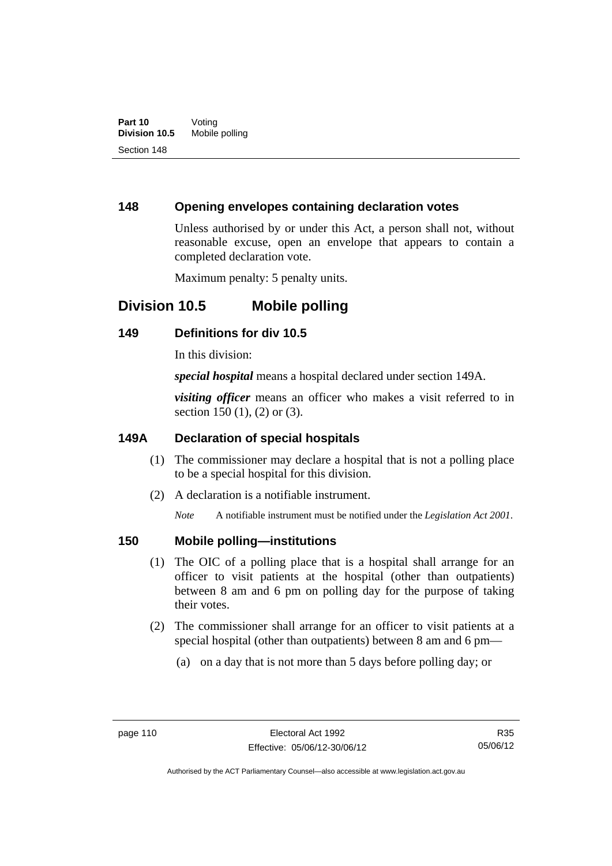### **148 Opening envelopes containing declaration votes**

Unless authorised by or under this Act, a person shall not, without reasonable excuse, open an envelope that appears to contain a completed declaration vote.

Maximum penalty: 5 penalty units.

## **Division 10.5 Mobile polling**

#### **149 Definitions for div 10.5**

In this division:

*special hospital* means a hospital declared under section 149A.

*visiting officer* means an officer who makes a visit referred to in section 150 (1), (2) or (3).

#### **149A Declaration of special hospitals**

- (1) The commissioner may declare a hospital that is not a polling place to be a special hospital for this division.
- (2) A declaration is a notifiable instrument.

*Note* A notifiable instrument must be notified under the *Legislation Act 2001*.

#### **150 Mobile polling—institutions**

- (1) The OIC of a polling place that is a hospital shall arrange for an officer to visit patients at the hospital (other than outpatients) between 8 am and 6 pm on polling day for the purpose of taking their votes.
- (2) The commissioner shall arrange for an officer to visit patients at a special hospital (other than outpatients) between 8 am and 6 pm—
	- (a) on a day that is not more than 5 days before polling day; or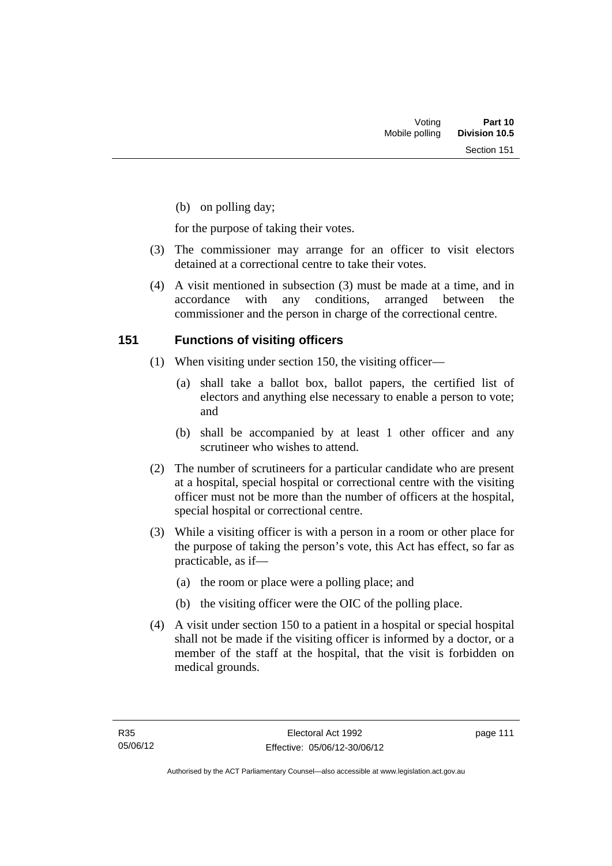(b) on polling day;

for the purpose of taking their votes.

- (3) The commissioner may arrange for an officer to visit electors detained at a correctional centre to take their votes.
- (4) A visit mentioned in subsection (3) must be made at a time, and in accordance with any conditions, arranged between the commissioner and the person in charge of the correctional centre.

### **151 Functions of visiting officers**

- (1) When visiting under section 150, the visiting officer—
	- (a) shall take a ballot box, ballot papers, the certified list of electors and anything else necessary to enable a person to vote; and
	- (b) shall be accompanied by at least 1 other officer and any scrutineer who wishes to attend.
- (2) The number of scrutineers for a particular candidate who are present at a hospital, special hospital or correctional centre with the visiting officer must not be more than the number of officers at the hospital, special hospital or correctional centre.
- (3) While a visiting officer is with a person in a room or other place for the purpose of taking the person's vote, this Act has effect, so far as practicable, as if—
	- (a) the room or place were a polling place; and
	- (b) the visiting officer were the OIC of the polling place.
- (4) A visit under section 150 to a patient in a hospital or special hospital shall not be made if the visiting officer is informed by a doctor, or a member of the staff at the hospital, that the visit is forbidden on medical grounds.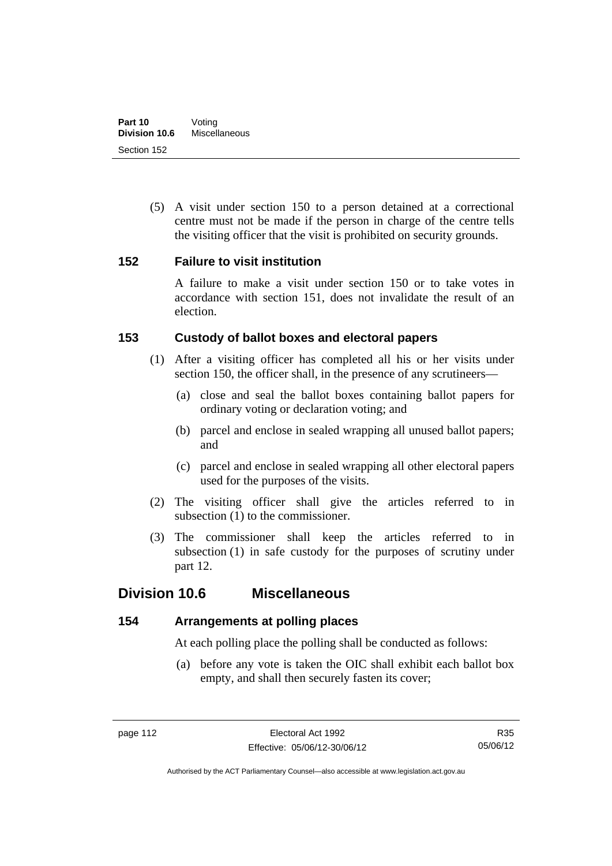(5) A visit under section 150 to a person detained at a correctional centre must not be made if the person in charge of the centre tells the visiting officer that the visit is prohibited on security grounds.

### **152 Failure to visit institution**

A failure to make a visit under section 150 or to take votes in accordance with section 151, does not invalidate the result of an election.

## **153 Custody of ballot boxes and electoral papers**

- (1) After a visiting officer has completed all his or her visits under section 150, the officer shall, in the presence of any scrutineers—
	- (a) close and seal the ballot boxes containing ballot papers for ordinary voting or declaration voting; and
	- (b) parcel and enclose in sealed wrapping all unused ballot papers; and
	- (c) parcel and enclose in sealed wrapping all other electoral papers used for the purposes of the visits.
- (2) The visiting officer shall give the articles referred to in subsection (1) to the commissioner.
- (3) The commissioner shall keep the articles referred to in subsection (1) in safe custody for the purposes of scrutiny under part 12.

## **Division 10.6 Miscellaneous**

## **154 Arrangements at polling places**

At each polling place the polling shall be conducted as follows:

 (a) before any vote is taken the OIC shall exhibit each ballot box empty, and shall then securely fasten its cover;

R35 05/06/12

Authorised by the ACT Parliamentary Counsel—also accessible at www.legislation.act.gov.au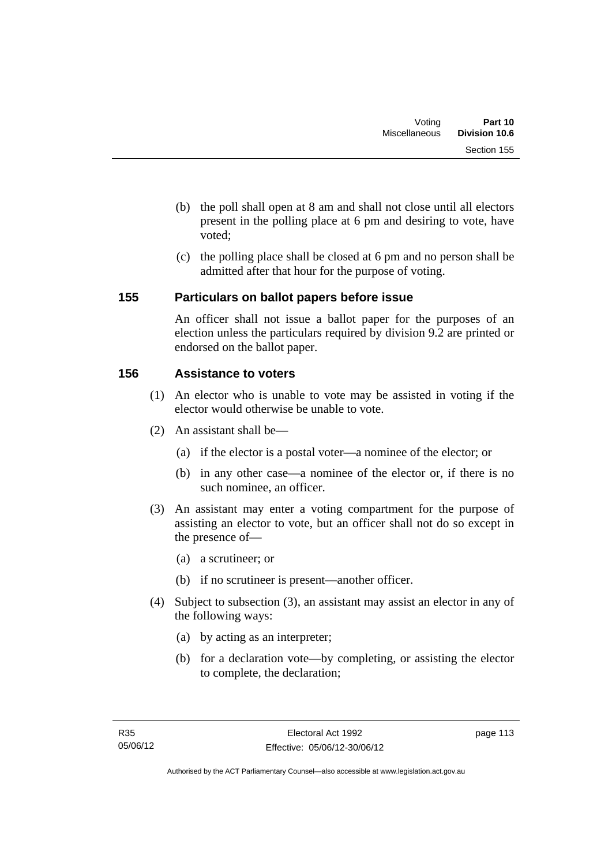- (b) the poll shall open at 8 am and shall not close until all electors present in the polling place at 6 pm and desiring to vote, have voted;
- (c) the polling place shall be closed at 6 pm and no person shall be admitted after that hour for the purpose of voting.

## **155 Particulars on ballot papers before issue**

An officer shall not issue a ballot paper for the purposes of an election unless the particulars required by division 9.2 are printed or endorsed on the ballot paper.

### **156 Assistance to voters**

- (1) An elector who is unable to vote may be assisted in voting if the elector would otherwise be unable to vote.
- (2) An assistant shall be—
	- (a) if the elector is a postal voter—a nominee of the elector; or
	- (b) in any other case—a nominee of the elector or, if there is no such nominee, an officer.
- (3) An assistant may enter a voting compartment for the purpose of assisting an elector to vote, but an officer shall not do so except in the presence of—
	- (a) a scrutineer; or
	- (b) if no scrutineer is present—another officer.
- (4) Subject to subsection (3), an assistant may assist an elector in any of the following ways:
	- (a) by acting as an interpreter;
	- (b) for a declaration vote—by completing, or assisting the elector to complete, the declaration;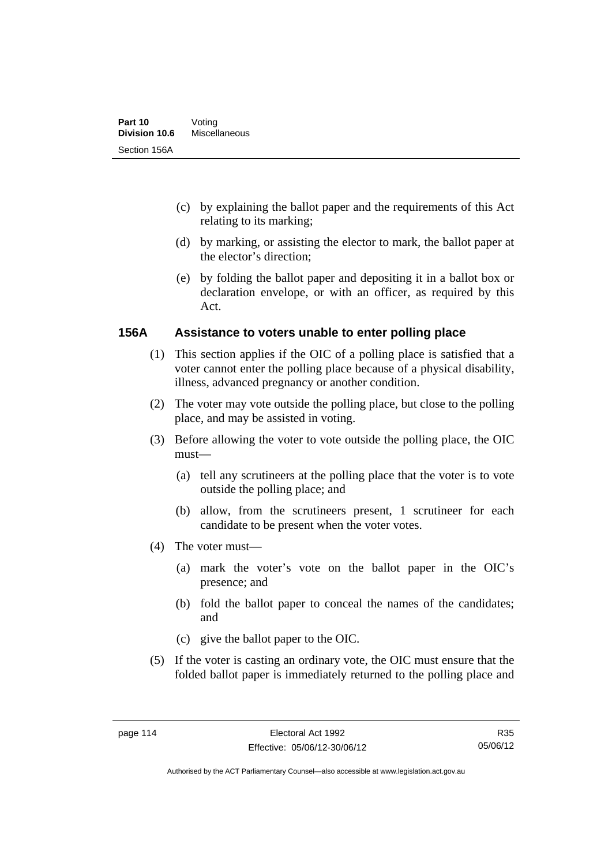- (c) by explaining the ballot paper and the requirements of this Act relating to its marking;
- (d) by marking, or assisting the elector to mark, the ballot paper at the elector's direction;
- (e) by folding the ballot paper and depositing it in a ballot box or declaration envelope, or with an officer, as required by this Act.

#### **156A Assistance to voters unable to enter polling place**

- (1) This section applies if the OIC of a polling place is satisfied that a voter cannot enter the polling place because of a physical disability, illness, advanced pregnancy or another condition.
- (2) The voter may vote outside the polling place, but close to the polling place, and may be assisted in voting.
- (3) Before allowing the voter to vote outside the polling place, the OIC must—
	- (a) tell any scrutineers at the polling place that the voter is to vote outside the polling place; and
	- (b) allow, from the scrutineers present, 1 scrutineer for each candidate to be present when the voter votes.
- (4) The voter must—
	- (a) mark the voter's vote on the ballot paper in the OIC's presence; and
	- (b) fold the ballot paper to conceal the names of the candidates; and
	- (c) give the ballot paper to the OIC.
- (5) If the voter is casting an ordinary vote, the OIC must ensure that the folded ballot paper is immediately returned to the polling place and

R35 05/06/12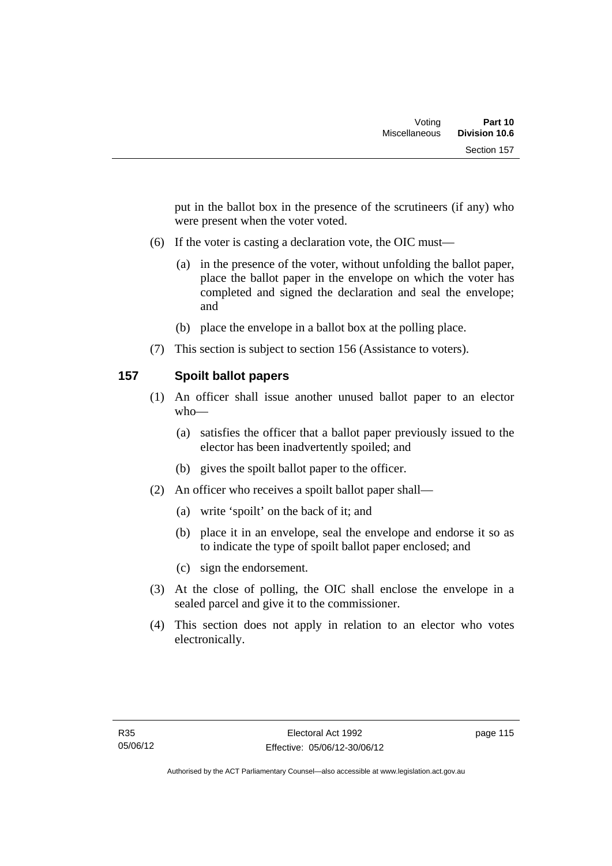put in the ballot box in the presence of the scrutineers (if any) who were present when the voter voted.

- (6) If the voter is casting a declaration vote, the OIC must—
	- (a) in the presence of the voter, without unfolding the ballot paper, place the ballot paper in the envelope on which the voter has completed and signed the declaration and seal the envelope; and
	- (b) place the envelope in a ballot box at the polling place.
- (7) This section is subject to section 156 (Assistance to voters).

## **157 Spoilt ballot papers**

- (1) An officer shall issue another unused ballot paper to an elector who—
	- (a) satisfies the officer that a ballot paper previously issued to the elector has been inadvertently spoiled; and
	- (b) gives the spoilt ballot paper to the officer.
- (2) An officer who receives a spoilt ballot paper shall—
	- (a) write 'spoilt' on the back of it; and
	- (b) place it in an envelope, seal the envelope and endorse it so as to indicate the type of spoilt ballot paper enclosed; and
	- (c) sign the endorsement.
- (3) At the close of polling, the OIC shall enclose the envelope in a sealed parcel and give it to the commissioner.
- (4) This section does not apply in relation to an elector who votes electronically.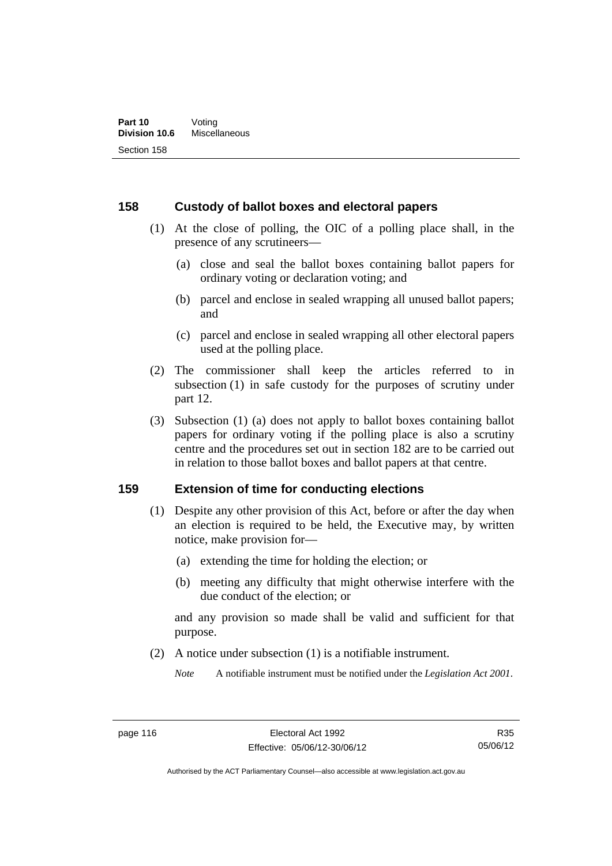#### **158 Custody of ballot boxes and electoral papers**

- (1) At the close of polling, the OIC of a polling place shall, in the presence of any scrutineers—
	- (a) close and seal the ballot boxes containing ballot papers for ordinary voting or declaration voting; and
	- (b) parcel and enclose in sealed wrapping all unused ballot papers; and
	- (c) parcel and enclose in sealed wrapping all other electoral papers used at the polling place.
- (2) The commissioner shall keep the articles referred to in subsection (1) in safe custody for the purposes of scrutiny under part 12.
- (3) Subsection (1) (a) does not apply to ballot boxes containing ballot papers for ordinary voting if the polling place is also a scrutiny centre and the procedures set out in section 182 are to be carried out in relation to those ballot boxes and ballot papers at that centre.

#### **159 Extension of time for conducting elections**

- (1) Despite any other provision of this Act, before or after the day when an election is required to be held, the Executive may, by written notice, make provision for—
	- (a) extending the time for holding the election; or
	- (b) meeting any difficulty that might otherwise interfere with the due conduct of the election; or

and any provision so made shall be valid and sufficient for that purpose.

(2) A notice under subsection (1) is a notifiable instrument.

*Note* A notifiable instrument must be notified under the *Legislation Act 2001*.

R35 05/06/12

Authorised by the ACT Parliamentary Counsel—also accessible at www.legislation.act.gov.au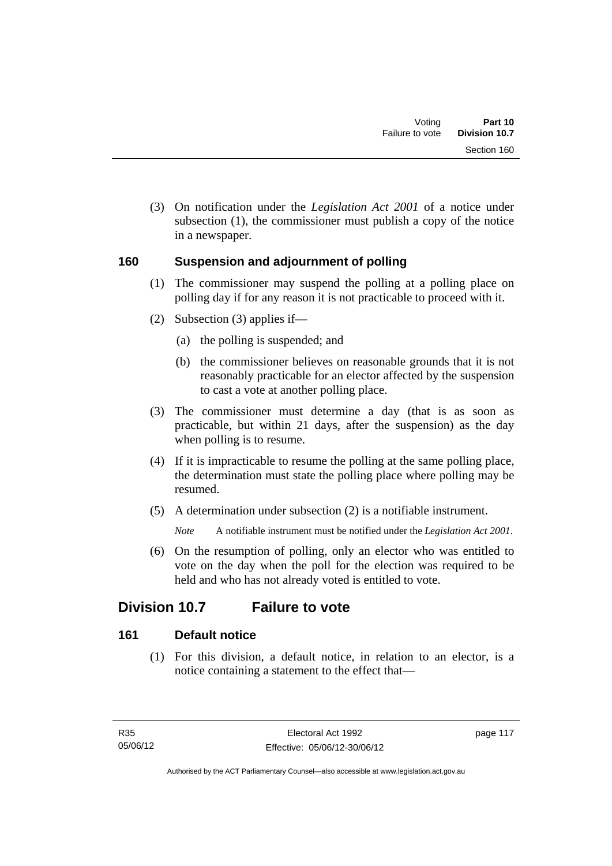(3) On notification under the *Legislation Act 2001* of a notice under subsection (1), the commissioner must publish a copy of the notice in a newspaper.

## **160 Suspension and adjournment of polling**

- (1) The commissioner may suspend the polling at a polling place on polling day if for any reason it is not practicable to proceed with it.
- (2) Subsection (3) applies if—
	- (a) the polling is suspended; and
	- (b) the commissioner believes on reasonable grounds that it is not reasonably practicable for an elector affected by the suspension to cast a vote at another polling place.
- (3) The commissioner must determine a day (that is as soon as practicable, but within 21 days, after the suspension) as the day when polling is to resume.
- (4) If it is impracticable to resume the polling at the same polling place, the determination must state the polling place where polling may be resumed.
- (5) A determination under subsection (2) is a notifiable instrument.

*Note* A notifiable instrument must be notified under the *Legislation Act 2001*.

 (6) On the resumption of polling, only an elector who was entitled to vote on the day when the poll for the election was required to be held and who has not already voted is entitled to vote.

# **Division 10.7 Failure to vote**

## **161 Default notice**

 (1) For this division, a default notice, in relation to an elector, is a notice containing a statement to the effect that—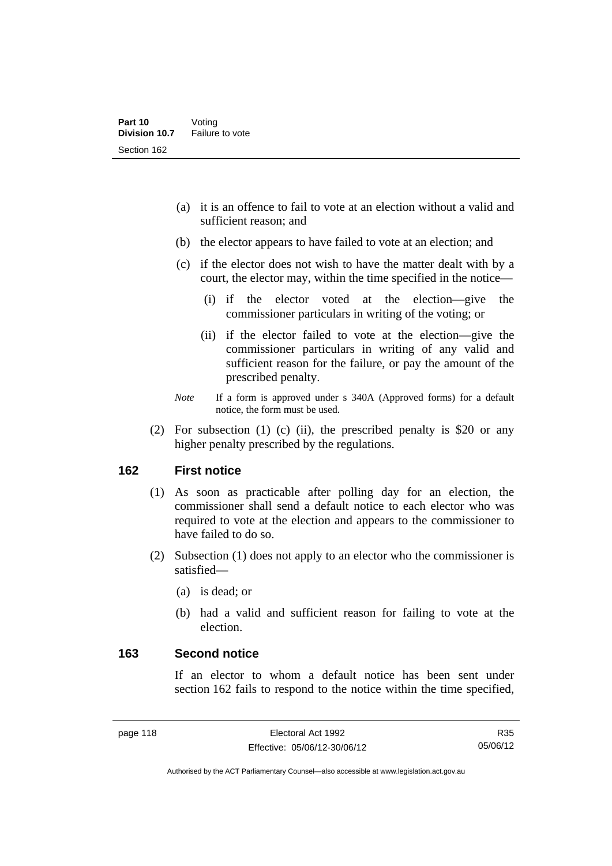- (a) it is an offence to fail to vote at an election without a valid and sufficient reason; and
- (b) the elector appears to have failed to vote at an election; and
- (c) if the elector does not wish to have the matter dealt with by a court, the elector may, within the time specified in the notice—
	- (i) if the elector voted at the election—give the commissioner particulars in writing of the voting; or
	- (ii) if the elector failed to vote at the election—give the commissioner particulars in writing of any valid and sufficient reason for the failure, or pay the amount of the prescribed penalty.
- *Note* If a form is approved under s 340A (Approved forms) for a default notice, the form must be used.
- (2) For subsection (1) (c) (ii), the prescribed penalty is \$20 or any higher penalty prescribed by the regulations.

#### **162 First notice**

- (1) As soon as practicable after polling day for an election, the commissioner shall send a default notice to each elector who was required to vote at the election and appears to the commissioner to have failed to do so.
- (2) Subsection (1) does not apply to an elector who the commissioner is satisfied—
	- (a) is dead; or
	- (b) had a valid and sufficient reason for failing to vote at the election.

#### **163 Second notice**

If an elector to whom a default notice has been sent under section 162 fails to respond to the notice within the time specified,

R35 05/06/12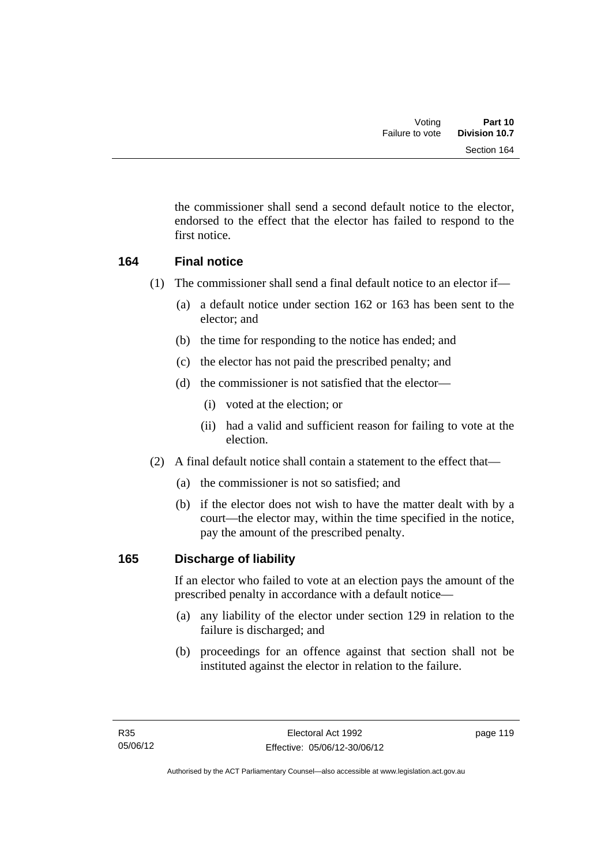the commissioner shall send a second default notice to the elector, endorsed to the effect that the elector has failed to respond to the first notice.

## **164 Final notice**

- (1) The commissioner shall send a final default notice to an elector if—
	- (a) a default notice under section 162 or 163 has been sent to the elector; and
	- (b) the time for responding to the notice has ended; and
	- (c) the elector has not paid the prescribed penalty; and
	- (d) the commissioner is not satisfied that the elector—
		- (i) voted at the election; or
		- (ii) had a valid and sufficient reason for failing to vote at the election.
- (2) A final default notice shall contain a statement to the effect that—
	- (a) the commissioner is not so satisfied; and
	- (b) if the elector does not wish to have the matter dealt with by a court—the elector may, within the time specified in the notice, pay the amount of the prescribed penalty.

## **165 Discharge of liability**

If an elector who failed to vote at an election pays the amount of the prescribed penalty in accordance with a default notice—

- (a) any liability of the elector under section 129 in relation to the failure is discharged; and
- (b) proceedings for an offence against that section shall not be instituted against the elector in relation to the failure.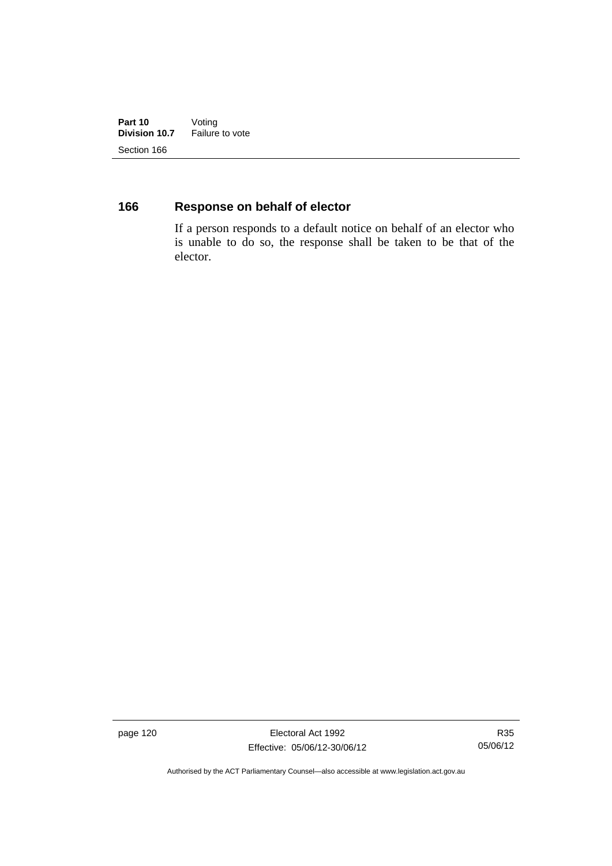**Part 10** Voting<br>**Division 10.7** Failure **Failure to vote** Section 166

## **166 Response on behalf of elector**

If a person responds to a default notice on behalf of an elector who is unable to do so, the response shall be taken to be that of the elector.

page 120 **Electoral Act 1992** Effective: 05/06/12-30/06/12

R35 05/06/12

Authorised by the ACT Parliamentary Counsel—also accessible at www.legislation.act.gov.au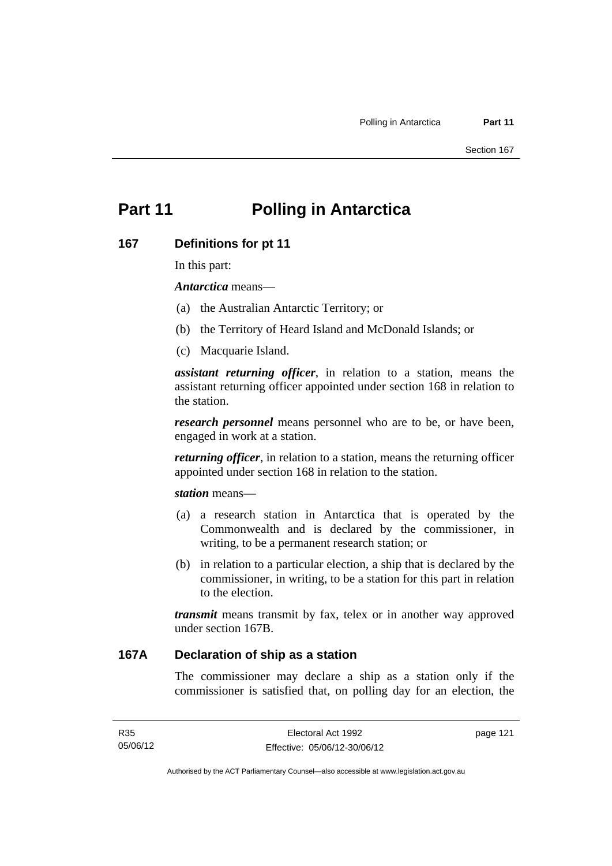# **Part 11 Polling in Antarctica**

#### **167 Definitions for pt 11**

In this part:

*Antarctica* means—

- (a) the Australian Antarctic Territory; or
- (b) the Territory of Heard Island and McDonald Islands; or
- (c) Macquarie Island.

*assistant returning officer*, in relation to a station, means the assistant returning officer appointed under section 168 in relation to the station.

*research personnel* means personnel who are to be, or have been, engaged in work at a station.

*returning officer*, in relation to a station, means the returning officer appointed under section 168 in relation to the station.

*station* means—

- (a) a research station in Antarctica that is operated by the Commonwealth and is declared by the commissioner, in writing, to be a permanent research station; or
- (b) in relation to a particular election, a ship that is declared by the commissioner, in writing, to be a station for this part in relation to the election.

*transmit* means transmit by fax, telex or in another way approved under section 167B.

### **167A Declaration of ship as a station**

The commissioner may declare a ship as a station only if the commissioner is satisfied that, on polling day for an election, the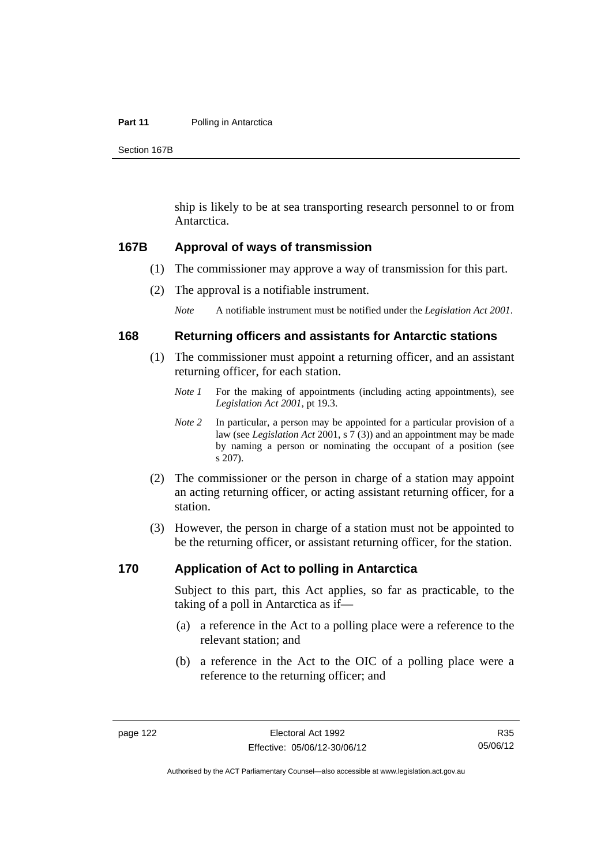#### **Part 11** Polling in Antarctica

Section 167B

ship is likely to be at sea transporting research personnel to or from Antarctica.

#### **167B Approval of ways of transmission**

- (1) The commissioner may approve a way of transmission for this part.
- (2) The approval is a notifiable instrument.

*Note* A notifiable instrument must be notified under the *Legislation Act 2001*.

#### **168 Returning officers and assistants for Antarctic stations**

- (1) The commissioner must appoint a returning officer, and an assistant returning officer, for each station.
	- *Note 1* For the making of appointments (including acting appointments), see *Legislation Act 2001*, pt 19.3.
	- *Note 2* In particular, a person may be appointed for a particular provision of a law (see *Legislation Act* 2001, s 7 (3)) and an appointment may be made by naming a person or nominating the occupant of a position (see s 207).
- (2) The commissioner or the person in charge of a station may appoint an acting returning officer, or acting assistant returning officer, for a station.
- (3) However, the person in charge of a station must not be appointed to be the returning officer, or assistant returning officer, for the station.

#### **170 Application of Act to polling in Antarctica**

Subject to this part, this Act applies, so far as practicable, to the taking of a poll in Antarctica as if—

- (a) a reference in the Act to a polling place were a reference to the relevant station; and
- (b) a reference in the Act to the OIC of a polling place were a reference to the returning officer; and

Authorised by the ACT Parliamentary Counsel—also accessible at www.legislation.act.gov.au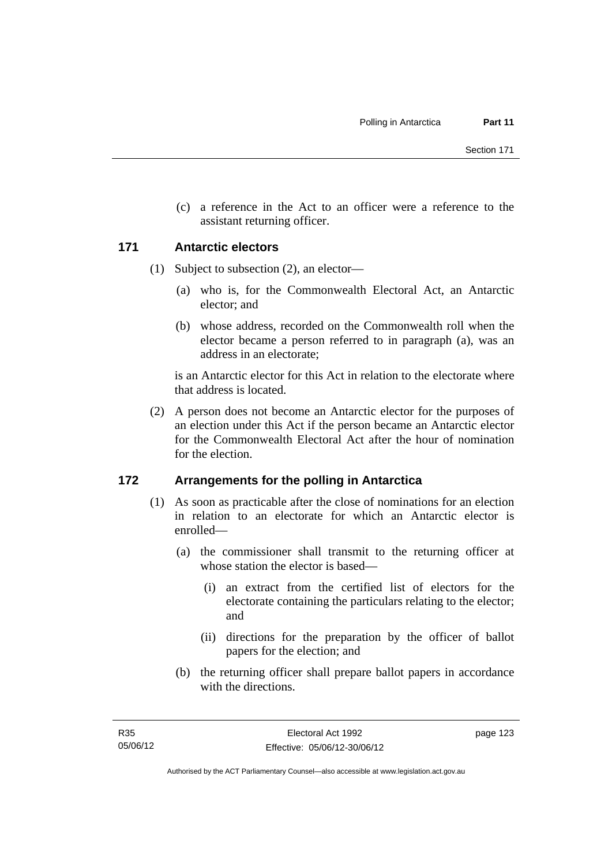(c) a reference in the Act to an officer were a reference to the assistant returning officer.

### **171 Antarctic electors**

- (1) Subject to subsection (2), an elector—
	- (a) who is, for the Commonwealth Electoral Act, an Antarctic elector; and
	- (b) whose address, recorded on the Commonwealth roll when the elector became a person referred to in paragraph (a), was an address in an electorate;

is an Antarctic elector for this Act in relation to the electorate where that address is located.

 (2) A person does not become an Antarctic elector for the purposes of an election under this Act if the person became an Antarctic elector for the Commonwealth Electoral Act after the hour of nomination for the election.

## **172 Arrangements for the polling in Antarctica**

- (1) As soon as practicable after the close of nominations for an election in relation to an electorate for which an Antarctic elector is enrolled—
	- (a) the commissioner shall transmit to the returning officer at whose station the elector is based—
		- (i) an extract from the certified list of electors for the electorate containing the particulars relating to the elector; and
		- (ii) directions for the preparation by the officer of ballot papers for the election; and
	- (b) the returning officer shall prepare ballot papers in accordance with the directions.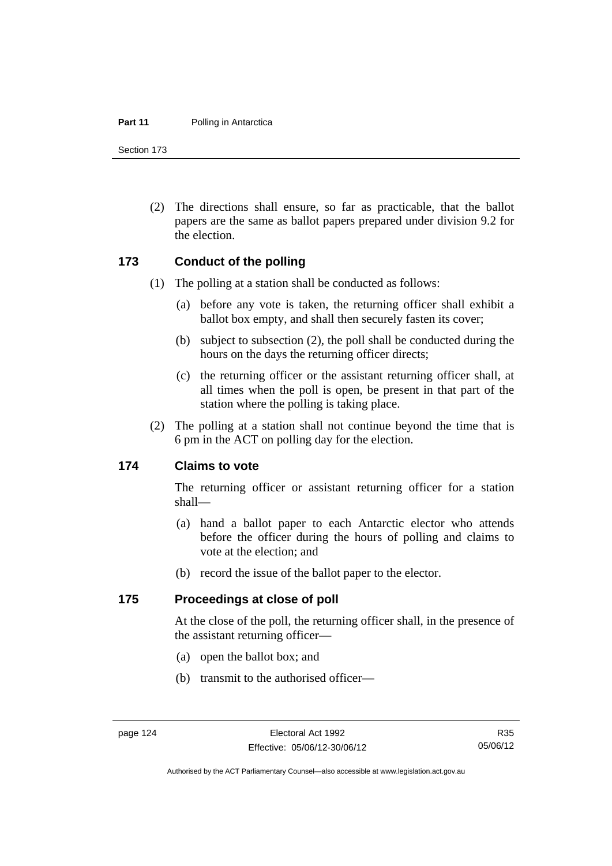#### **Part 11** Polling in Antarctica

Section 173

 (2) The directions shall ensure, so far as practicable, that the ballot papers are the same as ballot papers prepared under division 9.2 for the election.

#### **173 Conduct of the polling**

- (1) The polling at a station shall be conducted as follows:
	- (a) before any vote is taken, the returning officer shall exhibit a ballot box empty, and shall then securely fasten its cover;
	- (b) subject to subsection (2), the poll shall be conducted during the hours on the days the returning officer directs;
	- (c) the returning officer or the assistant returning officer shall, at all times when the poll is open, be present in that part of the station where the polling is taking place.
- (2) The polling at a station shall not continue beyond the time that is 6 pm in the ACT on polling day for the election.

#### **174 Claims to vote**

The returning officer or assistant returning officer for a station shall—

- (a) hand a ballot paper to each Antarctic elector who attends before the officer during the hours of polling and claims to vote at the election; and
- (b) record the issue of the ballot paper to the elector.

#### **175 Proceedings at close of poll**

At the close of the poll, the returning officer shall, in the presence of the assistant returning officer—

- (a) open the ballot box; and
- (b) transmit to the authorised officer—

Authorised by the ACT Parliamentary Counsel—also accessible at www.legislation.act.gov.au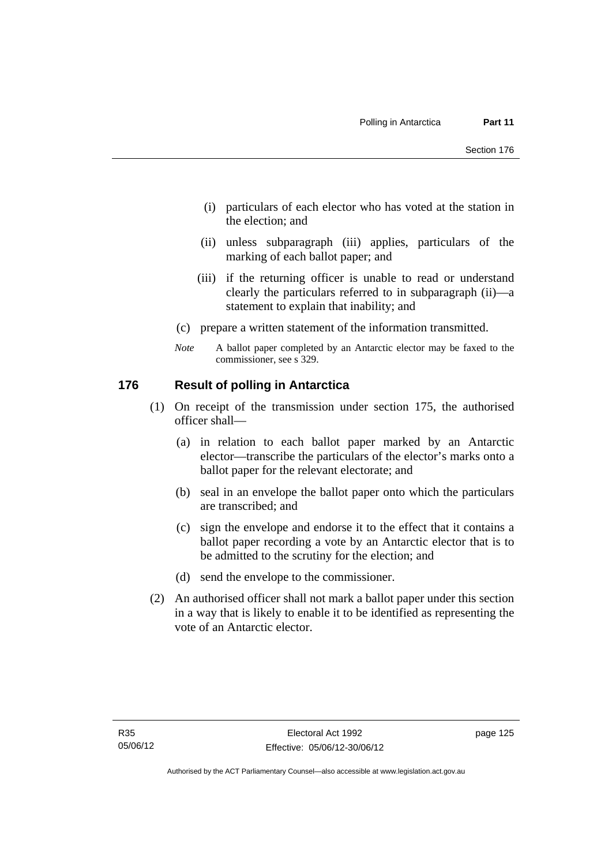- (i) particulars of each elector who has voted at the station in the election; and
- (ii) unless subparagraph (iii) applies, particulars of the marking of each ballot paper; and
- (iii) if the returning officer is unable to read or understand clearly the particulars referred to in subparagraph (ii)—a statement to explain that inability; and
- (c) prepare a written statement of the information transmitted.
- *Note* A ballot paper completed by an Antarctic elector may be faxed to the commissioner, see s 329.

### **176 Result of polling in Antarctica**

- (1) On receipt of the transmission under section 175, the authorised officer shall—
	- (a) in relation to each ballot paper marked by an Antarctic elector—transcribe the particulars of the elector's marks onto a ballot paper for the relevant electorate; and
	- (b) seal in an envelope the ballot paper onto which the particulars are transcribed; and
	- (c) sign the envelope and endorse it to the effect that it contains a ballot paper recording a vote by an Antarctic elector that is to be admitted to the scrutiny for the election; and
	- (d) send the envelope to the commissioner.
- (2) An authorised officer shall not mark a ballot paper under this section in a way that is likely to enable it to be identified as representing the vote of an Antarctic elector.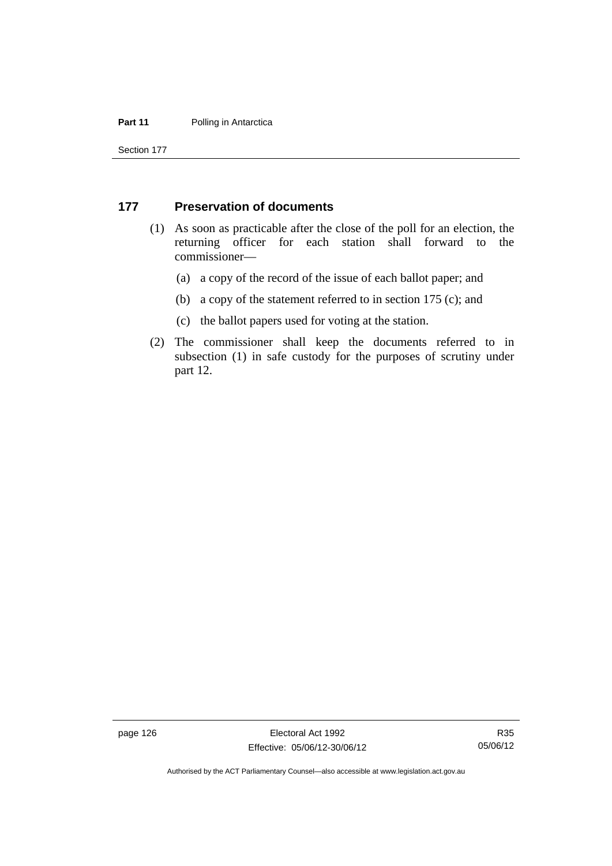#### **Part 11** Polling in Antarctica

Section 177

#### **177 Preservation of documents**

- (1) As soon as practicable after the close of the poll for an election, the returning officer for each station shall forward to the commissioner—
	- (a) a copy of the record of the issue of each ballot paper; and
	- (b) a copy of the statement referred to in section 175 (c); and
	- (c) the ballot papers used for voting at the station.
- (2) The commissioner shall keep the documents referred to in subsection (1) in safe custody for the purposes of scrutiny under part 12.

page 126 **Electoral Act 1992** Effective: 05/06/12-30/06/12

R35 05/06/12

Authorised by the ACT Parliamentary Counsel—also accessible at www.legislation.act.gov.au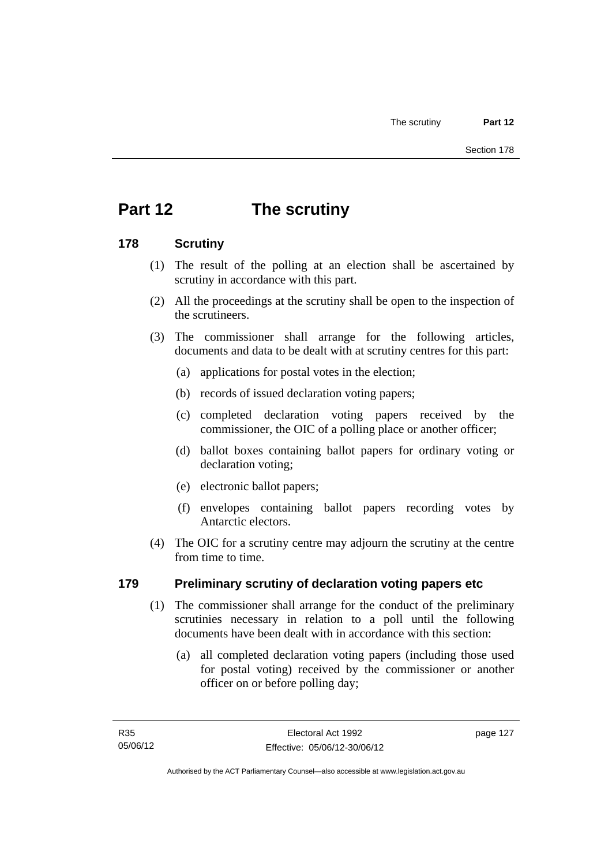# **Part 12 The scrutiny**

# **178 Scrutiny**

- (1) The result of the polling at an election shall be ascertained by scrutiny in accordance with this part.
- (2) All the proceedings at the scrutiny shall be open to the inspection of the scrutineers.
- (3) The commissioner shall arrange for the following articles, documents and data to be dealt with at scrutiny centres for this part:
	- (a) applications for postal votes in the election;
	- (b) records of issued declaration voting papers;
	- (c) completed declaration voting papers received by the commissioner, the OIC of a polling place or another officer;
	- (d) ballot boxes containing ballot papers for ordinary voting or declaration voting;
	- (e) electronic ballot papers;
	- (f) envelopes containing ballot papers recording votes by Antarctic electors.
- (4) The OIC for a scrutiny centre may adjourn the scrutiny at the centre from time to time.

# **179 Preliminary scrutiny of declaration voting papers etc**

- (1) The commissioner shall arrange for the conduct of the preliminary scrutinies necessary in relation to a poll until the following documents have been dealt with in accordance with this section:
	- (a) all completed declaration voting papers (including those used for postal voting) received by the commissioner or another officer on or before polling day;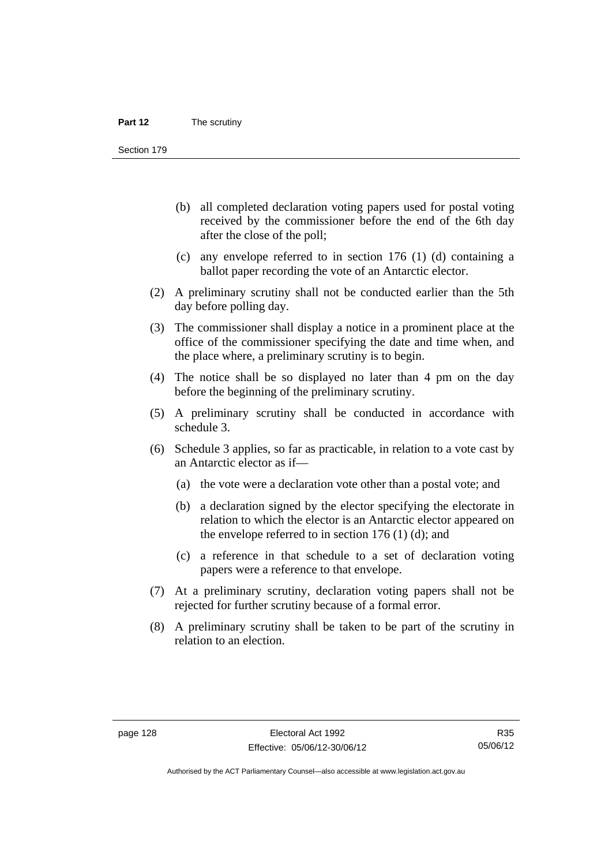Section 179

- (b) all completed declaration voting papers used for postal voting received by the commissioner before the end of the 6th day after the close of the poll;
- (c) any envelope referred to in section 176 (1) (d) containing a ballot paper recording the vote of an Antarctic elector.
- (2) A preliminary scrutiny shall not be conducted earlier than the 5th day before polling day.
- (3) The commissioner shall display a notice in a prominent place at the office of the commissioner specifying the date and time when, and the place where, a preliminary scrutiny is to begin.
- (4) The notice shall be so displayed no later than 4 pm on the day before the beginning of the preliminary scrutiny.
- (5) A preliminary scrutiny shall be conducted in accordance with schedule 3.
- (6) Schedule 3 applies, so far as practicable, in relation to a vote cast by an Antarctic elector as if—
	- (a) the vote were a declaration vote other than a postal vote; and
	- (b) a declaration signed by the elector specifying the electorate in relation to which the elector is an Antarctic elector appeared on the envelope referred to in section  $176$  (1) (d); and
	- (c) a reference in that schedule to a set of declaration voting papers were a reference to that envelope.
- (7) At a preliminary scrutiny, declaration voting papers shall not be rejected for further scrutiny because of a formal error.
- (8) A preliminary scrutiny shall be taken to be part of the scrutiny in relation to an election.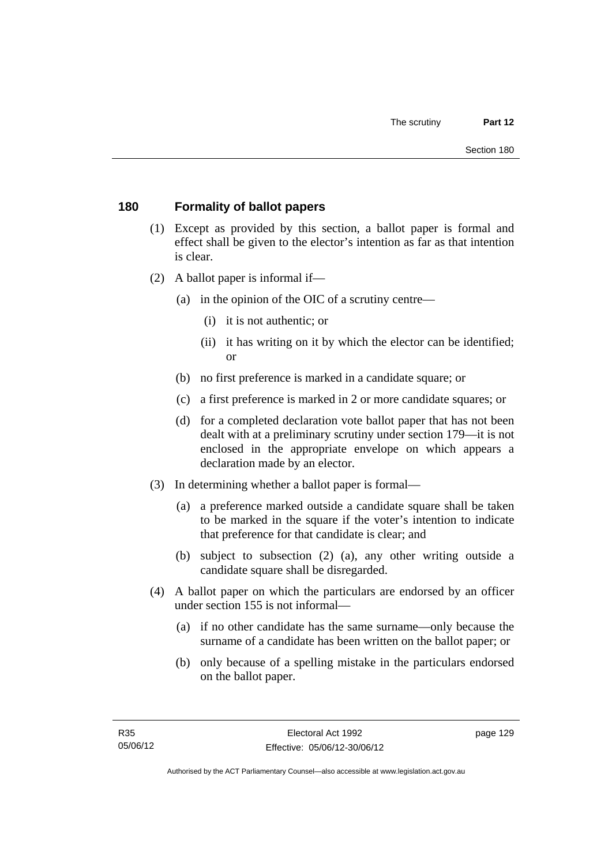# **180 Formality of ballot papers**

- (1) Except as provided by this section, a ballot paper is formal and effect shall be given to the elector's intention as far as that intention is clear.
- (2) A ballot paper is informal if—
	- (a) in the opinion of the OIC of a scrutiny centre—
		- (i) it is not authentic; or
		- (ii) it has writing on it by which the elector can be identified; or
	- (b) no first preference is marked in a candidate square; or
	- (c) a first preference is marked in 2 or more candidate squares; or
	- (d) for a completed declaration vote ballot paper that has not been dealt with at a preliminary scrutiny under section 179—it is not enclosed in the appropriate envelope on which appears a declaration made by an elector.
- (3) In determining whether a ballot paper is formal—
	- (a) a preference marked outside a candidate square shall be taken to be marked in the square if the voter's intention to indicate that preference for that candidate is clear; and
	- (b) subject to subsection (2) (a), any other writing outside a candidate square shall be disregarded.
- (4) A ballot paper on which the particulars are endorsed by an officer under section 155 is not informal—
	- (a) if no other candidate has the same surname—only because the surname of a candidate has been written on the ballot paper; or
	- (b) only because of a spelling mistake in the particulars endorsed on the ballot paper.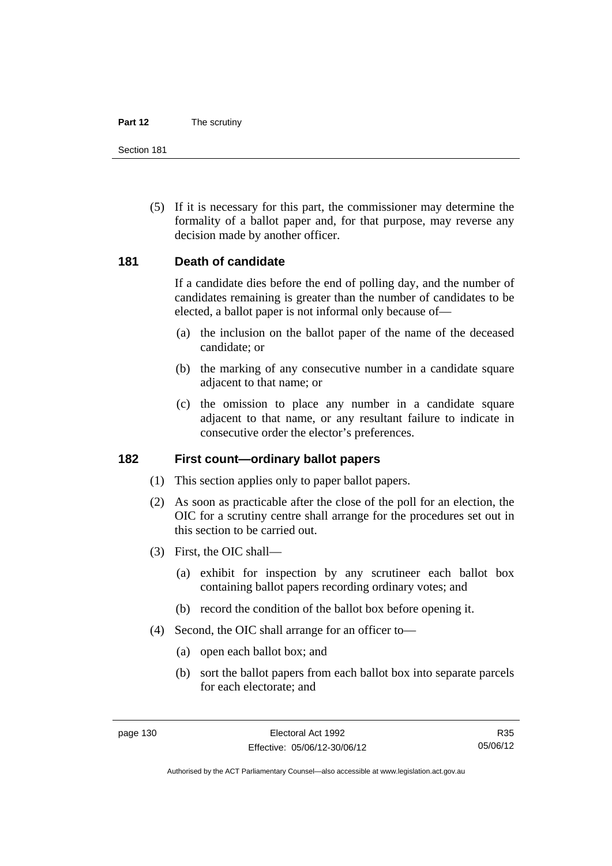#### **Part 12** The scrutiny

Section 181

 (5) If it is necessary for this part, the commissioner may determine the formality of a ballot paper and, for that purpose, may reverse any decision made by another officer.

## **181 Death of candidate**

If a candidate dies before the end of polling day, and the number of candidates remaining is greater than the number of candidates to be elected, a ballot paper is not informal only because of—

- (a) the inclusion on the ballot paper of the name of the deceased candidate; or
- (b) the marking of any consecutive number in a candidate square adjacent to that name; or
- (c) the omission to place any number in a candidate square adjacent to that name, or any resultant failure to indicate in consecutive order the elector's preferences.

## **182 First count—ordinary ballot papers**

- (1) This section applies only to paper ballot papers.
- (2) As soon as practicable after the close of the poll for an election, the OIC for a scrutiny centre shall arrange for the procedures set out in this section to be carried out.
- (3) First, the OIC shall—
	- (a) exhibit for inspection by any scrutineer each ballot box containing ballot papers recording ordinary votes; and
	- (b) record the condition of the ballot box before opening it.
- (4) Second, the OIC shall arrange for an officer to—
	- (a) open each ballot box; and
	- (b) sort the ballot papers from each ballot box into separate parcels for each electorate; and

R35 05/06/12

Authorised by the ACT Parliamentary Counsel—also accessible at www.legislation.act.gov.au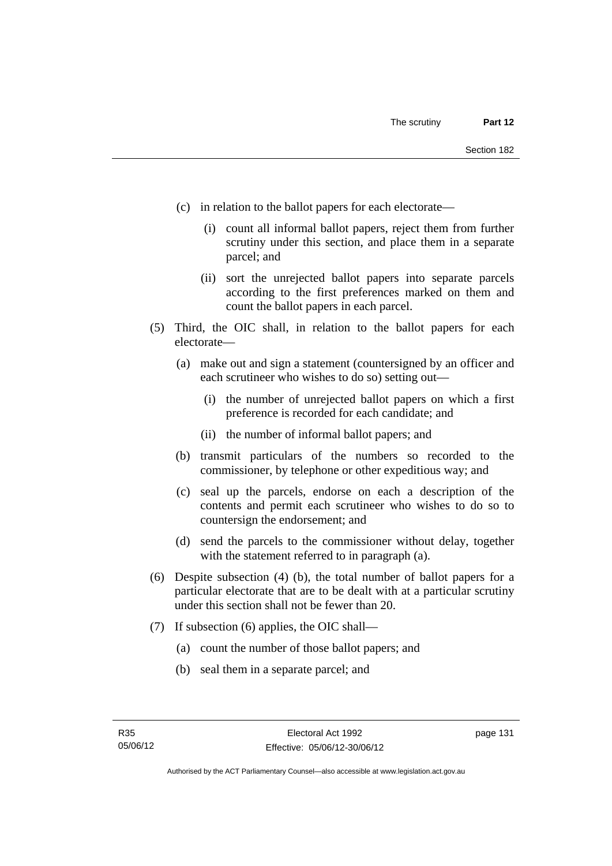- (c) in relation to the ballot papers for each electorate—
	- (i) count all informal ballot papers, reject them from further scrutiny under this section, and place them in a separate parcel; and
	- (ii) sort the unrejected ballot papers into separate parcels according to the first preferences marked on them and count the ballot papers in each parcel.
- (5) Third, the OIC shall, in relation to the ballot papers for each electorate—
	- (a) make out and sign a statement (countersigned by an officer and each scrutineer who wishes to do so) setting out—
		- (i) the number of unrejected ballot papers on which a first preference is recorded for each candidate; and
		- (ii) the number of informal ballot papers; and
	- (b) transmit particulars of the numbers so recorded to the commissioner, by telephone or other expeditious way; and
	- (c) seal up the parcels, endorse on each a description of the contents and permit each scrutineer who wishes to do so to countersign the endorsement; and
	- (d) send the parcels to the commissioner without delay, together with the statement referred to in paragraph (a).
- (6) Despite subsection (4) (b), the total number of ballot papers for a particular electorate that are to be dealt with at a particular scrutiny under this section shall not be fewer than 20.
- (7) If subsection (6) applies, the OIC shall—
	- (a) count the number of those ballot papers; and
	- (b) seal them in a separate parcel; and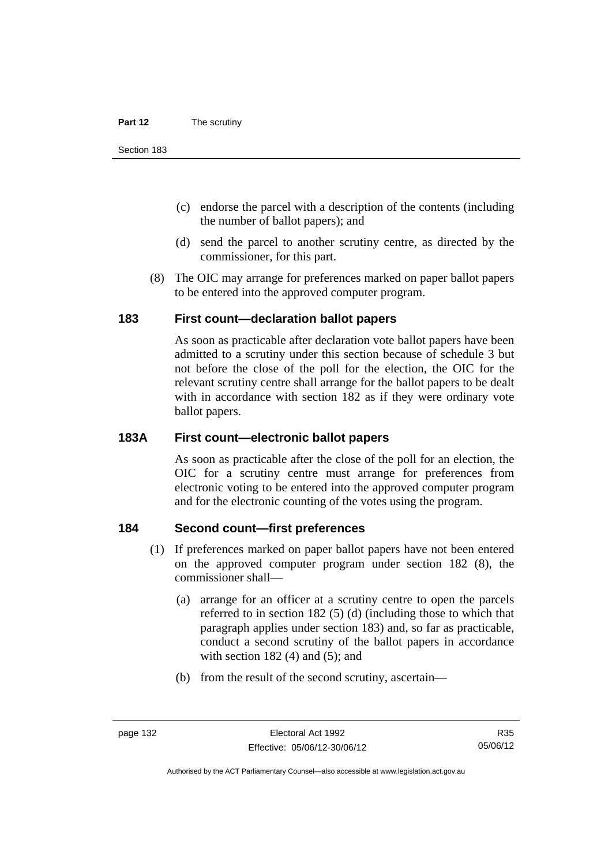- (c) endorse the parcel with a description of the contents (including the number of ballot papers); and
- (d) send the parcel to another scrutiny centre, as directed by the commissioner, for this part.
- (8) The OIC may arrange for preferences marked on paper ballot papers to be entered into the approved computer program.

## **183 First count—declaration ballot papers**

As soon as practicable after declaration vote ballot papers have been admitted to a scrutiny under this section because of schedule 3 but not before the close of the poll for the election, the OIC for the relevant scrutiny centre shall arrange for the ballot papers to be dealt with in accordance with section 182 as if they were ordinary vote ballot papers.

# **183A First count—electronic ballot papers**

As soon as practicable after the close of the poll for an election, the OIC for a scrutiny centre must arrange for preferences from electronic voting to be entered into the approved computer program and for the electronic counting of the votes using the program.

# **184 Second count—first preferences**

- (1) If preferences marked on paper ballot papers have not been entered on the approved computer program under section 182 (8), the commissioner shall—
	- (a) arrange for an officer at a scrutiny centre to open the parcels referred to in section 182 (5) (d) (including those to which that paragraph applies under section 183) and, so far as practicable, conduct a second scrutiny of the ballot papers in accordance with section  $182(4)$  and  $(5)$ ; and
	- (b) from the result of the second scrutiny, ascertain—

R35 05/06/12

Authorised by the ACT Parliamentary Counsel—also accessible at www.legislation.act.gov.au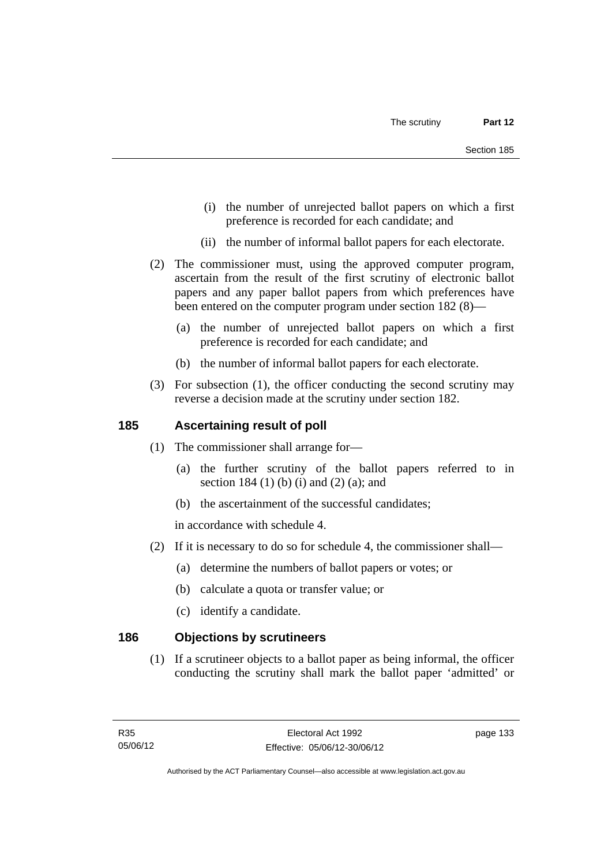- (i) the number of unrejected ballot papers on which a first preference is recorded for each candidate; and
- (ii) the number of informal ballot papers for each electorate.
- (2) The commissioner must, using the approved computer program, ascertain from the result of the first scrutiny of electronic ballot papers and any paper ballot papers from which preferences have been entered on the computer program under section 182 (8)—
	- (a) the number of unrejected ballot papers on which a first preference is recorded for each candidate; and
	- (b) the number of informal ballot papers for each electorate.
- (3) For subsection (1), the officer conducting the second scrutiny may reverse a decision made at the scrutiny under section 182.

## **185 Ascertaining result of poll**

- (1) The commissioner shall arrange for—
	- (a) the further scrutiny of the ballot papers referred to in section 184 (1) (b) (i) and (2) (a); and
	- (b) the ascertainment of the successful candidates;

in accordance with schedule 4.

- (2) If it is necessary to do so for schedule 4, the commissioner shall—
	- (a) determine the numbers of ballot papers or votes; or
	- (b) calculate a quota or transfer value; or
	- (c) identify a candidate.

## **186 Objections by scrutineers**

 (1) If a scrutineer objects to a ballot paper as being informal, the officer conducting the scrutiny shall mark the ballot paper 'admitted' or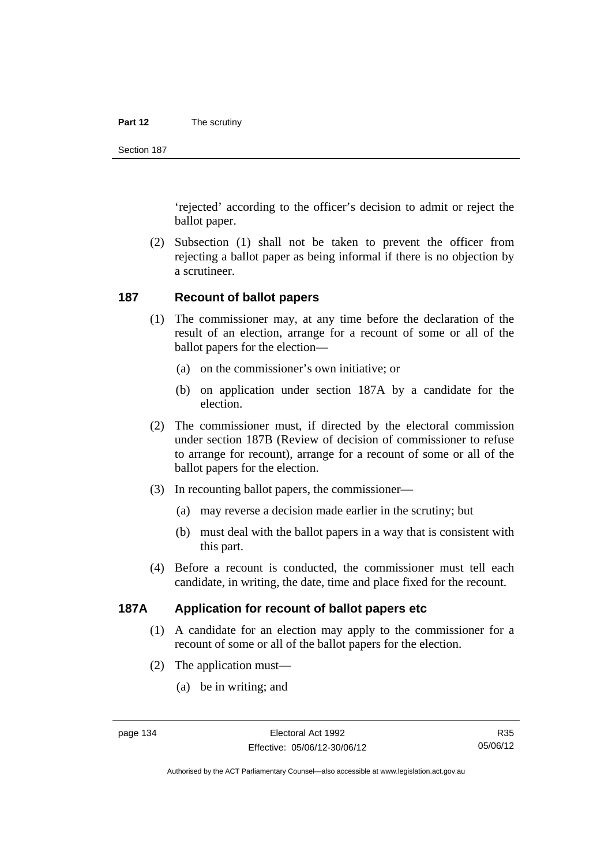#### **Part 12** The scrutiny

Section 187

'rejected' according to the officer's decision to admit or reject the ballot paper.

 (2) Subsection (1) shall not be taken to prevent the officer from rejecting a ballot paper as being informal if there is no objection by a scrutineer.

#### **187 Recount of ballot papers**

- (1) The commissioner may, at any time before the declaration of the result of an election, arrange for a recount of some or all of the ballot papers for the election—
	- (a) on the commissioner's own initiative; or
	- (b) on application under section 187A by a candidate for the election.
- (2) The commissioner must, if directed by the electoral commission under section 187B (Review of decision of commissioner to refuse to arrange for recount), arrange for a recount of some or all of the ballot papers for the election.
- (3) In recounting ballot papers, the commissioner—
	- (a) may reverse a decision made earlier in the scrutiny; but
	- (b) must deal with the ballot papers in a way that is consistent with this part.
- (4) Before a recount is conducted, the commissioner must tell each candidate, in writing, the date, time and place fixed for the recount.

# **187A Application for recount of ballot papers etc**

- (1) A candidate for an election may apply to the commissioner for a recount of some or all of the ballot papers for the election.
- (2) The application must—
	- (a) be in writing; and

R35 05/06/12

Authorised by the ACT Parliamentary Counsel—also accessible at www.legislation.act.gov.au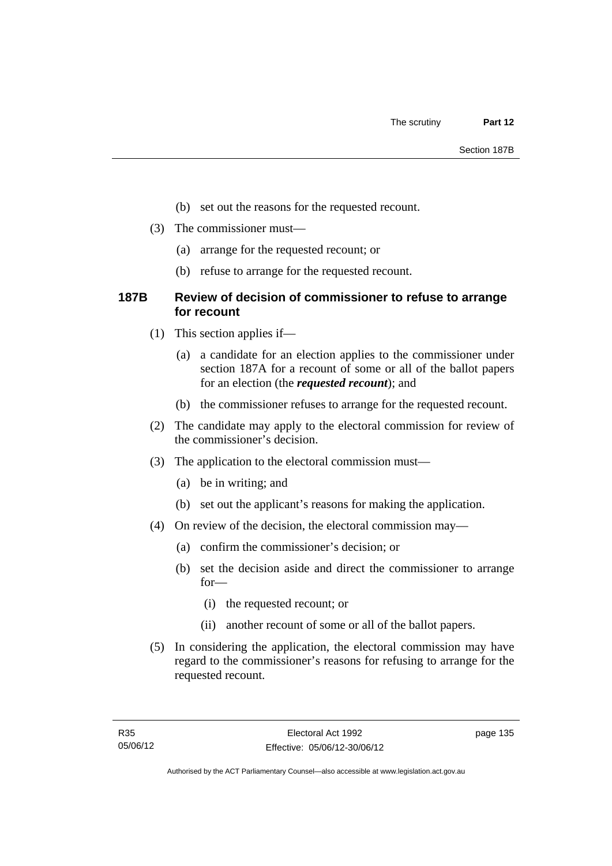- (b) set out the reasons for the requested recount.
- (3) The commissioner must—
	- (a) arrange for the requested recount; or
	- (b) refuse to arrange for the requested recount.

# **187B Review of decision of commissioner to refuse to arrange for recount**

- (1) This section applies if—
	- (a) a candidate for an election applies to the commissioner under section 187A for a recount of some or all of the ballot papers for an election (the *requested recount*); and
	- (b) the commissioner refuses to arrange for the requested recount.
- (2) The candidate may apply to the electoral commission for review of the commissioner's decision.
- (3) The application to the electoral commission must—
	- (a) be in writing; and
	- (b) set out the applicant's reasons for making the application.
- (4) On review of the decision, the electoral commission may—
	- (a) confirm the commissioner's decision; or
	- (b) set the decision aside and direct the commissioner to arrange for—
		- (i) the requested recount; or
		- (ii) another recount of some or all of the ballot papers.
- (5) In considering the application, the electoral commission may have regard to the commissioner's reasons for refusing to arrange for the requested recount.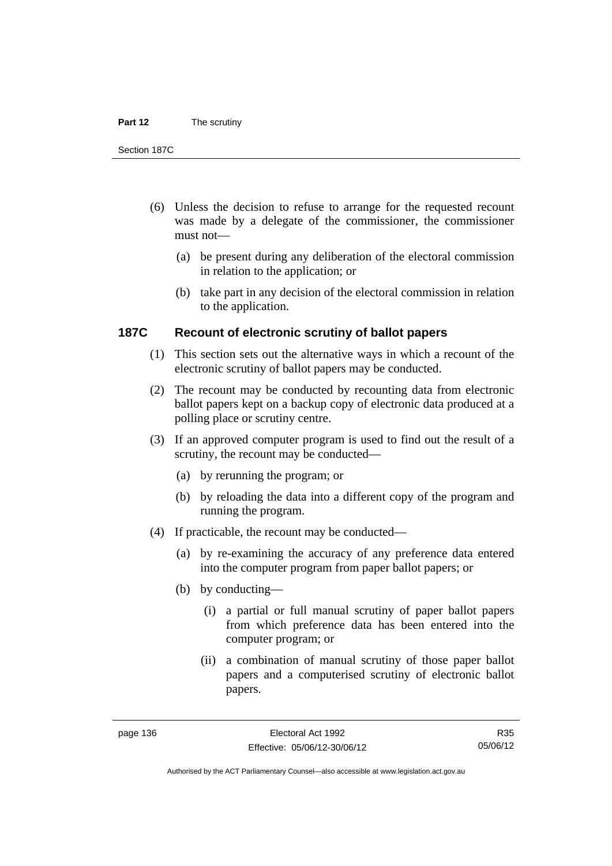#### **Part 12** The scrutiny

Section 187C

- (6) Unless the decision to refuse to arrange for the requested recount was made by a delegate of the commissioner, the commissioner must not—
	- (a) be present during any deliberation of the electoral commission in relation to the application; or
	- (b) take part in any decision of the electoral commission in relation to the application.

# **187C Recount of electronic scrutiny of ballot papers**

- (1) This section sets out the alternative ways in which a recount of the electronic scrutiny of ballot papers may be conducted.
- (2) The recount may be conducted by recounting data from electronic ballot papers kept on a backup copy of electronic data produced at a polling place or scrutiny centre.
- (3) If an approved computer program is used to find out the result of a scrutiny, the recount may be conducted—
	- (a) by rerunning the program; or
	- (b) by reloading the data into a different copy of the program and running the program.
- (4) If practicable, the recount may be conducted—
	- (a) by re-examining the accuracy of any preference data entered into the computer program from paper ballot papers; or
	- (b) by conducting—
		- (i) a partial or full manual scrutiny of paper ballot papers from which preference data has been entered into the computer program; or
		- (ii) a combination of manual scrutiny of those paper ballot papers and a computerised scrutiny of electronic ballot papers.

R35 05/06/12

Authorised by the ACT Parliamentary Counsel—also accessible at www.legislation.act.gov.au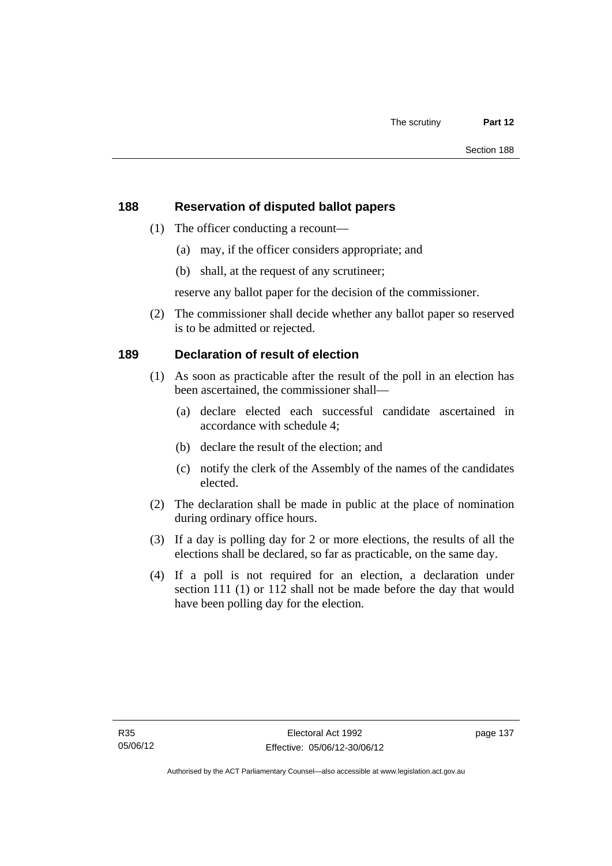# **188 Reservation of disputed ballot papers**

- (1) The officer conducting a recount—
	- (a) may, if the officer considers appropriate; and
	- (b) shall, at the request of any scrutineer;

reserve any ballot paper for the decision of the commissioner.

 (2) The commissioner shall decide whether any ballot paper so reserved is to be admitted or rejected.

# **189 Declaration of result of election**

- (1) As soon as practicable after the result of the poll in an election has been ascertained, the commissioner shall—
	- (a) declare elected each successful candidate ascertained in accordance with schedule 4;
	- (b) declare the result of the election; and
	- (c) notify the clerk of the Assembly of the names of the candidates elected.
- (2) The declaration shall be made in public at the place of nomination during ordinary office hours.
- (3) If a day is polling day for 2 or more elections, the results of all the elections shall be declared, so far as practicable, on the same day.
- (4) If a poll is not required for an election, a declaration under section 111 (1) or 112 shall not be made before the day that would have been polling day for the election.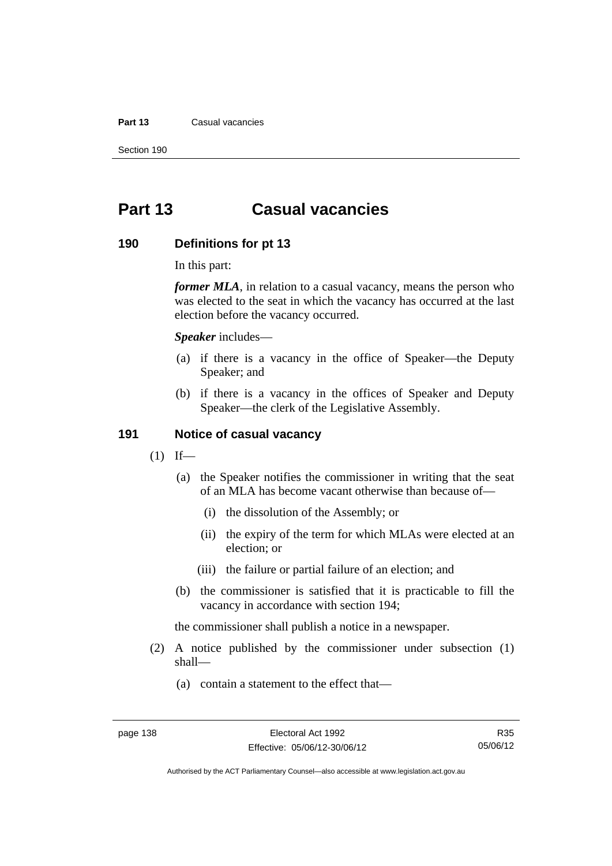#### **Part 13** Casual vacancies

Section 190

# **Part 13 Casual vacancies**

#### **190 Definitions for pt 13**

In this part:

*former MLA*, in relation to a casual vacancy, means the person who was elected to the seat in which the vacancy has occurred at the last election before the vacancy occurred.

*Speaker* includes—

- (a) if there is a vacancy in the office of Speaker—the Deputy Speaker; and
- (b) if there is a vacancy in the offices of Speaker and Deputy Speaker—the clerk of the Legislative Assembly.

## **191 Notice of casual vacancy**

- $(1)$  If—
	- (a) the Speaker notifies the commissioner in writing that the seat of an MLA has become vacant otherwise than because of—
		- (i) the dissolution of the Assembly; or
		- (ii) the expiry of the term for which MLAs were elected at an election; or
		- (iii) the failure or partial failure of an election; and
	- (b) the commissioner is satisfied that it is practicable to fill the vacancy in accordance with section 194;

the commissioner shall publish a notice in a newspaper.

- (2) A notice published by the commissioner under subsection (1) shall—
	- (a) contain a statement to the effect that—

Authorised by the ACT Parliamentary Counsel—also accessible at www.legislation.act.gov.au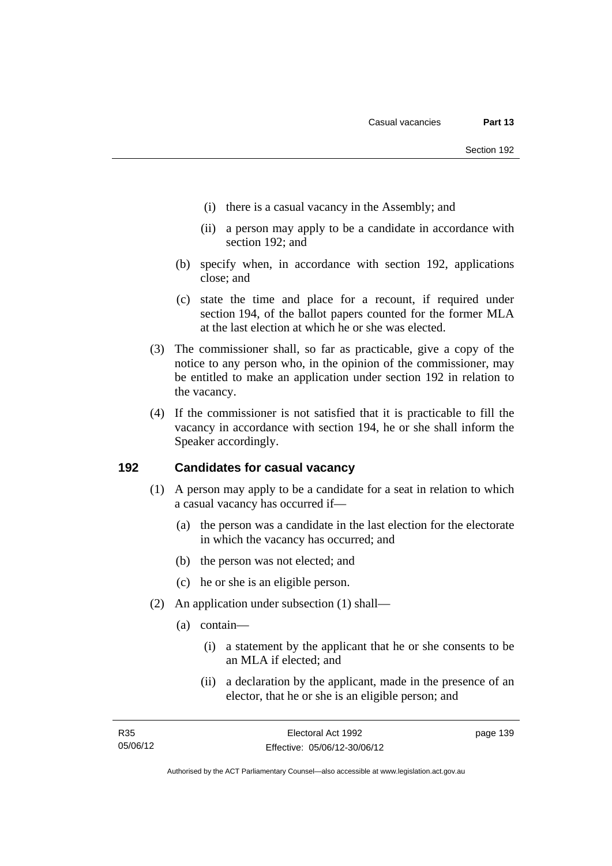- (i) there is a casual vacancy in the Assembly; and
- (ii) a person may apply to be a candidate in accordance with section 192; and
- (b) specify when, in accordance with section 192, applications close; and
- (c) state the time and place for a recount, if required under section 194, of the ballot papers counted for the former MLA at the last election at which he or she was elected.
- (3) The commissioner shall, so far as practicable, give a copy of the notice to any person who, in the opinion of the commissioner, may be entitled to make an application under section 192 in relation to the vacancy.
- (4) If the commissioner is not satisfied that it is practicable to fill the vacancy in accordance with section 194, he or she shall inform the Speaker accordingly.

## **192 Candidates for casual vacancy**

- (1) A person may apply to be a candidate for a seat in relation to which a casual vacancy has occurred if—
	- (a) the person was a candidate in the last election for the electorate in which the vacancy has occurred; and
	- (b) the person was not elected; and
	- (c) he or she is an eligible person.
- (2) An application under subsection (1) shall—
	- (a) contain—
		- (i) a statement by the applicant that he or she consents to be an MLA if elected; and
		- (ii) a declaration by the applicant, made in the presence of an elector, that he or she is an eligible person; and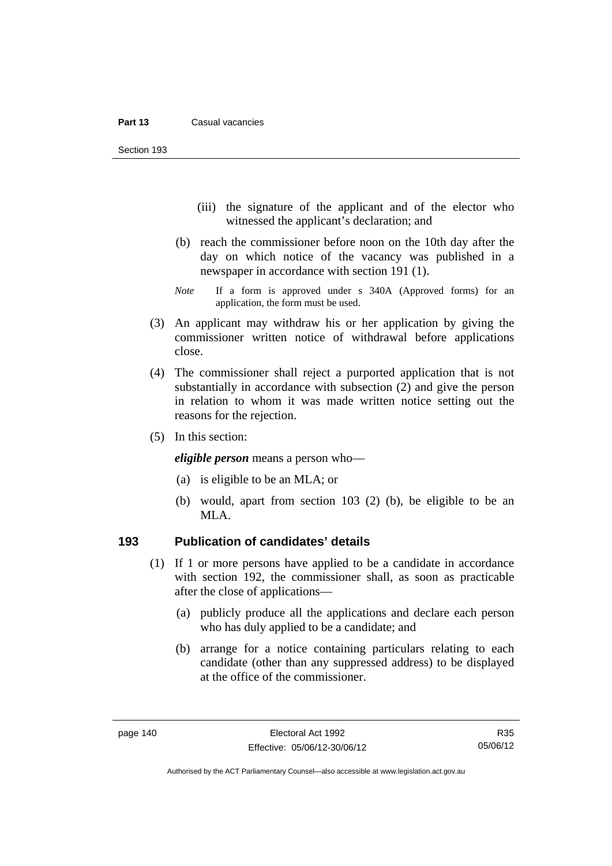Section 193

- (iii) the signature of the applicant and of the elector who witnessed the applicant's declaration; and
- (b) reach the commissioner before noon on the 10th day after the day on which notice of the vacancy was published in a newspaper in accordance with section 191 (1).
- *Note* If a form is approved under s 340A (Approved forms) for an application, the form must be used.
- (3) An applicant may withdraw his or her application by giving the commissioner written notice of withdrawal before applications close.
- (4) The commissioner shall reject a purported application that is not substantially in accordance with subsection (2) and give the person in relation to whom it was made written notice setting out the reasons for the rejection.
- (5) In this section:

*eligible person* means a person who—

- (a) is eligible to be an MLA; or
- (b) would, apart from section 103 (2) (b), be eligible to be an MLA.

## **193 Publication of candidates' details**

- (1) If 1 or more persons have applied to be a candidate in accordance with section 192, the commissioner shall, as soon as practicable after the close of applications—
	- (a) publicly produce all the applications and declare each person who has duly applied to be a candidate; and
	- (b) arrange for a notice containing particulars relating to each candidate (other than any suppressed address) to be displayed at the office of the commissioner.

Authorised by the ACT Parliamentary Counsel—also accessible at www.legislation.act.gov.au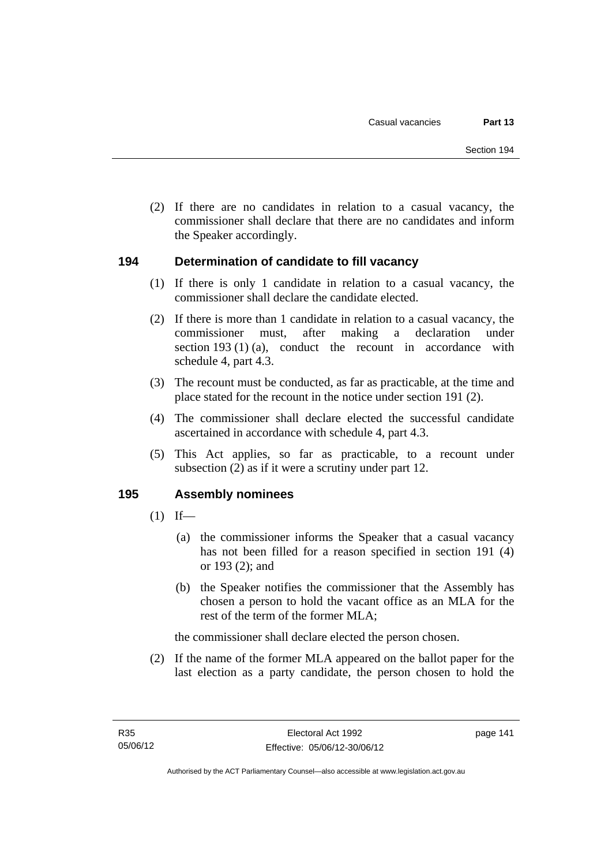(2) If there are no candidates in relation to a casual vacancy, the commissioner shall declare that there are no candidates and inform the Speaker accordingly.

## **194 Determination of candidate to fill vacancy**

- (1) If there is only 1 candidate in relation to a casual vacancy, the commissioner shall declare the candidate elected.
- (2) If there is more than 1 candidate in relation to a casual vacancy, the commissioner must, after making a declaration under section 193 (1) (a), conduct the recount in accordance with schedule 4, part 4.3.
- (3) The recount must be conducted, as far as practicable, at the time and place stated for the recount in the notice under section 191 (2).
- (4) The commissioner shall declare elected the successful candidate ascertained in accordance with schedule 4, part 4.3.
- (5) This Act applies, so far as practicable, to a recount under subsection (2) as if it were a scrutiny under part 12.

## **195 Assembly nominees**

- $(1)$  If—
	- (a) the commissioner informs the Speaker that a casual vacancy has not been filled for a reason specified in section 191 (4) or 193 (2); and
	- (b) the Speaker notifies the commissioner that the Assembly has chosen a person to hold the vacant office as an MLA for the rest of the term of the former MLA;

the commissioner shall declare elected the person chosen.

 (2) If the name of the former MLA appeared on the ballot paper for the last election as a party candidate, the person chosen to hold the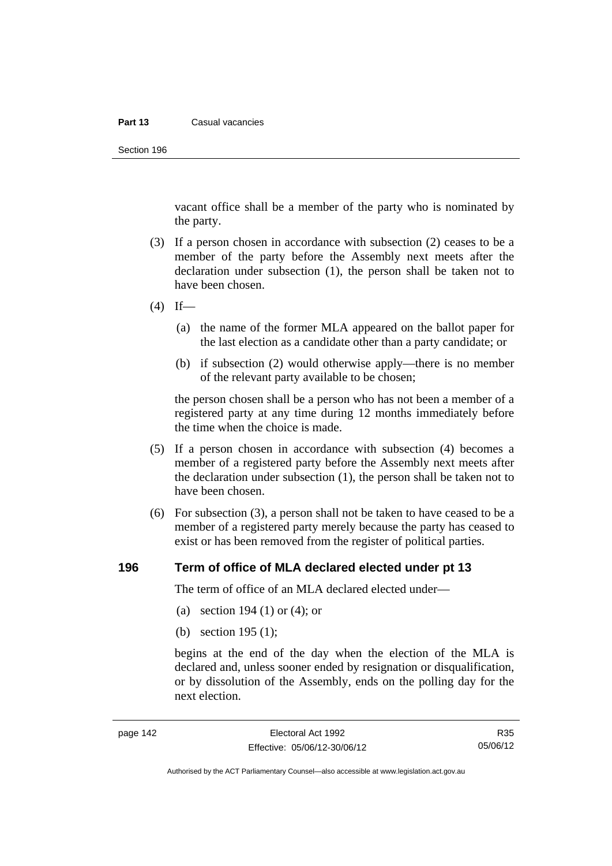#### **Part 13** Casual vacancies

Section 196

vacant office shall be a member of the party who is nominated by the party.

- (3) If a person chosen in accordance with subsection (2) ceases to be a member of the party before the Assembly next meets after the declaration under subsection (1), the person shall be taken not to have been chosen.
- $(4)$  If—
	- (a) the name of the former MLA appeared on the ballot paper for the last election as a candidate other than a party candidate; or
	- (b) if subsection (2) would otherwise apply—there is no member of the relevant party available to be chosen;

the person chosen shall be a person who has not been a member of a registered party at any time during 12 months immediately before the time when the choice is made.

- (5) If a person chosen in accordance with subsection (4) becomes a member of a registered party before the Assembly next meets after the declaration under subsection (1), the person shall be taken not to have been chosen.
- (6) For subsection (3), a person shall not be taken to have ceased to be a member of a registered party merely because the party has ceased to exist or has been removed from the register of political parties.

#### **196 Term of office of MLA declared elected under pt 13**

The term of office of an MLA declared elected under—

- (a) section 194 (1) or (4); or
- (b) section 195 (1);

begins at the end of the day when the election of the MLA is declared and, unless sooner ended by resignation or disqualification, or by dissolution of the Assembly, ends on the polling day for the next election.

R35 05/06/12

Authorised by the ACT Parliamentary Counsel—also accessible at www.legislation.act.gov.au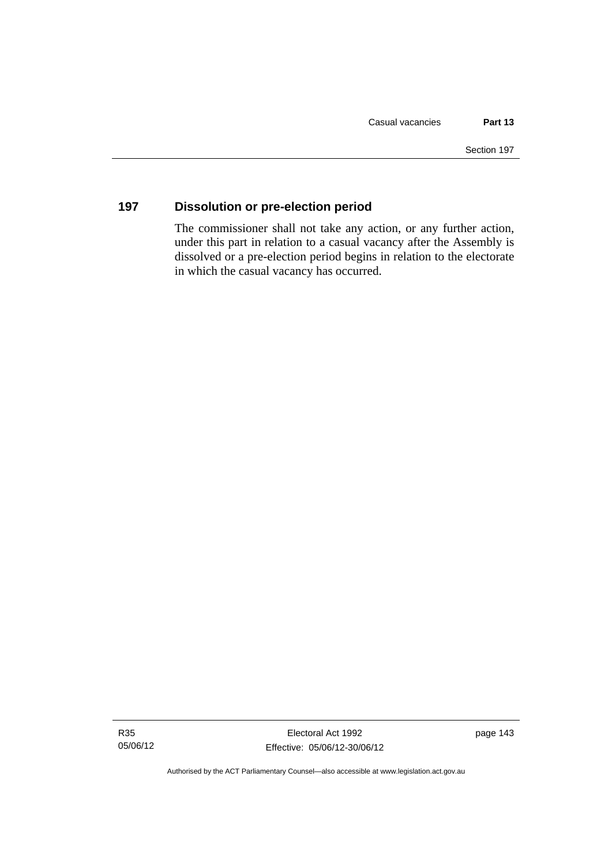# **197 Dissolution or pre-election period**

The commissioner shall not take any action, or any further action, under this part in relation to a casual vacancy after the Assembly is dissolved or a pre-election period begins in relation to the electorate in which the casual vacancy has occurred.

Authorised by the ACT Parliamentary Counsel—also accessible at www.legislation.act.gov.au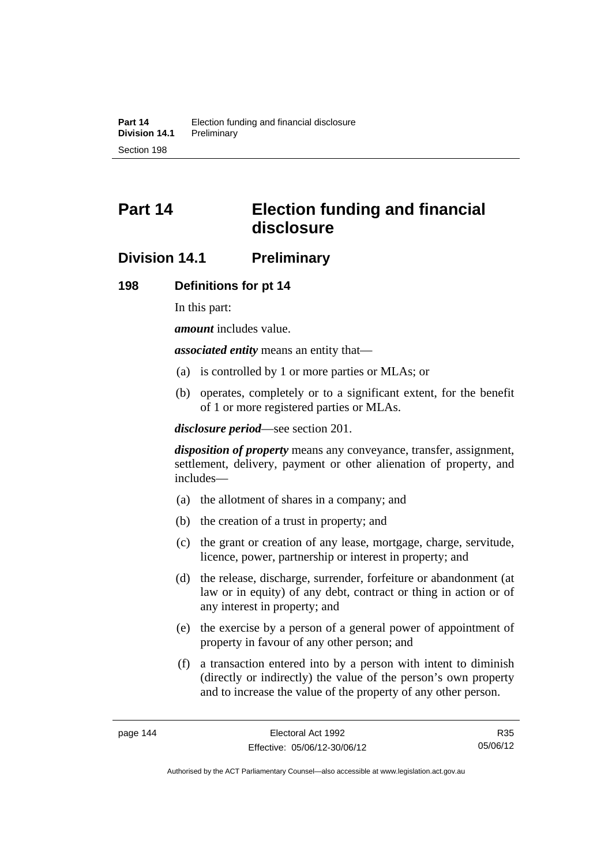# **Part 14 Election funding and financial disclosure**

# **Division 14.1 Preliminary**

## **198 Definitions for pt 14**

In this part:

*amount* includes value.

*associated entity* means an entity that—

- (a) is controlled by 1 or more parties or MLAs; or
- (b) operates, completely or to a significant extent, for the benefit of 1 or more registered parties or MLAs.

*disclosure period*—see section 201.

*disposition of property* means any conveyance, transfer, assignment, settlement, delivery, payment or other alienation of property, and includes—

- (a) the allotment of shares in a company; and
- (b) the creation of a trust in property; and
- (c) the grant or creation of any lease, mortgage, charge, servitude, licence, power, partnership or interest in property; and
- (d) the release, discharge, surrender, forfeiture or abandonment (at law or in equity) of any debt, contract or thing in action or of any interest in property; and
- (e) the exercise by a person of a general power of appointment of property in favour of any other person; and
- (f) a transaction entered into by a person with intent to diminish (directly or indirectly) the value of the person's own property and to increase the value of the property of any other person.

R35 05/06/12

Authorised by the ACT Parliamentary Counsel—also accessible at www.legislation.act.gov.au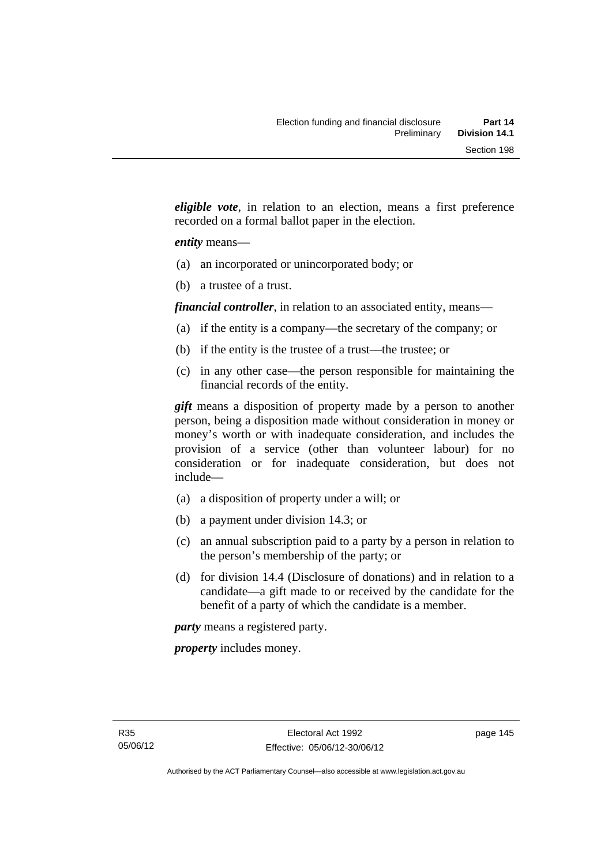*eligible vote*, in relation to an election, means a first preference recorded on a formal ballot paper in the election.

## *entity* means—

- (a) an incorporated or unincorporated body; or
- (b) a trustee of a trust.

*financial controller*, in relation to an associated entity, means—

- (a) if the entity is a company—the secretary of the company; or
- (b) if the entity is the trustee of a trust—the trustee; or
- (c) in any other case—the person responsible for maintaining the financial records of the entity.

*gift* means a disposition of property made by a person to another person, being a disposition made without consideration in money or money's worth or with inadequate consideration, and includes the provision of a service (other than volunteer labour) for no consideration or for inadequate consideration, but does not include—

- (a) a disposition of property under a will; or
- (b) a payment under division 14.3; or
- (c) an annual subscription paid to a party by a person in relation to the person's membership of the party; or
- (d) for division 14.4 (Disclosure of donations) and in relation to a candidate—a gift made to or received by the candidate for the benefit of a party of which the candidate is a member.

*party* means a registered party.

*property* includes money.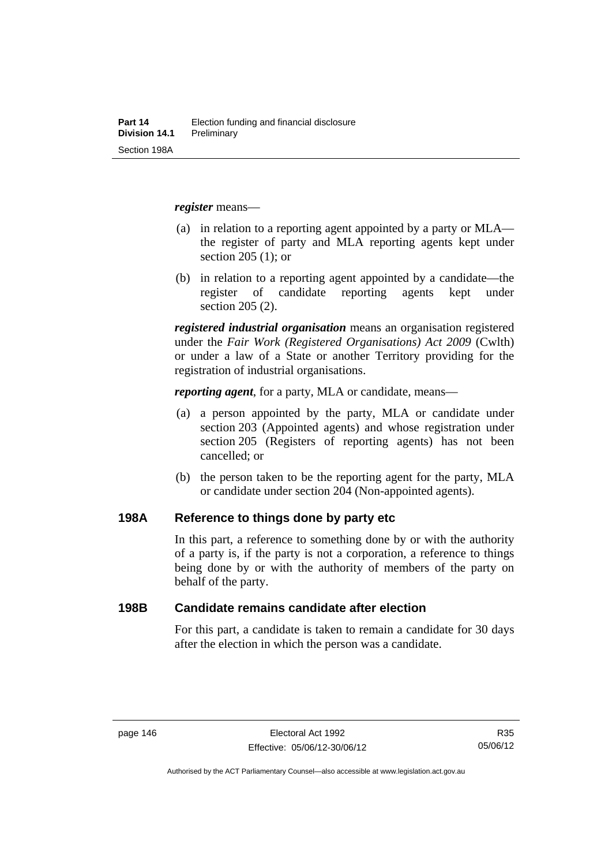*register* means—

- (a) in relation to a reporting agent appointed by a party or MLA the register of party and MLA reporting agents kept under section 205 (1); or
- (b) in relation to a reporting agent appointed by a candidate—the register of candidate reporting agents kept under section 205 (2).

*registered industrial organisation* means an organisation registered under the *Fair Work (Registered Organisations) Act 2009* (Cwlth) or under a law of a State or another Territory providing for the registration of industrial organisations.

*reporting agent*, for a party, MLA or candidate, means—

- (a) a person appointed by the party, MLA or candidate under section 203 (Appointed agents) and whose registration under section 205 (Registers of reporting agents) has not been cancelled; or
- (b) the person taken to be the reporting agent for the party, MLA or candidate under section 204 (Non-appointed agents).

## **198A Reference to things done by party etc**

In this part, a reference to something done by or with the authority of a party is, if the party is not a corporation, a reference to things being done by or with the authority of members of the party on behalf of the party.

### **198B Candidate remains candidate after election**

For this part, a candidate is taken to remain a candidate for 30 days after the election in which the person was a candidate.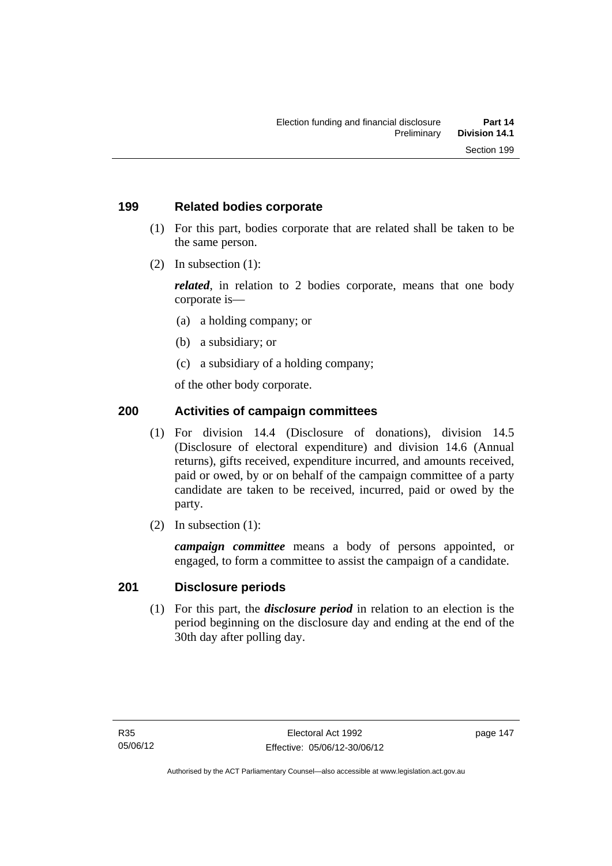## **199 Related bodies corporate**

- (1) For this part, bodies corporate that are related shall be taken to be the same person.
- (2) In subsection (1):

*related*, in relation to 2 bodies corporate, means that one body corporate is—

- (a) a holding company; or
- (b) a subsidiary; or
- (c) a subsidiary of a holding company;

of the other body corporate.

# **200 Activities of campaign committees**

- (1) For division 14.4 (Disclosure of donations), division 14.5 (Disclosure of electoral expenditure) and division 14.6 (Annual returns), gifts received, expenditure incurred, and amounts received, paid or owed, by or on behalf of the campaign committee of a party candidate are taken to be received, incurred, paid or owed by the party.
- (2) In subsection (1):

*campaign committee* means a body of persons appointed, or engaged, to form a committee to assist the campaign of a candidate.

## **201 Disclosure periods**

 (1) For this part, the *disclosure period* in relation to an election is the period beginning on the disclosure day and ending at the end of the 30th day after polling day.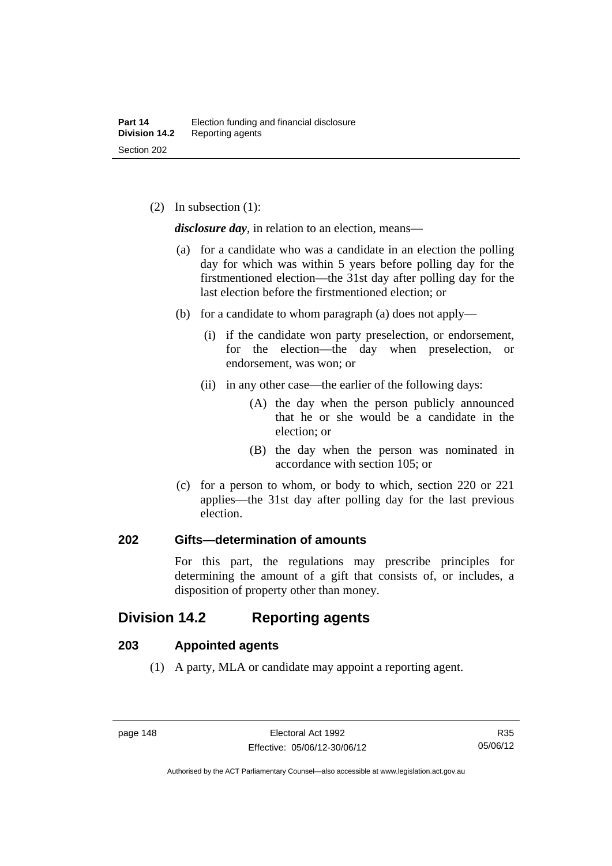(2) In subsection (1):

*disclosure day*, in relation to an election, means—

- (a) for a candidate who was a candidate in an election the polling day for which was within 5 years before polling day for the firstmentioned election—the 31st day after polling day for the last election before the firstmentioned election; or
- (b) for a candidate to whom paragraph (a) does not apply—
	- (i) if the candidate won party preselection, or endorsement, for the election—the day when preselection, or endorsement, was won; or
	- (ii) in any other case—the earlier of the following days:
		- (A) the day when the person publicly announced that he or she would be a candidate in the election; or
		- (B) the day when the person was nominated in accordance with section 105; or
- (c) for a person to whom, or body to which, section 220 or 221 applies—the 31st day after polling day for the last previous election.

## **202 Gifts—determination of amounts**

For this part, the regulations may prescribe principles for determining the amount of a gift that consists of, or includes, a disposition of property other than money.

# **Division 14.2 Reporting agents**

# **203 Appointed agents**

(1) A party, MLA or candidate may appoint a reporting agent.

Authorised by the ACT Parliamentary Counsel—also accessible at www.legislation.act.gov.au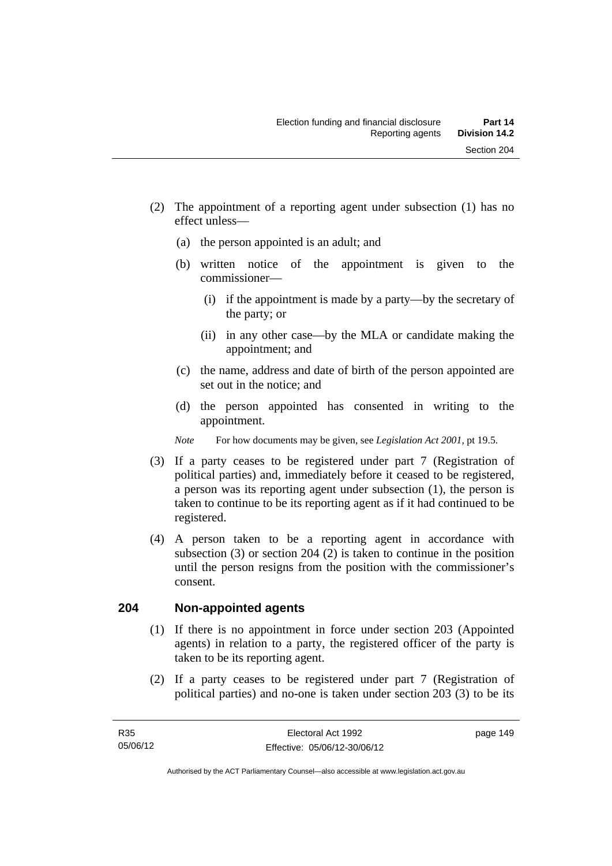- (2) The appointment of a reporting agent under subsection (1) has no effect unless—
	- (a) the person appointed is an adult; and
	- (b) written notice of the appointment is given to the commissioner—
		- (i) if the appointment is made by a party—by the secretary of the party; or
		- (ii) in any other case—by the MLA or candidate making the appointment; and
	- (c) the name, address and date of birth of the person appointed are set out in the notice; and
	- (d) the person appointed has consented in writing to the appointment.
	- *Note* For how documents may be given, see *Legislation Act 2001*, pt 19.5.
- (3) If a party ceases to be registered under part 7 (Registration of political parties) and, immediately before it ceased to be registered, a person was its reporting agent under subsection (1), the person is taken to continue to be its reporting agent as if it had continued to be registered.
- (4) A person taken to be a reporting agent in accordance with subsection (3) or section 204 (2) is taken to continue in the position until the person resigns from the position with the commissioner's consent.

# **204 Non-appointed agents**

- (1) If there is no appointment in force under section 203 (Appointed agents) in relation to a party, the registered officer of the party is taken to be its reporting agent.
- (2) If a party ceases to be registered under part 7 (Registration of political parties) and no-one is taken under section 203 (3) to be its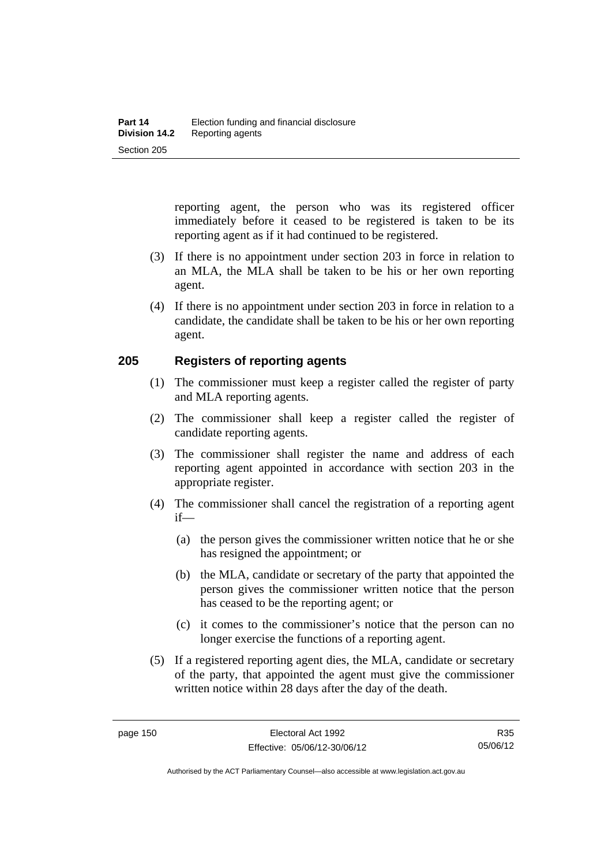reporting agent, the person who was its registered officer immediately before it ceased to be registered is taken to be its reporting agent as if it had continued to be registered.

- (3) If there is no appointment under section 203 in force in relation to an MLA, the MLA shall be taken to be his or her own reporting agent.
- (4) If there is no appointment under section 203 in force in relation to a candidate, the candidate shall be taken to be his or her own reporting agent.

## **205 Registers of reporting agents**

- (1) The commissioner must keep a register called the register of party and MLA reporting agents.
- (2) The commissioner shall keep a register called the register of candidate reporting agents.
- (3) The commissioner shall register the name and address of each reporting agent appointed in accordance with section 203 in the appropriate register.
- (4) The commissioner shall cancel the registration of a reporting agent if—
	- (a) the person gives the commissioner written notice that he or she has resigned the appointment; or
	- (b) the MLA, candidate or secretary of the party that appointed the person gives the commissioner written notice that the person has ceased to be the reporting agent; or
	- (c) it comes to the commissioner's notice that the person can no longer exercise the functions of a reporting agent.
- (5) If a registered reporting agent dies, the MLA, candidate or secretary of the party, that appointed the agent must give the commissioner written notice within 28 days after the day of the death.

R35 05/06/12

Authorised by the ACT Parliamentary Counsel—also accessible at www.legislation.act.gov.au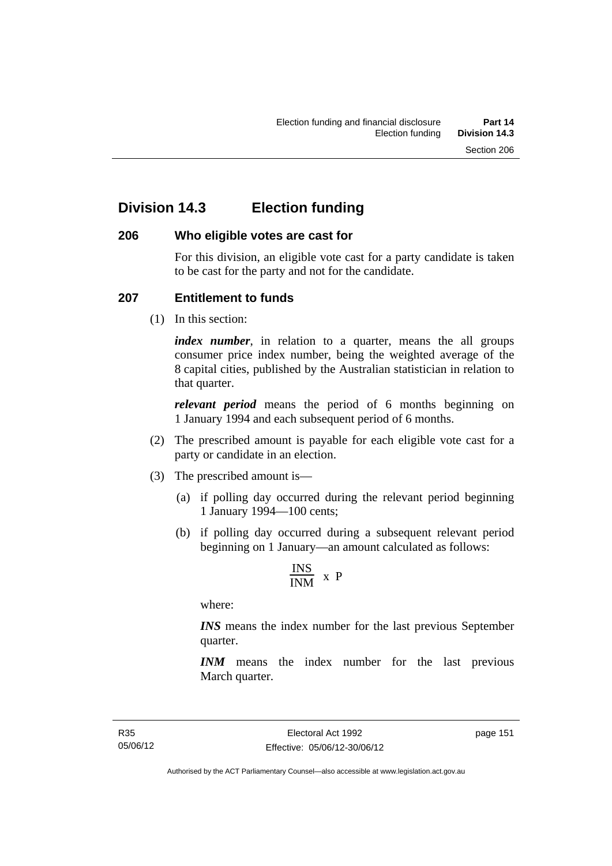# **Division 14.3 Election funding**

## **206 Who eligible votes are cast for**

For this division, an eligible vote cast for a party candidate is taken to be cast for the party and not for the candidate.

## **207 Entitlement to funds**

(1) In this section:

*index number*, in relation to a quarter, means the all groups consumer price index number, being the weighted average of the 8 capital cities, published by the Australian statistician in relation to that quarter.

*relevant period* means the period of 6 months beginning on 1 January 1994 and each subsequent period of 6 months.

- (2) The prescribed amount is payable for each eligible vote cast for a party or candidate in an election.
- (3) The prescribed amount is—
	- (a) if polling day occurred during the relevant period beginning 1 January 1994—100 cents;
	- (b) if polling day occurred during a subsequent relevant period beginning on 1 January—an amount calculated as follows:

$$
\frac{INS}{INM} \times P
$$

where:

*INS* means the index number for the last previous September quarter.

*INM* means the index number for the last previous March quarter.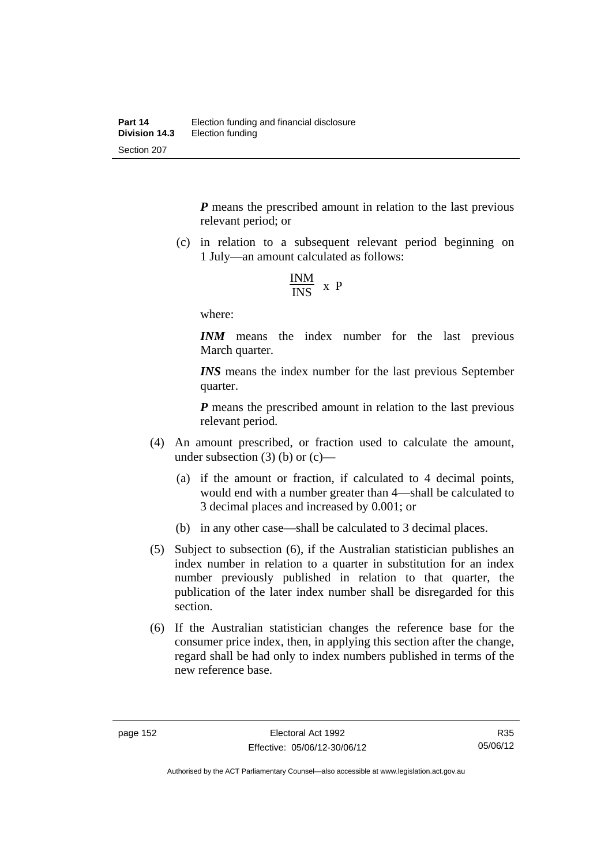*P* means the prescribed amount in relation to the last previous relevant period; or

 (c) in relation to a subsequent relevant period beginning on 1 July—an amount calculated as follows:

$$
\frac{INM}{INS} \times P
$$

where:

*INM* means the index number for the last previous March quarter.

*INS* means the index number for the last previous September quarter.

*P* means the prescribed amount in relation to the last previous relevant period.

- (4) An amount prescribed, or fraction used to calculate the amount, under subsection  $(3)$  (b) or  $(c)$ —
	- (a) if the amount or fraction, if calculated to 4 decimal points, would end with a number greater than 4—shall be calculated to 3 decimal places and increased by 0.001; or
	- (b) in any other case—shall be calculated to 3 decimal places.
- (5) Subject to subsection (6), if the Australian statistician publishes an index number in relation to a quarter in substitution for an index number previously published in relation to that quarter, the publication of the later index number shall be disregarded for this section.
- (6) If the Australian statistician changes the reference base for the consumer price index, then, in applying this section after the change, regard shall be had only to index numbers published in terms of the new reference base.

Authorised by the ACT Parliamentary Counsel—also accessible at www.legislation.act.gov.au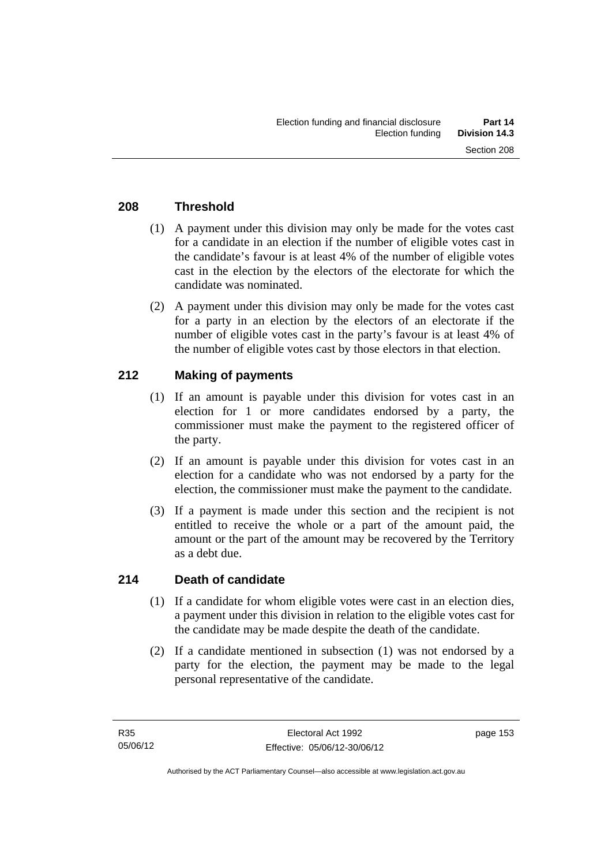# **208 Threshold**

- (1) A payment under this division may only be made for the votes cast for a candidate in an election if the number of eligible votes cast in the candidate's favour is at least 4% of the number of eligible votes cast in the election by the electors of the electorate for which the candidate was nominated.
- (2) A payment under this division may only be made for the votes cast for a party in an election by the electors of an electorate if the number of eligible votes cast in the party's favour is at least 4% of the number of eligible votes cast by those electors in that election.

# **212 Making of payments**

- (1) If an amount is payable under this division for votes cast in an election for 1 or more candidates endorsed by a party, the commissioner must make the payment to the registered officer of the party.
- (2) If an amount is payable under this division for votes cast in an election for a candidate who was not endorsed by a party for the election, the commissioner must make the payment to the candidate.
- (3) If a payment is made under this section and the recipient is not entitled to receive the whole or a part of the amount paid, the amount or the part of the amount may be recovered by the Territory as a debt due.

## **214 Death of candidate**

- (1) If a candidate for whom eligible votes were cast in an election dies, a payment under this division in relation to the eligible votes cast for the candidate may be made despite the death of the candidate.
- (2) If a candidate mentioned in subsection (1) was not endorsed by a party for the election, the payment may be made to the legal personal representative of the candidate.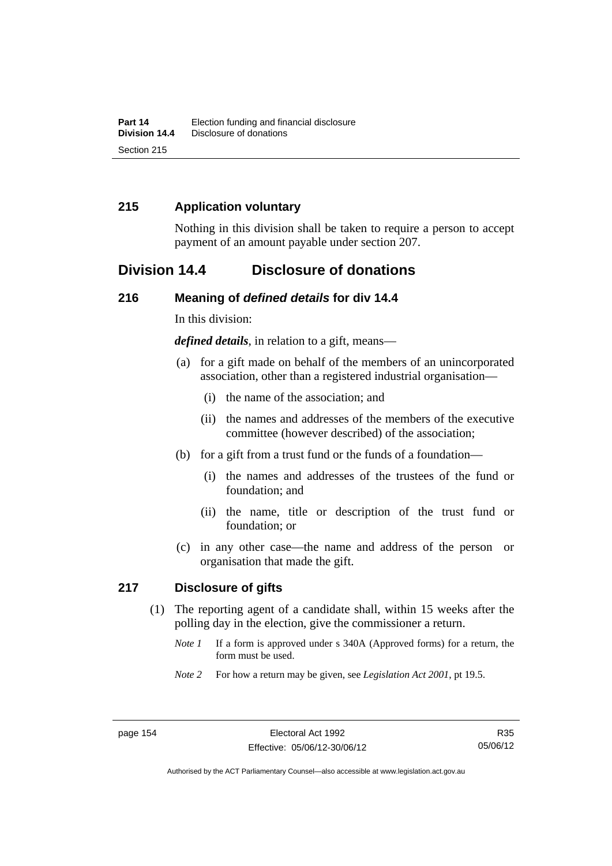# **215 Application voluntary**

Nothing in this division shall be taken to require a person to accept payment of an amount payable under section 207.

# **Division 14.4 Disclosure of donations**

## **216 Meaning of** *defined details* **for div 14.4**

In this division:

*defined details*, in relation to a gift, means—

- (a) for a gift made on behalf of the members of an unincorporated association, other than a registered industrial organisation—
	- (i) the name of the association; and
	- (ii) the names and addresses of the members of the executive committee (however described) of the association;
- (b) for a gift from a trust fund or the funds of a foundation—
	- (i) the names and addresses of the trustees of the fund or foundation; and
	- (ii) the name, title or description of the trust fund or foundation; or
- (c) in any other case—the name and address of the person or organisation that made the gift.

## **217 Disclosure of gifts**

- (1) The reporting agent of a candidate shall, within 15 weeks after the polling day in the election, give the commissioner a return.
	- *Note 1* If a form is approved under s 340A (Approved forms) for a return, the form must be used.
	- *Note 2* For how a return may be given, see *Legislation Act 2001*, pt 19.5.

Authorised by the ACT Parliamentary Counsel—also accessible at www.legislation.act.gov.au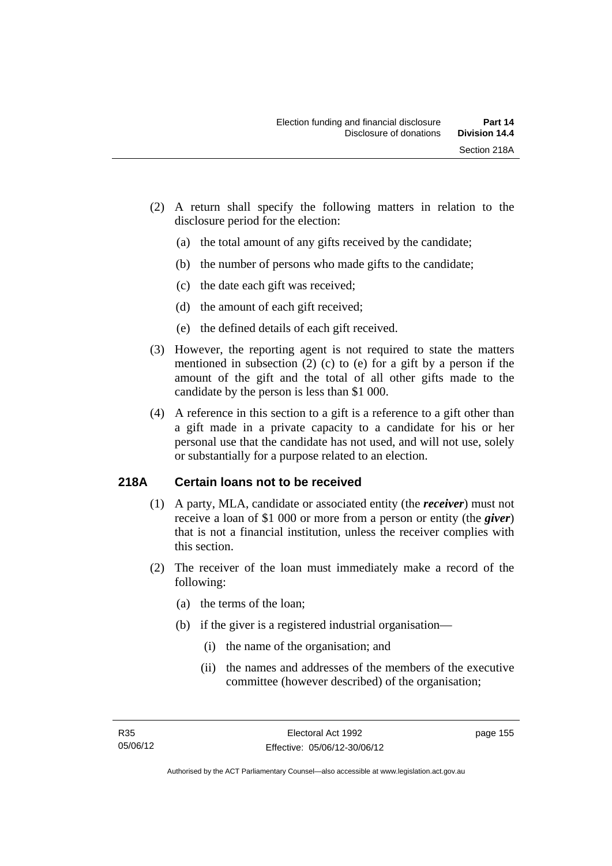- (2) A return shall specify the following matters in relation to the disclosure period for the election:
	- (a) the total amount of any gifts received by the candidate;
	- (b) the number of persons who made gifts to the candidate;
	- (c) the date each gift was received;
	- (d) the amount of each gift received;
	- (e) the defined details of each gift received.
- (3) However, the reporting agent is not required to state the matters mentioned in subsection (2) (c) to (e) for a gift by a person if the amount of the gift and the total of all other gifts made to the candidate by the person is less than \$1 000.
- (4) A reference in this section to a gift is a reference to a gift other than a gift made in a private capacity to a candidate for his or her personal use that the candidate has not used, and will not use, solely or substantially for a purpose related to an election.

# **218A Certain loans not to be received**

- (1) A party, MLA, candidate or associated entity (the *receiver*) must not receive a loan of \$1 000 or more from a person or entity (the *giver*) that is not a financial institution, unless the receiver complies with this section.
- (2) The receiver of the loan must immediately make a record of the following:
	- (a) the terms of the loan;
	- (b) if the giver is a registered industrial organisation—
		- (i) the name of the organisation; and
		- (ii) the names and addresses of the members of the executive committee (however described) of the organisation;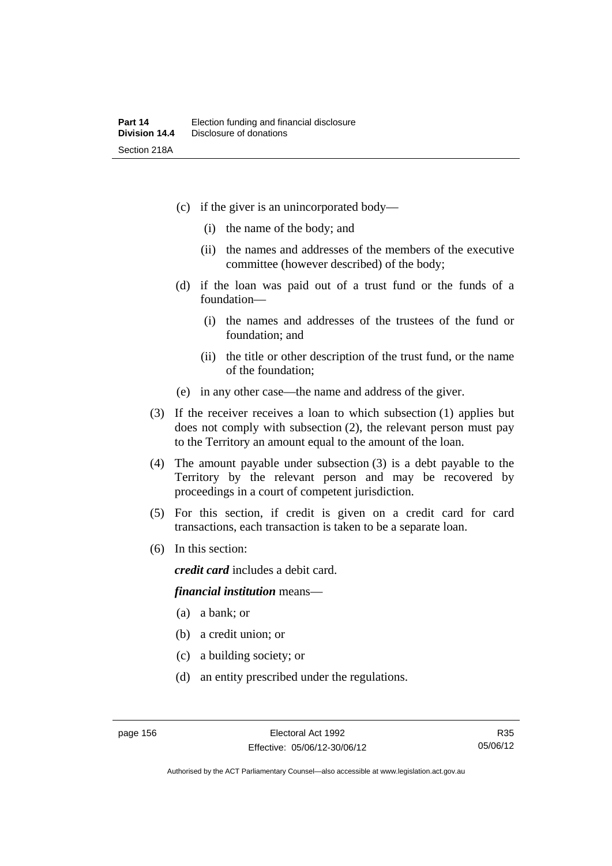- (c) if the giver is an unincorporated body—
	- (i) the name of the body; and
	- (ii) the names and addresses of the members of the executive committee (however described) of the body;
- (d) if the loan was paid out of a trust fund or the funds of a foundation—
	- (i) the names and addresses of the trustees of the fund or foundation; and
	- (ii) the title or other description of the trust fund, or the name of the foundation;
- (e) in any other case—the name and address of the giver.
- (3) If the receiver receives a loan to which subsection (1) applies but does not comply with subsection (2), the relevant person must pay to the Territory an amount equal to the amount of the loan.
- (4) The amount payable under subsection (3) is a debt payable to the Territory by the relevant person and may be recovered by proceedings in a court of competent jurisdiction.
- (5) For this section, if credit is given on a credit card for card transactions, each transaction is taken to be a separate loan.
- (6) In this section:

*credit card* includes a debit card.

#### *financial institution* means—

- (a) a bank; or
- (b) a credit union; or
- (c) a building society; or
- (d) an entity prescribed under the regulations.

R35 05/06/12

Authorised by the ACT Parliamentary Counsel—also accessible at www.legislation.act.gov.au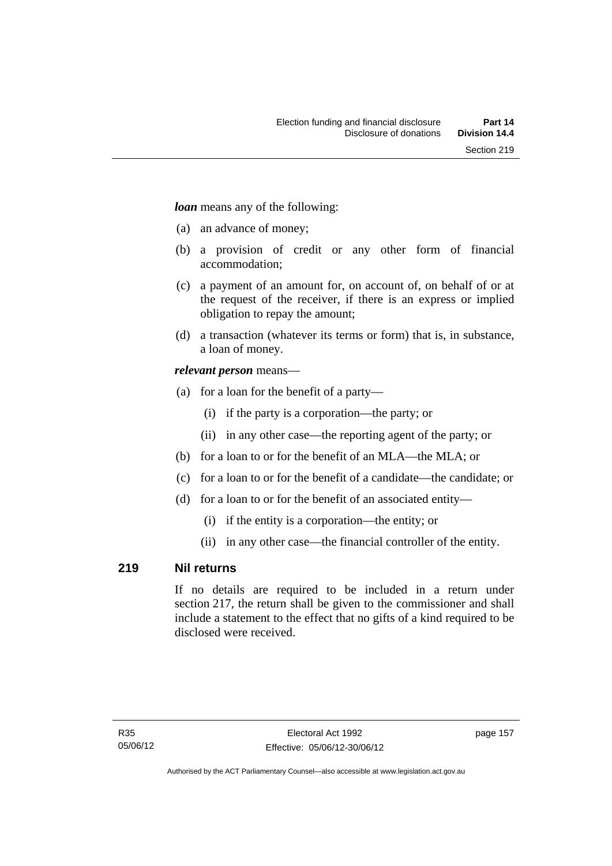*loan* means any of the following:

- (a) an advance of money;
- (b) a provision of credit or any other form of financial accommodation;
- (c) a payment of an amount for, on account of, on behalf of or at the request of the receiver, if there is an express or implied obligation to repay the amount;
- (d) a transaction (whatever its terms or form) that is, in substance, a loan of money.

## *relevant person* means—

- (a) for a loan for the benefit of a party—
	- (i) if the party is a corporation—the party; or
	- (ii) in any other case—the reporting agent of the party; or
- (b) for a loan to or for the benefit of an MLA—the MLA; or
- (c) for a loan to or for the benefit of a candidate—the candidate; or
- (d) for a loan to or for the benefit of an associated entity—
	- (i) if the entity is a corporation—the entity; or
	- (ii) in any other case—the financial controller of the entity.

## **219 Nil returns**

If no details are required to be included in a return under section 217, the return shall be given to the commissioner and shall include a statement to the effect that no gifts of a kind required to be disclosed were received.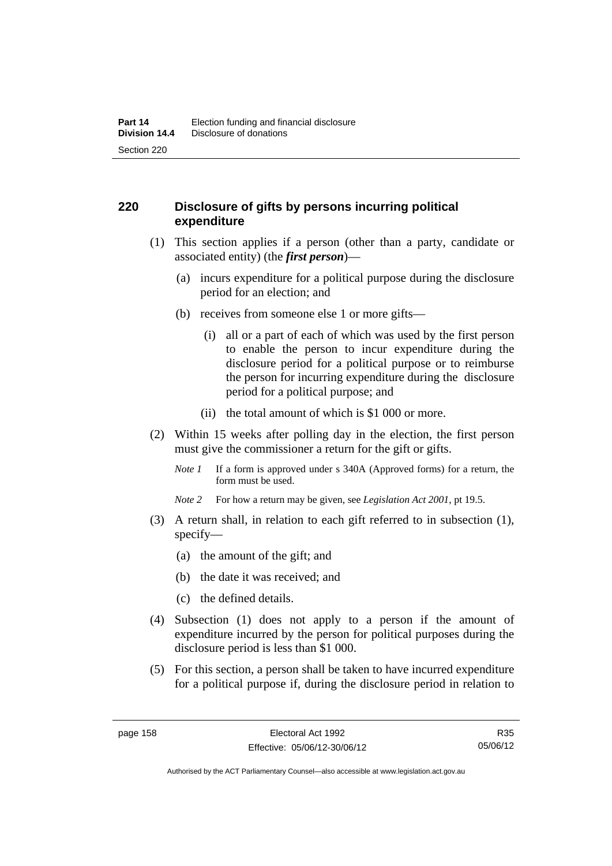# **220 Disclosure of gifts by persons incurring political expenditure**

- (1) This section applies if a person (other than a party, candidate or associated entity) (the *first person*)—
	- (a) incurs expenditure for a political purpose during the disclosure period for an election; and
	- (b) receives from someone else 1 or more gifts—
		- (i) all or a part of each of which was used by the first person to enable the person to incur expenditure during the disclosure period for a political purpose or to reimburse the person for incurring expenditure during the disclosure period for a political purpose; and
		- (ii) the total amount of which is \$1 000 or more.
- (2) Within 15 weeks after polling day in the election, the first person must give the commissioner a return for the gift or gifts.
	- *Note 1* If a form is approved under s 340A (Approved forms) for a return, the form must be used.
	- *Note 2* For how a return may be given, see *Legislation Act 2001*, pt 19.5.
- (3) A return shall, in relation to each gift referred to in subsection (1), specify—
	- (a) the amount of the gift; and
	- (b) the date it was received; and
	- (c) the defined details.
- (4) Subsection (1) does not apply to a person if the amount of expenditure incurred by the person for political purposes during the disclosure period is less than \$1 000.
- (5) For this section, a person shall be taken to have incurred expenditure for a political purpose if, during the disclosure period in relation to

R35 05/06/12

Authorised by the ACT Parliamentary Counsel—also accessible at www.legislation.act.gov.au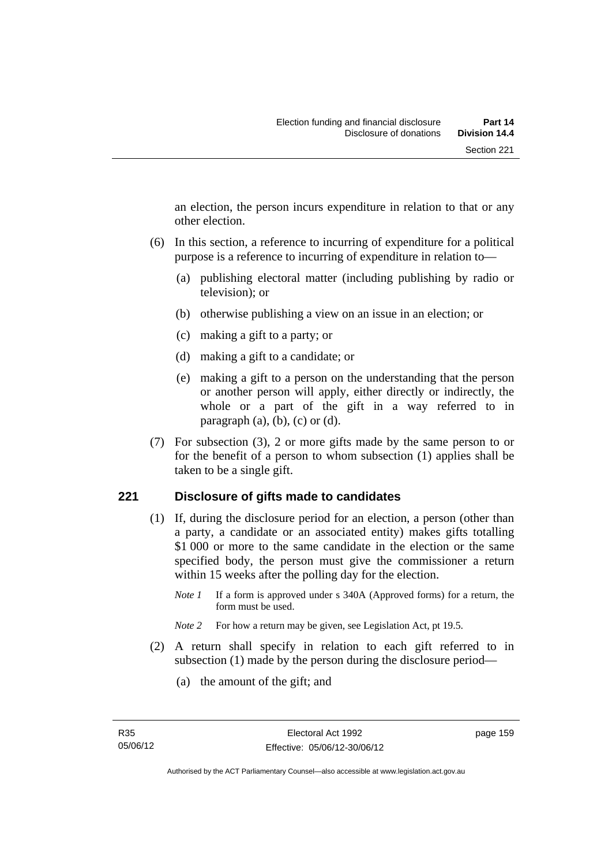an election, the person incurs expenditure in relation to that or any other election.

- (6) In this section, a reference to incurring of expenditure for a political purpose is a reference to incurring of expenditure in relation to—
	- (a) publishing electoral matter (including publishing by radio or television); or
	- (b) otherwise publishing a view on an issue in an election; or
	- (c) making a gift to a party; or
	- (d) making a gift to a candidate; or
	- (e) making a gift to a person on the understanding that the person or another person will apply, either directly or indirectly, the whole or a part of the gift in a way referred to in paragraph  $(a)$ ,  $(b)$ ,  $(c)$  or  $(d)$ .
- (7) For subsection (3), 2 or more gifts made by the same person to or for the benefit of a person to whom subsection (1) applies shall be taken to be a single gift.

## **221 Disclosure of gifts made to candidates**

- (1) If, during the disclosure period for an election, a person (other than a party, a candidate or an associated entity) makes gifts totalling \$1 000 or more to the same candidate in the election or the same specified body, the person must give the commissioner a return within 15 weeks after the polling day for the election.
	- *Note 1* If a form is approved under s 340A (Approved forms) for a return, the form must be used.
	- *Note* 2 For how a return may be given, see Legislation Act, pt 19.5.
- (2) A return shall specify in relation to each gift referred to in subsection (1) made by the person during the disclosure period—
	- (a) the amount of the gift; and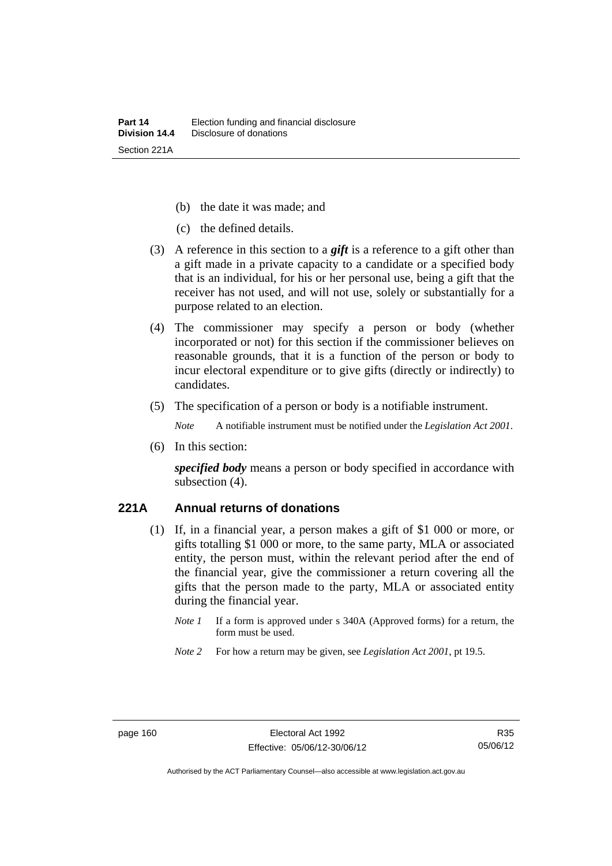- (b) the date it was made; and
- (c) the defined details.
- (3) A reference in this section to a *gift* is a reference to a gift other than a gift made in a private capacity to a candidate or a specified body that is an individual, for his or her personal use, being a gift that the receiver has not used, and will not use, solely or substantially for a purpose related to an election.
- (4) The commissioner may specify a person or body (whether incorporated or not) for this section if the commissioner believes on reasonable grounds, that it is a function of the person or body to incur electoral expenditure or to give gifts (directly or indirectly) to candidates.
- (5) The specification of a person or body is a notifiable instrument.

*Note* A notifiable instrument must be notified under the *Legislation Act 2001*.

(6) In this section:

*specified body* means a person or body specified in accordance with subsection (4).

#### **221A Annual returns of donations**

- (1) If, in a financial year, a person makes a gift of \$1 000 or more, or gifts totalling \$1 000 or more, to the same party, MLA or associated entity, the person must, within the relevant period after the end of the financial year, give the commissioner a return covering all the gifts that the person made to the party, MLA or associated entity during the financial year.
	- *Note 1* If a form is approved under s 340A (Approved forms) for a return, the form must be used.
	- *Note 2* For how a return may be given, see *Legislation Act 2001*, pt 19.5.

Authorised by the ACT Parliamentary Counsel—also accessible at www.legislation.act.gov.au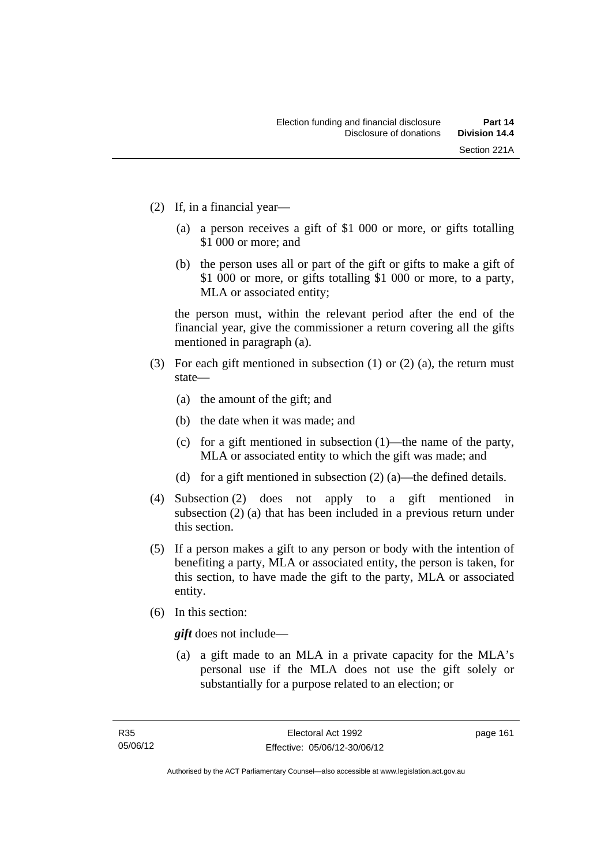- (2) If, in a financial year—
	- (a) a person receives a gift of \$1 000 or more, or gifts totalling \$1 000 or more; and
	- (b) the person uses all or part of the gift or gifts to make a gift of \$1 000 or more, or gifts totalling \$1 000 or more, to a party, MLA or associated entity;

the person must, within the relevant period after the end of the financial year, give the commissioner a return covering all the gifts mentioned in paragraph (a).

- (3) For each gift mentioned in subsection (1) or (2) (a), the return must state—
	- (a) the amount of the gift; and
	- (b) the date when it was made; and
	- (c) for a gift mentioned in subsection (1)—the name of the party, MLA or associated entity to which the gift was made; and
	- (d) for a gift mentioned in subsection (2) (a)—the defined details.
- (4) Subsection (2) does not apply to a gift mentioned in subsection (2) (a) that has been included in a previous return under this section.
- (5) If a person makes a gift to any person or body with the intention of benefiting a party, MLA or associated entity, the person is taken, for this section, to have made the gift to the party, MLA or associated entity.
- (6) In this section:

*gift* does not include—

 (a) a gift made to an MLA in a private capacity for the MLA's personal use if the MLA does not use the gift solely or substantially for a purpose related to an election; or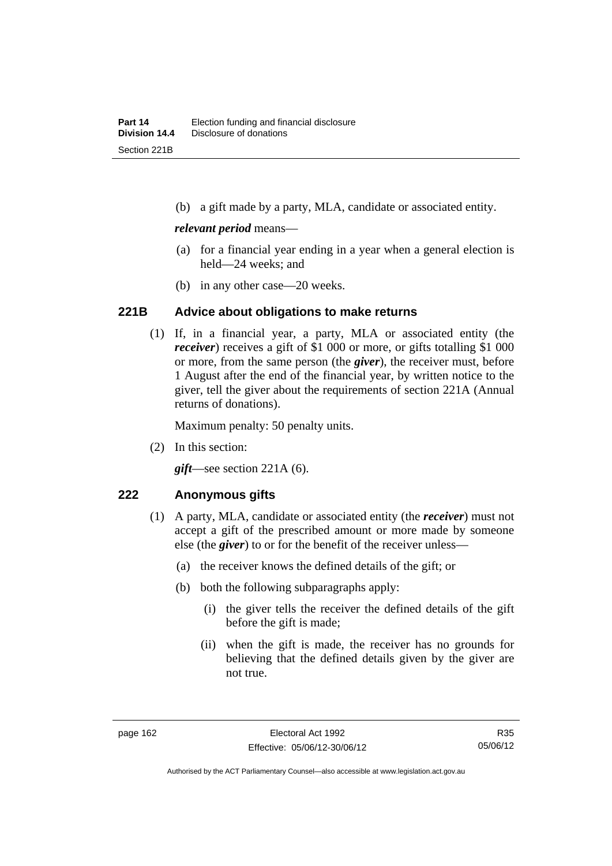(b) a gift made by a party, MLA, candidate or associated entity.

#### *relevant period* means—

- (a) for a financial year ending in a year when a general election is held—24 weeks; and
- (b) in any other case—20 weeks.

## **221B Advice about obligations to make returns**

 (1) If, in a financial year, a party, MLA or associated entity (the *receiver*) receives a gift of \$1 000 or more, or gifts totalling \$1 000 or more, from the same person (the *giver*), the receiver must, before 1 August after the end of the financial year, by written notice to the giver, tell the giver about the requirements of section 221A (Annual returns of donations).

Maximum penalty: 50 penalty units.

(2) In this section:

*gift*—see section 221A (6).

## **222 Anonymous gifts**

- (1) A party, MLA, candidate or associated entity (the *receiver*) must not accept a gift of the prescribed amount or more made by someone else (the *giver*) to or for the benefit of the receiver unless—
	- (a) the receiver knows the defined details of the gift; or
	- (b) both the following subparagraphs apply:
		- (i) the giver tells the receiver the defined details of the gift before the gift is made;
		- (ii) when the gift is made, the receiver has no grounds for believing that the defined details given by the giver are not true.

R35 05/06/12

Authorised by the ACT Parliamentary Counsel—also accessible at www.legislation.act.gov.au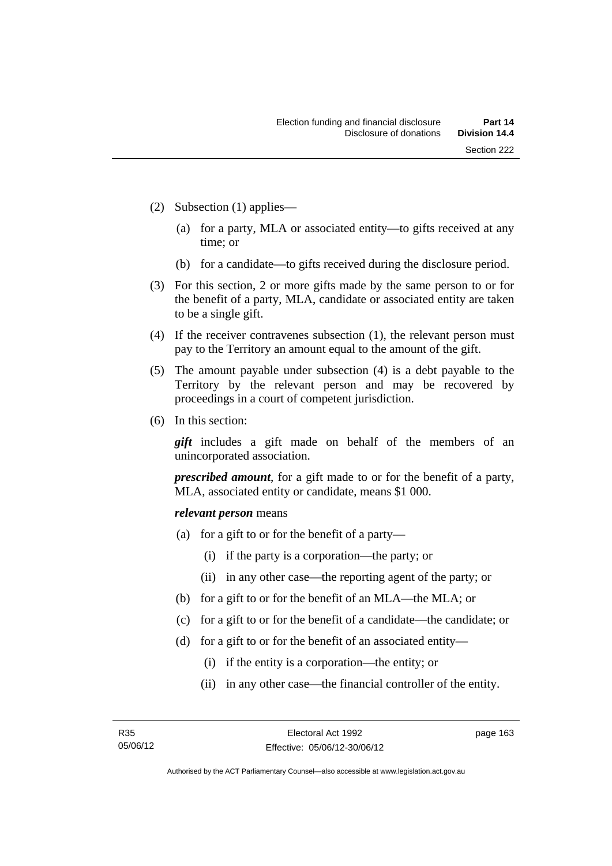- (2) Subsection (1) applies—
	- (a) for a party, MLA or associated entity—to gifts received at any time; or
	- (b) for a candidate—to gifts received during the disclosure period.
- (3) For this section, 2 or more gifts made by the same person to or for the benefit of a party, MLA, candidate or associated entity are taken to be a single gift.
- (4) If the receiver contravenes subsection (1), the relevant person must pay to the Territory an amount equal to the amount of the gift.
- (5) The amount payable under subsection (4) is a debt payable to the Territory by the relevant person and may be recovered by proceedings in a court of competent jurisdiction.
- (6) In this section:

*gift* includes a gift made on behalf of the members of an unincorporated association.

*prescribed amount*, for a gift made to or for the benefit of a party, MLA, associated entity or candidate, means \$1 000.

#### *relevant person* means

- (a) for a gift to or for the benefit of a party—
	- (i) if the party is a corporation—the party; or
	- (ii) in any other case—the reporting agent of the party; or
- (b) for a gift to or for the benefit of an MLA—the MLA; or
- (c) for a gift to or for the benefit of a candidate—the candidate; or
- (d) for a gift to or for the benefit of an associated entity—
	- (i) if the entity is a corporation—the entity; or
	- (ii) in any other case—the financial controller of the entity.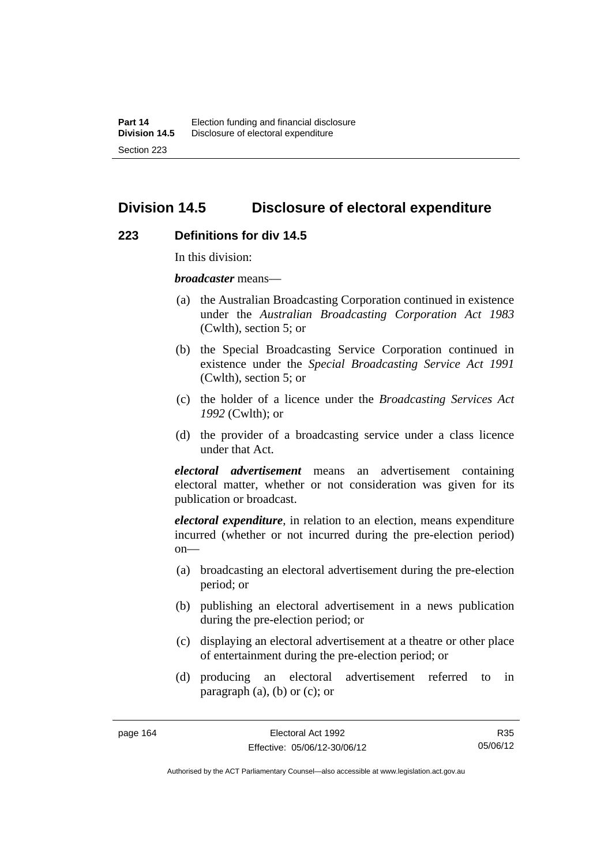# **Division 14.5 Disclosure of electoral expenditure**

### **223 Definitions for div 14.5**

In this division:

*broadcaster* means—

- (a) the Australian Broadcasting Corporation continued in existence under the *Australian Broadcasting Corporation Act 1983* (Cwlth), section 5; or
- (b) the Special Broadcasting Service Corporation continued in existence under the *Special Broadcasting Service Act 1991*  (Cwlth), section 5; or
- (c) the holder of a licence under the *Broadcasting Services Act 1992* (Cwlth); or
- (d) the provider of a broadcasting service under a class licence under that Act.

*electoral advertisement* means an advertisement containing electoral matter, whether or not consideration was given for its publication or broadcast.

*electoral expenditure*, in relation to an election, means expenditure incurred (whether or not incurred during the pre-election period)  $on$ —

- (a) broadcasting an electoral advertisement during the pre-election period; or
- (b) publishing an electoral advertisement in a news publication during the pre-election period; or
- (c) displaying an electoral advertisement at a theatre or other place of entertainment during the pre-election period; or
- (d) producing an electoral advertisement referred to in paragraph (a), (b) or (c); or

R35 05/06/12

Authorised by the ACT Parliamentary Counsel—also accessible at www.legislation.act.gov.au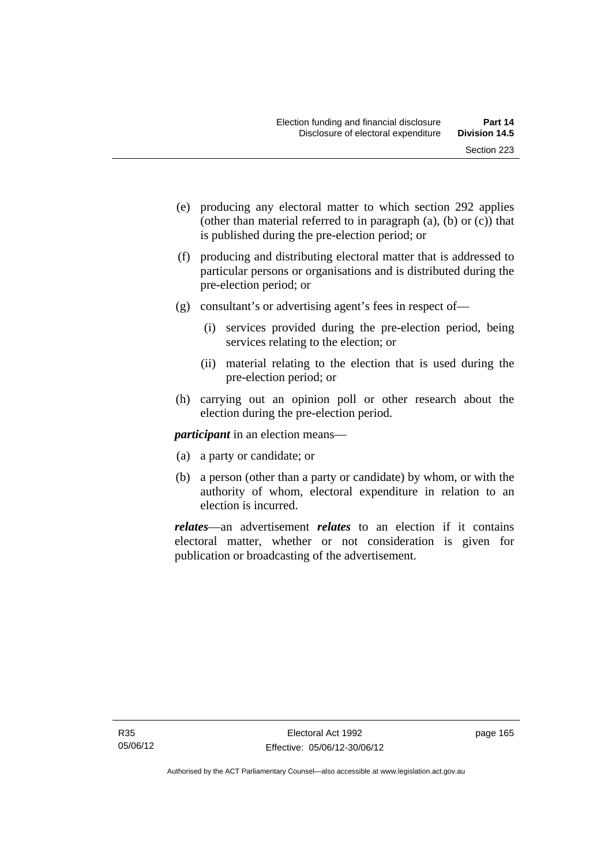- (e) producing any electoral matter to which section 292 applies (other than material referred to in paragraph (a), (b) or (c)) that is published during the pre-election period; or
- (f) producing and distributing electoral matter that is addressed to particular persons or organisations and is distributed during the pre-election period; or
- (g) consultant's or advertising agent's fees in respect of—
	- (i) services provided during the pre-election period, being services relating to the election; or
	- (ii) material relating to the election that is used during the pre-election period; or
- (h) carrying out an opinion poll or other research about the election during the pre-election period.

*participant* in an election means—

- (a) a party or candidate; or
- (b) a person (other than a party or candidate) by whom, or with the authority of whom, electoral expenditure in relation to an election is incurred.

*relates*—an advertisement *relates* to an election if it contains electoral matter, whether or not consideration is given for publication or broadcasting of the advertisement.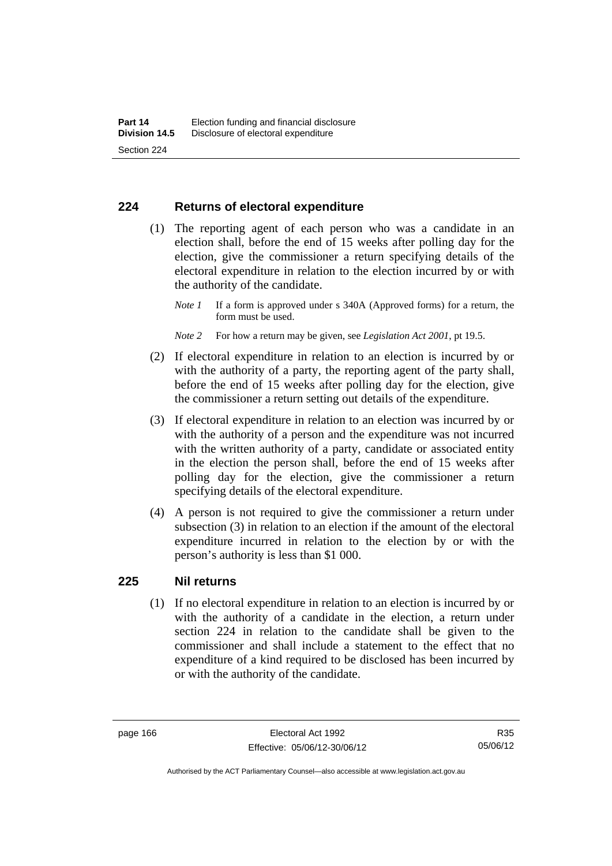## **224 Returns of electoral expenditure**

 (1) The reporting agent of each person who was a candidate in an election shall, before the end of 15 weeks after polling day for the election, give the commissioner a return specifying details of the electoral expenditure in relation to the election incurred by or with the authority of the candidate.

- *Note 2* For how a return may be given, see *Legislation Act 2001*, pt 19.5.
- (2) If electoral expenditure in relation to an election is incurred by or with the authority of a party, the reporting agent of the party shall, before the end of 15 weeks after polling day for the election, give the commissioner a return setting out details of the expenditure.
- (3) If electoral expenditure in relation to an election was incurred by or with the authority of a person and the expenditure was not incurred with the written authority of a party, candidate or associated entity in the election the person shall, before the end of 15 weeks after polling day for the election, give the commissioner a return specifying details of the electoral expenditure.
- (4) A person is not required to give the commissioner a return under subsection (3) in relation to an election if the amount of the electoral expenditure incurred in relation to the election by or with the person's authority is less than \$1 000.

## **225 Nil returns**

 (1) If no electoral expenditure in relation to an election is incurred by or with the authority of a candidate in the election, a return under section 224 in relation to the candidate shall be given to the commissioner and shall include a statement to the effect that no expenditure of a kind required to be disclosed has been incurred by or with the authority of the candidate.

*Note 1* If a form is approved under s 340A (Approved forms) for a return, the form must be used.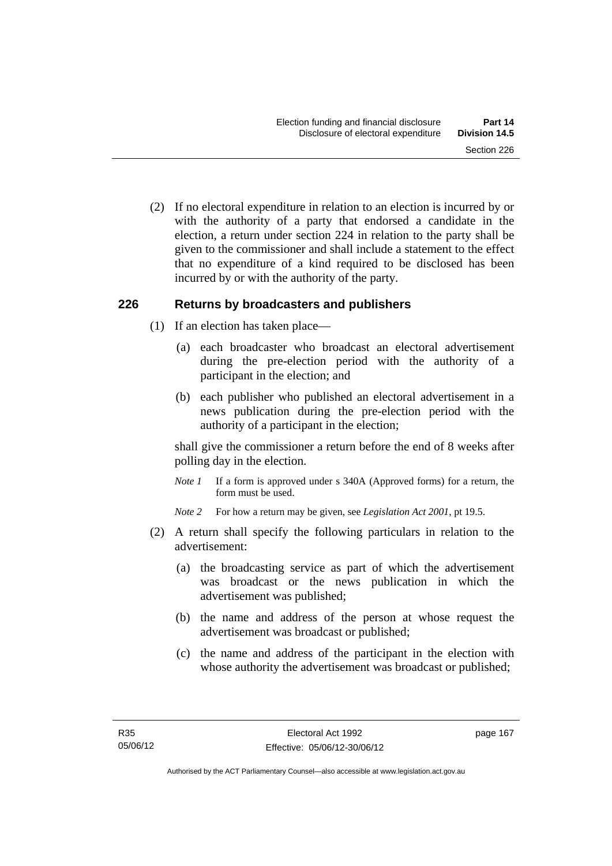(2) If no electoral expenditure in relation to an election is incurred by or with the authority of a party that endorsed a candidate in the election, a return under section 224 in relation to the party shall be given to the commissioner and shall include a statement to the effect that no expenditure of a kind required to be disclosed has been incurred by or with the authority of the party.

## **226 Returns by broadcasters and publishers**

- (1) If an election has taken place—
	- (a) each broadcaster who broadcast an electoral advertisement during the pre-election period with the authority of a participant in the election; and
	- (b) each publisher who published an electoral advertisement in a news publication during the pre-election period with the authority of a participant in the election;

shall give the commissioner a return before the end of 8 weeks after polling day in the election.

*Note 1* If a form is approved under s 340A (Approved forms) for a return, the form must be used.

*Note 2* For how a return may be given, see *Legislation Act 2001*, pt 19.5.

- (2) A return shall specify the following particulars in relation to the advertisement:
	- (a) the broadcasting service as part of which the advertisement was broadcast or the news publication in which the advertisement was published;
	- (b) the name and address of the person at whose request the advertisement was broadcast or published;
	- (c) the name and address of the participant in the election with whose authority the advertisement was broadcast or published;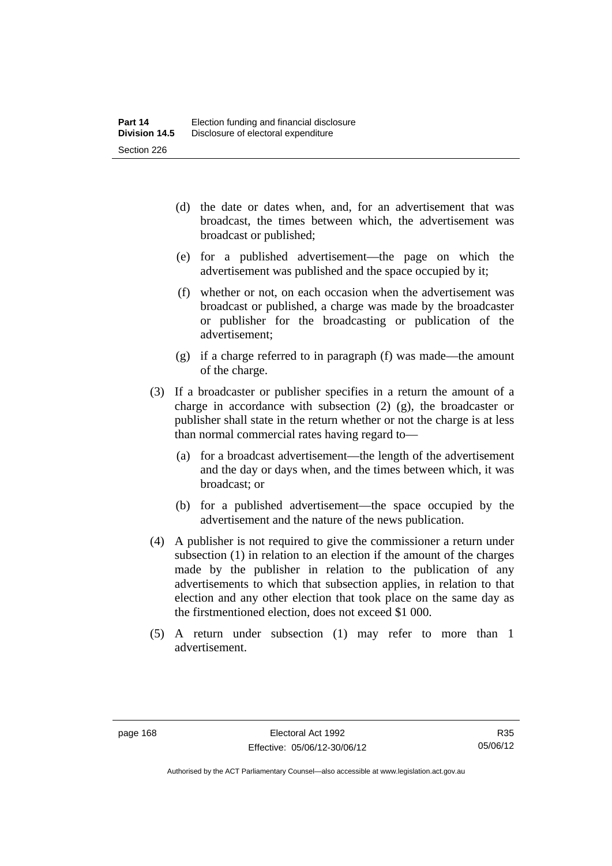- (d) the date or dates when, and, for an advertisement that was broadcast, the times between which, the advertisement was broadcast or published;
- (e) for a published advertisement—the page on which the advertisement was published and the space occupied by it;
- (f) whether or not, on each occasion when the advertisement was broadcast or published, a charge was made by the broadcaster or publisher for the broadcasting or publication of the advertisement;
- (g) if a charge referred to in paragraph (f) was made—the amount of the charge.
- (3) If a broadcaster or publisher specifies in a return the amount of a charge in accordance with subsection (2) (g), the broadcaster or publisher shall state in the return whether or not the charge is at less than normal commercial rates having regard to—
	- (a) for a broadcast advertisement—the length of the advertisement and the day or days when, and the times between which, it was broadcast; or
	- (b) for a published advertisement—the space occupied by the advertisement and the nature of the news publication.
- (4) A publisher is not required to give the commissioner a return under subsection (1) in relation to an election if the amount of the charges made by the publisher in relation to the publication of any advertisements to which that subsection applies, in relation to that election and any other election that took place on the same day as the firstmentioned election, does not exceed \$1 000.
- (5) A return under subsection (1) may refer to more than 1 advertisement.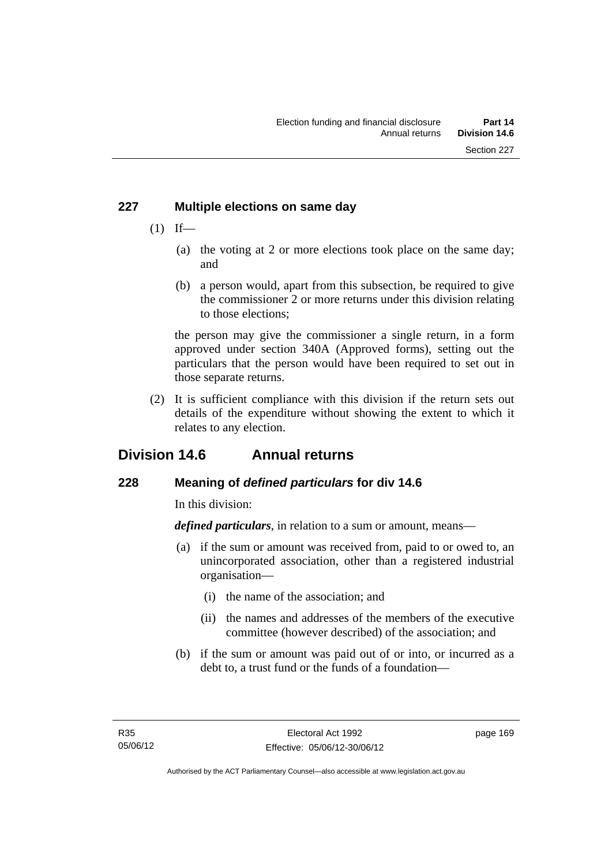# **227 Multiple elections on same day**

- $(1)$  If—
	- (a) the voting at 2 or more elections took place on the same day; and
	- (b) a person would, apart from this subsection, be required to give the commissioner 2 or more returns under this division relating to those elections;

the person may give the commissioner a single return, in a form approved under section 340A (Approved forms), setting out the particulars that the person would have been required to set out in those separate returns.

 (2) It is sufficient compliance with this division if the return sets out details of the expenditure without showing the extent to which it relates to any election.

# **Division 14.6 Annual returns**

# **228 Meaning of** *defined particulars* **for div 14.6**

In this division:

*defined particulars*, in relation to a sum or amount, means—

- (a) if the sum or amount was received from, paid to or owed to, an unincorporated association, other than a registered industrial organisation—
	- (i) the name of the association; and
	- (ii) the names and addresses of the members of the executive committee (however described) of the association; and
- (b) if the sum or amount was paid out of or into, or incurred as a debt to, a trust fund or the funds of a foundation—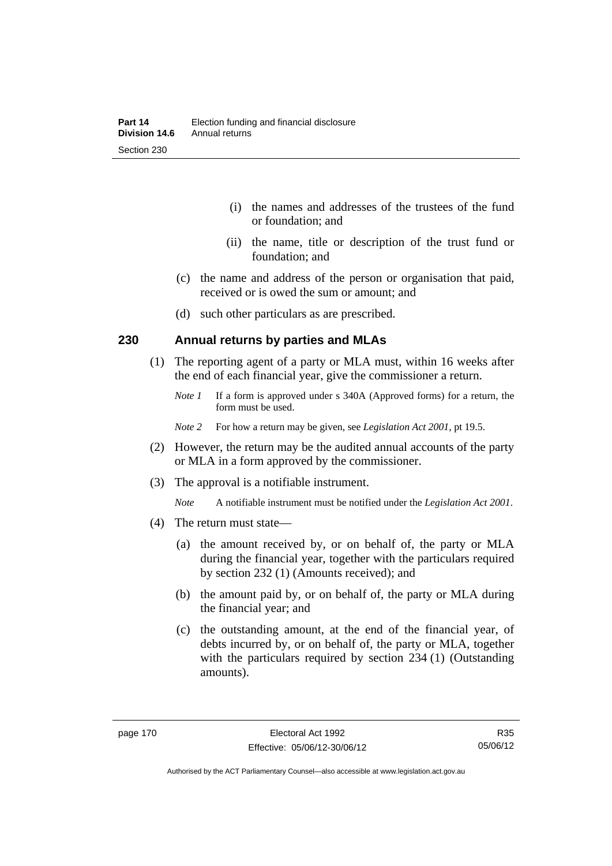- (i) the names and addresses of the trustees of the fund or foundation; and
- (ii) the name, title or description of the trust fund or foundation; and
- (c) the name and address of the person or organisation that paid, received or is owed the sum or amount; and
- (d) such other particulars as are prescribed.

# **230 Annual returns by parties and MLAs**

- (1) The reporting agent of a party or MLA must, within 16 weeks after the end of each financial year, give the commissioner a return.
	- *Note 1* If a form is approved under s 340A (Approved forms) for a return, the form must be used.
	- *Note 2* For how a return may be given, see *Legislation Act 2001*, pt 19.5.
- (2) However, the return may be the audited annual accounts of the party or MLA in a form approved by the commissioner.
- (3) The approval is a notifiable instrument.
	- *Note* A notifiable instrument must be notified under the *Legislation Act 2001*.
- (4) The return must state—
	- (a) the amount received by, or on behalf of, the party or MLA during the financial year, together with the particulars required by section 232 (1) (Amounts received); and
	- (b) the amount paid by, or on behalf of, the party or MLA during the financial year; and
	- (c) the outstanding amount, at the end of the financial year, of debts incurred by, or on behalf of, the party or MLA, together with the particulars required by section 234 (1) (Outstanding amounts).

Authorised by the ACT Parliamentary Counsel—also accessible at www.legislation.act.gov.au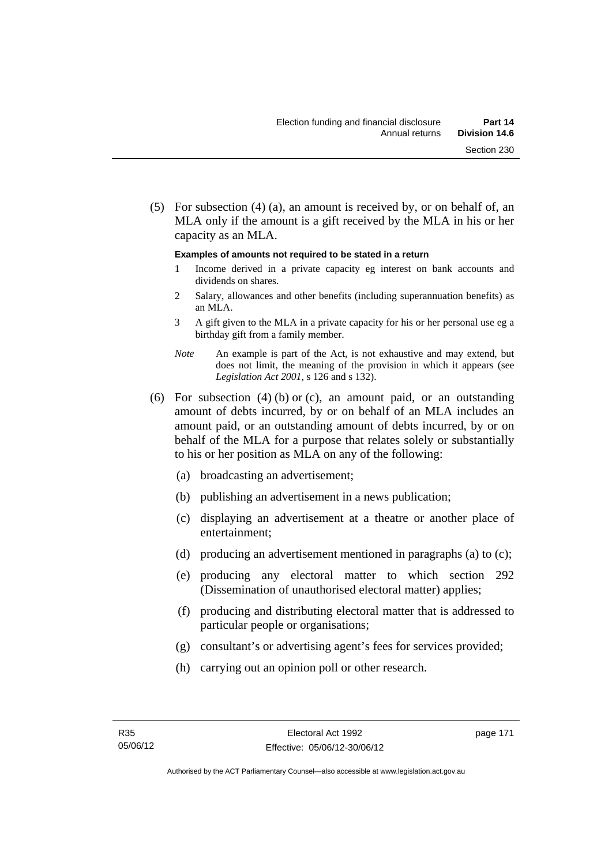(5) For subsection (4) (a), an amount is received by, or on behalf of, an MLA only if the amount is a gift received by the MLA in his or her capacity as an MLA.

#### **Examples of amounts not required to be stated in a return**

- 1 Income derived in a private capacity eg interest on bank accounts and dividends on shares.
- 2 Salary, allowances and other benefits (including superannuation benefits) as an MLA.
- 3 A gift given to the MLA in a private capacity for his or her personal use eg a birthday gift from a family member.
- *Note* An example is part of the Act, is not exhaustive and may extend, but does not limit, the meaning of the provision in which it appears (see *Legislation Act 2001*, s 126 and s 132).
- (6) For subsection (4) (b) or (c), an amount paid, or an outstanding amount of debts incurred, by or on behalf of an MLA includes an amount paid, or an outstanding amount of debts incurred, by or on behalf of the MLA for a purpose that relates solely or substantially to his or her position as MLA on any of the following:
	- (a) broadcasting an advertisement;
	- (b) publishing an advertisement in a news publication;
	- (c) displaying an advertisement at a theatre or another place of entertainment;
	- (d) producing an advertisement mentioned in paragraphs (a) to (c);
	- (e) producing any electoral matter to which section 292 (Dissemination of unauthorised electoral matter) applies;
	- (f) producing and distributing electoral matter that is addressed to particular people or organisations;
	- (g) consultant's or advertising agent's fees for services provided;
	- (h) carrying out an opinion poll or other research.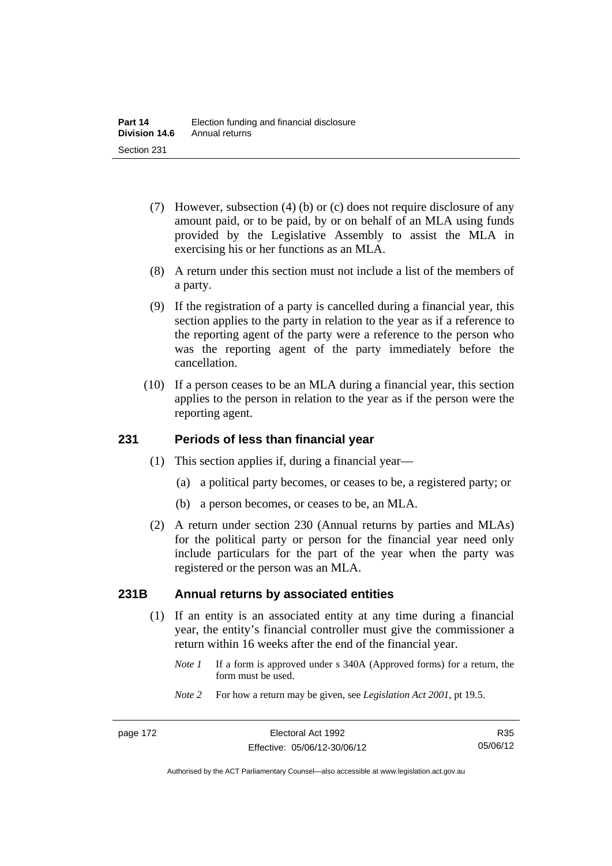- (7) However, subsection (4) (b) or (c) does not require disclosure of any amount paid, or to be paid, by or on behalf of an MLA using funds provided by the Legislative Assembly to assist the MLA in exercising his or her functions as an MLA.
- (8) A return under this section must not include a list of the members of a party.
- (9) If the registration of a party is cancelled during a financial year, this section applies to the party in relation to the year as if a reference to the reporting agent of the party were a reference to the person who was the reporting agent of the party immediately before the cancellation.
- (10) If a person ceases to be an MLA during a financial year, this section applies to the person in relation to the year as if the person were the reporting agent.

# **231 Periods of less than financial year**

- (1) This section applies if, during a financial year—
	- (a) a political party becomes, or ceases to be, a registered party; or
	- (b) a person becomes, or ceases to be, an MLA.
- (2) A return under section 230 (Annual returns by parties and MLAs) for the political party or person for the financial year need only include particulars for the part of the year when the party was registered or the person was an MLA.

## **231B Annual returns by associated entities**

- (1) If an entity is an associated entity at any time during a financial year, the entity's financial controller must give the commissioner a return within 16 weeks after the end of the financial year.
	- *Note 1* If a form is approved under s 340A (Approved forms) for a return, the form must be used.
	- *Note 2* For how a return may be given, see *Legislation Act 2001*, pt 19.5.

R35 05/06/12

Authorised by the ACT Parliamentary Counsel—also accessible at www.legislation.act.gov.au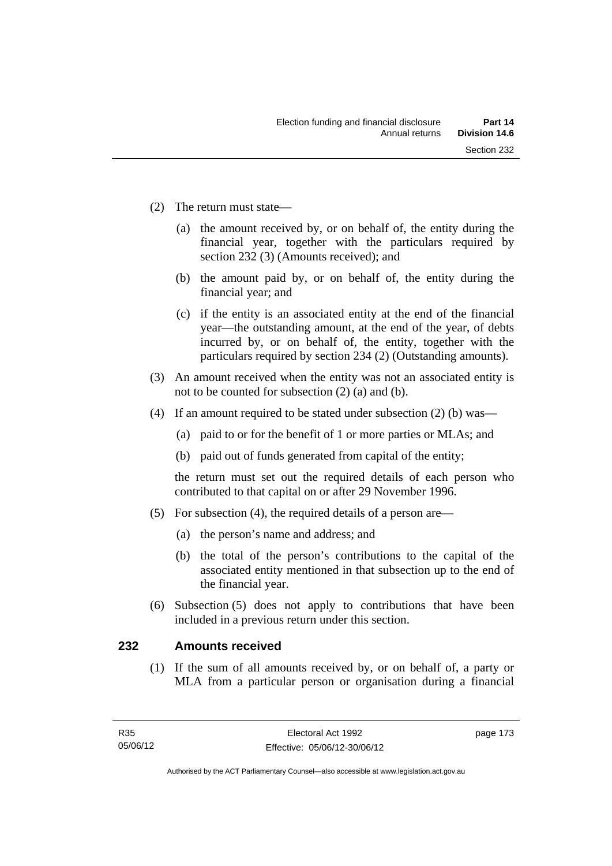- (2) The return must state—
	- (a) the amount received by, or on behalf of, the entity during the financial year, together with the particulars required by section 232 (3) (Amounts received); and
	- (b) the amount paid by, or on behalf of, the entity during the financial year; and
	- (c) if the entity is an associated entity at the end of the financial year—the outstanding amount, at the end of the year, of debts incurred by, or on behalf of, the entity, together with the particulars required by section 234 (2) (Outstanding amounts).
- (3) An amount received when the entity was not an associated entity is not to be counted for subsection (2) (a) and (b).
- (4) If an amount required to be stated under subsection (2) (b) was—
	- (a) paid to or for the benefit of 1 or more parties or MLAs; and
	- (b) paid out of funds generated from capital of the entity;

the return must set out the required details of each person who contributed to that capital on or after 29 November 1996.

- (5) For subsection (4), the required details of a person are—
	- (a) the person's name and address; and
	- (b) the total of the person's contributions to the capital of the associated entity mentioned in that subsection up to the end of the financial year.
- (6) Subsection (5) does not apply to contributions that have been included in a previous return under this section.

## **232 Amounts received**

 (1) If the sum of all amounts received by, or on behalf of, a party or MLA from a particular person or organisation during a financial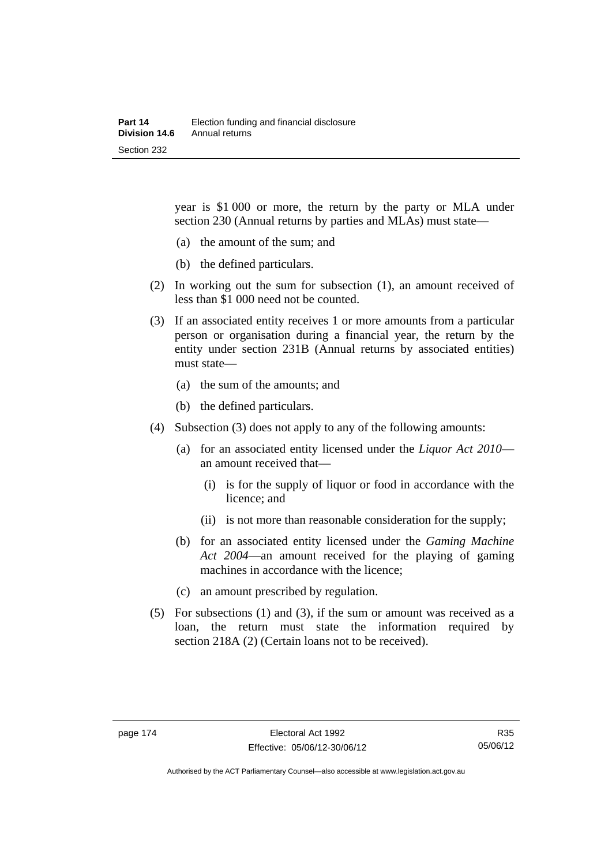year is \$1 000 or more, the return by the party or MLA under section 230 (Annual returns by parties and MLAs) must state—

- (a) the amount of the sum; and
- (b) the defined particulars.
- (2) In working out the sum for subsection (1), an amount received of less than \$1 000 need not be counted.
- (3) If an associated entity receives 1 or more amounts from a particular person or organisation during a financial year, the return by the entity under section 231B (Annual returns by associated entities) must state—
	- (a) the sum of the amounts; and
	- (b) the defined particulars.
- (4) Subsection (3) does not apply to any of the following amounts:
	- (a) for an associated entity licensed under the *Liquor Act 2010* an amount received that—
		- (i) is for the supply of liquor or food in accordance with the licence; and
		- (ii) is not more than reasonable consideration for the supply;
	- (b) for an associated entity licensed under the *Gaming Machine Act 2004*—an amount received for the playing of gaming machines in accordance with the licence;
	- (c) an amount prescribed by regulation.
- (5) For subsections (1) and (3), if the sum or amount was received as a loan, the return must state the information required by section 218A (2) (Certain loans not to be received).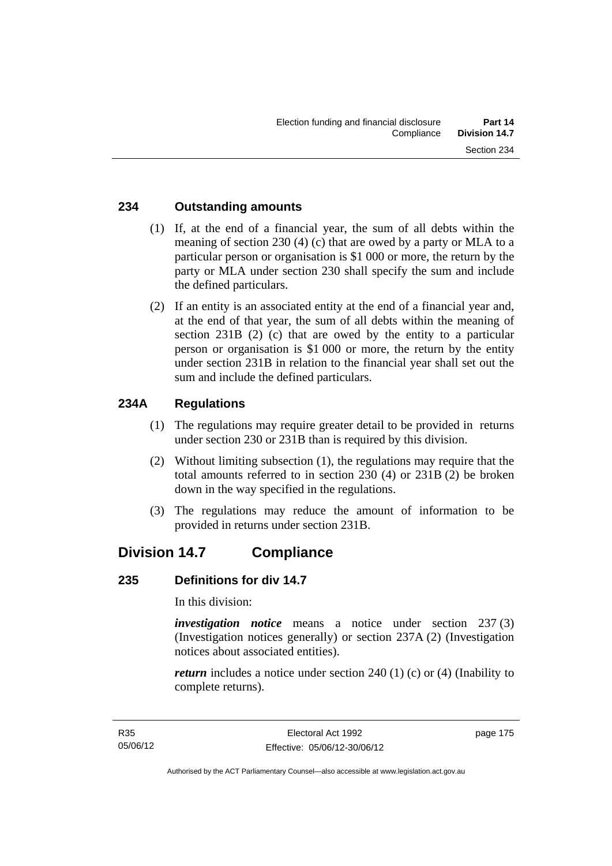# **234 Outstanding amounts**

- (1) If, at the end of a financial year, the sum of all debts within the meaning of section 230 (4) (c) that are owed by a party or MLA to a particular person or organisation is \$1 000 or more, the return by the party or MLA under section 230 shall specify the sum and include the defined particulars.
- (2) If an entity is an associated entity at the end of a financial year and, at the end of that year, the sum of all debts within the meaning of section 231B (2) (c) that are owed by the entity to a particular person or organisation is \$1 000 or more, the return by the entity under section 231B in relation to the financial year shall set out the sum and include the defined particulars.

# **234A Regulations**

- (1) The regulations may require greater detail to be provided in returns under section 230 or 231B than is required by this division.
- (2) Without limiting subsection (1), the regulations may require that the total amounts referred to in section 230 (4) or 231B (2) be broken down in the way specified in the regulations.
- (3) The regulations may reduce the amount of information to be provided in returns under section 231B.

# **Division 14.7 Compliance**

## **235 Definitions for div 14.7**

In this division:

*investigation notice* means a notice under section 237 (3) (Investigation notices generally) or section 237A (2) (Investigation notices about associated entities).

*return* includes a notice under section 240 (1) (c) or (4) (Inability to complete returns).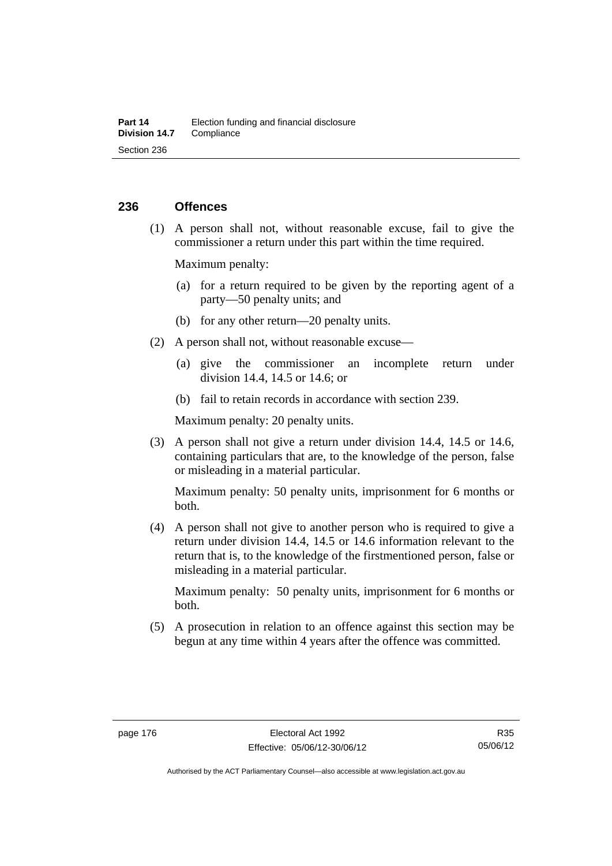# **236 Offences**

 (1) A person shall not, without reasonable excuse, fail to give the commissioner a return under this part within the time required.

Maximum penalty:

- (a) for a return required to be given by the reporting agent of a party—50 penalty units; and
- (b) for any other return—20 penalty units.
- (2) A person shall not, without reasonable excuse—
	- (a) give the commissioner an incomplete return under division 14.4, 14.5 or 14.6; or
	- (b) fail to retain records in accordance with section 239.

Maximum penalty: 20 penalty units.

 (3) A person shall not give a return under division 14.4, 14.5 or 14.6, containing particulars that are, to the knowledge of the person, false or misleading in a material particular.

Maximum penalty: 50 penalty units, imprisonment for 6 months or both.

 (4) A person shall not give to another person who is required to give a return under division 14.4, 14.5 or 14.6 information relevant to the return that is, to the knowledge of the firstmentioned person, false or misleading in a material particular.

Maximum penalty: 50 penalty units, imprisonment for 6 months or both.

 (5) A prosecution in relation to an offence against this section may be begun at any time within 4 years after the offence was committed.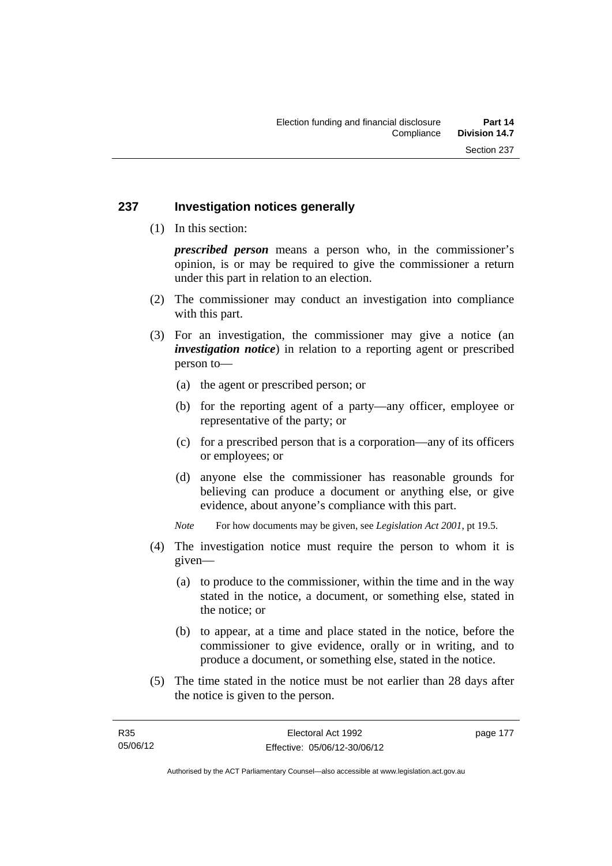# **237 Investigation notices generally**

(1) In this section:

*prescribed person* means a person who, in the commissioner's opinion, is or may be required to give the commissioner a return under this part in relation to an election.

- (2) The commissioner may conduct an investigation into compliance with this part.
- (3) For an investigation, the commissioner may give a notice (an *investigation notice*) in relation to a reporting agent or prescribed person to—
	- (a) the agent or prescribed person; or
	- (b) for the reporting agent of a party—any officer, employee or representative of the party; or
	- (c) for a prescribed person that is a corporation—any of its officers or employees; or
	- (d) anyone else the commissioner has reasonable grounds for believing can produce a document or anything else, or give evidence, about anyone's compliance with this part.
	- *Note* For how documents may be given, see *Legislation Act 2001*, pt 19.5.
- (4) The investigation notice must require the person to whom it is given—
	- (a) to produce to the commissioner, within the time and in the way stated in the notice, a document, or something else, stated in the notice; or
	- (b) to appear, at a time and place stated in the notice, before the commissioner to give evidence, orally or in writing, and to produce a document, or something else, stated in the notice.
- (5) The time stated in the notice must be not earlier than 28 days after the notice is given to the person.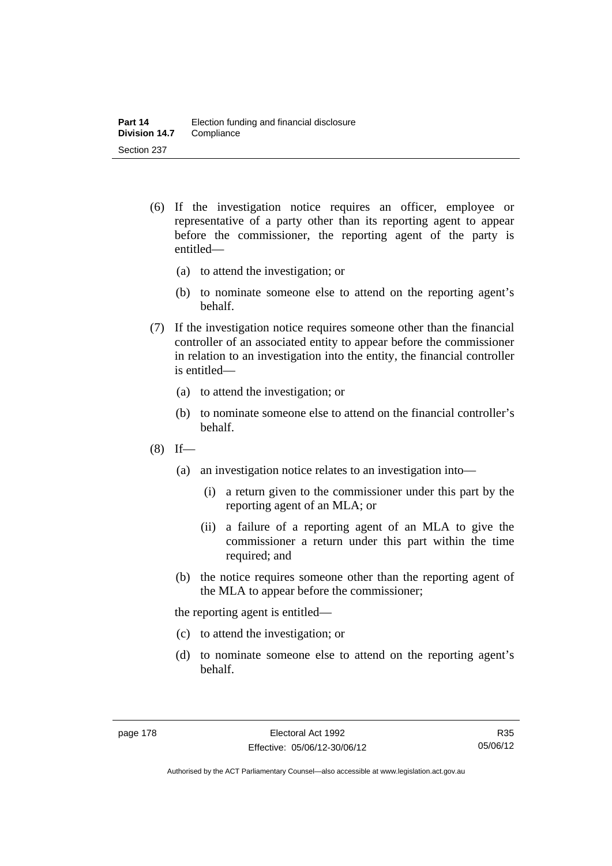- (6) If the investigation notice requires an officer, employee or representative of a party other than its reporting agent to appear before the commissioner, the reporting agent of the party is entitled—
	- (a) to attend the investigation; or
	- (b) to nominate someone else to attend on the reporting agent's behalf.
- (7) If the investigation notice requires someone other than the financial controller of an associated entity to appear before the commissioner in relation to an investigation into the entity, the financial controller is entitled—
	- (a) to attend the investigation; or
	- (b) to nominate someone else to attend on the financial controller's behalf.
- $(8)$  If—
	- (a) an investigation notice relates to an investigation into—
		- (i) a return given to the commissioner under this part by the reporting agent of an MLA; or
		- (ii) a failure of a reporting agent of an MLA to give the commissioner a return under this part within the time required; and
	- (b) the notice requires someone other than the reporting agent of the MLA to appear before the commissioner;

the reporting agent is entitled—

- (c) to attend the investigation; or
- (d) to nominate someone else to attend on the reporting agent's behalf.

R35 05/06/12

Authorised by the ACT Parliamentary Counsel—also accessible at www.legislation.act.gov.au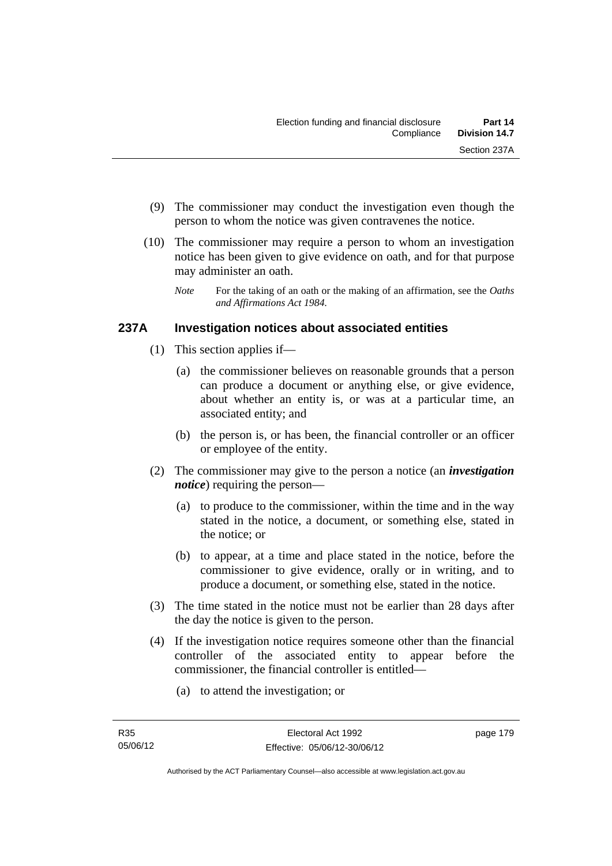- (9) The commissioner may conduct the investigation even though the person to whom the notice was given contravenes the notice.
- (10) The commissioner may require a person to whom an investigation notice has been given to give evidence on oath, and for that purpose may administer an oath.
	- *Note* For the taking of an oath or the making of an affirmation, see the *Oaths and Affirmations Act 1984.*

# **237A Investigation notices about associated entities**

- (1) This section applies if—
	- (a) the commissioner believes on reasonable grounds that a person can produce a document or anything else, or give evidence, about whether an entity is, or was at a particular time, an associated entity; and
	- (b) the person is, or has been, the financial controller or an officer or employee of the entity.
- (2) The commissioner may give to the person a notice (an *investigation notice*) requiring the person—
	- (a) to produce to the commissioner, within the time and in the way stated in the notice, a document, or something else, stated in the notice; or
	- (b) to appear, at a time and place stated in the notice, before the commissioner to give evidence, orally or in writing, and to produce a document, or something else, stated in the notice.
- (3) The time stated in the notice must not be earlier than 28 days after the day the notice is given to the person.
- (4) If the investigation notice requires someone other than the financial controller of the associated entity to appear before the commissioner, the financial controller is entitled—
	- (a) to attend the investigation; or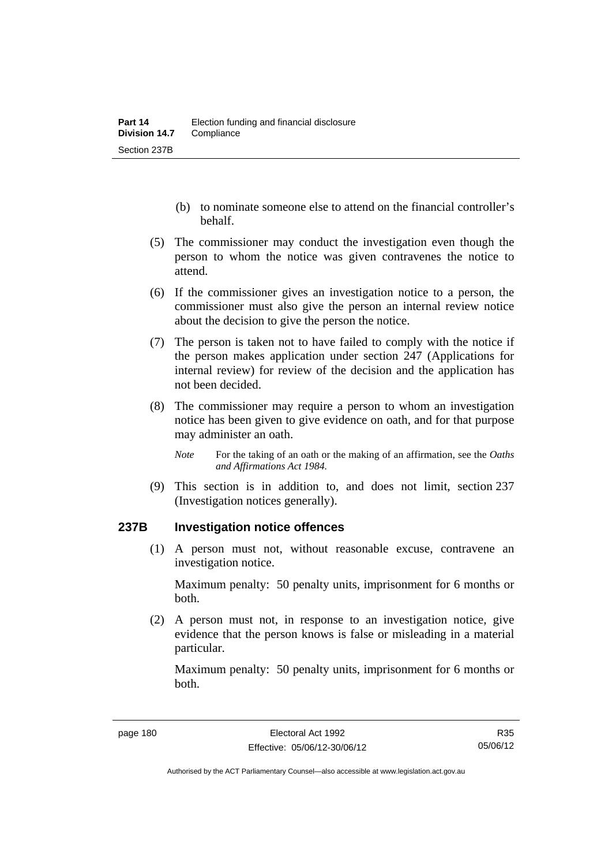- (b) to nominate someone else to attend on the financial controller's behalf.
- (5) The commissioner may conduct the investigation even though the person to whom the notice was given contravenes the notice to attend.
- (6) If the commissioner gives an investigation notice to a person, the commissioner must also give the person an internal review notice about the decision to give the person the notice.
- (7) The person is taken not to have failed to comply with the notice if the person makes application under section 247 (Applications for internal review) for review of the decision and the application has not been decided.
- (8) The commissioner may require a person to whom an investigation notice has been given to give evidence on oath, and for that purpose may administer an oath.
	- *Note* For the taking of an oath or the making of an affirmation, see the *Oaths and Affirmations Act 1984.*
- (9) This section is in addition to, and does not limit, section 237 (Investigation notices generally).

## **237B Investigation notice offences**

 (1) A person must not, without reasonable excuse, contravene an investigation notice.

Maximum penalty: 50 penalty units, imprisonment for 6 months or both.

 (2) A person must not, in response to an investigation notice, give evidence that the person knows is false or misleading in a material particular.

Maximum penalty: 50 penalty units, imprisonment for 6 months or both.

Authorised by the ACT Parliamentary Counsel—also accessible at www.legislation.act.gov.au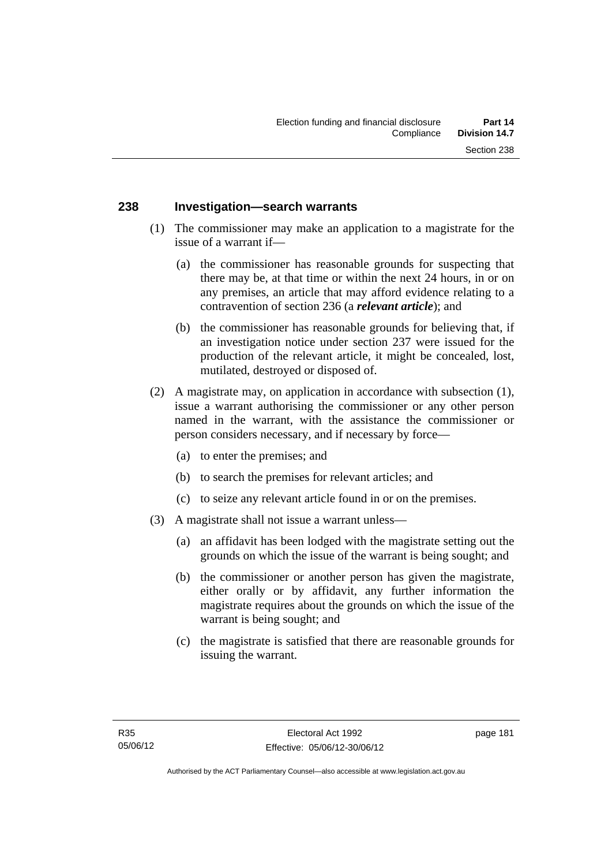# **238 Investigation—search warrants**

- (1) The commissioner may make an application to a magistrate for the issue of a warrant if—
	- (a) the commissioner has reasonable grounds for suspecting that there may be, at that time or within the next 24 hours, in or on any premises, an article that may afford evidence relating to a contravention of section 236 (a *relevant article*); and
	- (b) the commissioner has reasonable grounds for believing that, if an investigation notice under section 237 were issued for the production of the relevant article, it might be concealed, lost, mutilated, destroyed or disposed of.
- (2) A magistrate may, on application in accordance with subsection (1), issue a warrant authorising the commissioner or any other person named in the warrant, with the assistance the commissioner or person considers necessary, and if necessary by force—
	- (a) to enter the premises; and
	- (b) to search the premises for relevant articles; and
	- (c) to seize any relevant article found in or on the premises.
- (3) A magistrate shall not issue a warrant unless—
	- (a) an affidavit has been lodged with the magistrate setting out the grounds on which the issue of the warrant is being sought; and
	- (b) the commissioner or another person has given the magistrate, either orally or by affidavit, any further information the magistrate requires about the grounds on which the issue of the warrant is being sought; and
	- (c) the magistrate is satisfied that there are reasonable grounds for issuing the warrant.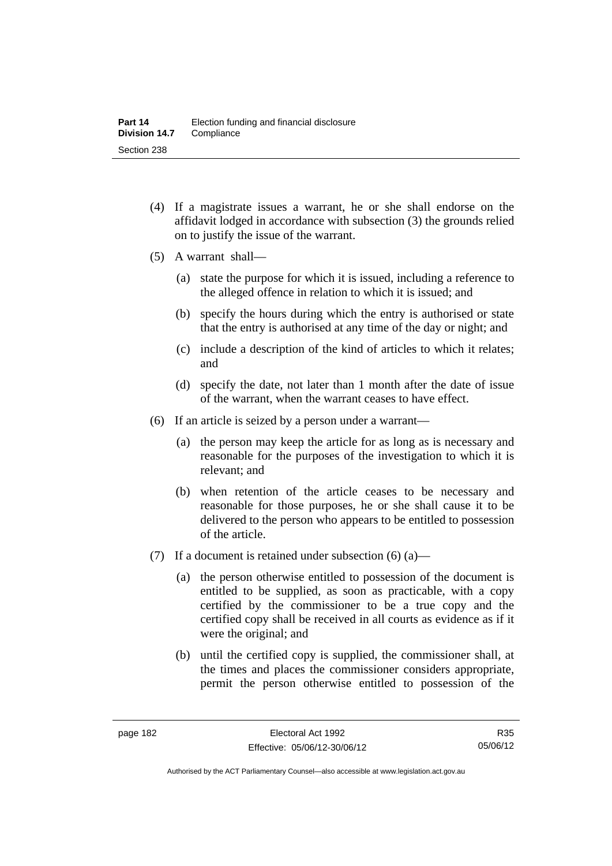- (4) If a magistrate issues a warrant, he or she shall endorse on the affidavit lodged in accordance with subsection (3) the grounds relied on to justify the issue of the warrant.
- (5) A warrant shall—
	- (a) state the purpose for which it is issued, including a reference to the alleged offence in relation to which it is issued; and
	- (b) specify the hours during which the entry is authorised or state that the entry is authorised at any time of the day or night; and
	- (c) include a description of the kind of articles to which it relates; and
	- (d) specify the date, not later than 1 month after the date of issue of the warrant, when the warrant ceases to have effect.
- (6) If an article is seized by a person under a warrant—
	- (a) the person may keep the article for as long as is necessary and reasonable for the purposes of the investigation to which it is relevant; and
	- (b) when retention of the article ceases to be necessary and reasonable for those purposes, he or she shall cause it to be delivered to the person who appears to be entitled to possession of the article.
- (7) If a document is retained under subsection  $(6)$  (a)—
	- (a) the person otherwise entitled to possession of the document is entitled to be supplied, as soon as practicable, with a copy certified by the commissioner to be a true copy and the certified copy shall be received in all courts as evidence as if it were the original; and
	- (b) until the certified copy is supplied, the commissioner shall, at the times and places the commissioner considers appropriate, permit the person otherwise entitled to possession of the

R35 05/06/12

Authorised by the ACT Parliamentary Counsel—also accessible at www.legislation.act.gov.au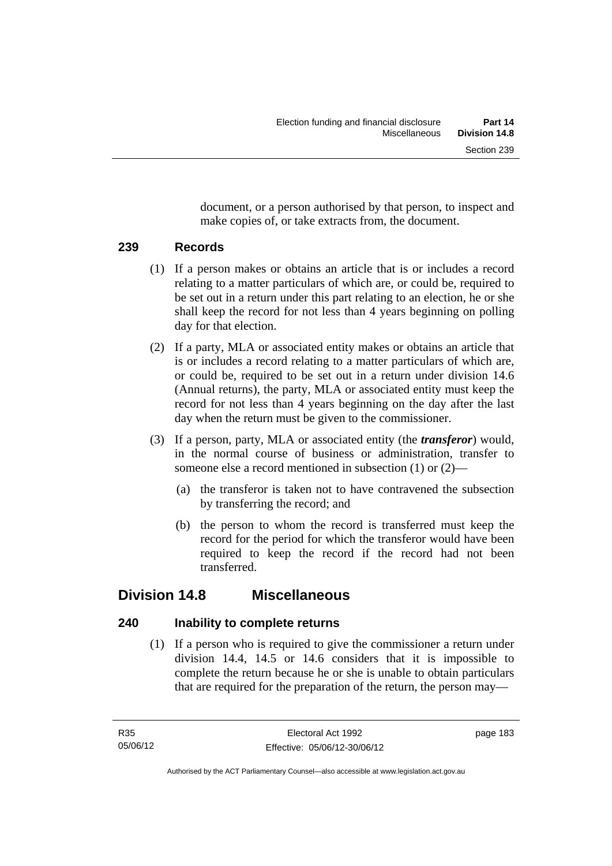document, or a person authorised by that person, to inspect and make copies of, or take extracts from, the document.

# **239 Records**

- (1) If a person makes or obtains an article that is or includes a record relating to a matter particulars of which are, or could be, required to be set out in a return under this part relating to an election, he or she shall keep the record for not less than 4 years beginning on polling day for that election.
- (2) If a party, MLA or associated entity makes or obtains an article that is or includes a record relating to a matter particulars of which are, or could be, required to be set out in a return under division 14.6 (Annual returns), the party, MLA or associated entity must keep the record for not less than 4 years beginning on the day after the last day when the return must be given to the commissioner.
- (3) If a person, party, MLA or associated entity (the *transferor*) would, in the normal course of business or administration, transfer to someone else a record mentioned in subsection (1) or (2)—
	- (a) the transferor is taken not to have contravened the subsection by transferring the record; and
	- (b) the person to whom the record is transferred must keep the record for the period for which the transferor would have been required to keep the record if the record had not been transferred.

# **Division 14.8 Miscellaneous**

# **240 Inability to complete returns**

 (1) If a person who is required to give the commissioner a return under division 14.4, 14.5 or 14.6 considers that it is impossible to complete the return because he or she is unable to obtain particulars that are required for the preparation of the return, the person may—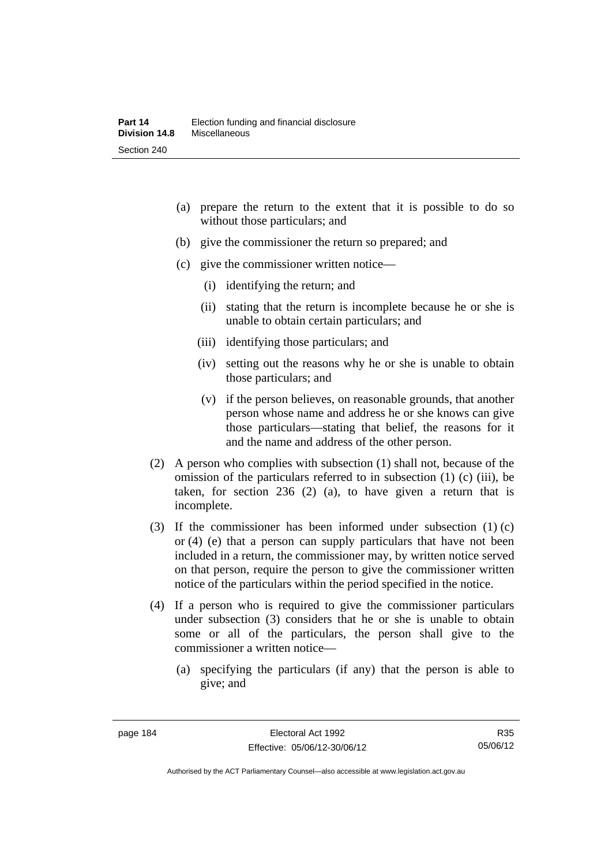- (a) prepare the return to the extent that it is possible to do so without those particulars; and
- (b) give the commissioner the return so prepared; and
- (c) give the commissioner written notice—
	- (i) identifying the return; and
	- (ii) stating that the return is incomplete because he or she is unable to obtain certain particulars; and
	- (iii) identifying those particulars; and
	- (iv) setting out the reasons why he or she is unable to obtain those particulars; and
	- (v) if the person believes, on reasonable grounds, that another person whose name and address he or she knows can give those particulars—stating that belief, the reasons for it and the name and address of the other person.
- (2) A person who complies with subsection (1) shall not, because of the omission of the particulars referred to in subsection (1) (c) (iii), be taken, for section 236 (2) (a), to have given a return that is incomplete.
- (3) If the commissioner has been informed under subsection (1) (c) or (4) (e) that a person can supply particulars that have not been included in a return, the commissioner may, by written notice served on that person, require the person to give the commissioner written notice of the particulars within the period specified in the notice.
- (4) If a person who is required to give the commissioner particulars under subsection (3) considers that he or she is unable to obtain some or all of the particulars, the person shall give to the commissioner a written notice—
	- (a) specifying the particulars (if any) that the person is able to give; and

Authorised by the ACT Parliamentary Counsel—also accessible at www.legislation.act.gov.au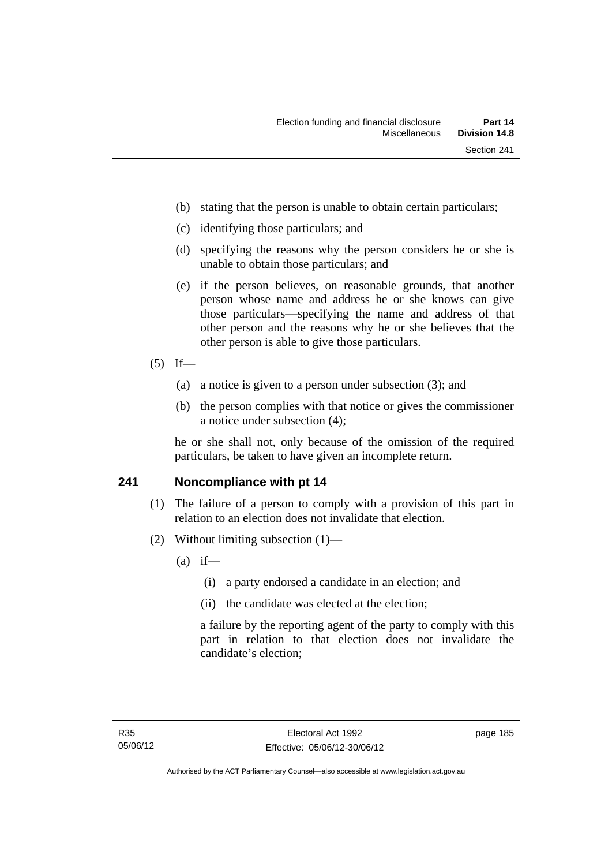- (b) stating that the person is unable to obtain certain particulars;
- (c) identifying those particulars; and
- (d) specifying the reasons why the person considers he or she is unable to obtain those particulars; and
- (e) if the person believes, on reasonable grounds, that another person whose name and address he or she knows can give those particulars—specifying the name and address of that other person and the reasons why he or she believes that the other person is able to give those particulars.
- $(5)$  If—
	- (a) a notice is given to a person under subsection (3); and
	- (b) the person complies with that notice or gives the commissioner a notice under subsection (4);

he or she shall not, only because of the omission of the required particulars, be taken to have given an incomplete return.

## **241 Noncompliance with pt 14**

- (1) The failure of a person to comply with a provision of this part in relation to an election does not invalidate that election.
- (2) Without limiting subsection (1)—
	- $(a)$  if—
		- (i) a party endorsed a candidate in an election; and
		- (ii) the candidate was elected at the election;

a failure by the reporting agent of the party to comply with this part in relation to that election does not invalidate the candidate's election;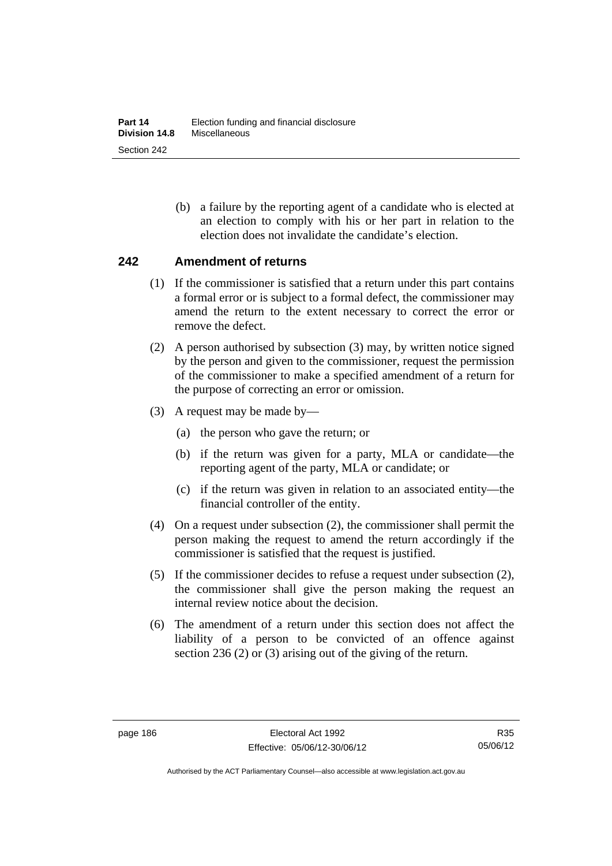(b) a failure by the reporting agent of a candidate who is elected at an election to comply with his or her part in relation to the election does not invalidate the candidate's election.

## **242 Amendment of returns**

- (1) If the commissioner is satisfied that a return under this part contains a formal error or is subject to a formal defect, the commissioner may amend the return to the extent necessary to correct the error or remove the defect.
- (2) A person authorised by subsection (3) may, by written notice signed by the person and given to the commissioner, request the permission of the commissioner to make a specified amendment of a return for the purpose of correcting an error or omission.
- (3) A request may be made by—
	- (a) the person who gave the return; or
	- (b) if the return was given for a party, MLA or candidate—the reporting agent of the party, MLA or candidate; or
	- (c) if the return was given in relation to an associated entity—the financial controller of the entity.
- (4) On a request under subsection (2), the commissioner shall permit the person making the request to amend the return accordingly if the commissioner is satisfied that the request is justified.
- (5) If the commissioner decides to refuse a request under subsection (2), the commissioner shall give the person making the request an internal review notice about the decision.
- (6) The amendment of a return under this section does not affect the liability of a person to be convicted of an offence against section 236 (2) or (3) arising out of the giving of the return.

Authorised by the ACT Parliamentary Counsel—also accessible at www.legislation.act.gov.au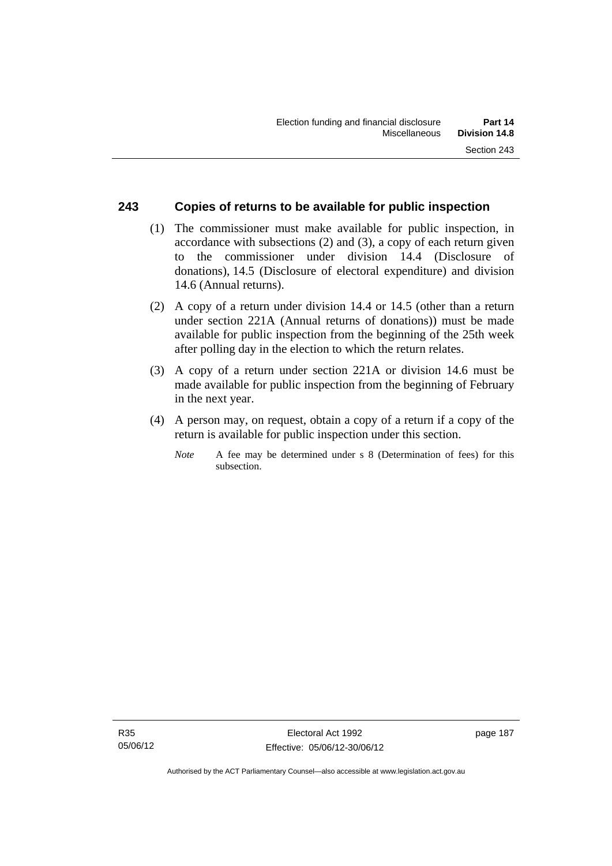# **243 Copies of returns to be available for public inspection**

- (1) The commissioner must make available for public inspection, in accordance with subsections (2) and (3), a copy of each return given to the commissioner under division 14.4 (Disclosure of donations), 14.5 (Disclosure of electoral expenditure) and division 14.6 (Annual returns).
- (2) A copy of a return under division 14.4 or 14.5 (other than a return under section 221A (Annual returns of donations)) must be made available for public inspection from the beginning of the 25th week after polling day in the election to which the return relates.
- (3) A copy of a return under section 221A or division 14.6 must be made available for public inspection from the beginning of February in the next year.
- (4) A person may, on request, obtain a copy of a return if a copy of the return is available for public inspection under this section.
	- *Note* A fee may be determined under s 8 (Determination of fees) for this subsection.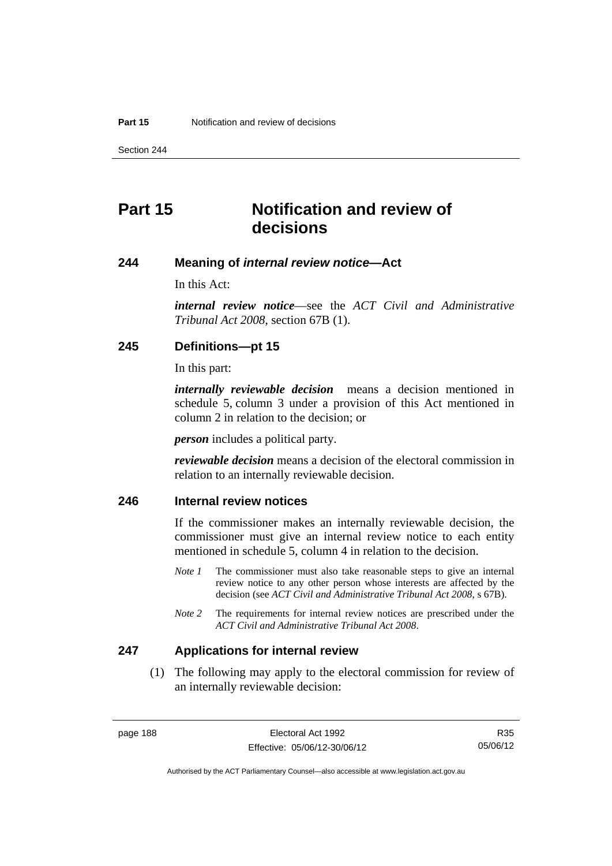Section 244

# **Part 15 Notification and review of decisions**

#### **244 Meaning of** *internal review notice***—Act**

In this Act:

*internal review notice*—see the *ACT Civil and Administrative Tribunal Act 2008*, section 67B (1).

## **245 Definitions—pt 15**

In this part:

*internally reviewable decision* means a decision mentioned in schedule 5, column 3 under a provision of this Act mentioned in column 2 in relation to the decision; or

*person* includes a political party.

*reviewable decision* means a decision of the electoral commission in relation to an internally reviewable decision.

# **246 Internal review notices**

If the commissioner makes an internally reviewable decision, the commissioner must give an internal review notice to each entity mentioned in schedule 5, column 4 in relation to the decision.

- *Note 1* The commissioner must also take reasonable steps to give an internal review notice to any other person whose interests are affected by the decision (see *ACT Civil and Administrative Tribunal Act 2008*, s 67B).
- *Note* 2 The requirements for internal review notices are prescribed under the *ACT Civil and Administrative Tribunal Act 2008*.

#### **247 Applications for internal review**

 (1) The following may apply to the electoral commission for review of an internally reviewable decision:

Authorised by the ACT Parliamentary Counsel—also accessible at www.legislation.act.gov.au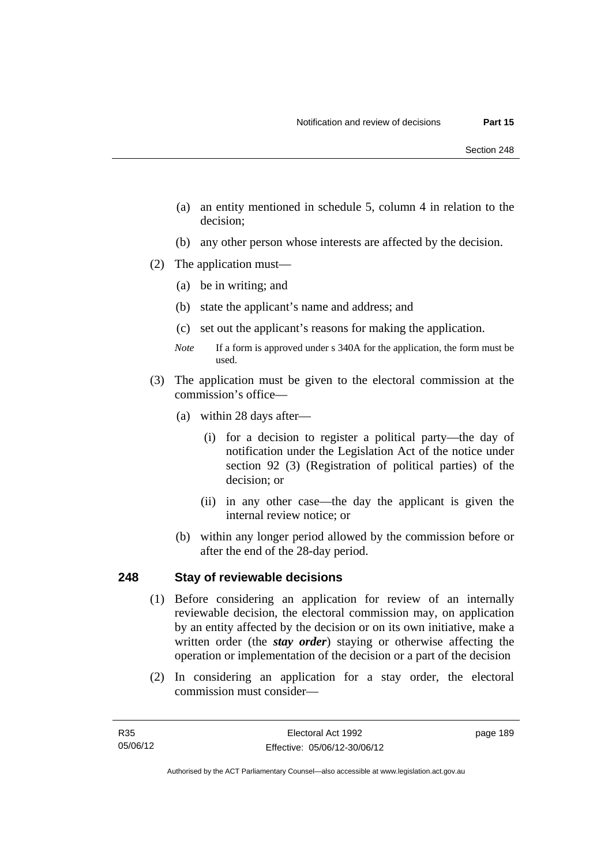- (a) an entity mentioned in schedule 5, column 4 in relation to the decision;
- (b) any other person whose interests are affected by the decision.
- (2) The application must—
	- (a) be in writing; and
	- (b) state the applicant's name and address; and
	- (c) set out the applicant's reasons for making the application.
	- *Note* If a form is approved under s 340A for the application, the form must be used.
- (3) The application must be given to the electoral commission at the commission's office—
	- (a) within 28 days after—
		- (i) for a decision to register a political party—the day of notification under the Legislation Act of the notice under section 92 (3) (Registration of political parties) of the decision; or
		- (ii) in any other case—the day the applicant is given the internal review notice; or
	- (b) within any longer period allowed by the commission before or after the end of the 28-day period.

## **248 Stay of reviewable decisions**

- (1) Before considering an application for review of an internally reviewable decision, the electoral commission may, on application by an entity affected by the decision or on its own initiative, make a written order (the *stay order*) staying or otherwise affecting the operation or implementation of the decision or a part of the decision
- (2) In considering an application for a stay order, the electoral commission must consider—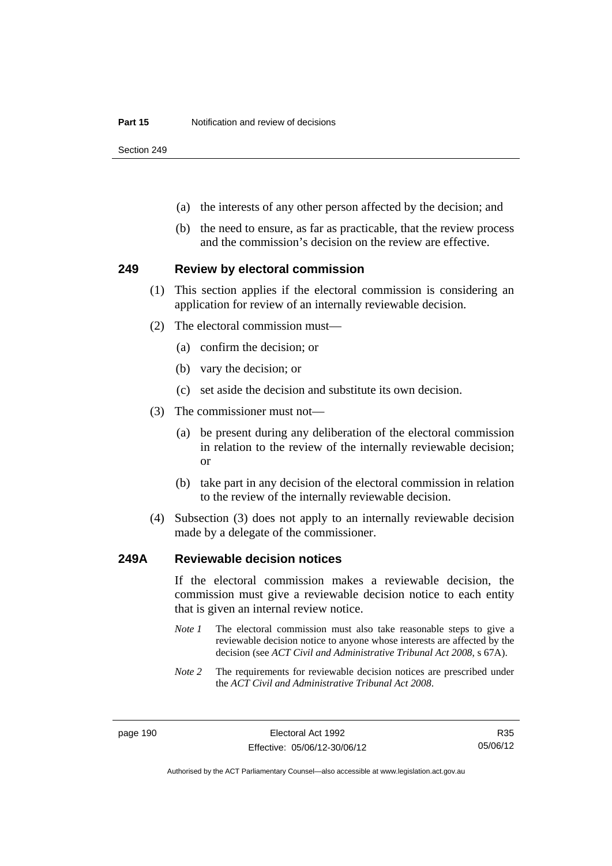Section 249

- (a) the interests of any other person affected by the decision; and
- (b) the need to ensure, as far as practicable, that the review process and the commission's decision on the review are effective.

#### **249 Review by electoral commission**

- (1) This section applies if the electoral commission is considering an application for review of an internally reviewable decision.
- (2) The electoral commission must—
	- (a) confirm the decision; or
	- (b) vary the decision; or
	- (c) set aside the decision and substitute its own decision.
- (3) The commissioner must not—
	- (a) be present during any deliberation of the electoral commission in relation to the review of the internally reviewable decision; or
	- (b) take part in any decision of the electoral commission in relation to the review of the internally reviewable decision.
- (4) Subsection (3) does not apply to an internally reviewable decision made by a delegate of the commissioner.

#### **249A Reviewable decision notices**

If the electoral commission makes a reviewable decision, the commission must give a reviewable decision notice to each entity that is given an internal review notice.

- *Note 1* The electoral commission must also take reasonable steps to give a reviewable decision notice to anyone whose interests are affected by the decision (see *ACT Civil and Administrative Tribunal Act 2008*, s 67A).
- *Note 2* The requirements for reviewable decision notices are prescribed under the *ACT Civil and Administrative Tribunal Act 2008*.

R35 05/06/12

Authorised by the ACT Parliamentary Counsel—also accessible at www.legislation.act.gov.au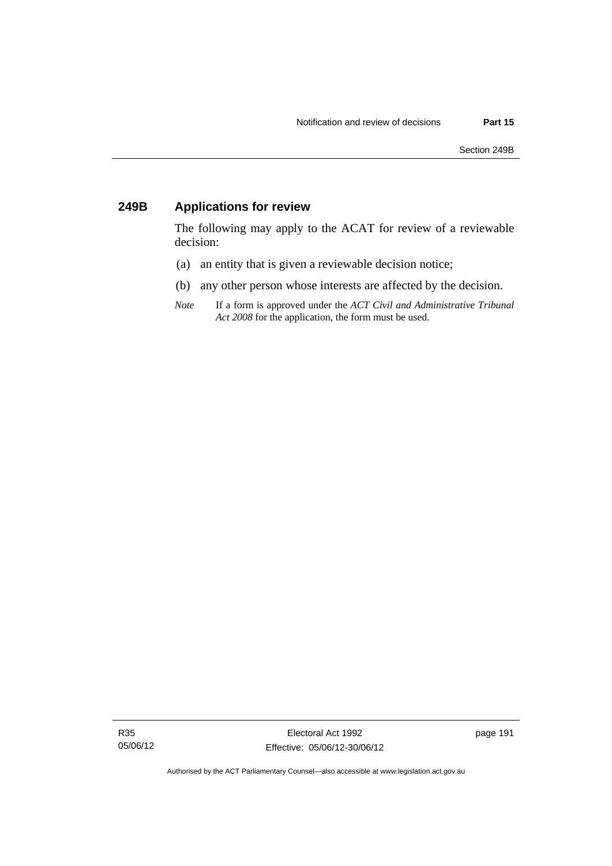# **249B Applications for review**

The following may apply to the ACAT for review of a reviewable decision:

- (a) an entity that is given a reviewable decision notice;
- (b) any other person whose interests are affected by the decision.
- *Note* If a form is approved under the *ACT Civil and Administrative Tribunal Act 2008* for the application, the form must be used.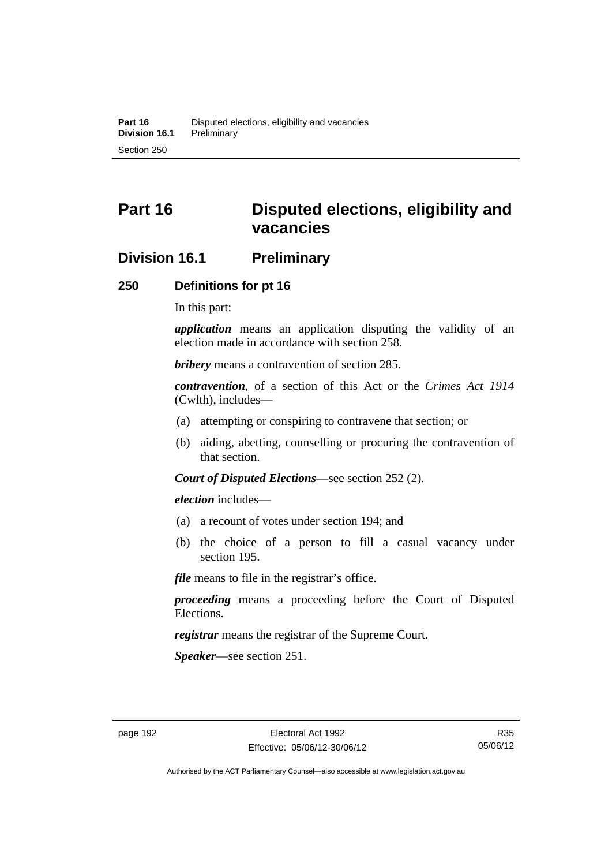# **Part 16 Disputed elections, eligibility and vacancies**

# **Division 16.1 Preliminary**

### **250 Definitions for pt 16**

In this part:

*application* means an application disputing the validity of an election made in accordance with section 258.

*bribery* means a contravention of section 285.

*contravention*, of a section of this Act or the *Crimes Act 1914* (Cwlth), includes—

- (a) attempting or conspiring to contravene that section; or
- (b) aiding, abetting, counselling or procuring the contravention of that section.

*Court of Disputed Elections*—see section 252 (2).

*election* includes—

- (a) a recount of votes under section 194; and
- (b) the choice of a person to fill a casual vacancy under section 195.

*file* means to file in the registrar's office.

*proceeding* means a proceeding before the Court of Disputed Elections.

*registrar* means the registrar of the Supreme Court.

*Speaker*—see section 251.

Authorised by the ACT Parliamentary Counsel—also accessible at www.legislation.act.gov.au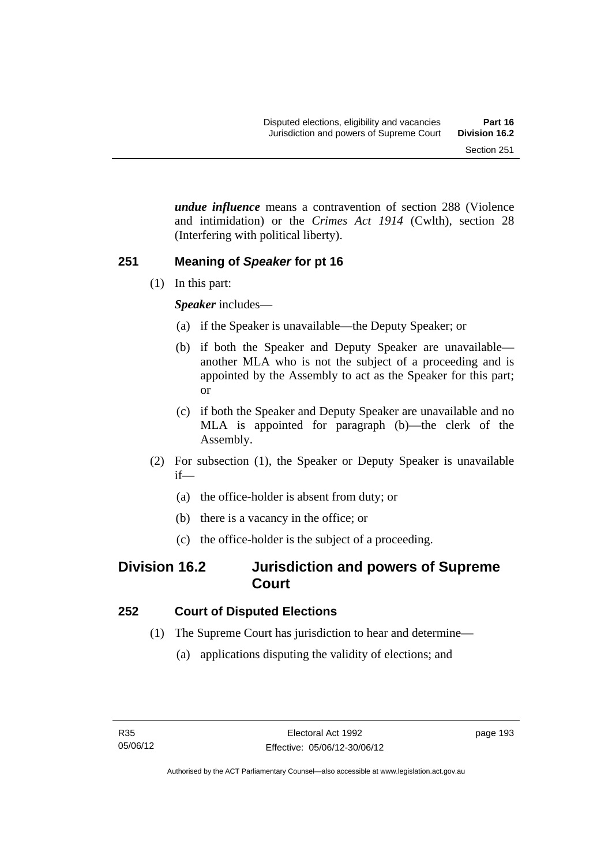*undue influence* means a contravention of section 288 (Violence and intimidation) or the *Crimes Act 1914* (Cwlth), section 28 (Interfering with political liberty).

# **251 Meaning of** *Speaker* **for pt 16**

(1) In this part:

*Speaker* includes—

- (a) if the Speaker is unavailable—the Deputy Speaker; or
- (b) if both the Speaker and Deputy Speaker are unavailable another MLA who is not the subject of a proceeding and is appointed by the Assembly to act as the Speaker for this part; or
- (c) if both the Speaker and Deputy Speaker are unavailable and no MLA is appointed for paragraph (b)—the clerk of the Assembly.
- (2) For subsection (1), the Speaker or Deputy Speaker is unavailable if—
	- (a) the office-holder is absent from duty; or
	- (b) there is a vacancy in the office; or
	- (c) the office-holder is the subject of a proceeding.

# **Division 16.2 Jurisdiction and powers of Supreme Court**

# **252 Court of Disputed Elections**

- (1) The Supreme Court has jurisdiction to hear and determine—
	- (a) applications disputing the validity of elections; and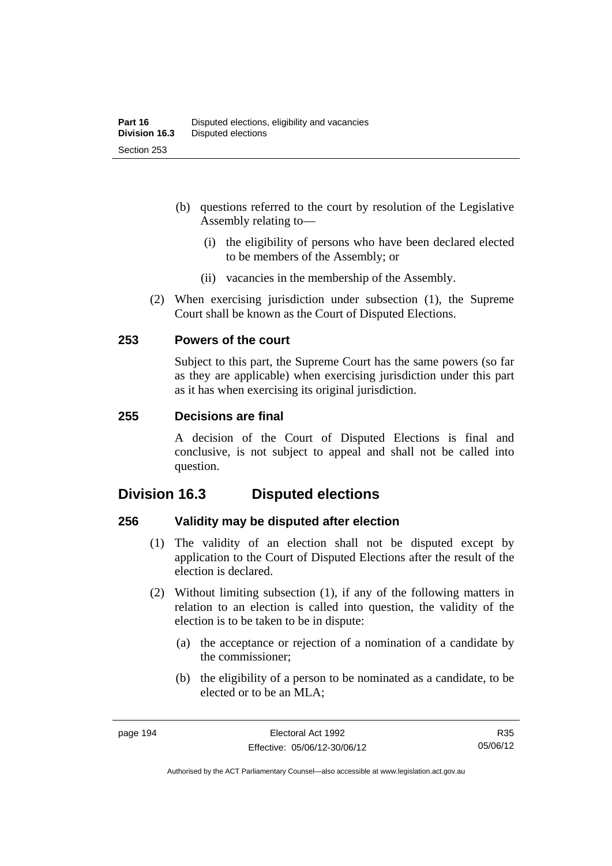- (b) questions referred to the court by resolution of the Legislative Assembly relating to—
	- (i) the eligibility of persons who have been declared elected to be members of the Assembly; or
	- (ii) vacancies in the membership of the Assembly.
- (2) When exercising jurisdiction under subsection (1), the Supreme Court shall be known as the Court of Disputed Elections.

## **253 Powers of the court**

Subject to this part, the Supreme Court has the same powers (so far as they are applicable) when exercising jurisdiction under this part as it has when exercising its original jurisdiction.

### **255 Decisions are final**

A decision of the Court of Disputed Elections is final and conclusive, is not subject to appeal and shall not be called into question.

# **Division 16.3 Disputed elections**

## **256 Validity may be disputed after election**

- (1) The validity of an election shall not be disputed except by application to the Court of Disputed Elections after the result of the election is declared.
- (2) Without limiting subsection (1), if any of the following matters in relation to an election is called into question, the validity of the election is to be taken to be in dispute:
	- (a) the acceptance or rejection of a nomination of a candidate by the commissioner;
	- (b) the eligibility of a person to be nominated as a candidate, to be elected or to be an MLA;

R35 05/06/12

Authorised by the ACT Parliamentary Counsel—also accessible at www.legislation.act.gov.au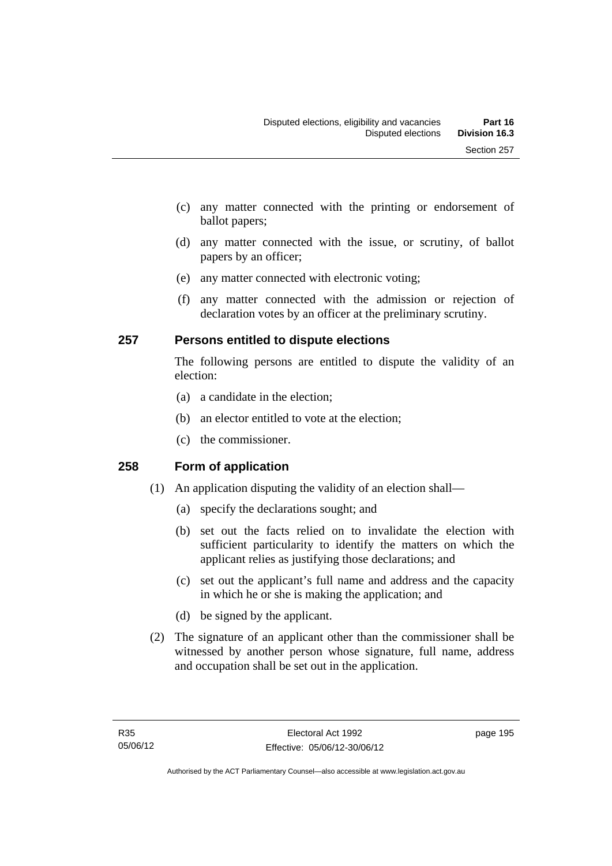- (c) any matter connected with the printing or endorsement of ballot papers;
- (d) any matter connected with the issue, or scrutiny, of ballot papers by an officer;
- (e) any matter connected with electronic voting;
- (f) any matter connected with the admission or rejection of declaration votes by an officer at the preliminary scrutiny.

# **257 Persons entitled to dispute elections**

The following persons are entitled to dispute the validity of an election:

- (a) a candidate in the election;
- (b) an elector entitled to vote at the election;
- (c) the commissioner.

# **258 Form of application**

- (1) An application disputing the validity of an election shall—
	- (a) specify the declarations sought; and
	- (b) set out the facts relied on to invalidate the election with sufficient particularity to identify the matters on which the applicant relies as justifying those declarations; and
	- (c) set out the applicant's full name and address and the capacity in which he or she is making the application; and
	- (d) be signed by the applicant.
- (2) The signature of an applicant other than the commissioner shall be witnessed by another person whose signature, full name, address and occupation shall be set out in the application.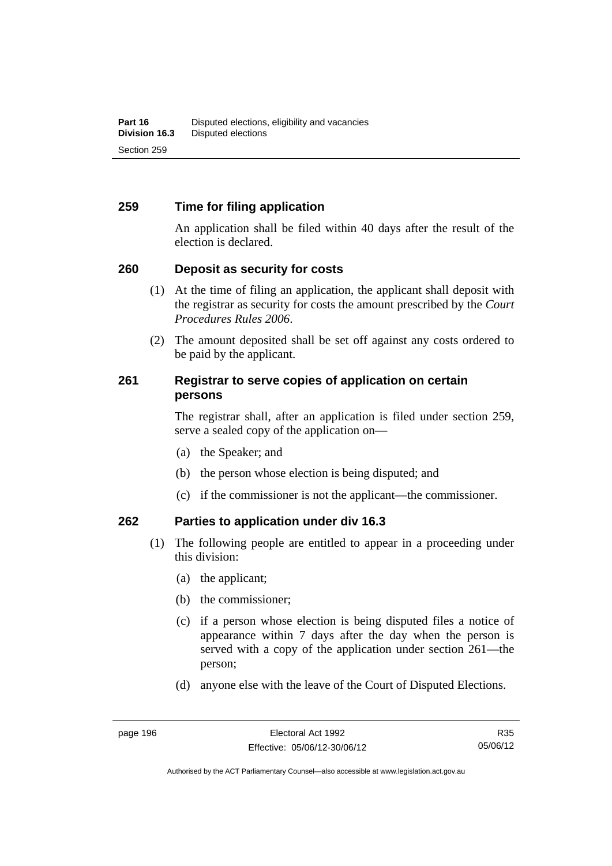# **259 Time for filing application**

An application shall be filed within 40 days after the result of the election is declared.

## **260 Deposit as security for costs**

- (1) At the time of filing an application, the applicant shall deposit with the registrar as security for costs the amount prescribed by the *Court Procedures Rules 2006*.
- (2) The amount deposited shall be set off against any costs ordered to be paid by the applicant.

# **261 Registrar to serve copies of application on certain persons**

The registrar shall, after an application is filed under section 259, serve a sealed copy of the application on—

- (a) the Speaker; and
- (b) the person whose election is being disputed; and
- (c) if the commissioner is not the applicant—the commissioner.

# **262 Parties to application under div 16.3**

- (1) The following people are entitled to appear in a proceeding under this division:
	- (a) the applicant;
	- (b) the commissioner;
	- (c) if a person whose election is being disputed files a notice of appearance within 7 days after the day when the person is served with a copy of the application under section 261—the person;
	- (d) anyone else with the leave of the Court of Disputed Elections.

R35 05/06/12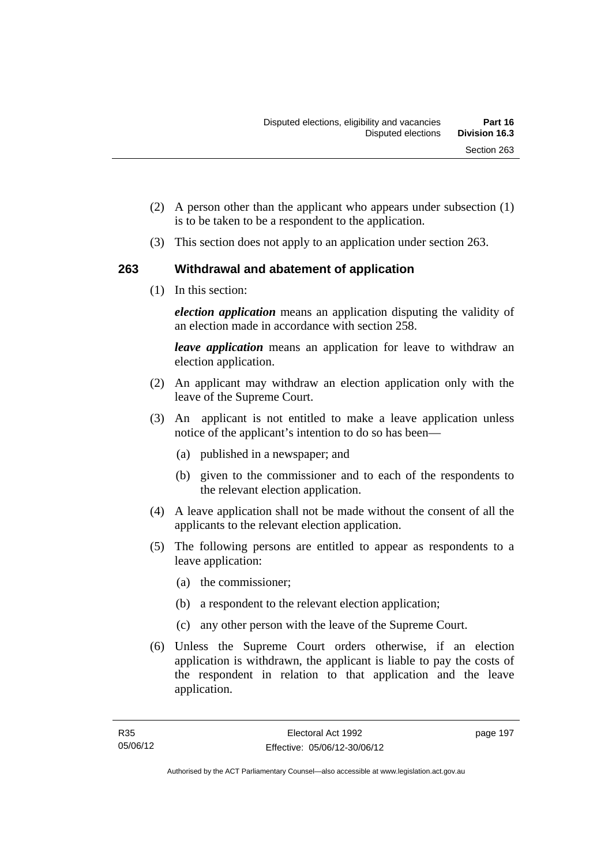- (2) A person other than the applicant who appears under subsection (1) is to be taken to be a respondent to the application.
- (3) This section does not apply to an application under section 263.

# **263 Withdrawal and abatement of application**

(1) In this section:

*election application* means an application disputing the validity of an election made in accordance with section 258.

*leave application* means an application for leave to withdraw an election application.

- (2) An applicant may withdraw an election application only with the leave of the Supreme Court.
- (3) An applicant is not entitled to make a leave application unless notice of the applicant's intention to do so has been—
	- (a) published in a newspaper; and
	- (b) given to the commissioner and to each of the respondents to the relevant election application.
- (4) A leave application shall not be made without the consent of all the applicants to the relevant election application.
- (5) The following persons are entitled to appear as respondents to a leave application:
	- (a) the commissioner;
	- (b) a respondent to the relevant election application;
	- (c) any other person with the leave of the Supreme Court.
- (6) Unless the Supreme Court orders otherwise, if an election application is withdrawn, the applicant is liable to pay the costs of the respondent in relation to that application and the leave application.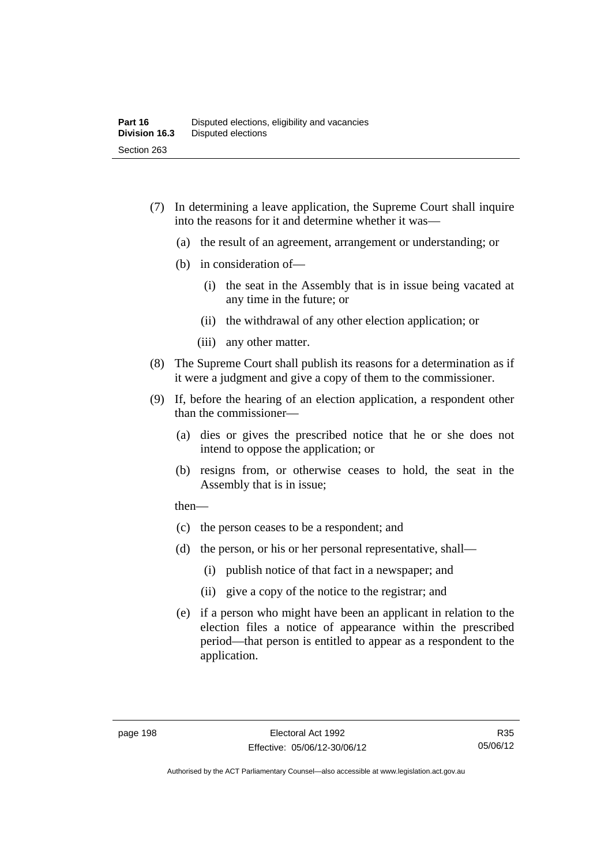- (7) In determining a leave application, the Supreme Court shall inquire into the reasons for it and determine whether it was—
	- (a) the result of an agreement, arrangement or understanding; or
	- (b) in consideration of—
		- (i) the seat in the Assembly that is in issue being vacated at any time in the future; or
		- (ii) the withdrawal of any other election application; or
		- (iii) any other matter.
- (8) The Supreme Court shall publish its reasons for a determination as if it were a judgment and give a copy of them to the commissioner.
- (9) If, before the hearing of an election application, a respondent other than the commissioner—
	- (a) dies or gives the prescribed notice that he or she does not intend to oppose the application; or
	- (b) resigns from, or otherwise ceases to hold, the seat in the Assembly that is in issue;

then—

- (c) the person ceases to be a respondent; and
- (d) the person, or his or her personal representative, shall—
	- (i) publish notice of that fact in a newspaper; and
	- (ii) give a copy of the notice to the registrar; and
- (e) if a person who might have been an applicant in relation to the election files a notice of appearance within the prescribed period—that person is entitled to appear as a respondent to the application.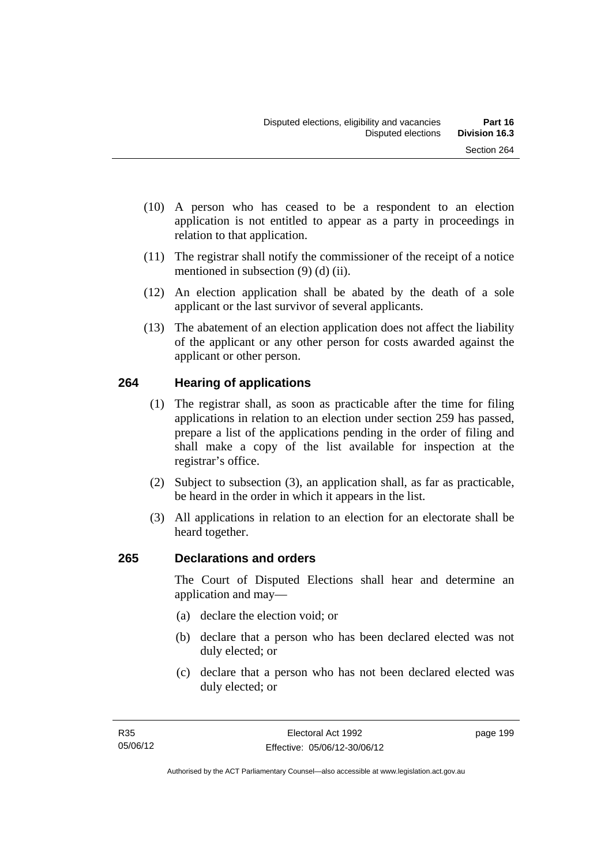- (10) A person who has ceased to be a respondent to an election application is not entitled to appear as a party in proceedings in relation to that application.
- (11) The registrar shall notify the commissioner of the receipt of a notice mentioned in subsection (9) (d) (ii).
- (12) An election application shall be abated by the death of a sole applicant or the last survivor of several applicants.
- (13) The abatement of an election application does not affect the liability of the applicant or any other person for costs awarded against the applicant or other person.

## **264 Hearing of applications**

- (1) The registrar shall, as soon as practicable after the time for filing applications in relation to an election under section 259 has passed, prepare a list of the applications pending in the order of filing and shall make a copy of the list available for inspection at the registrar's office.
- (2) Subject to subsection (3), an application shall, as far as practicable, be heard in the order in which it appears in the list.
- (3) All applications in relation to an election for an electorate shall be heard together.

## **265 Declarations and orders**

The Court of Disputed Elections shall hear and determine an application and may—

- (a) declare the election void; or
- (b) declare that a person who has been declared elected was not duly elected; or
- (c) declare that a person who has not been declared elected was duly elected; or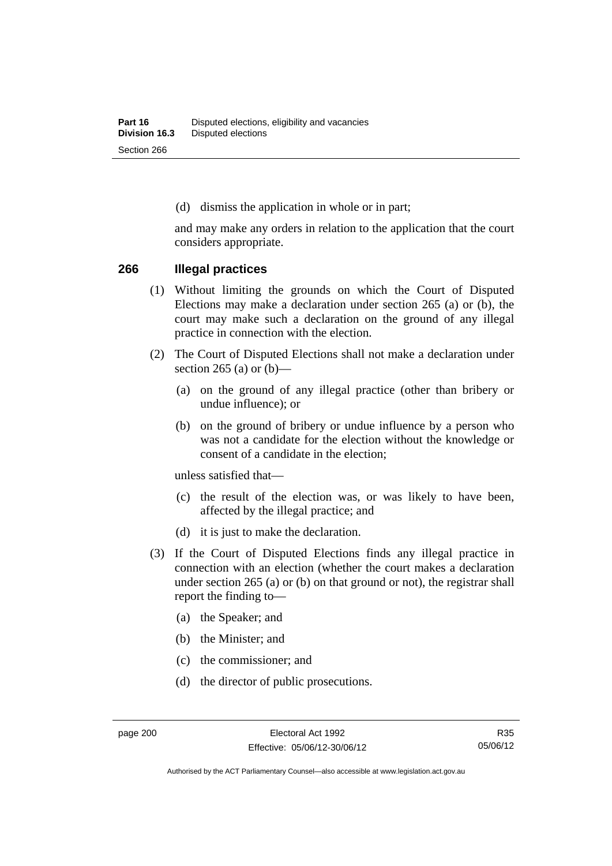(d) dismiss the application in whole or in part;

and may make any orders in relation to the application that the court considers appropriate.

#### **266 Illegal practices**

- (1) Without limiting the grounds on which the Court of Disputed Elections may make a declaration under section 265 (a) or (b), the court may make such a declaration on the ground of any illegal practice in connection with the election.
- (2) The Court of Disputed Elections shall not make a declaration under section 265 (a) or  $(b)$ —
	- (a) on the ground of any illegal practice (other than bribery or undue influence); or
	- (b) on the ground of bribery or undue influence by a person who was not a candidate for the election without the knowledge or consent of a candidate in the election;

unless satisfied that—

- (c) the result of the election was, or was likely to have been, affected by the illegal practice; and
- (d) it is just to make the declaration.
- (3) If the Court of Disputed Elections finds any illegal practice in connection with an election (whether the court makes a declaration under section 265 (a) or (b) on that ground or not), the registrar shall report the finding to—
	- (a) the Speaker; and
	- (b) the Minister; and
	- (c) the commissioner; and
	- (d) the director of public prosecutions.

Authorised by the ACT Parliamentary Counsel—also accessible at www.legislation.act.gov.au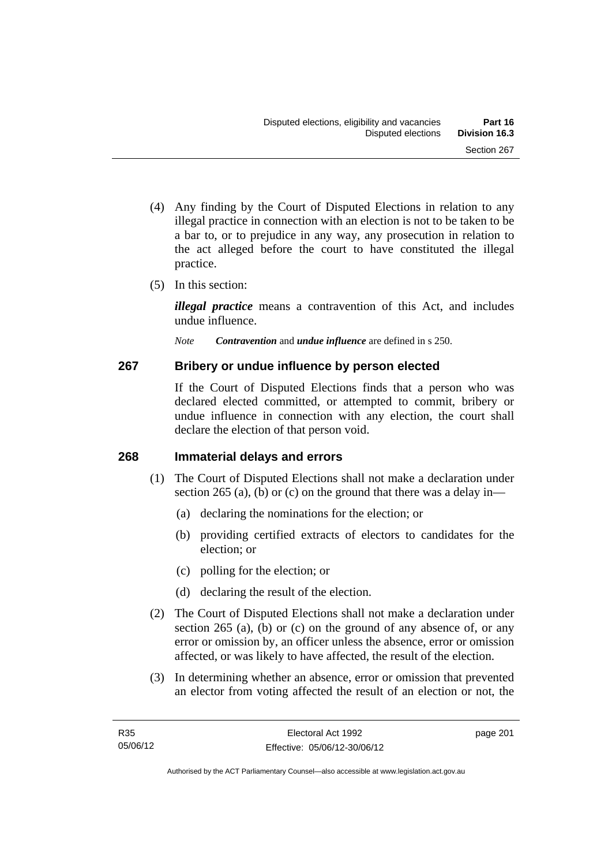- (4) Any finding by the Court of Disputed Elections in relation to any illegal practice in connection with an election is not to be taken to be a bar to, or to prejudice in any way, any prosecution in relation to the act alleged before the court to have constituted the illegal practice.
- (5) In this section:

*illegal practice* means a contravention of this Act, and includes undue influence.

*Note Contravention* and *undue influence* are defined in s 250.

## **267 Bribery or undue influence by person elected**

If the Court of Disputed Elections finds that a person who was declared elected committed, or attempted to commit, bribery or undue influence in connection with any election, the court shall declare the election of that person void.

## **268 Immaterial delays and errors**

- (1) The Court of Disputed Elections shall not make a declaration under section 265 (a), (b) or (c) on the ground that there was a delay in—
	- (a) declaring the nominations for the election; or
	- (b) providing certified extracts of electors to candidates for the election; or
	- (c) polling for the election; or
	- (d) declaring the result of the election.
- (2) The Court of Disputed Elections shall not make a declaration under section 265 (a), (b) or (c) on the ground of any absence of, or any error or omission by, an officer unless the absence, error or omission affected, or was likely to have affected, the result of the election.
- (3) In determining whether an absence, error or omission that prevented an elector from voting affected the result of an election or not, the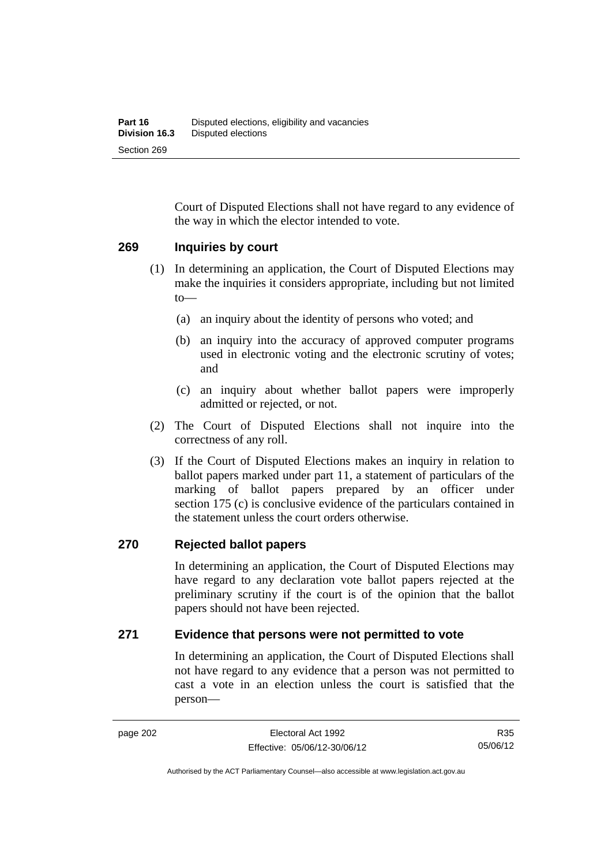Court of Disputed Elections shall not have regard to any evidence of the way in which the elector intended to vote.

#### **269 Inquiries by court**

- (1) In determining an application, the Court of Disputed Elections may make the inquiries it considers appropriate, including but not limited to—
	- (a) an inquiry about the identity of persons who voted; and
	- (b) an inquiry into the accuracy of approved computer programs used in electronic voting and the electronic scrutiny of votes; and
	- (c) an inquiry about whether ballot papers were improperly admitted or rejected, or not.
- (2) The Court of Disputed Elections shall not inquire into the correctness of any roll.
- (3) If the Court of Disputed Elections makes an inquiry in relation to ballot papers marked under part 11, a statement of particulars of the marking of ballot papers prepared by an officer under section 175 (c) is conclusive evidence of the particulars contained in the statement unless the court orders otherwise.

#### **270 Rejected ballot papers**

In determining an application, the Court of Disputed Elections may have regard to any declaration vote ballot papers rejected at the preliminary scrutiny if the court is of the opinion that the ballot papers should not have been rejected.

#### **271 Evidence that persons were not permitted to vote**

In determining an application, the Court of Disputed Elections shall not have regard to any evidence that a person was not permitted to cast a vote in an election unless the court is satisfied that the person—

R35 05/06/12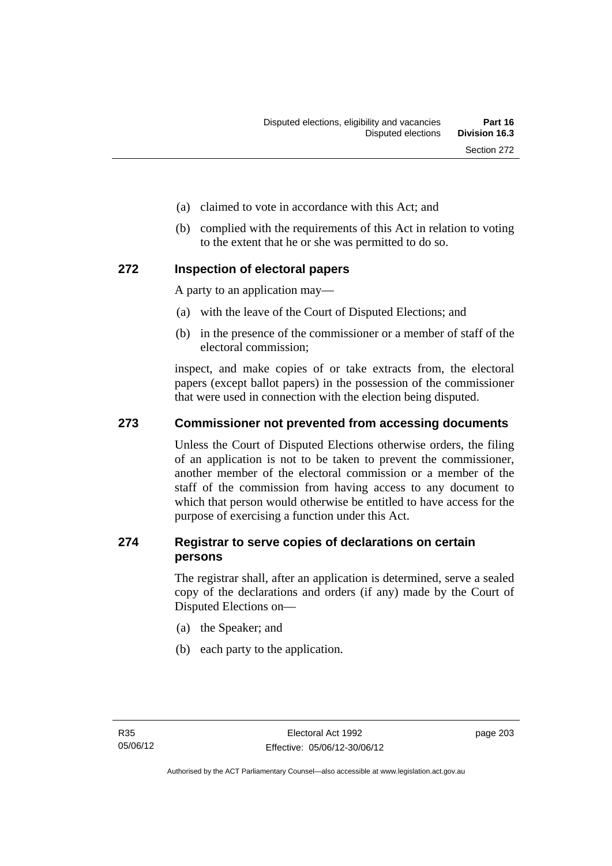- (a) claimed to vote in accordance with this Act; and
- (b) complied with the requirements of this Act in relation to voting to the extent that he or she was permitted to do so.

#### **272 Inspection of electoral papers**

A party to an application may—

- (a) with the leave of the Court of Disputed Elections; and
- (b) in the presence of the commissioner or a member of staff of the electoral commission;

inspect, and make copies of or take extracts from, the electoral papers (except ballot papers) in the possession of the commissioner that were used in connection with the election being disputed.

### **273 Commissioner not prevented from accessing documents**

Unless the Court of Disputed Elections otherwise orders, the filing of an application is not to be taken to prevent the commissioner, another member of the electoral commission or a member of the staff of the commission from having access to any document to which that person would otherwise be entitled to have access for the purpose of exercising a function under this Act.

### **274 Registrar to serve copies of declarations on certain persons**

The registrar shall, after an application is determined, serve a sealed copy of the declarations and orders (if any) made by the Court of Disputed Elections on—

- (a) the Speaker; and
- (b) each party to the application.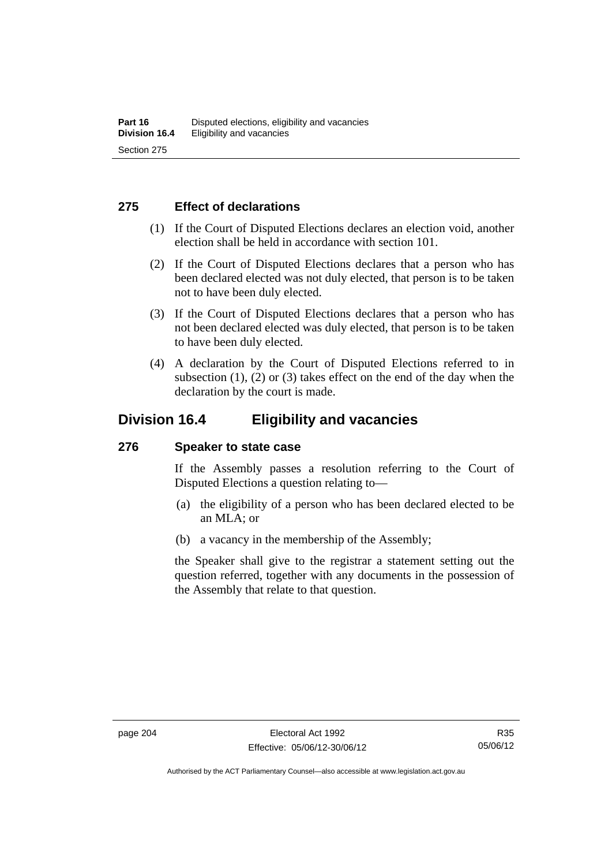### **275 Effect of declarations**

- (1) If the Court of Disputed Elections declares an election void, another election shall be held in accordance with section 101.
- (2) If the Court of Disputed Elections declares that a person who has been declared elected was not duly elected, that person is to be taken not to have been duly elected.
- (3) If the Court of Disputed Elections declares that a person who has not been declared elected was duly elected, that person is to be taken to have been duly elected.
- (4) A declaration by the Court of Disputed Elections referred to in subsection  $(1)$ ,  $(2)$  or  $(3)$  takes effect on the end of the day when the declaration by the court is made.

## **Division 16.4 Eligibility and vacancies**

#### **276 Speaker to state case**

If the Assembly passes a resolution referring to the Court of Disputed Elections a question relating to—

- (a) the eligibility of a person who has been declared elected to be an MLA; or
- (b) a vacancy in the membership of the Assembly;

the Speaker shall give to the registrar a statement setting out the question referred, together with any documents in the possession of the Assembly that relate to that question.

Authorised by the ACT Parliamentary Counsel—also accessible at www.legislation.act.gov.au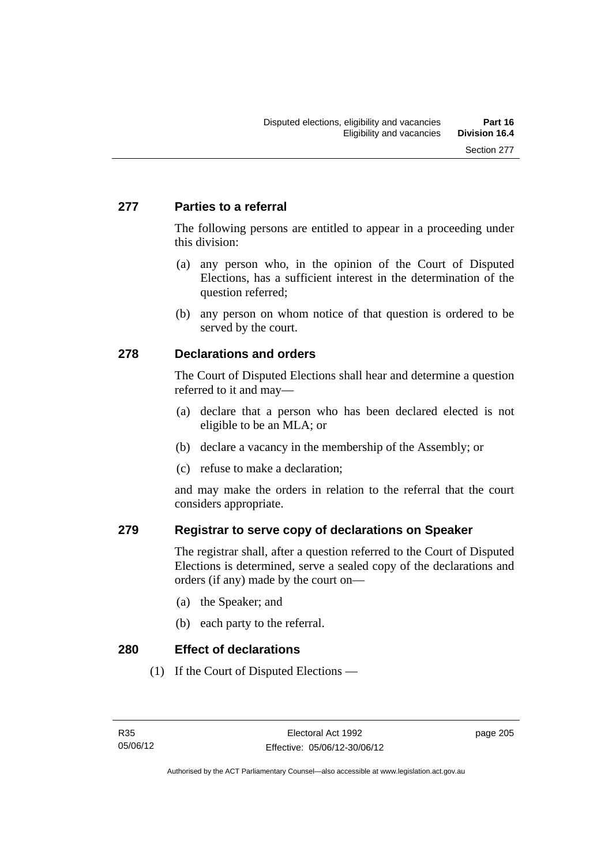## **277 Parties to a referral**

The following persons are entitled to appear in a proceeding under this division:

- (a) any person who, in the opinion of the Court of Disputed Elections, has a sufficient interest in the determination of the question referred;
- (b) any person on whom notice of that question is ordered to be served by the court.

## **278 Declarations and orders**

The Court of Disputed Elections shall hear and determine a question referred to it and may—

- (a) declare that a person who has been declared elected is not eligible to be an MLA; or
- (b) declare a vacancy in the membership of the Assembly; or
- (c) refuse to make a declaration;

and may make the orders in relation to the referral that the court considers appropriate.

## **279 Registrar to serve copy of declarations on Speaker**

The registrar shall, after a question referred to the Court of Disputed Elections is determined, serve a sealed copy of the declarations and orders (if any) made by the court on—

- (a) the Speaker; and
- (b) each party to the referral.

#### **280 Effect of declarations**

(1) If the Court of Disputed Elections —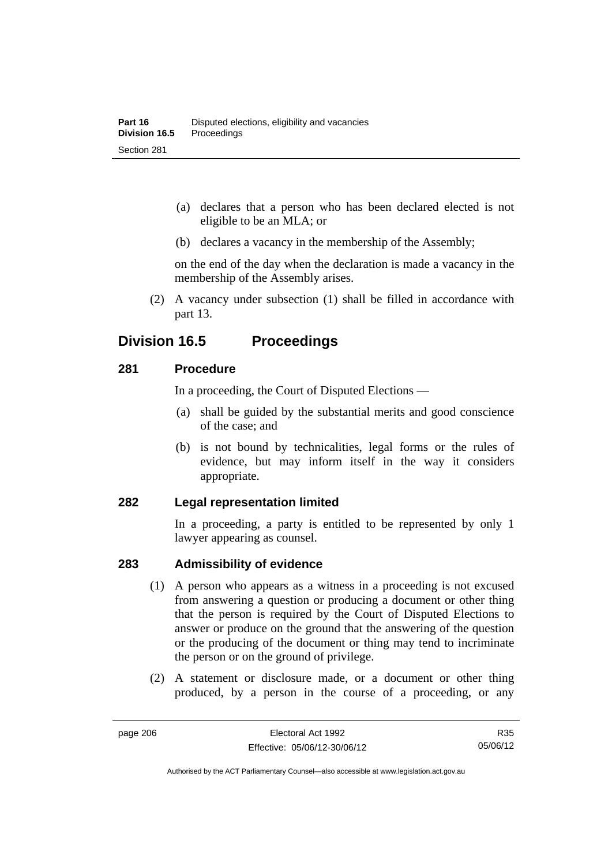- (a) declares that a person who has been declared elected is not eligible to be an MLA; or
- (b) declares a vacancy in the membership of the Assembly;

on the end of the day when the declaration is made a vacancy in the membership of the Assembly arises.

 (2) A vacancy under subsection (1) shall be filled in accordance with part 13.

## **Division 16.5 Proceedings**

### **281 Procedure**

In a proceeding, the Court of Disputed Elections —

- (a) shall be guided by the substantial merits and good conscience of the case; and
- (b) is not bound by technicalities, legal forms or the rules of evidence, but may inform itself in the way it considers appropriate.

#### **282 Legal representation limited**

In a proceeding, a party is entitled to be represented by only 1 lawyer appearing as counsel.

## **283 Admissibility of evidence**

- (1) A person who appears as a witness in a proceeding is not excused from answering a question or producing a document or other thing that the person is required by the Court of Disputed Elections to answer or produce on the ground that the answering of the question or the producing of the document or thing may tend to incriminate the person or on the ground of privilege.
- (2) A statement or disclosure made, or a document or other thing produced, by a person in the course of a proceeding, or any

R35 05/06/12

Authorised by the ACT Parliamentary Counsel—also accessible at www.legislation.act.gov.au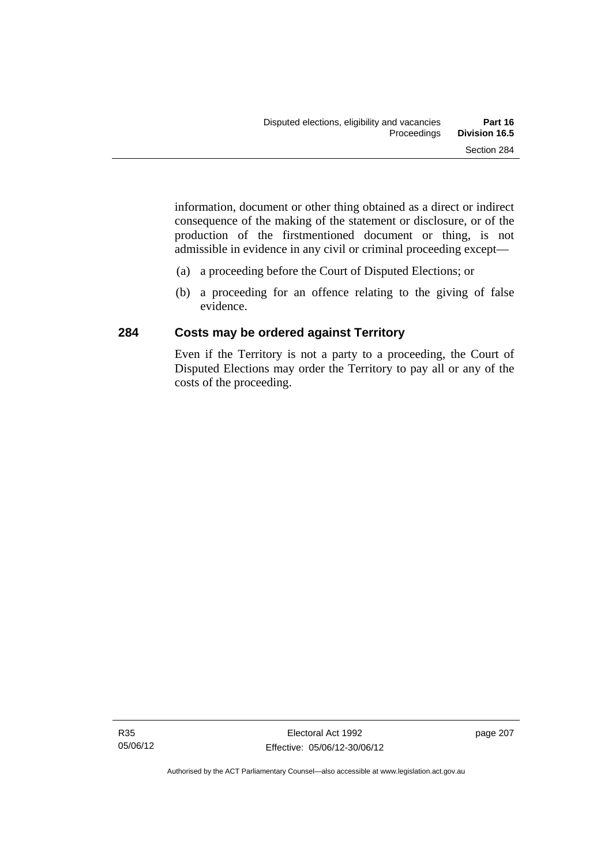information, document or other thing obtained as a direct or indirect consequence of the making of the statement or disclosure, or of the production of the firstmentioned document or thing, is not admissible in evidence in any civil or criminal proceeding except—

- (a) a proceeding before the Court of Disputed Elections; or
- (b) a proceeding for an offence relating to the giving of false evidence.

## **284 Costs may be ordered against Territory**

Even if the Territory is not a party to a proceeding, the Court of Disputed Elections may order the Territory to pay all or any of the costs of the proceeding.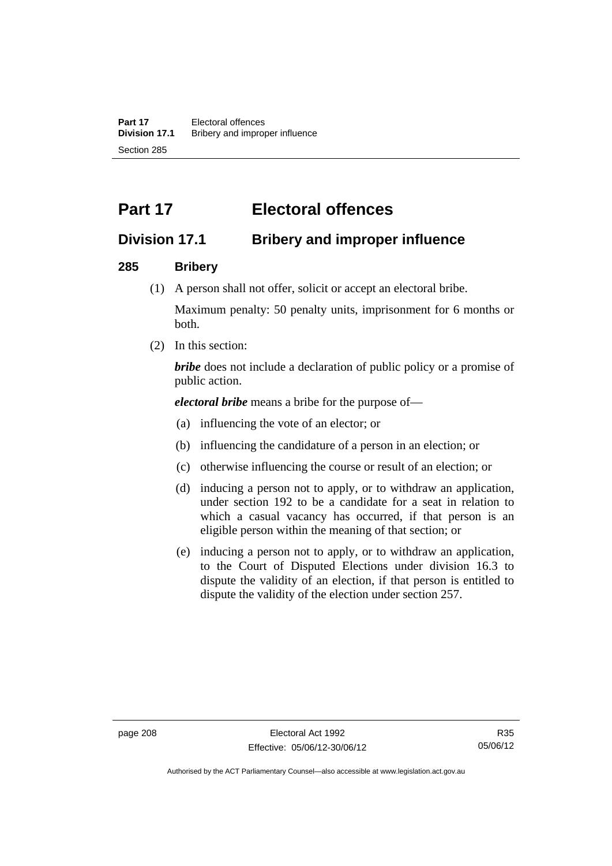# **Part 17 Electoral offences**

## **Division 17.1 Bribery and improper influence**

### **285 Bribery**

(1) A person shall not offer, solicit or accept an electoral bribe.

Maximum penalty: 50 penalty units, imprisonment for 6 months or both.

(2) In this section:

*bribe* does not include a declaration of public policy or a promise of public action.

*electoral bribe* means a bribe for the purpose of—

- (a) influencing the vote of an elector; or
- (b) influencing the candidature of a person in an election; or
- (c) otherwise influencing the course or result of an election; or
- (d) inducing a person not to apply, or to withdraw an application, under section 192 to be a candidate for a seat in relation to which a casual vacancy has occurred, if that person is an eligible person within the meaning of that section; or
- (e) inducing a person not to apply, or to withdraw an application, to the Court of Disputed Elections under division 16.3 to dispute the validity of an election, if that person is entitled to dispute the validity of the election under section 257.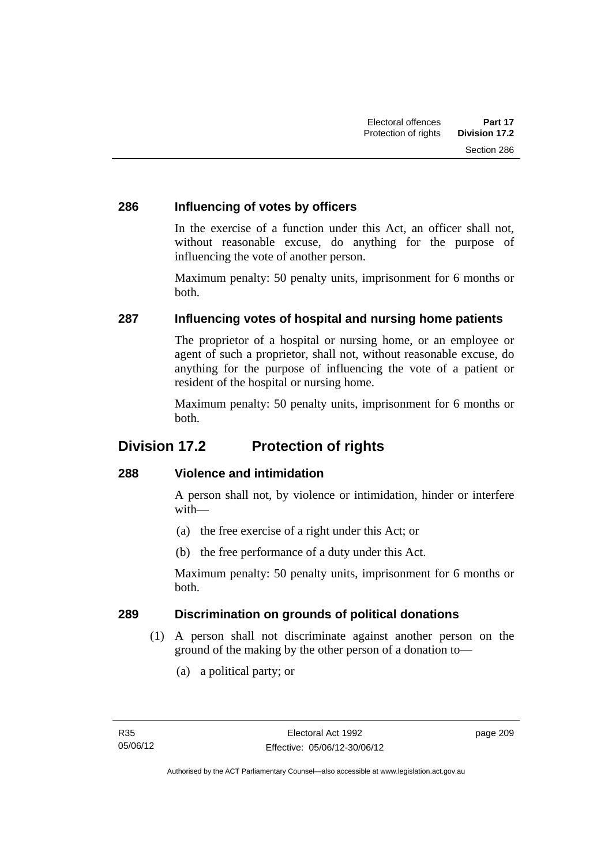## **286 Influencing of votes by officers**

In the exercise of a function under this Act, an officer shall not, without reasonable excuse, do anything for the purpose of influencing the vote of another person.

Maximum penalty: 50 penalty units, imprisonment for 6 months or both.

## **287 Influencing votes of hospital and nursing home patients**

The proprietor of a hospital or nursing home, or an employee or agent of such a proprietor, shall not, without reasonable excuse, do anything for the purpose of influencing the vote of a patient or resident of the hospital or nursing home.

Maximum penalty: 50 penalty units, imprisonment for 6 months or both.

## **Division 17.2 Protection of rights**

## **288 Violence and intimidation**

A person shall not, by violence or intimidation, hinder or interfere with—

- (a) the free exercise of a right under this Act; or
- (b) the free performance of a duty under this Act.

Maximum penalty: 50 penalty units, imprisonment for 6 months or both.

## **289 Discrimination on grounds of political donations**

- (1) A person shall not discriminate against another person on the ground of the making by the other person of a donation to—
	- (a) a political party; or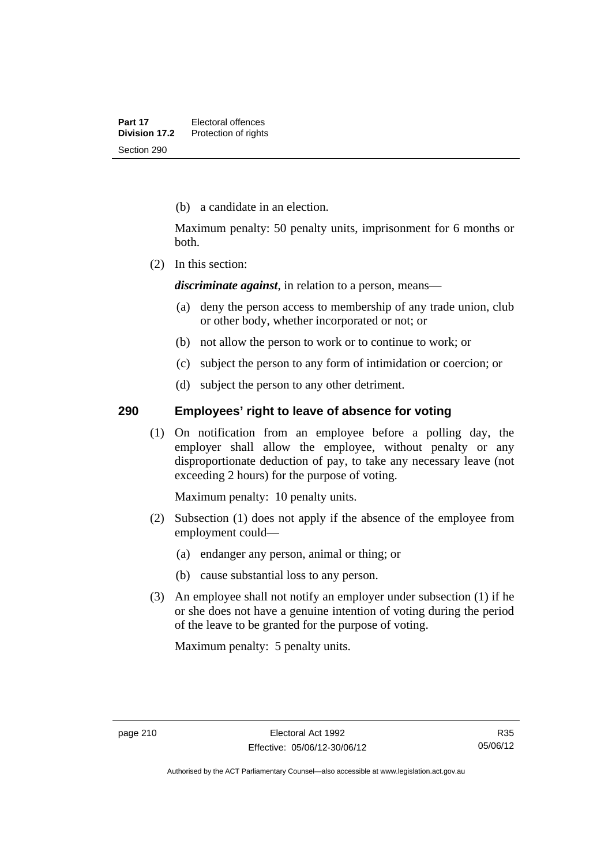(b) a candidate in an election.

Maximum penalty: 50 penalty units, imprisonment for 6 months or both.

(2) In this section:

*discriminate against*, in relation to a person, means—

- (a) deny the person access to membership of any trade union, club or other body, whether incorporated or not; or
- (b) not allow the person to work or to continue to work; or
- (c) subject the person to any form of intimidation or coercion; or
- (d) subject the person to any other detriment.

### **290 Employees' right to leave of absence for voting**

 (1) On notification from an employee before a polling day, the employer shall allow the employee, without penalty or any disproportionate deduction of pay, to take any necessary leave (not exceeding 2 hours) for the purpose of voting.

Maximum penalty: 10 penalty units.

- (2) Subsection (1) does not apply if the absence of the employee from employment could—
	- (a) endanger any person, animal or thing; or
	- (b) cause substantial loss to any person.
- (3) An employee shall not notify an employer under subsection (1) if he or she does not have a genuine intention of voting during the period of the leave to be granted for the purpose of voting.

Maximum penalty: 5 penalty units.

Authorised by the ACT Parliamentary Counsel—also accessible at www.legislation.act.gov.au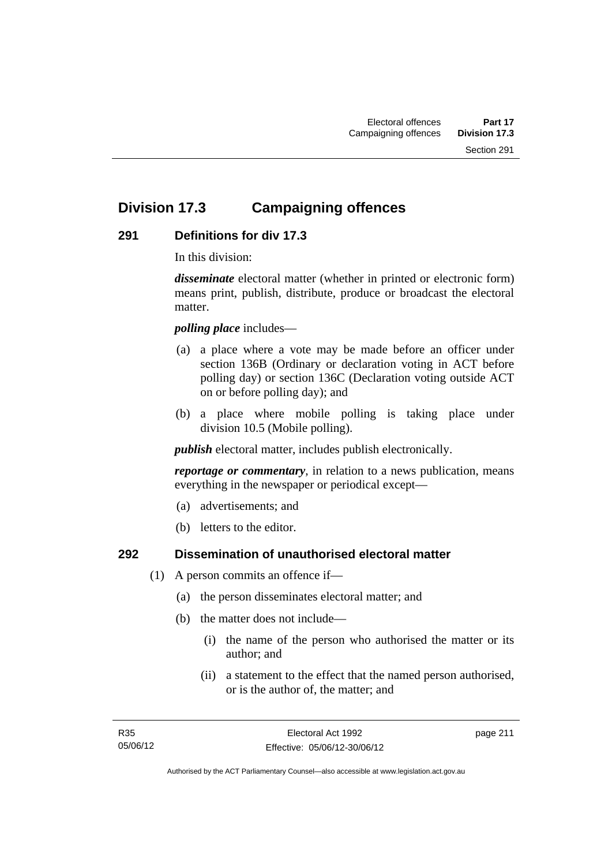## **Division 17.3 Campaigning offences**

## **291 Definitions for div 17.3**

In this division:

*disseminate* electoral matter (whether in printed or electronic form) means print, publish, distribute, produce or broadcast the electoral matter.

*polling place* includes—

- (a) a place where a vote may be made before an officer under section 136B (Ordinary or declaration voting in ACT before polling day) or section 136C (Declaration voting outside ACT on or before polling day); and
- (b) a place where mobile polling is taking place under division 10.5 (Mobile polling).

*publish* electoral matter, includes publish electronically.

*reportage or commentary*, in relation to a news publication, means everything in the newspaper or periodical except—

- (a) advertisements; and
- (b) letters to the editor.

#### **292 Dissemination of unauthorised electoral matter**

- (1) A person commits an offence if—
	- (a) the person disseminates electoral matter; and
	- (b) the matter does not include—
		- (i) the name of the person who authorised the matter or its author; and
		- (ii) a statement to the effect that the named person authorised, or is the author of, the matter; and

page 211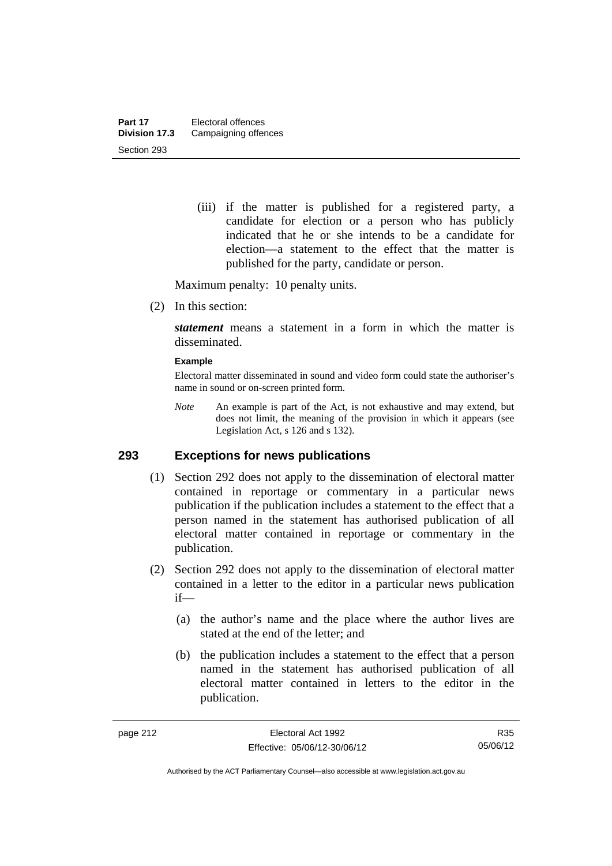(iii) if the matter is published for a registered party, a candidate for election or a person who has publicly indicated that he or she intends to be a candidate for election—a statement to the effect that the matter is published for the party, candidate or person.

Maximum penalty: 10 penalty units.

(2) In this section:

*statement* means a statement in a form in which the matter is disseminated.

#### **Example**

Electoral matter disseminated in sound and video form could state the authoriser's name in sound or on-screen printed form.

*Note* An example is part of the Act, is not exhaustive and may extend, but does not limit, the meaning of the provision in which it appears (see Legislation Act, s 126 and s 132).

### **293 Exceptions for news publications**

- (1) Section 292 does not apply to the dissemination of electoral matter contained in reportage or commentary in a particular news publication if the publication includes a statement to the effect that a person named in the statement has authorised publication of all electoral matter contained in reportage or commentary in the publication.
- (2) Section 292 does not apply to the dissemination of electoral matter contained in a letter to the editor in a particular news publication if—
	- (a) the author's name and the place where the author lives are stated at the end of the letter; and
	- (b) the publication includes a statement to the effect that a person named in the statement has authorised publication of all electoral matter contained in letters to the editor in the publication.

Authorised by the ACT Parliamentary Counsel—also accessible at www.legislation.act.gov.au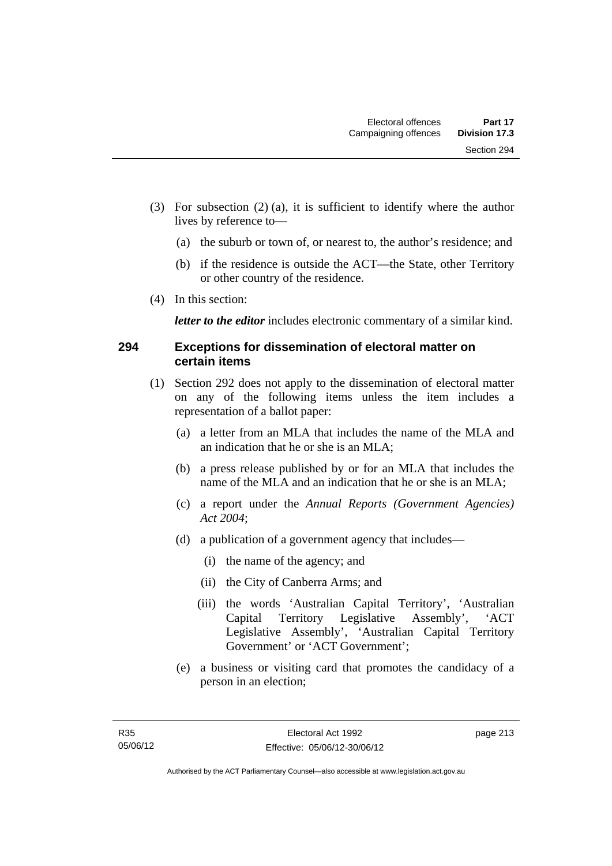- (3) For subsection (2) (a), it is sufficient to identify where the author lives by reference to—
	- (a) the suburb or town of, or nearest to, the author's residence; and
	- (b) if the residence is outside the ACT—the State, other Territory or other country of the residence.
- (4) In this section:

*letter to the editor* includes electronic commentary of a similar kind.

### **294 Exceptions for dissemination of electoral matter on certain items**

- (1) Section 292 does not apply to the dissemination of electoral matter on any of the following items unless the item includes a representation of a ballot paper:
	- (a) a letter from an MLA that includes the name of the MLA and an indication that he or she is an MLA;
	- (b) a press release published by or for an MLA that includes the name of the MLA and an indication that he or she is an MLA;
	- (c) a report under the *Annual Reports (Government Agencies) Act 2004*;
	- (d) a publication of a government agency that includes—
		- (i) the name of the agency; and
		- (ii) the City of Canberra Arms; and
		- (iii) the words 'Australian Capital Territory', 'Australian Capital Territory Legislative Assembly', 'ACT Legislative Assembly', 'Australian Capital Territory Government' or 'ACT Government';
	- (e) a business or visiting card that promotes the candidacy of a person in an election;

page 213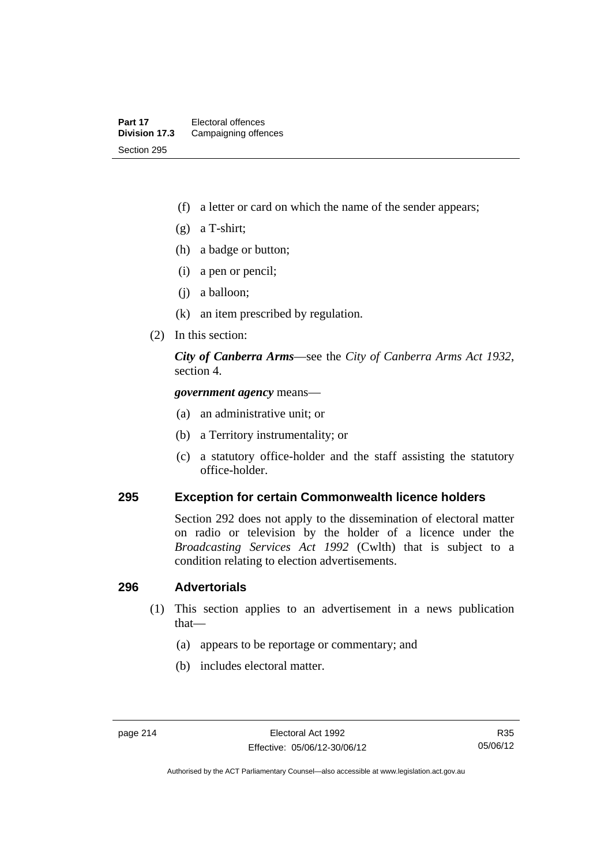- (f) a letter or card on which the name of the sender appears;
- (g) a T-shirt;
- (h) a badge or button;
- (i) a pen or pencil;
- (j) a balloon;
- (k) an item prescribed by regulation.
- (2) In this section:

*City of Canberra Arms*—see the *City of Canberra Arms Act 1932*, section 4.

*government agency* means—

- (a) an administrative unit; or
- (b) a Territory instrumentality; or
- (c) a statutory office-holder and the staff assisting the statutory office-holder.

#### **295 Exception for certain Commonwealth licence holders**

Section 292 does not apply to the dissemination of electoral matter on radio or television by the holder of a licence under the *Broadcasting Services Act 1992* (Cwlth) that is subject to a condition relating to election advertisements.

#### **296 Advertorials**

- (1) This section applies to an advertisement in a news publication that—
	- (a) appears to be reportage or commentary; and
	- (b) includes electoral matter.

Authorised by the ACT Parliamentary Counsel—also accessible at www.legislation.act.gov.au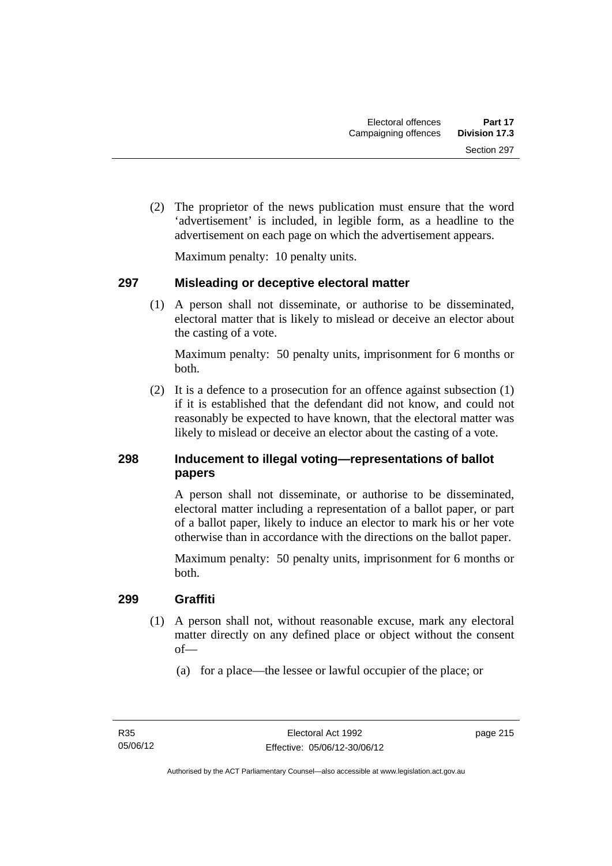(2) The proprietor of the news publication must ensure that the word 'advertisement' is included, in legible form, as a headline to the advertisement on each page on which the advertisement appears.

Maximum penalty: 10 penalty units.

## **297 Misleading or deceptive electoral matter**

 (1) A person shall not disseminate, or authorise to be disseminated, electoral matter that is likely to mislead or deceive an elector about the casting of a vote.

Maximum penalty: 50 penalty units, imprisonment for 6 months or both.

 (2) It is a defence to a prosecution for an offence against subsection (1) if it is established that the defendant did not know, and could not reasonably be expected to have known, that the electoral matter was likely to mislead or deceive an elector about the casting of a vote.

## **298 Inducement to illegal voting—representations of ballot papers**

A person shall not disseminate, or authorise to be disseminated, electoral matter including a representation of a ballot paper, or part of a ballot paper, likely to induce an elector to mark his or her vote otherwise than in accordance with the directions on the ballot paper.

Maximum penalty: 50 penalty units, imprisonment for 6 months or both.

## **299 Graffiti**

- (1) A person shall not, without reasonable excuse, mark any electoral matter directly on any defined place or object without the consent of—
	- (a) for a place—the lessee or lawful occupier of the place; or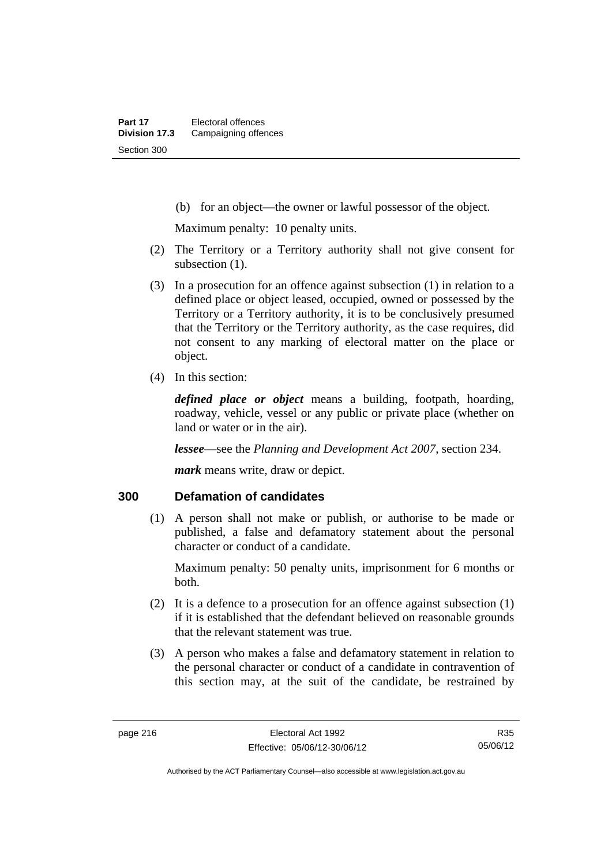(b) for an object—the owner or lawful possessor of the object.

Maximum penalty: 10 penalty units.

- (2) The Territory or a Territory authority shall not give consent for subsection  $(1)$ .
- (3) In a prosecution for an offence against subsection (1) in relation to a defined place or object leased, occupied, owned or possessed by the Territory or a Territory authority, it is to be conclusively presumed that the Territory or the Territory authority, as the case requires, did not consent to any marking of electoral matter on the place or object.
- (4) In this section:

*defined place or object* means a building, footpath, hoarding, roadway, vehicle, vessel or any public or private place (whether on land or water or in the air).

*lessee*—see the *Planning and Development Act 2007*, section 234.

*mark* means write, draw or depict.

#### **300 Defamation of candidates**

 (1) A person shall not make or publish, or authorise to be made or published, a false and defamatory statement about the personal character or conduct of a candidate.

Maximum penalty: 50 penalty units, imprisonment for 6 months or both.

- (2) It is a defence to a prosecution for an offence against subsection (1) if it is established that the defendant believed on reasonable grounds that the relevant statement was true.
- (3) A person who makes a false and defamatory statement in relation to the personal character or conduct of a candidate in contravention of this section may, at the suit of the candidate, be restrained by

R35 05/06/12

Authorised by the ACT Parliamentary Counsel—also accessible at www.legislation.act.gov.au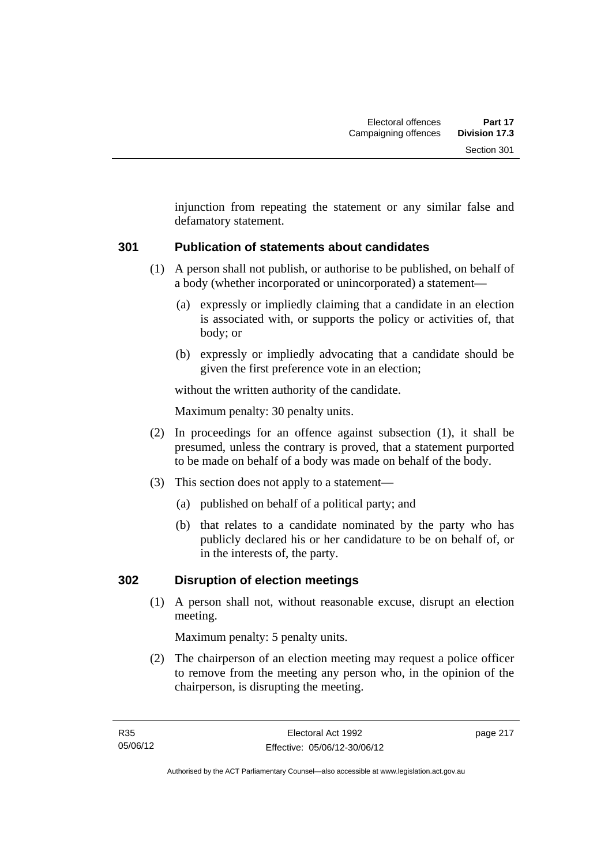injunction from repeating the statement or any similar false and defamatory statement.

## **301 Publication of statements about candidates**

- (1) A person shall not publish, or authorise to be published, on behalf of a body (whether incorporated or unincorporated) a statement—
	- (a) expressly or impliedly claiming that a candidate in an election is associated with, or supports the policy or activities of, that body; or
	- (b) expressly or impliedly advocating that a candidate should be given the first preference vote in an election;

without the written authority of the candidate.

Maximum penalty: 30 penalty units.

- (2) In proceedings for an offence against subsection (1), it shall be presumed, unless the contrary is proved, that a statement purported to be made on behalf of a body was made on behalf of the body.
- (3) This section does not apply to a statement—
	- (a) published on behalf of a political party; and
	- (b) that relates to a candidate nominated by the party who has publicly declared his or her candidature to be on behalf of, or in the interests of, the party.

## **302 Disruption of election meetings**

 (1) A person shall not, without reasonable excuse, disrupt an election meeting.

Maximum penalty: 5 penalty units.

 (2) The chairperson of an election meeting may request a police officer to remove from the meeting any person who, in the opinion of the chairperson, is disrupting the meeting.

page 217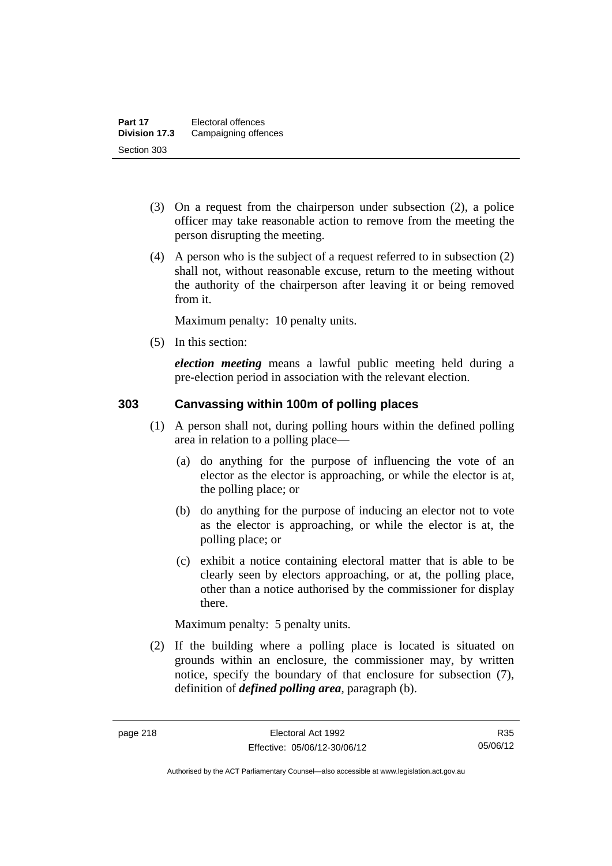- (3) On a request from the chairperson under subsection (2), a police officer may take reasonable action to remove from the meeting the person disrupting the meeting.
- (4) A person who is the subject of a request referred to in subsection (2) shall not, without reasonable excuse, return to the meeting without the authority of the chairperson after leaving it or being removed from it.

Maximum penalty: 10 penalty units.

(5) In this section:

*election meeting* means a lawful public meeting held during a pre-election period in association with the relevant election.

## **303 Canvassing within 100m of polling places**

- (1) A person shall not, during polling hours within the defined polling area in relation to a polling place—
	- (a) do anything for the purpose of influencing the vote of an elector as the elector is approaching, or while the elector is at, the polling place; or
	- (b) do anything for the purpose of inducing an elector not to vote as the elector is approaching, or while the elector is at, the polling place; or
	- (c) exhibit a notice containing electoral matter that is able to be clearly seen by electors approaching, or at, the polling place, other than a notice authorised by the commissioner for display there.

Maximum penalty: 5 penalty units.

 (2) If the building where a polling place is located is situated on grounds within an enclosure, the commissioner may, by written notice, specify the boundary of that enclosure for subsection (7), definition of *defined polling area*, paragraph (b).

R35 05/06/12

Authorised by the ACT Parliamentary Counsel—also accessible at www.legislation.act.gov.au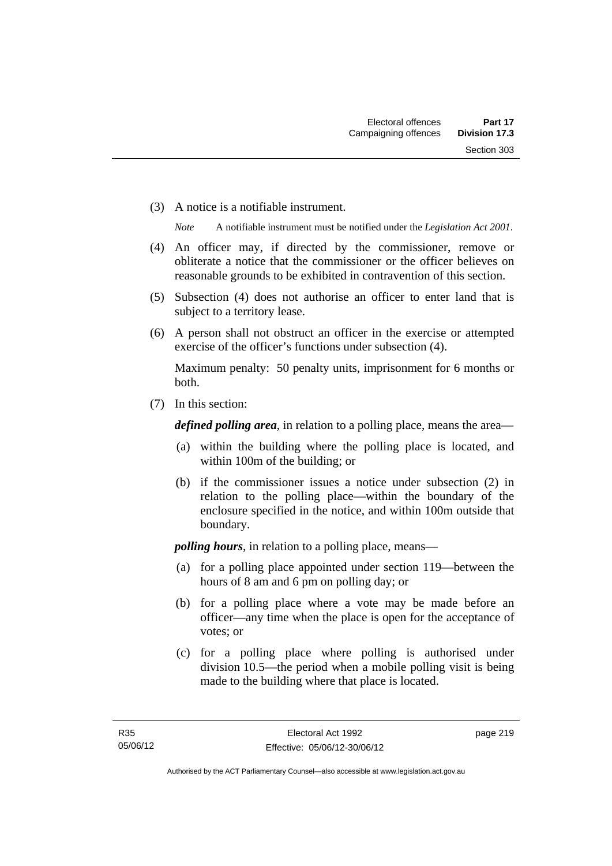(3) A notice is a notifiable instrument.

*Note* A notifiable instrument must be notified under the *Legislation Act 2001*.

- (4) An officer may, if directed by the commissioner, remove or obliterate a notice that the commissioner or the officer believes on reasonable grounds to be exhibited in contravention of this section.
- (5) Subsection (4) does not authorise an officer to enter land that is subject to a territory lease.
- (6) A person shall not obstruct an officer in the exercise or attempted exercise of the officer's functions under subsection (4).

Maximum penalty: 50 penalty units, imprisonment for 6 months or both.

(7) In this section:

*defined polling area*, in relation to a polling place, means the area—

- (a) within the building where the polling place is located, and within 100m of the building; or
- (b) if the commissioner issues a notice under subsection (2) in relation to the polling place—within the boundary of the enclosure specified in the notice, and within 100m outside that boundary.

*polling hours*, in relation to a polling place, means—

- (a) for a polling place appointed under section 119—between the hours of 8 am and 6 pm on polling day; or
- (b) for a polling place where a vote may be made before an officer—any time when the place is open for the acceptance of votes; or
- (c) for a polling place where polling is authorised under division 10.5—the period when a mobile polling visit is being made to the building where that place is located.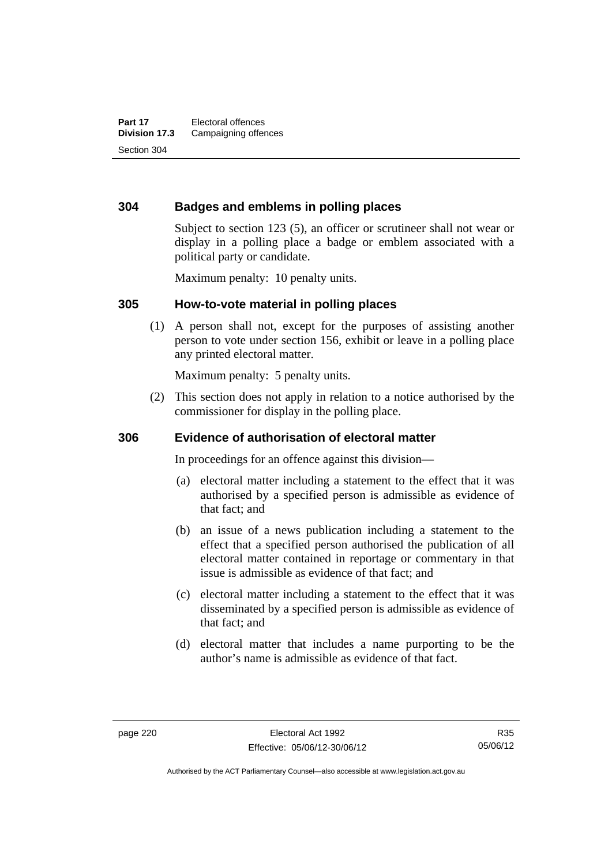## **304 Badges and emblems in polling places**

Subject to section 123 (5), an officer or scrutineer shall not wear or display in a polling place a badge or emblem associated with a political party or candidate.

Maximum penalty: 10 penalty units.

#### **305 How-to-vote material in polling places**

 (1) A person shall not, except for the purposes of assisting another person to vote under section 156, exhibit or leave in a polling place any printed electoral matter.

Maximum penalty: 5 penalty units.

 (2) This section does not apply in relation to a notice authorised by the commissioner for display in the polling place.

#### **306 Evidence of authorisation of electoral matter**

In proceedings for an offence against this division—

- (a) electoral matter including a statement to the effect that it was authorised by a specified person is admissible as evidence of that fact; and
- (b) an issue of a news publication including a statement to the effect that a specified person authorised the publication of all electoral matter contained in reportage or commentary in that issue is admissible as evidence of that fact; and
- (c) electoral matter including a statement to the effect that it was disseminated by a specified person is admissible as evidence of that fact; and
- (d) electoral matter that includes a name purporting to be the author's name is admissible as evidence of that fact.

Authorised by the ACT Parliamentary Counsel—also accessible at www.legislation.act.gov.au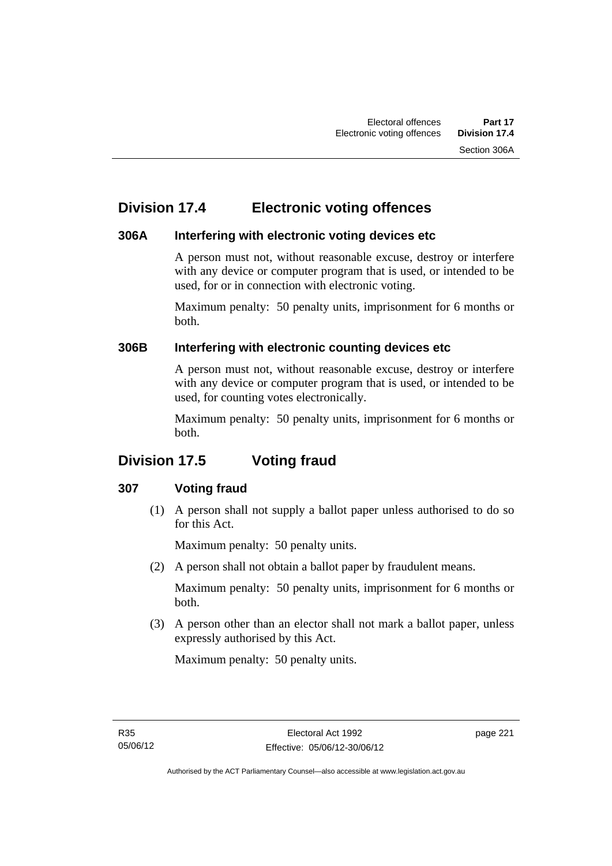## **Division 17.4 Electronic voting offences**

## **306A Interfering with electronic voting devices etc**

A person must not, without reasonable excuse, destroy or interfere with any device or computer program that is used, or intended to be used, for or in connection with electronic voting.

Maximum penalty: 50 penalty units, imprisonment for 6 months or both.

## **306B Interfering with electronic counting devices etc**

A person must not, without reasonable excuse, destroy or interfere with any device or computer program that is used, or intended to be used, for counting votes electronically.

Maximum penalty: 50 penalty units, imprisonment for 6 months or both.

# **Division 17.5 Voting fraud**

## **307 Voting fraud**

 (1) A person shall not supply a ballot paper unless authorised to do so for this Act.

Maximum penalty: 50 penalty units.

(2) A person shall not obtain a ballot paper by fraudulent means.

Maximum penalty: 50 penalty units, imprisonment for 6 months or both.

 (3) A person other than an elector shall not mark a ballot paper, unless expressly authorised by this Act.

Maximum penalty: 50 penalty units.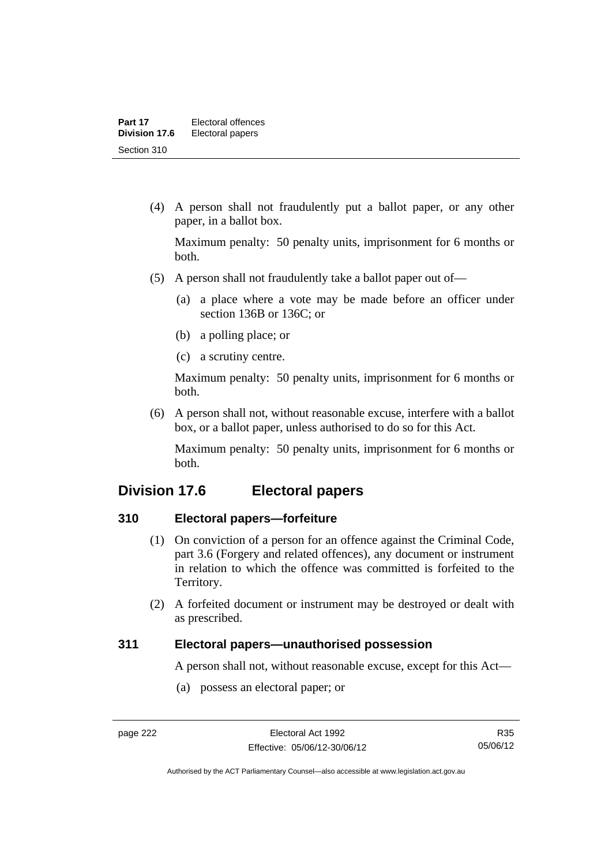(4) A person shall not fraudulently put a ballot paper, or any other paper, in a ballot box.

Maximum penalty: 50 penalty units, imprisonment for 6 months or both.

- (5) A person shall not fraudulently take a ballot paper out of—
	- (a) a place where a vote may be made before an officer under section 136B or 136C; or
	- (b) a polling place; or
	- (c) a scrutiny centre.

Maximum penalty: 50 penalty units, imprisonment for 6 months or both.

 (6) A person shall not, without reasonable excuse, interfere with a ballot box, or a ballot paper, unless authorised to do so for this Act.

Maximum penalty: 50 penalty units, imprisonment for 6 months or both.

## **Division 17.6 Electoral papers**

## **310 Electoral papers—forfeiture**

- (1) On conviction of a person for an offence against the Criminal Code, part 3.6 (Forgery and related offences), any document or instrument in relation to which the offence was committed is forfeited to the Territory.
- (2) A forfeited document or instrument may be destroyed or dealt with as prescribed.

#### **311 Electoral papers—unauthorised possession**

A person shall not, without reasonable excuse, except for this Act—

(a) possess an electoral paper; or

R35 05/06/12

Authorised by the ACT Parliamentary Counsel—also accessible at www.legislation.act.gov.au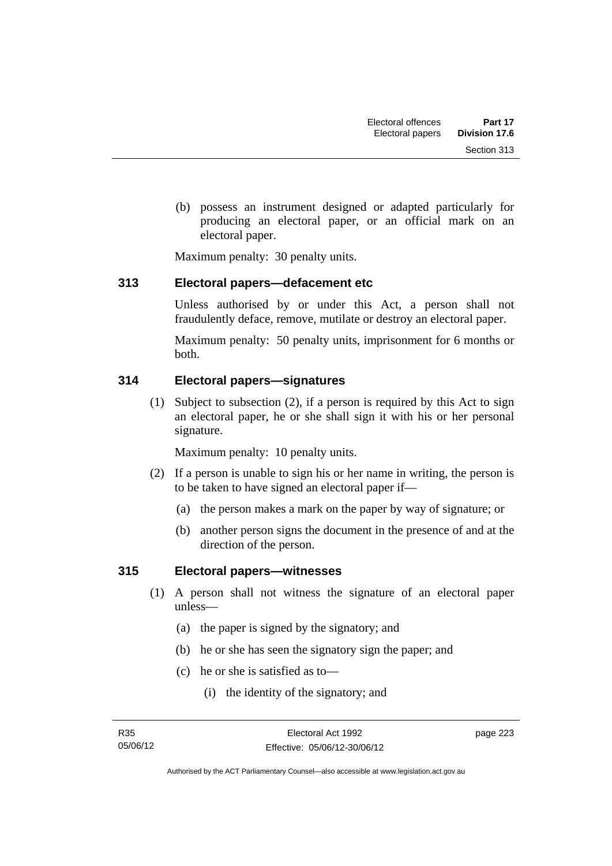(b) possess an instrument designed or adapted particularly for producing an electoral paper, or an official mark on an electoral paper.

Maximum penalty: 30 penalty units.

### **313 Electoral papers—defacement etc**

Unless authorised by or under this Act, a person shall not fraudulently deface, remove, mutilate or destroy an electoral paper.

Maximum penalty: 50 penalty units, imprisonment for 6 months or both.

## **314 Electoral papers—signatures**

 (1) Subject to subsection (2), if a person is required by this Act to sign an electoral paper, he or she shall sign it with his or her personal signature.

Maximum penalty: 10 penalty units.

- (2) If a person is unable to sign his or her name in writing, the person is to be taken to have signed an electoral paper if—
	- (a) the person makes a mark on the paper by way of signature; or
	- (b) another person signs the document in the presence of and at the direction of the person.

## **315 Electoral papers—witnesses**

- (1) A person shall not witness the signature of an electoral paper unless—
	- (a) the paper is signed by the signatory; and
	- (b) he or she has seen the signatory sign the paper; and
	- (c) he or she is satisfied as to—
		- (i) the identity of the signatory; and

page 223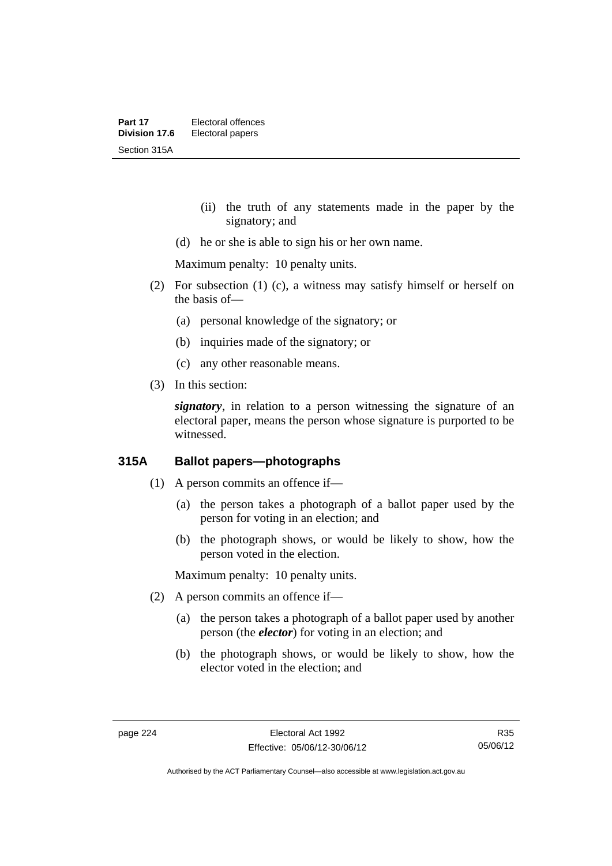- (ii) the truth of any statements made in the paper by the signatory; and
- (d) he or she is able to sign his or her own name.

Maximum penalty: 10 penalty units.

- (2) For subsection (1) (c), a witness may satisfy himself or herself on the basis of—
	- (a) personal knowledge of the signatory; or
	- (b) inquiries made of the signatory; or
	- (c) any other reasonable means.
- (3) In this section:

*signatory*, in relation to a person witnessing the signature of an electoral paper, means the person whose signature is purported to be witnessed.

## **315A Ballot papers—photographs**

- (1) A person commits an offence if—
	- (a) the person takes a photograph of a ballot paper used by the person for voting in an election; and
	- (b) the photograph shows, or would be likely to show, how the person voted in the election.

Maximum penalty: 10 penalty units.

- (2) A person commits an offence if—
	- (a) the person takes a photograph of a ballot paper used by another person (the *elector*) for voting in an election; and
	- (b) the photograph shows, or would be likely to show, how the elector voted in the election; and

R35 05/06/12

Authorised by the ACT Parliamentary Counsel—also accessible at www.legislation.act.gov.au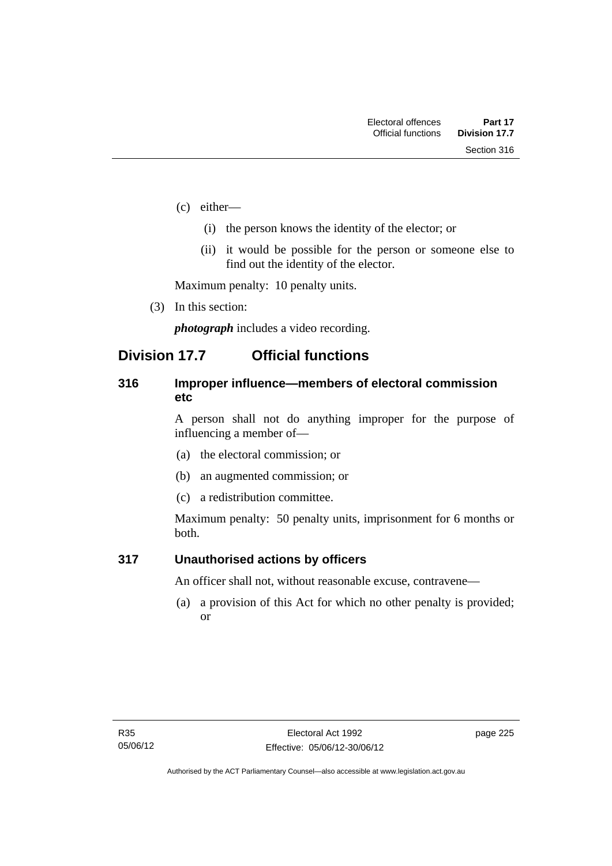- (c) either—
	- (i) the person knows the identity of the elector; or
	- (ii) it would be possible for the person or someone else to find out the identity of the elector.

Maximum penalty: 10 penalty units.

(3) In this section:

*photograph* includes a video recording.

## **Division 17.7 Official functions**

### **316 Improper influence—members of electoral commission etc**

A person shall not do anything improper for the purpose of influencing a member of—

- (a) the electoral commission; or
- (b) an augmented commission; or
- (c) a redistribution committee.

Maximum penalty: 50 penalty units, imprisonment for 6 months or both.

#### **317 Unauthorised actions by officers**

An officer shall not, without reasonable excuse, contravene—

 (a) a provision of this Act for which no other penalty is provided; or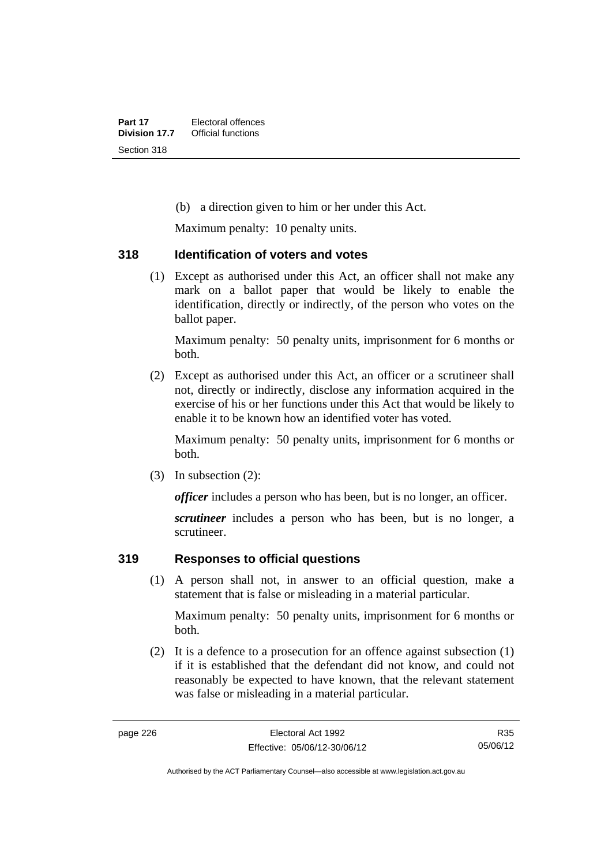(b) a direction given to him or her under this Act.

Maximum penalty: 10 penalty units.

#### **318 Identification of voters and votes**

 (1) Except as authorised under this Act, an officer shall not make any mark on a ballot paper that would be likely to enable the identification, directly or indirectly, of the person who votes on the ballot paper.

Maximum penalty: 50 penalty units, imprisonment for 6 months or both.

 (2) Except as authorised under this Act, an officer or a scrutineer shall not, directly or indirectly, disclose any information acquired in the exercise of his or her functions under this Act that would be likely to enable it to be known how an identified voter has voted.

Maximum penalty: 50 penalty units, imprisonment for 6 months or both.

(3) In subsection (2):

*officer* includes a person who has been, but is no longer, an officer.

*scrutineer* includes a person who has been, but is no longer, a scrutineer.

## **319 Responses to official questions**

 (1) A person shall not, in answer to an official question, make a statement that is false or misleading in a material particular.

Maximum penalty: 50 penalty units, imprisonment for 6 months or both.

 (2) It is a defence to a prosecution for an offence against subsection (1) if it is established that the defendant did not know, and could not reasonably be expected to have known, that the relevant statement was false or misleading in a material particular.

Authorised by the ACT Parliamentary Counsel—also accessible at www.legislation.act.gov.au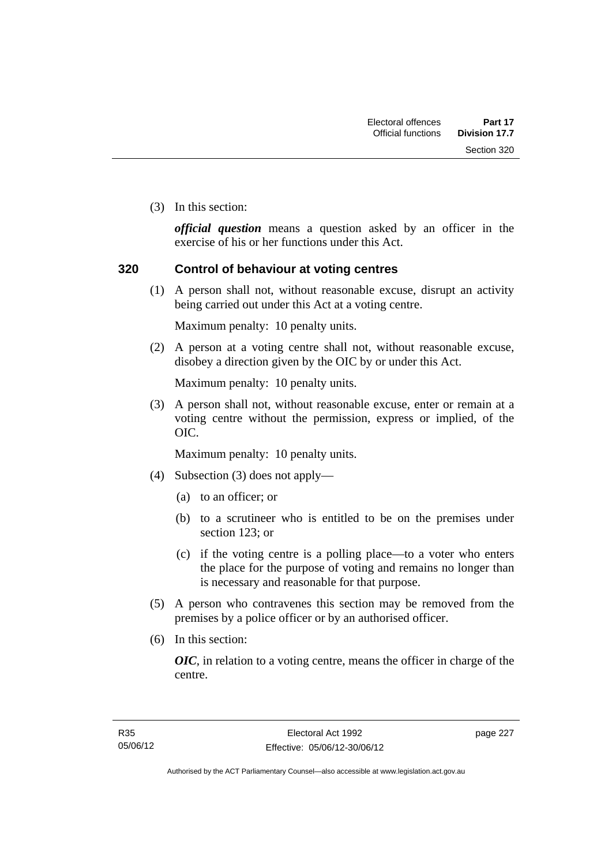Section 320

(3) In this section:

*official question* means a question asked by an officer in the exercise of his or her functions under this Act.

### **320 Control of behaviour at voting centres**

 (1) A person shall not, without reasonable excuse, disrupt an activity being carried out under this Act at a voting centre.

Maximum penalty: 10 penalty units.

 (2) A person at a voting centre shall not, without reasonable excuse, disobey a direction given by the OIC by or under this Act.

Maximum penalty: 10 penalty units.

 (3) A person shall not, without reasonable excuse, enter or remain at a voting centre without the permission, express or implied, of the OIC.

Maximum penalty: 10 penalty units.

- (4) Subsection (3) does not apply—
	- (a) to an officer; or
	- (b) to a scrutineer who is entitled to be on the premises under section 123; or
	- (c) if the voting centre is a polling place—to a voter who enters the place for the purpose of voting and remains no longer than is necessary and reasonable for that purpose.
- (5) A person who contravenes this section may be removed from the premises by a police officer or by an authorised officer.
- (6) In this section:

*OIC*, in relation to a voting centre, means the officer in charge of the centre.

page 227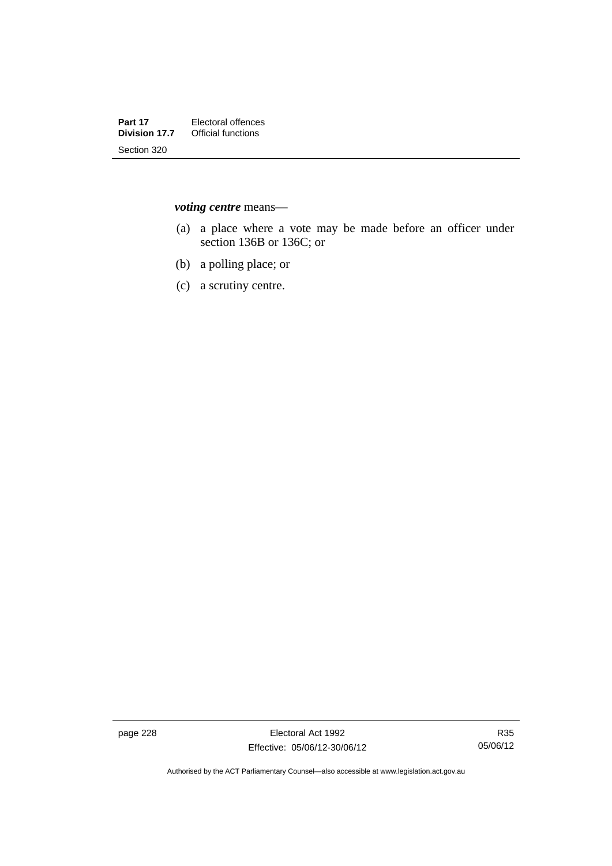*voting centre* means—

- (a) a place where a vote may be made before an officer under section 136B or 136C; or
- (b) a polling place; or
- (c) a scrutiny centre.

page 228 Electoral Act 1992 Effective: 05/06/12-30/06/12

R35 05/06/12

Authorised by the ACT Parliamentary Counsel—also accessible at www.legislation.act.gov.au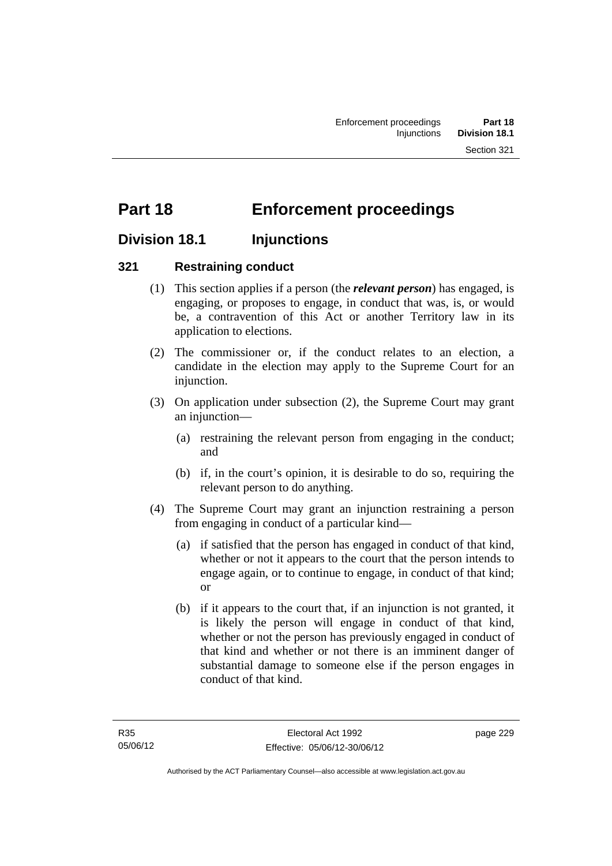# **Part 18 Enforcement proceedings**

## **Division 18.1 Injunctions**

## **321 Restraining conduct**

- (1) This section applies if a person (the *relevant person*) has engaged, is engaging, or proposes to engage, in conduct that was, is, or would be, a contravention of this Act or another Territory law in its application to elections.
- (2) The commissioner or, if the conduct relates to an election, a candidate in the election may apply to the Supreme Court for an injunction.
- (3) On application under subsection (2), the Supreme Court may grant an injunction—
	- (a) restraining the relevant person from engaging in the conduct; and
	- (b) if, in the court's opinion, it is desirable to do so, requiring the relevant person to do anything.
- (4) The Supreme Court may grant an injunction restraining a person from engaging in conduct of a particular kind—
	- (a) if satisfied that the person has engaged in conduct of that kind, whether or not it appears to the court that the person intends to engage again, or to continue to engage, in conduct of that kind; or
	- (b) if it appears to the court that, if an injunction is not granted, it is likely the person will engage in conduct of that kind, whether or not the person has previously engaged in conduct of that kind and whether or not there is an imminent danger of substantial damage to someone else if the person engages in conduct of that kind.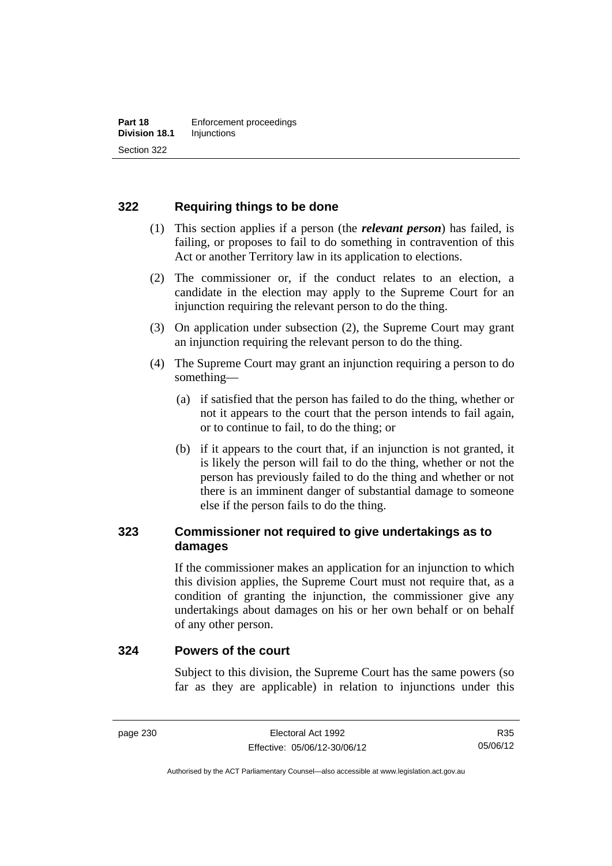## **322 Requiring things to be done**

- (1) This section applies if a person (the *relevant person*) has failed, is failing, or proposes to fail to do something in contravention of this Act or another Territory law in its application to elections.
- (2) The commissioner or, if the conduct relates to an election, a candidate in the election may apply to the Supreme Court for an injunction requiring the relevant person to do the thing.
- (3) On application under subsection (2), the Supreme Court may grant an injunction requiring the relevant person to do the thing.
- (4) The Supreme Court may grant an injunction requiring a person to do something—
	- (a) if satisfied that the person has failed to do the thing, whether or not it appears to the court that the person intends to fail again, or to continue to fail, to do the thing; or
	- (b) if it appears to the court that, if an injunction is not granted, it is likely the person will fail to do the thing, whether or not the person has previously failed to do the thing and whether or not there is an imminent danger of substantial damage to someone else if the person fails to do the thing.

## **323 Commissioner not required to give undertakings as to damages**

If the commissioner makes an application for an injunction to which this division applies, the Supreme Court must not require that, as a condition of granting the injunction, the commissioner give any undertakings about damages on his or her own behalf or on behalf of any other person.

#### **324 Powers of the court**

Subject to this division, the Supreme Court has the same powers (so far as they are applicable) in relation to injunctions under this

Authorised by the ACT Parliamentary Counsel—also accessible at www.legislation.act.gov.au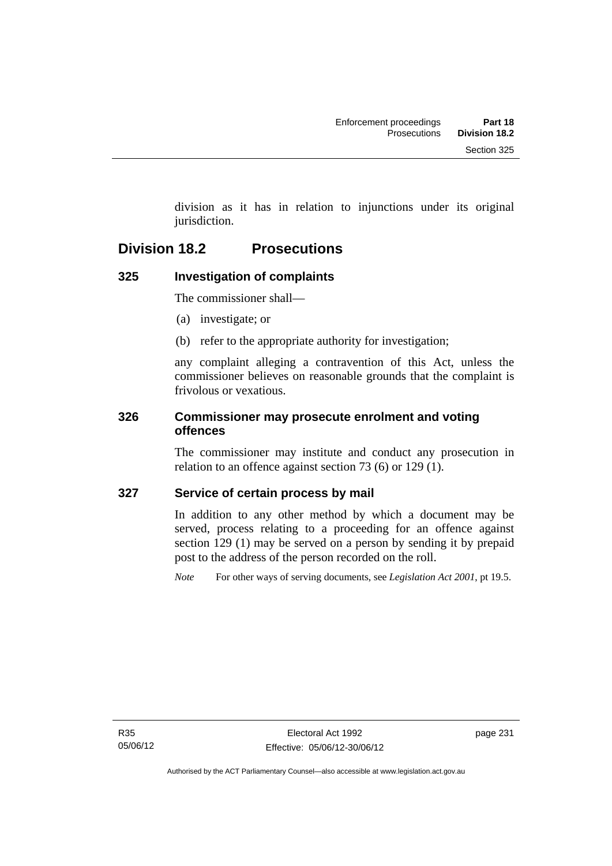division as it has in relation to injunctions under its original jurisdiction.

## **Division 18.2 Prosecutions**

## **325 Investigation of complaints**

The commissioner shall—

- (a) investigate; or
- (b) refer to the appropriate authority for investigation;

any complaint alleging a contravention of this Act, unless the commissioner believes on reasonable grounds that the complaint is frivolous or vexatious.

## **326 Commissioner may prosecute enrolment and voting offences**

The commissioner may institute and conduct any prosecution in relation to an offence against section 73 (6) or 129 (1).

## **327 Service of certain process by mail**

In addition to any other method by which a document may be served, process relating to a proceeding for an offence against section 129 (1) may be served on a person by sending it by prepaid post to the address of the person recorded on the roll.

*Note* For other ways of serving documents, see *Legislation Act 2001*, pt 19.5.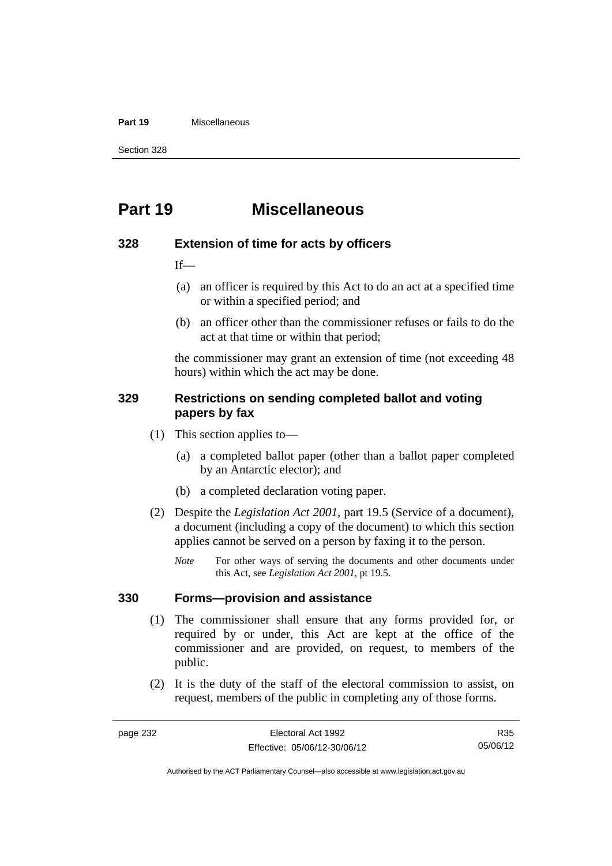#### **Part 19** Miscellaneous

Section 328

# **Part 19 Miscellaneous**

#### **328 Extension of time for acts by officers**

 $If$ 

- (a) an officer is required by this Act to do an act at a specified time or within a specified period; and
- (b) an officer other than the commissioner refuses or fails to do the act at that time or within that period;

the commissioner may grant an extension of time (not exceeding 48 hours) within which the act may be done.

#### **329 Restrictions on sending completed ballot and voting papers by fax**

- (1) This section applies to—
	- (a) a completed ballot paper (other than a ballot paper completed by an Antarctic elector); and
	- (b) a completed declaration voting paper.
- (2) Despite the *Legislation Act 2001*, part 19.5 (Service of a document), a document (including a copy of the document) to which this section applies cannot be served on a person by faxing it to the person.
	- *Note* For other ways of serving the documents and other documents under this Act, see *Legislation Act 2001*, pt 19.5.

#### **330 Forms—provision and assistance**

- (1) The commissioner shall ensure that any forms provided for, or required by or under, this Act are kept at the office of the commissioner and are provided, on request, to members of the public.
- (2) It is the duty of the staff of the electoral commission to assist, on request, members of the public in completing any of those forms.

R35 05/06/12

Authorised by the ACT Parliamentary Counsel—also accessible at www.legislation.act.gov.au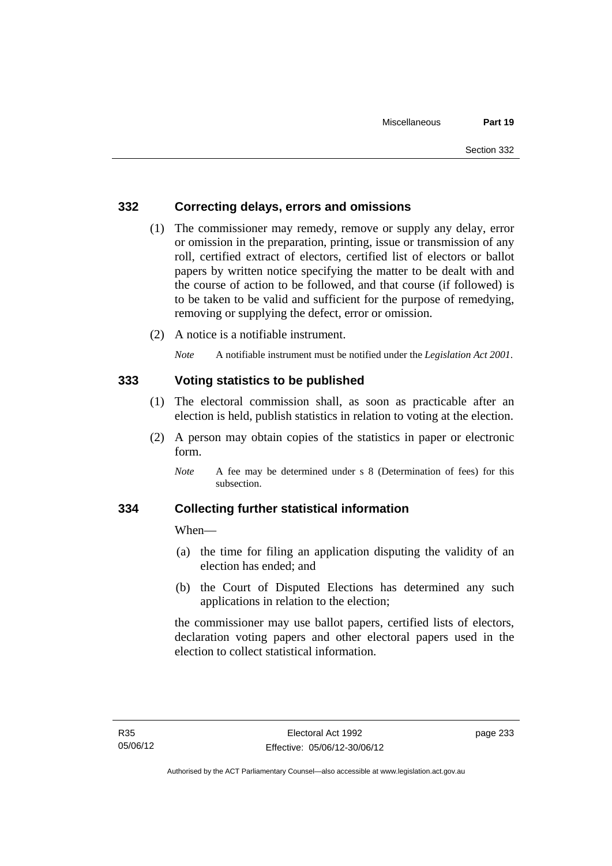## **332 Correcting delays, errors and omissions**

- (1) The commissioner may remedy, remove or supply any delay, error or omission in the preparation, printing, issue or transmission of any roll, certified extract of electors, certified list of electors or ballot papers by written notice specifying the matter to be dealt with and the course of action to be followed, and that course (if followed) is to be taken to be valid and sufficient for the purpose of remedying, removing or supplying the defect, error or omission.
- (2) A notice is a notifiable instrument.

*Note* A notifiable instrument must be notified under the *Legislation Act 2001*.

#### **333 Voting statistics to be published**

- (1) The electoral commission shall, as soon as practicable after an election is held, publish statistics in relation to voting at the election.
- (2) A person may obtain copies of the statistics in paper or electronic form.

#### **334 Collecting further statistical information**

When—

- (a) the time for filing an application disputing the validity of an election has ended; and
- (b) the Court of Disputed Elections has determined any such applications in relation to the election;

the commissioner may use ballot papers, certified lists of electors, declaration voting papers and other electoral papers used in the election to collect statistical information.

*Note* A fee may be determined under s 8 (Determination of fees) for this subsection.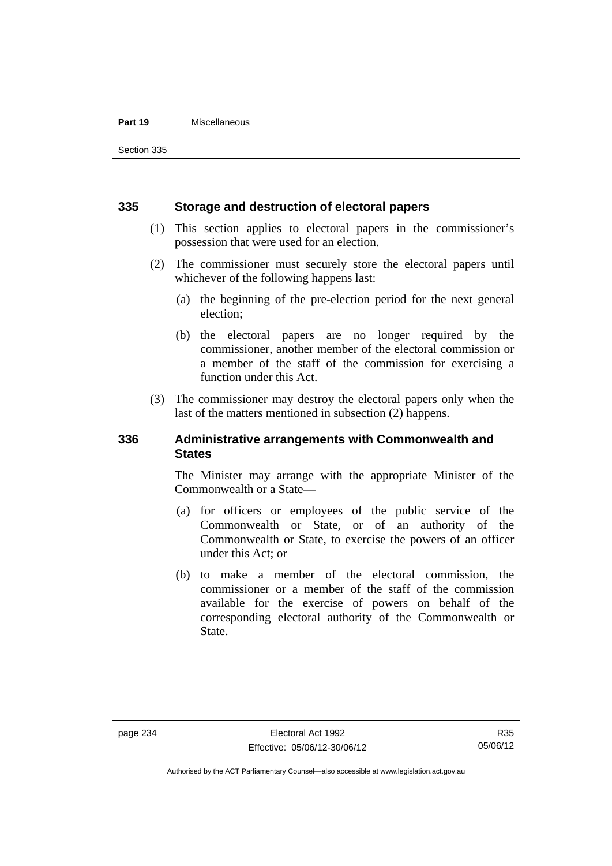#### **Part 19** Miscellaneous

Section 335

#### **335 Storage and destruction of electoral papers**

- (1) This section applies to electoral papers in the commissioner's possession that were used for an election.
- (2) The commissioner must securely store the electoral papers until whichever of the following happens last:
	- (a) the beginning of the pre-election period for the next general election;
	- (b) the electoral papers are no longer required by the commissioner, another member of the electoral commission or a member of the staff of the commission for exercising a function under this Act.
- (3) The commissioner may destroy the electoral papers only when the last of the matters mentioned in subsection (2) happens.

#### **336 Administrative arrangements with Commonwealth and States**

The Minister may arrange with the appropriate Minister of the Commonwealth or a State—

- (a) for officers or employees of the public service of the Commonwealth or State, or of an authority of the Commonwealth or State, to exercise the powers of an officer under this Act; or
- (b) to make a member of the electoral commission, the commissioner or a member of the staff of the commission available for the exercise of powers on behalf of the corresponding electoral authority of the Commonwealth or State.

Authorised by the ACT Parliamentary Counsel—also accessible at www.legislation.act.gov.au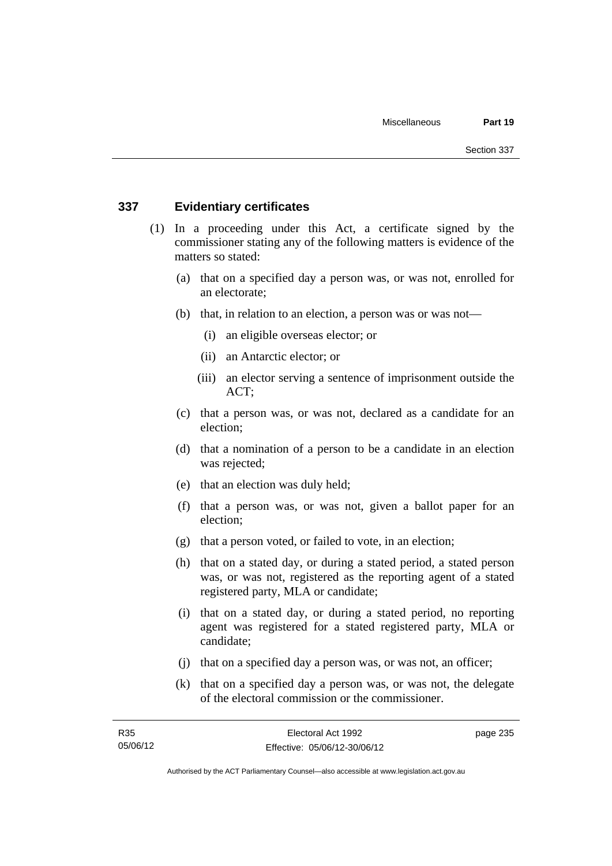#### **337 Evidentiary certificates**

- (1) In a proceeding under this Act, a certificate signed by the commissioner stating any of the following matters is evidence of the matters so stated:
	- (a) that on a specified day a person was, or was not, enrolled for an electorate;
	- (b) that, in relation to an election, a person was or was not—
		- (i) an eligible overseas elector; or
		- (ii) an Antarctic elector; or
		- (iii) an elector serving a sentence of imprisonment outside the ACT;
	- (c) that a person was, or was not, declared as a candidate for an election;
	- (d) that a nomination of a person to be a candidate in an election was rejected;
	- (e) that an election was duly held;
	- (f) that a person was, or was not, given a ballot paper for an election;
	- (g) that a person voted, or failed to vote, in an election;
	- (h) that on a stated day, or during a stated period, a stated person was, or was not, registered as the reporting agent of a stated registered party, MLA or candidate;
	- (i) that on a stated day, or during a stated period, no reporting agent was registered for a stated registered party, MLA or candidate;
	- (j) that on a specified day a person was, or was not, an officer;
	- (k) that on a specified day a person was, or was not, the delegate of the electoral commission or the commissioner.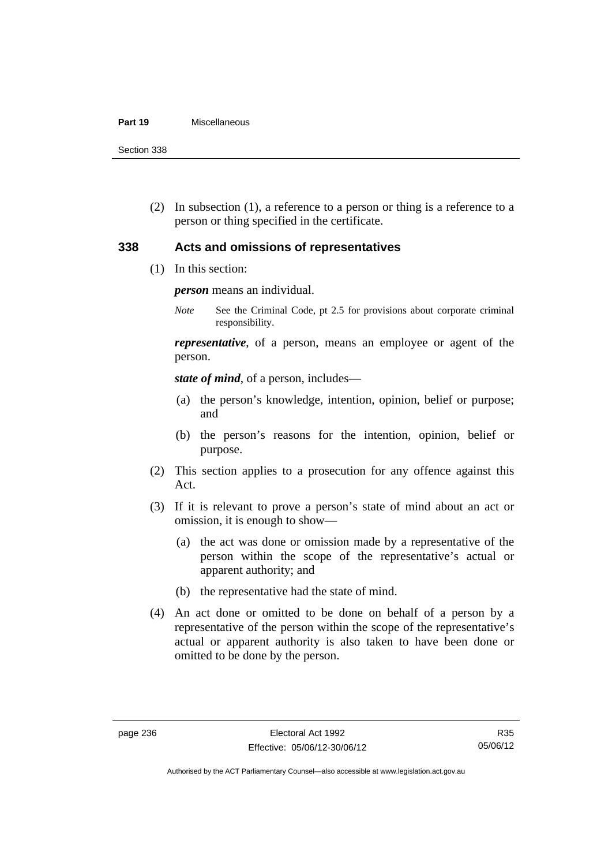#### **Part 19** Miscellaneous

Section 338

 (2) In subsection (1), a reference to a person or thing is a reference to a person or thing specified in the certificate.

#### **338 Acts and omissions of representatives**

(1) In this section:

*person* means an individual.

*Note* See the Criminal Code, pt 2.5 for provisions about corporate criminal responsibility.

*representative*, of a person, means an employee or agent of the person.

*state of mind*, of a person, includes—

- (a) the person's knowledge, intention, opinion, belief or purpose; and
- (b) the person's reasons for the intention, opinion, belief or purpose.
- (2) This section applies to a prosecution for any offence against this Act.
- (3) If it is relevant to prove a person's state of mind about an act or omission, it is enough to show—
	- (a) the act was done or omission made by a representative of the person within the scope of the representative's actual or apparent authority; and
	- (b) the representative had the state of mind.
- (4) An act done or omitted to be done on behalf of a person by a representative of the person within the scope of the representative's actual or apparent authority is also taken to have been done or omitted to be done by the person.

Authorised by the ACT Parliamentary Counsel—also accessible at www.legislation.act.gov.au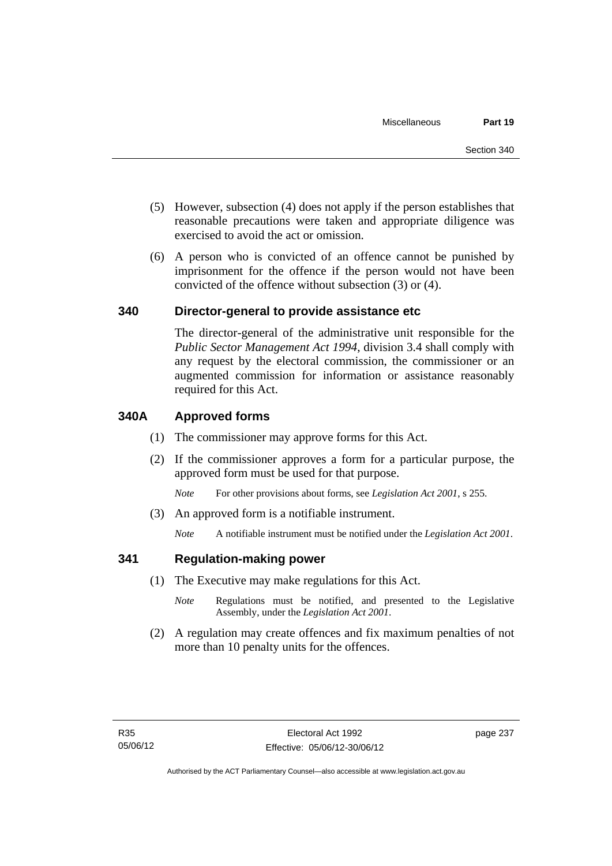- (5) However, subsection (4) does not apply if the person establishes that reasonable precautions were taken and appropriate diligence was exercised to avoid the act or omission.
- (6) A person who is convicted of an offence cannot be punished by imprisonment for the offence if the person would not have been convicted of the offence without subsection (3) or (4).

### **340 Director-general to provide assistance etc**

The director-general of the administrative unit responsible for the *Public Sector Management Act 1994*, division 3.4 shall comply with any request by the electoral commission, the commissioner or an augmented commission for information or assistance reasonably required for this Act.

### **340A Approved forms**

- (1) The commissioner may approve forms for this Act.
- (2) If the commissioner approves a form for a particular purpose, the approved form must be used for that purpose.

*Note* For other provisions about forms, see *Legislation Act 2001*, s 255.

(3) An approved form is a notifiable instrument.

*Note* A notifiable instrument must be notified under the *Legislation Act 2001*.

#### **341 Regulation-making power**

- (1) The Executive may make regulations for this Act.
	- *Note* **Regulations** must be notified, and presented to the Legislative Assembly, under the *Legislation Act 2001*.
- (2) A regulation may create offences and fix maximum penalties of not more than 10 penalty units for the offences.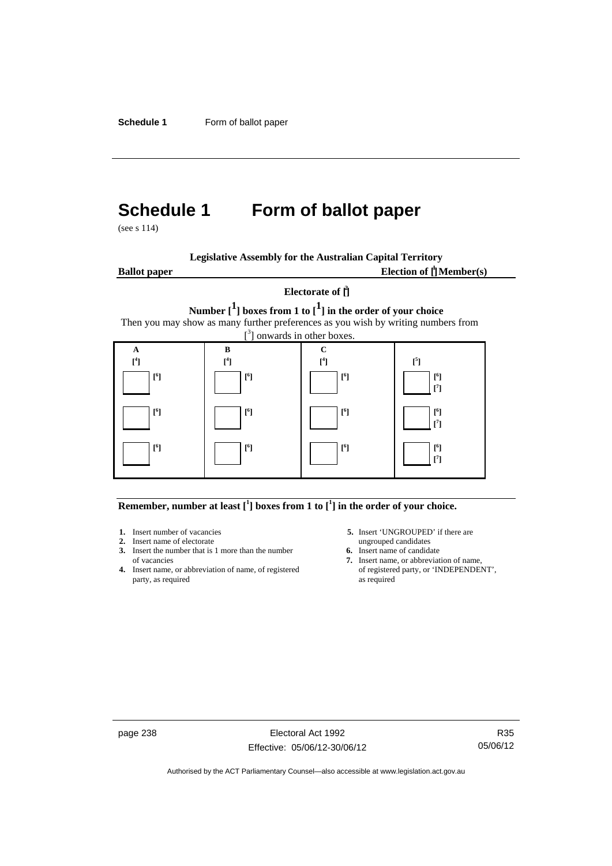# **Schedule 1 Form of ballot paper**

(see s 114)

| <b>Legislative Assembly for the Australian Capital Territory</b> |  |  |
|------------------------------------------------------------------|--|--|
|                                                                  |  |  |

**Ballot paper** Election of  $\prod_{i=1}^{n} \text{Member}(s)$ 

#### **Electorate of [ 2 ]**

**Number [1] boxes from 1 to [1] in the order of your choice**  Then you may show as many further preferences as you wish by writing numbers from



**Remember, number at least**  $\begin{bmatrix} 1 \end{bmatrix}$  boxes from 1 to  $\begin{bmatrix} 1 \end{bmatrix}$  in the order of your choice.

- **2.** Insert name of electorate ungrouped candidates
- **3.** Insert the number that is 1 more than the number **6.** Insert name of candidate of vacancies **7.** Insert name, or abbreviate
- **4.** Insert name, or abbreviation of name, of registered party, as required as required
- **1.** Insert number of vacancies **5.** Insert 'UNGROUPED' if there are
	-
	- 7. Insert name, or abbreviation of name,<br>of registered party, or 'INDEPENDENT',

page 238 Electoral Act 1992 Effective: 05/06/12-30/06/12

R35 05/06/12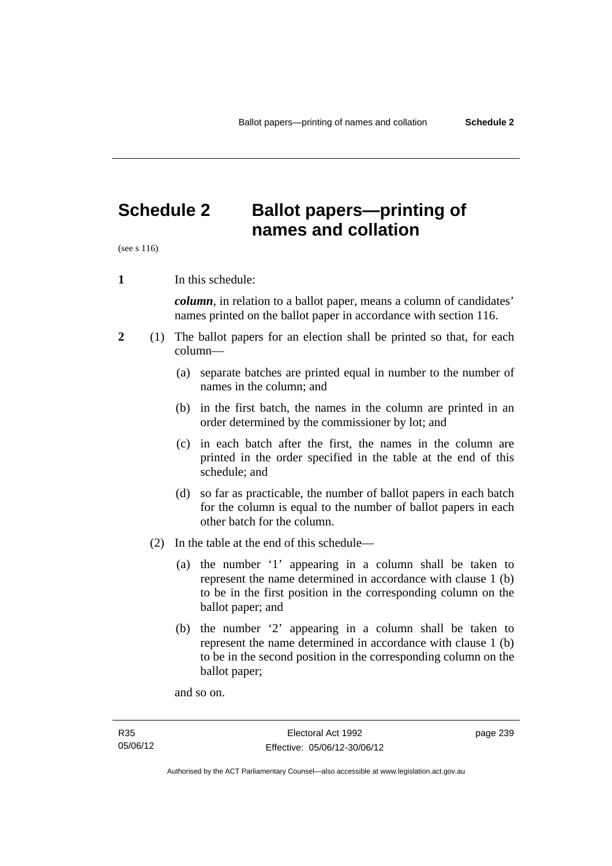# **Schedule 2 Ballot papers—printing of names and collation**

(see s 116)

**1** In this schedule:

*column*, in relation to a ballot paper, means a column of candidates' names printed on the ballot paper in accordance with section 116.

- **2** (1) The ballot papers for an election shall be printed so that, for each column—
	- (a) separate batches are printed equal in number to the number of names in the column; and
	- (b) in the first batch, the names in the column are printed in an order determined by the commissioner by lot; and
	- (c) in each batch after the first, the names in the column are printed in the order specified in the table at the end of this schedule; and
	- (d) so far as practicable, the number of ballot papers in each batch for the column is equal to the number of ballot papers in each other batch for the column.
	- (2) In the table at the end of this schedule—
		- (a) the number '1' appearing in a column shall be taken to represent the name determined in accordance with clause 1 (b) to be in the first position in the corresponding column on the ballot paper; and
		- (b) the number '2' appearing in a column shall be taken to represent the name determined in accordance with clause 1 (b) to be in the second position in the corresponding column on the ballot paper;

and so on.

page 239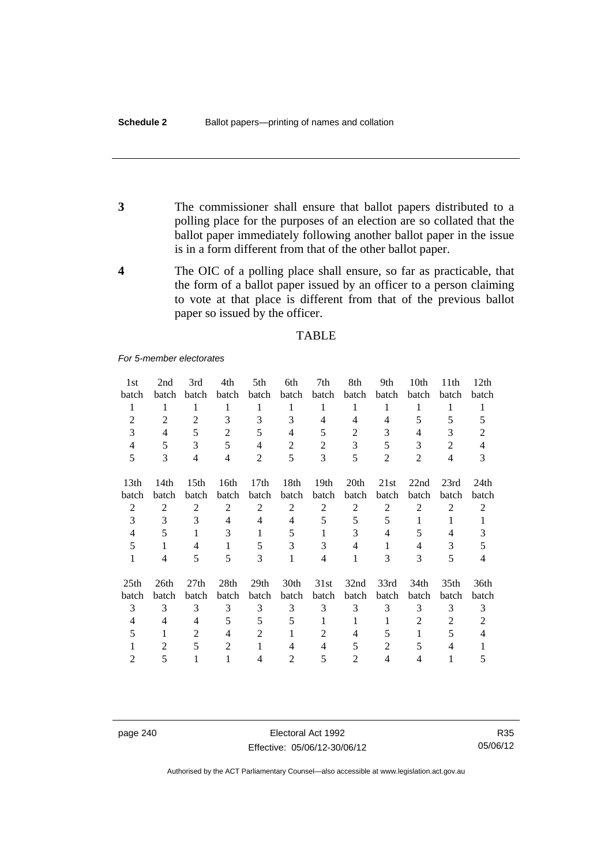- **3** The commissioner shall ensure that ballot papers distributed to a polling place for the purposes of an election are so collated that the ballot paper immediately following another ballot paper in the issue is in a form different from that of the other ballot paper.
- **4** The OIC of a polling place shall ensure, so far as practicable, that the form of a ballot paper issued by an officer to a person claiming to vote at that place is different from that of the previous ballot paper so issued by the officer.

#### **TABLE**

#### *For 5-member electorates*

| 1st              | 2nd            | 3rd              | 4th            | 5th              | 6th            | 7th              | 8th              | 9th            | 10th           | 11th             | 12 <sub>th</sub> |
|------------------|----------------|------------------|----------------|------------------|----------------|------------------|------------------|----------------|----------------|------------------|------------------|
| batch            | batch          | batch            | batch          | batch            | batch          | batch            | batch            | batch          | batch          | batch            | batch            |
| 1                | 1              | 1                | 1              | 1                | 1              | 1                | 1                | 1              | 1              | 1                | 1                |
| $\overline{2}$   | $\overline{2}$ | 2                | 3              | 3                | 3              | 4                | 4                | 4              | 5              | 5                | 5                |
| 3                | 4              | 5                | $\overline{2}$ | 5                | $\overline{4}$ | 5                | 2                | 3              | 4              | 3                | 2                |
| 4                | 5              | 3                | 5              | $\overline{4}$   | $\overline{2}$ | $\overline{2}$   | 3                | 5              | 3              | $\overline{2}$   | 4                |
| 5                | 3              | $\overline{4}$   | $\overline{4}$ | $\overline{2}$   | 5              | 3                | 5                | $\overline{2}$ | $\overline{2}$ | 4                | 3                |
| 13 <sub>th</sub> | 14th           | 15 <sup>th</sup> | 16th           | 17 <sub>th</sub> | 18th           | 19 <sub>th</sub> | 20 <sup>th</sup> | 21st           | 22nd           | 23rd             | 24th             |
| batch            | batch          | batch            | batch          | batch            | batch          | batch            | batch            | batch          | batch          | batch            | batch            |
| $\overline{2}$   | 2              | 2                | $\overline{2}$ | $\overline{2}$   | $\overline{2}$ | 2                | $\overline{2}$   | $\overline{2}$ | $\overline{2}$ | $\overline{2}$   | $\overline{2}$   |
| 3                | 3              | 3                | 4              | 4                | $\overline{4}$ | 5                | 5                | 5              | 1              | 1                |                  |
| $\overline{4}$   | 5              | 1                | 3              | 1                | 5              | 1                | 3                | 4              | 5              | $\overline{4}$   | 3                |
| 5                | 1              | 4                | 1              | 5                | 3              | 3                | 4                | 1              | 4              | 3                | 5                |
| $\mathbf{1}$     | 4              | 5                | 5              | 3                | 1              | $\overline{4}$   | 1                | 3              | 3              | 5                | $\overline{4}$   |
| 25 <sub>th</sub> | 26th           | 27th             | 28th           | 29 <sub>th</sub> | 30th           | 31st             | 32nd             | 33rd           | 34th           | 35 <sub>th</sub> | 36th             |
| batch            | batch          | batch            | <b>batch</b>   | batch            | batch          | batch            | batch            | batch          | batch          | batch            | batch            |
| 3                | 3              | 3                | 3              | 3                | 3              | 3                | 3                | 3              | 3              | 3                | 3                |
| $\overline{4}$   | 4              | 4                | 5              | 5                | 5              | 1                | 1                | 1              | 2              | $\overline{2}$   | 2                |
| 5                | 1              | 2                | 4              | 2                | 1              | 2                | 4                | 5              | 1              | 5                | 4                |
|                  | 2              | 5                | $\overline{2}$ | 1                | 4              | 4                | 5                | 2              | 5              | 4                |                  |
| $\overline{2}$   | 5              | 1                | 1              | $\overline{4}$   | $\overline{2}$ | 5                | $\mathfrak{D}$   | 4              | $\overline{4}$ | 1                | 5                |

page 240 Electoral Act 1992 Effective: 05/06/12-30/06/12

R35 05/06/12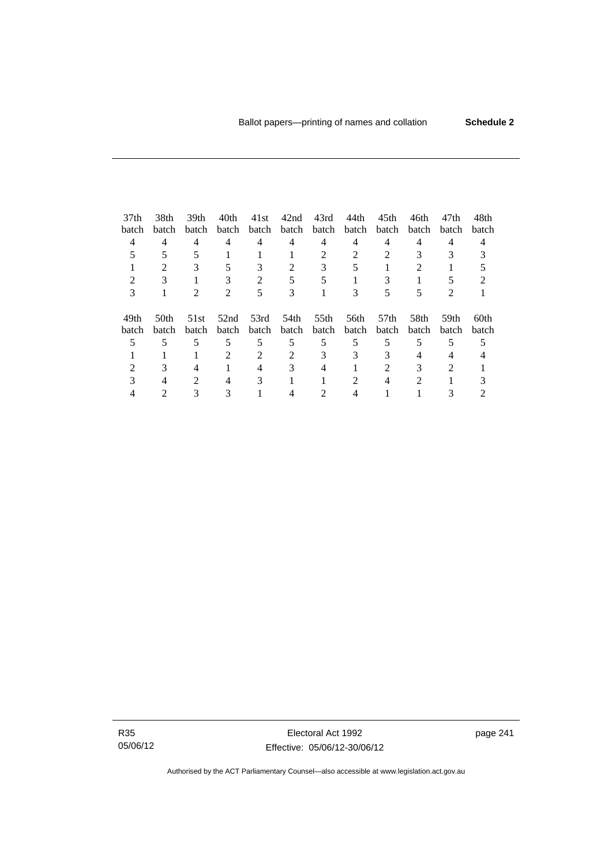| 37 <sub>th</sub> | 38th             | 39th                        | 40th                        | 41st  | 42nd  | 43rd        | 44th  | 45 <sub>th</sub> | 46th  | 47th           | 48th  |
|------------------|------------------|-----------------------------|-----------------------------|-------|-------|-------------|-------|------------------|-------|----------------|-------|
| batch            | batch            | batch                       | batch                       | batch |       | batch batch | batch | batch            | batch | batch          | batch |
| 4                | 4                | 4                           | 4                           | 4     | 4     | 4           | 4     | 4                | 4     | 4              |       |
|                  |                  |                             |                             |       |       |             |       |                  |       |                |       |
|                  | $\mathfrak{D}$   | 3                           | 5                           | 3     | 2     | 3           |       |                  | 2     |                |       |
|                  |                  |                             |                             |       |       |             |       |                  |       |                |       |
| 3                |                  | $\mathcal{D}_{\mathcal{L}}$ | $\mathcal{D}_{\mathcal{L}}$ | 5     | 3     |             | 3     |                  |       | $\mathfrak{D}$ |       |
| 49th             | 50 <sub>th</sub> | 51st                        | 52nd                        | 53rd  | 54th  | 55th        | 56th  | 57th             | 58th  | 59th           | 60th  |
| batch            | batch            | batch                       | batch                       | batch | batch | batch       | batch | batch            | batch | batch          | batch |
|                  |                  | 5                           | 5                           | 5     | 5     | 5           | 5     | 5                | 5     | 5              |       |
|                  |                  |                             |                             |       |       |             | 3     |                  |       |                |       |
|                  |                  |                             |                             |       |       |             |       |                  |       | $\mathcal{D}$  |       |
|                  |                  | $\mathcal{D}_{\mathcal{L}}$ | 4                           | 3     |       |             | 2     |                  | 2     |                |       |
|                  |                  |                             |                             |       |       |             |       |                  |       |                |       |

R35 05/06/12

Electoral Act 1992 Effective: 05/06/12-30/06/12 page 241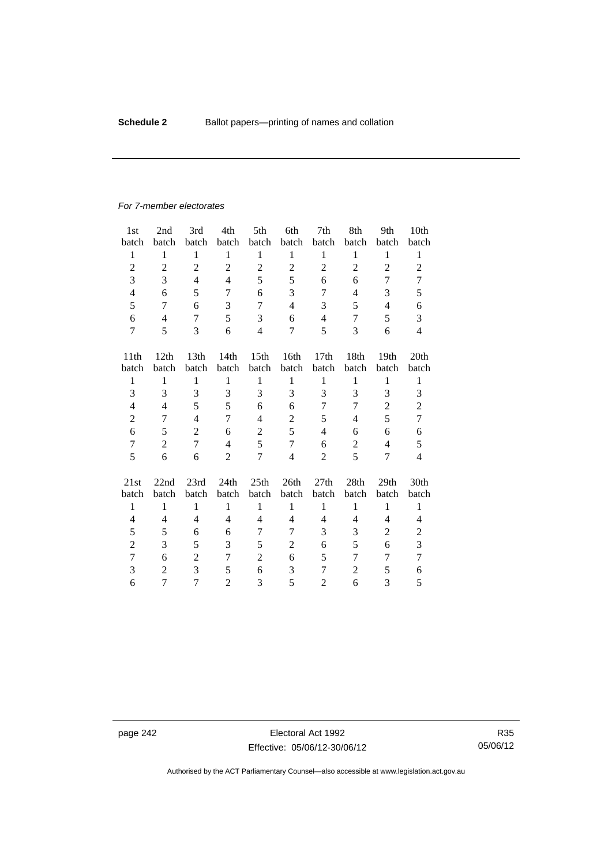#### *For 7-member electorates*

| 1 <sub>st</sub>  | 2nd            | 3rd              | 4th            | 5th              | 6th            | 7th              | 8th            | 9th            | 10th           |
|------------------|----------------|------------------|----------------|------------------|----------------|------------------|----------------|----------------|----------------|
| batch            | batch          | batch            | batch          | batch            | batch          | batch            | batch          | batch          | batch          |
| $\mathbf{1}$     | $\mathbf{1}$   | $\mathbf{1}$     | $\mathbf{1}$   | $\mathbf{1}$     | $\mathbf{1}$   | $\mathbf{1}$     | $\mathbf{1}$   | $\mathbf{1}$   | $\mathbf{1}$   |
| $\overline{2}$   | $\overline{2}$ | $\overline{2}$   | $\overline{2}$ | $\overline{2}$   | $\overline{2}$ | $\overline{c}$   | $\overline{2}$ | $\overline{2}$ | $\overline{2}$ |
| 3                | 3              | $\overline{4}$   | $\overline{4}$ | 5                | 5              | 6                | 6              | 7              | 7              |
| $\overline{4}$   | 6              | 5                | 7              | 6                | 3              | 7                | $\overline{4}$ | 3              | 5              |
| 5                | 7              | 6                | 3              | $\overline{7}$   | $\overline{4}$ | 3                | 5              | $\overline{4}$ | 6              |
| 6                | $\overline{4}$ | 7                | 5              | 3                | 6              | 4                | 7              | 5              | 3              |
| $\tau$           | 5              | 3                | 6              | $\overline{4}$   | $\overline{7}$ | 5                | 3              | 6              | $\overline{4}$ |
| 11 <sup>th</sup> | 12th           | 13 <sup>th</sup> | 14th           | 15 <sup>th</sup> | 16th           | 17 <sub>th</sub> | 18th           | 19th           | 20th           |
| batch            | batch          | batch            | batch          | batch            | batch          | batch            | batch          | batch          | batch          |
| $\mathbf{1}$     | $\mathbf{1}$   | $\mathbf{1}$     | $\mathbf{1}$   | $\mathbf{1}$     | $\mathbf{1}$   | $\mathbf{1}$     | $\mathbf{1}$   | $\mathbf{1}$   | $\mathbf{1}$   |
| 3                | 3              | 3                | 3              | 3                | 3              | 3                | 3              | 3              | 3              |
| $\overline{4}$   | 4              | 5                | 5              | 6                | 6              | 7                | 7              | $\overline{c}$ | $\overline{c}$ |
| $\overline{2}$   | 7              | $\overline{4}$   | $\tau$         | $\overline{4}$   | $\overline{c}$ | 5                | 4              | 5              | $\tau$         |
| 6                | 5              | $\overline{2}$   | 6              | $\boldsymbol{2}$ | 5              | 4                | 6              | 6              | 6              |
| $\tau$           | $\overline{2}$ | 7                | $\overline{4}$ | 5                | $\overline{7}$ | 6                | $\overline{2}$ | $\overline{4}$ | 5              |
| 5                | 6              | 6                | $\overline{2}$ | $\overline{7}$   | $\overline{4}$ | 2                | 5              | 7              | $\overline{4}$ |
| 21st             | 22nd           | 23rd             | 24th           | 25th             | 26th           | 27th             | 28th           | 29th           | 30th           |
| batch            | batch          | batch            | batch          | batch            | batch          | batch            | batch          | batch          | batch          |
| $\mathbf{1}$     | $\mathbf{1}$   | $\mathbf{1}$     | $\mathbf{1}$   | 1                | $\mathbf{1}$   | $\mathbf{1}$     | 1              | $\mathbf{1}$   | $\mathbf{1}$   |
| 4                | 4              | $\overline{4}$   | $\overline{4}$ | 4                | 4              | 4                | 4              | 4              | 4              |
| 5                | 5              | 6                | 6              | 7                | 7              | 3                | 3              | 2              | $\overline{c}$ |
| $\overline{c}$   | 3              | 5                | 3              | 5                | 2              | 6                | 5              | 6              | 3              |
| 7                | 6              | $\overline{2}$   | 7              | $\overline{2}$   | 6              | 5                | 7              | 7              | $\overline{7}$ |
| 3                | $\overline{2}$ | 3                | 5              | 6                | 3              | 7                | $\overline{2}$ | 5              | 6              |
| 6                | 7              | 7                | $\overline{2}$ | 3                | 5              | $\overline{c}$   | 6              | 3              | 5              |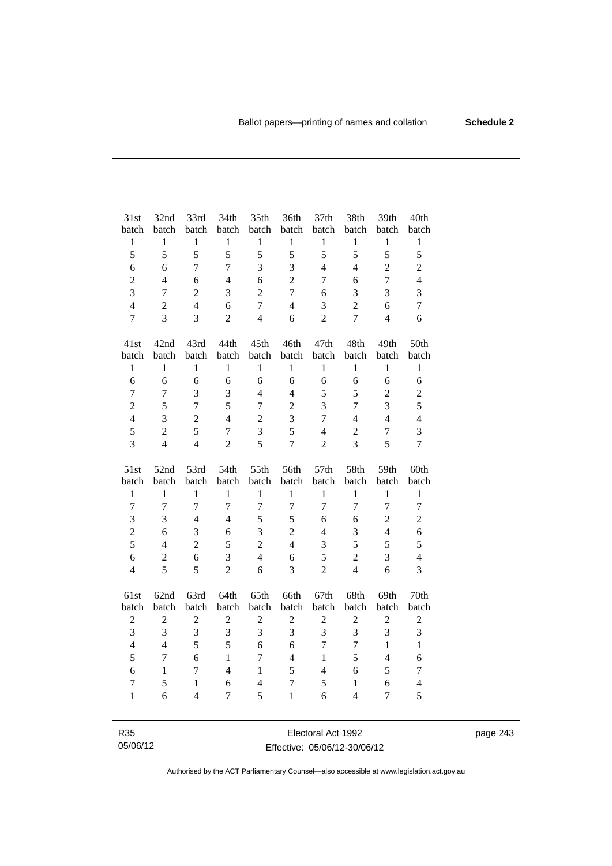| 31st                  | 32nd             | 33rd           | 34th           | 35th           | 36th             | 37th                    | 38th           | 39th             | 40th             |
|-----------------------|------------------|----------------|----------------|----------------|------------------|-------------------------|----------------|------------------|------------------|
| batch                 | batch            | batch          | batch          | batch          | batch            | batch                   | batch          | batch            | batch            |
| $\,1$                 | $\,1$            | $\mathbf 1$    | $\mathbf{1}$   | $\mathbf{1}$   | $\,1$            | $\,1$                   | $\mathbf{1}$   | $\mathbf{1}$     | $\mathbf{1}$     |
| 5                     | 5                | 5              | 5              | 5              | 5                | 5                       | 5              | 5                | 5                |
| 6                     | 6                | $\overline{7}$ | $\overline{7}$ | 3              | 3                | $\overline{4}$          | $\overline{4}$ | $\overline{2}$   | $\overline{c}$   |
| $\overline{c}$        | $\overline{4}$   | 6              | $\overline{4}$ | 6              | $\overline{2}$   | 7                       | 6              | $\overline{7}$   | $\overline{4}$   |
| 3                     | $\boldsymbol{7}$ | $\overline{2}$ | 3              | $\overline{c}$ | $\overline{7}$   | 6                       | $\mathfrak{Z}$ | 3                | $\overline{3}$   |
| $\overline{4}$        | $\overline{2}$   | $\overline{4}$ | 6              | $\overline{7}$ | $\overline{4}$   | 3                       | $\overline{2}$ | 6                | $\overline{7}$   |
| $\overline{7}$        | $\overline{3}$   | $\overline{3}$ | $\overline{2}$ | $\overline{4}$ | 6                | $\overline{2}$          | $\overline{7}$ | $\overline{4}$   | 6                |
| 41st                  | 42nd             | 43rd           | 44th           | 45th           | 46th             | 47th                    | 48th           | 49th             | 50th             |
| batch                 | batch            | batch          | batch          | batch          | batch            | batch                   | batch          | batch            | batch            |
| $\mathbf{1}$          | $\mathbf{1}$     | $\mathbf{1}$   | $\mathbf{1}$   | $\mathbf{1}$   | $\mathbf{1}$     | $\mathbf{1}$            | $\mathbf{1}$   | $\mathbf{1}$     | $\mathbf{1}$     |
| 6                     | 6                | 6              | 6              | 6              | 6                | 6                       | 6              | 6                | 6                |
| $\tau$                | $\boldsymbol{7}$ | 3              | 3              | $\overline{4}$ | $\overline{4}$   | 5                       | 5              | $\overline{2}$   | $\overline{c}$   |
| $\overline{2}$        | 5                | $\overline{7}$ | 5              | $\overline{7}$ | $\overline{2}$   | 3                       | 7              | 3                | 5                |
| $\overline{4}$        | 3                | $\overline{2}$ | $\overline{4}$ | $\overline{2}$ | 3                | $\overline{7}$          | $\overline{4}$ | $\overline{4}$   | $\overline{4}$   |
| 5                     | $\overline{2}$   | 5              | $\overline{7}$ | 3              | 5                | $\overline{4}$          | $\overline{c}$ | $\overline{7}$   | 3                |
| 3                     | $\overline{4}$   | $\overline{4}$ | $\overline{c}$ | 5              | $\overline{7}$   | $\overline{2}$          | $\overline{3}$ | 5                | $\overline{7}$   |
|                       |                  |                |                |                |                  |                         |                |                  |                  |
| 51st                  | 52nd<br>batch    | 53rd<br>batch  | 54th<br>batch  | 55th<br>batch  | 56th<br>batch    | 57th<br>batch           | 58th<br>batch  | 59th<br>batch    | 60th<br>batch    |
| batch<br>$\mathbf{1}$ | $\mathbf{1}$     | $\mathbf{1}$   | $\mathbf{1}$   | $\mathbf{1}$   | $\mathbf{1}$     | $\mathbf{1}$            | $\mathbf{1}$   | $\mathbf{1}$     | $\mathbf{1}$     |
| $\overline{7}$        | $\overline{7}$   | $\overline{7}$ | $\overline{7}$ | $\overline{7}$ | $\boldsymbol{7}$ | $\overline{7}$          | $\overline{7}$ | $\overline{7}$   | $\boldsymbol{7}$ |
| $\overline{3}$        | 3                | $\overline{4}$ | $\overline{4}$ | 5              | 5                | 6                       | 6              | $\overline{2}$   | $\overline{2}$   |
| $\overline{2}$        | 6                | 3              | 6              | 3              | $\overline{2}$   | $\overline{4}$          | 3              | $\overline{4}$   | 6                |
| 5                     | $\overline{4}$   | $\overline{2}$ | 5              | $\overline{2}$ | $\overline{4}$   | 3                       | 5              | 5                | 5                |
| 6                     | $\overline{2}$   | 6              | 3              | $\overline{4}$ | 6                | 5                       | $\overline{c}$ | 3                | $\overline{4}$   |
| $\overline{4}$        | 5                | 5              | $\overline{2}$ | 6              | 3                | $\overline{c}$          | $\overline{4}$ | 6                | 3                |
| 61st                  | 62nd             | 63rd           | 64th           | 65th           | 66th             | 67th                    | 68th           | 69th             | 70th             |
| batch                 | batch            | batch          | batch          | batch          | batch            | batch                   | batch          | batch            | batch            |
| $\boldsymbol{2}$      | $\sqrt{2}$       | $\sqrt{2}$     | $\sqrt{2}$     | $\overline{2}$ | $\mathbf{2}$     | $\overline{c}$          | $\sqrt{2}$     | $\boldsymbol{2}$ | $\overline{c}$   |
| $\overline{3}$        | 3                | $\overline{3}$ | 3              | $\overline{3}$ | $\overline{3}$   | $\overline{\mathbf{3}}$ | $\overline{3}$ | 3                | 3                |
| $\overline{4}$        | $\overline{4}$   | 5              | 5              | 6              | 6                | $\overline{7}$          | $\overline{7}$ | $\mathbf{1}$     | $\mathbf{1}$     |
| 5                     | $\overline{7}$   | 6              | $\mathbf{1}$   | $\overline{7}$ | $\overline{4}$   | $\mathbf{1}$            | 5              | $\overline{4}$   | 6                |
| 6                     | $\mathbf{1}$     | $\overline{7}$ | $\overline{4}$ | $\mathbf{1}$   | 5                | $\overline{4}$          | 6              | 5                | $\tau$           |
| $\tau$                | 5                | $\mathbf{1}$   | 6              | $\overline{4}$ | $\tau$           | 5                       | $\mathbf{1}$   | 6                | $\overline{4}$   |
| $\mathbf{1}$          | 6                | $\overline{4}$ | $\tau$         | 5              | $\mathbf{1}$     | 6                       | $\overline{4}$ | $\tau$           | 5                |

R35 05/06/12

Electoral Act 1992 Effective: 05/06/12-30/06/12 page 243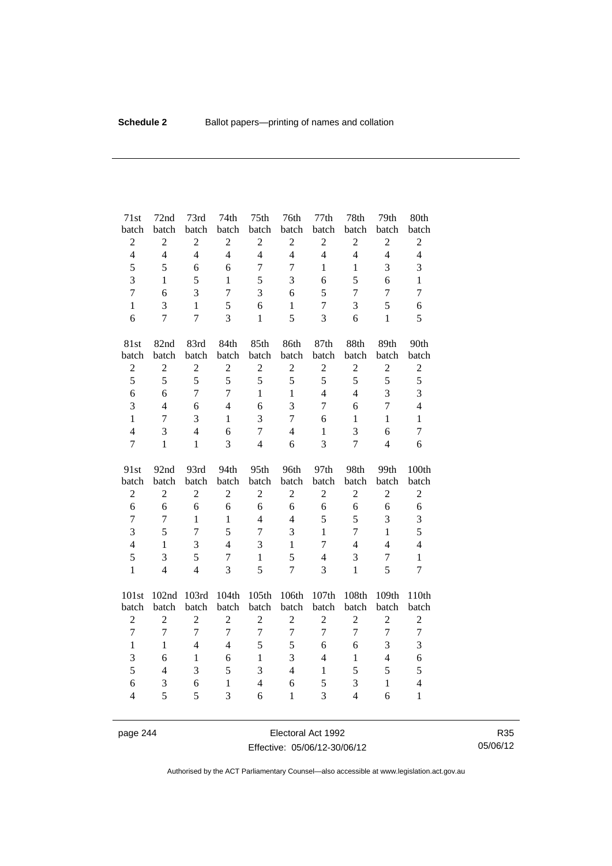| 71st                | 72nd           | 73rd           | 74th              | 75th                | 76th              | 77th           | 78th                             | 79th           | 80th                                    |
|---------------------|----------------|----------------|-------------------|---------------------|-------------------|----------------|----------------------------------|----------------|-----------------------------------------|
| batch               | batch          | batch          | batch             | batch               | batch             | batch          | batch                            | batch          | batch                                   |
| $\sqrt{2}$          | $\overline{c}$ | $\overline{c}$ | $\overline{c}$    | $\sqrt{2}$          | $\overline{c}$    | $\overline{2}$ | $\boldsymbol{2}$                 | $\sqrt{2}$     | $\sqrt{2}$                              |
| $\overline{4}$      | $\overline{4}$ | $\overline{4}$ | $\overline{4}$    | $\overline{4}$      | $\overline{4}$    | $\overline{4}$ | $\overline{4}$                   | $\overline{4}$ | $\overline{4}$                          |
| 5                   | 5              | 6              | 6                 | $\boldsymbol{7}$    | $\overline{7}$    | $\mathbf{1}$   | $\mathbf{1}$                     | 3              | 3                                       |
| 3                   | $\mathbf{1}$   | 5              | $\mathbf{1}$      | 5                   | 3                 | 6              | 5                                | 6              | $\,1\,$                                 |
| $\overline{7}$      | 6              | 3              | $\overline{7}$    | 3                   | 6                 | 5              | $\tau$                           | $\overline{7}$ | $\boldsymbol{7}$                        |
| $\mathbf{1}$        | 3              | $\mathbf{1}$   | 5                 | 6                   | $\mathbf{1}$      | $\overline{7}$ | 3                                | 5              | $\sqrt{6}$                              |
| 6                   | $\overline{7}$ | $\overline{7}$ | 3                 | $\mathbf{1}$        | 5                 | 3              | 6                                | $\mathbf{1}$   | 5                                       |
| 81st                | 82nd           | 83rd           | 84th              | 85th                | 86th              | 87th           | 88th                             | 89th           | 90th                                    |
| batch               | batch          | batch          | batch             | batch               | batch             | batch          | batch                            | batch          | batch                                   |
| $\sqrt{2}$          | $\overline{c}$ | $\overline{c}$ | $\overline{c}$    | $\overline{c}$      | $\sqrt{2}$        | $\sqrt{2}$     | $\overline{2}$                   | $\overline{c}$ | $\sqrt{2}$                              |
| 5                   | 5              | 5              | 5                 | 5                   | 5                 | 5              | 5                                | 5              | 5                                       |
| 6                   | 6              | $\overline{7}$ | $\overline{7}$    | $\mathbf{1}$        | $\mathbf{1}$      | $\overline{4}$ | $\overline{4}$                   | $\overline{3}$ | 3                                       |
| 3                   | $\overline{4}$ | 6              | $\overline{4}$    | 6                   | 3                 | $\overline{7}$ | 6                                | $\overline{7}$ | $\overline{4}$                          |
| $\mathbf{1}$        | $\tau$         | 3              | $\mathbf{1}$      | 3                   | $\overline{7}$    | 6              | $\mathbf{1}$                     | $\mathbf{1}$   | $\,1\,$                                 |
| $\overline{4}$      | 3              | $\overline{4}$ | 6                 | $\overline{7}$      | $\overline{4}$    | $\mathbf{1}$   | 3                                | 6              | $\tau$                                  |
| $\overline{7}$      | $\mathbf{1}$   | $\mathbf{1}$   | 3                 | $\overline{4}$      | 6                 | 3              | $\overline{7}$                   | $\overline{4}$ | 6                                       |
|                     |                |                |                   |                     |                   |                |                                  |                |                                         |
| 91st                | 92nd           | 93rd           | 94th              | 95th                | 96th              | 97th           | 98th                             | 99th           | 100th                                   |
| batch               | batch          | batch          | batch             | batch               | batch             | batch          | batch                            | batch          | batch                                   |
| $\sqrt{2}$          | $\overline{c}$ | $\overline{c}$ | $\overline{c}$    | $\overline{c}$      | $\overline{2}$    | $\mathbf{2}$   | $\overline{2}$                   | $\overline{2}$ | $\sqrt{2}$                              |
| 6                   | 6              | 6              | 6                 | 6                   | 6                 | 6              | 6                                | 6              | 6                                       |
| $\overline{7}$      | 7              | $\mathbf{1}$   | $\mathbf{1}$      | $\overline{4}$      | $\overline{4}$    | 5              | 5                                | 3              | 3                                       |
| $\overline{3}$      | 5              | $\overline{7}$ | 5                 | $\overline{7}$      | 3                 | $\mathbf{1}$   | $\overline{7}$                   | $\mathbf{1}$   | 5                                       |
| $\overline{4}$      | $\mathbf{1}$   | 3              | $\overline{4}$    | 3                   | $\mathbf{1}$      | $\overline{7}$ | $\overline{4}$                   | $\overline{4}$ | $\overline{4}$                          |
| 5                   | 3              | 5              | $\tau$            | $\mathbf{1}$        | 5                 | $\overline{4}$ | $\mathfrak{Z}$                   | $\overline{7}$ | $\,1\,$                                 |
| $\mathbf{1}$        | $\overline{4}$ | $\overline{4}$ | $\overline{3}$    | 5                   | $\overline{7}$    | 3              | $\mathbf{1}$                     | 5              | $\overline{7}$                          |
| 101st               | 102nd          | 103rd          | 104th             | 105th               | 106th             | 107th          | 108th                            | 109th          | 110th                                   |
| batch               | batch          | batch          | batch             | batch               | batch             | batch          | batch                            | batch          | batch                                   |
| $\overline{c}$      | $\overline{c}$ | $\overline{c}$ | $\overline{2}$    | $\overline{c}$      | $\mathfrak{2}$    | $\overline{2}$ | $\overline{2}$                   | $\mathfrak{2}$ | $\mathfrak{2}$                          |
| $\overline{7}$      | $\overline{7}$ | $\overline{7}$ | $\overline{7}$    | $\overline{7}$      | $\overline{7}$    | $\overline{7}$ | $\overline{7}$                   | $\overline{7}$ | $\overline{7}$                          |
| $\mathbf{1}$        | $\mathbf{1}$   | $\overline{4}$ | $\overline{4}$    | 5                   | 5                 | 6              | 6                                | 3              | 3                                       |
| 3                   | 6              | $\mathbf{1}$   | 6                 | $\mathbf{1}$        | 3                 | $\overline{4}$ | $\mathbf{1}$                     | $\overline{4}$ | 6                                       |
| 5                   | $\overline{4}$ | 3              | 5                 | $\overline{3}$      | $\overline{4}$    | $\mathbf{1}$   | 5                                | 5              | 5                                       |
| 6<br>$\overline{4}$ | 3<br>5         | 6<br>5         | $\mathbf{1}$<br>3 | $\overline{4}$<br>6 | 6<br>$\mathbf{1}$ | 5<br>3         | $\mathfrak{Z}$<br>$\overline{4}$ | $\,1$<br>6     | $\overline{\mathbf{4}}$<br>$\mathbf{1}$ |

page 244 Electoral Act 1992 Effective: 05/06/12-30/06/12

R35 05/06/12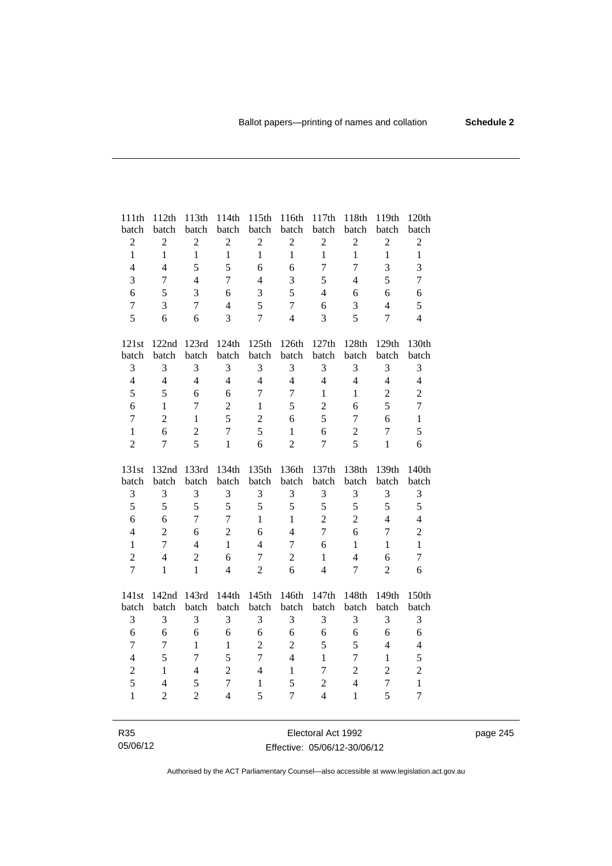| 111th            | 112th            | 113th          | 114th          | 115th            | 116th            | 117th          | 118th            | 119th          | 120th          |
|------------------|------------------|----------------|----------------|------------------|------------------|----------------|------------------|----------------|----------------|
| batch            | batch            | batch          | batch          | batch            | batch            | batch          | batch            | batch          | batch          |
| $\sqrt{2}$       | $\boldsymbol{2}$ | $\sqrt{2}$     | $\sqrt{2}$     | $\boldsymbol{2}$ | $\mathbf{2}$     | $\mathbf{2}$   | $\sqrt{2}$       | $\mathbf{2}$   | $\mathbf{2}$   |
| $\mathbf{1}$     | $\mathbf{1}$     | $\mathbf{1}$   | $\mathbf{1}$   | $\mathbf{1}$     | $\mathbf{1}$     | $\mathbf{1}$   | $\mathbf{1}$     | $\mathbf{1}$   | $\mathbf{1}$   |
| $\overline{4}$   | $\overline{4}$   | 5              | 5              | 6                | 6                | $\tau$         | $\overline{7}$   | 3              | 3              |
| 3                | $\tau$           | $\overline{4}$ | $\overline{7}$ | $\overline{4}$   | 3                | 5              | $\overline{4}$   | 5              | $\overline{7}$ |
| 6                | 5                | 3              | 6              | 3                | 5                | $\overline{4}$ | 6                | 6              | 6              |
| $\boldsymbol{7}$ | 3                | $\overline{7}$ | $\overline{4}$ | 5                | $\overline{7}$   | 6              | 3                | $\overline{4}$ | 5              |
| 5                | 6                | 6              | $\overline{3}$ | $\overline{7}$   | $\overline{4}$   | 3              | 5                | $\overline{7}$ | $\overline{4}$ |
| 121st            | 122nd            | 123rd          | 124th          | 125th            | 126th            | 127th          | $128\mathrm{th}$ | 129th          | 130th          |
| batch            | batch            | batch          | batch          | batch            | batch            | batch          | batch            | batch          | batch          |
| 3                | 3                | 3              | 3              | 3                | 3                | 3              | 3                | 3              | 3              |
| $\overline{4}$   | $\overline{4}$   | $\overline{4}$ | $\overline{4}$ | $\overline{4}$   | $\overline{4}$   | $\overline{4}$ | $\overline{4}$   | $\overline{4}$ | $\overline{4}$ |
| 5                | 5                | 6              | 6              | $\overline{7}$   | $\overline{7}$   | 1              | $\mathbf{1}$     | $\sqrt{2}$     | $\overline{c}$ |
| 6                | $\mathbf{1}$     | 7              | $\overline{c}$ | $\mathbf{1}$     | 5                | $\overline{2}$ | 6                | 5              | $\overline{7}$ |
| $\overline{7}$   | $\overline{2}$   | $\mathbf{1}$   | 5              | $\overline{2}$   | 6                | 5              | $\tau$           | 6              | $\mathbf{1}$   |
| $\mathbf{1}$     | 6                | $\overline{2}$ | $\overline{7}$ | 5                | $\mathbf{1}$     | 6              | $\sqrt{2}$       | $\overline{7}$ | 5              |
| $\overline{2}$   | 7                | 5              | $\mathbf{1}$   | 6                | $\overline{2}$   | 7              | 5                | $\mathbf{1}$   | 6              |
|                  |                  |                |                |                  |                  |                |                  |                |                |
| 131st            | 132nd            | 133rd          | 134th          | 135th            | 136th            | 137th          | 138th            | 139th          | 140th          |
| batch            | batch            | batch          | batch          | batch            | batch            | batch          | batch            | batch          | batch          |
| $\mathfrak 3$    | 3                | 3              | 3              | 3                | $\mathfrak{Z}$   | 3              | 3                | 3              | $\mathfrak{Z}$ |
| 5                | 5                | 5              | 5              | 5                | 5                | 5              | 5                | 5              | 5              |
| 6                | 6                | $\overline{7}$ | $\overline{7}$ | $\mathbf{1}$     | $\mathbf{1}$     | $\overline{c}$ | $\overline{c}$   | $\overline{4}$ | $\overline{4}$ |
| $\overline{4}$   | $\overline{2}$   | 6              | $\overline{2}$ | 6                | $\overline{4}$   | $\overline{7}$ | 6                | $\overline{7}$ | $\overline{c}$ |
| $\mathbf{1}$     | $\tau$           | $\overline{4}$ | $\mathbf{1}$   | $\overline{4}$   | $\boldsymbol{7}$ | 6              | $\mathbf{1}$     | $\mathbf{1}$   | $\mathbf{1}$   |
| $\overline{c}$   | $\overline{4}$   | $\overline{2}$ | 6              | $\overline{7}$   | $\overline{2}$   | $\mathbf{1}$   | $\overline{4}$   | 6              | $\tau$         |
| $\overline{7}$   | $\mathbf{1}$     | $\mathbf{1}$   | $\overline{4}$ | $\overline{2}$   | 6                | $\overline{4}$ | $\overline{7}$   | $\overline{2}$ | 6              |
| 141st            | 142nd            | 143rd          | 144th          | 145th            | 146th            | 147th          | 148th            | 149th          | 150th          |
| batch            | batch            | batch          | batch          | batch            | batch            | batch          | batch            | batch          | batch          |
| 3                | 3                | 3              | 3              | 3                | 3                | 3              | 3                | 3              | 3              |
| 6                | 6                | 6              | 6              | 6                | 6                | 6              | $\sqrt{6}$       | 6              | 6              |
| $\overline{7}$   | $\overline{7}$   | $\mathbf{1}$   | $\mathbf{1}$   | $\overline{2}$   | $\overline{2}$   | 5              | 5                | $\overline{4}$ | $\overline{4}$ |
| $\overline{4}$   | 5                | $\overline{7}$ | 5              | $\overline{7}$   | $\overline{4}$   | $\mathbf{1}$   | $\overline{7}$   | $\mathbf{1}$   | 5              |
| $\overline{c}$   | $\mathbf{1}$     | $\overline{4}$ | $\overline{2}$ | $\overline{4}$   | $\mathbf{1}$     | $\overline{7}$ | $\overline{c}$   | $\overline{c}$ | $\overline{c}$ |
| 5                | $\overline{4}$   | 5              | $\overline{7}$ | $\mathbf{1}$     | 5                | $\overline{c}$ | $\overline{4}$   | $\overline{7}$ | $\mathbf{1}$   |
| $\mathbf{1}$     | $\overline{2}$   | $\overline{2}$ | $\overline{4}$ | 5                | $\overline{7}$   | $\overline{4}$ | $\mathbf{1}$     | 5              | $\overline{7}$ |

R35 05/06/12

Electoral Act 1992 Effective: 05/06/12-30/06/12 page 245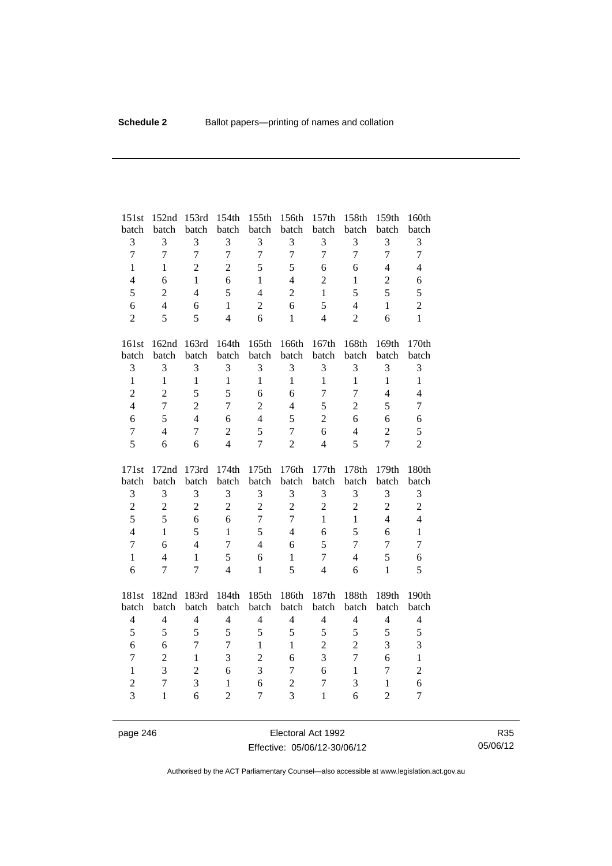| 151st               | 152nd             | 153rd          | 154th                          | 155th               | 156th                            | 157th                          | 158th          | 159th                          | 160th               |
|---------------------|-------------------|----------------|--------------------------------|---------------------|----------------------------------|--------------------------------|----------------|--------------------------------|---------------------|
| batch               | batch             | batch          | batch                          | batch               | batch                            | batch                          | batch          | batch                          | batch               |
| 3                   | 3                 | 3              | 3                              | 3                   | 3                                | 3                              | 3              | 3                              | 3                   |
| $\overline{7}$      | $\overline{7}$    | $\overline{7}$ | $\overline{7}$                 | $\overline{7}$      | $\overline{7}$                   | $\overline{7}$                 | $\overline{7}$ | $\overline{7}$                 | $\overline{7}$      |
| $\mathbf{1}$        | $\mathbf{1}$      | $\overline{2}$ | $\overline{2}$                 | 5                   | 5                                | 6                              | 6              | $\overline{4}$                 | $\overline{4}$      |
| $\overline{4}$      | 6                 | $\mathbf{1}$   | 6                              | $\mathbf{1}$        | $\overline{4}$                   | $\overline{2}$                 | $\mathbf{1}$   | $\overline{2}$                 | 6                   |
| 5                   | $\boldsymbol{2}$  | $\overline{4}$ | 5                              | $\overline{4}$      | $\boldsymbol{2}$                 | $\mathbf{1}$                   | 5              | 5                              | 5                   |
| 6                   | $\overline{4}$    | 6              | $\mathbf{1}$                   | $\overline{2}$      | 6                                | 5                              | $\overline{4}$ | $\mathbf{1}$                   | $\overline{c}$      |
| $\overline{2}$      | 5                 | 5              | $\overline{4}$                 | 6                   | $\mathbf{1}$                     | $\overline{4}$                 | $\overline{2}$ | 6                              | $\mathbf{1}$        |
| 161st               | 162nd             | 163rd          | 164th                          | 165th               | 166th                            | 167th                          | 168th          | 169th                          | 170th               |
| batch               | batch             | batch          | batch                          | batch               | batch                            | batch                          | batch          | batch                          | batch               |
| $\mathfrak{Z}$      | 3                 | 3              | 3                              | 3                   | 3                                | 3                              | 3              | 3                              | 3                   |
| $\mathbf{1}$        | $\mathbf{1}$      | $\mathbf{1}$   | $\mathbf{1}$                   | $\mathbf{1}$        | $\mathbf{1}$                     | $\mathbf{1}$                   | $\mathbf{1}$   | $\mathbf{1}$                   | $\mathbf{1}$        |
| $\overline{c}$      | $\overline{2}$    | 5              | 5                              | 6                   | 6                                | 7                              | 7              | $\overline{4}$                 | $\overline{4}$      |
| $\overline{4}$      | $\overline{7}$    | $\overline{2}$ | $\overline{7}$                 | $\sqrt{2}$          | $\overline{4}$                   | 5                              | $\overline{2}$ | 5                              | $\overline{7}$      |
| 6                   | 5                 | $\overline{4}$ | 6                              | $\overline{4}$      | 5                                | $\overline{2}$                 | 6              | 6                              | 6                   |
| $\boldsymbol{7}$    | $\overline{4}$    | $\tau$         | $\overline{2}$                 | 5                   | $\overline{7}$                   | 6                              | $\overline{4}$ | $\overline{2}$                 | 5                   |
| 5                   | 6                 | 6              | $\overline{4}$                 | $\overline{7}$      | $\overline{2}$                   | $\overline{4}$                 | 5              | $\overline{7}$                 | $\overline{c}$      |
|                     |                   |                |                                |                     |                                  |                                |                |                                |                     |
| 171st               | 172nd             | 173rd          | 174th                          | 175th               | 176th                            | 177th                          | 178th          | 179th                          | 180th               |
| batch               | batch             | batch          | batch                          | batch               | batch                            | batch                          | batch          | batch                          | batch               |
| $\mathfrak 3$       | 3                 | 3              | 3                              | $\mathfrak{Z}$      | $\mathfrak{Z}$                   | 3                              | 3              | 3                              | 3                   |
| $\overline{c}$      | $\overline{c}$    | $\overline{c}$ | $\overline{2}$                 | $\overline{c}$      | $\overline{c}$                   | $\overline{2}$                 | $\overline{c}$ | $\overline{c}$                 | $\overline{c}$      |
| 5                   | 5                 | 6              | 6                              | $\overline{7}$      | $\overline{7}$                   | $\mathbf{1}$                   | $\mathbf{1}$   | $\overline{4}$                 | $\overline{4}$      |
| $\overline{4}$      | $\mathbf{1}$      | 5              | $\mathbf{1}$                   | 5                   | $\overline{4}$                   | 6                              | 5              | 6                              | $\mathbf{1}$        |
| $\overline{7}$      | 6                 | $\overline{4}$ | 7                              | $\overline{4}$      | 6                                | 5                              | 7              | $\overline{7}$                 | $\overline{7}$      |
| $\mathbf{1}$        | $\overline{4}$    | $\mathbf{1}$   | 5                              | 6                   | $\mathbf{1}$                     | $\tau$                         | $\overline{4}$ | 5                              | 6                   |
| 6                   | $\overline{7}$    | $\overline{7}$ | $\overline{4}$                 | $\mathbf{1}$        | 5                                | $\overline{4}$                 | 6              | $\mathbf{1}$                   | 5                   |
| 181st               | 182nd             | 183rd          | 184th                          | 185th               | 186th                            | 187th                          | 188th          | 189th                          | 190th               |
| batch               | batch             | batch          | batch                          | batch               | batch                            | batch                          | batch          | batch                          | batch               |
| $\overline{4}$      | $\overline{4}$    | $\overline{4}$ | $\overline{4}$                 | $\overline{4}$      | $\overline{4}$                   | $\overline{\mathcal{L}}$       | $\overline{4}$ | $\overline{4}$                 | $\overline{4}$      |
| 5                   | 5                 | 5              | 5                              | 5                   | 5                                | 5                              | 5              | 5                              | 5                   |
| 6                   | 6                 | $\overline{7}$ | $\overline{7}$                 | $\mathbf{1}$        | $\mathbf{1}$                     | $\overline{c}$                 | $\overline{2}$ | 3                              | 3                   |
| $\overline{7}$      | $\overline{c}$    | $\mathbf{1}$   | $\overline{3}$                 | $\overline{2}$      | 6                                | 3                              | $\overline{7}$ | 6                              | $\mathbf{1}$        |
| $\mathbf{1}$        | 3                 | $\overline{2}$ | 6                              | 3                   | $\overline{7}$                   | 6                              | $\mathbf{1}$   | 7                              | $\overline{c}$      |
| $\overline{c}$<br>3 | 7<br>$\mathbf{1}$ | 3<br>6         | $\mathbf{1}$<br>$\overline{2}$ | 6<br>$\overline{7}$ | $\overline{c}$<br>$\overline{3}$ | $\overline{7}$<br>$\mathbf{1}$ | 3<br>6         | $\mathbf{1}$<br>$\overline{2}$ | 6<br>$\overline{7}$ |

page 246 Electoral Act 1992 Effective: 05/06/12-30/06/12

R35 05/06/12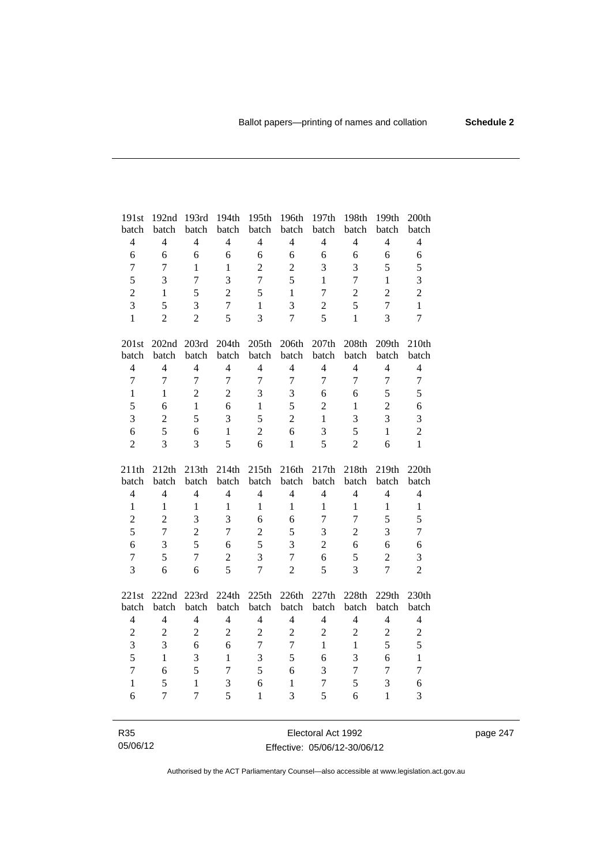| 191st                    | 192nd          | 193rd                    | 194th          | 195th          | 196th          | 197th          | 198th          | 199th          | 200th          |
|--------------------------|----------------|--------------------------|----------------|----------------|----------------|----------------|----------------|----------------|----------------|
| batch                    | batch          | batch                    | batch          | batch          | batch          | batch          | batch          | batch          | batch          |
| $\overline{4}$           | $\overline{4}$ | $\overline{4}$           | $\overline{4}$ | $\overline{4}$ | $\overline{4}$ | $\overline{4}$ | $\overline{4}$ | $\overline{4}$ | $\overline{4}$ |
| 6                        | 6              | 6                        | 6              | 6              | 6              | 6              | 6              | 6              | 6              |
| $\tau$                   | $\overline{7}$ | $\mathbf{1}$             | $\mathbf{1}$   | $\overline{c}$ | $\overline{c}$ | 3              | 3              | 5              | 5              |
| 5                        | 3              | $\overline{7}$           | $\overline{3}$ | $\overline{7}$ | 5              | $\mathbf{1}$   | $\overline{7}$ | $\mathbf{1}$   | 3              |
| $\overline{c}$           | $\mathbf{1}$   | 5                        | $\overline{2}$ | 5              | $\mathbf{1}$   | $\tau$         | $\overline{2}$ | $\overline{2}$ | $\overline{2}$ |
| $\overline{3}$           | 5              | 3                        | $\overline{7}$ | $\mathbf{1}$   | 3              | $\overline{c}$ | 5              | $\overline{7}$ | $\mathbf{1}$   |
| $\mathbf{1}$             | $\overline{2}$ | $\overline{2}$           | 5              | $\overline{3}$ | $\overline{7}$ | 5              | $\mathbf{1}$   | $\overline{3}$ | $\overline{7}$ |
|                          |                |                          |                |                |                |                |                |                |                |
| 201st                    |                | 202nd 203rd              | 204th          | 205th          | 206th          | 207th          | 208th          | 209th          | 210th          |
| batch                    | batch          | batch                    | batch          | batch          | batch          | batch          | batch          | batch          | batch          |
| $\overline{\mathcal{L}}$ | $\overline{4}$ | $\overline{4}$           | $\overline{4}$ | $\overline{4}$ | $\overline{4}$ | $\overline{4}$ | $\overline{4}$ | $\overline{4}$ | $\overline{4}$ |
| $\overline{7}$           | $\overline{7}$ | $\overline{7}$           | $\overline{7}$ | $\overline{7}$ | $\overline{7}$ | 7              | $\overline{7}$ | $\overline{7}$ | $\overline{7}$ |
| $\mathbf{1}$             | $\mathbf{1}$   | $\overline{2}$           | $\overline{2}$ | 3              | 3              | 6              | 6              | 5              | 5              |
| 5                        | 6              | $\mathbf{1}$             | 6              | $\mathbf{1}$   | 5              | $\overline{2}$ | $\mathbf{1}$   | $\overline{2}$ | 6              |
| 3                        | $\overline{2}$ | 5                        | 3              | 5              | $\overline{2}$ | $\mathbf{1}$   | 3              | $\overline{3}$ | 3              |
| 6                        | 5              | 6                        | $\mathbf{1}$   | $\overline{2}$ | 6              | 3              | 5              | $\mathbf{1}$   | $\overline{2}$ |
| $\overline{2}$           | 3              | 3                        | 5              | 6              | $\mathbf{1}$   | 5              | $\overline{2}$ | 6              | $\mathbf{1}$   |
|                          |                |                          |                |                |                |                |                |                |                |
|                          |                |                          |                |                |                |                |                |                |                |
| 211th                    | 212th          | 213th                    | 214th          | 215th          | 216th          | 217th          | 218th          | 219th          | 220th          |
| batch                    | batch          | batch                    | batch          | batch          | batch          | batch          | batch          | batch          | batch          |
| $\overline{\mathbf{4}}$  | $\overline{4}$ | $\overline{4}$           | $\overline{4}$ | $\overline{4}$ | $\overline{4}$ | $\overline{4}$ | $\overline{4}$ | $\overline{4}$ | $\overline{4}$ |
| $\mathbf{1}$             | $\mathbf{1}$   | $\mathbf{1}$             | 1              | 1              | 1              | 1              | $\mathbf{1}$   | $\mathbf{1}$   | $\mathbf{1}$   |
| $\overline{c}$           | $\overline{2}$ | 3                        | 3              | 6              | 6              | 7              | $\overline{7}$ | 5              | 5              |
| 5                        | $\overline{7}$ | $\overline{2}$           | $\overline{7}$ | $\overline{2}$ | 5              | 3              | $\overline{2}$ | $\overline{3}$ | $\overline{7}$ |
| 6                        | 3              | 5                        | 6              | 5              | 3              | $\overline{2}$ | $\epsilon$     | 6              | 6              |
| $\overline{7}$           | 5              | $\overline{7}$           | $\overline{c}$ | 3              | $\overline{7}$ | 6              | 5              | $\overline{2}$ | 3              |
| $\overline{3}$           | 6              | 6                        | 5              | $\overline{7}$ | $\overline{2}$ | 5              | 3              | $\overline{7}$ | $\overline{2}$ |
|                          |                |                          |                |                |                |                |                |                |                |
| 221st                    | 222nd 223rd    |                          | 224th          | 225th          | 226th          | 227th          | 228th          | 229th          | 230th          |
| batch                    | batch          | batch                    | batch          | batch          | batch          | batch          | batch          | batch          | batch          |
| $\overline{\mathcal{L}}$ | $\overline{4}$ | $\overline{\mathcal{L}}$ | $\overline{4}$ | $\overline{4}$ | $\overline{4}$ | $\overline{4}$ | $\overline{4}$ | $\overline{4}$ | $\overline{4}$ |
| $\overline{2}$           | $\overline{2}$ | $\overline{2}$           | $\overline{2}$ | $\overline{2}$ | $\overline{2}$ | $\overline{2}$ | $\overline{2}$ | $\overline{c}$ | $\overline{c}$ |
| 3                        | 3              | 6                        | 6              | $\overline{7}$ | $\overline{7}$ | $\mathbf{1}$   | $\mathbf{1}$   | 5              | 5              |
| 5                        | $\mathbf{1}$   | 3                        | $\mathbf{1}$   | $\mathfrak{Z}$ | 5              | 6              | 3              | 6              | $\mathbf{1}$   |
| $\overline{7}$           | 6              | 5                        | $\overline{7}$ | 5              | 6              | 3              | $\overline{7}$ | $\overline{7}$ | $\overline{7}$ |
| $\mathbf{1}$             | 5              | $\mathbf{1}$             | 3              | 6              | $\mathbf{1}$   | 7              | 5              | 3              | 6              |
| 6                        | 7              | $\overline{7}$           | 5              | $\mathbf{1}$   | 3              | 5              | 6              | $\mathbf{1}$   | 3              |

page 247

R35 05/06/12

Electoral Act 1992 Effective: 05/06/12-30/06/12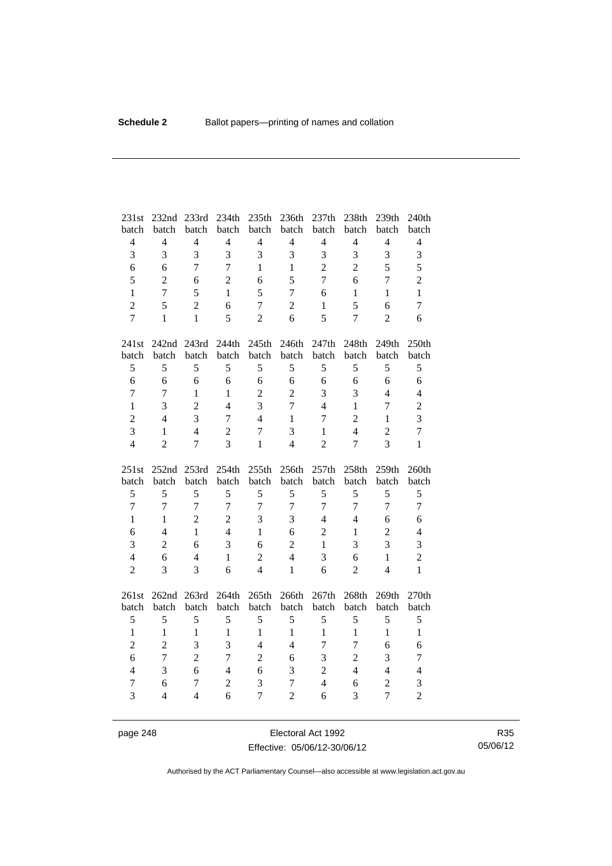| 231st                            | 232nd               | 233rd          | 234th                   | 235th               | 236th               | 237th          | 238th          | 239th                        | 240th               |
|----------------------------------|---------------------|----------------|-------------------------|---------------------|---------------------|----------------|----------------|------------------------------|---------------------|
| batch                            | batch               | batch          | batch                   | batch               | batch               | batch          | batch          | batch                        | batch               |
| $\overline{4}$                   | $\overline{4}$      | $\overline{4}$ | $\overline{4}$          | $\overline{4}$      | $\overline{4}$      | $\overline{4}$ | $\overline{4}$ | $\overline{4}$               | $\overline{4}$      |
| $\overline{3}$                   | 3                   | 3              | 3                       | 3                   | 3                   | 3              | 3              | 3                            | $\overline{3}$      |
| 6                                | 6                   | $\overline{7}$ | $\overline{7}$          | $\mathbf{1}$        | $\mathbf{1}$        | $\overline{2}$ | $\overline{2}$ | 5                            | 5                   |
| 5                                | $\overline{2}$      | 6              | $\overline{2}$          | 6                   | 5                   | $\overline{7}$ | 6              | $\overline{7}$               | $\overline{c}$      |
| $\mathbf{1}$                     | $\overline{7}$      | 5              | $\mathbf{1}$            | 5                   | $\overline{7}$      | 6              | $\mathbf{1}$   | $\mathbf{1}$                 | $\mathbf{1}$        |
| $\overline{2}$                   | 5                   | $\overline{2}$ | 6                       | $\overline{7}$      | $\overline{2}$      | $\mathbf{1}$   | 5              | 6                            | $\overline{7}$      |
| $\overline{7}$                   | $\mathbf{1}$        | $\mathbf{1}$   | 5                       | $\overline{2}$      | 6                   | 5              | $\overline{7}$ | $\overline{2}$               | 6                   |
| 241st                            | 242nd 243rd         |                | 244th                   | 245th               | 246th               | 247th          | 248th          | 249th                        | 250th               |
| batch                            | batch               | batch          | batch                   | batch               | batch               | batch          | batch          | batch                        | batch               |
| 5                                | 5                   | 5              | 5                       | 5                   | 5                   | 5              | 5              | 5                            | 5                   |
| $\sqrt{6}$                       | 6                   | 6              | 6                       | 6                   | 6                   | 6              | 6              | 6                            | 6                   |
| $\boldsymbol{7}$                 | $\overline{7}$      | $\mathbf{1}$   | $\mathbf{1}$            | $\overline{2}$      | $\overline{2}$      | 3              | 3              | $\overline{4}$               | $\overline{4}$      |
| $\mathbf{1}$                     | 3                   | $\overline{2}$ | $\overline{4}$          | 3                   | $\overline{7}$      | $\overline{4}$ | $\mathbf{1}$   | $\overline{7}$               | $\overline{c}$      |
| $\overline{c}$                   | $\overline{4}$      | $\overline{3}$ | $\overline{7}$          | $\overline{4}$      | $\mathbf{1}$        | 7              | $\overline{2}$ | $\mathbf{1}$                 | $\overline{3}$      |
| 3                                | $\mathbf{1}$        | $\overline{4}$ | $\overline{2}$          | $\overline{7}$      | 3                   | 1              | $\overline{4}$ | $\overline{2}$               | $\overline{7}$      |
| $\overline{4}$                   | $\overline{2}$      | $\overline{7}$ | $\overline{3}$          | $\mathbf{1}$        | $\overline{4}$      | $\overline{2}$ | $\overline{7}$ | 3                            | $\mathbf{1}$        |
|                                  |                     |                |                         |                     |                     |                |                |                              |                     |
| 251st                            | 252nd               | 253rd          | 254th                   | 255th               | 256th               | 257th          | 258th          | 259th                        | 260th               |
| batch                            | batch               | batch          | batch                   | batch               | batch               | batch          | batch          | batch                        | batch               |
| $\mathfrak s$                    | 5                   | 5              | 5                       | 5                   | 5                   | 5              | 5              | 5                            | 5                   |
| $\overline{7}$                   | $\overline{7}$      | $\overline{7}$ | $\overline{7}$          | $\overline{7}$      | $\overline{7}$      | $\overline{7}$ | $\overline{7}$ | $\overline{7}$               | $\overline{7}$      |
| $\mathbf{1}$                     | $\mathbf{1}$        | $\overline{2}$ | $\overline{2}$          | 3                   | 3                   | $\overline{4}$ | $\overline{4}$ | 6                            | 6                   |
| 6                                | $\overline{4}$      | $\mathbf{1}$   | $\overline{4}$          | $\mathbf{1}$        | 6                   | $\mathbf{2}$   | $\mathbf{1}$   | $\overline{c}$               | $\overline{4}$      |
| 3                                | $\overline{2}$      | 6              | 3                       | 6                   | $\overline{2}$      | $\mathbf{1}$   | 3              | 3                            | 3                   |
| $\overline{4}$                   | 6                   | $\overline{4}$ | $\mathbf{1}$            | $\overline{2}$      | $\overline{4}$      | 3              | 6              | $\mathbf{1}$                 | $\overline{2}$      |
| $\overline{2}$                   | 3                   | 3              | 6                       | 4                   | $\mathbf{1}$        | 6              | $\overline{2}$ | $\overline{4}$               | $\mathbf{1}$        |
| 261st                            | 262nd 263rd         |                | 264th                   | 265th               | 266th               | 267th          | 268th          | 269th                        | 270th               |
| batch                            | batch               | batch          | batch                   | batch               | batch               | batch          | batch          | batch                        | batch               |
| 5                                | 5                   | 5              | 5                       | 5                   | 5                   | 5              | 5              | 5                            | 5                   |
| $\mathbf{1}$                     | $\mathbf{1}$        | $\mathbf{1}$   | $\mathbf{1}$            | $\mathbf{1}$        | $\mathbf{1}$        | $\mathbf{1}$   | $\mathbf{1}$   | $\mathbf{1}$                 | $\mathbf{1}$        |
| $\overline{2}$                   | $\overline{c}$      | 3              | $\overline{\mathbf{3}}$ | $\overline{4}$      | $\overline{4}$      | $\overline{7}$ | $\overline{7}$ | 6                            | 6                   |
| 6                                | $\overline{7}$      | $\overline{2}$ | $\overline{7}$          | $\overline{2}$      | 6                   | 3              | $\overline{2}$ | 3                            | $\tau$              |
| $\overline{4}$                   | 3                   | 6              | $\overline{4}$          | 6                   | 3                   | $\overline{c}$ | $\overline{4}$ | $\overline{4}$               | $\overline{4}$      |
| $\overline{7}$<br>$\overline{3}$ | 6<br>$\overline{4}$ | $\overline{7}$ | $\overline{c}$<br>6     | 3<br>$\overline{7}$ | 7<br>$\overline{2}$ | $\overline{4}$ | 6<br>3         | $\sqrt{2}$<br>$\overline{7}$ | 3<br>$\overline{2}$ |

page 248 Electoral Act 1992 Effective: 05/06/12-30/06/12

R35 05/06/12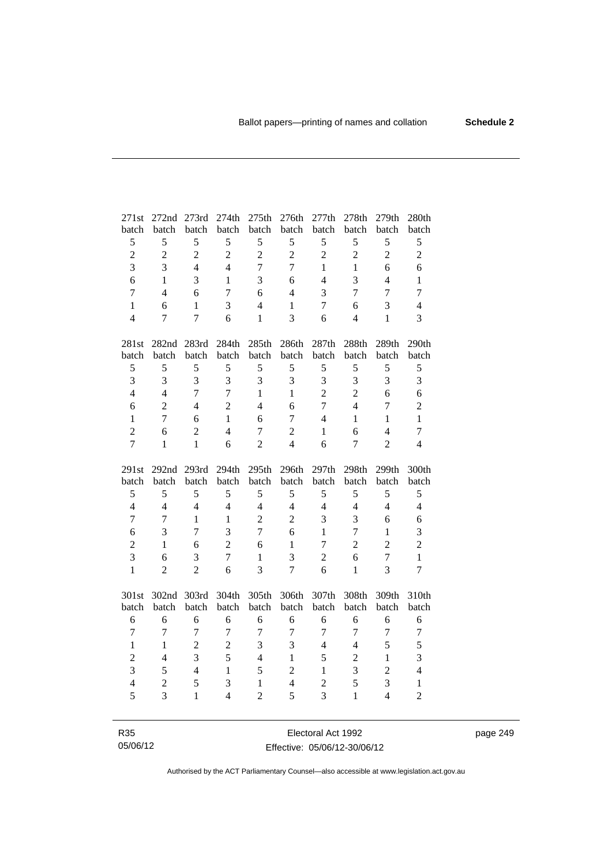| 271st                  | 272nd 273rd                      |                          | 274th                              | 275th                          | 276th                 | 277th                            | 278th                    | 279th               | 280th                          |
|------------------------|----------------------------------|--------------------------|------------------------------------|--------------------------------|-----------------------|----------------------------------|--------------------------|---------------------|--------------------------------|
| batch                  | batch                            | batch                    | batch                              | batch                          | batch                 | batch                            | batch                    | batch               | batch                          |
| $\mathfrak s$          | 5                                | 5                        | 5                                  | 5                              | 5                     | 5                                | 5                        | 5                   | 5                              |
| $\overline{2}$         | $\overline{2}$                   | $\overline{c}$           | $\overline{2}$                     | $\overline{2}$                 | $\overline{2}$        | $\overline{2}$                   | $\overline{2}$           | $\overline{2}$      | $\overline{c}$                 |
| 3                      | 3                                | $\overline{4}$           | $\overline{4}$                     | $\overline{7}$                 | $\overline{7}$        | $\mathbf{1}$                     | $\mathbf{1}$             | 6                   | 6                              |
| 6                      | 1                                | 3                        | 1                                  | 3                              | 6                     | $\overline{4}$                   | 3                        | $\overline{4}$      | $\mathbf{1}$                   |
| $\overline{7}$         | $\overline{4}$                   | 6                        | $\tau$                             | 6                              | $\overline{4}$        | 3                                | 7                        | $\overline{7}$      | $\overline{7}$                 |
| $\mathbf{1}$           | 6                                | $\mathbf{1}$             | 3                                  | $\overline{4}$                 | $\mathbf{1}$          | $\tau$                           | 6                        | 3                   | $\overline{4}$                 |
| $\overline{4}$         | 7                                | $\overline{7}$           | 6                                  | $\mathbf{1}$                   | 3                     | 6                                | $\overline{4}$           | $\mathbf{1}$        | 3                              |
| 281st                  | 282nd                            | 283rd                    | 284th                              | 285 <sup>th</sup>              | 286th                 | 287th                            | 288th                    | 289th               | 290th                          |
| batch                  | batch                            | batch                    | batch                              | batch                          | batch                 | batch                            | batch                    | batch               | batch                          |
| 5                      | 5                                | 5                        | 5                                  | 5                              | 5                     | 5                                | 5                        | 5                   | 5                              |
| $\overline{3}$         | 3                                | 3                        | 3                                  | 3                              | 3                     | 3                                | 3                        | 3                   | 3                              |
| $\overline{4}$         | $\overline{4}$                   | $\overline{7}$           | $\overline{7}$                     | $\mathbf{1}$                   | $\mathbf{1}$          | $\overline{c}$                   | $\overline{c}$           | 6                   | 6                              |
| 6                      | $\overline{2}$                   | $\overline{4}$           | $\overline{2}$                     | 4                              | 6                     | $\overline{7}$                   | $\overline{4}$           | $\overline{7}$      | $\overline{c}$                 |
| $\mathbf{1}$           | $\overline{7}$                   | 6                        | $\mathbf{1}$                       | 6                              | $\tau$                | $\overline{4}$                   | 1                        | $\mathbf{1}$        | $\mathbf{1}$                   |
| $\overline{2}$         | 6                                | $\overline{2}$           | $\overline{4}$                     | 7                              | $\overline{c}$        | $\mathbf{1}$                     | 6                        | $\overline{4}$      | $\tau$                         |
| $\overline{7}$         | $\mathbf{1}$                     | $\mathbf{1}$             | 6                                  | $\overline{2}$                 | $\overline{4}$        | 6                                | $\overline{7}$           | $\overline{2}$      | $\overline{4}$                 |
|                        |                                  |                          |                                    |                                |                       |                                  |                          |                     |                                |
|                        |                                  |                          |                                    |                                |                       |                                  |                          |                     |                                |
| 291st                  | 292nd                            | 293rd                    | 294th                              | 295 <sup>th</sup>              | 296th                 |                                  | 298th                    | 299th               | 300th                          |
| batch                  | batch                            | batch                    | batch                              | batch                          | batch                 | 297th<br>batch                   | batch                    | batch               | batch                          |
| 5                      | $\mathfrak s$                    | 5                        | 5                                  | 5                              | $\mathfrak s$         | 5                                | 5                        | 5                   | 5                              |
| $\overline{4}$         | $\overline{4}$                   | $\overline{4}$           | $\overline{4}$                     | $\overline{4}$                 | $\overline{4}$        | $\overline{4}$                   | $\overline{4}$           | $\overline{4}$      | $\overline{4}$                 |
| $\overline{7}$         | $\overline{7}$                   | $\mathbf{1}$             | $\mathbf{1}$                       | $\overline{2}$                 | $\sqrt{2}$            | 3                                | 3                        | 6                   | 6                              |
| 6                      | 3                                | $\overline{7}$           | $\overline{3}$                     | $\overline{7}$                 | 6                     | $\mathbf{1}$                     | $\overline{7}$           | $\mathbf{1}$        | 3                              |
| $\overline{2}$         | $\mathbf{1}$                     | 6                        | $\overline{2}$                     | 6                              | $\mathbf{1}$          | 7                                | $\overline{2}$           | $\overline{2}$      | $\overline{2}$                 |
| 3                      | 6                                | 3                        | $\overline{7}$                     | $\mathbf{1}$                   | 3                     | $\overline{2}$                   | 6                        | $\overline{7}$      | $\mathbf{1}$                   |
| $\mathbf{1}$           | $\overline{2}$                   | $\overline{c}$           | 6                                  | 3                              | $\overline{7}$        | 6                                | $\mathbf{1}$             | 3                   | $\tau$                         |
|                        |                                  |                          |                                    |                                |                       |                                  |                          |                     |                                |
| 301st                  | 302 <sub>nd</sub>                | 303rd                    | 304th                              | 305th                          | 306th                 | 307th                            | 308th                    | 309th               | 310th                          |
| batch                  | batch                            | batch                    | batch                              | batch                          | batch                 | batch                            | batch                    | batch               | batch                          |
| 6                      | 6                                | 6                        | 6                                  | 6                              | 6                     | 6                                | 6                        | 6                   | 6                              |
| $\tau$<br>$\mathbf{1}$ | $\overline{7}$<br>$\mathbf{1}$   | $\tau$<br>$\overline{2}$ | $\boldsymbol{7}$<br>$\overline{2}$ | $\overline{7}$<br>3            | $\boldsymbol{7}$<br>3 | $\tau$<br>$\overline{4}$         | $\tau$<br>$\overline{4}$ | $\overline{7}$<br>5 | $\tau$<br>5                    |
|                        | $\overline{4}$                   | 3                        |                                    | $\overline{4}$                 | $\mathbf{1}$          | 5                                |                          | $\mathbf{1}$        |                                |
| $\overline{c}$         | 5                                | $\overline{4}$           | 5<br>$\mathbf{1}$                  | 5                              |                       | $\mathbf{1}$                     | $\overline{c}$           |                     | 3<br>$\overline{4}$            |
| $\overline{3}$         |                                  |                          |                                    |                                | $\overline{c}$        |                                  | 3                        | $\overline{c}$      |                                |
| $\overline{4}$<br>5    | $\overline{c}$<br>$\overline{3}$ | 5<br>$\mathbf{1}$        | 3<br>$\overline{4}$                | $\mathbf{1}$<br>$\overline{2}$ | $\overline{4}$<br>5   | $\overline{c}$<br>$\overline{3}$ | 5<br>$\mathbf{1}$        | 3<br>$\overline{4}$ | $\mathbf{1}$<br>$\overline{2}$ |

R35 05/06/12

Electoral Act 1992 Effective: 05/06/12-30/06/12 page 249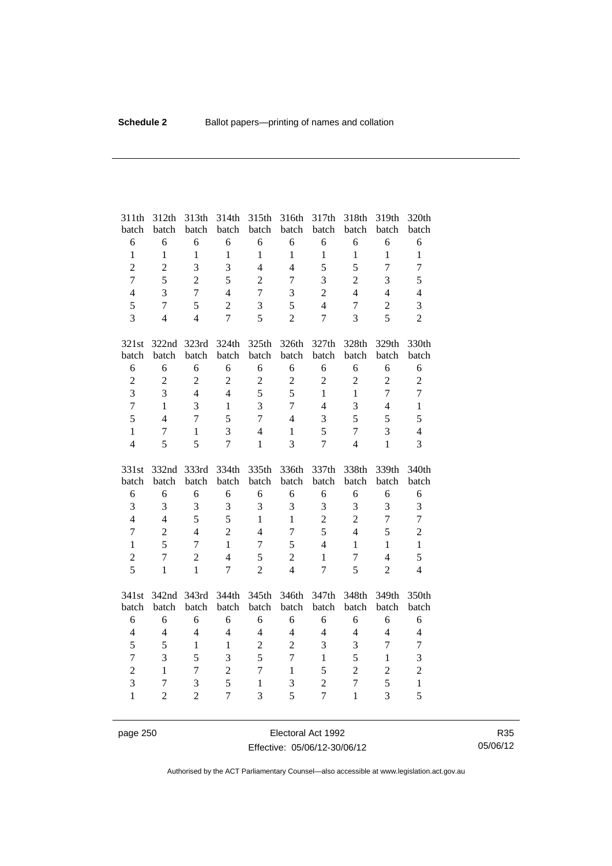| 311th          | 312th          | 313th          | 314th          | 315th          | 316th            | 317th          | 318th          | 319th          | 320th<br>batch    |
|----------------|----------------|----------------|----------------|----------------|------------------|----------------|----------------|----------------|-------------------|
| batch<br>6     | batch<br>6     | batch<br>6     | batch<br>6     | batch<br>6     | batch<br>6       | batch<br>6     | batch<br>6     | batch<br>6     | 6                 |
| $\mathbf{1}$   | $\mathbf{1}$   | $\mathbf{1}$   | $\mathbf{1}$   | $\mathbf{1}$   | $\mathbf{1}$     | $\mathbf{1}$   | $\mathbf{1}$   | $\mathbf{1}$   | $\mathbf{1}$      |
| $\overline{c}$ | $\overline{c}$ | 3              | 3              | $\overline{4}$ | $\overline{4}$   | 5              | 5              | $\overline{7}$ | $\overline{7}$    |
| $\overline{7}$ | 5              | $\overline{2}$ | 5              | $\overline{c}$ | $\overline{7}$   | 3              | $\overline{2}$ | 3              | 5                 |
|                | 3              | $\overline{7}$ | $\overline{4}$ | $\overline{7}$ | 3                | $\overline{2}$ | $\overline{4}$ | $\overline{4}$ |                   |
| $\overline{4}$ |                |                |                |                |                  |                |                |                | $\overline{4}$    |
| 5              | $\overline{7}$ | 5              | $\overline{2}$ | 3              | 5                | $\overline{4}$ | 7              | $\overline{2}$ | 3                 |
| $\overline{3}$ | $\overline{4}$ | $\overline{4}$ | $\overline{7}$ | 5              | $\overline{2}$   | $\overline{7}$ | 3              | 5              | $\overline{2}$    |
| 321st          | 322nd          | 323rd          | 324th          | 325th          | 326th            | 327th          | 328th          | 329th          | 330th             |
| batch          | batch          | batch          | batch          | batch          | batch            | batch          | batch          | batch          | batch             |
| 6              | 6              | 6              | 6              | 6              | 6                | 6              | 6              | 6              | 6                 |
| $\overline{2}$ | $\overline{2}$ | $\overline{c}$ | $\overline{2}$ | $\overline{c}$ | $\overline{c}$   | $\overline{2}$ | $\overline{2}$ | $\overline{2}$ | $\overline{c}$    |
| $\overline{3}$ | 3              | $\overline{4}$ | $\overline{4}$ | 5              | 5                | $\mathbf{1}$   | $\mathbf{1}$   | $\overline{7}$ | $\overline{7}$    |
| $\overline{7}$ | $\mathbf{1}$   | 3              | $\mathbf{1}$   | $\overline{3}$ | $\boldsymbol{7}$ | $\overline{4}$ | 3              | $\overline{4}$ | $\mathbf{1}$      |
| 5              | $\overline{4}$ | $\overline{7}$ | 5              | $\overline{7}$ | $\overline{4}$   | 3              | 5              | 5              | 5                 |
| $\mathbf{1}$   | $\overline{7}$ | $\mathbf{1}$   | 3              | $\overline{4}$ | $\mathbf{1}$     | 5              | $\overline{7}$ | 3              | $\overline{4}$    |
| $\overline{4}$ | 5              | 5              | $\overline{7}$ | $\mathbf{1}$   | $\overline{3}$   | $\overline{7}$ | $\overline{4}$ | $\mathbf{1}$   | $\overline{3}$    |
|                |                |                |                |                |                  |                |                |                |                   |
| 331st          | 332nd          | 333rd          | 334th          | 335th          | 336th            | 337th          | 338th          | 339th          | 340th             |
| batch          | batch          | batch          | batch          | batch          | batch            | batch          | batch          | batch          | batch             |
| 6              | 6              | 6              | 6              | 6              | 6                | 6              | 6              | 6              | 6                 |
| $\overline{3}$ | 3              | 3              | 3              | 3              | 3                | 3              | 3              | 3              | 3                 |
| $\overline{4}$ | $\overline{4}$ | 5              | 5              | $\mathbf{1}$   | $\mathbf{1}$     | $\overline{2}$ | $\overline{2}$ | $\overline{7}$ | $\overline{7}$    |
| $\overline{7}$ | $\overline{2}$ | $\overline{4}$ | $\overline{2}$ | $\overline{4}$ | $\boldsymbol{7}$ | 5              | $\overline{4}$ | 5              | $\overline{2}$    |
| $\mathbf{1}$   | 5              | 7              | $\mathbf{1}$   | $\tau$         | 5                | $\overline{4}$ | $\mathbf{1}$   | $\mathbf{1}$   | $\mathbf{1}$      |
| $\overline{c}$ | $\overline{7}$ | $\overline{2}$ | $\overline{4}$ | 5              | $\overline{2}$   | $\mathbf{1}$   | $\overline{7}$ | $\overline{4}$ | 5                 |
| 5              | $\mathbf{1}$   | $\mathbf{1}$   | $\overline{7}$ | $\overline{2}$ | $\overline{4}$   | 7              | 5              | $\overline{2}$ | $\overline{4}$    |
| 341st          | 342nd          | 343rd          | 344th          | 345th          | 346th            | 347th          | 348th          | 349th          | 350th             |
| batch          | batch          | batch          | batch          | batch          | batch            | batch          | batch          | batch          | batch             |
| 6              | 6              | 6              | 6              | 6              | 6                | 6              | 6              | 6              | 6                 |
| $\overline{4}$ | $\overline{4}$ | $\overline{4}$ | $\overline{4}$ | $\overline{4}$ | $\overline{4}$   | $\overline{4}$ | $\overline{4}$ | $\overline{4}$ | $\overline{4}$    |
| 5              | 5              | $\mathbf{1}$   | $\mathbf{1}$   | $\overline{c}$ | $\overline{2}$   | 3              | 3              | $\overline{7}$ | $\tau$            |
| $\overline{7}$ | 3              | 5              | 3              | 5              | $\overline{7}$   | $\mathbf{1}$   | 5              | $\mathbf{1}$   | 3                 |
| $\overline{2}$ | $\mathbf{1}$   | 7              | $\overline{c}$ | $\overline{7}$ | $\mathbf{1}$     | 5              | $\overline{2}$ | $\overline{2}$ | $\overline{c}$    |
| 3              | 7              | 3              | 5              | $\mathbf{1}$   | 3                | $\overline{2}$ | $\overline{7}$ | 5<br>3         | $\mathbf{1}$<br>5 |

page 250 **Electoral Act 1992** Effective: 05/06/12-30/06/12

R35 05/06/12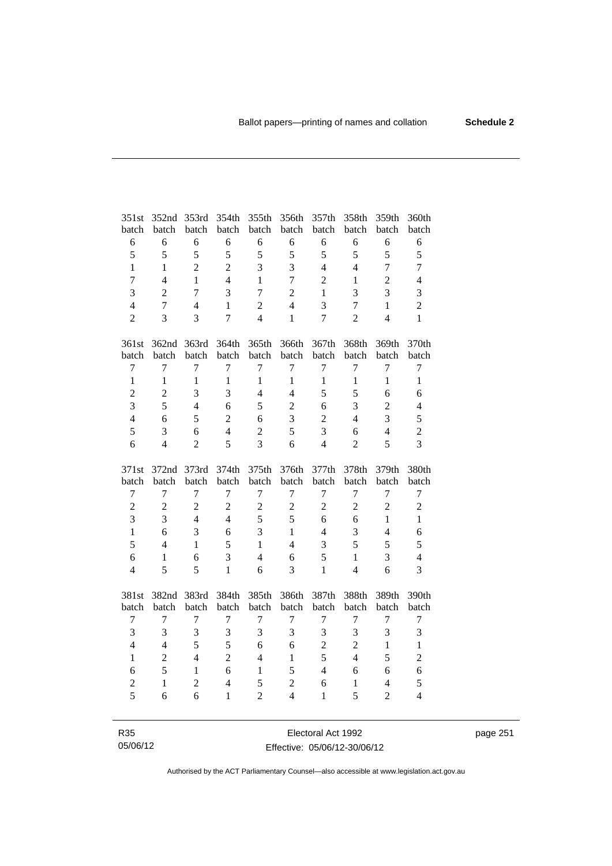| 351st          | 352nd          | 353rd          | 354th          | 355th          | 356th            | 357th          | 358th            | 359th          | 360th            |
|----------------|----------------|----------------|----------------|----------------|------------------|----------------|------------------|----------------|------------------|
| batch          | batch          | batch          | batch          | batch          | batch            | batch          | batch            | batch          | batch            |
| $\epsilon$     | 6              | 6              | 6              | 6              | 6                | 6              | 6                | 6              | $\sqrt{6}$       |
| 5              | 5              | 5              | 5              | 5              | 5                | 5              | 5                | 5              | 5                |
| $\mathbf{1}$   | $\mathbf{1}$   | $\overline{2}$ | $\overline{2}$ | 3              | 3                | $\overline{4}$ | $\overline{4}$   | $\overline{7}$ | $\tau$           |
| $\overline{7}$ | $\overline{4}$ | 1              | $\overline{4}$ | 1              | $\overline{7}$   | $\overline{2}$ | 1                | $\overline{c}$ | $\overline{4}$   |
| $\overline{3}$ | $\overline{2}$ | $\overline{7}$ | 3              | $\overline{7}$ | $\overline{c}$   | 1              | 3                | 3              | 3                |
| $\overline{4}$ | $\overline{7}$ | $\overline{4}$ | $\mathbf{1}$   | $\overline{c}$ | $\overline{4}$   | 3              | $\boldsymbol{7}$ | $\mathbf{1}$   | $\overline{2}$   |
| $\overline{2}$ | 3              | 3              | $\overline{7}$ | $\overline{4}$ | $\mathbf{1}$     | $\overline{7}$ | $\overline{2}$   | $\overline{4}$ | $\mathbf{1}$     |
| 361st          |                | 362nd 363rd    | 364th          | 365th          | 366th            | 367th          | 368th            | 369th          | 370th            |
| batch          | batch          | batch          | batch          | batch          | batch            | batch          | batch            | batch          | batch            |
| $\tau$         | $\overline{7}$ | 7              | 7              | 7              | 7                | 7              | $\tau$           | 7              | $\tau$           |
| $\mathbf{1}$   | $\mathbf{1}$   | $\mathbf{1}$   | $\mathbf{1}$   | $\mathbf{1}$   | $\mathbf{1}$     | $\mathbf{1}$   | $\mathbf{1}$     | $\mathbf{1}$   | $\mathbf{1}$     |
| $\overline{c}$ | $\overline{c}$ | 3              | 3              | $\overline{4}$ | $\overline{4}$   | 5              | 5                | 6              | 6                |
| $\overline{3}$ | 5              | $\overline{4}$ | 6              | 5              | $\overline{2}$   | 6              | 3                | $\overline{2}$ | $\overline{4}$   |
| $\overline{4}$ | 6              | 5              | $\overline{c}$ | 6              | 3                | $\overline{2}$ | $\overline{4}$   | 3              | 5                |
| 5              | 3              | 6              | $\overline{4}$ | $\overline{c}$ | 5                | 3              | 6                | $\overline{4}$ | $\overline{c}$   |
| 6              | $\overline{4}$ | $\overline{2}$ | 5              | 3              | 6                | $\overline{4}$ | $\overline{2}$   | 5              | $\overline{3}$   |
|                |                |                |                |                |                  |                |                  |                |                  |
| 371st          | 372nd          | 373rd          | 374th          | 375th          | 376th            | 377th          | 378th            | 379th          | 380th            |
| batch          | batch          | batch          | batch          | batch          | batch            | batch          | batch            | batch          | batch            |
| $\tau$         | $\overline{7}$ | 7              | 7              | $\overline{7}$ | 7                | $\tau$         | 7                | $\overline{7}$ | $\boldsymbol{7}$ |
| $\overline{c}$ | $\sqrt{2}$     | $\overline{c}$ | $\overline{2}$ | $\overline{2}$ | $\boldsymbol{2}$ | $\mathfrak{2}$ | $\overline{2}$   | $\overline{2}$ | $\sqrt{2}$       |
| $\overline{3}$ | $\overline{3}$ | $\overline{4}$ | $\overline{4}$ | 5              | 5                | 6              | 6                | $\mathbf{1}$   | $\mathbf{1}$     |
| $\mathbf{1}$   | 6              | 3              | 6              | 3              | $\mathbf{1}$     | $\overline{4}$ | 3                | $\overline{4}$ | 6                |
| 5              | $\overline{4}$ | $\mathbf{1}$   | 5              | $\mathbf{1}$   | $\overline{4}$   | 3              | 5                | 5              | 5                |
| 6              | $\mathbf{1}$   | 6              | 3              | $\overline{4}$ | 6                | 5              | $\mathbf{1}$     | 3              | $\overline{4}$   |
| $\overline{4}$ | 5              | 5              | $\mathbf{1}$   | 6              | 3                | $\mathbf{1}$   | $\overline{4}$   | 6              | $\overline{3}$   |
| 381st          | 382nd 383rd    |                | 384th          | 385th          | 386th            | 387th          | 388th            | 389th          | 390th            |
| batch          | batch          | batch          | batch          | batch          | batch            | batch          | batch            | batch          | batch            |
| 7              | 7              | 7              | 7              | 7              | 7                | 7              | 7                | 7              | 7                |
| 3              | $\mathfrak{Z}$ | 3              | 3              | 3              | 3                | 3              | 3                | 3              | 3                |
| $\overline{4}$ | $\overline{4}$ | 5              | 5              | 6              | 6                | $\overline{c}$ | $\overline{2}$   | $\mathbf{1}$   | $\mathbf{1}$     |
| $\mathbf{1}$   | $\overline{c}$ | $\overline{4}$ | $\overline{2}$ | $\overline{4}$ | $\mathbf{1}$     | 5              | $\overline{4}$   | 5              | $\overline{2}$   |
| 6              | 5              | $\mathbf{1}$   | 6              | $\mathbf{1}$   | 5                | $\overline{4}$ | 6                | 6              | 6                |
| $\overline{c}$ | $\mathbf{1}$   | $\overline{c}$ | $\overline{4}$ | 5              | $\overline{c}$   | 6              | $\mathbf{1}$     | $\overline{4}$ | 5                |
| $\overline{5}$ | 6              | 6              | $\mathbf{1}$   | $\overline{2}$ | $\overline{4}$   | $\mathbf{1}$   | 5                | $\overline{2}$ | $\overline{4}$   |

R35 05/06/12

Electoral Act 1992 Effective: 05/06/12-30/06/12 page 251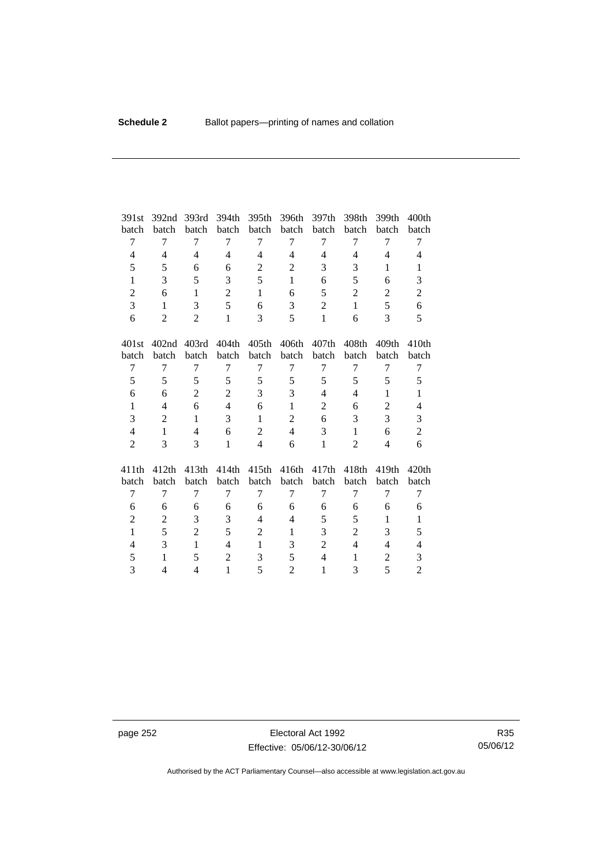| 391st          | 392 <sub>nd</sub>        | 393rd          | 394th          | 395th          | 396th          | 397th                    | 398th          | 399th          | 400 <sub>th</sub> |
|----------------|--------------------------|----------------|----------------|----------------|----------------|--------------------------|----------------|----------------|-------------------|
| batch          | batch                    | batch          | batch          | batch          | batch          | batch                    | batch          | batch          | batch             |
| 7              | 7                        | 7              | 7              | 7              | 7              | 7                        | 7              | 7              | 7                 |
| 4              | $\overline{4}$           | $\overline{4}$ | $\overline{4}$ | $\overline{4}$ | $\overline{4}$ | $\overline{\mathcal{L}}$ | $\overline{4}$ | $\overline{4}$ | $\overline{4}$    |
| 5              | 5                        | 6              | 6              | $\overline{2}$ | $\mathbf{2}$   | 3                        | 3              | 1              | 1                 |
| $\mathbf{1}$   | 3                        | 5              | 3              | 5              | $\mathbf{1}$   | 6                        | 5              | 6              | 3                 |
| $\overline{2}$ | 6                        | $\mathbf{1}$   | $\overline{2}$ | $\mathbf{1}$   | 6              | 5                        | $\overline{2}$ | $\overline{2}$ | $\overline{2}$    |
| 3              | 1                        | 3              | 5              | 6              | 3              | $\overline{2}$           | $\mathbf{1}$   | 5              | 6                 |
| 6              | 2                        | $\overline{2}$ | $\mathbf{1}$   | 3              | 5              | $\mathbf{1}$             | 6              | 3              | 5                 |
| 401st          | 402 <sub>nd</sub>        | 403rd          | 404th          | 405th          | 406th          | 407th                    | 408th          | 409th          | 410 <sub>th</sub> |
| batch          | batch                    | batch          | batch          | batch          | batch          | batch                    | batch          | batch          | batch             |
| 7              | 7                        | 7              | 7              | 7              | 7              | 7                        | 7              | 7              | 7                 |
| 5              | 5                        | 5              | 5              | 5              | 5              | 5                        | 5              | 5              | 5                 |
| 6              | 6                        | $\overline{2}$ | $\overline{c}$ | 3              | 3              | $\overline{4}$           | $\overline{4}$ | $\mathbf{1}$   | $\mathbf{1}$      |
| $\mathbf{1}$   | $\overline{4}$           | 6              | $\overline{4}$ | 6              | $\mathbf{1}$   | 2                        | 6              | $\overline{2}$ | $\overline{4}$    |
| 3              | $\overline{2}$           | $\mathbf{1}$   | 3              | $\mathbf{1}$   | $\overline{2}$ | 6                        | 3              | 3              | 3                 |
| $\overline{4}$ | $\mathbf{1}$             | $\overline{4}$ | 6              | $\overline{2}$ | $\overline{4}$ | 3                        | $\mathbf{1}$   | 6              | $\overline{c}$    |
| $\overline{2}$ | 3                        | 3              | $\mathbf{1}$   | $\overline{4}$ | 6              | $\mathbf{1}$             | $\overline{2}$ | 4              | 6                 |
| 411th          | 412th                    | 413th          | 414th          | 415th          | 416th          | 417th                    | 418th          | 419th          | 420th             |
| batch          | batch                    | batch          | batch          | batch          | batch          | batch                    | batch          | batch          | batch             |
| 7              | $\overline{7}$           | 7              | 7              | $\overline{7}$ | 7              | 7                        | 7              | 7              | 7                 |
| 6              | 6                        | 6              | 6              | 6              | 6              | 6                        | 6              | 6              | 6                 |
| $\overline{2}$ | 2                        | 3              | 3              | $\overline{4}$ | $\overline{4}$ | 5                        | 5              | $\mathbf{1}$   | $\mathbf{1}$      |
| $\mathbf{1}$   | 5                        | $\overline{2}$ | 5              | $\overline{c}$ | $\mathbf{1}$   | 3                        | $\overline{c}$ | 3              | 5                 |
| 4              | 3                        | $\mathbf{1}$   | $\overline{4}$ | $\mathbf{1}$   | 3              | $\overline{2}$           | $\overline{4}$ | $\overline{4}$ | $\overline{4}$    |
| 5              | $\mathbf{1}$             | 5              | $\overline{2}$ | 3              | 5              | $\overline{4}$           | 1              | $\overline{c}$ | $\mathfrak{Z}$    |
| 3              | $\overline{\mathcal{L}}$ | $\overline{4}$ | $\mathbf{1}$   | 5              | $\overline{2}$ | $\mathbf{1}$             | 3              | 5              | $\overline{2}$    |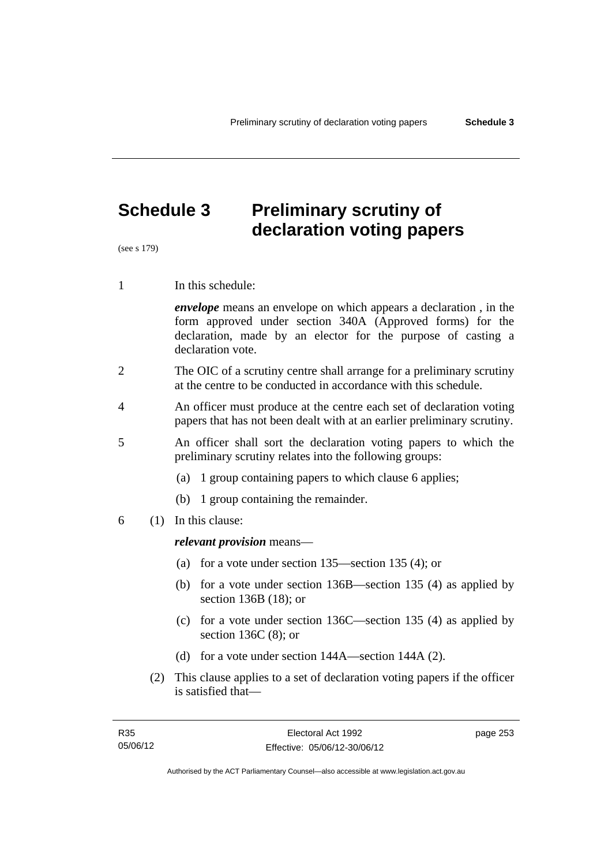# **Schedule 3 Preliminary scrutiny of declaration voting papers**

(see s 179)

1 In this schedule:

*envelope* means an envelope on which appears a declaration , in the form approved under section 340A (Approved forms) for the declaration, made by an elector for the purpose of casting a declaration vote.

- 2 The OIC of a scrutiny centre shall arrange for a preliminary scrutiny at the centre to be conducted in accordance with this schedule.
- 4 An officer must produce at the centre each set of declaration voting papers that has not been dealt with at an earlier preliminary scrutiny.
- 5 An officer shall sort the declaration voting papers to which the preliminary scrutiny relates into the following groups:
	- (a) 1 group containing papers to which clause 6 applies;
	- (b) 1 group containing the remainder.
- 6 (1) In this clause:

#### *relevant provision* means—

- (a) for a vote under section 135—section 135 (4); or
- (b) for a vote under section 136B—section 135 (4) as applied by section 136B (18); or
- (c) for a vote under section 136C—section 135 (4) as applied by section 136C (8); or
- (d) for a vote under section 144A—section 144A (2).
- (2) This clause applies to a set of declaration voting papers if the officer is satisfied that—

page 253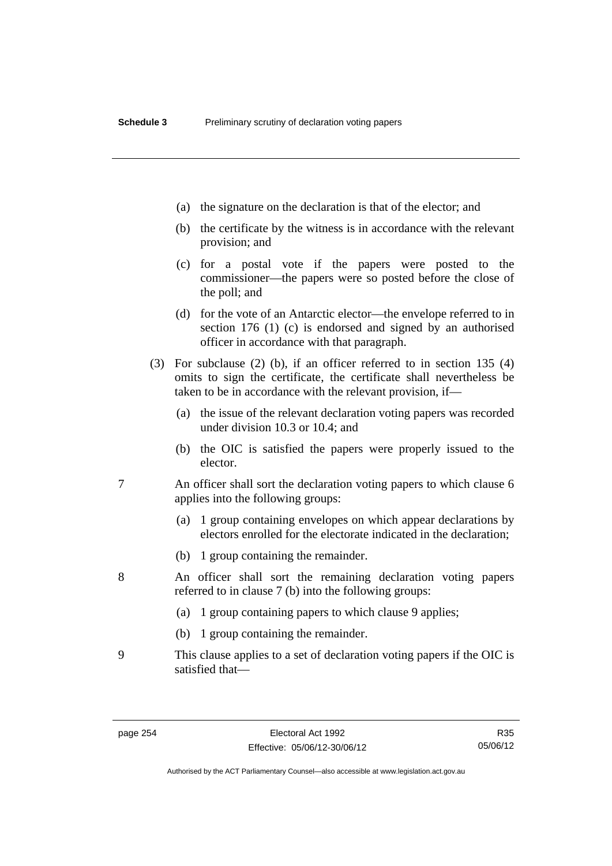- (a) the signature on the declaration is that of the elector; and
- (b) the certificate by the witness is in accordance with the relevant provision; and
- (c) for a postal vote if the papers were posted to the commissioner—the papers were so posted before the close of the poll; and
- (d) for the vote of an Antarctic elector—the envelope referred to in section 176 (1) (c) is endorsed and signed by an authorised officer in accordance with that paragraph.
- (3) For subclause (2) (b), if an officer referred to in section 135 (4) omits to sign the certificate, the certificate shall nevertheless be taken to be in accordance with the relevant provision, if—
	- (a) the issue of the relevant declaration voting papers was recorded under division 10.3 or 10.4; and
	- (b) the OIC is satisfied the papers were properly issued to the elector.
- 7 An officer shall sort the declaration voting papers to which clause 6 applies into the following groups:
	- (a) 1 group containing envelopes on which appear declarations by electors enrolled for the electorate indicated in the declaration;
	- (b) 1 group containing the remainder.
- 8 An officer shall sort the remaining declaration voting papers referred to in clause 7 (b) into the following groups:
	- (a) 1 group containing papers to which clause 9 applies;
	- (b) 1 group containing the remainder.
- 9 This clause applies to a set of declaration voting papers if the OIC is satisfied that—

Authorised by the ACT Parliamentary Counsel—also accessible at www.legislation.act.gov.au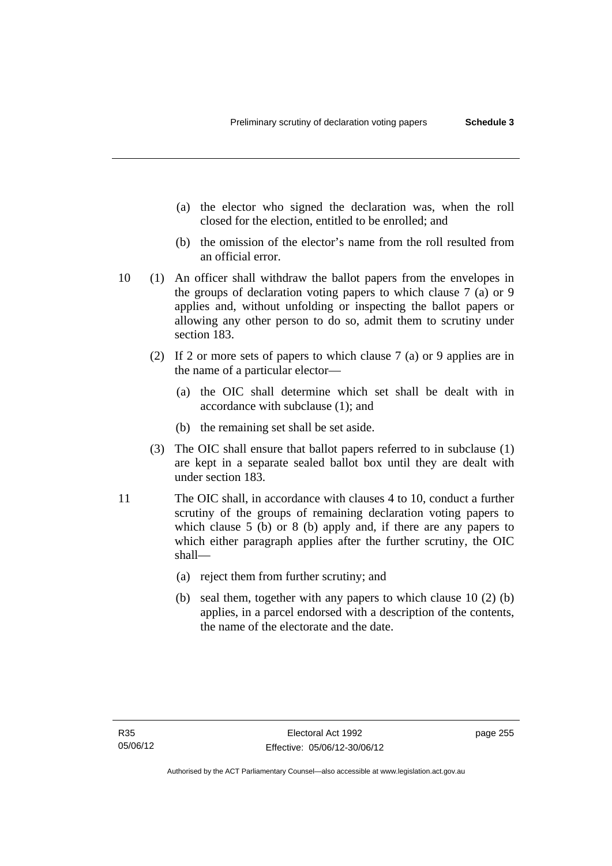- (a) the elector who signed the declaration was, when the roll closed for the election, entitled to be enrolled; and
- (b) the omission of the elector's name from the roll resulted from an official error.
- 10 (1) An officer shall withdraw the ballot papers from the envelopes in the groups of declaration voting papers to which clause 7 (a) or 9 applies and, without unfolding or inspecting the ballot papers or allowing any other person to do so, admit them to scrutiny under section 183.
	- (2) If 2 or more sets of papers to which clause 7 (a) or 9 applies are in the name of a particular elector—
		- (a) the OIC shall determine which set shall be dealt with in accordance with subclause (1); and
		- (b) the remaining set shall be set aside.
	- (3) The OIC shall ensure that ballot papers referred to in subclause (1) are kept in a separate sealed ballot box until they are dealt with under section 183.
- 11 The OIC shall, in accordance with clauses 4 to 10, conduct a further scrutiny of the groups of remaining declaration voting papers to which clause 5 (b) or 8 (b) apply and, if there are any papers to which either paragraph applies after the further scrutiny, the OIC shall—
	- (a) reject them from further scrutiny; and
	- (b) seal them, together with any papers to which clause 10 (2) (b) applies, in a parcel endorsed with a description of the contents, the name of the electorate and the date.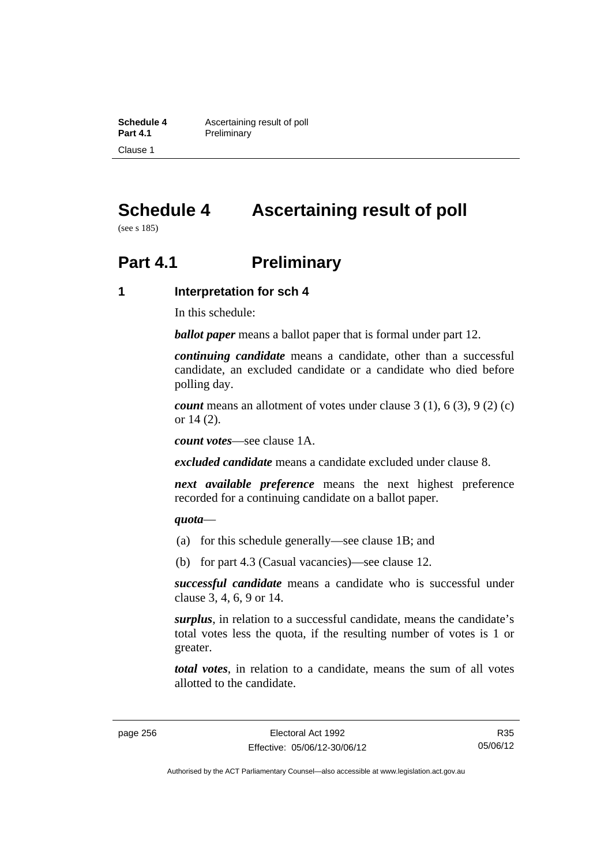**Schedule 4 Ascertaining result of poll**<br>**Part 4.1 Preliminary Preliminary** Clause 1

# **Schedule 4 Ascertaining result of poll**

(see s 185)

# **Part 4.1** Preliminary

#### **1 Interpretation for sch 4**

In this schedule:

*ballot paper* means a ballot paper that is formal under part 12.

*continuing candidate* means a candidate, other than a successful candidate, an excluded candidate or a candidate who died before polling day.

*count* means an allotment of votes under clause 3 (1), 6 (3), 9 (2) (c) or 14 (2).

*count votes*—see clause 1A.

*excluded candidate* means a candidate excluded under clause 8.

*next available preference* means the next highest preference recorded for a continuing candidate on a ballot paper.

#### *quota*—

- (a) for this schedule generally—see clause 1B; and
- (b) for part 4.3 (Casual vacancies)—see clause 12.

*successful candidate* means a candidate who is successful under clause 3, 4, 6, 9 or 14.

*surplus*, in relation to a successful candidate, means the candidate's total votes less the quota, if the resulting number of votes is 1 or greater.

*total votes*, in relation to a candidate, means the sum of all votes allotted to the candidate.

Authorised by the ACT Parliamentary Counsel—also accessible at www.legislation.act.gov.au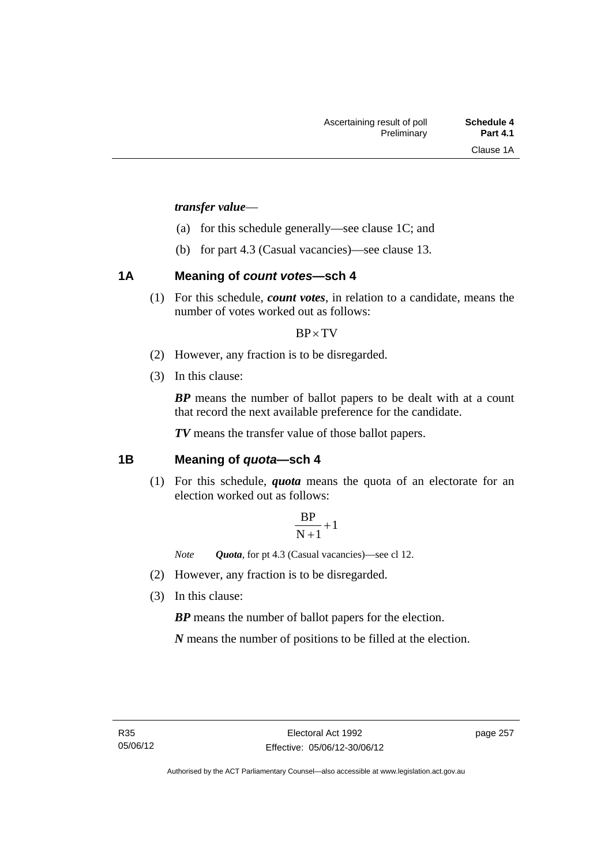#### *transfer value*—

- (a) for this schedule generally—see clause 1C; and
- (b) for part 4.3 (Casual vacancies)—see clause 13.

## **1A Meaning of** *count votes***—sch 4**

(1) For this schedule, *count votes*, in relation to a candidate, means the number of votes worked out as follows:

#### $BP \times TV$

- (2) However, any fraction is to be disregarded.
- (3) In this clause:

*BP* means the number of ballot papers to be dealt with at a count that record the next available preference for the candidate.

*TV* means the transfer value of those ballot papers.

## **1B Meaning of** *quota***—sch 4**

(1) For this schedule, *quota* means the quota of an electorate for an election worked out as follows:

$$
\frac{BP}{N+1}+1
$$

*Note Quota*, for pt 4.3 (Casual vacancies)—see cl 12.

- (2) However, any fraction is to be disregarded.
- (3) In this clause:

*BP* means the number of ballot papers for the election.

*N* means the number of positions to be filled at the election.

page 257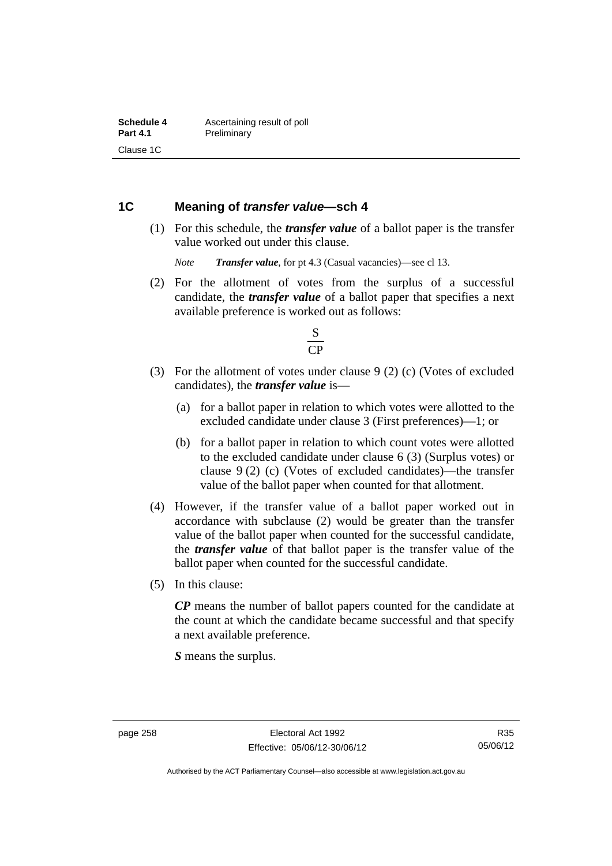### **1C Meaning of** *transfer value***—sch 4**

 (1) For this schedule, the *transfer value* of a ballot paper is the transfer value worked out under this clause.

*Note Transfer value*, for pt 4.3 (Casual vacancies)—see cl 13.

 (2) For the allotment of votes from the surplus of a successful candidate, the *transfer value* of a ballot paper that specifies a next available preference is worked out as follows:



- (3) For the allotment of votes under clause 9 (2) (c) (Votes of excluded candidates), the *transfer value* is—
	- (a) for a ballot paper in relation to which votes were allotted to the excluded candidate under clause 3 (First preferences)—1; or
	- (b) for a ballot paper in relation to which count votes were allotted to the excluded candidate under clause 6 (3) (Surplus votes) or clause 9 (2) (c) (Votes of excluded candidates)—the transfer value of the ballot paper when counted for that allotment.
- (4) However, if the transfer value of a ballot paper worked out in accordance with subclause (2) would be greater than the transfer value of the ballot paper when counted for the successful candidate, the *transfer value* of that ballot paper is the transfer value of the ballot paper when counted for the successful candidate.
- (5) In this clause:

*CP* means the number of ballot papers counted for the candidate at the count at which the candidate became successful and that specify a next available preference.

*S* means the surplus.

Authorised by the ACT Parliamentary Counsel—also accessible at www.legislation.act.gov.au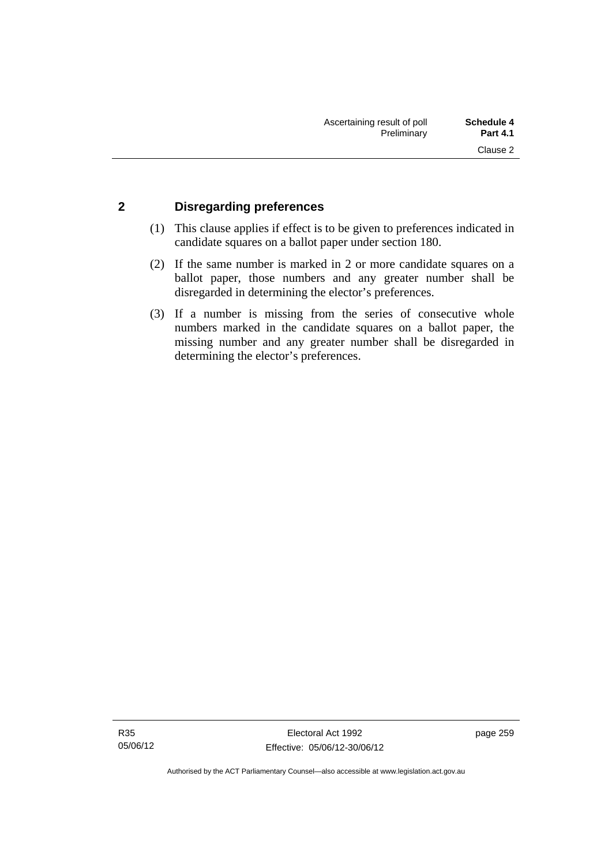## **2 Disregarding preferences**

- (1) This clause applies if effect is to be given to preferences indicated in candidate squares on a ballot paper under section 180.
- (2) If the same number is marked in 2 or more candidate squares on a ballot paper, those numbers and any greater number shall be disregarded in determining the elector's preferences.
- (3) If a number is missing from the series of consecutive whole numbers marked in the candidate squares on a ballot paper, the missing number and any greater number shall be disregarded in determining the elector's preferences.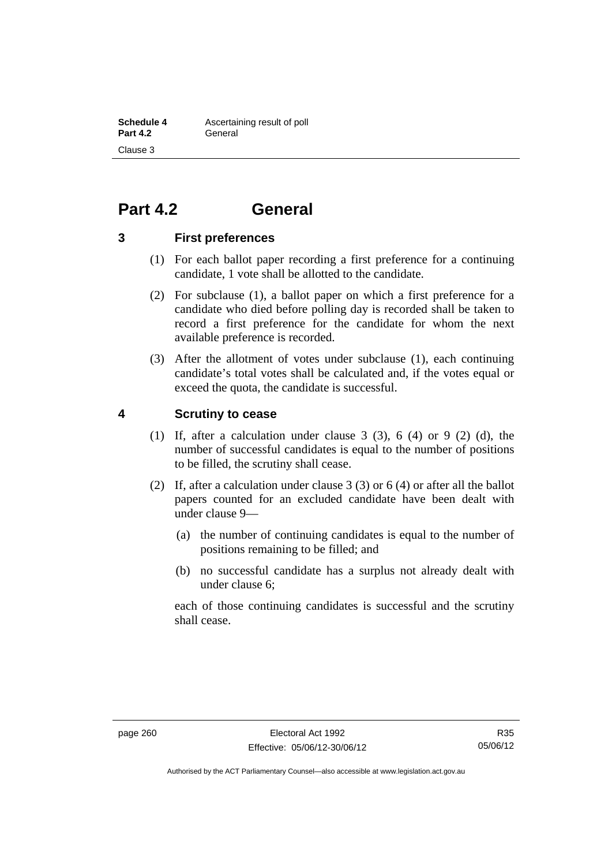# **Part 4.2 General**

#### **3 First preferences**

- (1) For each ballot paper recording a first preference for a continuing candidate, 1 vote shall be allotted to the candidate.
- (2) For subclause (1), a ballot paper on which a first preference for a candidate who died before polling day is recorded shall be taken to record a first preference for the candidate for whom the next available preference is recorded.
- (3) After the allotment of votes under subclause (1), each continuing candidate's total votes shall be calculated and, if the votes equal or exceed the quota, the candidate is successful.

#### **4 Scrutiny to cease**

- (1) If, after a calculation under clause  $3$  (3),  $6$  (4) or  $9$  (2) (d), the number of successful candidates is equal to the number of positions to be filled, the scrutiny shall cease.
- (2) If, after a calculation under clause 3 (3) or 6 (4) or after all the ballot papers counted for an excluded candidate have been dealt with under clause 9—
	- (a) the number of continuing candidates is equal to the number of positions remaining to be filled; and
	- (b) no successful candidate has a surplus not already dealt with under clause 6;

each of those continuing candidates is successful and the scrutiny shall cease.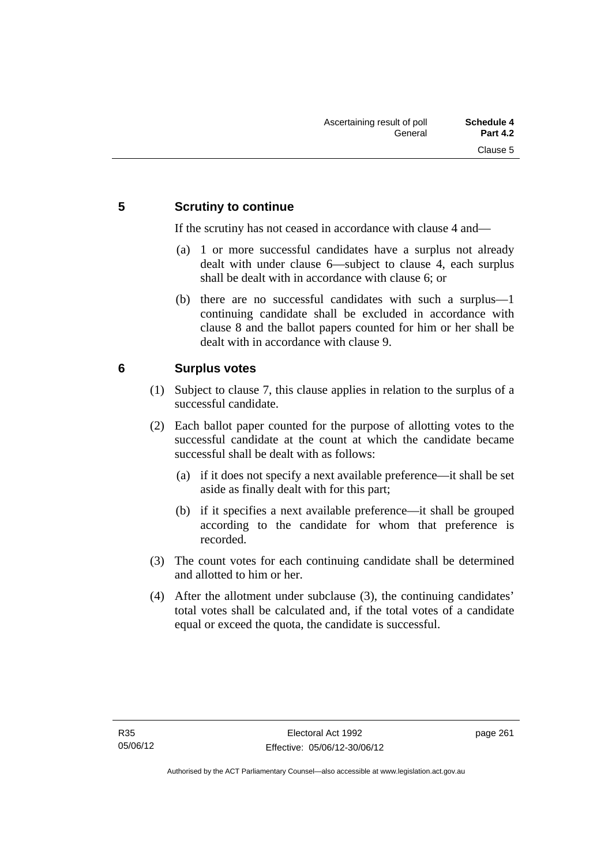## **5 Scrutiny to continue**

If the scrutiny has not ceased in accordance with clause 4 and—

- (a) 1 or more successful candidates have a surplus not already dealt with under clause 6—subject to clause 4, each surplus shall be dealt with in accordance with clause 6; or
- (b) there are no successful candidates with such a surplus—1 continuing candidate shall be excluded in accordance with clause 8 and the ballot papers counted for him or her shall be dealt with in accordance with clause 9.

## **6 Surplus votes**

- (1) Subject to clause 7, this clause applies in relation to the surplus of a successful candidate.
- (2) Each ballot paper counted for the purpose of allotting votes to the successful candidate at the count at which the candidate became successful shall be dealt with as follows:
	- (a) if it does not specify a next available preference—it shall be set aside as finally dealt with for this part;
	- (b) if it specifies a next available preference—it shall be grouped according to the candidate for whom that preference is recorded.
- (3) The count votes for each continuing candidate shall be determined and allotted to him or her.
- (4) After the allotment under subclause (3), the continuing candidates' total votes shall be calculated and, if the total votes of a candidate equal or exceed the quota, the candidate is successful.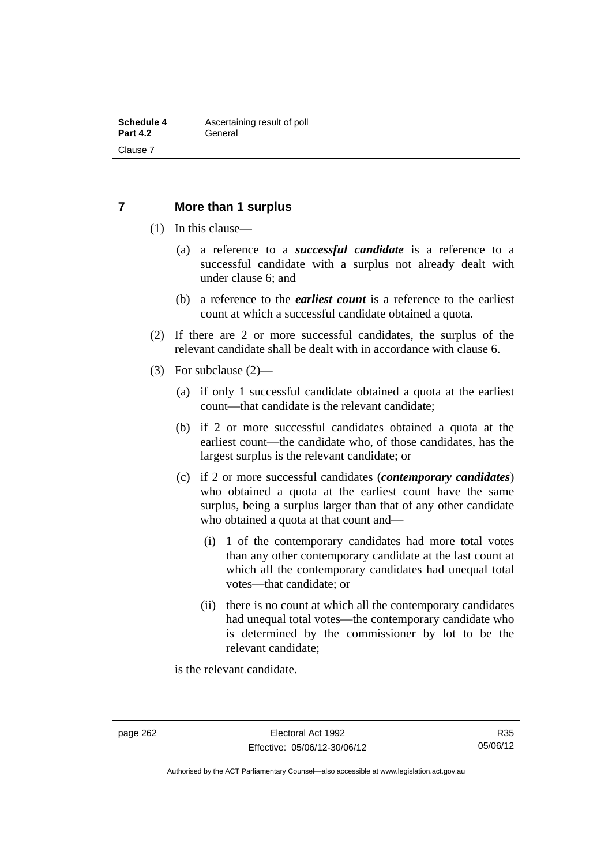### **7 More than 1 surplus**

- (1) In this clause—
	- (a) a reference to a *successful candidate* is a reference to a successful candidate with a surplus not already dealt with under clause 6; and
	- (b) a reference to the *earliest count* is a reference to the earliest count at which a successful candidate obtained a quota.
- (2) If there are 2 or more successful candidates, the surplus of the relevant candidate shall be dealt with in accordance with clause 6.
- (3) For subclause (2)—
	- (a) if only 1 successful candidate obtained a quota at the earliest count—that candidate is the relevant candidate;
	- (b) if 2 or more successful candidates obtained a quota at the earliest count—the candidate who, of those candidates, has the largest surplus is the relevant candidate; or
	- (c) if 2 or more successful candidates (*contemporary candidates*) who obtained a quota at the earliest count have the same surplus, being a surplus larger than that of any other candidate who obtained a quota at that count and—
		- (i) 1 of the contemporary candidates had more total votes than any other contemporary candidate at the last count at which all the contemporary candidates had unequal total votes—that candidate; or
		- (ii) there is no count at which all the contemporary candidates had unequal total votes—the contemporary candidate who is determined by the commissioner by lot to be the relevant candidate;

is the relevant candidate.

Authorised by the ACT Parliamentary Counsel—also accessible at www.legislation.act.gov.au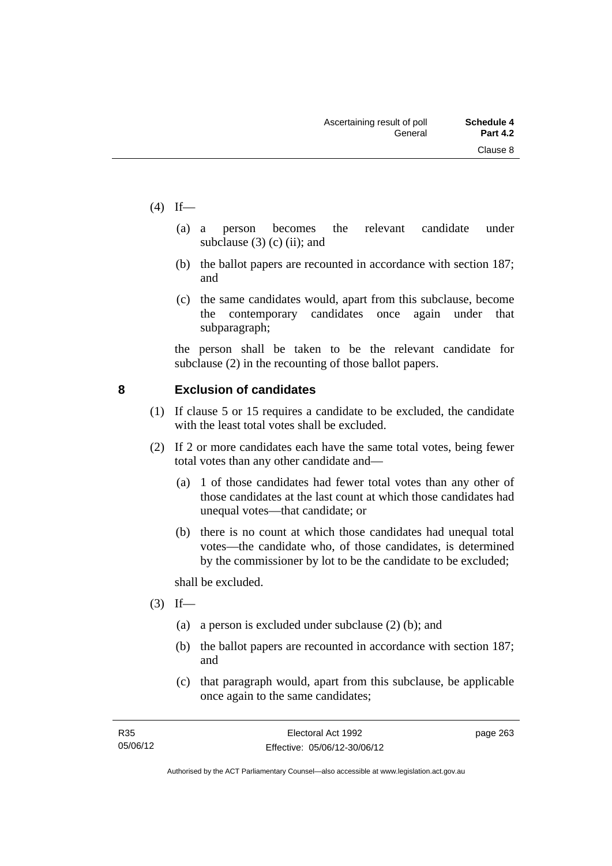- $(4)$  If—
- (a) a person becomes the relevant candidate under subclause  $(3)$  (c) (ii); and
	- (b) the ballot papers are recounted in accordance with section 187; and
	- (c) the same candidates would, apart from this subclause, become the contemporary candidates once again under that subparagraph;

the person shall be taken to be the relevant candidate for subclause (2) in the recounting of those ballot papers.

## **8 Exclusion of candidates**

- (1) If clause 5 or 15 requires a candidate to be excluded, the candidate with the least total votes shall be excluded.
- (2) If 2 or more candidates each have the same total votes, being fewer total votes than any other candidate and—
	- (a) 1 of those candidates had fewer total votes than any other of those candidates at the last count at which those candidates had unequal votes—that candidate; or
	- (b) there is no count at which those candidates had unequal total votes—the candidate who, of those candidates, is determined by the commissioner by lot to be the candidate to be excluded;

shall be excluded.

- $(3)$  If—
	- (a) a person is excluded under subclause (2) (b); and
	- (b) the ballot papers are recounted in accordance with section 187; and
	- (c) that paragraph would, apart from this subclause, be applicable once again to the same candidates;

page 263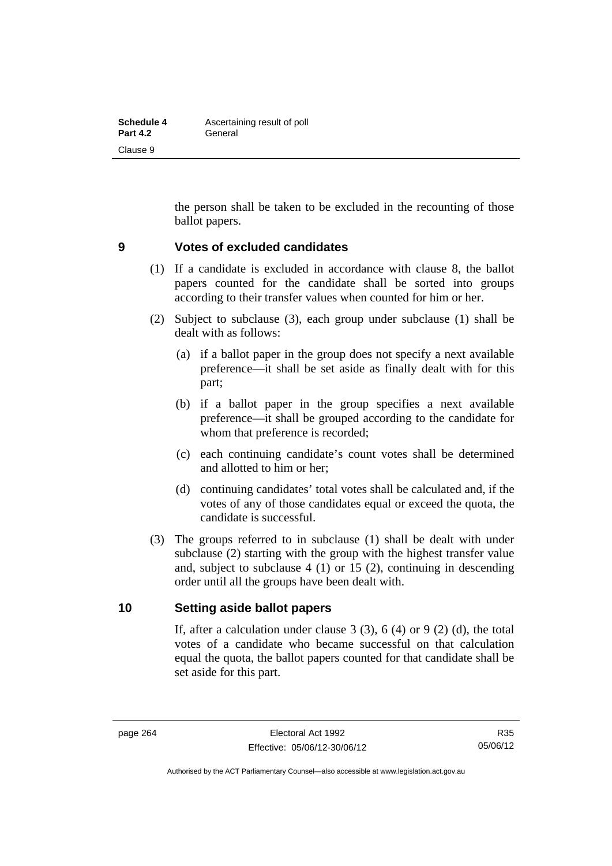| <b>Schedule 4</b> | Ascertaining result of poll |  |  |  |
|-------------------|-----------------------------|--|--|--|
| <b>Part 4.2</b>   | General                     |  |  |  |
| Clause 9          |                             |  |  |  |

the person shall be taken to be excluded in the recounting of those ballot papers.

#### **9 Votes of excluded candidates**

- (1) If a candidate is excluded in accordance with clause 8, the ballot papers counted for the candidate shall be sorted into groups according to their transfer values when counted for him or her.
- (2) Subject to subclause (3), each group under subclause (1) shall be dealt with as follows:
	- (a) if a ballot paper in the group does not specify a next available preference—it shall be set aside as finally dealt with for this part;
	- (b) if a ballot paper in the group specifies a next available preference—it shall be grouped according to the candidate for whom that preference is recorded;
	- (c) each continuing candidate's count votes shall be determined and allotted to him or her;
	- (d) continuing candidates' total votes shall be calculated and, if the votes of any of those candidates equal or exceed the quota, the candidate is successful.
- (3) The groups referred to in subclause (1) shall be dealt with under subclause (2) starting with the group with the highest transfer value and, subject to subclause 4 (1) or 15 (2), continuing in descending order until all the groups have been dealt with.

#### **10 Setting aside ballot papers**

If, after a calculation under clause  $3(3)$ ,  $6(4)$  or  $9(2)(d)$ , the total votes of a candidate who became successful on that calculation equal the quota, the ballot papers counted for that candidate shall be set aside for this part.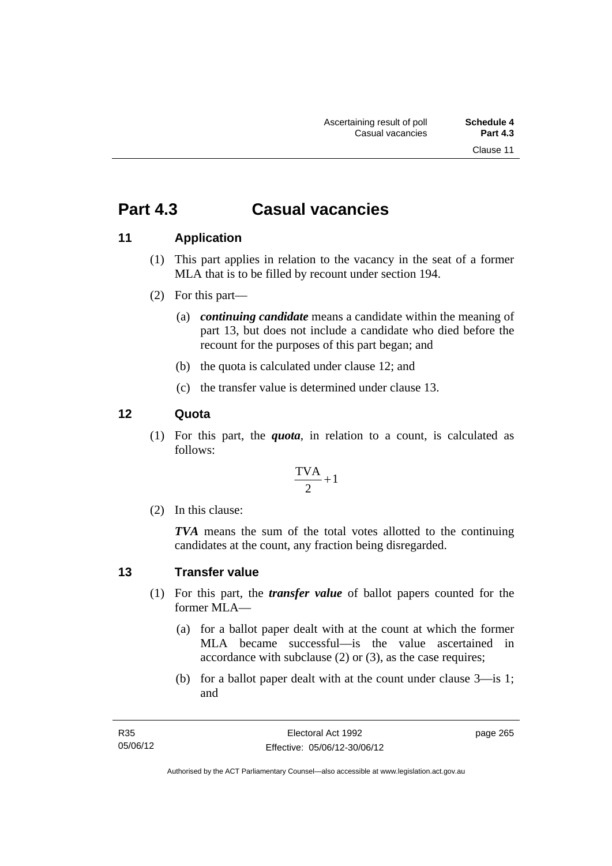# **Part 4.3 Casual vacancies**

## **11 Application**

- (1) This part applies in relation to the vacancy in the seat of a former MLA that is to be filled by recount under section 194.
- (2) For this part—
	- (a) *continuing candidate* means a candidate within the meaning of part 13, but does not include a candidate who died before the recount for the purposes of this part began; and
	- (b) the quota is calculated under clause 12; and
	- (c) the transfer value is determined under clause 13.

## **12 Quota**

(1) For this part, the *quota*, in relation to a count, is calculated as follows:

$$
\frac{\text{TVA}}{2} + 1
$$

(2) In this clause:

*TVA* means the sum of the total votes allotted to the continuing candidates at the count, any fraction being disregarded.

## **13 Transfer value**

- (1) For this part, the *transfer value* of ballot papers counted for the former MLA—
	- (a) for a ballot paper dealt with at the count at which the former MLA became successful—is the value ascertained in accordance with subclause (2) or (3), as the case requires;
	- (b) for a ballot paper dealt with at the count under clause 3—is 1; and

page 265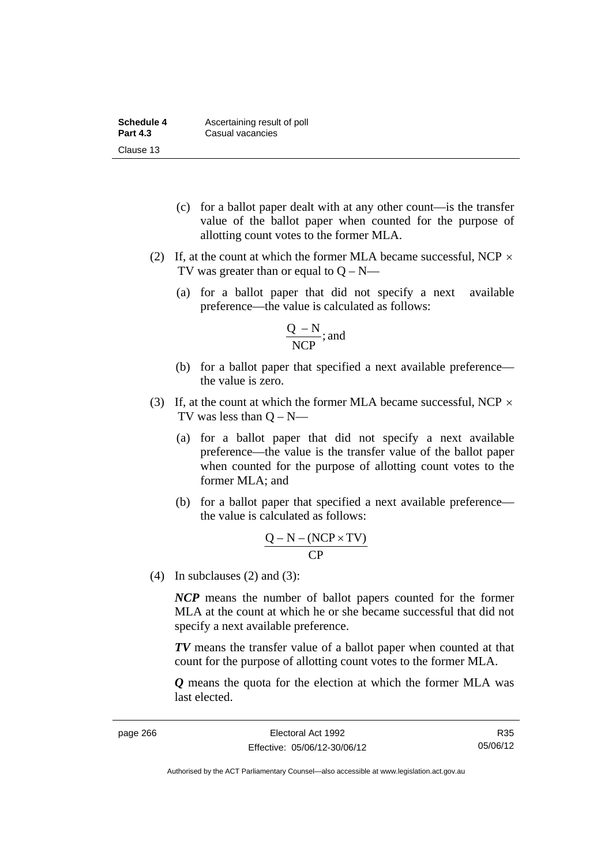| Schedule 4      | Ascertaining result of poll |  |  |  |
|-----------------|-----------------------------|--|--|--|
| <b>Part 4.3</b> | Casual vacancies            |  |  |  |
| Clause 13       |                             |  |  |  |

- (c) for a ballot paper dealt with at any other count—is the transfer value of the ballot paper when counted for the purpose of allotting count votes to the former MLA.
- (2) If, at the count at which the former MLA became successful, NCP  $\times$ TV was greater than or equal to  $Q - N$ —
	- (a) for a ballot paper that did not specify a next available preference—the value is calculated as follows:

$$
\frac{Q - N}{NCP}; \text{and}
$$

- (b) for a ballot paper that specified a next available preference the value is zero.
- (3) If, at the count at which the former MLA became successful, NCP  $\times$ TV was less than  $Q - N$ —
	- (a) for a ballot paper that did not specify a next available preference—the value is the transfer value of the ballot paper when counted for the purpose of allotting count votes to the former MLA; and
	- (b) for a ballot paper that specified a next available preference the value is calculated as follows:

$$
\frac{Q-N-(NCP\times TV)}{CP}
$$

(4) In subclauses (2) and (3):

*NCP* means the number of ballot papers counted for the former MLA at the count at which he or she became successful that did not specify a next available preference.

*TV* means the transfer value of a ballot paper when counted at that count for the purpose of allotting count votes to the former MLA.

*Q* means the quota for the election at which the former MLA was last elected.

R35 05/06/12

Authorised by the ACT Parliamentary Counsel—also accessible at www.legislation.act.gov.au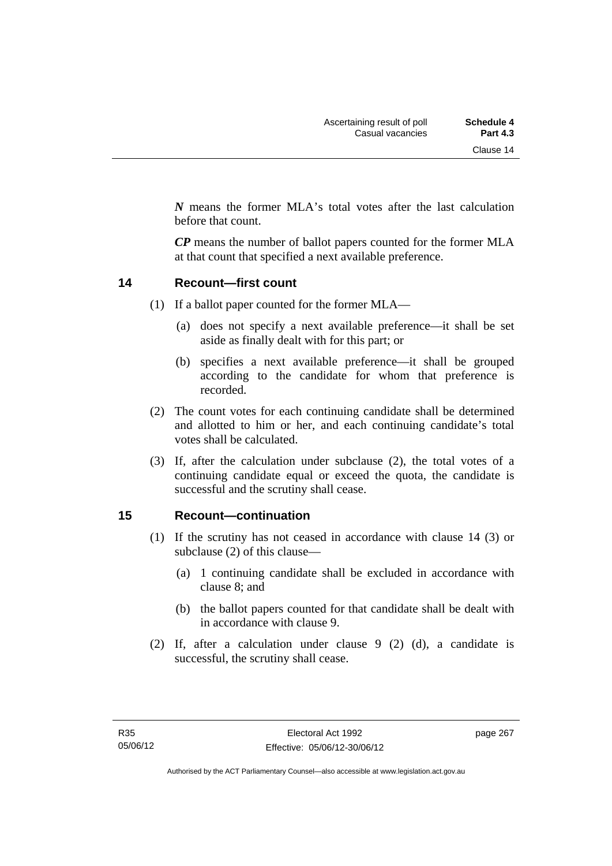*N* means the former MLA's total votes after the last calculation before that count.

*CP* means the number of ballot papers counted for the former MLA at that count that specified a next available preference.

#### **14 Recount—first count**

- (1) If a ballot paper counted for the former MLA—
	- (a) does not specify a next available preference—it shall be set aside as finally dealt with for this part; or
	- (b) specifies a next available preference—it shall be grouped according to the candidate for whom that preference is recorded.
- (2) The count votes for each continuing candidate shall be determined and allotted to him or her, and each continuing candidate's total votes shall be calculated.
- (3) If, after the calculation under subclause (2), the total votes of a continuing candidate equal or exceed the quota, the candidate is successful and the scrutiny shall cease.

#### **15 Recount—continuation**

- (1) If the scrutiny has not ceased in accordance with clause 14 (3) or subclause (2) of this clause—
	- (a) 1 continuing candidate shall be excluded in accordance with clause 8; and
	- (b) the ballot papers counted for that candidate shall be dealt with in accordance with clause 9.
- (2) If, after a calculation under clause 9 (2) (d), a candidate is successful, the scrutiny shall cease.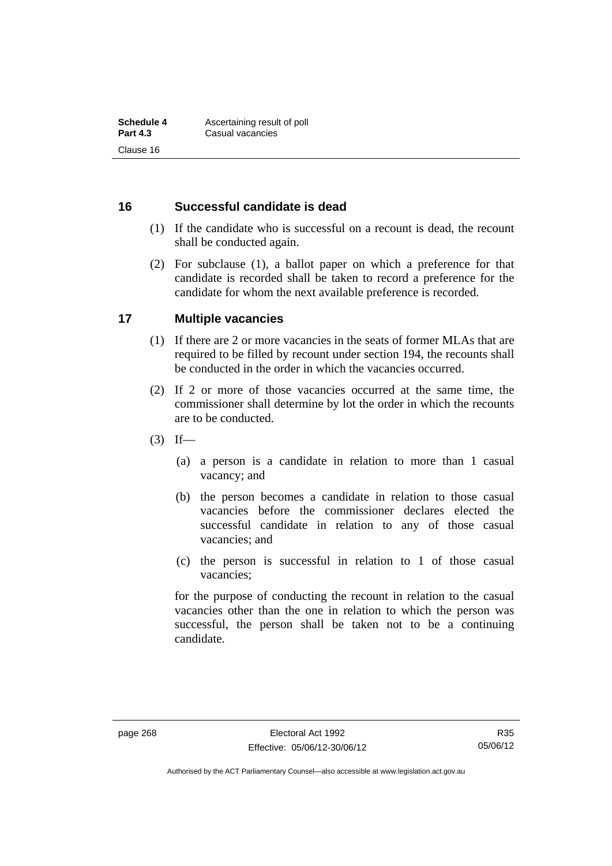### **16 Successful candidate is dead**

- (1) If the candidate who is successful on a recount is dead, the recount shall be conducted again.
- (2) For subclause (1), a ballot paper on which a preference for that candidate is recorded shall be taken to record a preference for the candidate for whom the next available preference is recorded.

### **17 Multiple vacancies**

- (1) If there are 2 or more vacancies in the seats of former MLAs that are required to be filled by recount under section 194, the recounts shall be conducted in the order in which the vacancies occurred.
- (2) If 2 or more of those vacancies occurred at the same time, the commissioner shall determine by lot the order in which the recounts are to be conducted.
- $(3)$  If—
	- (a) a person is a candidate in relation to more than 1 casual vacancy; and
	- (b) the person becomes a candidate in relation to those casual vacancies before the commissioner declares elected the successful candidate in relation to any of those casual vacancies; and
	- (c) the person is successful in relation to 1 of those casual vacancies;

for the purpose of conducting the recount in relation to the casual vacancies other than the one in relation to which the person was successful, the person shall be taken not to be a continuing candidate.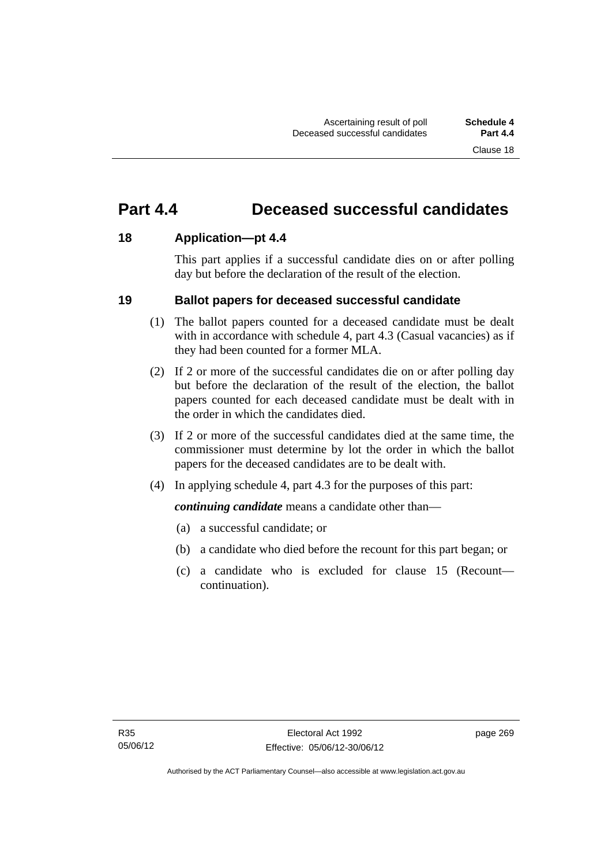# **Part 4.4 Deceased successful candidates**

### **18 Application—pt 4.4**

This part applies if a successful candidate dies on or after polling day but before the declaration of the result of the election.

### **19 Ballot papers for deceased successful candidate**

- (1) The ballot papers counted for a deceased candidate must be dealt with in accordance with schedule 4, part 4.3 (Casual vacancies) as if they had been counted for a former MLA.
- (2) If 2 or more of the successful candidates die on or after polling day but before the declaration of the result of the election, the ballot papers counted for each deceased candidate must be dealt with in the order in which the candidates died.
- (3) If 2 or more of the successful candidates died at the same time, the commissioner must determine by lot the order in which the ballot papers for the deceased candidates are to be dealt with.
- (4) In applying schedule 4, part 4.3 for the purposes of this part:

*continuing candidate* means a candidate other than—

- (a) a successful candidate; or
- (b) a candidate who died before the recount for this part began; or
- (c) a candidate who is excluded for clause 15 (Recount continuation).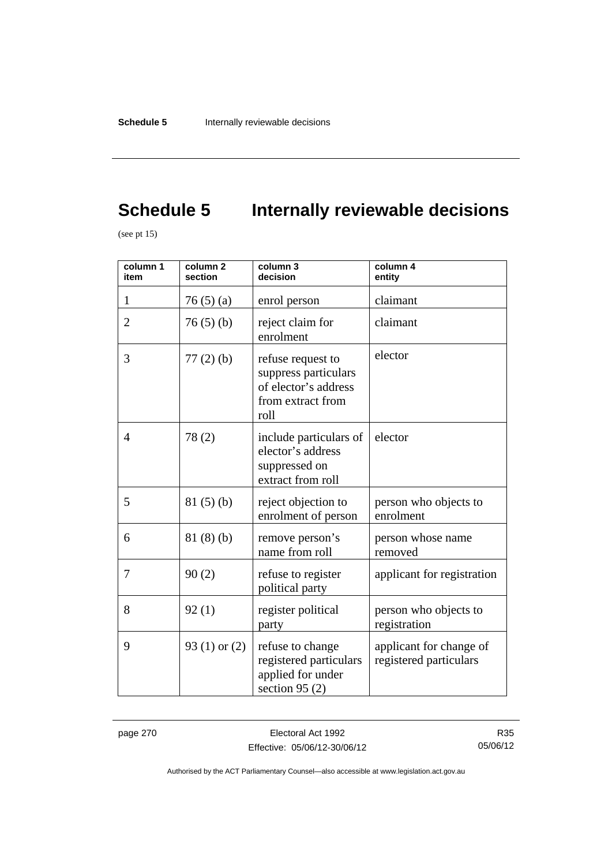# **Schedule 5** Internally reviewable decisions

(see pt 15)

| column 1<br>item | column <sub>2</sub><br>section | column 3<br>decision                                                                           | column 4<br>entity                                |
|------------------|--------------------------------|------------------------------------------------------------------------------------------------|---------------------------------------------------|
| $\mathbf{1}$     | 76(5)(a)                       | enrol person                                                                                   | claimant                                          |
| $\overline{2}$   | 76(5)(b)                       | reject claim for<br>enrolment                                                                  | claimant                                          |
| 3                | $77(2)$ (b)                    | refuse request to<br>suppress particulars<br>of elector's address<br>from extract from<br>roll | elector                                           |
| 4                | 78(2)                          | include particulars of<br>elector's address<br>suppressed on<br>extract from roll              | elector                                           |
| 5                | 81(5)(b)                       | reject objection to<br>enrolment of person                                                     | person who objects to<br>enrolment                |
| 6                | 81(8)(b)                       | remove person's<br>name from roll                                                              | person whose name<br>removed                      |
| 7                | 90(2)                          | refuse to register<br>political party                                                          | applicant for registration                        |
| 8                | 92(1)                          | register political<br>party                                                                    | person who objects to<br>registration             |
| 9                | 93 $(1)$ or $(2)$              | refuse to change<br>registered particulars<br>applied for under<br>section 95 $(2)$            | applicant for change of<br>registered particulars |

page 270 **Electoral Act 1992** Effective: 05/06/12-30/06/12

R35 05/06/12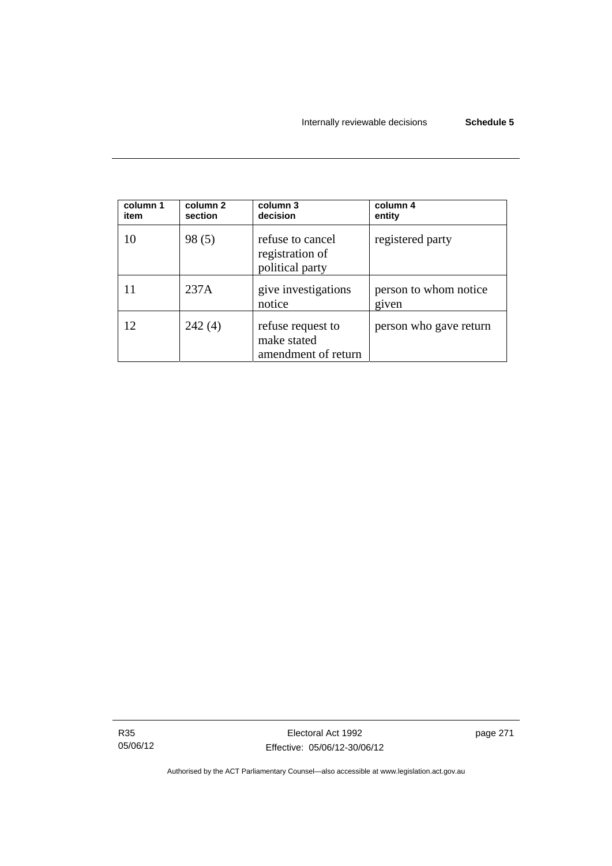| column 1<br>item | column 2<br>section | column 3<br>decision                                    | column 4<br>entity             |
|------------------|---------------------|---------------------------------------------------------|--------------------------------|
| 10               | 98(5)               | refuse to cancel<br>registration of<br>political party  | registered party               |
|                  | 237A                | give investigations<br>notice                           | person to whom notice<br>given |
| 12               | 242(4)              | refuse request to<br>make stated<br>amendment of return | person who gave return         |

R35 05/06/12 page 271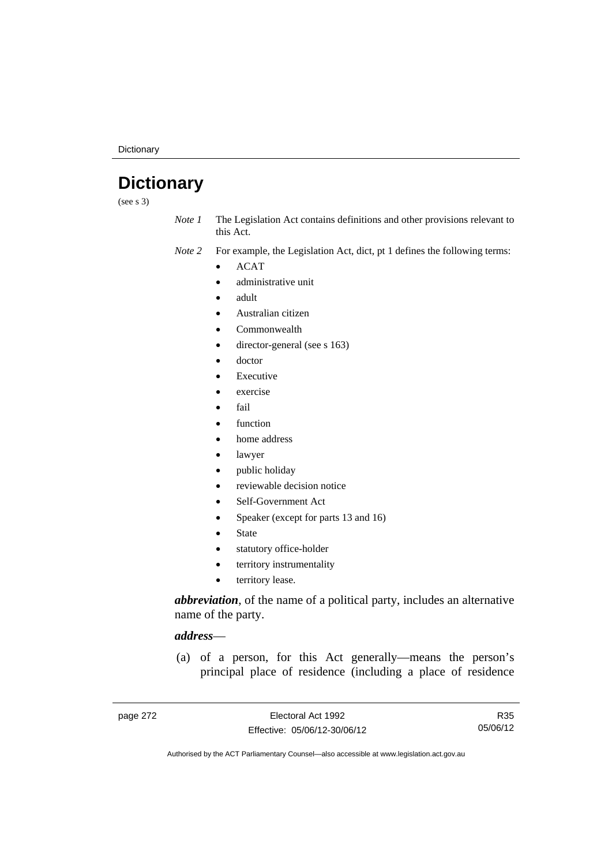**Dictionary** 

# **Dictionary**

(see s 3)

*Note 1* The Legislation Act contains definitions and other provisions relevant to this Act.

*Note 2* For example, the Legislation Act, dict, pt 1 defines the following terms:

 $\bullet$  ACAT

- administrative unit
- adult
- Australian citizen
- Commonwealth
- director-general (see s 163)
- doctor
- Executive
- exercise
- fail
- function
- home address
- lawyer
- public holiday
- reviewable decision notice
- Self-Government Act
- Speaker (except for parts 13 and 16)
- State
- statutory office-holder
- territory instrumentality
- territory lease.

*abbreviation*, of the name of a political party, includes an alternative name of the party.

# *address*—

 (a) of a person, for this Act generally—means the person's principal place of residence (including a place of residence

R35 05/06/12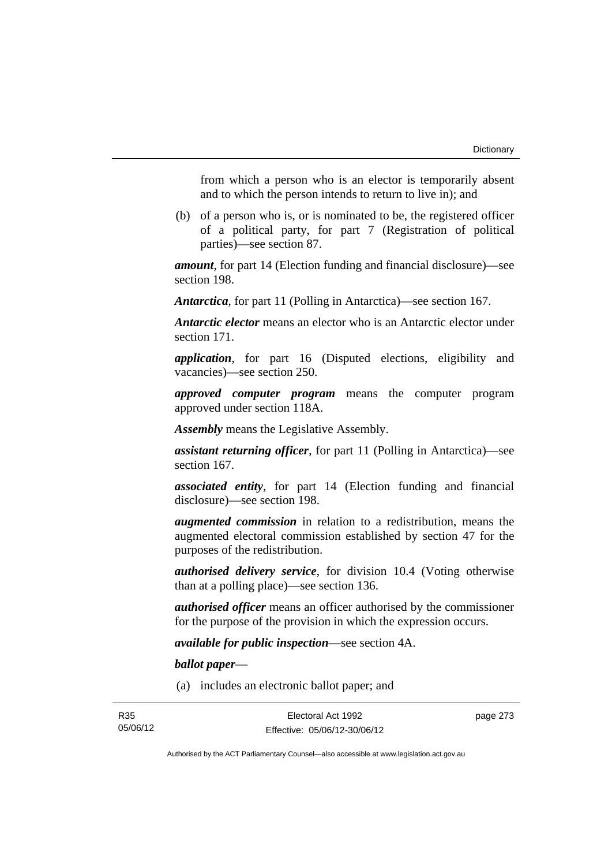from which a person who is an elector is temporarily absent and to which the person intends to return to live in); and

 (b) of a person who is, or is nominated to be, the registered officer of a political party, for part 7 (Registration of political parties)—see section 87.

*amount*, for part 14 (Election funding and financial disclosure)—see section 198.

*Antarctica*, for part 11 (Polling in Antarctica)—see section 167.

*Antarctic elector* means an elector who is an Antarctic elector under section 171.

*application*, for part 16 (Disputed elections, eligibility and vacancies)—see section 250.

*approved computer program* means the computer program approved under section 118A.

*Assembly* means the Legislative Assembly.

*assistant returning officer*, for part 11 (Polling in Antarctica)—see section 167.

*associated entity*, for part 14 (Election funding and financial disclosure)—see section 198.

*augmented commission* in relation to a redistribution, means the augmented electoral commission established by section 47 for the purposes of the redistribution.

*authorised delivery service*, for division 10.4 (Voting otherwise than at a polling place)—see section 136.

*authorised officer* means an officer authorised by the commissioner for the purpose of the provision in which the expression occurs.

*available for public inspection*—see section 4A.

*ballot paper*—

(a) includes an electronic ballot paper; and

page 273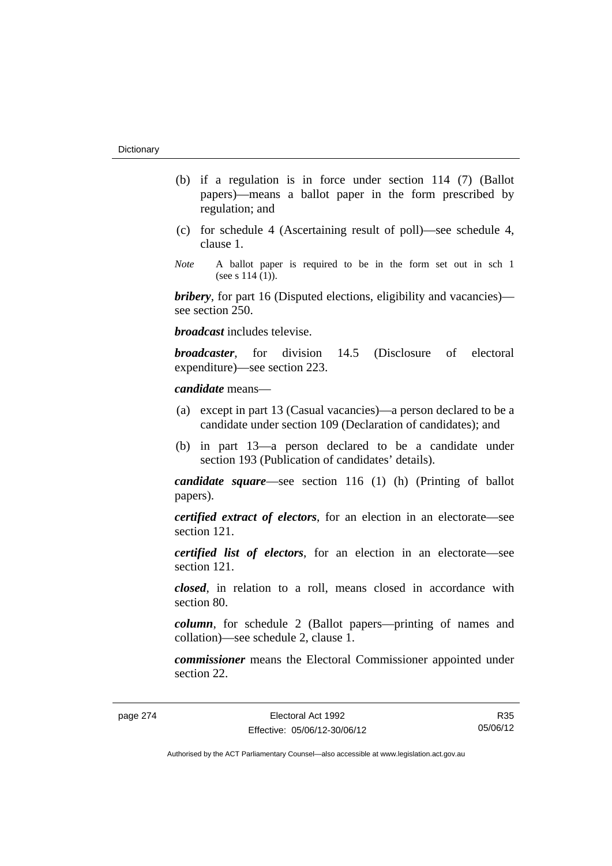- (b) if a regulation is in force under section 114 (7) (Ballot papers)—means a ballot paper in the form prescribed by regulation; and
- (c) for schedule 4 (Ascertaining result of poll)—see schedule 4, clause 1.
- *Note* A ballot paper is required to be in the form set out in sch 1 (see s  $114(1)$ ).

*bribery*, for part 16 (Disputed elections, eligibility and vacancies) see section 250.

*broadcast* includes televise.

*broadcaster*, for division 14.5 (Disclosure of electoral expenditure)—see section 223.

#### *candidate* means—

- (a) except in part 13 (Casual vacancies)—a person declared to be a candidate under section 109 (Declaration of candidates); and
- (b) in part 13—a person declared to be a candidate under section 193 (Publication of candidates' details).

*candidate square*—see section 116 (1) (h) (Printing of ballot papers).

*certified extract of electors*, for an election in an electorate—see section 121.

*certified list of electors*, for an election in an electorate—see section 121.

*closed*, in relation to a roll, means closed in accordance with section 80.

*column*, for schedule 2 (Ballot papers—printing of names and collation)—see schedule 2, clause 1.

*commissioner* means the Electoral Commissioner appointed under section 22.

R35 05/06/12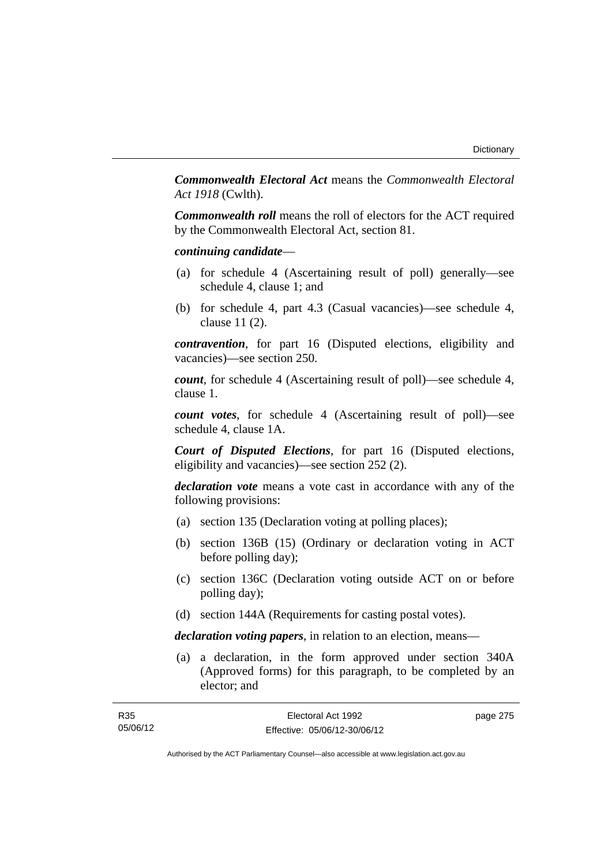*Commonwealth Electoral Act* means the *Commonwealth Electoral Act 1918* (Cwlth).

*Commonwealth roll* means the roll of electors for the ACT required by the Commonwealth Electoral Act, section 81.

#### *continuing candidate*—

- (a) for schedule 4 (Ascertaining result of poll) generally—see schedule 4, clause 1; and
- (b) for schedule 4, part 4.3 (Casual vacancies)—see schedule 4, clause 11 (2).

*contravention*, for part 16 (Disputed elections, eligibility and vacancies)—see section 250.

*count*, for schedule 4 (Ascertaining result of poll)—see schedule 4, clause 1.

*count votes*, for schedule 4 (Ascertaining result of poll)—see schedule 4, clause 1A.

*Court of Disputed Elections*, for part 16 (Disputed elections, eligibility and vacancies)—see section 252 (2).

*declaration vote* means a vote cast in accordance with any of the following provisions:

- (a) section 135 (Declaration voting at polling places);
- (b) section 136B (15) (Ordinary or declaration voting in ACT before polling day);
- (c) section 136C (Declaration voting outside ACT on or before polling day);
- (d) section 144A (Requirements for casting postal votes).

*declaration voting papers*, in relation to an election, means—

 (a) a declaration, in the form approved under section 340A (Approved forms) for this paragraph, to be completed by an elector; and

| R35      | Electoral Act 1992           | page 275 |
|----------|------------------------------|----------|
| 05/06/12 | Effective: 05/06/12-30/06/12 |          |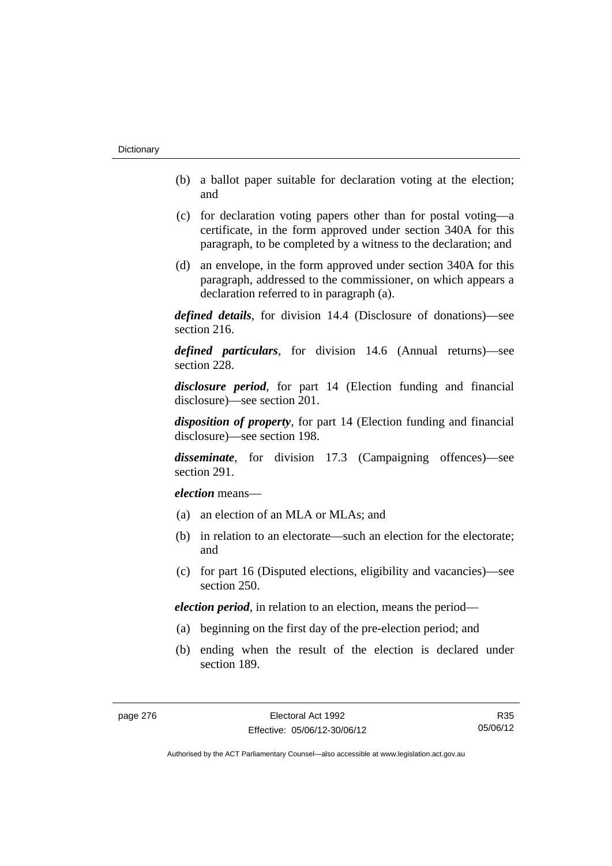- (b) a ballot paper suitable for declaration voting at the election; and
- (c) for declaration voting papers other than for postal voting—a certificate, in the form approved under section 340A for this paragraph, to be completed by a witness to the declaration; and
- (d) an envelope, in the form approved under section 340A for this paragraph, addressed to the commissioner, on which appears a declaration referred to in paragraph (a).

*defined details*, for division 14.4 (Disclosure of donations)—see section 216.

*defined particulars*, for division 14.6 (Annual returns)—see section 228.

*disclosure period*, for part 14 (Election funding and financial disclosure)—see section 201.

*disposition of property*, for part 14 (Election funding and financial disclosure)—see section 198.

*disseminate*, for division 17.3 (Campaigning offences)—see section 291.

*election* means—

- (a) an election of an MLA or MLAs; and
- (b) in relation to an electorate—such an election for the electorate; and
- (c) for part 16 (Disputed elections, eligibility and vacancies)—see section 250.

*election period*, in relation to an election, means the period—

- (a) beginning on the first day of the pre-election period; and
- (b) ending when the result of the election is declared under section 189.

R35 05/06/12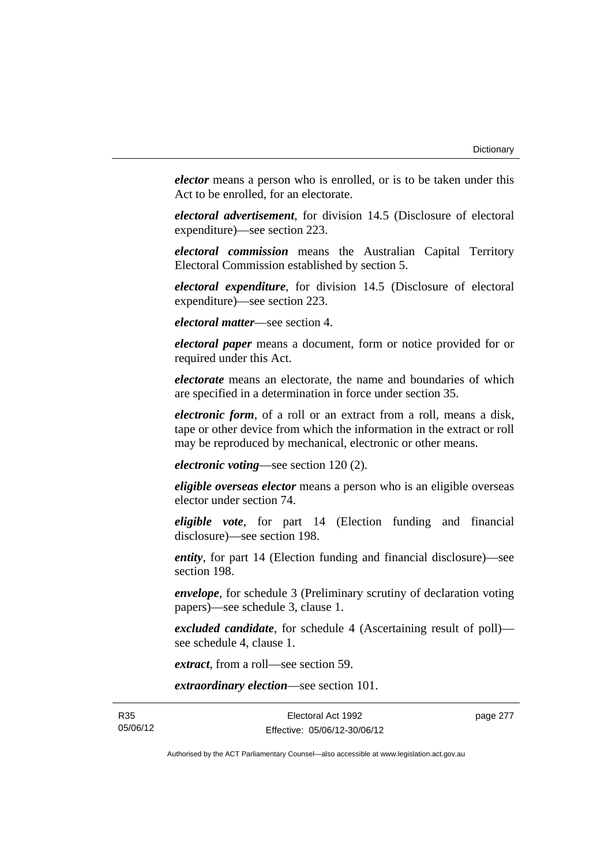*elector* means a person who is enrolled, or is to be taken under this Act to be enrolled, for an electorate.

*electoral advertisement*, for division 14.5 (Disclosure of electoral expenditure)—see section 223.

*electoral commission* means the Australian Capital Territory Electoral Commission established by section 5.

*electoral expenditure*, for division 14.5 (Disclosure of electoral expenditure)—see section 223.

*electoral matter*—see section 4.

*electoral paper* means a document, form or notice provided for or required under this Act.

*electorate* means an electorate, the name and boundaries of which are specified in a determination in force under section 35.

*electronic form*, of a roll or an extract from a roll, means a disk, tape or other device from which the information in the extract or roll may be reproduced by mechanical, electronic or other means.

*electronic voting*—see section 120 (2).

*eligible overseas elector* means a person who is an eligible overseas elector under section 74.

*eligible vote*, for part 14 (Election funding and financial disclosure)—see section 198.

*entity*, for part 14 (Election funding and financial disclosure)—see section 198.

*envelope*, for schedule 3 (Preliminary scrutiny of declaration voting papers)—see schedule 3, clause 1.

*excluded candidate*, for schedule 4 (Ascertaining result of poll) see schedule 4, clause 1.

*extract*, from a roll—see section 59.

*extraordinary election*—see section 101.

R35 05/06/12 page 277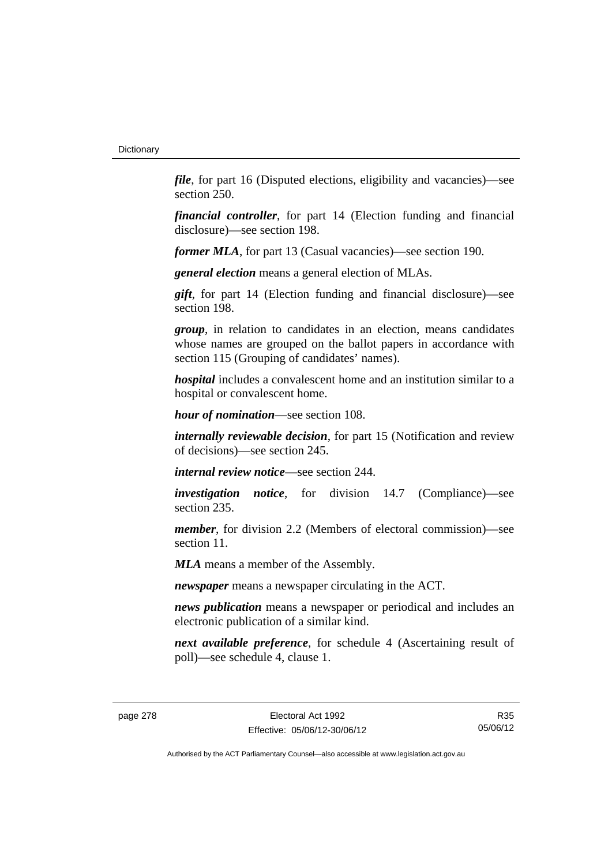*file*, for part 16 (Disputed elections, eligibility and vacancies)—see section 250.

*financial controller*, for part 14 (Election funding and financial disclosure)—see section 198.

*former MLA*, for part 13 (Casual vacancies)—see section 190.

*general election* means a general election of MLAs.

*gift*, for part 14 (Election funding and financial disclosure)—see section 198.

*group*, in relation to candidates in an election, means candidates whose names are grouped on the ballot papers in accordance with section 115 (Grouping of candidates' names).

*hospital* includes a convalescent home and an institution similar to a hospital or convalescent home.

*hour of nomination*—see section 108.

*internally reviewable decision*, for part 15 (Notification and review of decisions)—see section 245.

*internal review notice*—see section 244.

*investigation notice*, for division 14.7 (Compliance)—see section 235.

*member*, for division 2.2 (Members of electoral commission)—see section 11.

*MLA* means a member of the Assembly.

*newspaper* means a newspaper circulating in the ACT.

*news publication* means a newspaper or periodical and includes an electronic publication of a similar kind.

*next available preference*, for schedule 4 (Ascertaining result of poll)—see schedule 4, clause 1.

R35 05/06/12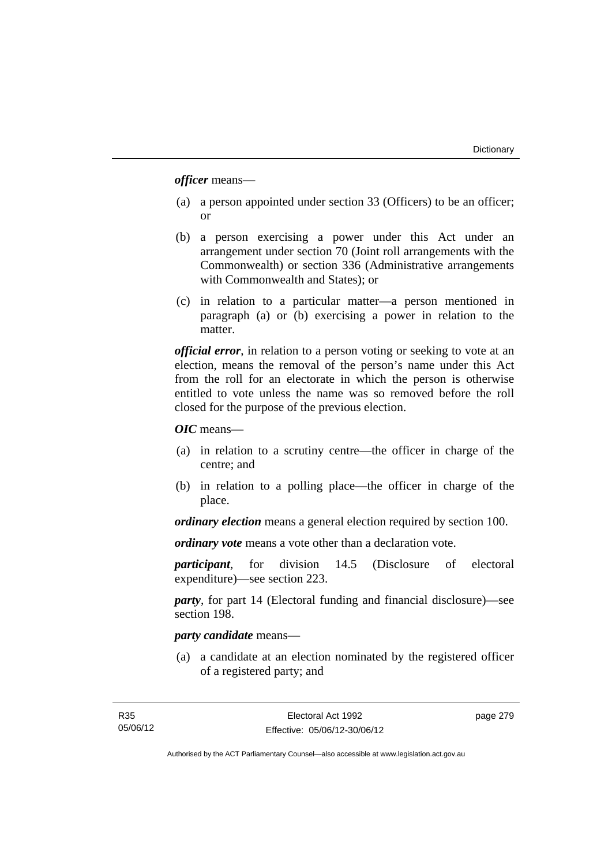*officer* means—

- (a) a person appointed under section 33 (Officers) to be an officer; or
- (b) a person exercising a power under this Act under an arrangement under section 70 (Joint roll arrangements with the Commonwealth) or section 336 (Administrative arrangements with Commonwealth and States); or
- (c) in relation to a particular matter—a person mentioned in paragraph (a) or (b) exercising a power in relation to the matter.

*official error*, in relation to a person voting or seeking to vote at an election, means the removal of the person's name under this Act from the roll for an electorate in which the person is otherwise entitled to vote unless the name was so removed before the roll closed for the purpose of the previous election.

*OIC* means—

- (a) in relation to a scrutiny centre—the officer in charge of the centre; and
- (b) in relation to a polling place—the officer in charge of the place.

*ordinary election* means a general election required by section 100.

*ordinary vote* means a vote other than a declaration vote.

*participant*, for division 14.5 (Disclosure of electoral expenditure)—see section 223.

*party*, for part 14 (Electoral funding and financial disclosure)—see section 198.

# *party candidate* means—

 (a) a candidate at an election nominated by the registered officer of a registered party; and

page 279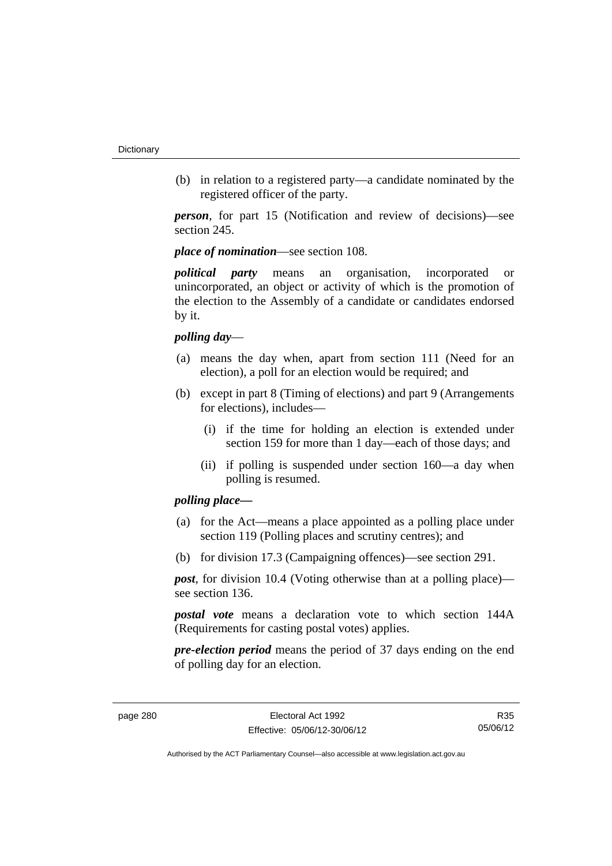(b) in relation to a registered party—a candidate nominated by the registered officer of the party.

*person*, for part 15 (Notification and review of decisions)—see section 245.

*place of nomination*—see section 108.

*political party* means an organisation, incorporated or unincorporated, an object or activity of which is the promotion of the election to the Assembly of a candidate or candidates endorsed by it.

### *polling day*—

- (a) means the day when, apart from section 111 (Need for an election), a poll for an election would be required; and
- (b) except in part 8 (Timing of elections) and part 9 (Arrangements for elections), includes—
	- (i) if the time for holding an election is extended under section 159 for more than 1 day—each of those days; and
	- (ii) if polling is suspended under section 160—a day when polling is resumed.

# *polling place—*

- (a) for the Act—means a place appointed as a polling place under section 119 (Polling places and scrutiny centres); and
- (b) for division 17.3 (Campaigning offences)—see section 291.

*post*, for division 10.4 (Voting otherwise than at a polling place) see section 136.

*postal vote* means a declaration vote to which section 144A (Requirements for casting postal votes) applies.

*pre-election period* means the period of 37 days ending on the end of polling day for an election.

R35 05/06/12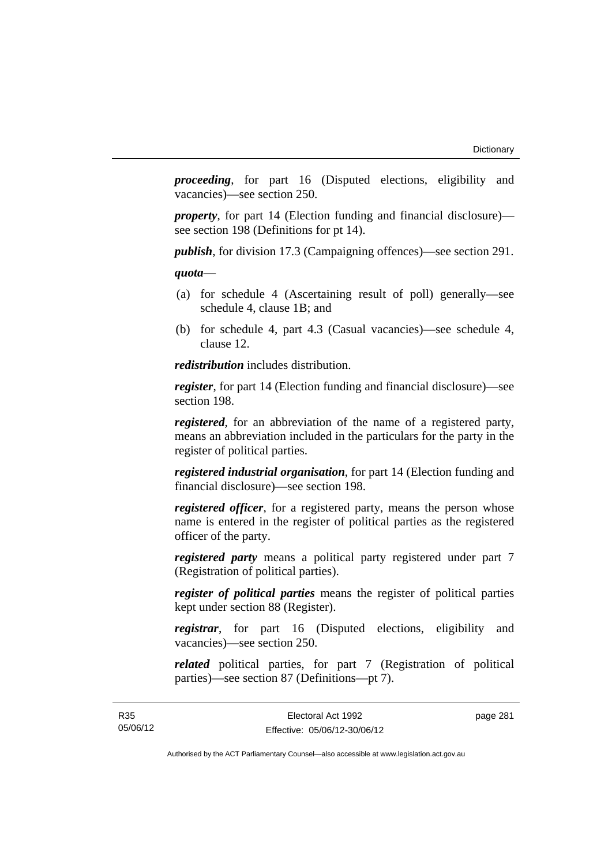*proceeding*, for part 16 (Disputed elections, eligibility and vacancies)—see section 250.

*property*, for part 14 (Election funding and financial disclosure) see section 198 (Definitions for pt 14).

*publish*, for division 17.3 (Campaigning offences)—see section 291.

*quota*—

- (a) for schedule 4 (Ascertaining result of poll) generally—see schedule 4, clause 1B; and
- (b) for schedule 4, part 4.3 (Casual vacancies)—see schedule 4, clause 12.

*redistribution* includes distribution.

*register*, for part 14 (Election funding and financial disclosure)—see section 198.

*registered*, for an abbreviation of the name of a registered party, means an abbreviation included in the particulars for the party in the register of political parties.

*registered industrial organisation*, for part 14 (Election funding and financial disclosure)—see section 198.

*registered officer*, for a registered party, means the person whose name is entered in the register of political parties as the registered officer of the party.

*registered party* means a political party registered under part 7 (Registration of political parties).

*register of political parties* means the register of political parties kept under section 88 (Register).

*registrar*, for part 16 (Disputed elections, eligibility and vacancies)—see section 250.

*related* political parties, for part 7 (Registration of political parties)—see section 87 (Definitions—pt 7).

R35 05/06/12 page 281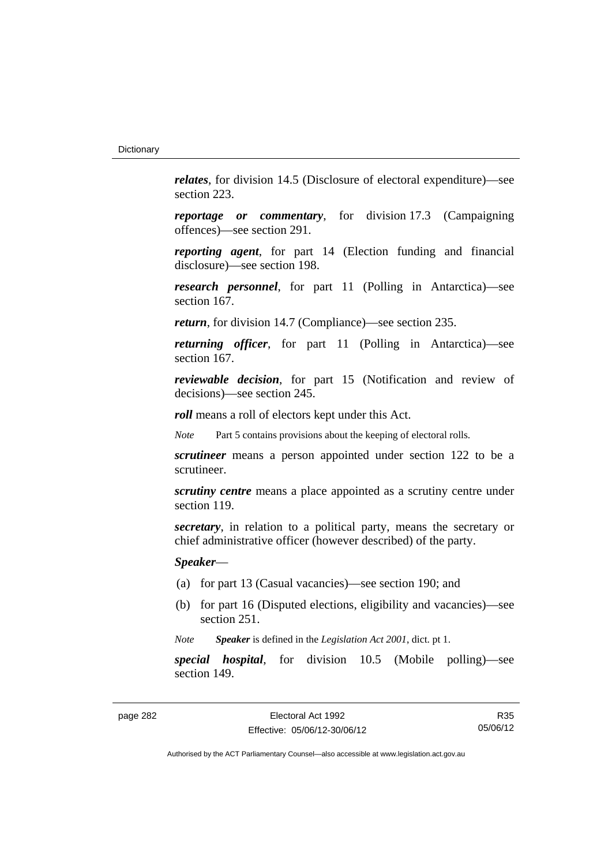*relates*, for division 14.5 (Disclosure of electoral expenditure)—see section 223.

*reportage or commentary*, for division 17.3 (Campaigning offences)—see section 291.

*reporting agent*, for part 14 (Election funding and financial disclosure)—see section 198.

*research personnel*, for part 11 (Polling in Antarctica)—see section 167.

*return*, for division 14.7 (Compliance)—see section 235.

*returning officer*, for part 11 (Polling in Antarctica)—see section 167.

*reviewable decision*, for part 15 (Notification and review of decisions)—see section 245.

*roll* means a roll of electors kept under this Act.

*Note* Part 5 contains provisions about the keeping of electoral rolls.

*scrutineer* means a person appointed under section 122 to be a scrutineer.

*scrutiny centre* means a place appointed as a scrutiny centre under section 119.

*secretary*, in relation to a political party, means the secretary or chief administrative officer (however described) of the party.

*Speaker*—

- (a) for part 13 (Casual vacancies)—see section 190; and
- (b) for part 16 (Disputed elections, eligibility and vacancies)—see section 251.

*Note Speaker* is defined in the *Legislation Act 2001*, dict. pt 1.

*special hospital*, for division 10.5 (Mobile polling)—see section 149.

R35 05/06/12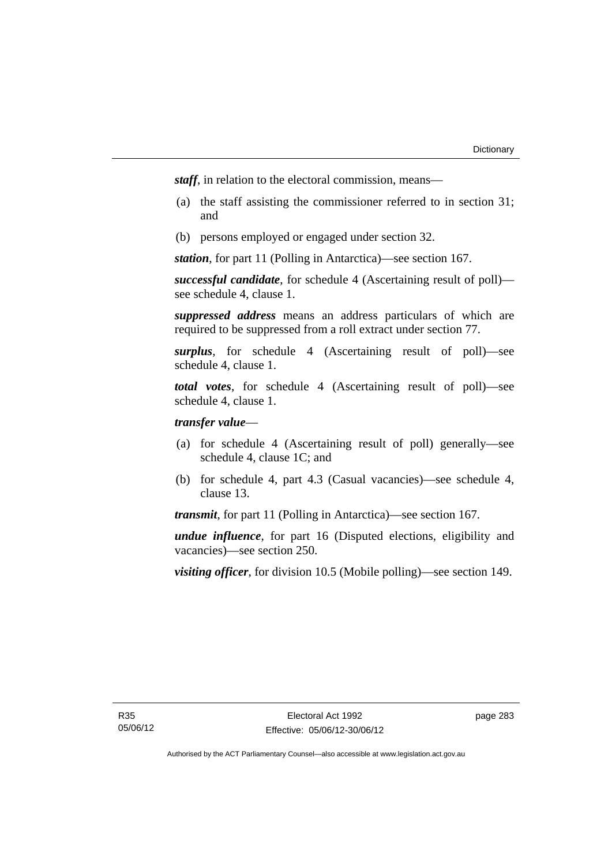*staff*, in relation to the electoral commission, means—

- (a) the staff assisting the commissioner referred to in section 31; and
- (b) persons employed or engaged under section 32.

*station*, for part 11 (Polling in Antarctica)—see section 167.

*successful candidate*, for schedule 4 (Ascertaining result of poll) see schedule 4, clause 1.

*suppressed address* means an address particulars of which are required to be suppressed from a roll extract under section 77.

*surplus*, for schedule 4 (Ascertaining result of poll)—see schedule 4, clause 1.

*total votes*, for schedule 4 (Ascertaining result of poll)—see schedule 4, clause 1.

# *transfer value*—

- (a) for schedule 4 (Ascertaining result of poll) generally—see schedule 4, clause 1C; and
- (b) for schedule 4, part 4.3 (Casual vacancies)—see schedule 4, clause 13.

*transmit*, for part 11 (Polling in Antarctica)—see section 167.

*undue influence*, for part 16 (Disputed elections, eligibility and vacancies)—see section 250.

*visiting officer*, for division 10.5 (Mobile polling)—see section 149.

page 283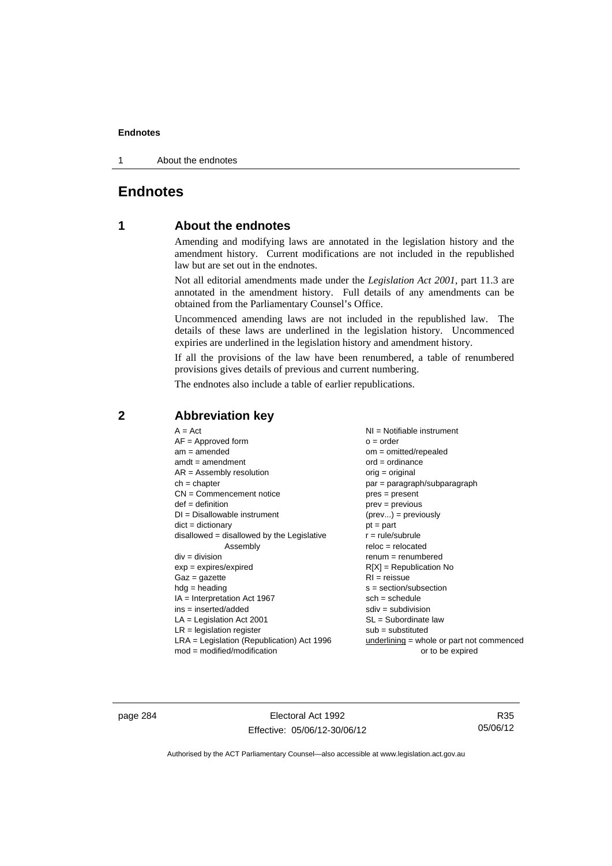1 About the endnotes

# **Endnotes**

# **1 About the endnotes**

Amending and modifying laws are annotated in the legislation history and the amendment history. Current modifications are not included in the republished law but are set out in the endnotes.

Not all editorial amendments made under the *Legislation Act 2001*, part 11.3 are annotated in the amendment history. Full details of any amendments can be obtained from the Parliamentary Counsel's Office.

Uncommenced amending laws are not included in the republished law. The details of these laws are underlined in the legislation history. Uncommenced expiries are underlined in the legislation history and amendment history.

If all the provisions of the law have been renumbered, a table of renumbered provisions gives details of previous and current numbering.

The endnotes also include a table of earlier republications.

| $A = Act$                                    | NI = Notifiable instrument                  |
|----------------------------------------------|---------------------------------------------|
| $AF =$ Approved form                         | $o = order$                                 |
| $am = amended$                               | $om = omitted/repealed$                     |
| $amdt = amendment$                           | $ord = ordinance$                           |
| $AR = Assembly resolution$                   | $orig = original$                           |
| $ch = chapter$                               | $par = paragraph/subparagraph$              |
| $CN =$ Commencement notice                   | $pres = present$                            |
| $def = definition$                           | $prev = previous$                           |
| $DI = Disallowable instrument$               | $(\text{prev}) = \text{previously}$         |
| $dict = dictionary$                          | $pt = part$                                 |
| $disallowed = disallowed by the Legislative$ | $r = rule/subrule$                          |
| Assembly                                     | $reloc = relocated$                         |
| $div = division$                             | $renum = renumbered$                        |
| $exp = expires/expired$                      | $R[X]$ = Republication No                   |
| $Gaz = gazette$                              | $RI = reissue$                              |
| $hdg = heading$                              | $s = section/subsection$                    |
| $IA = Interpretation Act 1967$               | $sch = schedule$                            |
| ins = inserted/added                         | $sdiv = subdivision$                        |
| $LA =$ Legislation Act 2001                  | $SL = Subordinate$ law                      |
| $LR =$ legislation register                  | $sub =$ substituted                         |
| LRA = Legislation (Republication) Act 1996   | underlining $=$ whole or part not commenced |
| $mod = modified/modification$                | or to be expired                            |

# **2 Abbreviation key**

page 284 Electoral Act 1992 Effective: 05/06/12-30/06/12

R35 05/06/12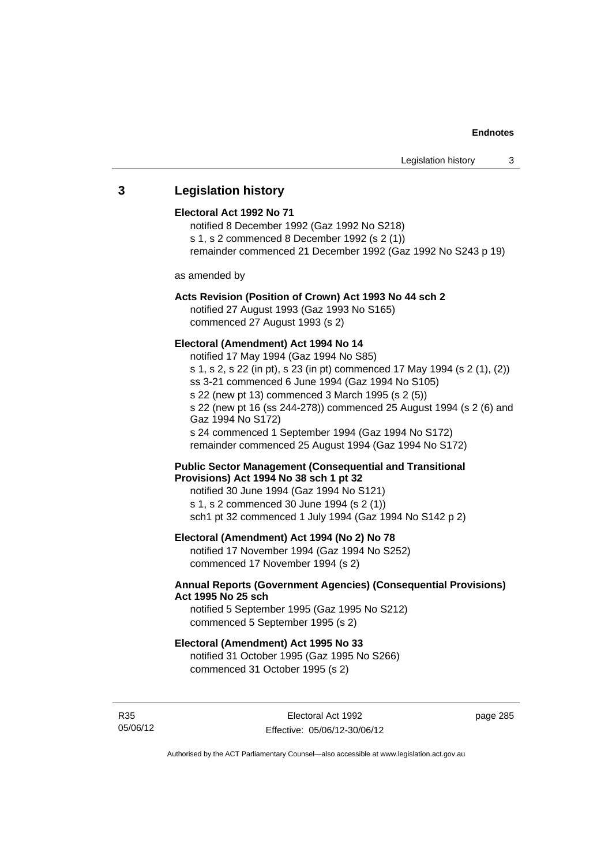# **3 Legislation history**

#### **Electoral Act 1992 No 71**

notified 8 December 1992 (Gaz 1992 No S218) s 1, s 2 commenced 8 December 1992 (s 2 (1)) remainder commenced 21 December 1992 (Gaz 1992 No S243 p 19)

as amended by

#### **Acts Revision (Position of Crown) Act 1993 No 44 sch 2**

notified 27 August 1993 (Gaz 1993 No S165) commenced 27 August 1993 (s 2)

# **Electoral (Amendment) Act 1994 No 14**

notified 17 May 1994 (Gaz 1994 No S85) s 1, s 2, s 22 (in pt), s 23 (in pt) commenced 17 May 1994 (s 2 (1), (2)) ss 3-21 commenced 6 June 1994 (Gaz 1994 No S105) s 22 (new pt 13) commenced 3 March 1995 (s 2 (5)) s 22 (new pt 16 (ss 244-278)) commenced 25 August 1994 (s 2 (6) and Gaz 1994 No S172) s 24 commenced 1 September 1994 (Gaz 1994 No S172) remainder commenced 25 August 1994 (Gaz 1994 No S172)

#### **Public Sector Management (Consequential and Transitional Provisions) Act 1994 No 38 sch 1 pt 32**

notified 30 June 1994 (Gaz 1994 No S121) s 1, s 2 commenced 30 June 1994 (s 2 (1)) sch1 pt 32 commenced 1 July 1994 (Gaz 1994 No S142 p 2)

# **Electoral (Amendment) Act 1994 (No 2) No 78**

notified 17 November 1994 (Gaz 1994 No S252) commenced 17 November 1994 (s 2)

# **Annual Reports (Government Agencies) (Consequential Provisions) Act 1995 No 25 sch**

notified 5 September 1995 (Gaz 1995 No S212) commenced 5 September 1995 (s 2)

#### **Electoral (Amendment) Act 1995 No 33**

notified 31 October 1995 (Gaz 1995 No S266) commenced 31 October 1995 (s 2)

R35 05/06/12 page 285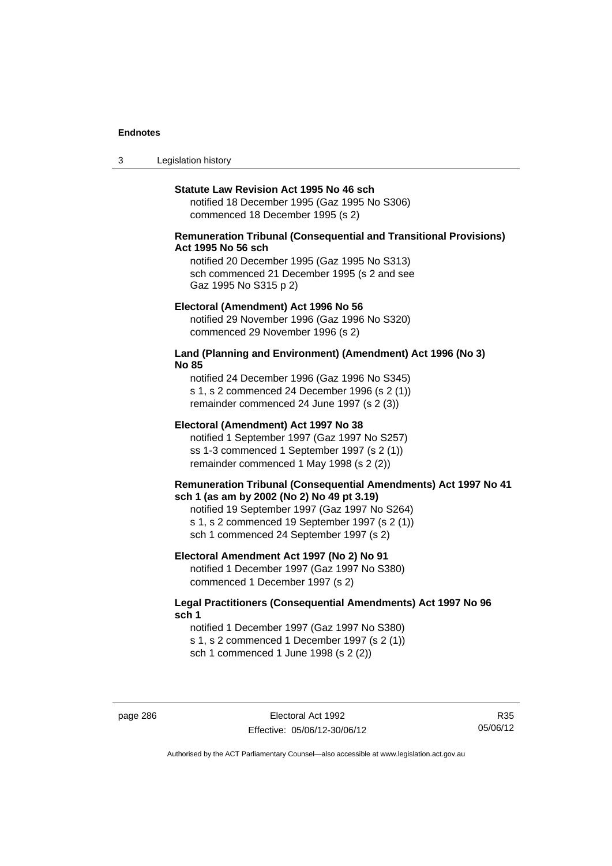3 Legislation history

#### **Statute Law Revision Act 1995 No 46 sch**

notified 18 December 1995 (Gaz 1995 No S306) commenced 18 December 1995 (s 2)

### **Remuneration Tribunal (Consequential and Transitional Provisions) Act 1995 No 56 sch**

notified 20 December 1995 (Gaz 1995 No S313) sch commenced 21 December 1995 (s 2 and see Gaz 1995 No S315 p 2)

#### **Electoral (Amendment) Act 1996 No 56**

notified 29 November 1996 (Gaz 1996 No S320) commenced 29 November 1996 (s 2)

#### **Land (Planning and Environment) (Amendment) Act 1996 (No 3) No 85**

notified 24 December 1996 (Gaz 1996 No S345) s 1, s 2 commenced 24 December 1996 (s 2 (1)) remainder commenced 24 June 1997 (s 2 (3))

#### **Electoral (Amendment) Act 1997 No 38**

notified 1 September 1997 (Gaz 1997 No S257) ss 1-3 commenced 1 September 1997 (s 2 (1)) remainder commenced 1 May 1998 (s 2 (2))

#### **Remuneration Tribunal (Consequential Amendments) Act 1997 No 41 sch 1 (as am by 2002 (No 2) No 49 pt 3.19)**

notified 19 September 1997 (Gaz 1997 No S264) s 1, s 2 commenced 19 September 1997 (s 2 (1)) sch 1 commenced 24 September 1997 (s 2)

#### **Electoral Amendment Act 1997 (No 2) No 91**

notified 1 December 1997 (Gaz 1997 No S380) commenced 1 December 1997 (s 2)

#### **Legal Practitioners (Consequential Amendments) Act 1997 No 96 sch 1**

notified 1 December 1997 (Gaz 1997 No S380) s 1, s 2 commenced 1 December 1997 (s 2 (1)) sch 1 commenced 1 June 1998 (s 2 (2))

R35 05/06/12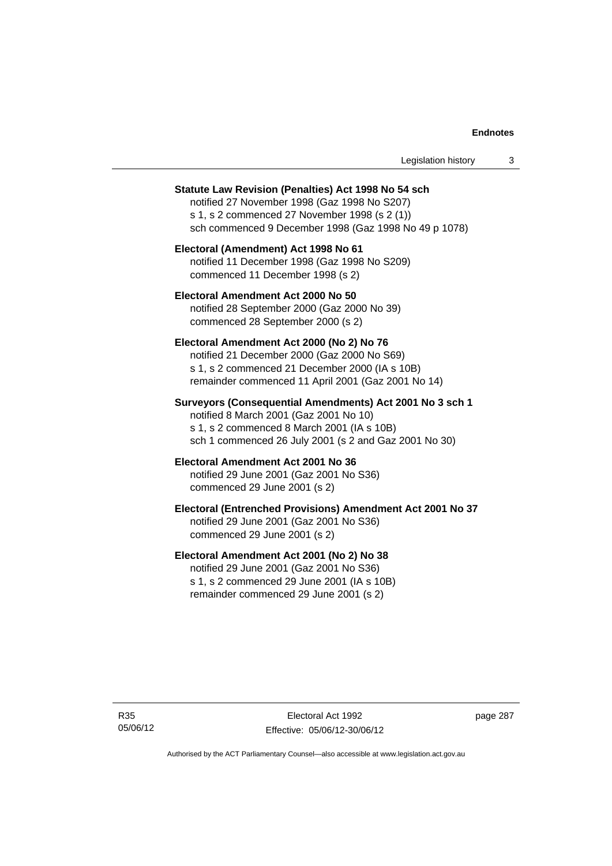| Legislation history |  |  |
|---------------------|--|--|
|---------------------|--|--|

#### **Statute Law Revision (Penalties) Act 1998 No 54 sch**

notified 27 November 1998 (Gaz 1998 No S207) s 1, s 2 commenced 27 November 1998 (s 2 (1)) sch commenced 9 December 1998 (Gaz 1998 No 49 p 1078)

# **Electoral (Amendment) Act 1998 No 61**  notified 11 December 1998 (Gaz 1998 No S209) commenced 11 December 1998 (s 2)

# **Electoral Amendment Act 2000 No 50**  notified 28 September 2000 (Gaz 2000 No 39) commenced 28 September 2000 (s 2)

#### **Electoral Amendment Act 2000 (No 2) No 76**

notified 21 December 2000 (Gaz 2000 No S69) s 1, s 2 commenced 21 December 2000 (IA s 10B) remainder commenced 11 April 2001 (Gaz 2001 No 14)

# **Surveyors (Consequential Amendments) Act 2001 No 3 sch 1**

notified 8 March 2001 (Gaz 2001 No 10) s 1, s 2 commenced 8 March 2001 (IA s 10B) sch 1 commenced 26 July 2001 (s 2 and Gaz 2001 No 30)

# **Electoral Amendment Act 2001 No 36**

notified 29 June 2001 (Gaz 2001 No S36) commenced 29 June 2001 (s 2)

#### **Electoral (Entrenched Provisions) Amendment Act 2001 No 37**

notified 29 June 2001 (Gaz 2001 No S36) commenced 29 June 2001 (s 2)

# **Electoral Amendment Act 2001 (No 2) No 38**

notified 29 June 2001 (Gaz 2001 No S36) s 1, s 2 commenced 29 June 2001 (IA s 10B) remainder commenced 29 June 2001 (s 2)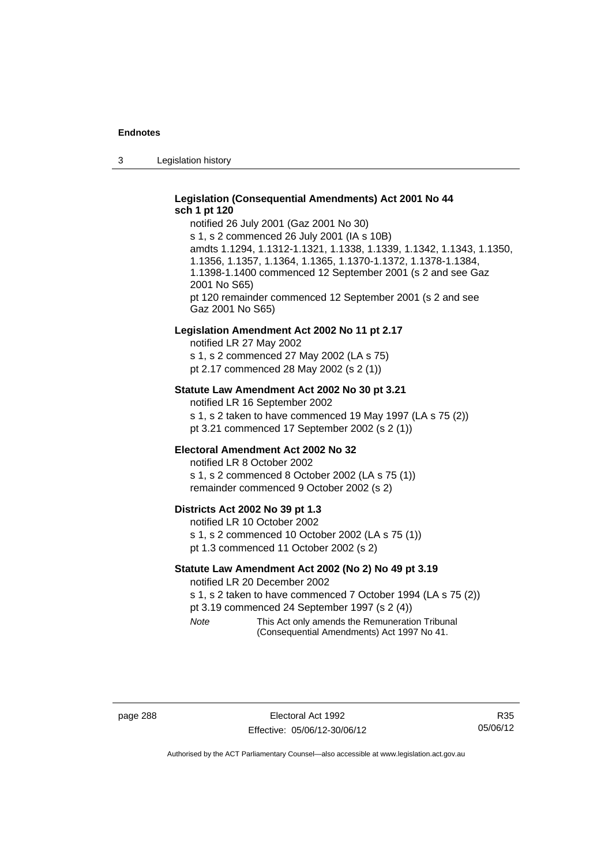3 Legislation history

# **Legislation (Consequential Amendments) Act 2001 No 44 sch 1 pt 120**

notified 26 July 2001 (Gaz 2001 No 30) s 1, s 2 commenced 26 July 2001 (IA s 10B) amdts 1.1294, 1.1312-1.1321, 1.1338, 1.1339, 1.1342, 1.1343, 1.1350, 1.1356, 1.1357, 1.1364, 1.1365, 1.1370-1.1372, 1.1378-1.1384, 1.1398-1.1400 commenced 12 September 2001 (s 2 and see Gaz 2001 No S65) pt 120 remainder commenced 12 September 2001 (s 2 and see Gaz 2001 No S65)

#### **Legislation Amendment Act 2002 No 11 pt 2.17**

notified LR 27 May 2002 s 1, s 2 commenced 27 May 2002 (LA s 75) pt 2.17 commenced 28 May 2002 (s 2 (1))

#### **Statute Law Amendment Act 2002 No 30 pt 3.21**

notified LR 16 September 2002 s 1, s 2 taken to have commenced 19 May 1997 (LA s 75 (2)) pt 3.21 commenced 17 September 2002 (s 2 (1))

#### **Electoral Amendment Act 2002 No 32**

notified LR 8 October 2002 s 1, s 2 commenced 8 October 2002 (LA s 75 (1)) remainder commenced 9 October 2002 (s 2)

#### **Districts Act 2002 No 39 pt 1.3**

notified LR 10 October 2002 s 1, s 2 commenced 10 October 2002 (LA s 75 (1)) pt 1.3 commenced 11 October 2002 (s 2)

# **Statute Law Amendment Act 2002 (No 2) No 49 pt 3.19**

notified LR 20 December 2002

s 1, s 2 taken to have commenced 7 October 1994 (LA s 75 (2)) pt 3.19 commenced 24 September 1997 (s 2 (4))

*Note* This Act only amends the Remuneration Tribunal (Consequential Amendments) Act 1997 No 41.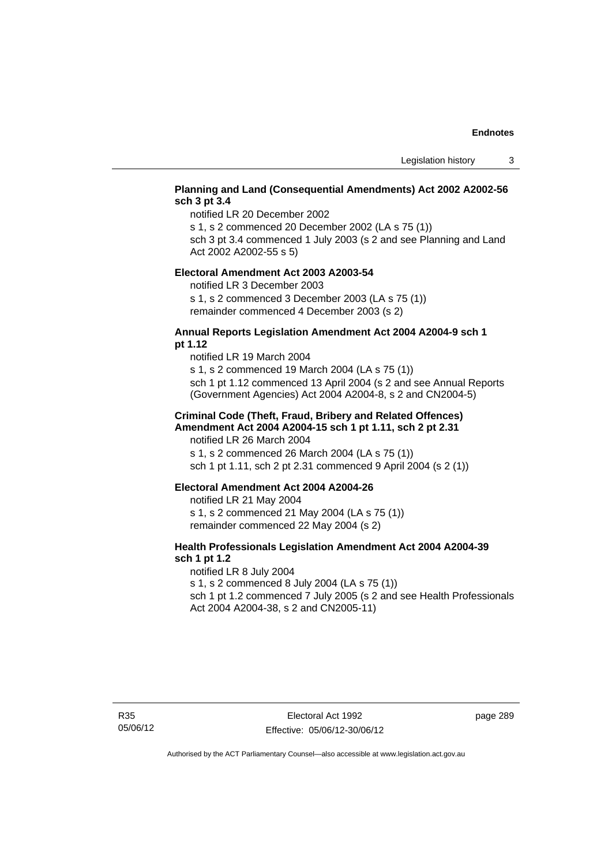# **Planning and Land (Consequential Amendments) Act 2002 A2002-56 sch 3 pt 3.4**

notified LR 20 December 2002

s 1, s 2 commenced 20 December 2002 (LA s 75 (1))

sch 3 pt 3.4 commenced 1 July 2003 (s 2 and see Planning and Land Act 2002 A2002-55 s 5)

#### **Electoral Amendment Act 2003 A2003-54**

notified LR 3 December 2003

s 1, s 2 commenced 3 December 2003 (LA s 75 (1)) remainder commenced 4 December 2003 (s 2)

#### **Annual Reports Legislation Amendment Act 2004 A2004-9 sch 1 pt 1.12**

notified LR 19 March 2004 s 1, s 2 commenced 19 March 2004 (LA s 75 (1)) sch 1 pt 1.12 commenced 13 April 2004 (s 2 and see Annual Reports (Government Agencies) Act 2004 A2004-8, s 2 and CN2004-5)

#### **Criminal Code (Theft, Fraud, Bribery and Related Offences) Amendment Act 2004 A2004-15 sch 1 pt 1.11, sch 2 pt 2.31**

notified LR 26 March 2004 s 1, s 2 commenced 26 March 2004 (LA s 75 (1)) sch 1 pt 1.11, sch 2 pt 2.31 commenced 9 April 2004 (s 2 (1))

#### **Electoral Amendment Act 2004 A2004-26**

notified LR 21 May 2004 s 1, s 2 commenced 21 May 2004 (LA s 75 (1)) remainder commenced 22 May 2004 (s 2)

# **Health Professionals Legislation Amendment Act 2004 A2004-39 sch 1 pt 1.2**

notified LR 8 July 2004 s 1, s 2 commenced 8 July 2004 (LA s 75 (1)) sch 1 pt 1.2 commenced 7 July 2005 (s 2 and see Health Professionals Act 2004 A2004-38, s 2 and CN2005-11)

page 289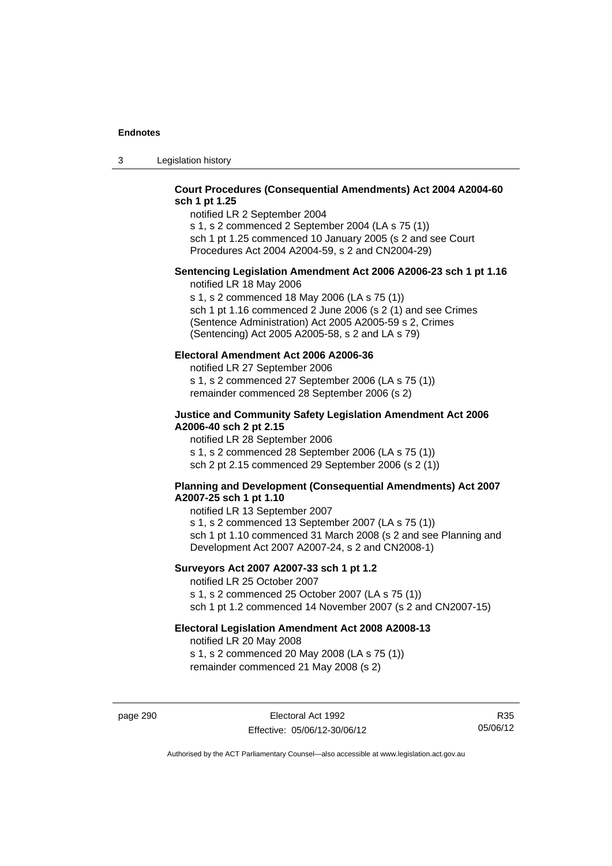3 Legislation history

# **Court Procedures (Consequential Amendments) Act 2004 A2004-60 sch 1 pt 1.25**

notified LR 2 September 2004 s 1, s 2 commenced 2 September 2004 (LA s 75 (1)) sch 1 pt 1.25 commenced 10 January 2005 (s 2 and see Court

Procedures Act 2004 A2004-59, s 2 and CN2004-29)

# **Sentencing Legislation Amendment Act 2006 A2006-23 sch 1 pt 1.16**

notified LR 18 May 2006

s 1, s 2 commenced 18 May 2006 (LA s 75 (1)) sch 1 pt 1.16 commenced 2 June 2006 (s 2 (1) and see Crimes (Sentence Administration) Act 2005 A2005-59 s 2, Crimes (Sentencing) Act 2005 A2005-58, s 2 and LA s 79)

# **Electoral Amendment Act 2006 A2006-36**

notified LR 27 September 2006 s 1, s 2 commenced 27 September 2006 (LA s 75 (1)) remainder commenced 28 September 2006 (s 2)

### **Justice and Community Safety Legislation Amendment Act 2006 A2006-40 sch 2 pt 2.15**

notified LR 28 September 2006 s 1, s 2 commenced 28 September 2006 (LA s 75 (1)) sch 2 pt 2.15 commenced 29 September 2006 (s 2 (1))

# **Planning and Development (Consequential Amendments) Act 2007 A2007-25 sch 1 pt 1.10**

notified LR 13 September 2007 s 1, s 2 commenced 13 September 2007 (LA s 75 (1)) sch 1 pt 1.10 commenced 31 March 2008 (s 2 and see Planning and Development Act 2007 A2007-24, s 2 and CN2008-1)

# **Surveyors Act 2007 A2007-33 sch 1 pt 1.2**

notified LR 25 October 2007 s 1, s 2 commenced 25 October 2007 (LA s 75 (1)) sch 1 pt 1.2 commenced 14 November 2007 (s 2 and CN2007-15)

#### **Electoral Legislation Amendment Act 2008 A2008-13**

notified LR 20 May 2008 s 1, s 2 commenced 20 May 2008 (LA s 75 (1)) remainder commenced 21 May 2008 (s 2)

page 290 Electoral Act 1992 Effective: 05/06/12-30/06/12

R35 05/06/12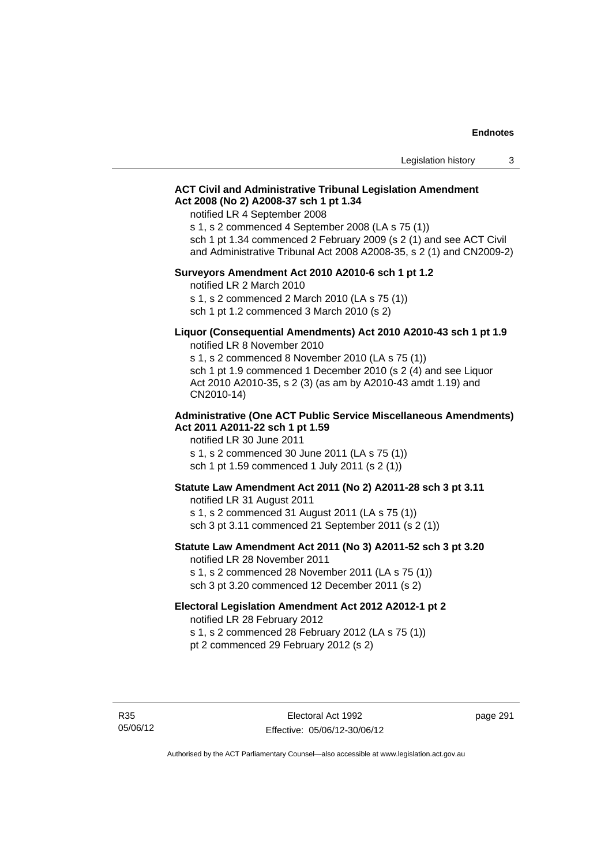### **ACT Civil and Administrative Tribunal Legislation Amendment Act 2008 (No 2) A2008-37 sch 1 pt 1.34**

notified LR 4 September 2008

s 1, s 2 commenced 4 September 2008 (LA s 75 (1))

sch 1 pt 1.34 commenced 2 February 2009 (s 2 (1) and see ACT Civil and Administrative Tribunal Act 2008 A2008-35, s 2 (1) and CN2009-2)

#### **Surveyors Amendment Act 2010 A2010-6 sch 1 pt 1.2**

notified LR 2 March 2010 s 1, s 2 commenced 2 March 2010 (LA s 75 (1)) sch 1 pt 1.2 commenced 3 March 2010 (s 2)

#### **Liquor (Consequential Amendments) Act 2010 A2010-43 sch 1 pt 1.9**  notified LR 8 November 2010

s 1, s 2 commenced 8 November 2010 (LA s 75 (1)) sch 1 pt 1.9 commenced 1 December 2010 (s 2 (4) and see Liquor Act 2010 A2010-35, s 2 (3) (as am by A2010-43 amdt 1.19) and CN2010-14)

#### **Administrative (One ACT Public Service Miscellaneous Amendments) Act 2011 A2011-22 sch 1 pt 1.59**

notified LR 30 June 2011 s 1, s 2 commenced 30 June 2011 (LA s 75 (1)) sch 1 pt 1.59 commenced 1 July 2011 (s 2 (1))

#### **Statute Law Amendment Act 2011 (No 2) A2011-28 sch 3 pt 3.11**

notified LR 31 August 2011 s 1, s 2 commenced 31 August 2011 (LA s 75 (1)) sch 3 pt 3.11 commenced 21 September 2011 (s 2 (1))

# **Statute Law Amendment Act 2011 (No 3) A2011-52 sch 3 pt 3.20**

notified LR 28 November 2011 s 1, s 2 commenced 28 November 2011 (LA s 75 (1)) sch 3 pt 3.20 commenced 12 December 2011 (s 2)

#### **Electoral Legislation Amendment Act 2012 A2012-1 pt 2**

notified LR 28 February 2012 s 1, s 2 commenced 28 February 2012 (LA s 75 (1)) pt 2 commenced 29 February 2012 (s 2)

R35 05/06/12 page 291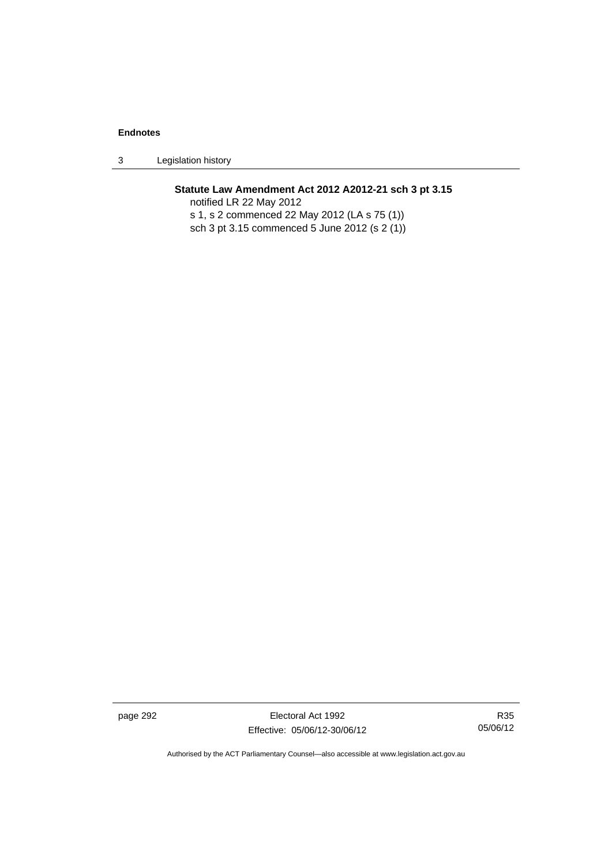3 Legislation history

# **Statute Law Amendment Act 2012 A2012-21 sch 3 pt 3.15**

notified LR 22 May 2012 s 1, s 2 commenced 22 May 2012 (LA s 75 (1)) sch 3 pt 3.15 commenced 5 June 2012 (s 2 (1))

page 292 **Electoral Act 1992** Effective: 05/06/12-30/06/12

R35 05/06/12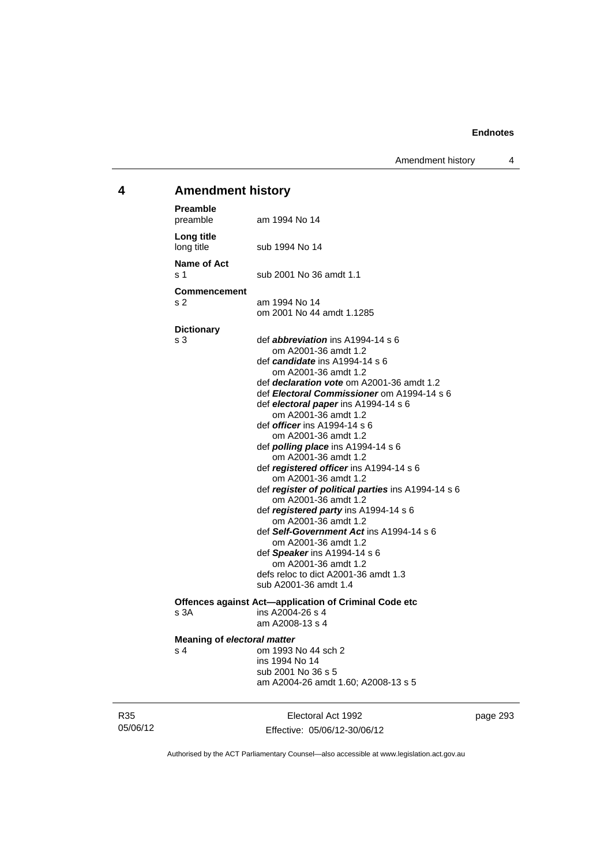Amendment history 4

# **4 Amendment history**

| Preamble<br>preamble                      | am 1994 No 14                                                                                                                                                                                                                                                                                                                                                                                                                                                                                                                                                                                                                                                                                                                                                                                                                                            |
|-------------------------------------------|----------------------------------------------------------------------------------------------------------------------------------------------------------------------------------------------------------------------------------------------------------------------------------------------------------------------------------------------------------------------------------------------------------------------------------------------------------------------------------------------------------------------------------------------------------------------------------------------------------------------------------------------------------------------------------------------------------------------------------------------------------------------------------------------------------------------------------------------------------|
| Long title<br>long title                  | sub 1994 No 14                                                                                                                                                                                                                                                                                                                                                                                                                                                                                                                                                                                                                                                                                                                                                                                                                                           |
| Name of Act<br>s 1                        | sub 2001 No 36 amdt 1.1                                                                                                                                                                                                                                                                                                                                                                                                                                                                                                                                                                                                                                                                                                                                                                                                                                  |
| <b>Commencement</b><br>s <sub>2</sub>     | am 1994 No 14<br>om 2001 No 44 amdt 1.1285                                                                                                                                                                                                                                                                                                                                                                                                                                                                                                                                                                                                                                                                                                                                                                                                               |
| <b>Dictionary</b><br>s 3                  | def <i>abbreviation</i> ins $A1994-14 s 6$<br>om A2001-36 amdt 1.2<br>def <i>candidate</i> ins A1994-14 s 6<br>om A2001-36 amdt 1.2<br>def <i>declaration vote</i> om A2001-36 amdt 1.2<br>def Electoral Commissioner om A1994-14 s 6<br>def electoral paper ins A1994-14 s 6<br>om A2001-36 amdt 1.2<br>def <i>officer</i> ins A1994-14 s 6<br>om A2001-36 amdt 1.2<br>def <i>polling place</i> ins A1994-14 s 6<br>om A2001-36 amdt 1.2<br>def registered officer ins A1994-14 s 6<br>om A2001-36 amdt 1.2<br>def register of political parties ins A1994-14 s 6<br>om A2001-36 amdt 1.2<br>def registered party ins A1994-14 s 6<br>om A2001-36 amdt 1.2<br>def Self-Government Act ins A1994-14 s 6<br>om A2001-36 amdt 1.2<br>def Speaker ins A1994-14 s 6<br>om A2001-36 amdt 1.2<br>defs reloc to dict A2001-36 amdt 1.3<br>sub A2001-36 amdt 1.4 |
| s 3A                                      | Offences against Act-application of Criminal Code etc<br>ins A2004-26 s 4<br>am A2008-13 s 4                                                                                                                                                                                                                                                                                                                                                                                                                                                                                                                                                                                                                                                                                                                                                             |
| <b>Meaning of electoral matter</b><br>s 4 | om 1993 No 44 sch 2<br>ins 1994 No 14<br>sub 2001 No 36 s 5<br>am A2004-26 amdt 1.60; A2008-13 s 5                                                                                                                                                                                                                                                                                                                                                                                                                                                                                                                                                                                                                                                                                                                                                       |

R35 05/06/12

Electoral Act 1992 Effective: 05/06/12-30/06/12 page 293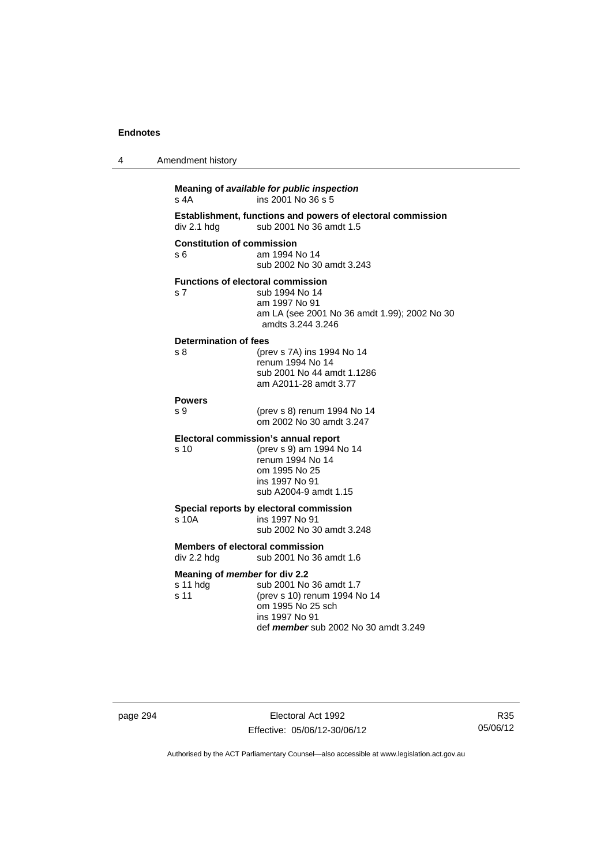| 4 | Amendment history                                     |                                                                                                                                               |
|---|-------------------------------------------------------|-----------------------------------------------------------------------------------------------------------------------------------------------|
|   | s 4A                                                  | Meaning of available for public inspection<br>ins 2001 No 36 s 5                                                                              |
|   | div 2.1 hdg                                           | Establishment, functions and powers of electoral commission<br>sub 2001 No 36 amdt 1.5                                                        |
|   | <b>Constitution of commission</b><br>s 6              | am 1994 No 14<br>sub 2002 No 30 amdt 3.243                                                                                                    |
|   | <b>Functions of electoral commission</b><br>s 7       | sub 1994 No 14<br>am 1997 No 91<br>am LA (see 2001 No 36 amdt 1.99); 2002 No 30<br>amdts 3.244 3.246                                          |
|   | Determination of fees<br>s 8                          | (prev s 7A) ins 1994 No 14<br>renum 1994 No 14<br>sub 2001 No 44 amdt 1.1286<br>am A2011-28 amdt 3.77                                         |
|   | <b>Powers</b><br>s 9                                  | (prev s 8) renum 1994 No 14<br>om 2002 No 30 amdt 3.247                                                                                       |
|   | Electoral commission's annual report<br>s 10          | (prev s 9) am 1994 No 14<br>renum 1994 No 14<br>om 1995 No 25<br>ins 1997 No 91<br>sub A2004-9 amdt 1.15                                      |
|   | s 10A                                                 | Special reports by electoral commission<br>ins 1997 No 91<br>sub 2002 No 30 amdt 3.248                                                        |
|   | <b>Members of electoral commission</b><br>div 2.2 hdg | sub 2001 No 36 amdt 1.6                                                                                                                       |
|   | Meaning of member for div 2.2<br>s 11 hdg<br>s 11     | sub 2001 No 36 amdt 1.7<br>(prev s 10) renum 1994 No 14<br>om 1995 No 25 sch<br>ins 1997 No 91<br>def <i>member</i> sub 2002 No 30 amdt 3.249 |

page 294 Electoral Act 1992 Effective: 05/06/12-30/06/12

R35 05/06/12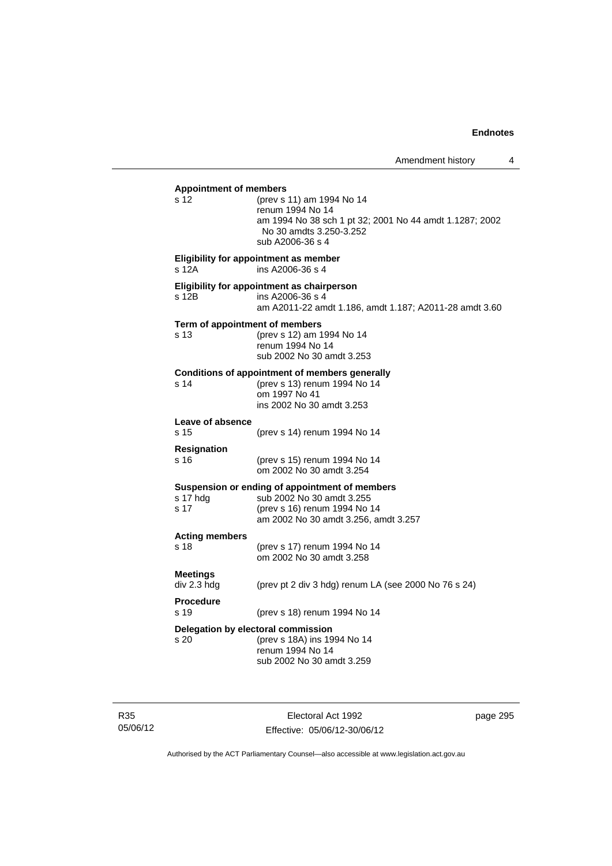| <b>Appointment of members</b><br>s 12  | (prev s 11) am 1994 No 14<br>renum 1994 No 14<br>am 1994 No 38 sch 1 pt 32; 2001 No 44 amdt 1.1287; 2002<br>No 30 amdts 3.250-3.252<br>sub A2006-36 s 4 |
|----------------------------------------|---------------------------------------------------------------------------------------------------------------------------------------------------------|
| s 12A                                  | Eligibility for appointment as member<br>ins A2006-36 s 4                                                                                               |
| s 12B                                  | Eligibility for appointment as chairperson<br>ins A2006-36 s 4<br>am A2011-22 amdt 1.186, amdt 1.187; A2011-28 amdt 3.60                                |
| Term of appointment of members<br>s 13 | (prev s 12) am 1994 No 14<br>renum 1994 No 14<br>sub 2002 No 30 amdt 3.253                                                                              |
| s 14                                   | <b>Conditions of appointment of members generally</b><br>(prev s 13) renum 1994 No 14<br>om 1997 No 41<br>ins 2002 No 30 amdt 3.253                     |
| Leave of absence<br>s 15               | (prev s 14) renum 1994 No 14                                                                                                                            |
| <b>Resignation</b><br>s 16             | (prev s 15) renum 1994 No 14<br>om 2002 No 30 amdt 3.254                                                                                                |
| s 17 hdg<br>s 17                       | Suspension or ending of appointment of members<br>sub 2002 No 30 amdt 3.255<br>(prev s 16) renum 1994 No 14<br>am 2002 No 30 amdt 3.256, amdt 3.257     |
| <b>Acting members</b><br>s 18          | (prev s 17) renum 1994 No 14<br>om 2002 No 30 amdt 3.258                                                                                                |
| Meetings<br>div 2.3 hdg                | (prev pt 2 div 3 hdg) renum LA (see 2000 No 76 s 24)                                                                                                    |
| <b>Procedure</b><br>s 19               | (prev s 18) renum 1994 No 14                                                                                                                            |
| s 20                                   | Delegation by electoral commission<br>(prev s 18A) ins 1994 No 14<br>renum 1994 No 14<br>sub 2002 No 30 amdt 3.259                                      |
|                                        |                                                                                                                                                         |

R35 05/06/12

Electoral Act 1992 Effective: 05/06/12-30/06/12 page 295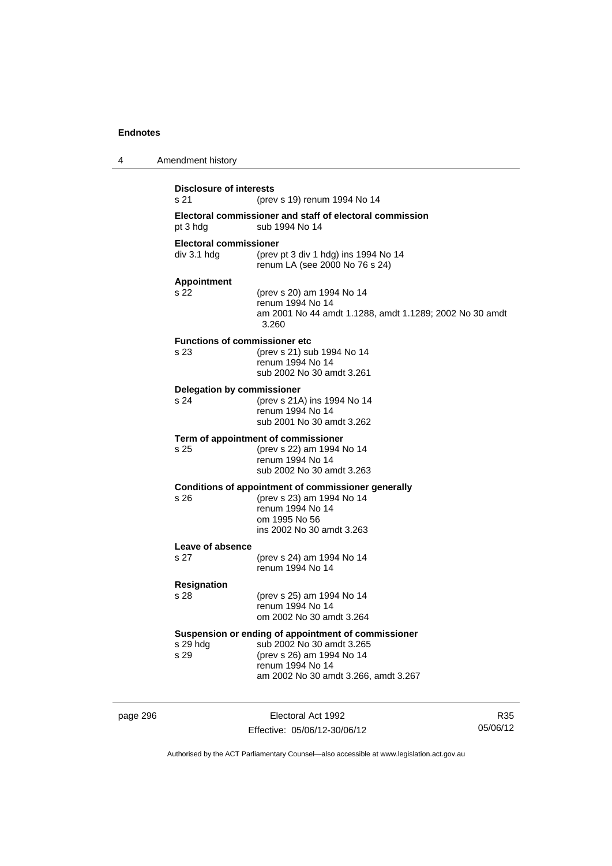| 4 | Amendment history                             |                                                                                                                                                                           |
|---|-----------------------------------------------|---------------------------------------------------------------------------------------------------------------------------------------------------------------------------|
|   | <b>Disclosure of interests</b><br>s 21        | (prev s 19) renum 1994 No 14                                                                                                                                              |
|   | pt 3 hdg                                      | Electoral commissioner and staff of electoral commission<br>sub 1994 No 14                                                                                                |
|   | <b>Electoral commissioner</b><br>div 3.1 h dq | (prev pt 3 div 1 hdg) ins 1994 No 14<br>renum LA (see 2000 No 76 s 24)                                                                                                    |
|   | <b>Appointment</b><br>s 22                    | (prev s 20) am 1994 No 14<br>renum 1994 No 14<br>am 2001 No 44 amdt 1.1288, amdt 1.1289; 2002 No 30 amdt<br>3.260                                                         |
|   | <b>Functions of commissioner etc</b><br>s 23  | (prev s 21) sub 1994 No 14<br>renum 1994 No 14<br>sub 2002 No 30 amdt 3.261                                                                                               |
|   | <b>Delegation by commissioner</b><br>s 24     | (prev s 21A) ins 1994 No 14<br>renum 1994 No 14<br>sub 2001 No 30 amdt 3.262                                                                                              |
|   | s 25                                          | Term of appointment of commissioner<br>(prev s 22) am 1994 No 14<br>renum 1994 No 14<br>sub 2002 No 30 amdt 3.263                                                         |
|   | s 26                                          | Conditions of appointment of commissioner generally<br>(prev s 23) am 1994 No 14<br>renum 1994 No 14<br>om 1995 No 56<br>ins 2002 No 30 amdt 3.263                        |
|   | Leave of absence<br>s 27                      | (prev s 24) am 1994 No 14<br>renum 1994 No 14                                                                                                                             |
|   | <b>Resignation</b><br>s 28                    | (prev s 25) am 1994 No 14<br>renum 1994 No 14<br>om 2002 No 30 amdt 3.264                                                                                                 |
|   | s 29 hdg<br>s 29                              | Suspension or ending of appointment of commissioner<br>sub 2002 No 30 amdt 3.265<br>(prev s 26) am 1994 No 14<br>renum 1994 No 14<br>am 2002 No 30 amdt 3.266, amdt 3.267 |

page 296 **Electoral Act 1992** Effective: 05/06/12-30/06/12

R35 05/06/12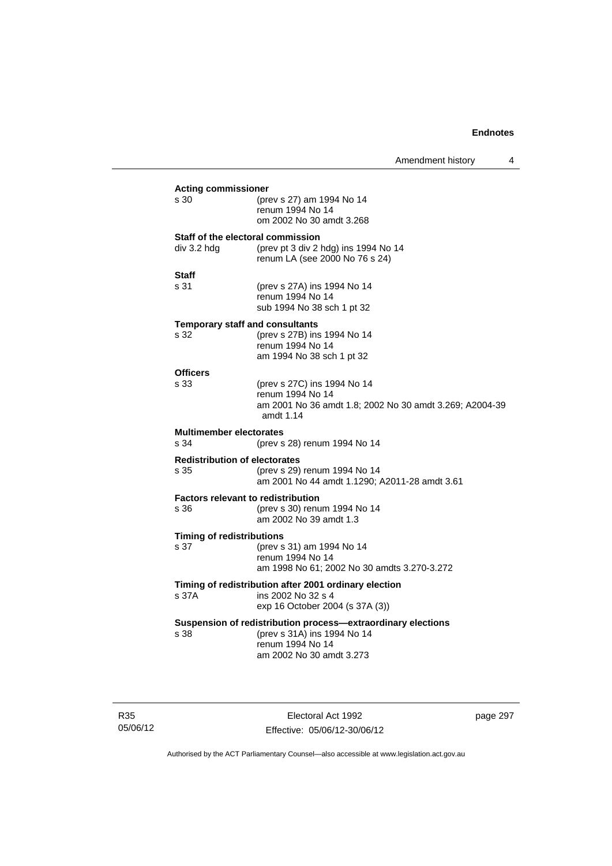Amendment history 4

| <b>Acting commissioner</b>                |                                                                        |  |  |
|-------------------------------------------|------------------------------------------------------------------------|--|--|
| s 30                                      | (prev s 27) am 1994 No 14                                              |  |  |
|                                           | renum 1994 No 14                                                       |  |  |
|                                           | om 2002 No 30 amdt 3.268                                               |  |  |
| Staff of the electoral commission         |                                                                        |  |  |
| div 3.2 hdg                               | (prev pt 3 div 2 hdg) ins 1994 No 14<br>renum LA (see 2000 No 76 s 24) |  |  |
|                                           |                                                                        |  |  |
| Staff<br>s 31                             | (prev s 27A) ins 1994 No 14                                            |  |  |
|                                           | renum 1994 No 14                                                       |  |  |
|                                           | sub 1994 No 38 sch 1 pt 32                                             |  |  |
| <b>Temporary staff and consultants</b>    |                                                                        |  |  |
| s 32                                      | (prev s 27B) ins 1994 No 14<br>renum 1994 No 14                        |  |  |
|                                           | am 1994 No 38 sch 1 pt 32                                              |  |  |
| <b>Officers</b>                           |                                                                        |  |  |
| s 33                                      | (prev s 27C) ins 1994 No 14                                            |  |  |
|                                           | renum 1994 No 14                                                       |  |  |
|                                           | am 2001 No 36 amdt 1.8; 2002 No 30 amdt 3.269; A2004-39<br>amdt 1.14   |  |  |
| <b>Multimember electorates</b>            |                                                                        |  |  |
| s 34                                      | (prev s 28) renum 1994 No 14                                           |  |  |
| <b>Redistribution of electorates</b>      |                                                                        |  |  |
| s 35                                      | (prev s 29) renum 1994 No 14                                           |  |  |
|                                           | am 2001 No 44 amdt 1.1290; A2011-28 amdt 3.61                          |  |  |
| <b>Factors relevant to redistribution</b> |                                                                        |  |  |
| s 36                                      | (prev s 30) renum 1994 No 14<br>am 2002 No 39 amdt 1.3                 |  |  |
|                                           |                                                                        |  |  |
| <b>Timing of redistributions</b><br>s 37  | (prev s 31) am 1994 No 14                                              |  |  |
|                                           | renum 1994 No 14                                                       |  |  |
|                                           | am 1998 No 61; 2002 No 30 amdts 3.270-3.272                            |  |  |
|                                           | Timing of redistribution after 2001 ordinary election                  |  |  |
| s 37A                                     | ins 2002 No 32 s 4                                                     |  |  |
|                                           | exp 16 October 2004 (s 37A (3))                                        |  |  |
|                                           | Suspension of redistribution process-extraordinary elections           |  |  |
| s 38                                      | (prev s 31A) ins 1994 No 14<br>renum 1994 No 14                        |  |  |
|                                           | am 2002 No 30 amdt 3.273                                               |  |  |
|                                           |                                                                        |  |  |
|                                           |                                                                        |  |  |

R35 05/06/12

Electoral Act 1992 Effective: 05/06/12-30/06/12 page 297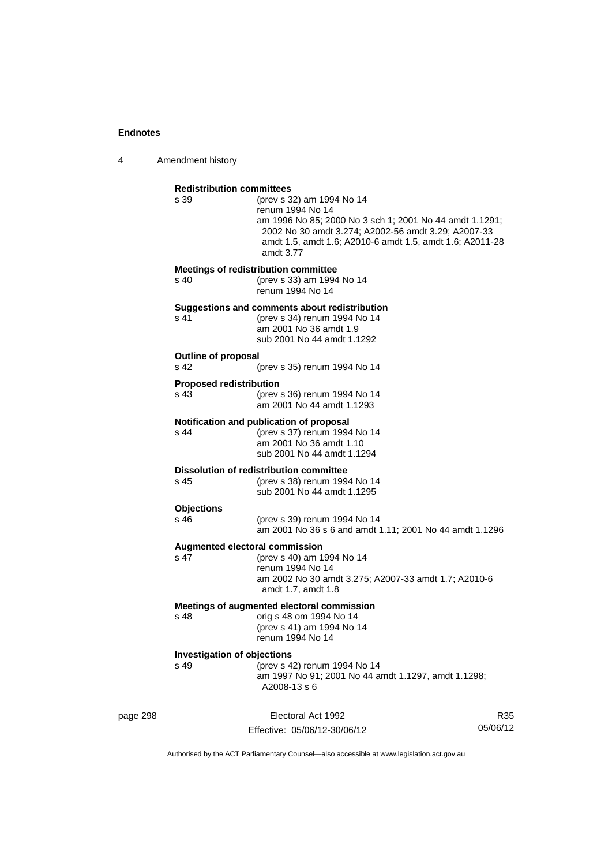4 Amendment history

|          | <b>Redistribution committees</b><br>s 39<br>s 40 | (prev s 32) am 1994 No 14<br>renum 1994 No 14<br>am 1996 No 85; 2000 No 3 sch 1; 2001 No 44 amdt 1.1291;<br>2002 No 30 amdt 3.274; A2002-56 amdt 3.29; A2007-33<br>amdt 1.5, amdt 1.6; A2010-6 amdt 1.5, amdt 1.6; A2011-28<br>amdt 3.77<br><b>Meetings of redistribution committee</b><br>(prev s 33) am 1994 No 14<br>renum 1994 No 14 |                 |
|----------|--------------------------------------------------|------------------------------------------------------------------------------------------------------------------------------------------------------------------------------------------------------------------------------------------------------------------------------------------------------------------------------------------|-----------------|
|          | s 41                                             | Suggestions and comments about redistribution<br>(prev s 34) renum 1994 No 14<br>am 2001 No 36 amdt 1.9<br>sub 2001 No 44 amdt 1.1292                                                                                                                                                                                                    |                 |
|          | <b>Outline of proposal</b><br>s 42               | (prev s 35) renum 1994 No 14                                                                                                                                                                                                                                                                                                             |                 |
|          | <b>Proposed redistribution</b><br>s 43           | (prev s 36) renum 1994 No 14<br>am 2001 No 44 amdt 1.1293                                                                                                                                                                                                                                                                                |                 |
|          | s 44                                             | Notification and publication of proposal<br>(prev s 37) renum 1994 No 14<br>am 2001 No 36 amdt 1.10<br>sub 2001 No 44 amdt 1.1294                                                                                                                                                                                                        |                 |
|          | s 45                                             | <b>Dissolution of redistribution committee</b><br>(prev s 38) renum 1994 No 14<br>sub 2001 No 44 amdt 1.1295                                                                                                                                                                                                                             |                 |
|          | <b>Objections</b><br>s 46                        | (prev s 39) renum 1994 No 14<br>am 2001 No 36 s 6 and amdt 1.11; 2001 No 44 amdt 1.1296                                                                                                                                                                                                                                                  |                 |
|          | <b>Augmented electoral commission</b><br>s 47    | (prev s 40) am 1994 No 14<br>renum 1994 No 14<br>am 2002 No 30 amdt 3.275; A2007-33 amdt 1.7; A2010-6<br>amdt 1.7, amdt 1.8                                                                                                                                                                                                              |                 |
|          | s 48                                             | Meetings of augmented electoral commission<br>orig s 48 om 1994 No 14<br>(prev s 41) am 1994 No 14<br>renum 1994 No 14                                                                                                                                                                                                                   |                 |
|          | <b>Investigation of objections</b><br>s 49       | (prev s 42) renum 1994 No 14<br>am 1997 No 91; 2001 No 44 amdt 1.1297, amdt 1.1298;<br>A2008-13 s 6                                                                                                                                                                                                                                      |                 |
| page 298 |                                                  | Electoral Act 1992<br>Effective: 05/06/12-30/06/12                                                                                                                                                                                                                                                                                       | R35<br>05/06/12 |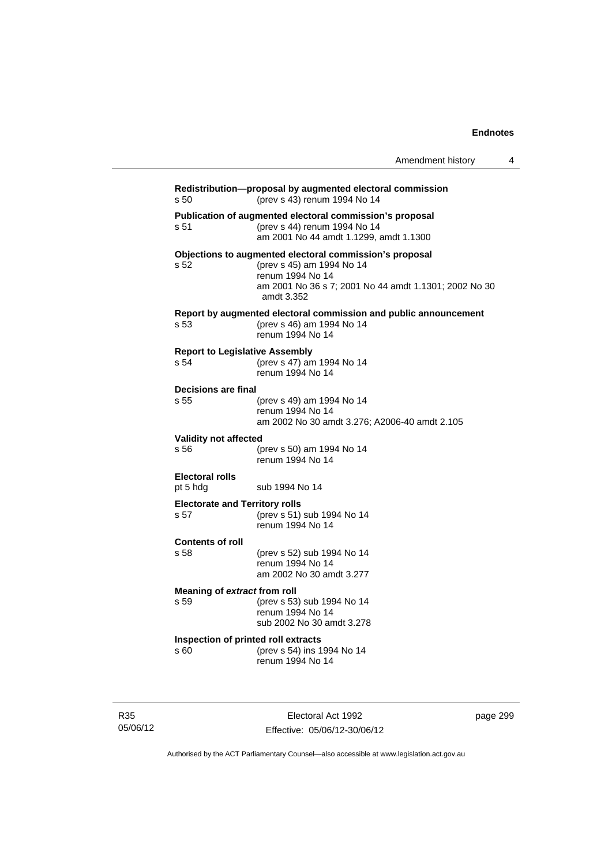|                                               |                                                                                                                                                                                 | Amendment history | 4 |
|-----------------------------------------------|---------------------------------------------------------------------------------------------------------------------------------------------------------------------------------|-------------------|---|
| s 50                                          | Redistribution-proposal by augmented electoral commission<br>(prev s 43) renum 1994 No 14                                                                                       |                   |   |
| s 51                                          | Publication of augmented electoral commission's proposal<br>(prev s 44) renum 1994 No 14<br>am 2001 No 44 amdt 1.1299. amdt 1.1300                                              |                   |   |
| s 52                                          | Objections to augmented electoral commission's proposal<br>(prev s 45) am 1994 No 14<br>renum 1994 No 14<br>am 2001 No 36 s 7; 2001 No 44 amdt 1.1301; 2002 No 30<br>amdt 3.352 |                   |   |
| s 53                                          | Report by augmented electoral commission and public announcement<br>(prev s 46) am 1994 No 14<br>renum 1994 No 14                                                               |                   |   |
| <b>Report to Legislative Assembly</b><br>s 54 | (prev s 47) am 1994 No 14<br>renum 1994 No 14                                                                                                                                   |                   |   |
| Decisions are final<br>s 55                   | (prev s 49) am 1994 No 14<br>renum 1994 No 14<br>am 2002 No 30 amdt 3.276; A2006-40 amdt 2.105                                                                                  |                   |   |
| <b>Validity not affected</b><br>s 56          | (prev s 50) am 1994 No 14<br>renum 1994 No 14                                                                                                                                   |                   |   |
| <b>Electoral rolls</b><br>pt 5 hdg            | sub 1994 No 14                                                                                                                                                                  |                   |   |
| <b>Electorate and Territory rolls</b><br>s 57 | (prev s 51) sub 1994 No 14<br>renum 1994 No 14                                                                                                                                  |                   |   |
| <b>Contents of roll</b><br>s 58               | (prev s 52) sub 1994 No 14<br>renum 1994 No 14<br>am 2002 No 30 amdt 3.277                                                                                                      |                   |   |
| Meaning of extract from roll<br>s 59          | (prev s 53) sub 1994 No 14<br>renum 1994 No 14<br>sub 2002 No 30 amdt 3.278                                                                                                     |                   |   |
| Inspection of printed roll extracts           |                                                                                                                                                                                 |                   |   |

**Inspection of printed roll extracts**  s 60 (prev s 54) ins 1994 No 14 renum 1994 No 14

R35 05/06/12

Electoral Act 1992 Effective: 05/06/12-30/06/12 page 299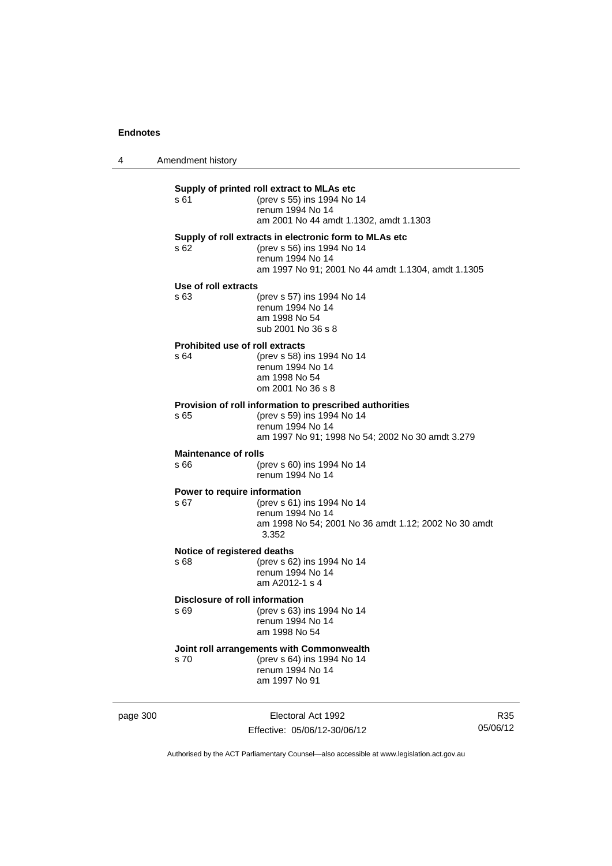4 Amendment history page 300 Electoral Act 1992 **Supply of printed roll extract to MLAs etc**  s 61 (prev s 55) ins 1994 No 14 renum 1994 No 14 am 2001 No 44 amdt 1.1302, amdt 1.1303 **Supply of roll extracts in electronic form to MLAs etc**  s 62 (prev s 56) ins 1994 No 14 renum 1994 No 14 am 1997 No 91; 2001 No 44 amdt 1.1304, amdt 1.1305 **Use of roll extracts**  s 63 (prev s 57) ins 1994 No 14 renum 1994 No 14 am 1998 No 54 sub 2001 No 36 s 8 **Prohibited use of roll extracts**  s 64 (prev s 58) ins 1994 No 14 renum 1994 No 14 am 1998 No 54 om 2001 No 36 s 8 **Provision of roll information to prescribed authorities**  s 65 (prev s 59) ins 1994 No 14 renum 1994 No 14 am 1997 No 91; 1998 No 54; 2002 No 30 amdt 3.279 **Maintenance of rolls**  s 66 (prev s 60) ins 1994 No 14 renum 1994 No 14 **Power to require information**<br>s 67 (prev s 61) (prev s 61) ins 1994 No 14 renum 1994 No 14 am 1998 No 54; 2001 No 36 amdt 1.12; 2002 No 30 amdt 3.352 **Notice of registered deaths**  s 68 (prev s 62) ins 1994 No 14 renum 1994 No 14 am A2012-1 s 4 **Disclosure of roll information**  s 69 (prev s 63) ins 1994 No 14 renum 1994 No 14 am 1998 No 54 **Joint roll arrangements with Commonwealth**<br>s 70 (prev s 64) ins 1994 No 14 (prev s 64) ins 1994 No 14 renum 1994 No 14 am 1997 No 91

R35 05/06/12

Authorised by the ACT Parliamentary Counsel—also accessible at www.legislation.act.gov.au

Effective: 05/06/12-30/06/12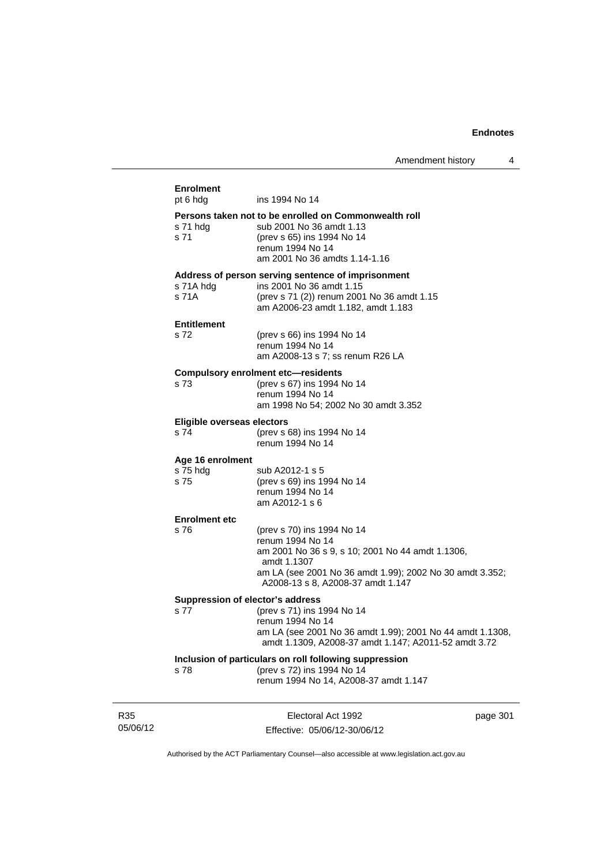| <b>Enrolment</b><br>pt 6 hdg       | ins 1994 No 14                                                                                                    |
|------------------------------------|-------------------------------------------------------------------------------------------------------------------|
|                                    |                                                                                                                   |
|                                    | Persons taken not to be enrolled on Commonwealth roll                                                             |
| s 71 hdg<br>s 71                   | sub 2001 No 36 amdt 1.13                                                                                          |
|                                    | (prev s 65) ins 1994 No 14<br>renum 1994 No 14                                                                    |
|                                    | am 2001 No 36 amdts 1.14-1.16                                                                                     |
|                                    |                                                                                                                   |
|                                    | Address of person serving sentence of imprisonment                                                                |
| s 71A hdg                          | ins 2001 No 36 amdt 1.15                                                                                          |
| s 71A                              | (prev s 71 (2)) renum 2001 No 36 amdt 1.15                                                                        |
|                                    | am A2006-23 amdt 1.182, amdt 1.183                                                                                |
| <b>Entitlement</b>                 |                                                                                                                   |
| s 72                               | (prev s 66) ins 1994 No 14                                                                                        |
|                                    | renum 1994 No 14                                                                                                  |
|                                    | am A2008-13 s 7; ss renum R26 LA                                                                                  |
|                                    | <b>Compulsory enrolment etc-residents</b>                                                                         |
| s 73                               | (prev s 67) ins 1994 No 14                                                                                        |
|                                    | renum 1994 No 14                                                                                                  |
|                                    | am 1998 No 54; 2002 No 30 amdt 3.352                                                                              |
|                                    |                                                                                                                   |
| Eligible overseas electors<br>s 74 | (prev s 68) ins 1994 No 14                                                                                        |
|                                    | renum 1994 No 14                                                                                                  |
|                                    |                                                                                                                   |
| Age 16 enrolment                   |                                                                                                                   |
| s 75 hdg                           | sub A2012-1 s 5                                                                                                   |
| s 75                               | (prev s 69) ins 1994 No 14                                                                                        |
|                                    | renum 1994 No 14<br>am A2012-1 s 6                                                                                |
|                                    |                                                                                                                   |
| <b>Enrolment etc</b>               |                                                                                                                   |
| s 76                               | (prev s 70) ins 1994 No 14                                                                                        |
|                                    | renum 1994 No 14                                                                                                  |
|                                    | am 2001 No 36 s 9, s 10; 2001 No 44 amdt 1.1306,                                                                  |
|                                    | amdt 1.1307                                                                                                       |
|                                    | am LA (see 2001 No 36 amdt 1.99); 2002 No 30 amdt 3.352;<br>A2008-13 s 8, A2008-37 amdt 1.147                     |
|                                    |                                                                                                                   |
|                                    | Suppression of elector's address                                                                                  |
| s 77                               | (prev s 71) ins 1994 No 14                                                                                        |
|                                    | renum 1994 No 14                                                                                                  |
|                                    | am LA (see 2001 No 36 amdt 1.99); 2001 No 44 amdt 1.1308,<br>amdt 1.1309, A2008-37 amdt 1.147; A2011-52 amdt 3.72 |
|                                    | Inclusion of particulars on roll following suppression                                                            |
| s 78                               | (prev s 72) ins 1994 No 14                                                                                        |
|                                    | renum 1994 No 14, A2008-37 amdt 1.147                                                                             |
|                                    |                                                                                                                   |
|                                    |                                                                                                                   |
|                                    | Flactoral Art 1002<br>naga 301                                                                                    |

R35 05/06/12

Electoral Act 1992 Effective: 05/06/12-30/06/12 page 301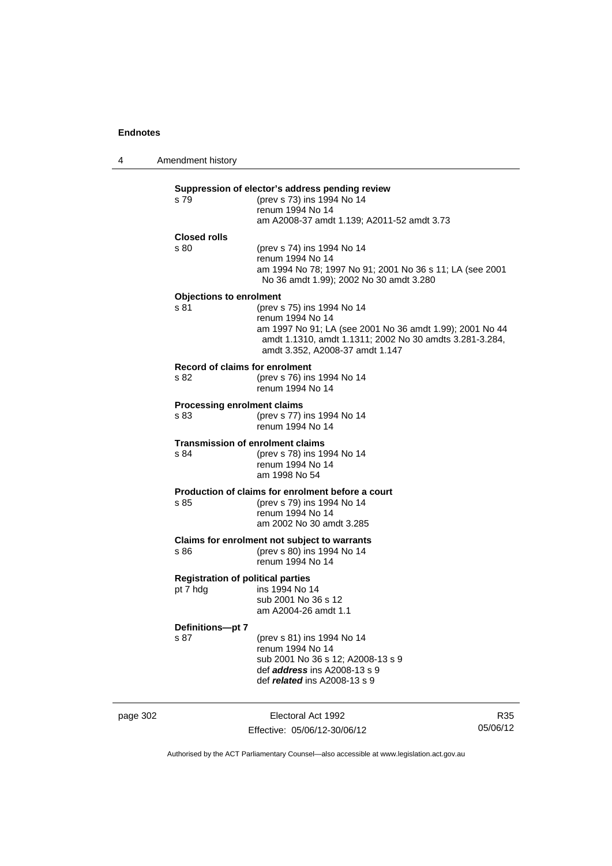| 4 | Amendment history                                    |                                                                                                                                                                                                          |
|---|------------------------------------------------------|----------------------------------------------------------------------------------------------------------------------------------------------------------------------------------------------------------|
|   | s 79                                                 | Suppression of elector's address pending review<br>(prev s 73) ins 1994 No 14<br>renum 1994 No 14<br>am A2008-37 amdt 1.139; A2011-52 amdt 3.73                                                          |
|   | <b>Closed rolls</b><br>s 80                          | (prev s 74) ins 1994 No 14<br>renum 1994 No 14<br>am 1994 No 78; 1997 No 91; 2001 No 36 s 11; LA (see 2001<br>No 36 amdt 1.99); 2002 No 30 amdt 3.280                                                    |
|   | <b>Objections to enrolment</b><br>s 81               | (prev s 75) ins 1994 No 14<br>renum 1994 No 14<br>am 1997 No 91; LA (see 2001 No 36 amdt 1.99); 2001 No 44<br>amdt 1.1310, amdt 1.1311; 2002 No 30 amdts 3.281-3.284,<br>amdt 3.352, A2008-37 amdt 1.147 |
|   | <b>Record of claims for enrolment</b><br>s 82        | (prev s 76) ins 1994 No 14<br>renum 1994 No 14                                                                                                                                                           |
|   | <b>Processing enrolment claims</b><br>s 83           | (prev s 77) ins 1994 No 14<br>renum 1994 No 14                                                                                                                                                           |
|   | <b>Transmission of enrolment claims</b><br>s 84      | (prev s 78) ins 1994 No 14<br>renum 1994 No 14<br>am 1998 No 54                                                                                                                                          |
|   | s 85                                                 | Production of claims for enrolment before a court<br>(prev s 79) ins 1994 No 14<br>renum 1994 No 14<br>am 2002 No 30 amdt 3.285                                                                          |
|   | s 86                                                 | Claims for enrolment not subject to warrants<br>(prev s 80) ins 1994 No 14<br>renum 1994 No 14                                                                                                           |
|   | <b>Registration of political parties</b><br>pt 7 hdg | ins 1994 No 14<br>sub 2001 No 36 s 12<br>am A2004-26 amdt 1.1                                                                                                                                            |
|   | Definitions-pt 7<br>s 87                             | (prev s 81) ins 1994 No 14<br>renum 1994 No 14<br>sub 2001 No 36 s 12; A2008-13 s 9<br>def <i>address</i> ins A2008-13 s 9<br>def related ins $A2008-13 s 9$                                             |

page 302 **Electoral Act 1992** Effective: 05/06/12-30/06/12

R35 05/06/12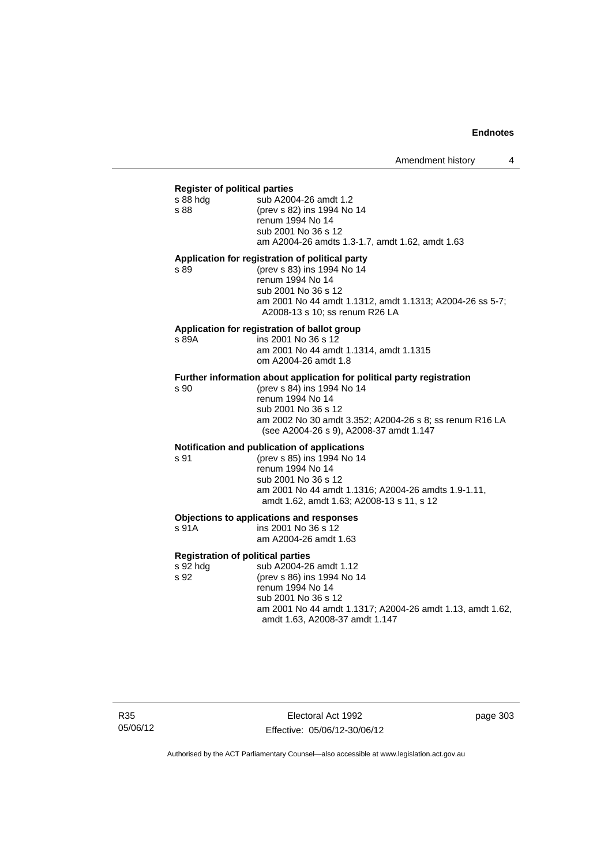#### **Register of political parties**

| s 88 hdg | sub A2004-26 amdt 1.2                           |
|----------|-------------------------------------------------|
| s 88     | (prev s 82) ins 1994 No 14                      |
|          | renum 1994 No 14                                |
|          | sub 2001 No 36 s 12                             |
|          | am A2004-26 amdts 1.3-1.7, amdt 1.62, amdt 1.63 |
|          |                                                 |

#### **Application for registration of political party**

s 89 (prev s 83) ins 1994 No 14 renum 1994 No 14 sub 2001 No 36 s 12 am 2001 No 44 amdt 1.1312, amdt 1.1313; A2004-26 ss 5-7; A2008-13 s 10; ss renum R26 LA

#### **Application for registration of ballot group**

s 89A ins 2001 No 36 s 12 am 2001 No 44 amdt 1.1314, amdt 1.1315 om A2004-26 amdt 1.8

# **Further information about application for political party registration** s 90 (prev s 84) ins 1994 No 14

(prev s 84) ins 1994 No 14 renum 1994 No 14 sub 2001 No 36 s 12 am 2002 No 30 amdt 3.352; A2004-26 s 8; ss renum R16 LA (see A2004-26 s 9), A2008-37 amdt 1.147

#### **Notification and publication of applications**

s 91 (prev s 85) ins 1994 No 14 renum 1994 No 14 sub 2001 No 36 s 12 am 2001 No 44 amdt 1.1316; A2004-26 amdts 1.9-1.11, amdt 1.62, amdt 1.63; A2008-13 s 11, s 12

#### **Objections to applications and responses**

| s 91A | ins 2001 No 36 s 12   |
|-------|-----------------------|
|       | am A2004-26 amdt 1.63 |

**Registration of political parties**  s 92 hdg sub A2004-26 amdt 1.12<br>s 92 (prev s 86) ins 1994 No 1 (prev s 86) ins 1994 No 14 renum 1994 No 14 sub 2001 No 36 s 12 am 2001 No 44 amdt 1.1317; A2004-26 amdt 1.13, amdt 1.62, amdt 1.63, A2008-37 amdt 1.147

R35 05/06/12

Electoral Act 1992 Effective: 05/06/12-30/06/12 page 303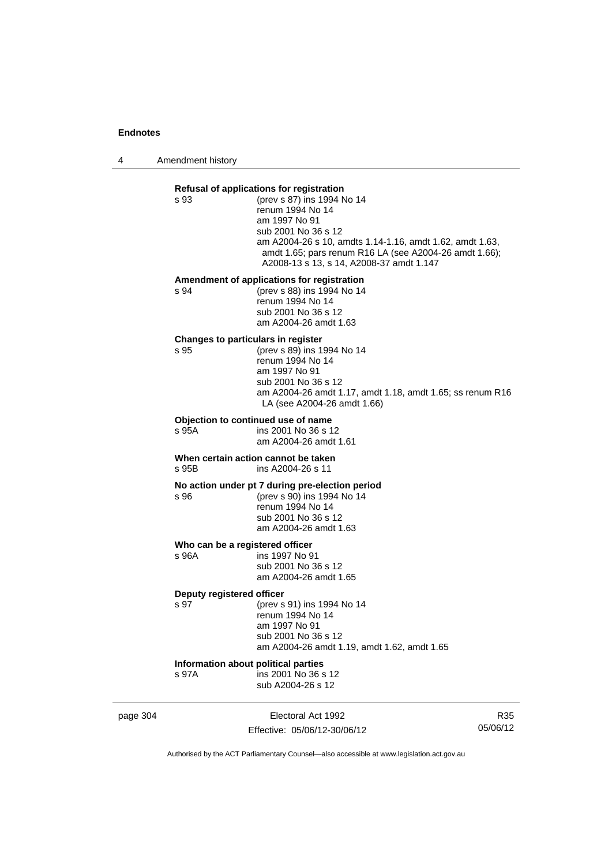4 Amendment history

|          | s 93                                         | Refusal of applications for registration<br>(prev s 87) ins 1994 No 14<br>renum 1994 No 14<br>am 1997 No 91<br>sub 2001 No 36 s 12<br>am A2004-26 s 10, amdts 1.14-1.16, amdt 1.62, amdt 1.63,<br>amdt 1.65; pars renum R16 LA (see A2004-26 amdt 1.66);<br>A2008-13 s 13, s 14, A2008-37 amdt 1.147 |     |
|----------|----------------------------------------------|------------------------------------------------------------------------------------------------------------------------------------------------------------------------------------------------------------------------------------------------------------------------------------------------------|-----|
|          | s 94                                         | Amendment of applications for registration<br>(prev s 88) ins 1994 No 14<br>renum 1994 No 14<br>sub 2001 No 36 s 12<br>am A2004-26 amdt 1.63                                                                                                                                                         |     |
|          | Changes to particulars in register<br>s 95   | (prev s 89) ins 1994 No 14<br>renum 1994 No 14<br>am 1997 No 91<br>sub 2001 No 36 s 12<br>am A2004-26 amdt 1.17, amdt 1.18, amdt 1.65; ss renum R16<br>LA (see A2004-26 amdt 1.66)                                                                                                                   |     |
|          | s 95A                                        | Objection to continued use of name<br>ins 2001 No 36 s 12<br>am A2004-26 amdt 1.61                                                                                                                                                                                                                   |     |
|          | s 95B                                        | When certain action cannot be taken<br>ins A2004-26 s 11                                                                                                                                                                                                                                             |     |
|          | s 96                                         | No action under pt 7 during pre-election period<br>(prev s 90) ins 1994 No 14<br>renum 1994 No 14<br>sub 2001 No 36 s 12<br>am A2004-26 amdt 1.63                                                                                                                                                    |     |
|          | Who can be a registered officer<br>s 96A     | ins 1997 No 91<br>sub 2001 No 36 s 12<br>am A2004-26 amdt 1.65                                                                                                                                                                                                                                       |     |
|          | Deputy registered officer<br>s 97            | (prev s 91) ins 1994 No 14<br>renum 1994 No 14<br>am 1997 No 91<br>sub 2001 No 36 s 12<br>am A2004-26 amdt 1.19, amdt 1.62, amdt 1.65                                                                                                                                                                |     |
|          | Information about political parties<br>s 97A | ins 2001 No 36 s 12<br>sub A2004-26 s 12                                                                                                                                                                                                                                                             |     |
| page 304 |                                              | Electoral Act 1992                                                                                                                                                                                                                                                                                   | R35 |

Effective: 05/06/12-30/06/12

R35 05/06/12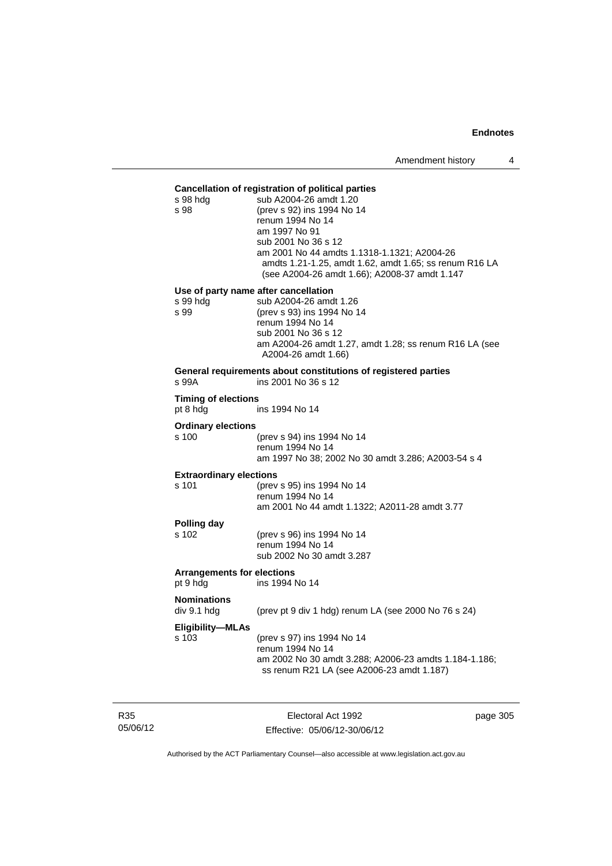#### **Cancellation of registration of political parties**

|                                               | s 98 hdg<br>s 98                       | sub A2004-26 amdt 1.20<br>(prev s 92) ins 1994 No 14<br>renum 1994 No 14<br>am 1997 No 91<br>sub 2001 No 36 s 12<br>am 2001 No 44 amdts 1.1318-1.1321; A2004-26<br>amdts 1.21-1.25, amdt 1.62, amdt 1.65; ss renum R16 LA<br>(see A2004-26 amdt 1.66); A2008-37 amdt 1.147 |
|-----------------------------------------------|----------------------------------------|----------------------------------------------------------------------------------------------------------------------------------------------------------------------------------------------------------------------------------------------------------------------------|
|                                               | s 99 hdg                               | Use of party name after cancellation<br>sub A2004-26 amdt 1.26                                                                                                                                                                                                             |
|                                               | s 99                                   | (prev s 93) ins 1994 No 14<br>renum 1994 No 14<br>sub 2001 No 36 s 12                                                                                                                                                                                                      |
|                                               |                                        | am A2004-26 amdt 1.27, amdt 1.28; ss renum R16 LA (see<br>A2004-26 amdt 1.66)                                                                                                                                                                                              |
|                                               | s 99A                                  | General requirements about constitutions of registered parties<br>ins 2001 No 36 s 12                                                                                                                                                                                      |
|                                               | <b>Timing of elections</b><br>pt 8 hdg | ins 1994 No 14                                                                                                                                                                                                                                                             |
|                                               | <b>Ordinary elections</b>              |                                                                                                                                                                                                                                                                            |
|                                               | s 100                                  | (prev s 94) ins 1994 No 14<br>renum 1994 No 14<br>am 1997 No 38; 2002 No 30 amdt 3.286; A2003-54 s 4                                                                                                                                                                       |
|                                               | <b>Extraordinary elections</b>         |                                                                                                                                                                                                                                                                            |
|                                               | s 101                                  | (prev s 95) ins 1994 No 14<br>renum 1994 No 14<br>am 2001 No 44 amdt 1.1322; A2011-28 amdt 3.77                                                                                                                                                                            |
|                                               | Polling day                            |                                                                                                                                                                                                                                                                            |
|                                               | s 102                                  | (prev s 96) ins 1994 No 14<br>renum 1994 No 14<br>sub 2002 No 30 amdt 3.287                                                                                                                                                                                                |
| <b>Arrangements for elections</b><br>pt 9 hdg |                                        | ins 1994 No 14                                                                                                                                                                                                                                                             |
|                                               | <b>Nominations</b><br>div 9.1 hdg      | (prev pt 9 div 1 hdg) renum LA (see 2000 No 76 s 24)                                                                                                                                                                                                                       |
|                                               | <b>Eligibility-MLAs</b><br>s 103       | (prev s 97) ins 1994 No 14<br>renum 1994 No 14<br>am 2002 No 30 amdt 3.288; A2006-23 amdts 1.184-1.186;<br>ss renum R21 LA (see A2006-23 amdt 1.187)                                                                                                                       |
|                                               |                                        |                                                                                                                                                                                                                                                                            |

R35 05/06/12

Electoral Act 1992 Effective: 05/06/12-30/06/12 page 305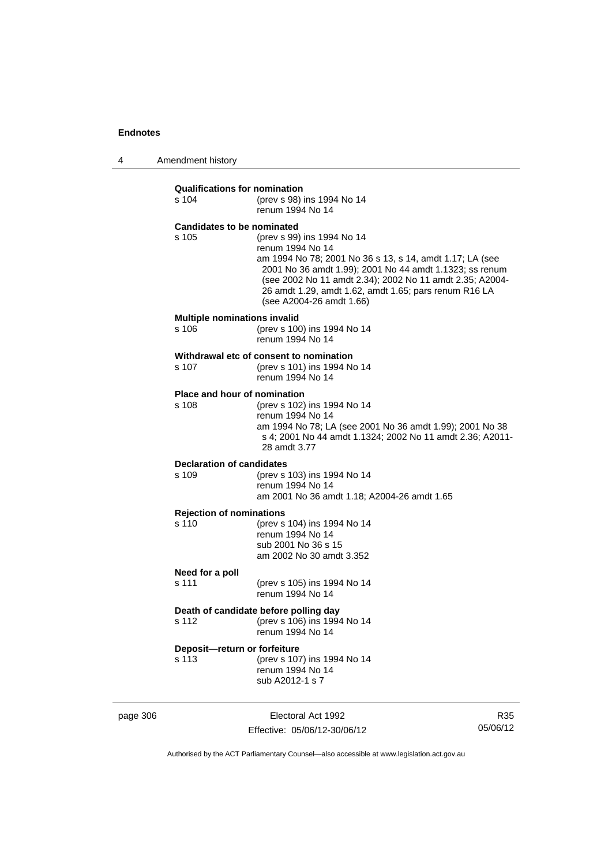4 Amendment history

|          | <b>Qualifications for nomination</b><br>s 104 | (prev s 98) ins 1994 No 14<br>renum 1994 No 14                                                                                                                                                                                                                                                                         |     |
|----------|-----------------------------------------------|------------------------------------------------------------------------------------------------------------------------------------------------------------------------------------------------------------------------------------------------------------------------------------------------------------------------|-----|
|          | <b>Candidates to be nominated</b><br>s 105    | (prev s 99) ins 1994 No 14<br>renum 1994 No 14<br>am 1994 No 78; 2001 No 36 s 13, s 14, amdt 1.17; LA (see<br>2001 No 36 amdt 1.99); 2001 No 44 amdt 1.1323; ss renum<br>(see 2002 No 11 amdt 2.34); 2002 No 11 amdt 2.35; A2004-<br>26 amdt 1.29, amdt 1.62, amdt 1.65; pars renum R16 LA<br>(see A2004-26 amdt 1.66) |     |
|          | <b>Multiple nominations invalid</b><br>s 106  | (prev s 100) ins 1994 No 14<br>renum 1994 No 14                                                                                                                                                                                                                                                                        |     |
|          | s 107                                         | Withdrawal etc of consent to nomination<br>(prev s 101) ins 1994 No 14<br>renum 1994 No 14                                                                                                                                                                                                                             |     |
|          | <b>Place and hour of nomination</b><br>s 108  | (prev s 102) ins 1994 No 14<br>renum 1994 No 14<br>am 1994 No 78; LA (see 2001 No 36 amdt 1.99); 2001 No 38<br>s 4; 2001 No 44 amdt 1.1324; 2002 No 11 amdt 2.36; A2011-<br>28 amdt 3.77                                                                                                                               |     |
|          | <b>Declaration of candidates</b><br>s 109     | (prev s 103) ins 1994 No 14<br>renum 1994 No 14<br>am 2001 No 36 amdt 1.18; A2004-26 amdt 1.65                                                                                                                                                                                                                         |     |
|          | <b>Rejection of nominations</b><br>s 110      | (prev s 104) ins 1994 No 14<br>renum 1994 No 14<br>sub 2001 No 36 s 15<br>am 2002 No 30 amdt 3.352                                                                                                                                                                                                                     |     |
|          | Need for a poll<br>s 111                      | (prev s 105) ins 1994 No 14<br>renum 1994 No 14                                                                                                                                                                                                                                                                        |     |
|          | s 112                                         | Death of candidate before polling day<br>(prev s 106) ins 1994 No 14<br>renum 1994 No 14                                                                                                                                                                                                                               |     |
|          | Deposit-return or forfeiture<br>s 113         | (prev s 107) ins 1994 No 14<br>renum 1994 No 14<br>sub A2012-1 s 7                                                                                                                                                                                                                                                     |     |
| page 306 |                                               | Electoral Act 1992                                                                                                                                                                                                                                                                                                     | R35 |

Effective: 05/06/12-30/06/12

R35 05/06/12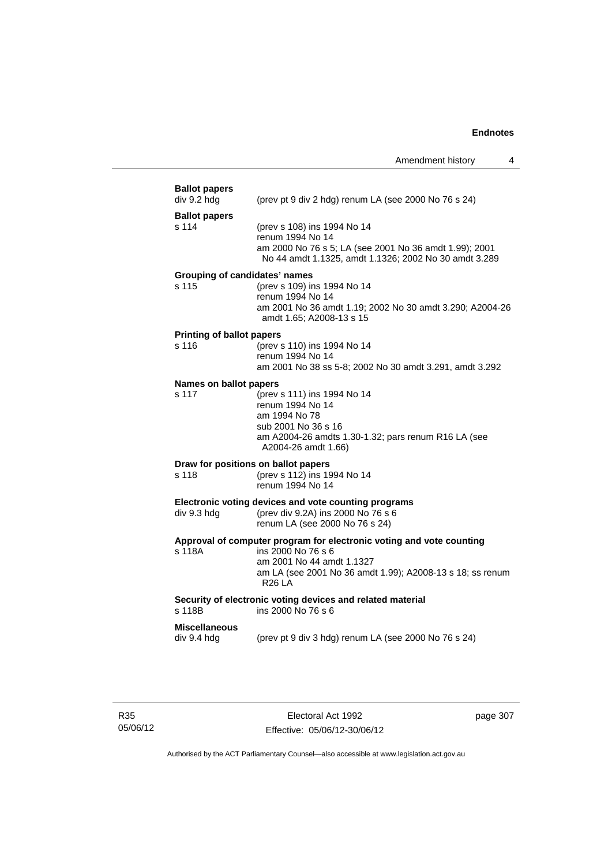| <b>Ballot papers</b><br>div 9.2 hdg           | (prev pt 9 div 2 hdg) renum LA (see 2000 No 76 s 24)                                                                                                                                                  |
|-----------------------------------------------|-------------------------------------------------------------------------------------------------------------------------------------------------------------------------------------------------------|
| <b>Ballot papers</b><br>s 114                 | (prev s 108) ins 1994 No 14<br>renum 1994 No 14<br>am 2000 No 76 s 5; LA (see 2001 No 36 amdt 1.99); 2001<br>No 44 amdt 1.1325, amdt 1.1326; 2002 No 30 amdt 3.289                                    |
| <b>Grouping of candidates' names</b><br>s 115 | (prev s 109) ins 1994 No 14<br>renum 1994 No 14<br>am 2001 No 36 amdt 1.19; 2002 No 30 amdt 3.290; A2004-26<br>amdt 1.65; A2008-13 s 15                                                               |
| <b>Printing of ballot papers</b>              |                                                                                                                                                                                                       |
| s 116                                         | (prev s 110) ins 1994 No 14<br>renum 1994 No 14<br>am 2001 No 38 ss 5-8; 2002 No 30 amdt 3.291, amdt 3.292                                                                                            |
| Names on ballot papers                        |                                                                                                                                                                                                       |
| s 117                                         | (prev s 111) ins 1994 No 14<br>renum 1994 No 14<br>am 1994 No 78<br>sub 2001 No 36 s 16<br>am A2004-26 amdts 1.30-1.32; pars renum R16 LA (see<br>A2004-26 amdt 1.66)                                 |
|                                               | Draw for positions on ballot papers                                                                                                                                                                   |
| s 118                                         | (prev s 112) ins 1994 No 14<br>renum 1994 No 14                                                                                                                                                       |
| div 9.3 hdg                                   | Electronic voting devices and vote counting programs<br>(prev div 9.2A) ins 2000 No 76 s 6<br>renum LA (see 2000 No 76 s 24)                                                                          |
| s 118A                                        | Approval of computer program for electronic voting and vote counting<br>ins 2000 No 76 s 6<br>am 2001 No 44 amdt 1.1327<br>am LA (see 2001 No 36 amdt 1.99); A2008-13 s 18; ss renum<br><b>R26 LA</b> |
| s 118B                                        | Security of electronic voting devices and related material<br>ins 2000 No 76 s 6                                                                                                                      |
|                                               |                                                                                                                                                                                                       |

page 307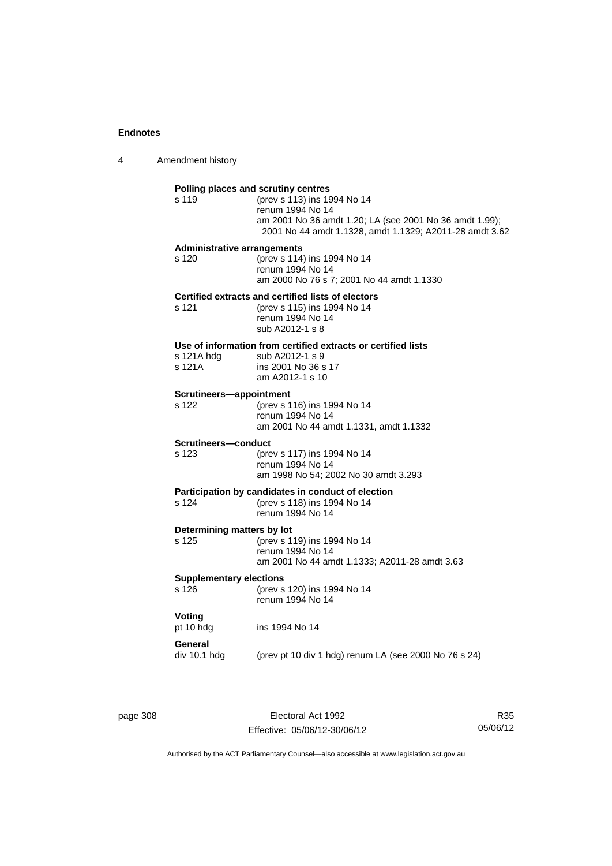4 Amendment history

| s 119                                       | Polling places and scrutiny centres<br>(prev s 113) ins 1994 No 14<br>renum 1994 No 14<br>am 2001 No 36 amdt 1.20; LA (see 2001 No 36 amdt 1.99);<br>2001 No 44 amdt 1.1328, amdt 1.1329; A2011-28 amdt 3.62 |
|---------------------------------------------|--------------------------------------------------------------------------------------------------------------------------------------------------------------------------------------------------------------|
| <b>Administrative arrangements</b><br>s 120 | (prev s 114) ins 1994 No 14<br>renum 1994 No 14<br>am 2000 No 76 s 7; 2001 No 44 amdt 1.1330                                                                                                                 |
| s 121                                       | Certified extracts and certified lists of electors<br>(prev s 115) ins 1994 No 14<br>renum 1994 No 14<br>sub A2012-1 s 8                                                                                     |
| s 121A hdg<br>s 121A                        | Use of information from certified extracts or certified lists<br>sub A2012-1 s 9<br>ins 2001 No 36 s 17<br>am A2012-1 s 10                                                                                   |
| Scrutineers-appointment<br>s 122            | (prev s 116) ins 1994 No 14<br>renum 1994 No 14<br>am 2001 No 44 amdt 1.1331, amdt 1.1332                                                                                                                    |
| Scrutineers-conduct<br>$s$ 123              | (prev s 117) ins 1994 No 14<br>renum 1994 No 14<br>am 1998 No 54; 2002 No 30 amdt 3.293                                                                                                                      |
| s 124                                       | Participation by candidates in conduct of election<br>(prev s 118) ins 1994 No 14<br>renum 1994 No 14                                                                                                        |
| Determining matters by lot<br>s 125         | (prev s 119) ins 1994 No 14<br>renum 1994 No 14<br>am 2001 No 44 amdt 1.1333; A2011-28 amdt 3.63                                                                                                             |
| <b>Supplementary elections</b><br>s 126     | (prev s 120) ins 1994 No 14<br>renum 1994 No 14                                                                                                                                                              |
| Voting<br>pt 10 hdg                         | ins 1994 No 14                                                                                                                                                                                               |
| General                                     | div 10.1 hdg (prev pt 10 div 1 hdg) renum LA (see 2000 No 76 s 24)                                                                                                                                           |

page 308 **Electoral Act 1992** Effective: 05/06/12-30/06/12

R35 05/06/12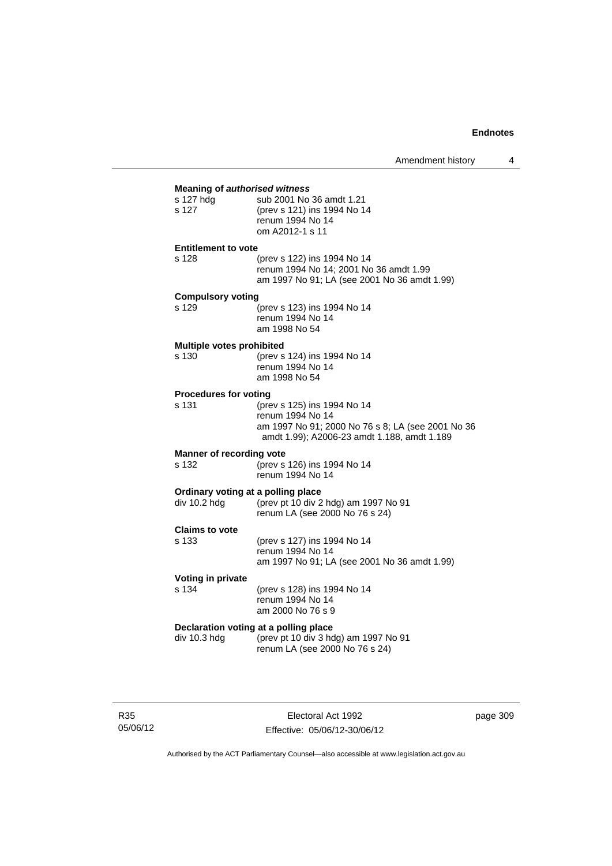## **Meaning of** *authorised witness*

| s 127 hdg                  | sub 2001 No 36 amdt 1.21    |  |
|----------------------------|-----------------------------|--|
| s 127                      | (prev s 121) ins 1994 No 14 |  |
|                            | renum 1994 No 14            |  |
|                            | om A2012-1 s 11             |  |
| <b>Entitlement to vote</b> |                             |  |

| s 128 | (prev s 122) ins 1994 No 14                  |
|-------|----------------------------------------------|
|       | renum 1994 No 14; 2001 No 36 amdt 1.99       |
|       | am 1997 No 91; LA (see 2001 No 36 amdt 1.99) |

### **Compulsory voting**

| s 129 | (prev s 123) ins 1994 No 14 |
|-------|-----------------------------|
|       | renum 1994 No 14            |
|       | am 1998 No 54               |

#### **Multiple votes prohibited**

| s 130 | (prev s 124) ins 1994 No 14 |
|-------|-----------------------------|
|       | renum 1994 No 14            |
|       | am 1998 No 54               |
|       |                             |

#### **Procedures for voting**

| s 131 | (prev s 125) ins 1994 No 14                       |
|-------|---------------------------------------------------|
|       | renum 1994 No 14                                  |
|       | am 1997 No 91; 2000 No 76 s 8; LA (see 2001 No 36 |
|       | amdt 1.99); A2006-23 amdt 1.188, amdt 1.189       |
|       |                                                   |

### **Manner of recording vote**

s 132 (prev s 126) ins 1994 No 14 renum 1994 No 14

### **Ordinary voting at a polling place**

| Ordinary voting at a polinig place |                                      |  |  |
|------------------------------------|--------------------------------------|--|--|
| div 10.2 hdg                       | (prev pt 10 div 2 hdg) am 1997 No 91 |  |  |
|                                    | renum LA (see 2000 No 76 s 24)       |  |  |

## **Claims to vote**

| s 133 | (prev s 127) ins 1994 No 14                  |
|-------|----------------------------------------------|
|       | renum 1994 No 14                             |
|       | am 1997 No 91; LA (see 2001 No 36 amdt 1.99) |

## **Voting in private**

s 134 (prev s 128) ins 1994 No 14 renum 1994 No 14 am 2000 No 76 s 9

# **Declaration voting at a polling place**<br>div 10.3 hdg (prev pt 10 div 3 hd

(prev pt 10 div 3 hdg) am 1997 No 91 renum LA (see 2000 No 76 s 24)

page 309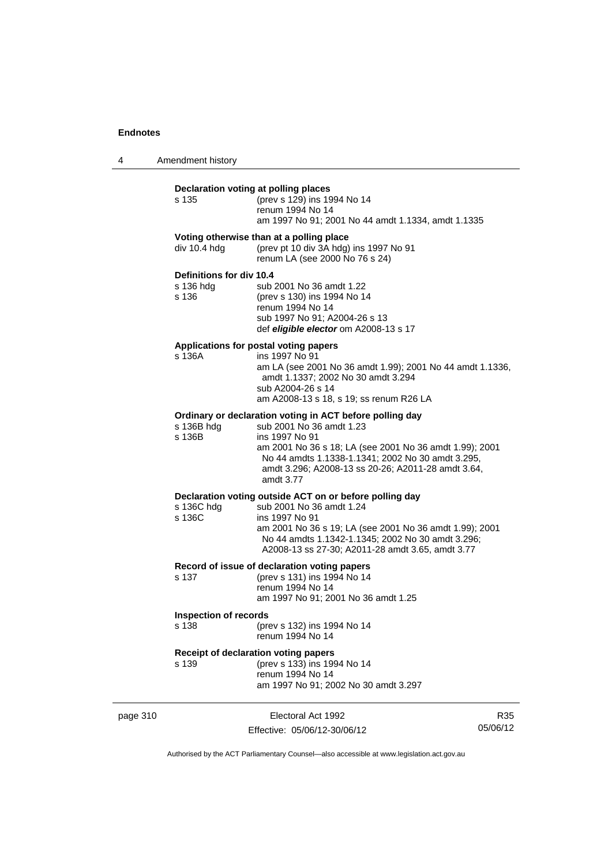4 Amendment history

|          | Declaration voting at polling places<br>s 135  | (prev s 129) ins 1994 No 14<br>renum 1994 No 14<br>am 1997 No 91; 2001 No 44 amdt 1.1334, amdt 1.1335                                                                                                                                                                                     |     |
|----------|------------------------------------------------|-------------------------------------------------------------------------------------------------------------------------------------------------------------------------------------------------------------------------------------------------------------------------------------------|-----|
|          | div 10.4 hdg                                   | Voting otherwise than at a polling place<br>(prev pt 10 div 3A hdg) ins 1997 No 91<br>renum LA (see 2000 No 76 s 24)                                                                                                                                                                      |     |
|          | Definitions for div 10.4<br>s 136 hdg<br>s 136 | sub 2001 No 36 amdt 1.22<br>(prev s 130) ins 1994 No 14<br>renum 1994 No 14<br>sub 1997 No 91; A2004-26 s 13<br>def eligible elector om A2008-13 s 17                                                                                                                                     |     |
|          | s 136A                                         | Applications for postal voting papers<br>ins 1997 No 91<br>am LA (see 2001 No 36 amdt 1.99); 2001 No 44 amdt 1.1336,<br>amdt 1.1337; 2002 No 30 amdt 3.294<br>sub A2004-26 s 14<br>am A2008-13 s 18, s 19; ss renum R26 LA                                                                |     |
|          | s 136B hdg<br>s 136B                           | Ordinary or declaration voting in ACT before polling day<br>sub 2001 No 36 amdt 1.23<br>ins 1997 No 91<br>am 2001 No 36 s 18; LA (see 2001 No 36 amdt 1.99); 2001<br>No 44 amdts 1.1338-1.1341; 2002 No 30 amdt 3.295,<br>amdt 3.296; A2008-13 ss 20-26; A2011-28 amdt 3.64,<br>amdt 3.77 |     |
|          | s 136C hdg<br>s 136C                           | Declaration voting outside ACT on or before polling day<br>sub 2001 No 36 amdt 1.24<br>ins 1997 No 91<br>am 2001 No 36 s 19; LA (see 2001 No 36 amdt 1.99); 2001<br>No 44 amdts 1.1342-1.1345; 2002 No 30 amdt 3.296;<br>A2008-13 ss 27-30; A2011-28 amdt 3.65, amdt 3.77                 |     |
|          | s 137                                          | Record of issue of declaration voting papers<br>(prev s 131) ins 1994 No 14<br>renum 1994 No 14<br>am 1997 No 91; 2001 No 36 amdt 1.25                                                                                                                                                    |     |
|          | <b>Inspection of records</b><br>s 138          | (prev s 132) ins 1994 No 14<br>renum 1994 No 14                                                                                                                                                                                                                                           |     |
|          | s 139                                          | Receipt of declaration voting papers<br>(prev s 133) ins 1994 No 14<br>renum 1994 No 14<br>am 1997 No 91; 2002 No 30 amdt 3.297                                                                                                                                                           |     |
| page 310 |                                                | Electoral Act 1992                                                                                                                                                                                                                                                                        | R35 |

Effective: 05/06/12-30/06/12

R35 05/06/12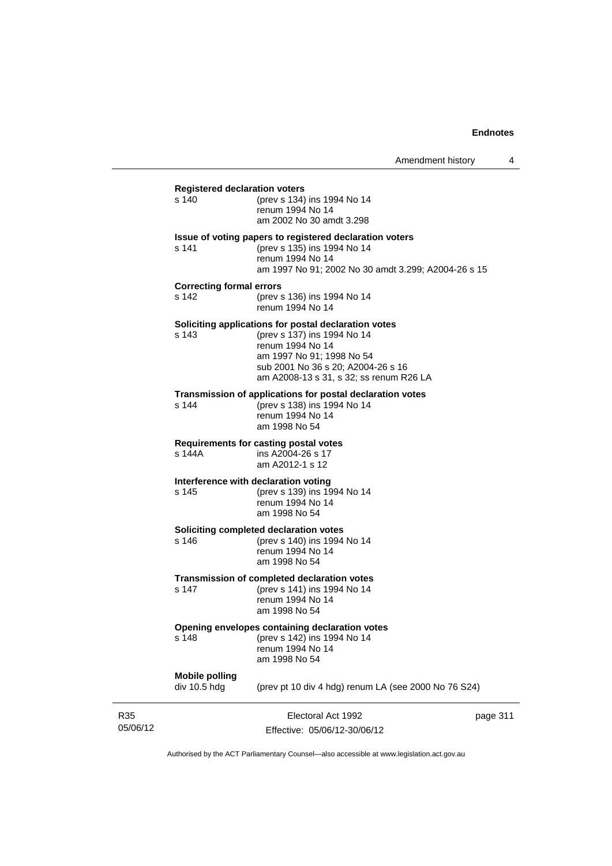| <b>Registered declaration voters</b><br>s 140 | (prev s 134) ins 1994 No 14<br>renum 1994 No 14<br>am 2002 No 30 amdt 3.298                                                                                                                                           |          |
|-----------------------------------------------|-----------------------------------------------------------------------------------------------------------------------------------------------------------------------------------------------------------------------|----------|
| s 141                                         | Issue of voting papers to registered declaration voters<br>(prev s 135) ins 1994 No 14<br>renum 1994 No 14<br>am 1997 No 91; 2002 No 30 amdt 3.299; A2004-26 s 15                                                     |          |
| <b>Correcting formal errors</b><br>s 142      | (prev s 136) ins 1994 No 14<br>renum 1994 No 14                                                                                                                                                                       |          |
| s 143                                         | Soliciting applications for postal declaration votes<br>(prev s 137) ins 1994 No 14<br>renum 1994 No 14<br>am 1997 No 91; 1998 No 54<br>sub 2001 No 36 s 20; A2004-26 s 16<br>am A2008-13 s 31, s 32; ss renum R26 LA |          |
| s 144                                         | Transmission of applications for postal declaration votes<br>(prev s 138) ins 1994 No 14<br>renum 1994 No 14<br>am 1998 No 54                                                                                         |          |
| s 144A                                        | <b>Requirements for casting postal votes</b><br>ins A2004-26 s 17<br>am A2012-1 s 12                                                                                                                                  |          |
| Interference with declaration voting<br>s 145 | (prev s 139) ins 1994 No 14<br>renum 1994 No 14<br>am 1998 No 54                                                                                                                                                      |          |
| s 146                                         | Soliciting completed declaration votes<br>(prev s 140) ins 1994 No 14<br>renum 1994 No 14<br>am 1998 No 54                                                                                                            |          |
| s 147                                         | Transmission of completed declaration votes<br>(prev s 141) ins 1994 No 14<br>renum 1994 No 14<br>am 1998 No 54                                                                                                       |          |
| s 148                                         | Opening envelopes containing declaration votes<br>(prev s 142) ins 1994 No 14<br>renum 1994 No 14<br>am 1998 No 54                                                                                                    |          |
| <b>Mobile polling</b><br>div 10.5 hdg         | (prev pt 10 div 4 hdg) renum LA (see 2000 No 76 S24)                                                                                                                                                                  |          |
|                                               | Electoral Act 1992<br>Effective: 05/06/12-30/06/12                                                                                                                                                                    | page 311 |

Authorised by the ACT Parliamentary Counsel—also accessible at www.legislation.act.gov.au

R35 05/06/12

ı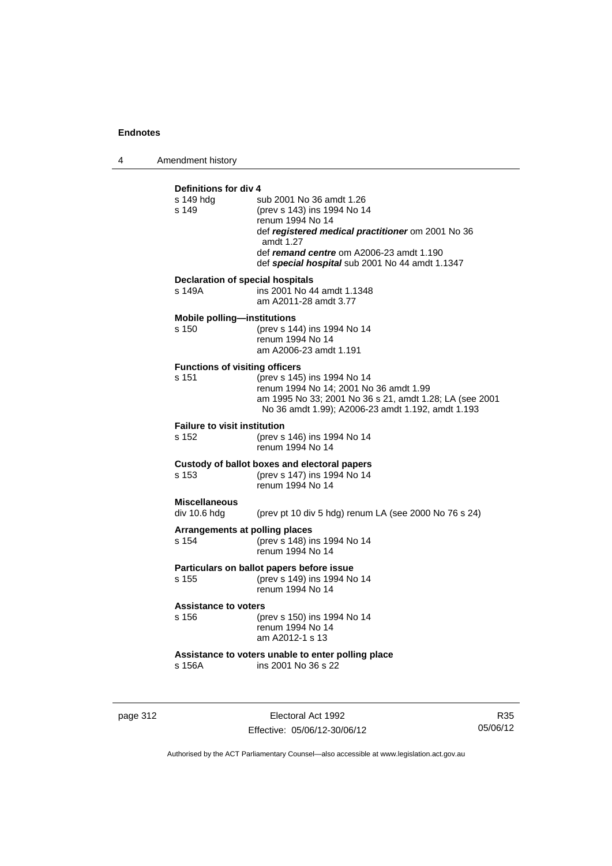4 Amendment history

|                                         | Definitions for div 4                                                     |  |  |
|-----------------------------------------|---------------------------------------------------------------------------|--|--|
| s 149 hdg<br>s 149                      | sub 2001 No 36 amdt 1.26<br>(prev s 143) ins 1994 No 14                   |  |  |
|                                         | renum 1994 No 14                                                          |  |  |
|                                         | def registered medical practitioner om 2001 No 36                         |  |  |
|                                         | amdt 1.27<br>def remand centre om A2006-23 amdt 1.190                     |  |  |
|                                         | def special hospital sub 2001 No 44 amdt 1.1347                           |  |  |
| <b>Declaration of special hospitals</b> |                                                                           |  |  |
| s 149A                                  | ins 2001 No 44 amdt 1.1348<br>am A2011-28 amdt 3.77                       |  |  |
| <b>Mobile polling-institutions</b>      |                                                                           |  |  |
| s 150                                   | (prev s 144) ins 1994 No 14<br>renum 1994 No 14                           |  |  |
|                                         | am A2006-23 amdt 1.191                                                    |  |  |
| <b>Functions of visiting officers</b>   |                                                                           |  |  |
| s 151                                   | (prev s 145) ins 1994 No 14<br>renum 1994 No 14; 2001 No 36 amdt 1.99     |  |  |
|                                         | am 1995 No 33; 2001 No 36 s 21, amdt 1.28; LA (see 2001                   |  |  |
|                                         | No 36 amdt 1.99); A2006-23 amdt 1.192, amdt 1.193                         |  |  |
| <b>Failure to visit institution</b>     |                                                                           |  |  |
| s 152                                   | (prev s 146) ins 1994 No 14<br>renum 1994 No 14                           |  |  |
|                                         | Custody of ballot boxes and electoral papers                              |  |  |
| s 153                                   | (prev s 147) ins 1994 No 14<br>renum 1994 No 14                           |  |  |
| <b>Miscellaneous</b>                    |                                                                           |  |  |
| div 10.6 hdg                            | (prev pt 10 div 5 hdg) renum LA (see 2000 No 76 s 24)                     |  |  |
| Arrangements at polling places          | (prev s 148) ins 1994 No 14                                               |  |  |
| s 154                                   | renum 1994 No 14                                                          |  |  |
|                                         | Particulars on ballot papers before issue                                 |  |  |
| s 155                                   | (prev s 149) ins 1994 No 14<br>renum 1994 No 14                           |  |  |
| <b>Assistance to voters</b>             |                                                                           |  |  |
| s 156                                   | (prev s 150) ins 1994 No 14                                               |  |  |
|                                         | renum 1994 No 14                                                          |  |  |
|                                         | am A2012-1 s 13                                                           |  |  |
| s 156A                                  | Assistance to voters unable to enter polling place<br>ins 2001 No 36 s 22 |  |  |
|                                         |                                                                           |  |  |
|                                         |                                                                           |  |  |

page 312 **Electoral Act 1992** Effective: 05/06/12-30/06/12

R35 05/06/12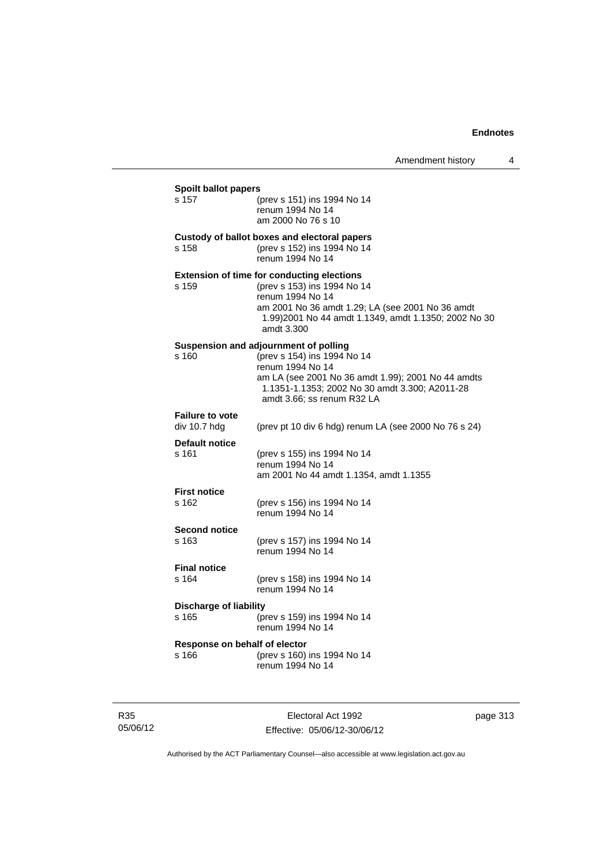| s 157                                  | (prev s 151) ins 1994 No 14<br>renum 1994 No 14<br>am 2000 No 76 s 10                                                                                                                                                           |
|----------------------------------------|---------------------------------------------------------------------------------------------------------------------------------------------------------------------------------------------------------------------------------|
| s 158                                  | Custody of ballot boxes and electoral papers<br>(prev s 152) ins 1994 No 14<br>renum 1994 No 14                                                                                                                                 |
| s 159                                  | <b>Extension of time for conducting elections</b><br>(prev s 153) ins 1994 No 14<br>renum 1994 No 14<br>am 2001 No 36 amdt 1.29; LA (see 2001 No 36 amdt<br>1.99) 2001 No 44 amdt 1.1349, amdt 1.1350; 2002 No 30<br>amdt 3.300 |
| s 160                                  | Suspension and adjournment of polling<br>(prev s 154) ins 1994 No 14<br>renum 1994 No 14<br>am LA (see 2001 No 36 amdt 1.99); 2001 No 44 amdts<br>1.1351-1.1353; 2002 No 30 amdt 3.300; A2011-28<br>amdt 3.66; ss renum R32 LA  |
| <b>Failure to vote</b><br>div 10.7 hdg | (prev pt 10 div 6 hdg) renum LA (see 2000 No 76 s 24)                                                                                                                                                                           |
| Default notice<br>s 161                | (prev s 155) ins 1994 No 14<br>renum 1994 No 14<br>am 2001 No 44 amdt 1.1354, amdt 1.1355                                                                                                                                       |
| <b>First notice</b><br>s 162           | (prev s 156) ins 1994 No 14<br>renum 1994 No 14                                                                                                                                                                                 |
| <b>Second notice</b><br>s 163          | (prev s 157) ins 1994 No 14<br>renum 1994 No 14                                                                                                                                                                                 |
| <b>Final notice</b><br>s 164           | (prev s 158) ins 1994 No 14<br>renum 1994 No 14                                                                                                                                                                                 |
| <b>Discharge of liability</b><br>s 165 | (prev s 159) ins 1994 No 14<br>renum 1994 No 14                                                                                                                                                                                 |
| Response on behalf of elector<br>s 166 | (prev s 160) ins 1994 No 14<br>renum 1994 No 14                                                                                                                                                                                 |

| R35      |
|----------|
| 05/06/12 |

Electoral Act 1992 Effective: 05/06/12-30/06/12 page 313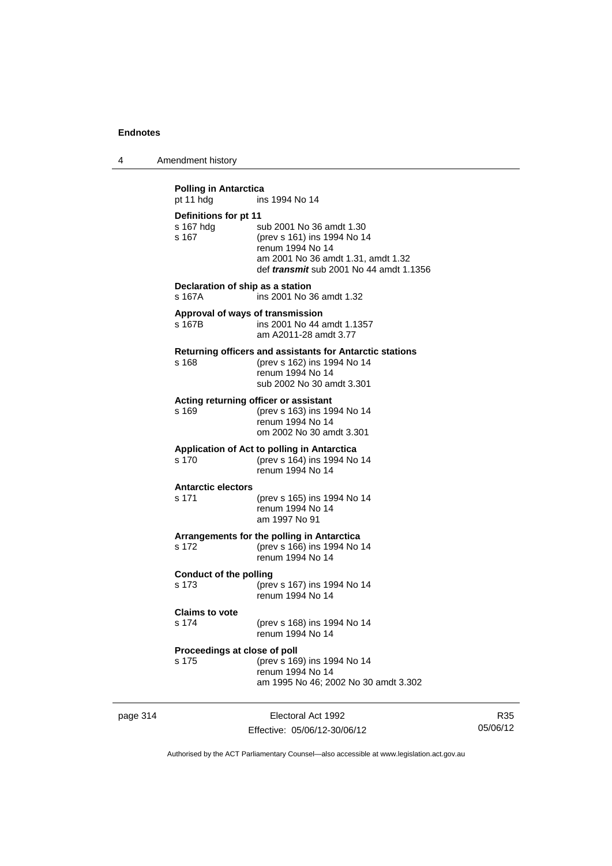4 Amendment history

**Polling in Antarctica** pt 11 hdg ins 1994 No 14 **Definitions for pt 11** s 167 hdg sub 2001 No 36 amdt 1.30<br>s 167 (prev s 161) ins 1994 No 1 s 167 (prev s 161) ins 1994 No 14 renum 1994 No 14 am 2001 No 36 amdt 1.31, amdt 1.32 def *transmit* sub 2001 No 44 amdt 1.1356 **Declaration of ship as a station** s 167A ins 2001 No 36 amdt 1.32 **Approval of ways of transmission**  s 167B ins 2001 No 44 amdt 1.1357 am A2011-28 amdt 3.77 **Returning officers and assistants for Antarctic stations** s 168 (prev s 162) ins 1994 No 14 renum 1994 No 14 sub 2002 No 30 amdt 3.301 **Acting returning officer or assistant**<br>s 169 (prev s 163) ins 19 s 169 (prev s 163) ins 1994 No 14 renum 1994 No 14 om 2002 No 30 amdt 3.301 **Application of Act to polling in Antarctica** s 170 (prev s 164) ins 1994 No 14 renum 1994 No 14 **Antarctic electors** s 171 (prev s 165) ins 1994 No 14 renum 1994 No 14 am 1997 No 91 **Arrangements for the polling in Antarctica** (prev s 166) ins 1994 No 14 renum 1994 No 14 **Conduct of the polling** s 173 (prev s 167) ins 1994 No 14 renum 1994 No 14 **Claims to vote** s 174 (prev s 168) ins 1994 No 14 renum 1994 No 14 **Proceedings at close of poll** s 175 (prev s 169) ins 1994 No 14 renum 1994 No 14 am 1995 No 46; 2002 No 30 amdt 3.302

page 314 Electoral Act 1992 Effective: 05/06/12-30/06/12

R35 05/06/12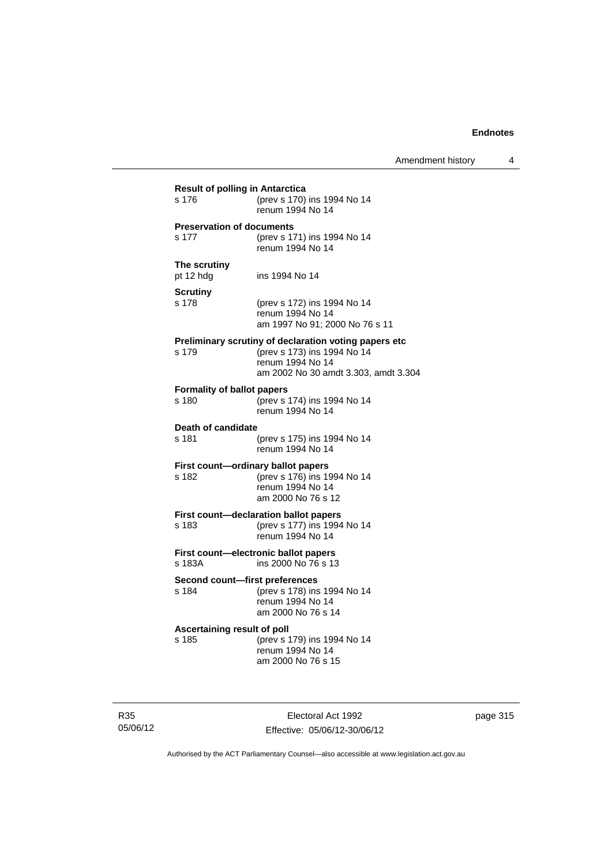| <b>Result of polling in Antarctica</b> |                                                                   |
|----------------------------------------|-------------------------------------------------------------------|
| s 176                                  | (prev s 170) ins 1994 No 14<br>renum 1994 No 14                   |
| <b>Preservation of documents</b>       |                                                                   |
| s 177                                  | (prev s 171) ins 1994 No 14                                       |
|                                        | renum 1994 No 14                                                  |
| The scrutiny                           |                                                                   |
| pt 12 hdg                              | ins 1994 No 14                                                    |
| <b>Scrutiny</b>                        |                                                                   |
| s 178                                  | (prev s 172) ins 1994 No 14                                       |
|                                        | renum 1994 No 14                                                  |
|                                        | am 1997 No 91; 2000 No 76 s 11                                    |
|                                        | Preliminary scrutiny of declaration voting papers etc             |
| s 179                                  | (prev s 173) ins 1994 No 14                                       |
|                                        | renum 1994 No 14<br>am 2002 No 30 amdt 3.303, amdt 3.304          |
|                                        |                                                                   |
| <b>Formality of ballot papers</b>      |                                                                   |
| s 180                                  | (prev s 174) ins 1994 No 14<br>renum 1994 No 14                   |
|                                        |                                                                   |
| Death of candidate<br>s 181            | (prev s 175) ins 1994 No 14                                       |
|                                        | renum 1994 No 14                                                  |
|                                        |                                                                   |
| s 182                                  | First count-ordinary ballot papers<br>(prev s 176) ins 1994 No 14 |
|                                        | renum 1994 No 14                                                  |
|                                        | am 2000 No 76 s 12                                                |
|                                        | First count-declaration ballot papers                             |
| s 183                                  | (prev s 177) ins 1994 No 14                                       |
|                                        | renum 1994 No 14                                                  |
|                                        | First count-electronic ballot papers                              |
| s 183A                                 | ins 2000 No 76 s 13                                               |
| Second count-first preferences         |                                                                   |
| s 184                                  | (prev s 178) ins 1994 No 14                                       |
|                                        | renum 1994 No 14                                                  |
|                                        | am 2000 No 76 s 14                                                |
| Ascertaining result of poll            |                                                                   |
| s 185                                  | (prev s 179) ins 1994 No 14                                       |
|                                        | renum 1994 No 14                                                  |
|                                        | am 2000 No 76 s 15                                                |

R35 05/06/12

Electoral Act 1992 Effective: 05/06/12-30/06/12 page 315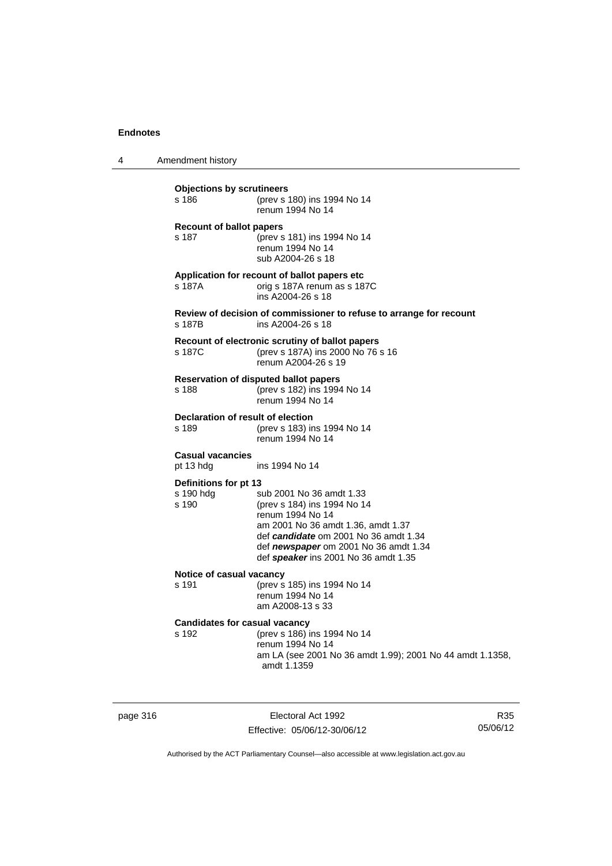4 Amendment history

| <b>Objections by scrutineers</b><br>s 186     | (prev s 180) ins 1994 No 14<br>renum 1994 No 14                                                                                                                                                                                             |
|-----------------------------------------------|---------------------------------------------------------------------------------------------------------------------------------------------------------------------------------------------------------------------------------------------|
| <b>Recount of ballot papers</b><br>s 187      | (prev s 181) ins 1994 No 14<br>renum 1994 No 14<br>sub A2004-26 s 18                                                                                                                                                                        |
| s 187A                                        | Application for recount of ballot papers etc<br>orig s 187A renum as s 187C<br>ins A2004-26 s 18                                                                                                                                            |
| s 187B                                        | Review of decision of commissioner to refuse to arrange for recount<br>ins A2004-26 s 18                                                                                                                                                    |
| s 187C                                        | Recount of electronic scrutiny of ballot papers<br>(prev s 187A) ins 2000 No 76 s 16<br>renum A2004-26 s 19                                                                                                                                 |
| s 188                                         | <b>Reservation of disputed ballot papers</b><br>(prev s 182) ins 1994 No 14<br>renum 1994 No 14                                                                                                                                             |
| Declaration of result of election<br>s 189    | (prev s 183) ins 1994 No 14<br>renum 1994 No 14                                                                                                                                                                                             |
| <b>Casual vacancies</b><br>pt 13 hdg          | ins 1994 No 14                                                                                                                                                                                                                              |
| Definitions for pt 13<br>s 190 hdg<br>s 190   | sub 2001 No 36 amdt 1.33<br>(prev s 184) ins 1994 No 14<br>renum 1994 No 14<br>am 2001 No 36 amdt 1.36, amdt 1.37<br>def candidate om 2001 No 36 amdt 1.34<br>def newspaper om 2001 No 36 amdt 1.34<br>def speaker ins 2001 No 36 amdt 1.35 |
| Notice of casual vacancy<br>s 191             | (prev s 185) ins 1994 No 14<br>renum 1994 No 14<br>am A2008-13 s 33                                                                                                                                                                         |
| <b>Candidates for casual vacancy</b><br>s 192 | (prev s 186) ins 1994 No 14<br>renum 1994 No 14<br>am LA (see 2001 No 36 amdt 1.99); 2001 No 44 amdt 1.1358,<br>amdt 1.1359                                                                                                                 |

page 316 **Electoral Act 1992** Effective: 05/06/12-30/06/12

R35 05/06/12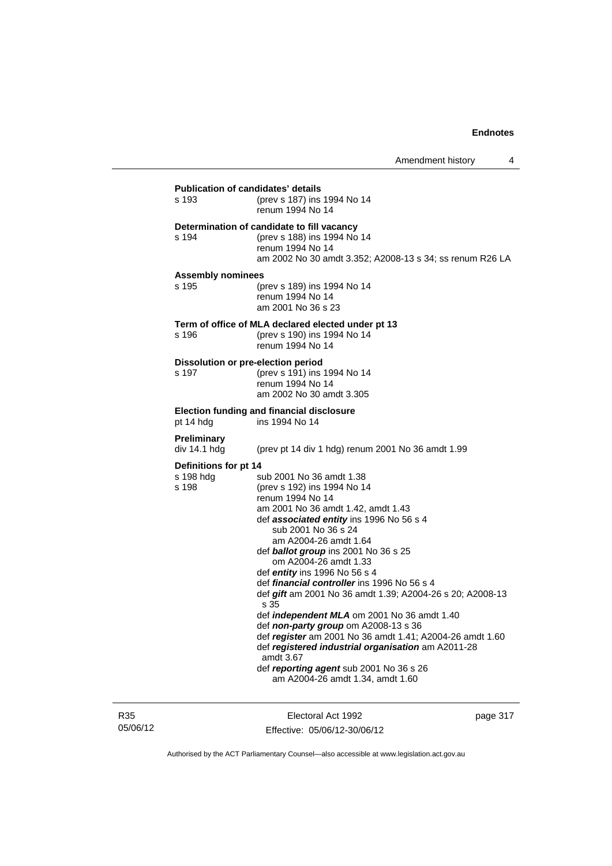| <b>Publication of candidates' details</b><br>s 193 | (prev s 187) ins 1994 No 14<br>renum 1994 No 14                                                                                                                                                                                                                                                                                                                                                                                                                                                                                                                                                                                                                                                                                                 |
|----------------------------------------------------|-------------------------------------------------------------------------------------------------------------------------------------------------------------------------------------------------------------------------------------------------------------------------------------------------------------------------------------------------------------------------------------------------------------------------------------------------------------------------------------------------------------------------------------------------------------------------------------------------------------------------------------------------------------------------------------------------------------------------------------------------|
| s 194                                              | Determination of candidate to fill vacancy<br>(prev s 188) ins 1994 No 14<br>renum 1994 No 14<br>am 2002 No 30 amdt 3.352; A2008-13 s 34; ss renum R26 LA                                                                                                                                                                                                                                                                                                                                                                                                                                                                                                                                                                                       |
| <b>Assembly nominees</b><br>s 195                  | (prev s 189) ins 1994 No 14<br>renum 1994 No 14<br>am 2001 No 36 s 23                                                                                                                                                                                                                                                                                                                                                                                                                                                                                                                                                                                                                                                                           |
| s 196                                              | Term of office of MLA declared elected under pt 13<br>(prev s 190) ins 1994 No 14<br>renum 1994 No 14                                                                                                                                                                                                                                                                                                                                                                                                                                                                                                                                                                                                                                           |
| Dissolution or pre-election period<br>s 197        | (prev s 191) ins 1994 No 14<br>renum 1994 No 14<br>am 2002 No 30 amdt 3.305                                                                                                                                                                                                                                                                                                                                                                                                                                                                                                                                                                                                                                                                     |
| pt 14 hdg                                          | Election funding and financial disclosure<br>ins 1994 No 14                                                                                                                                                                                                                                                                                                                                                                                                                                                                                                                                                                                                                                                                                     |
| <b>Preliminary</b><br>div 14.1 hdg                 | (prev pt 14 div 1 hdg) renum 2001 No 36 amdt 1.99                                                                                                                                                                                                                                                                                                                                                                                                                                                                                                                                                                                                                                                                                               |
| Definitions for pt 14<br>s 198 hdg<br>s 198        | sub 2001 No 36 amdt 1.38<br>(prev s 192) ins 1994 No 14<br>renum 1994 No 14<br>am 2001 No 36 amdt 1.42, amdt 1.43<br>def associated entity ins 1996 No 56 s 4<br>sub 2001 No 36 s 24<br>am A2004-26 amdt 1.64<br>def ballot group ins 2001 No 36 s 25<br>om A2004-26 amdt 1.33<br>def <i>entity</i> ins 1996 No 56 s 4<br>def financial controller ins 1996 No 56 s 4<br>def gift am 2001 No 36 amdt 1.39; A2004-26 s 20; A2008-13<br>s 35<br>def independent MLA om 2001 No 36 amdt 1.40<br>def non-party group om A2008-13 s 36<br>def register am 2001 No 36 amdt 1.41; A2004-26 amdt 1.60<br>def registered industrial organisation am A2011-28<br>amdt 3.67<br>def reporting agent sub 2001 No 36 s 26<br>am A2004-26 amdt 1.34, amdt 1.60 |

R35 05/06/12

Electoral Act 1992 Effective: 05/06/12-30/06/12 page 317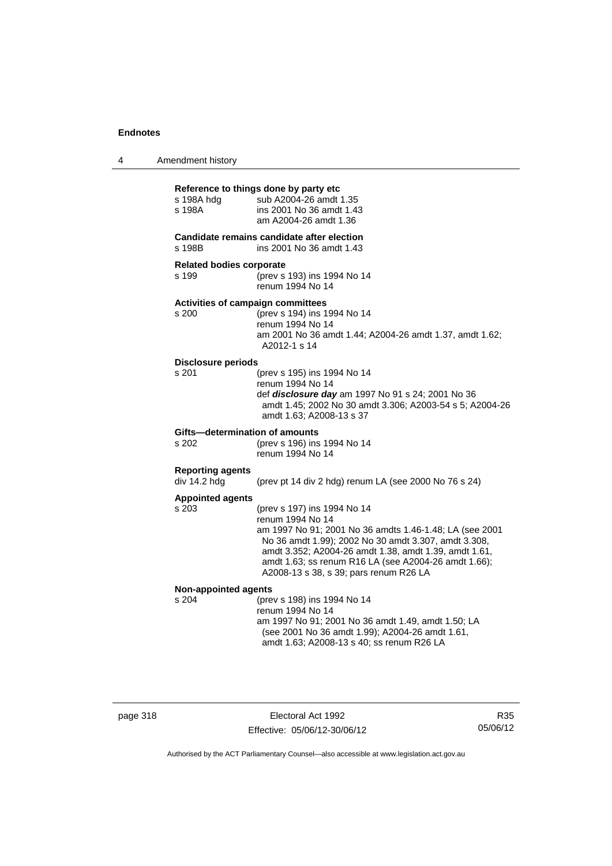| 4 | Amendment history |
|---|-------------------|
|---|-------------------|

| s 198A hda<br>s 198A                                                             | Reference to things done by party etc<br>sub A2004-26 amdt 1.35<br>ins 2001 No 36 amdt 1.43<br>am A2004-26 amdt 1.36                                                                                                                                                                                                          |  |
|----------------------------------------------------------------------------------|-------------------------------------------------------------------------------------------------------------------------------------------------------------------------------------------------------------------------------------------------------------------------------------------------------------------------------|--|
| Candidate remains candidate after election<br>s 198B<br>ins 2001 No 36 amdt 1.43 |                                                                                                                                                                                                                                                                                                                               |  |
| <b>Related bodies corporate</b><br>s 199                                         | (prev s 193) ins 1994 No 14<br>renum 1994 No 14                                                                                                                                                                                                                                                                               |  |
| <b>Activities of campaign committees</b><br>s 200                                | (prev s 194) ins 1994 No 14<br>renum 1994 No 14<br>am 2001 No 36 amdt 1.44; A2004-26 amdt 1.37, amdt 1.62;<br>A2012-1 s 14                                                                                                                                                                                                    |  |
| <b>Disclosure periods</b><br>s 201                                               | (prev s 195) ins 1994 No 14<br>renum 1994 No 14<br>def disclosure day am 1997 No 91 s 24; 2001 No 36<br>amdt 1.45; 2002 No 30 amdt 3.306; A2003-54 s 5; A2004-26<br>amdt 1.63; A2008-13 s 37                                                                                                                                  |  |
| Gifts-determination of amounts<br>s 202                                          | (prev s 196) ins 1994 No 14<br>renum 1994 No 14                                                                                                                                                                                                                                                                               |  |
| <b>Reporting agents</b><br>div 14.2 hdg                                          | (prev pt 14 div 2 hdg) renum LA (see 2000 No 76 s 24)                                                                                                                                                                                                                                                                         |  |
| <b>Appointed agents</b><br>s 203                                                 | (prev s 197) ins 1994 No 14<br>renum 1994 No 14<br>am 1997 No 91; 2001 No 36 amdts 1.46-1.48; LA (see 2001<br>No 36 amdt 1.99); 2002 No 30 amdt 3.307, amdt 3.308,<br>amdt 3.352; A2004-26 amdt 1.38, amdt 1.39, amdt 1.61,<br>amdt 1.63; ss renum R16 LA (see A2004-26 amdt 1.66);<br>A2008-13 s 38, s 39; pars renum R26 LA |  |
| Non-appointed agents                                                             |                                                                                                                                                                                                                                                                                                                               |  |
| s 204                                                                            | (prev s 198) ins 1994 No 14<br>renum 1994 No 14<br>am 1997 No 91; 2001 No 36 amdt 1.49, amdt 1.50; LA<br>(see 2001 No 36 amdt 1.99); A2004-26 amdt 1.61,<br>amdt 1.63; A2008-13 s 40; ss renum R26 LA                                                                                                                         |  |

page 318 **Electoral Act 1992** Effective: 05/06/12-30/06/12

R35 05/06/12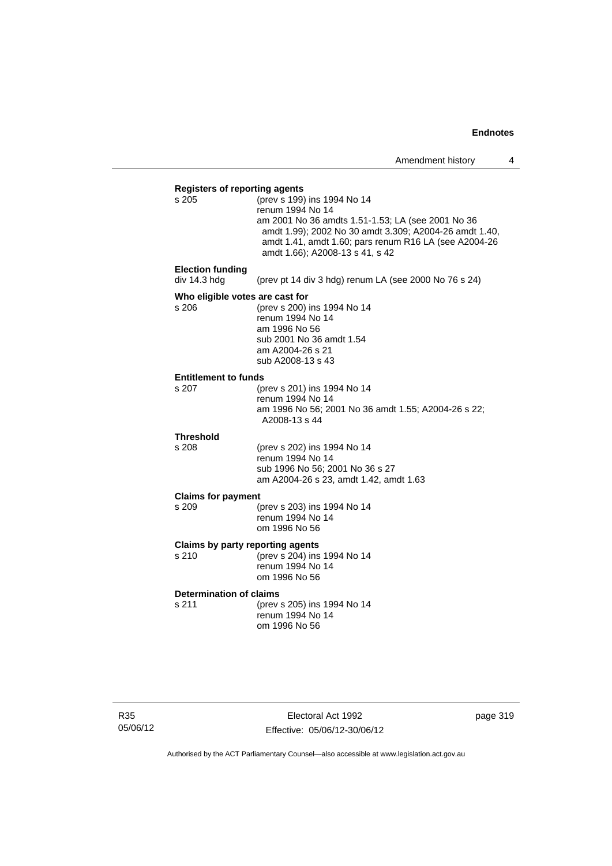| <b>Registers of reporting agents</b>    |                                                        |  |  |
|-----------------------------------------|--------------------------------------------------------|--|--|
| s 205                                   | (prev s 199) ins 1994 No 14                            |  |  |
|                                         | renum 1994 No 14                                       |  |  |
|                                         | am 2001 No 36 amdts 1.51-1.53; LA (see 2001 No 36      |  |  |
|                                         | amdt 1.99); 2002 No 30 amdt 3.309; A2004-26 amdt 1.40, |  |  |
|                                         | amdt 1.41, amdt 1.60; pars renum R16 LA (see A2004-26  |  |  |
|                                         | amdt 1.66); A2008-13 s 41, s 42                        |  |  |
|                                         |                                                        |  |  |
| <b>Election funding</b><br>div 14.3 hdg |                                                        |  |  |
|                                         | (prev pt 14 div 3 hdg) renum LA (see 2000 No 76 s 24)  |  |  |
| Who eligible votes are cast for         |                                                        |  |  |
| s 206                                   | (prev s 200) ins 1994 No 14                            |  |  |
|                                         | renum 1994 No 14                                       |  |  |
|                                         | am 1996 No 56                                          |  |  |
|                                         | sub 2001 No 36 amdt 1.54                               |  |  |
|                                         | am A2004-26 s 21                                       |  |  |
|                                         | sub A2008-13 s 43                                      |  |  |
| <b>Entitlement to funds</b>             |                                                        |  |  |
| s 207                                   | (prev s 201) ins 1994 No 14                            |  |  |
|                                         | renum 1994 No 14                                       |  |  |
|                                         | am 1996 No 56; 2001 No 36 amdt 1.55; A2004-26 s 22;    |  |  |
|                                         | A2008-13 s 44                                          |  |  |
| <b>Threshold</b>                        |                                                        |  |  |
| s 208                                   | (prev s 202) ins 1994 No 14                            |  |  |
|                                         | renum 1994 No 14                                       |  |  |
|                                         | sub 1996 No 56: 2001 No 36 s 27                        |  |  |
|                                         | am A2004-26 s 23, amdt 1.42, amdt 1.63                 |  |  |
|                                         |                                                        |  |  |
| <b>Claims for payment</b><br>s 209      | (prev s 203) ins 1994 No 14                            |  |  |
|                                         | renum 1994 No 14                                       |  |  |
|                                         | om 1996 No 56                                          |  |  |
|                                         |                                                        |  |  |
| <b>Claims by party reporting agents</b> |                                                        |  |  |
| s 210                                   | (prev s 204) ins 1994 No 14                            |  |  |
|                                         | renum 1994 No 14                                       |  |  |
|                                         | om 1996 No 56                                          |  |  |
| <b>Determination of claims</b>          |                                                        |  |  |
| s 211                                   | (prev s 205) ins 1994 No 14                            |  |  |
|                                         | renum 1994 No 14                                       |  |  |
|                                         | om 1996 No 56                                          |  |  |
|                                         |                                                        |  |  |
|                                         |                                                        |  |  |

R35 05/06/12

Electoral Act 1992 Effective: 05/06/12-30/06/12 page 319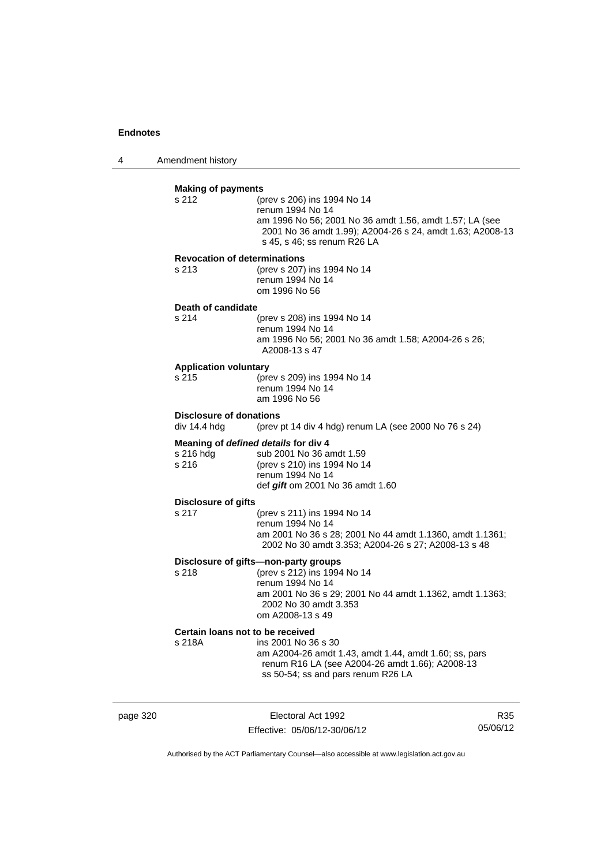4 Amendment history

| <b>Making of payments</b><br>s 212             | (prev s 206) ins 1994 No 14<br>renum 1994 No 14<br>am 1996 No 56; 2001 No 36 amdt 1.56, amdt 1.57; LA (see<br>2001 No 36 amdt 1.99); A2004-26 s 24, amdt 1.63; A2008-13<br>s 45, s 46; ss renum R26 LA    |
|------------------------------------------------|-----------------------------------------------------------------------------------------------------------------------------------------------------------------------------------------------------------|
| s 213                                          | <b>Revocation of determinations</b><br>(prev s 207) ins 1994 No 14<br>renum 1994 No 14<br>om 1996 No 56                                                                                                   |
| Death of candidate                             |                                                                                                                                                                                                           |
| s 214                                          | (prev s 208) ins 1994 No 14<br>renum 1994 No 14<br>am 1996 No 56; 2001 No 36 amdt 1.58; A2004-26 s 26;<br>A2008-13 s 47                                                                                   |
| <b>Application voluntary</b><br>s 215          | (prev s 209) ins 1994 No 14<br>renum 1994 No 14<br>am 1996 No 56                                                                                                                                          |
| <b>Disclosure of donations</b><br>div 14.4 hdg | (prev pt 14 div 4 hdg) renum LA (see 2000 No 76 s 24)                                                                                                                                                     |
| s 216 hdg<br>s 216                             | Meaning of defined details for div 4<br>sub 2001 No 36 amdt 1.59<br>(prev s 210) ins 1994 No 14<br>renum 1994 No 14<br>def gift om 2001 No 36 amdt 1.60                                                   |
| <b>Disclosure of gifts</b><br>s 217            | (prev s 211) ins 1994 No 14<br>renum 1994 No 14<br>am 2001 No 36 s 28; 2001 No 44 amdt 1.1360, amdt 1.1361;<br>2002 No 30 amdt 3.353; A2004-26 s 27; A2008-13 s 48                                        |
| s 218                                          | Disclosure of gifts-non-party groups<br>(prev s 212) ins 1994 No 14<br>renum 1994 No 14<br>am 2001 No 36 s 29; 2001 No 44 amdt 1.1362, amdt 1.1363;<br>2002 No 30 amdt 3.353<br>om A2008-13 s 49          |
| s 218A                                         | Certain loans not to be received<br>ins 2001 No 36 s 30<br>am A2004-26 amdt 1.43, amdt 1.44, amdt 1.60; ss, pars<br>renum R16 LA (see A2004-26 amdt 1.66); A2008-13<br>ss 50-54; ss and pars renum R26 LA |

page 320 **Electoral Act 1992** Effective: 05/06/12-30/06/12

R35 05/06/12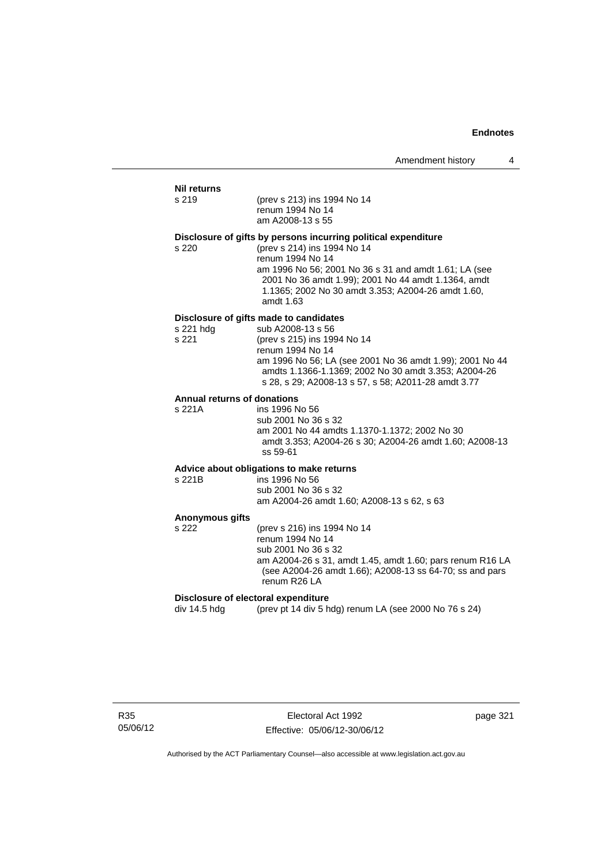#### **Nil returns**

| s 219 | (prev s 213) ins 1994 No 14 |
|-------|-----------------------------|
|       | ranum $100A$ No $1A$        |

renum 1994 No 14 am A2008-13 s 55

#### **Disclosure of gifts by persons incurring political expenditure**

s 220 (prev s 214) ins 1994 No 14 renum 1994 No 14 am 1996 No 56; 2001 No 36 s 31 and amdt 1.61; LA (see 2001 No 36 amdt 1.99); 2001 No 44 amdt 1.1364, amdt 1.1365; 2002 No 30 amdt 3.353; A2004-26 amdt 1.60, amdt 1.63

### **Disclosure of gifts made to candidates**

| sub A2008-13 s 56                                        |
|----------------------------------------------------------|
| (prev s 215) ins 1994 No 14                              |
| renum 1994 No 14                                         |
| am 1996 No 56; LA (see 2001 No 36 amdt 1.99); 2001 No 44 |
| amdts 1.1366-1.1369: 2002 No 30 amdt 3.353: A2004-26     |
| s 28, s 29; A2008-13 s 57, s 58; A2011-28 amdt 3.77      |
|                                                          |

#### **Annual returns of donations**

s 221A ins 1996 No 56 sub 2001 No 36 s 32 am 2001 No 44 amdts 1.1370-1.1372; 2002 No 30 amdt 3.353; A2004-26 s 30; A2004-26 amdt 1.60; A2008-13 ss 59-61

#### **Advice about obligations to make returns**  $ins$  1996 No 56

sub 2001 No 36 s 32 am A2004-26 amdt 1.60; A2008-13 s 62, s 63

#### **Anonymous gifts**

s 222 (prev s 216) ins 1994 No 14 renum 1994 No 14 sub 2001 No 36 s 32 am A2004-26 s 31, amdt 1.45, amdt 1.60; pars renum R16 LA (see A2004-26 amdt 1.66); A2008-13 ss 64-70; ss and pars renum R26 LA

#### **Disclosure of electoral expenditure**

div 14.5 hdg (prev pt 14 div 5 hdg) renum LA (see 2000 No 76 s 24)

R35 05/06/12

Electoral Act 1992 Effective: 05/06/12-30/06/12 page 321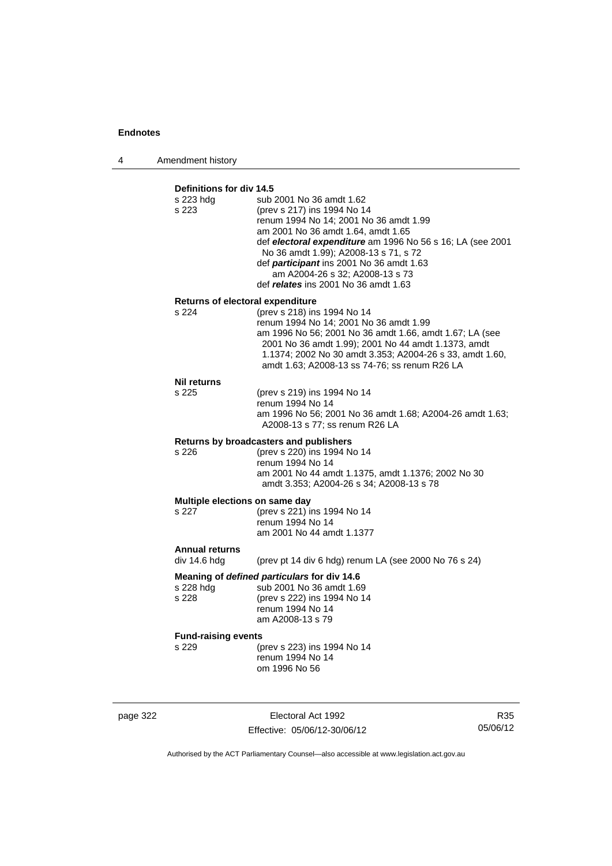4 Amendment history

## **Definitions for div 14.5**

| <b>Demintons</b> for any 1 <del>7</del> .9<br>s 223 hdg<br>s 223 | sub 2001 No 36 amdt 1.62<br>(prev s 217) ins 1994 No 14<br>renum 1994 No 14; 2001 No 36 amdt 1.99<br>am 2001 No 36 amdt 1.64, amdt 1.65<br>def electoral expenditure am 1996 No 56 s 16; LA (see 2001<br>No 36 amdt 1.99); A2008-13 s 71, s 72<br>def participant ins 2001 No 36 amdt 1.63<br>am A2004-26 s 32; A2008-13 s 73<br>def <i>relates</i> ins 2001 No 36 amdt 1.63 |  |
|------------------------------------------------------------------|------------------------------------------------------------------------------------------------------------------------------------------------------------------------------------------------------------------------------------------------------------------------------------------------------------------------------------------------------------------------------|--|
| Returns of electoral expenditure                                 |                                                                                                                                                                                                                                                                                                                                                                              |  |
| s 224                                                            | (prev s 218) ins 1994 No 14<br>renum 1994 No 14; 2001 No 36 amdt 1.99<br>am 1996 No 56; 2001 No 36 amdt 1.66, amdt 1.67; LA (see<br>2001 No 36 amdt 1.99); 2001 No 44 amdt 1.1373, amdt<br>1.1374; 2002 No 30 amdt 3.353; A2004-26 s 33, amdt 1.60,<br>amdt 1.63; A2008-13 ss 74-76; ss renum R26 LA                                                                         |  |
| <b>Nil returns</b>                                               |                                                                                                                                                                                                                                                                                                                                                                              |  |
| s 225                                                            | (prev s 219) ins 1994 No 14<br>renum 1994 No 14<br>am 1996 No 56; 2001 No 36 amdt 1.68; A2004-26 amdt 1.63;<br>A2008-13 s 77; ss renum R26 LA                                                                                                                                                                                                                                |  |
|                                                                  | Returns by broadcasters and publishers                                                                                                                                                                                                                                                                                                                                       |  |
| s 226                                                            | (prev s 220) ins 1994 No 14<br>renum 1994 No 14<br>am 2001 No 44 amdt 1.1375, amdt 1.1376; 2002 No 30<br>amdt 3.353; A2004-26 s 34; A2008-13 s 78                                                                                                                                                                                                                            |  |
| Multiple elections on same day                                   |                                                                                                                                                                                                                                                                                                                                                                              |  |
| s 227                                                            | (prev s 221) ins 1994 No 14                                                                                                                                                                                                                                                                                                                                                  |  |
|                                                                  | renum 1994 No 14<br>am 2001 No 44 amdt 1.1377                                                                                                                                                                                                                                                                                                                                |  |
| <b>Annual returns</b>                                            |                                                                                                                                                                                                                                                                                                                                                                              |  |
| div 14.6 hdg                                                     | (prev pt 14 div 6 hdg) renum LA (see 2000 No $76$ s 24)                                                                                                                                                                                                                                                                                                                      |  |
| Meaning of defined particulars for div 14.6                      |                                                                                                                                                                                                                                                                                                                                                                              |  |
| s 228 hdg<br>s 228                                               | sub 2001 No 36 amdt 1.69<br>(prev s 222) ins 1994 No 14                                                                                                                                                                                                                                                                                                                      |  |
|                                                                  | renum 1994 No 14<br>am A2008-13 s 79                                                                                                                                                                                                                                                                                                                                         |  |
| <b>Fund-raising events</b>                                       |                                                                                                                                                                                                                                                                                                                                                                              |  |
| s 229                                                            | (prev s 223) ins 1994 No 14<br>renum 1994 No 14                                                                                                                                                                                                                                                                                                                              |  |
|                                                                  | om 1996 No 56                                                                                                                                                                                                                                                                                                                                                                |  |
|                                                                  |                                                                                                                                                                                                                                                                                                                                                                              |  |
|                                                                  |                                                                                                                                                                                                                                                                                                                                                                              |  |

page 322 **Electoral Act 1992** Effective: 05/06/12-30/06/12

R35 05/06/12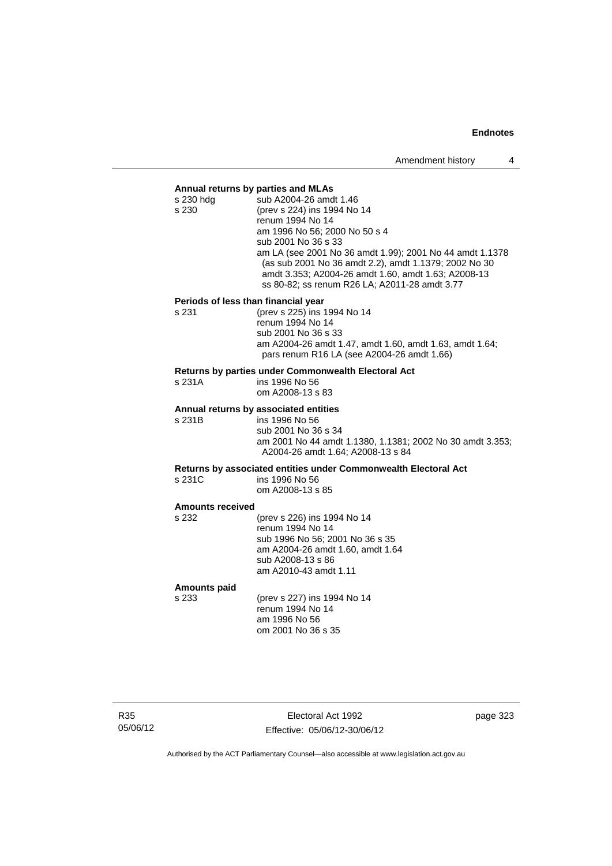#### **Annual returns by parties and MLAs**

| s 230 hda | sub A2004-26 amdt 1.46                                   |
|-----------|----------------------------------------------------------|
| s 230     | (prev s 224) ins 1994 No 14                              |
|           | renum 1994 No 14                                         |
|           | am 1996 No 56; 2000 No 50 s 4                            |
|           | sub 2001 No 36 s 33                                      |
|           | am LA (see 2001 No 36 amdt 1.99); 2001 No 44 amdt 1.1378 |
|           | (as sub 2001 No 36 amdt 2.2), amdt 1.1379; 2002 No 30    |
|           | amdt 3.353; A2004-26 amdt 1.60, amdt 1.63; A2008-13      |
|           | ss 80-82; ss renum R26 LA; A2011-28 amdt 3.77            |
|           |                                                          |

#### **Periods of less than financial year**

s 231 (prev s 225) ins 1994 No 14 renum 1994 No 14 sub 2001 No 36 s 33 am A2004-26 amdt 1.47, amdt 1.60, amdt 1.63, amdt 1.64; pars renum R16 LA (see A2004-26 amdt 1.66)

#### **Returns by parties under Commonwealth Electoral Act**

| s 231A | ins 1996 No 56   |
|--------|------------------|
|        | om A2008-13 s 83 |

#### **Annual returns by associated entities**

s 231B ins 1996 No 56 sub 2001 No 36 s 34 am 2001 No 44 amdt 1.1380, 1.1381; 2002 No 30 amdt 3.353; A2004-26 amdt 1.64; A2008-13 s 84

**Returns by associated entities under Commonwealth Electoral Act** ins 1996 No 56

om A2008-13 s 85

#### **Amounts received**

s 232 (prev s 226) ins 1994 No 14 renum 1994 No 14 sub 1996 No 56; 2001 No 36 s 35 am A2004-26 amdt 1.60, amdt 1.64 sub A2008-13 s 86 am A2010-43 amdt 1.11

#### **Amounts paid**

s 233 (prev s 227) ins 1994 No 14 renum 1994 No 14 am 1996 No 56 om 2001 No 36 s 35

R35 05/06/12

Electoral Act 1992 Effective: 05/06/12-30/06/12 page 323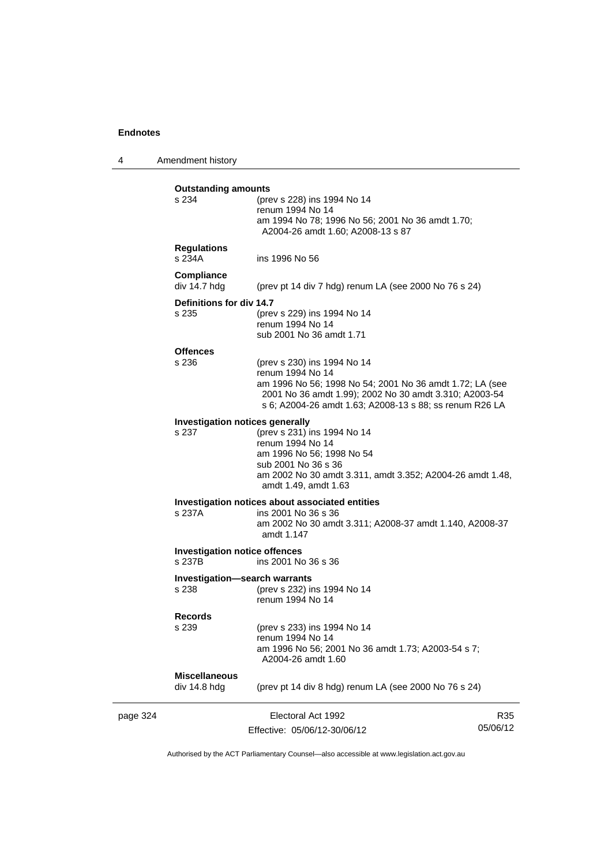4 Amendment history

|          | <b>Outstanding amounts</b><br>s 234             | (prev s 228) ins 1994 No 14<br>renum 1994 No 14<br>am 1994 No 78; 1996 No 56; 2001 No 36 amdt 1.70;<br>A2004-26 amdt 1.60; A2008-13 s 87                                                                                         |                 |
|----------|-------------------------------------------------|----------------------------------------------------------------------------------------------------------------------------------------------------------------------------------------------------------------------------------|-----------------|
|          | <b>Regulations</b><br>s 234A                    | ins 1996 No 56                                                                                                                                                                                                                   |                 |
|          | <b>Compliance</b><br>div 14.7 hdg               | (prev pt 14 div 7 hdg) renum LA (see 2000 No 76 s 24)                                                                                                                                                                            |                 |
|          | Definitions for div 14.7<br>s 235               | (prev s 229) ins 1994 No 14<br>renum 1994 No 14<br>sub 2001 No 36 amdt 1.71                                                                                                                                                      |                 |
|          | <b>Offences</b><br>s 236                        | (prev s 230) ins 1994 No 14<br>renum 1994 No 14<br>am 1996 No 56; 1998 No 54; 2001 No 36 amdt 1.72; LA (see<br>2001 No 36 amdt 1.99); 2002 No 30 amdt 3.310; A2003-54<br>s 6; A2004-26 amdt 1.63; A2008-13 s 88; ss renum R26 LA |                 |
|          | <b>Investigation notices generally</b><br>s 237 | (prev s 231) ins 1994 No 14<br>renum 1994 No 14<br>am 1996 No 56; 1998 No 54<br>sub 2001 No 36 s 36<br>am 2002 No 30 amdt 3.311, amdt 3.352; A2004-26 amdt 1.48,<br>amdt 1.49, amdt 1.63                                         |                 |
|          | s 237A                                          | Investigation notices about associated entities<br>ins 2001 No 36 s 36<br>am 2002 No 30 amdt 3.311; A2008-37 amdt 1.140, A2008-37<br>amdt 1.147                                                                                  |                 |
|          | <b>Investigation notice offences</b><br>s 237B  | ins 2001 No 36 s 36                                                                                                                                                                                                              |                 |
|          | <b>Investigation-search warrants</b><br>s 238   | (prev s 232) ins 1994 No 14<br>renum 1994 No 14                                                                                                                                                                                  |                 |
|          | <b>Records</b><br>s 239                         | (prev s 233) ins 1994 No 14<br>renum 1994 No 14<br>am 1996 No 56; 2001 No 36 amdt 1.73; A2003-54 s 7;<br>A2004-26 amdt 1.60                                                                                                      |                 |
|          | <b>Miscellaneous</b><br>div 14.8 hdg            | (prev pt 14 div 8 hdg) renum LA (see 2000 No 76 s 24)                                                                                                                                                                            |                 |
| page 324 |                                                 | Electoral Act 1992<br>Effective: 05/06/12-30/06/12                                                                                                                                                                               | R35<br>05/06/12 |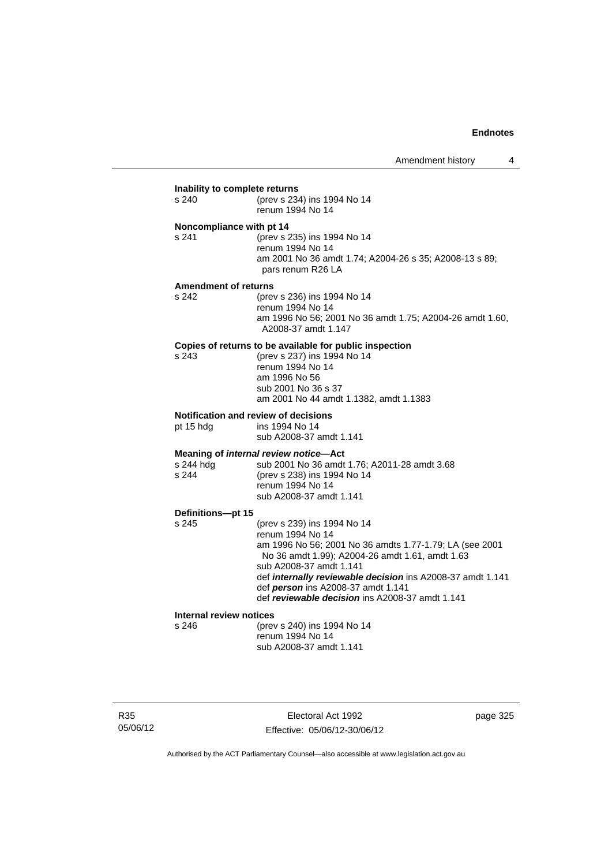## **Inability to complete returns**<br>s 240 (prev s 234) (prev s 234) ins 1994 No 14 renum 1994 No 14 **Noncompliance with pt 14** s 241 (prev s 235) ins 1994 No 14 renum 1994 No 14 am 2001 No 36 amdt 1.74; A2004-26 s 35; A2008-13 s 89; pars renum R26 LA **Amendment of returns** s 242 (prev s 236) ins 1994 No 14 renum 1994 No 14 am 1996 No 56; 2001 No 36 amdt 1.75; A2004-26 amdt 1.60, A2008-37 amdt 1.147 **Copies of returns to be available for public inspection**<br>s 243 (orev s 237) ins 1994 No 14 (prev s 237) ins 1994 No 14 renum 1994 No 14 am 1996 No 56 sub 2001 No 36 s 37 am 2001 No 44 amdt 1.1382, amdt 1.1383 **Notification and review of decisions** pt 15 hdg ins 1994 No 14 sub A2008-37 amdt 1.141 **Meaning of** *internal review notice***—Act** s 244 hdg sub 2001 No 36 amdt 1.76; A2011-28 amdt 3.68 s 244 (prev s 238) ins 1994 No 14 renum 1994 No 14 sub A2008-37 amdt 1.141 **Definitions—pt 15** (prev s 239) ins 1994 No 14 renum 1994 No 14 am 1996 No 56; 2001 No 36 amdts 1.77-1.79; LA (see 2001 No 36 amdt 1.99); A2004-26 amdt 1.61, amdt 1.63 sub A2008-37 amdt 1.141 def *internally reviewable decision* ins A2008-37 amdt 1.141 def *person* ins A2008-37 amdt 1.141 def *reviewable decision* ins A2008-37 amdt 1.141 **Internal review notices** s 246 (prev s 240) ins 1994 No 14 renum 1994 No 14 sub A2008-37 amdt 1.141

R35 05/06/12

Electoral Act 1992 Effective: 05/06/12-30/06/12 page 325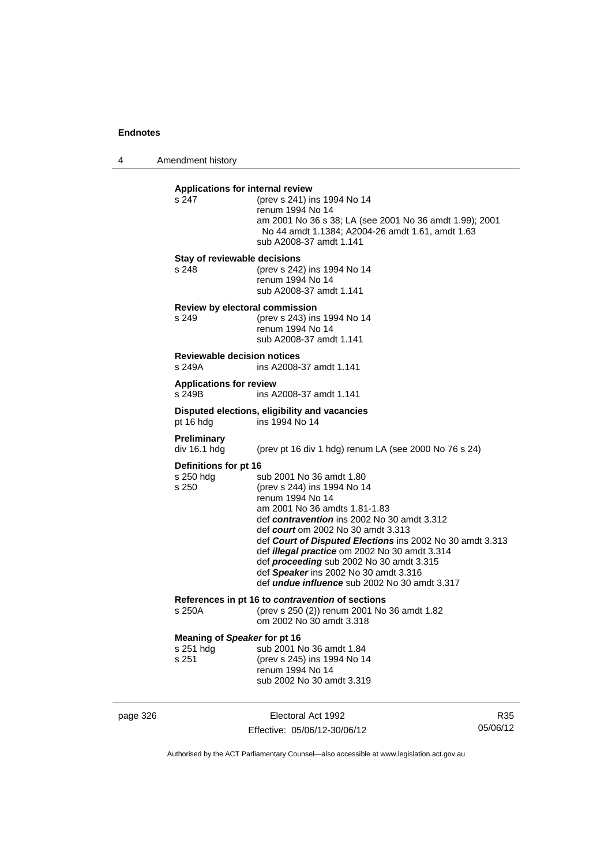page 326

4 Amendment history

| Applications for internal review<br>s 247          | (prev s 241) ins 1994 No 14<br>renum 1994 No 14<br>am 2001 No 36 s 38; LA (see 2001 No 36 amdt 1.99); 2001<br>No 44 amdt 1.1384; A2004-26 amdt 1.61, amdt 1.63<br>sub A2008-37 amdt 1.141                                                                                                                                                                                                                                                                           |    |
|----------------------------------------------------|---------------------------------------------------------------------------------------------------------------------------------------------------------------------------------------------------------------------------------------------------------------------------------------------------------------------------------------------------------------------------------------------------------------------------------------------------------------------|----|
| Stay of reviewable decisions<br>s 248              | (prev s 242) ins 1994 No 14<br>renum 1994 No 14<br>sub A2008-37 amdt 1.141                                                                                                                                                                                                                                                                                                                                                                                          |    |
| Review by electoral commission<br>s 249            | (prev s 243) ins 1994 No 14<br>renum 1994 No 14<br>sub A2008-37 amdt 1.141                                                                                                                                                                                                                                                                                                                                                                                          |    |
| <b>Reviewable decision notices</b><br>s 249A       | ins A2008-37 amdt 1.141                                                                                                                                                                                                                                                                                                                                                                                                                                             |    |
| <b>Applications for review</b><br>s 249B           | ins A2008-37 amdt 1.141                                                                                                                                                                                                                                                                                                                                                                                                                                             |    |
| pt 16 hdg                                          | Disputed elections, eligibility and vacancies<br>ins 1994 No 14                                                                                                                                                                                                                                                                                                                                                                                                     |    |
| <b>Preliminary</b><br>div 16.1 hdg                 | (prev pt 16 div 1 hdg) renum LA (see 2000 No 76 s 24)                                                                                                                                                                                                                                                                                                                                                                                                               |    |
| Definitions for pt 16<br>s 250 hdg<br>s 250        | sub 2001 No 36 amdt 1.80<br>(prev s 244) ins 1994 No 14<br>renum 1994 No 14<br>am 2001 No 36 amdts 1.81-1.83<br>def contravention ins 2002 No 30 amdt 3.312<br>def court om 2002 No 30 amdt 3.313<br>def Court of Disputed Elections ins 2002 No 30 amdt 3.313<br>def <i>illegal practice</i> om 2002 No 30 amdt 3.314<br>def proceeding sub 2002 No 30 amdt 3.315<br>def Speaker ins 2002 No 30 amdt 3.316<br>def <i>undue influence</i> sub 2002 No 30 amdt 3.317 |    |
| s 250A                                             | References in pt 16 to <i>contravention</i> of sections<br>(prev s 250 (2)) renum 2001 No 36 amdt 1.82<br>om 2002 No 30 amdt 3.318                                                                                                                                                                                                                                                                                                                                  |    |
| Meaning of Speaker for pt 16<br>s 251 hdg<br>s 251 | sub 2001 No 36 amdt 1.84<br>(prev s 245) ins 1994 No 14<br>renum 1994 No 14<br>sub 2002 No 30 amdt 3.319                                                                                                                                                                                                                                                                                                                                                            |    |
|                                                    | Electoral Act 1992                                                                                                                                                                                                                                                                                                                                                                                                                                                  | R3 |

Effective: 05/06/12-30/06/12

R35 05/06/12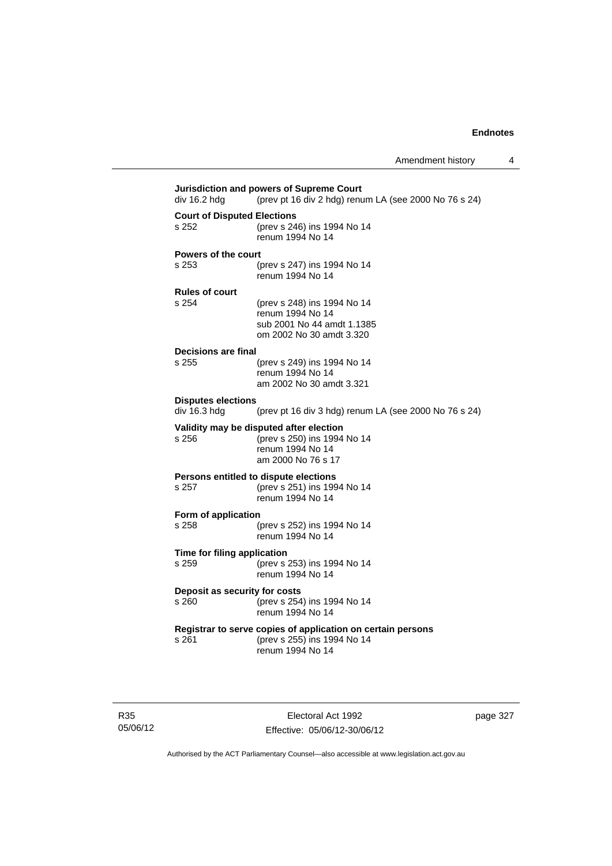**Jurisdiction and powers of Supreme Court**  div 16.2 hdg (prev pt 16 div 2 hdg) renum LA (see 2000 No 76 s 24) **Court of Disputed Elections** s 252 (prev s 246) ins 1994 No 14 renum 1994 No 14 **Powers of the court** s 253 (prev s 247) ins 1994 No 14 renum 1994 No 14 **Rules of court** s 254 (prev s 248) ins 1994 No 14 renum 1994 No 14 sub 2001 No 44 amdt 1.1385 om 2002 No 30 amdt 3.320 **Decisions are final** (prev s 249) ins 1994 No 14 renum 1994 No 14 am 2002 No 30 amdt 3.321 **Disputes elections**  (prev pt 16 div 3 hdg) renum LA (see 2000 No 76 s 24) **Validity may be disputed after election** s 256 (prev s 250) ins 1994 No 14 renum 1994 No 14 am 2000 No 76 s 17 **Persons entitled to dispute elections** s 257 (prev s 251) ins 1994 No 14 renum 1994 No 14 **Form of application**<br>s 258 ( s 258 (prev s 252) ins 1994 No 14 renum 1994 No 14 **Time for filing application** s 259 (prev s 253) ins 1994 No 14 renum 1994 No 14 **Deposit as security for costs** s 260 (prev s 254) ins 1994 No 14 renum 1994 No 14 **Registrar to serve copies of application on certain persons** s 261 (prev s 255) ins 1994 No 14 renum 1994 No 14

R35 05/06/12

Electoral Act 1992 Effective: 05/06/12-30/06/12 page 327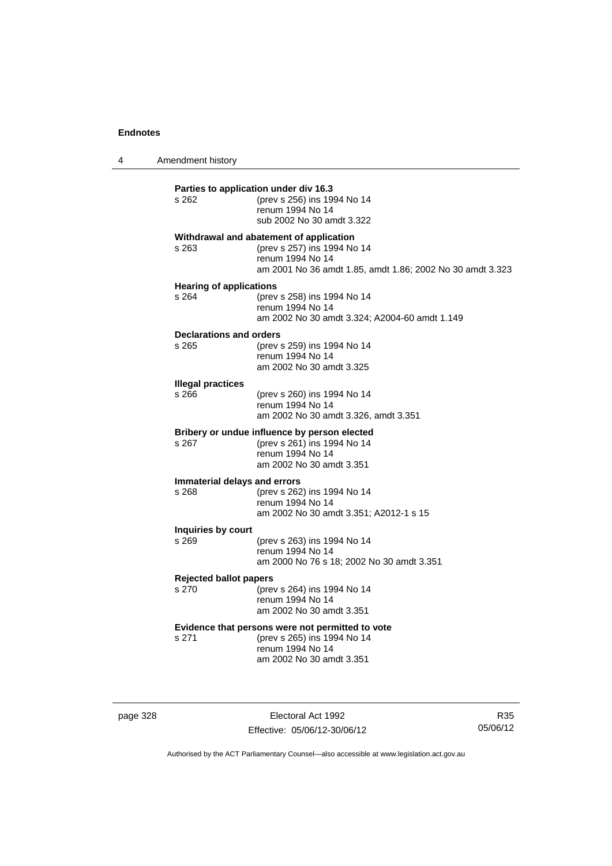4 Amendment history

| s 262                                   | Parties to application under div 16.3<br>(prev s 256) ins 1994 No 14<br>renum 1994 No 14<br>sub 2002 No 30 amdt 3.322                                   |
|-----------------------------------------|---------------------------------------------------------------------------------------------------------------------------------------------------------|
| s 263                                   | Withdrawal and abatement of application<br>(prev s 257) ins 1994 No 14<br>renum 1994 No 14<br>am 2001 No 36 amdt 1.85, amdt 1.86; 2002 No 30 amdt 3.323 |
| <b>Hearing of applications</b><br>s 264 | (prev s 258) ins 1994 No 14<br>renum 1994 No 14<br>am 2002 No 30 amdt 3.324; A2004-60 amdt 1.149                                                        |
| <b>Declarations and orders</b><br>s 265 | (prev s 259) ins 1994 No 14<br>renum 1994 No 14<br>am 2002 No 30 amdt 3.325                                                                             |
| <b>Illegal practices</b><br>s 266       | (prev s 260) ins 1994 No 14<br>renum 1994 No 14<br>am 2002 No 30 amdt 3.326, amdt 3.351                                                                 |
| s 267                                   | Bribery or undue influence by person elected<br>(prev s 261) ins 1994 No 14<br>renum 1994 No 14<br>am 2002 No 30 amdt 3.351                             |
| Immaterial delays and errors<br>s 268   | (prev s 262) ins 1994 No 14<br>renum 1994 No 14<br>am 2002 No 30 amdt 3.351; A2012-1 s 15                                                               |
| Inquiries by court<br>s 269             | (prev s 263) ins 1994 No 14<br>renum 1994 No 14<br>am 2000 No 76 s 18; 2002 No 30 amdt 3.351                                                            |
| <b>Rejected ballot papers</b><br>s 270  | (prev s 264) ins 1994 No 14<br>renum 1994 No 14<br>am 2002 No 30 amdt 3.351                                                                             |
| s 271                                   | Evidence that persons were not permitted to vote<br>(prev s 265) ins 1994 No 14<br>renum 1994 No 14<br>am 2002 No 30 amdt 3.351                         |
|                                         |                                                                                                                                                         |

page 328 **Electoral Act 1992** Effective: 05/06/12-30/06/12

R35 05/06/12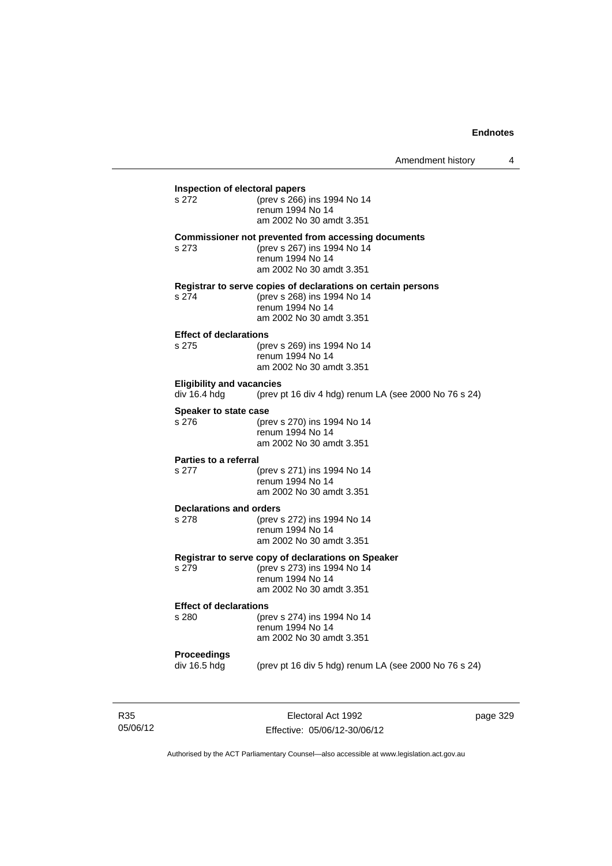| Inspection of electoral papers                   |                                                              |  |
|--------------------------------------------------|--------------------------------------------------------------|--|
| s 272                                            | (prev s 266) ins 1994 No 14                                  |  |
|                                                  | renum 1994 No 14<br>am 2002 No 30 amdt 3.351                 |  |
|                                                  | <b>Commissioner not prevented from accessing documents</b>   |  |
| s 273                                            | (prev s 267) ins 1994 No 14<br>renum 1994 No 14              |  |
|                                                  | am 2002 No 30 amdt 3.351                                     |  |
|                                                  | Registrar to serve copies of declarations on certain persons |  |
| s 274                                            | (prev s 268) ins 1994 No 14<br>renum 1994 No 14              |  |
|                                                  | am 2002 No 30 amdt 3.351                                     |  |
| <b>Effect of declarations</b><br>s 275           |                                                              |  |
|                                                  | (prev s 269) ins 1994 No 14<br>renum 1994 No 14              |  |
|                                                  | am 2002 No 30 amdt 3.351                                     |  |
| <b>Eligibility and vacancies</b><br>div 16.4 hdg | (prev pt 16 div 4 hdg) renum LA (see 2000 No 76 s 24)        |  |
| Speaker to state case                            |                                                              |  |
| s 276                                            | (prev s 270) ins 1994 No 14                                  |  |
|                                                  | renum 1994 No 14<br>am 2002 No 30 amdt 3.351                 |  |
| <b>Parties to a referral</b>                     |                                                              |  |
| s 277                                            | (prev s 271) ins 1994 No 14                                  |  |
|                                                  | renum 1994 No 14<br>am 2002 No 30 amdt 3.351                 |  |
| <b>Declarations and orders</b>                   |                                                              |  |
| s 278                                            | (prev s 272) ins 1994 No 14<br>renum 1994 No 14              |  |
|                                                  | am 2002 No 30 amdt 3.351                                     |  |
|                                                  | Registrar to serve copy of declarations on Speaker           |  |
| s 279                                            | (prev s 273) ins 1994 No 14<br>renum 1994 No 14              |  |
|                                                  | am 2002 No 30 amdt 3.351                                     |  |
| <b>Effect of declarations</b>                    |                                                              |  |
| s 280                                            | (prev s 274) ins 1994 No 14<br>renum 1994 No 14              |  |
|                                                  | am 2002 No 30 amdt 3.351                                     |  |
| <b>Proceedings</b>                               |                                                              |  |
| div 16.5 hdg                                     | (prev pt 16 div 5 hdg) renum LA (see 2000 No 76 s 24)        |  |
|                                                  |                                                              |  |

R35 05/06/12

Electoral Act 1992 Effective: 05/06/12-30/06/12 page 329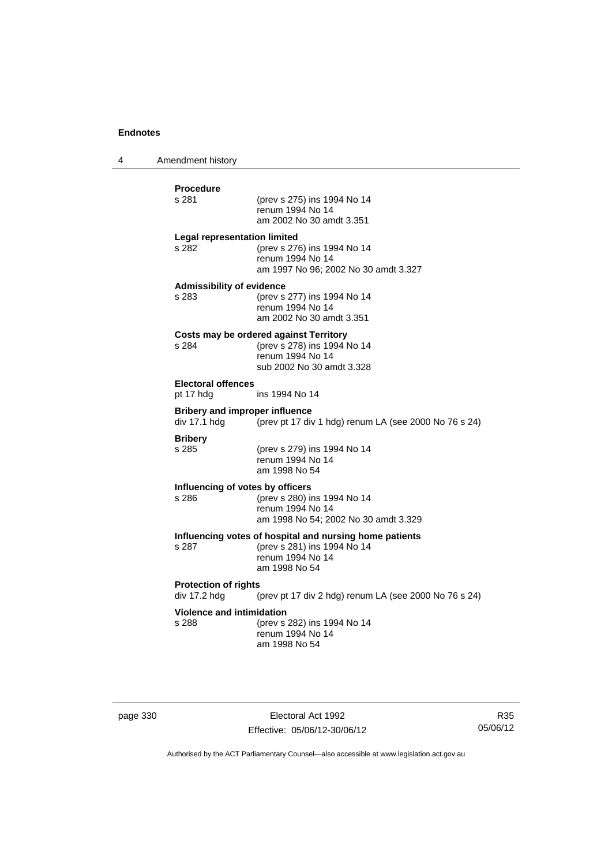4 Amendment history

| Procedure                                             |                                                                                         |
|-------------------------------------------------------|-----------------------------------------------------------------------------------------|
| s 281                                                 | (prev s 275) ins 1994 No 14<br>renum 1994 No 14<br>am 2002 No 30 amdt 3.351             |
|                                                       |                                                                                         |
| <b>Legal representation limited</b><br>s 282          | (prev s 276) ins 1994 No 14<br>renum 1994 No 14<br>am 1997 No 96; 2002 No 30 amdt 3.327 |
| <b>Admissibility of evidence</b><br>s 283             | (prev s 277) ins 1994 No 14<br>renum 1994 No 14<br>am 2002 No 30 amdt 3.351             |
|                                                       | Costs may be ordered against Territory                                                  |
| s 284                                                 | (prev s 278) ins 1994 No 14<br>renum 1994 No 14<br>sub 2002 No 30 amdt 3.328            |
| <b>Electoral offences</b><br>pt 17 hdg                | ins 1994 No 14                                                                          |
| <b>Bribery and improper influence</b><br>div 17.1 hdg | (prev pt 17 div 1 hdg) renum LA (see 2000 No 76 s 24)                                   |
| <b>Bribery</b><br>s 285                               | (prev s 279) ins 1994 No 14<br>renum 1994 No 14<br>am 1998 No 54                        |
| Influencing of votes by officers                      |                                                                                         |
| s 286                                                 | (prev s 280) ins 1994 No 14<br>renum 1994 No 14<br>am 1998 No 54; 2002 No 30 amdt 3.329 |
|                                                       | Influencing votes of hospital and nursing home patients                                 |
| s 287                                                 | (prev s 281) ins 1994 No 14<br>renum 1994 No 14<br>am 1998 No 54                        |
| <b>Protection of rights</b><br>div 17.2 hdg           | (prev pt 17 div 2 hdg) renum LA (see 2000 No 76 s 24)                                   |
| <b>Violence and intimidation</b>                      |                                                                                         |
| s 288                                                 | (prev s 282) ins 1994 No 14<br>renum 1994 No 14<br>am 1998 No 54                        |

page 330 **Electoral Act 1992** Effective: 05/06/12-30/06/12

R35 05/06/12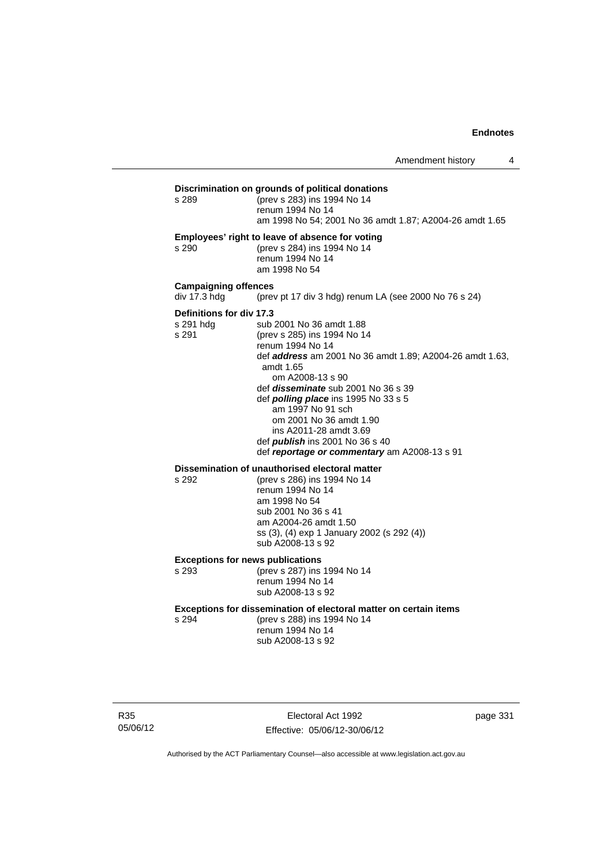| Discrimination on grounds of political donations        |  |  |
|---------------------------------------------------------|--|--|
| (prev s 283) ins 1994 No 14                             |  |  |
| renum 1994 No 14                                        |  |  |
| am 1998 No 54: 2001 No 36 amdt 1.87: A2004-26 amdt 1.65 |  |  |
|                                                         |  |  |

### **Employees' right to leave of absence for voting**

s 290 (prev s 284) ins 1994 No 14 renum 1994 No 14 am 1998 No 54

#### **Campaigning offences**

div 17.3 hdg (prev pt 17 div 3 hdg) renum LA (see 2000 No 76 s 24)

## **Definitions for div 17.3**

s 291 hdg sub 2001 No 36 amdt 1.88<br>s 291 (prev s 285) ins 1994 No 14 (prev s 285) ins 1994 No 14 renum 1994 No 14 def *address* am 2001 No 36 amdt 1.89; A2004-26 amdt 1.63, amdt 1.65 om A2008-13 s 90 def *disseminate* sub 2001 No 36 s 39 def *polling place* ins 1995 No 33 s 5 am 1997 No 91 sch om 2001 No 36 amdt 1.90 ins A2011-28 amdt 3.69 def *publish* ins 2001 No 36 s 40 def *reportage or commentary* am A2008-13 s 91

## **Dissemination of unauthorised electoral matter**<br>s 292 (prev s 286) ins 1994 No 14

s 292 (prev s 286) ins 1994 No 14 renum 1994 No 14 am 1998 No 54 sub 2001 No 36 s 41 am A2004-26 amdt 1.50 ss (3), (4) exp 1 January 2002 (s 292 (4)) sub A2008-13 s 92

#### **Exceptions for news publications**

s 293 (prev s 287) ins 1994 No 14 renum 1994 No 14 sub A2008-13 s 92

#### **Exceptions for dissemination of electoral matter on certain items**

s 294 (prev s 288) ins 1994 No 14 renum 1994 No 14 sub A2008-13 s 92

R35 05/06/12

Electoral Act 1992 Effective: 05/06/12-30/06/12 page 331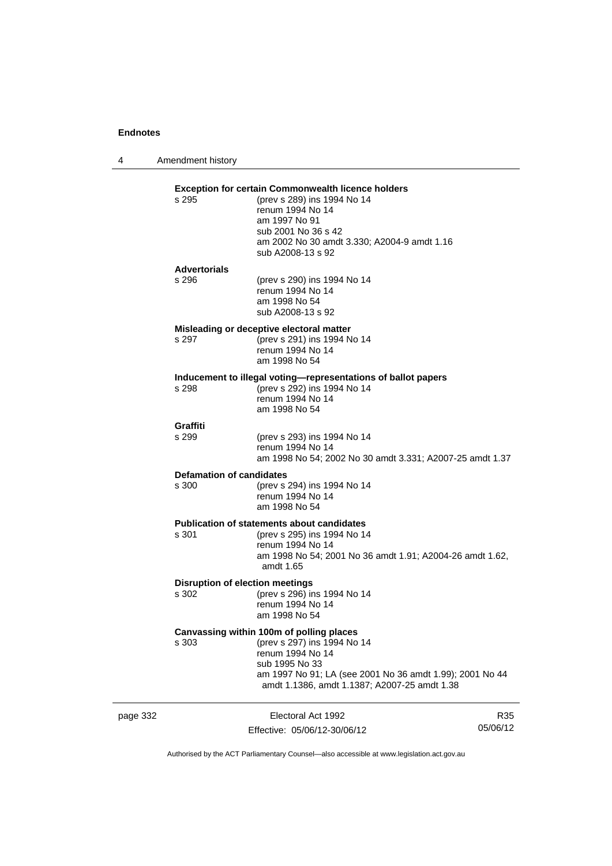4 Amendment history

## page 332 Electoral Act 1992 R35 **Exception for certain Commonwealth licence holders**<br>s 295 (prev s 289) ins 1994 No 14 (prev s 289) ins 1994 No 14 renum 1994 No 14 am 1997 No 91 sub 2001 No 36 s 42 am 2002 No 30 amdt 3.330; A2004-9 amdt 1.16 sub A2008-13 s 92 **Advertorials** s 296 (prev s 290) ins 1994 No 14 renum 1994 No 14 am 1998 No 54 sub A2008-13 s 92 **Misleading or deceptive electoral matter** s 297 (prev s 291) ins 1994 No 14 renum 1994 No 14 am 1998 No 54 **Inducement to illegal voting—representations of ballot papers** (prev s 292) ins 1994 No 14 renum 1994 No 14 am 1998 No 54 Graffiti<br>s 299 (prev s 293) ins 1994 No 14 renum 1994 No 14 am 1998 No 54; 2002 No 30 amdt 3.331; A2007-25 amdt 1.37 **Defamation of candidates** s 300 (prev s 294) ins 1994 No 14 renum 1994 No 14 am 1998 No 54 **Publication of statements about candidates**<br>s 301 (orev s 295) ins 1994 No 1-(prev s 295) ins 1994 No 14 renum 1994 No 14 am 1998 No 54; 2001 No 36 amdt 1.91; A2004-26 amdt 1.62, amdt 1.65 **Disruption of election meetings** s 302 (prev s 296) ins 1994 No 14 renum 1994 No 14 am 1998 No 54 **Canvassing within 100m of polling places** s 303 (prev s 297) ins 1994 No 14 renum 1994 No 14 sub 1995 No 33 am 1997 No 91; LA (see 2001 No 36 amdt 1.99); 2001 No 44 amdt 1.1386, amdt 1.1387; A2007-25 amdt 1.38

Authorised by the ACT Parliamentary Counsel—also accessible at www.legislation.act.gov.au

05/06/12

Effective: 05/06/12-30/06/12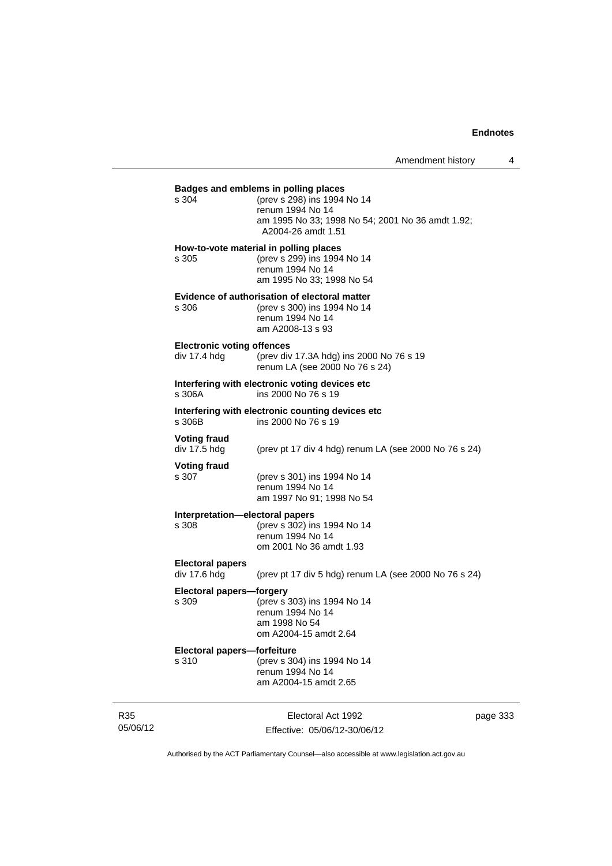## **Badges and emblems in polling places** s 304 (prev s 298) ins 1994 No 14 renum 1994 No 14 am 1995 No 33; 1998 No 54; 2001 No 36 amdt 1.92; A2004-26 amdt 1.51 **How-to-vote material in polling places** s 305 (prev s 299) ins 1994 No 14 renum 1994 No 14 am 1995 No 33; 1998 No 54 **Evidence of authorisation of electoral matter** s 306 (prev s 300) ins 1994 No 14 renum 1994 No 14 am A2008-13 s 93 **Electronic voting offences**<br>div 17.4 hdg (prev div (prev div 17.3A hdg) ins 2000 No 76 s 19 renum LA (see 2000 No 76 s 24) **Interfering with electronic voting devices etc** s 306A ins 2000 No 76 s 19 **Interfering with electronic counting devices etc** ins 2000 No 76 s 19 **Voting fraud**  div 17.5 hdg (prev pt 17 div 4 hdg) renum LA (see 2000 No 76 s 24) **Voting fraud** s 307 (prev s 301) ins 1994 No 14 renum 1994 No 14 am 1997 No 91; 1998 No 54 **Interpretation—electoral papers**  s 308 (prev s 302) ins 1994 No 14 renum 1994 No 14 om 2001 No 36 amdt 1.93 **Electoral papers**  div 17.6 hdg (prev pt 17 div 5 hdg) renum LA (see 2000 No 76 s 24) **Electoral papers—forgery**<br>s 309 (prev s 3 s 309 (prev s 303) ins 1994 No 14 renum 1994 No 14 am 1998 No 54 om A2004-15 amdt 2.64 **Electoral papers—forfeiture** s 310 (prev s 304) ins 1994 No 14 renum 1994 No 14 am A2004-15 amdt 2.65

R35 05/06/12

Electoral Act 1992 Effective: 05/06/12-30/06/12 page 333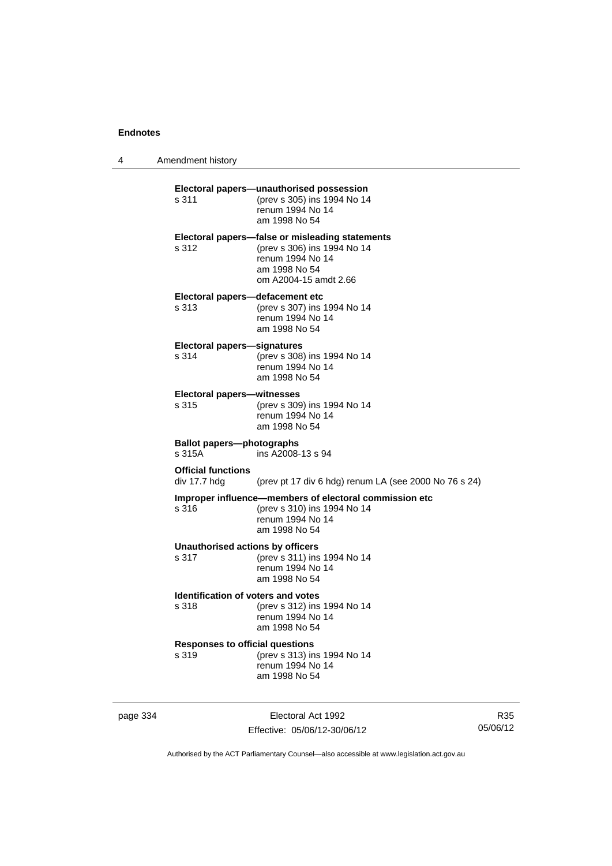4 Amendment history

| Electoral papers-unauthorised possession<br>(prev s 305) ins 1994 No 14<br>s 311<br>renum 1994 No 14<br>am 1998 No 54<br>Electoral papers-false or misleading statements<br>(prev s 306) ins 1994 No 14<br>s 312<br>renum 1994 No 14<br>am 1998 No 54<br>om A2004-15 amdt 2.66<br>Electoral papers-defacement etc<br>s 313<br>(prev s 307) ins 1994 No 14<br>renum 1994 No 14<br>am 1998 No 54<br><b>Electoral papers-signatures</b><br>(prev s 308) ins 1994 No 14<br>s 314<br>renum 1994 No 14<br>am 1998 No 54<br><b>Electoral papers-witnesses</b><br>(prev s 309) ins 1994 No 14<br>s 315<br>renum 1994 No 14<br>am 1998 No 54<br><b>Ballot papers-photographs</b><br>s 315A<br>ins A2008-13 s 94<br><b>Official functions</b><br>div 17.7 hdg<br>Improper influence-members of electoral commission etc<br>(prev s 310) ins 1994 No 14<br>s 316<br>renum 1994 No 14<br>am 1998 No 54<br><b>Unauthorised actions by officers</b><br>(prev s 311) ins 1994 No 14<br>s 317<br>renum 1994 No 14<br>am 1998 No 54<br><b>Identification of voters and votes</b><br>(prev s 312) ins 1994 No 14<br>s 318<br>renum 1994 No 14<br>am 1998 No 54<br><b>Responses to official questions</b><br>(prev s 313) ins 1994 No 14<br>s 319<br>renum 1994 No 14 | am 1998 No 54 |  |                                                       |
|----------------------------------------------------------------------------------------------------------------------------------------------------------------------------------------------------------------------------------------------------------------------------------------------------------------------------------------------------------------------------------------------------------------------------------------------------------------------------------------------------------------------------------------------------------------------------------------------------------------------------------------------------------------------------------------------------------------------------------------------------------------------------------------------------------------------------------------------------------------------------------------------------------------------------------------------------------------------------------------------------------------------------------------------------------------------------------------------------------------------------------------------------------------------------------------------------------------------------------------------------|---------------|--|-------------------------------------------------------|
|                                                                                                                                                                                                                                                                                                                                                                                                                                                                                                                                                                                                                                                                                                                                                                                                                                                                                                                                                                                                                                                                                                                                                                                                                                                    |               |  |                                                       |
|                                                                                                                                                                                                                                                                                                                                                                                                                                                                                                                                                                                                                                                                                                                                                                                                                                                                                                                                                                                                                                                                                                                                                                                                                                                    |               |  |                                                       |
|                                                                                                                                                                                                                                                                                                                                                                                                                                                                                                                                                                                                                                                                                                                                                                                                                                                                                                                                                                                                                                                                                                                                                                                                                                                    |               |  |                                                       |
|                                                                                                                                                                                                                                                                                                                                                                                                                                                                                                                                                                                                                                                                                                                                                                                                                                                                                                                                                                                                                                                                                                                                                                                                                                                    |               |  |                                                       |
|                                                                                                                                                                                                                                                                                                                                                                                                                                                                                                                                                                                                                                                                                                                                                                                                                                                                                                                                                                                                                                                                                                                                                                                                                                                    |               |  |                                                       |
|                                                                                                                                                                                                                                                                                                                                                                                                                                                                                                                                                                                                                                                                                                                                                                                                                                                                                                                                                                                                                                                                                                                                                                                                                                                    |               |  |                                                       |
|                                                                                                                                                                                                                                                                                                                                                                                                                                                                                                                                                                                                                                                                                                                                                                                                                                                                                                                                                                                                                                                                                                                                                                                                                                                    |               |  | (prev pt 17 div 6 hdg) renum LA (see 2000 No 76 s 24) |
|                                                                                                                                                                                                                                                                                                                                                                                                                                                                                                                                                                                                                                                                                                                                                                                                                                                                                                                                                                                                                                                                                                                                                                                                                                                    |               |  |                                                       |
|                                                                                                                                                                                                                                                                                                                                                                                                                                                                                                                                                                                                                                                                                                                                                                                                                                                                                                                                                                                                                                                                                                                                                                                                                                                    |               |  |                                                       |
|                                                                                                                                                                                                                                                                                                                                                                                                                                                                                                                                                                                                                                                                                                                                                                                                                                                                                                                                                                                                                                                                                                                                                                                                                                                    |               |  |                                                       |
|                                                                                                                                                                                                                                                                                                                                                                                                                                                                                                                                                                                                                                                                                                                                                                                                                                                                                                                                                                                                                                                                                                                                                                                                                                                    |               |  |                                                       |

page 334 Electoral Act 1992 Effective: 05/06/12-30/06/12

R35 05/06/12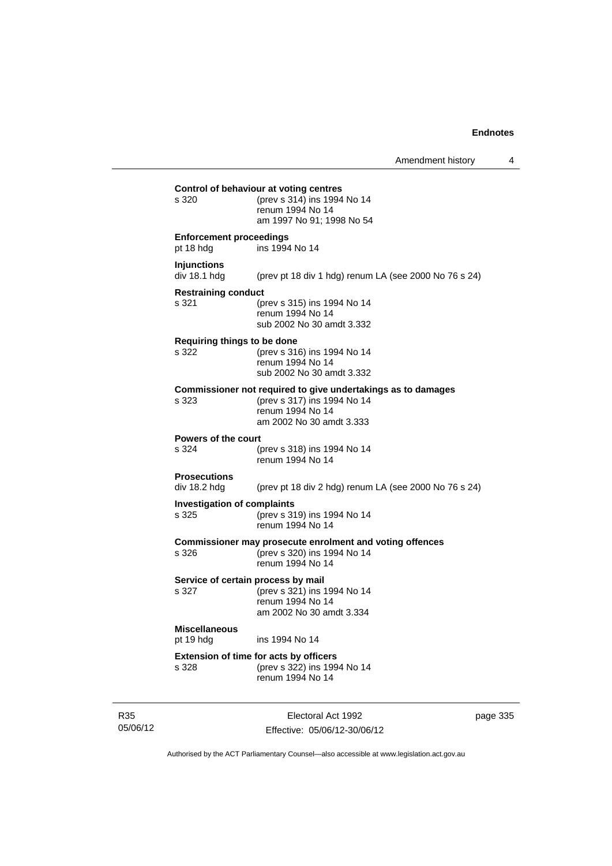| s 320                                       | (prev s 314) ins 1994 No 14<br>renum 1994 No 14<br>am 1997 No 91; 1998 No 54                                                                |
|---------------------------------------------|---------------------------------------------------------------------------------------------------------------------------------------------|
| <b>Enforcement proceedings</b><br>pt 18 hdg | ins 1994 No 14                                                                                                                              |
| <b>Injunctions</b><br>div 18.1 hdg          | (prev pt 18 div 1 hdg) renum LA (see 2000 No 76 s 24)                                                                                       |
| <b>Restraining conduct</b><br>s 321         | (prev s 315) ins 1994 No 14<br>renum 1994 No 14<br>sub 2002 No 30 amdt 3.332                                                                |
| Requiring things to be done<br>s 322        | (prev s 316) ins 1994 No 14<br>renum 1994 No 14<br>sub 2002 No 30 amdt 3.332                                                                |
| s 323                                       | Commissioner not required to give undertakings as to damages<br>(prev s 317) ins 1994 No 14<br>renum 1994 No 14<br>am 2002 No 30 amdt 3.333 |
| Powers of the court<br>s 324                | (prev s 318) ins 1994 No 14<br>renum 1994 No 14                                                                                             |
| <b>Prosecutions</b><br>div 18.2 hdg         | (prev pt 18 div 2 hdg) renum LA (see 2000 No 76 s 24)                                                                                       |
| <b>Investigation of complaints</b><br>s 325 | (prev s 319) ins 1994 No 14<br>renum 1994 No 14                                                                                             |
| s 326                                       | Commissioner may prosecute enrolment and voting offences<br>(prev s 320) ins 1994 No 14<br>renum 1994 No 14                                 |
| s 327                                       | Service of certain process by mail<br>(prev s 321) ins 1994 No 14<br>renum 1994 No 14<br>am 2002 No 30 amdt 3.334                           |
| <b>Miscellaneous</b><br>pt 19 hdg           | ins 1994 No 14                                                                                                                              |
| s 328                                       | Extension of time for acts by officers<br>(prev s 322) ins 1994 No 14<br>renum 1994 No 14                                                   |

R35 05/06/12

Electoral Act 1992 Effective: 05/06/12-30/06/12 page 335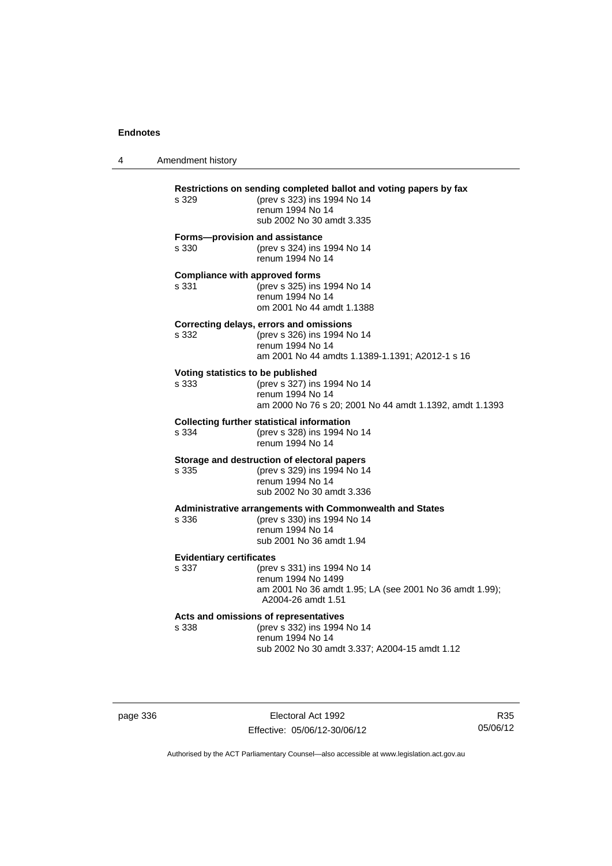| 4 | Amendment history                              |                                                                                                                                                   |
|---|------------------------------------------------|---------------------------------------------------------------------------------------------------------------------------------------------------|
|   | s 329                                          | Restrictions on sending completed ballot and voting papers by fax<br>(prev s 323) ins 1994 No 14<br>renum 1994 No 14<br>sub 2002 No 30 amdt 3.335 |
|   | Forms-provision and assistance<br>s 330        | (prev s 324) ins 1994 No 14<br>renum 1994 No 14                                                                                                   |
|   | <b>Compliance with approved forms</b><br>s 331 | (prev s 325) ins 1994 No 14<br>renum 1994 No 14<br>om 2001 No 44 amdt 1.1388                                                                      |
|   | s 332                                          | Correcting delays, errors and omissions<br>(prev s 326) ins 1994 No 14<br>renum 1994 No 14<br>am 2001 No 44 amdts 1.1389-1.1391; A2012-1 s 16     |
|   | Voting statistics to be published<br>s 333     | (prev s 327) ins 1994 No 14<br>renum 1994 No 14<br>am 2000 No 76 s 20; 2001 No 44 amdt 1.1392, amdt 1.1393                                        |
|   | s 334                                          | <b>Collecting further statistical information</b><br>(prev s 328) ins 1994 No 14<br>renum 1994 No 14                                              |
|   | s 335                                          | Storage and destruction of electoral papers<br>(prev s 329) ins 1994 No 14<br>renum 1994 No 14<br>sub 2002 No 30 amdt 3.336                       |
|   | s 336                                          | Administrative arrangements with Commonwealth and States<br>(prev s 330) ins 1994 No 14<br>renum 1994 No 14<br>sub 2001 No 36 amdt 1.94           |
|   | <b>Evidentiary certificates</b><br>s 337       | (prev s 331) ins 1994 No 14<br>renum 1994 No 1499<br>am 2001 No 36 amdt 1.95; LA (see 2001 No 36 amdt 1.99);<br>A2004-26 amdt 1.51                |
|   | s 338                                          | Acts and omissions of representatives<br>(prev s 332) ins 1994 No 14<br>renum 1994 No 14<br>sub 2002 No 30 amdt 3.337; A2004-15 amdt 1.12         |

page 336 **Electoral Act 1992** Effective: 05/06/12-30/06/12

R35 05/06/12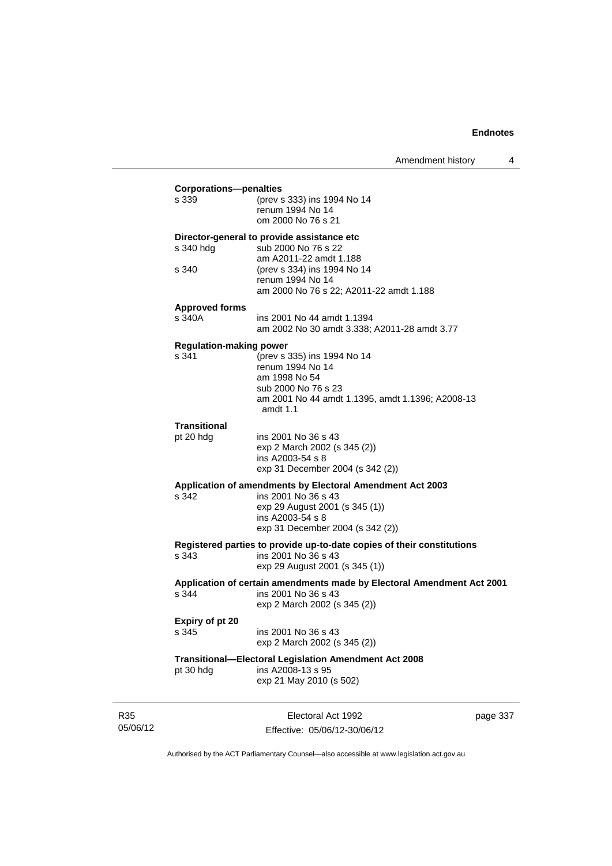## **Corporations—penalties**

| <u>orporations</u><br>s 339             | (prev s 333) ins 1994 No 14<br>renum 1994 No 14<br>om 2000 No 76 s 21                                                                                                                     |
|-----------------------------------------|-------------------------------------------------------------------------------------------------------------------------------------------------------------------------------------------|
| s 340 hdg<br>s 340                      | Director-general to provide assistance etc<br>sub 2000 No 76 s 22<br>am A2011-22 amdt 1.188<br>(prev s 334) ins 1994 No 14<br>renum 1994 No 14<br>am 2000 No 76 s 22; A2011-22 amdt 1.188 |
| <b>Approved forms</b><br>s 340A         | ins 2001 No 44 amdt 1.1394<br>am 2002 No 30 amdt 3.338; A2011-28 amdt 3.77                                                                                                                |
| <b>Regulation-making power</b><br>s 341 | (prev s 335) ins 1994 No 14<br>renum 1994 No 14<br>am 1998 No 54<br>sub 2000 No 76 s 23<br>am 2001 No 44 amdt 1.1395, amdt 1.1396; A2008-13<br>amdt $1.1$                                 |
| <b>Transitional</b><br>pt 20 hdg        | ins 2001 No 36 s 43<br>exp 2 March 2002 (s 345 (2))<br>ins A2003-54 s 8<br>exp 31 December 2004 (s 342 (2))                                                                               |
| s 342                                   | Application of amendments by Electoral Amendment Act 2003<br>ins 2001 No 36 s 43<br>exp 29 August 2001 (s 345 (1))<br>ins A2003-54 s 8<br>exp 31 December 2004 (s 342 (2))                |
| s 343                                   | Registered parties to provide up-to-date copies of their constitutions<br>ins 2001 No 36 s 43<br>exp 29 August 2001 (s 345 (1))                                                           |
| s 344                                   | Application of certain amendments made by Electoral Amendment Act 2001<br>ins 2001 No 36 s 43<br>exp 2 March 2002 (s 345 (2))                                                             |
| Expiry of pt 20<br>s 345                | ins 2001 No 36 s 43<br>exp 2 March 2002 (s 345 (2))                                                                                                                                       |
| pt 30 hdg                               | <b>Transitional-Electoral Legislation Amendment Act 2008</b><br>ins A2008-13 s 95<br>exp 21 May 2010 (s 502)                                                                              |
|                                         |                                                                                                                                                                                           |

R35 05/06/12

Electoral Act 1992 Effective: 05/06/12-30/06/12 page 337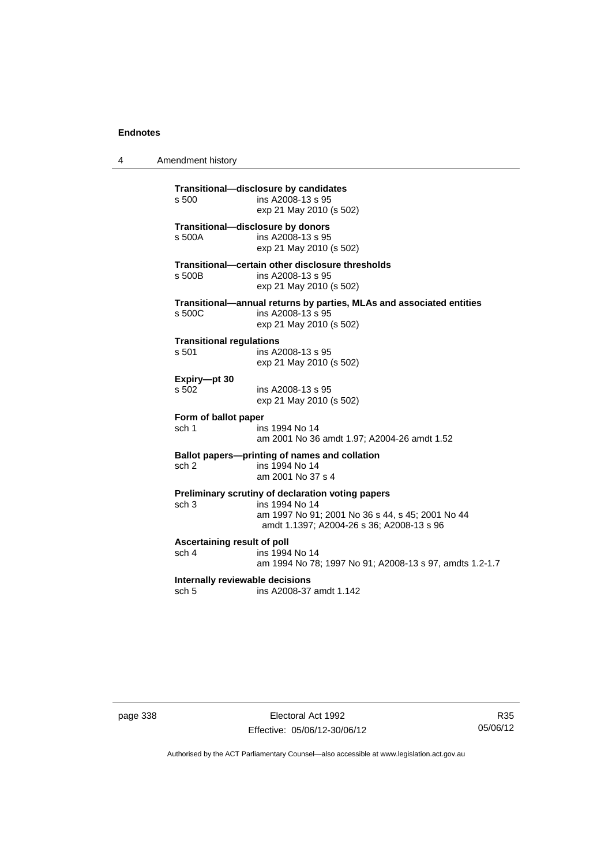4 Amendment history

**Transitional—disclosure by candidates**  ins A2008-13 s 95 exp 21 May 2010 (s 502) **Transitional—disclosure by donors**  ins A2008-13 s 95 exp 21 May 2010 (s 502) **Transitional—certain other disclosure thresholds**  s 500B ins A2008-13 s 95 exp 21 May 2010 (s 502) **Transitional—annual returns by parties, MLAs and associated entities**  s 500C ins A2008-13 s 95 exp 21 May 2010 (s 502) **Transitional regulations**  s 501 ins A2008-13 s 95 exp 21 May 2010 (s 502) **Expiry—pt 30**  ins A2008-13 s 95 exp 21 May 2010 (s 502) **Form of ballot paper** sch 1 ins 1994 No 14 am 2001 No 36 amdt 1.97; A2004-26 amdt 1.52 **Ballot papers—printing of names and collation**<br>sch 2 ins 1994 No 14 ins 1994 No 14 am 2001 No 37 s 4 **Preliminary scrutiny of declaration voting papers** sch 3 ins 1994 No 14 am 1997 No 91; 2001 No 36 s 44, s 45; 2001 No 44 amdt 1.1397; A2004-26 s 36; A2008-13 s 96 **Ascertaining result of poll** sch 4 ins 1994 No 14 am 1994 No 78; 1997 No 91; A2008-13 s 97, amdts 1.2-1.7 **Internally reviewable decisions**  sch 5 ins A2008-37 amdt 1.142

page 338 Electoral Act 1992 Effective: 05/06/12-30/06/12

R35 05/06/12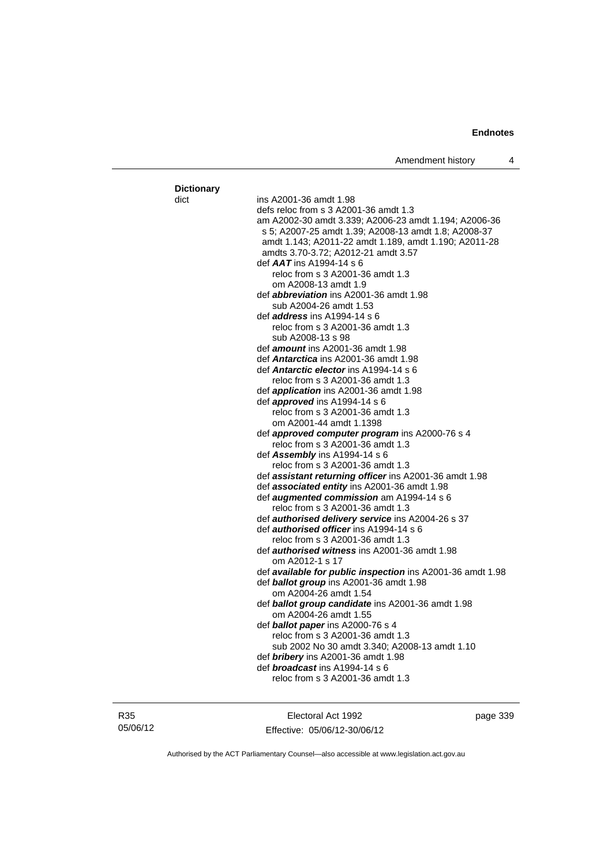| <b>Dictionary</b> |                                                            |
|-------------------|------------------------------------------------------------|
| dict              | ins A2001-36 amdt 1.98                                     |
|                   | defs reloc from s 3 A2001-36 amdt 1.3                      |
|                   | am A2002-30 amdt 3.339; A2006-23 amdt 1.194; A2006-36      |
|                   | s 5; A2007-25 amdt 1.39; A2008-13 amdt 1.8; A2008-37       |
|                   | amdt 1.143; A2011-22 amdt 1.189, amdt 1.190; A2011-28      |
|                   |                                                            |
|                   | amdts 3.70-3.72; A2012-21 amdt 3.57                        |
|                   | def $AAT$ ins A1994-14 s 6                                 |
|                   | reloc from s 3 A2001-36 amdt 1.3                           |
|                   | om A2008-13 amdt 1.9                                       |
|                   | def <i>abbreviation</i> ins A2001-36 amdt 1.98             |
|                   | sub A2004-26 amdt 1.53                                     |
|                   | def <i>address</i> ins A1994-14 s 6                        |
|                   | reloc from s 3 A2001-36 amdt 1.3                           |
|                   | sub A2008-13 s 98                                          |
|                   | def <b>amount</b> ins A2001-36 amdt 1.98                   |
|                   | def <b>Antarctica</b> ins A2001-36 amdt 1.98               |
|                   | def <b>Antarctic elector</b> ins A1994-14 s 6              |
|                   | reloc from s 3 A2001-36 amdt 1.3                           |
|                   | def application ins A2001-36 amdt 1.98                     |
|                   | def <b>approved</b> ins $A1994-14 s 6$                     |
|                   | reloc from s 3 A2001-36 amdt 1.3                           |
|                   | om A2001-44 amdt 1.1398                                    |
|                   | def approved computer program ins A2000-76 s 4             |
|                   | reloc from s 3 A2001-36 amdt 1.3                           |
|                   | def Assembly ins A1994-14 s 6                              |
|                   | reloc from s 3 A2001-36 amdt 1.3                           |
|                   | def assistant returning officer ins A2001-36 amdt 1.98     |
|                   | def associated entity ins A2001-36 amdt 1.98               |
|                   | def augmented commission am A1994-14 s 6                   |
|                   | reloc from s 3 A2001-36 amdt 1.3                           |
|                   |                                                            |
|                   | def authorised delivery service ins A2004-26 s 37          |
|                   | def <i>authorised officer</i> ins A1994-14 s 6             |
|                   | reloc from s 3 A2001-36 amdt 1.3                           |
|                   | def <b>authorised witness</b> ins A2001-36 amdt 1.98       |
|                   | om A2012-1 s 17                                            |
|                   | def available for public inspection ins A2001-36 amdt 1.98 |
|                   | def <b>ballot group</b> ins A2001-36 amdt 1.98             |
|                   | om A2004-26 amdt 1.54                                      |
|                   | def <b>ballot group candidate</b> ins A2001-36 amdt 1.98   |
|                   | om A2004-26 amdt 1.55                                      |
|                   | def <b>ballot paper</b> ins A2000-76 s 4                   |
|                   | reloc from s 3 A2001-36 amdt 1.3                           |
|                   | sub 2002 No 30 amdt 3.340; A2008-13 amdt 1.10              |
|                   | def bribery ins A2001-36 amdt 1.98                         |
|                   | def <i>broadcast</i> ins A1994-14 s 6                      |
|                   | reloc from s 3 A2001-36 amdt 1.3                           |
|                   |                                                            |

R35 05/06/12

Electoral Act 1992 Effective: 05/06/12-30/06/12 page 339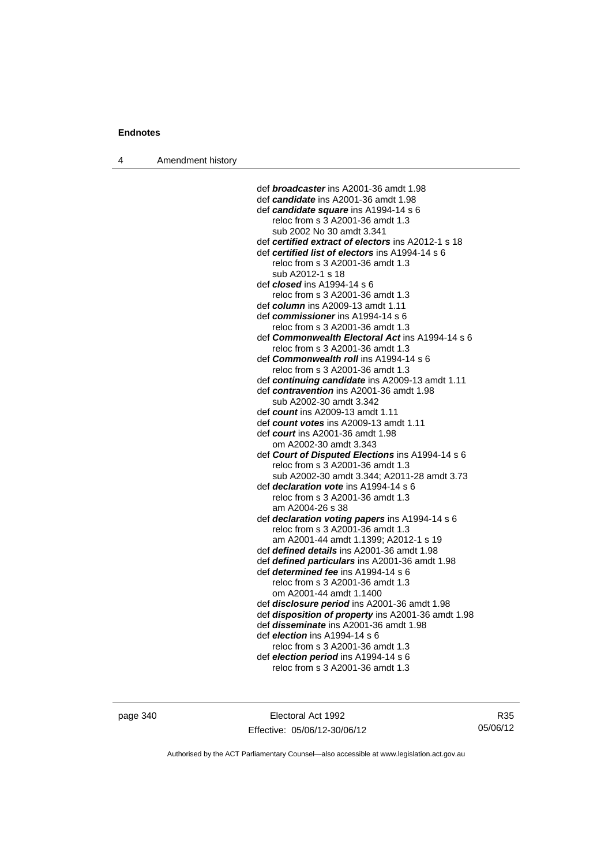4 Amendment history

def *broadcaster* ins A2001-36 amdt 1.98 def *candidate* ins A2001-36 amdt 1.98 def *candidate square* ins A1994-14 s 6 reloc from s 3 A2001-36 amdt 1.3 sub 2002 No 30 amdt 3.341 def *certified extract of electors* ins A2012-1 s 18 def *certified list of electors* ins A1994-14 s 6 reloc from s 3 A2001-36 amdt 1.3 sub A2012-1 s 18 def *closed* ins A1994-14 s 6 reloc from s 3 A2001-36 amdt 1.3 def *column* ins A2009-13 amdt 1.11 def *commissioner* ins A1994-14 s 6 reloc from s 3 A2001-36 amdt 1.3 def *Commonwealth Electoral Act* ins A1994-14 s 6 reloc from s 3 A2001-36 amdt 1.3 def *Commonwealth roll* ins A1994-14 s 6 reloc from s 3 A2001-36 amdt 1.3 def *continuing candidate* ins A2009-13 amdt 1.11 def *contravention* ins A2001-36 amdt 1.98 sub A2002-30 amdt 3.342 def *count* ins A2009-13 amdt 1.11 def *count votes* ins A2009-13 amdt 1.11 def *court* ins A2001-36 amdt 1.98 om A2002-30 amdt 3.343 def *Court of Disputed Elections* ins A1994-14 s 6 reloc from s 3 A2001-36 amdt 1.3 sub A2002-30 amdt 3.344; A2011-28 amdt 3.73 def *declaration vote* ins A1994-14 s 6 reloc from s 3 A2001-36 amdt 1.3 am A2004-26 s 38 def *declaration voting papers* ins A1994-14 s 6 reloc from s 3 A2001-36 amdt 1.3 am A2001-44 amdt 1.1399; A2012-1 s 19 def *defined details* ins A2001-36 amdt 1.98 def *defined particulars* ins A2001-36 amdt 1.98 def *determined fee* ins A1994-14 s 6 reloc from s 3 A2001-36 amdt 1.3 om A2001-44 amdt 1.1400 def *disclosure period* ins A2001-36 amdt 1.98 def *disposition of property* ins A2001-36 amdt 1.98 def *disseminate* ins A2001-36 amdt 1.98 def *election* ins A1994-14 s 6 reloc from s 3 A2001-36 amdt 1.3 def *election period* ins A1994-14 s 6 reloc from s 3 A2001-36 amdt 1.3

page 340 Electoral Act 1992 Effective: 05/06/12-30/06/12

R35 05/06/12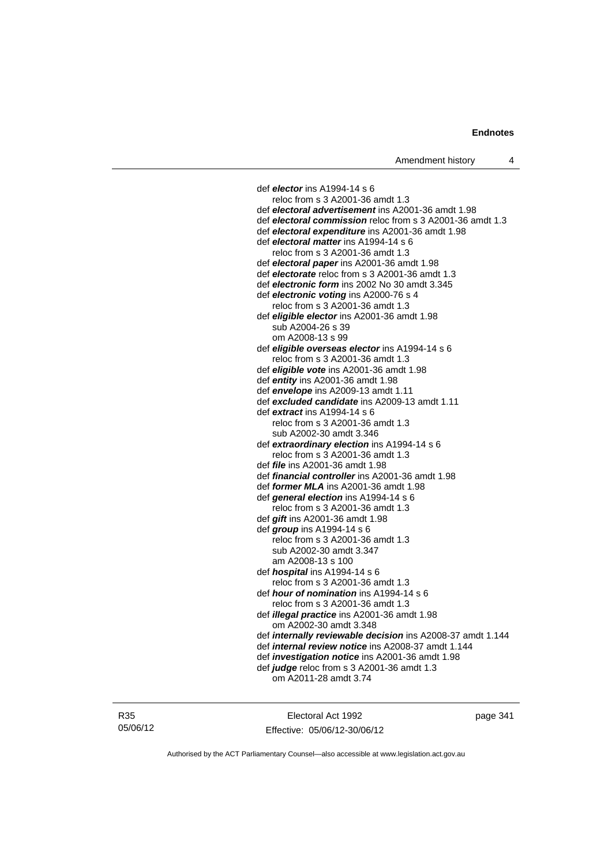def *elector* ins A1994-14 s 6 reloc from s 3 A2001-36 amdt 1.3 def *electoral advertisement* ins A2001-36 amdt 1.98 def *electoral commission* reloc from s 3 A2001-36 amdt 1.3 def *electoral expenditure* ins A2001-36 amdt 1.98 def *electoral matter* ins A1994-14 s 6 reloc from s 3 A2001-36 amdt 1.3 def *electoral paper* ins A2001-36 amdt 1.98 def *electorate* reloc from s 3 A2001-36 amdt 1.3 def *electronic form* ins 2002 No 30 amdt 3.345 def *electronic voting* ins A2000-76 s 4 reloc from s 3 A2001-36 amdt 1.3 def *eligible elector* ins A2001-36 amdt 1.98 sub A2004-26 s 39 om A2008-13 s 99 def *eligible overseas elector* ins A1994-14 s 6 reloc from s 3 A2001-36 amdt 1.3 def *eligible vote* ins A2001-36 amdt 1.98 def *entity* ins A2001-36 amdt 1.98 def *envelope* ins A2009-13 amdt 1.11 def *excluded candidate* ins A2009-13 amdt 1.11 def *extract* ins A1994-14 s 6 reloc from s 3 A2001-36 amdt 1.3 sub A2002-30 amdt 3.346 def *extraordinary election* ins A1994-14 s 6 reloc from s 3 A2001-36 amdt 1.3 def *file* ins A2001-36 amdt 1.98 def *financial controller* ins A2001-36 amdt 1.98 def *former MLA* ins A2001-36 amdt 1.98 def *general election* ins A1994-14 s 6 reloc from s 3 A2001-36 amdt 1.3 def *gift* ins A2001-36 amdt 1.98 def *group* ins A1994-14 s 6 reloc from s 3 A2001-36 amdt 1.3 sub A2002-30 amdt 3.347 am A2008-13 s 100 def *hospital* ins A1994-14 s 6 reloc from s 3 A2001-36 amdt 1.3 def *hour of nomination* ins A1994-14 s 6 reloc from s 3 A2001-36 amdt 1.3 def *illegal practice* ins A2001-36 amdt 1.98 om A2002-30 amdt 3.348 def *internally reviewable decision* ins A2008-37 amdt 1.144 def *internal review notice* ins A2008-37 amdt 1.144 def *investigation notice* ins A2001-36 amdt 1.98 def *judge* reloc from s 3 A2001-36 amdt 1.3 om A2011-28 amdt 3.74

R35 05/06/12

Electoral Act 1992 Effective: 05/06/12-30/06/12 page 341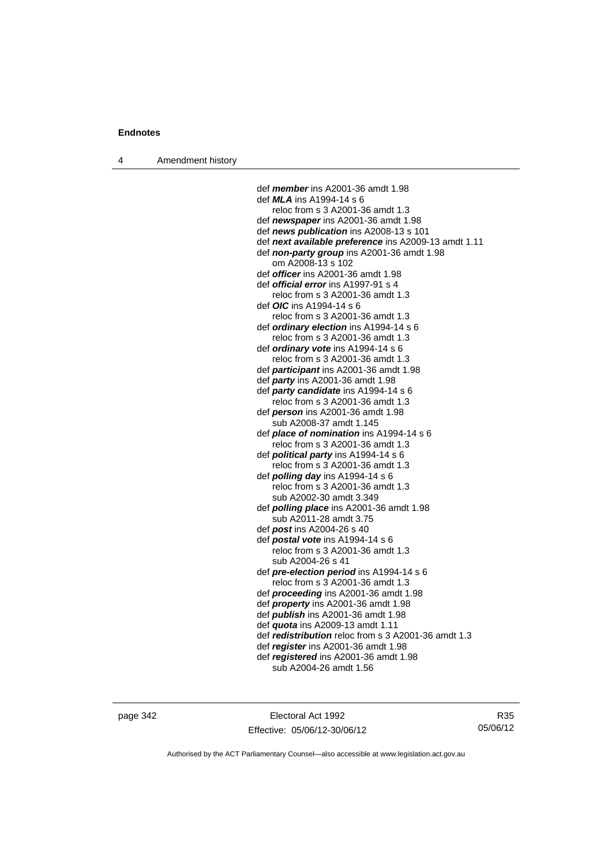4 Amendment history

 def *member* ins A2001-36 amdt 1.98 def *MLA* ins A1994-14 s 6 reloc from s 3 A2001-36 amdt 1.3 def *newspaper* ins A2001-36 amdt 1.98 def *news publication* ins A2008-13 s 101 def *next available preference* ins A2009-13 amdt 1.11 def *non-party group* ins A2001-36 amdt 1.98 om A2008-13 s 102 def *officer* ins A2001-36 amdt 1.98 def *official error* ins A1997-91 s 4 reloc from s 3 A2001-36 amdt 1.3 def *OIC* ins A1994-14 s 6 reloc from s 3 A2001-36 amdt 1.3 def *ordinary election* ins A1994-14 s 6 reloc from s 3 A2001-36 amdt 1.3 def *ordinary vote* ins A1994-14 s 6 reloc from s 3 A2001-36 amdt 1.3 def *participant* ins A2001-36 amdt 1.98 def *party* ins A2001-36 amdt 1.98 def *party candidate* ins A1994-14 s 6 reloc from s 3 A2001-36 amdt 1.3 def *person* ins A2001-36 amdt 1.98 sub A2008-37 amdt 1.145 def *place of nomination* ins A1994-14 s 6 reloc from s 3 A2001-36 amdt 1.3 def *political party* ins A1994-14 s 6 reloc from s 3 A2001-36 amdt 1.3 def *polling day* ins A1994-14 s 6 reloc from s 3 A2001-36 amdt 1.3 sub A2002-30 amdt 3.349 def *polling place* ins A2001-36 amdt 1.98 sub A2011-28 amdt 3.75 def *post* ins A2004-26 s 40 def *postal vote* ins A1994-14 s 6 reloc from s 3 A2001-36 amdt 1.3 sub A2004-26 s 41 def *pre-election period* ins A1994-14 s 6 reloc from s 3 A2001-36 amdt 1.3 def *proceeding* ins A2001-36 amdt 1.98 def *property* ins A2001-36 amdt 1.98 def *publish* ins A2001-36 amdt 1.98 def *quota* ins A2009-13 amdt 1.11 def *redistribution* reloc from s 3 A2001-36 amdt 1.3 def *register* ins A2001-36 amdt 1.98 def *registered* ins A2001-36 amdt 1.98

sub A2004-26 amdt 1.56

page 342 Electoral Act 1992 Effective: 05/06/12-30/06/12

R35 05/06/12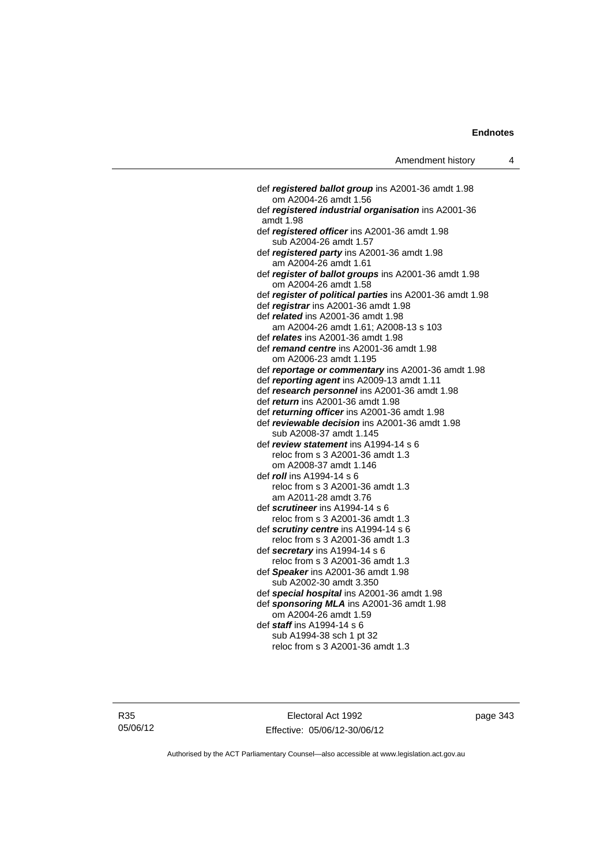def *registered ballot group* ins A2001-36 amdt 1.98 om A2004-26 amdt 1.56 def *registered industrial organisation* ins A2001-36 amdt 1.98 def *registered officer* ins A2001-36 amdt 1.98 sub A2004-26 amdt 1.57 def *registered party* ins A2001-36 amdt 1.98 am A2004-26 amdt 1.61 def *register of ballot groups* ins A2001-36 amdt 1.98 om A2004-26 amdt 1.58 def *register of political parties* ins A2001-36 amdt 1.98 def *registrar* ins A2001-36 amdt 1.98 def *related* ins A2001-36 amdt 1.98 am A2004-26 amdt 1.61; A2008-13 s 103 def *relates* ins A2001-36 amdt 1.98 def *remand centre* ins A2001-36 amdt 1.98 om A2006-23 amdt 1.195 def *reportage or commentary* ins A2001-36 amdt 1.98 def *reporting agent* ins A2009-13 amdt 1.11 def *research personnel* ins A2001-36 amdt 1.98 def *return* ins A2001-36 amdt 1.98 def *returning officer* ins A2001-36 amdt 1.98 def *reviewable decision* ins A2001-36 amdt 1.98 sub A2008-37 amdt 1.145 def *review statement* ins A1994-14 s 6 reloc from s 3 A2001-36 amdt 1.3 om A2008-37 amdt 1.146 def *roll* ins A1994-14 s 6 reloc from s 3 A2001-36 amdt 1.3 am A2011-28 amdt 3.76 def *scrutineer* ins A1994-14 s 6 reloc from s 3 A2001-36 amdt 1.3 def *scrutiny centre* ins A1994-14 s 6 reloc from s 3 A2001-36 amdt 1.3 def *secretary* ins A1994-14 s 6 reloc from s 3 A2001-36 amdt 1.3 def *Speaker* ins A2001-36 amdt 1.98 sub A2002-30 amdt 3.350 def *special hospital* ins A2001-36 amdt 1.98 def *sponsoring MLA* ins A2001-36 amdt 1.98 om A2004-26 amdt 1.59 def *staff* ins A1994-14 s 6 sub A1994-38 sch 1 pt 32 reloc from s 3 A2001-36 amdt 1.3

R35 05/06/12

Electoral Act 1992 Effective: 05/06/12-30/06/12 page 343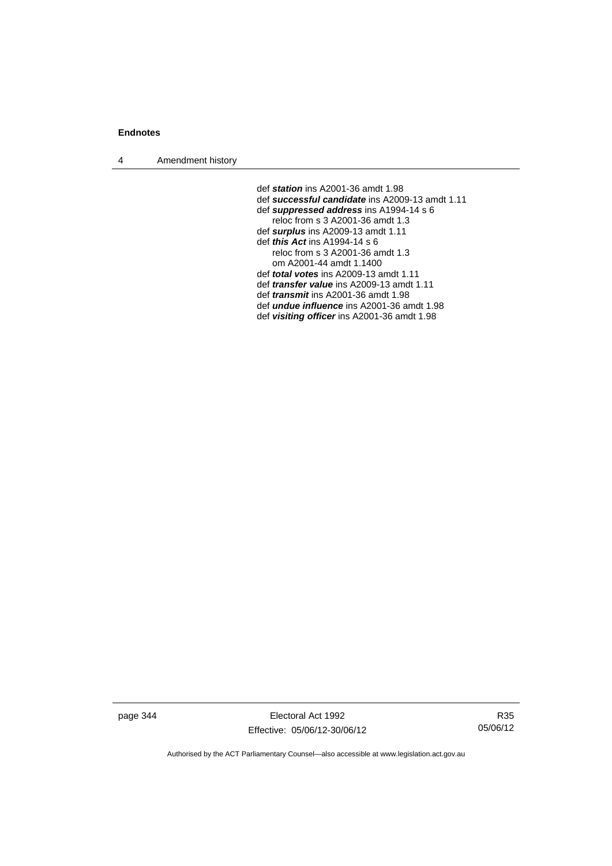4 Amendment history

 def *station* ins A2001-36 amdt 1.98 def *successful candidate* ins A2009-13 amdt 1.11 def *suppressed address* ins A1994-14 s 6 reloc from s 3 A2001-36 amdt 1.3 def *surplus* ins A2009-13 amdt 1.11 def *this Act* ins A1994-14 s 6 reloc from s 3 A2001-36 amdt 1.3 om A2001-44 amdt 1.1400 def *total votes* ins A2009-13 amdt 1.11 def *transfer value* ins A2009-13 amdt 1.11 def *transmit* ins A2001-36 amdt 1.98 def *undue influence* ins A2001-36 amdt 1.98 def *visiting officer* ins A2001-36 amdt 1.98

page 344 Electoral Act 1992 Effective: 05/06/12-30/06/12

R35 05/06/12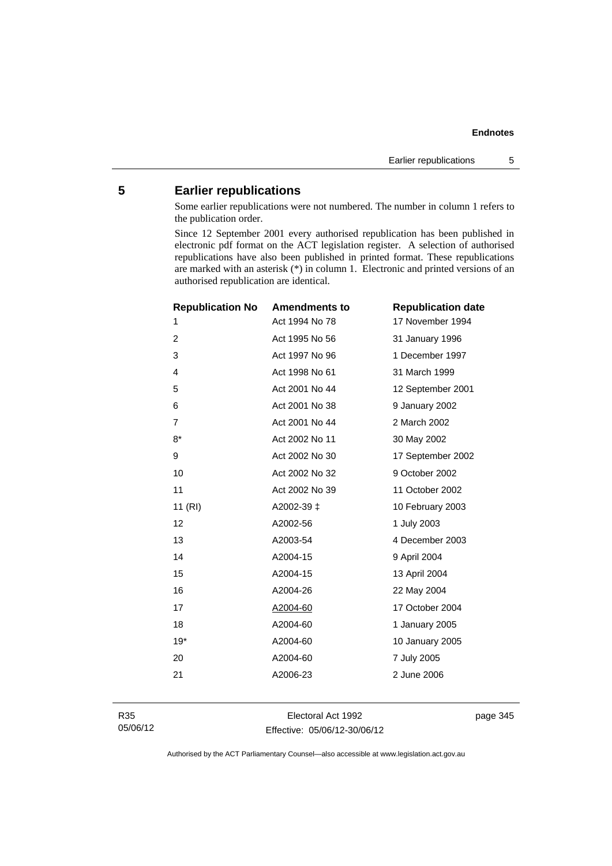## **5 Earlier republications**

Some earlier republications were not numbered. The number in column 1 refers to the publication order.

Since 12 September 2001 every authorised republication has been published in electronic pdf format on the ACT legislation register. A selection of authorised republications have also been published in printed format. These republications are marked with an asterisk (\*) in column 1. Electronic and printed versions of an authorised republication are identical.

| <b>Republication No</b> | <b>Amendments to</b> | <b>Republication date</b> |
|-------------------------|----------------------|---------------------------|
| 1                       | Act 1994 No 78       | 17 November 1994          |
| $\overline{2}$          | Act 1995 No 56       | 31 January 1996           |
| 3                       | Act 1997 No 96       | 1 December 1997           |
| 4                       | Act 1998 No 61       | 31 March 1999             |
| 5                       | Act 2001 No 44       | 12 September 2001         |
| 6                       | Act 2001 No 38       | 9 January 2002            |
| $\overline{7}$          | Act 2001 No 44       | 2 March 2002              |
| $8*$                    | Act 2002 No 11       | 30 May 2002               |
| 9                       | Act 2002 No 30       | 17 September 2002         |
| 10                      | Act 2002 No 32       | 9 October 2002            |
| 11                      | Act 2002 No 39       | 11 October 2002           |
| 11(RI)                  | A2002-39 ±           | 10 February 2003          |
| 12                      | A2002-56             | 1 July 2003               |
| 13                      | A2003-54             | 4 December 2003           |
| 14                      | A2004-15             | 9 April 2004              |
| 15                      | A2004-15             | 13 April 2004             |
| 16                      | A2004-26             | 22 May 2004               |
| 17                      | A2004-60             | 17 October 2004           |
| 18                      | A2004-60             | 1 January 2005            |
| $19*$                   | A2004-60             | 10 January 2005           |
| 20                      | A2004-60             | 7 July 2005               |
| 21                      | A2006-23             | 2 June 2006               |
|                         |                      |                           |

Electoral Act 1992 Effective: 05/06/12-30/06/12 page 345